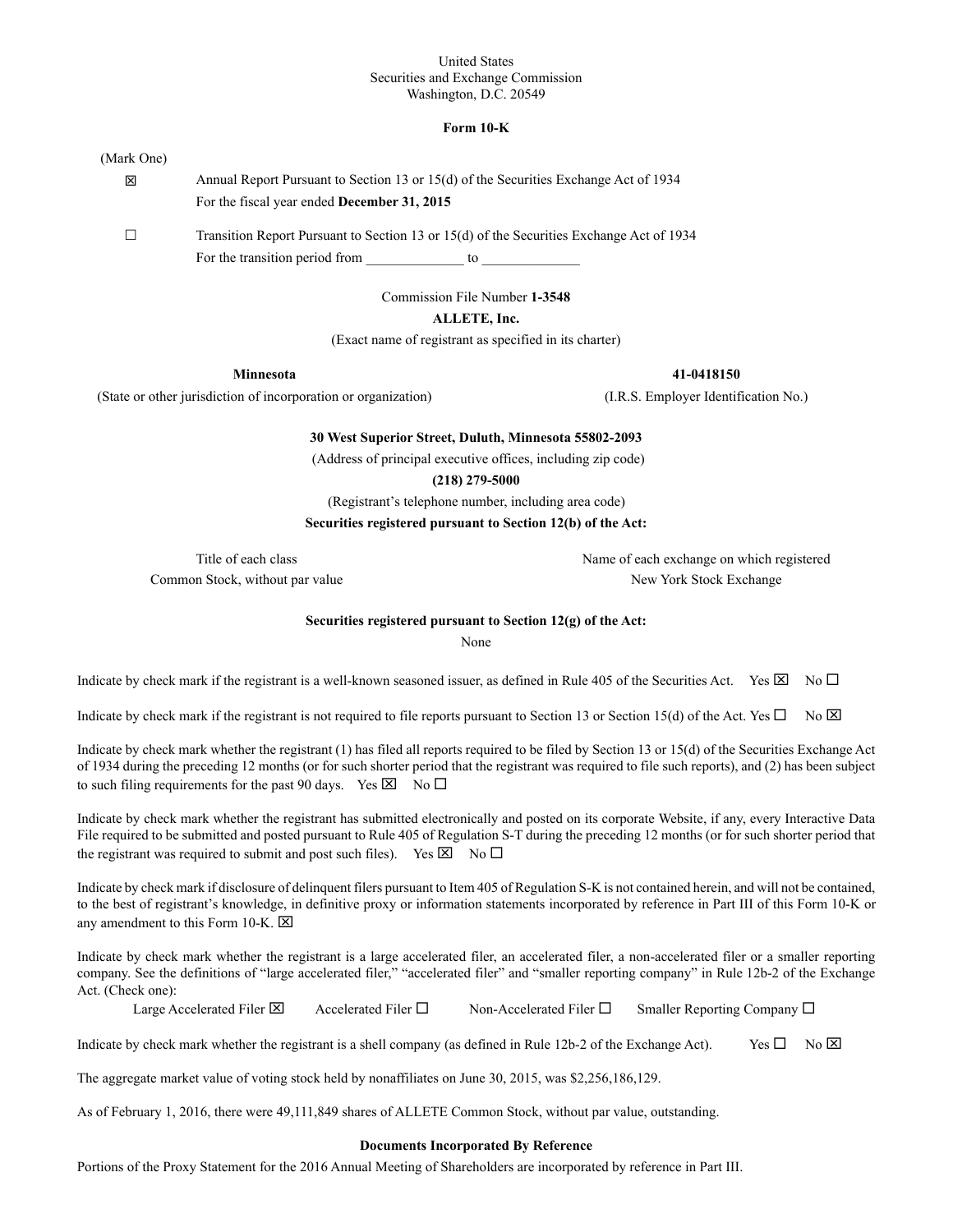#### United States Securities and Exchange Commission Washington, D.C. 20549

#### **Form 10-K**

| (Mark One) |                                                                                          |
|------------|------------------------------------------------------------------------------------------|
| ⊠          | Annual Report Pursuant to Section 13 or 15(d) of the Securities Exchange Act of 1934     |
|            | For the fiscal year ended December 31, 2015                                              |
|            | Transition Report Pursuant to Section 13 or 15(d) of the Securities Exchange Act of 1934 |

For the transition period from \_\_\_\_\_\_\_\_\_\_\_\_\_\_\_\_ to

Commission File Number **1-3548**

#### **ALLETE, Inc.**

(Exact name of registrant as specified in its charter)

**Minnesota 41-0418150**

(State or other jurisdiction of incorporation or organization) (I.R.S. Employer Identification No.)

**30 West Superior Street, Duluth, Minnesota 55802-2093**

(Address of principal executive offices, including zip code)

**(218) 279-5000**

(Registrant's telephone number, including area code)

**Securities registered pursuant to Section 12(b) of the Act:**

Title of each class Name of each exchange on which registered

Common Stock, without par value New York Stock Exchange

#### **Securities registered pursuant to Section 12(g) of the Act:**

None

Indicate by check mark if the registrant is a well-known seasoned issuer, as defined in Rule 405 of the Securities Act. Yes  $\boxtimes$  No  $\square$ 

Indicate by check mark if the registrant is not required to file reports pursuant to Section 13 or Section 15(d) of the Act. Yes  $\Box$  No  $\boxtimes$ 

Indicate by check mark whether the registrant (1) has filed all reports required to be filed by Section 13 or 15(d) of the Securities Exchange Act of 1934 during the preceding 12 months (or for such shorter period that the registrant was required to file such reports), and (2) has been subject to such filing requirements for the past 90 days. Yes  $\boxtimes$  No  $\Box$ 

Indicate by check mark whether the registrant has submitted electronically and posted on its corporate Website, if any, every Interactive Data File required to be submitted and posted pursuant to Rule 405 of Regulation S-T during the preceding 12 months (or for such shorter period that the registrant was required to submit and post such files). Yes  $\boxtimes$  No  $\Box$ 

Indicate by check mark if disclosure of delinquent filers pursuant to Item 405 of Regulation S-K is not contained herein, and will not be contained, to the best of registrant's knowledge, in definitive proxy or information statements incorporated by reference in Part III of this Form 10-K or any amendment to this Form 10-K.  $\boxtimes$ 

Indicate by check mark whether the registrant is a large accelerated filer, an accelerated filer, a non-accelerated filer or a smaller reporting company. See the definitions of "large accelerated filer," "accelerated filer" and "smaller reporting company" in Rule 12b-2 of the Exchange Act. (Check one):

Large Accelerated Filer  $\boxtimes$  Accelerated Filer  $\square$  Non-Accelerated Filer  $\square$  Smaller Reporting Company  $\square$ 

Indicate by check mark whether the registrant is a shell company (as defined in Rule 12b-2 of the Exchange Act). Yes  $\Box$  No  $\boxtimes$ 

The aggregate market value of voting stock held by nonaffiliates on June 30, 2015, was \$2,256,186,129.

As of February 1, 2016, there were 49,111,849 shares of ALLETE Common Stock, without par value, outstanding.

#### **Documents Incorporated By Reference**

Portions of the Proxy Statement for the 2016 Annual Meeting of Shareholders are incorporated by reference in Part III.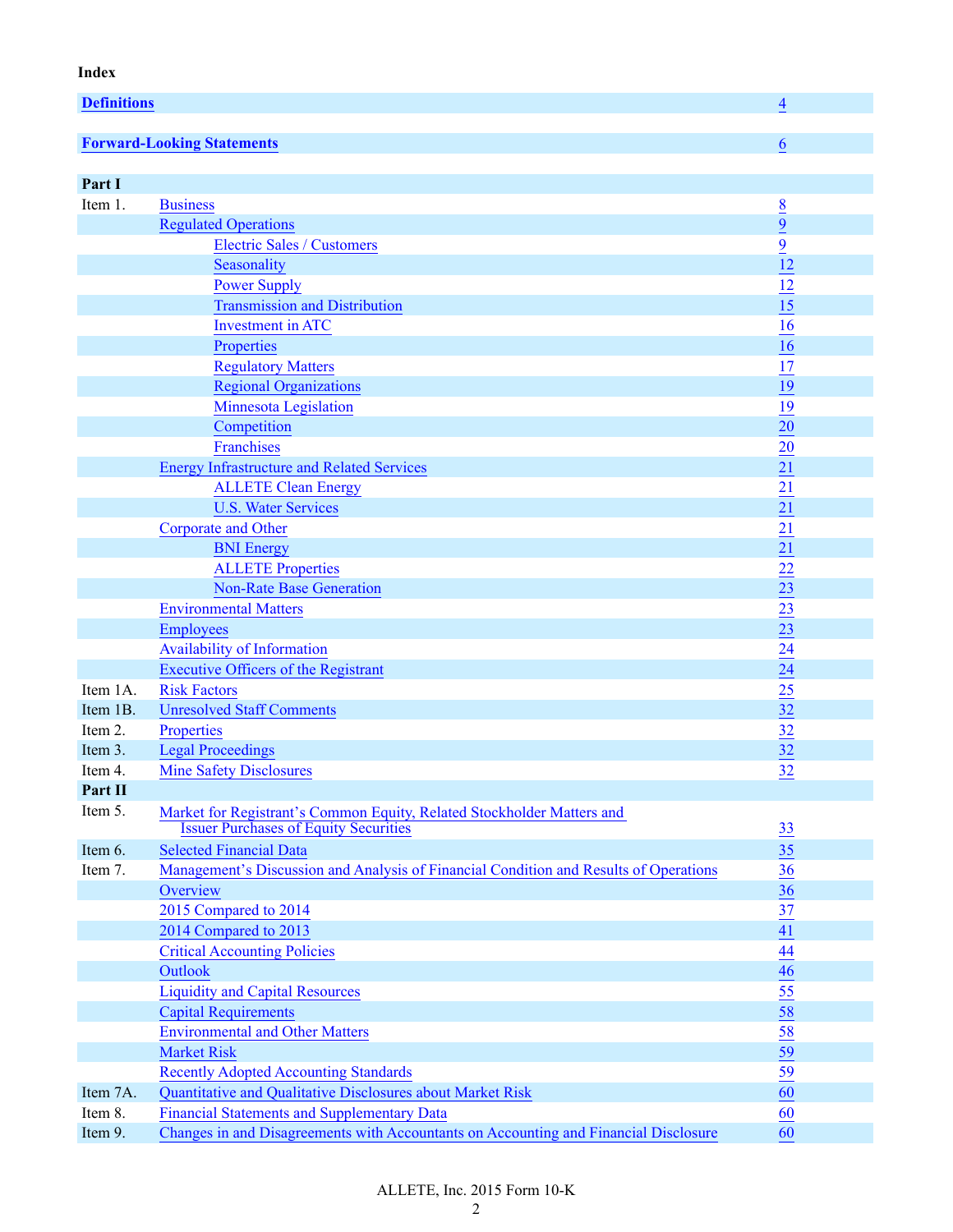# **Index**

| <b>Definitions</b> |                                                                                                                        | $\overline{4}$       |
|--------------------|------------------------------------------------------------------------------------------------------------------------|----------------------|
|                    |                                                                                                                        |                      |
|                    | <b>Forward-Looking Statements</b>                                                                                      | 6                    |
|                    |                                                                                                                        |                      |
| Part I             |                                                                                                                        |                      |
| Item 1.            | <b>Business</b>                                                                                                        | $\underline{8}$      |
|                    | <b>Regulated Operations</b>                                                                                            | $\overline{9}$       |
|                    | <b>Electric Sales / Customers</b>                                                                                      | $\overline{9}$<br>12 |
|                    | Seasonality                                                                                                            |                      |
|                    | <b>Power Supply</b>                                                                                                    | 12                   |
|                    | <b>Transmission and Distribution</b>                                                                                   | 15                   |
|                    | <b>Investment</b> in ATC                                                                                               | 16                   |
|                    | Properties                                                                                                             | 16                   |
|                    | <b>Regulatory Matters</b>                                                                                              | 17<br>19             |
|                    | <b>Regional Organizations</b>                                                                                          |                      |
|                    | Minnesota Legislation<br>Competition                                                                                   | 19                   |
|                    | <b>Franchises</b>                                                                                                      | 20                   |
|                    | <b>Energy Infrastructure and Related Services</b>                                                                      | 20<br>21             |
|                    | <b>ALLETE Clean Energy</b>                                                                                             | 21                   |
|                    | <b>U.S. Water Services</b>                                                                                             | $\overline{21}$      |
|                    | Corporate and Other                                                                                                    | 21                   |
|                    | <b>BNI</b> Energy                                                                                                      | 21                   |
|                    | <b>ALLETE Properties</b>                                                                                               | $\frac{22}{2}$       |
|                    | <b>Non-Rate Base Generation</b>                                                                                        | 23                   |
|                    | <b>Environmental Matters</b>                                                                                           |                      |
|                    | <b>Employees</b>                                                                                                       | $\frac{23}{23}$      |
|                    | <b>Availability of Information</b>                                                                                     | 24                   |
|                    | <b>Executive Officers of the Registrant</b>                                                                            | 24                   |
| Item 1A.           | <b>Risk Factors</b>                                                                                                    | 25                   |
| Item 1B.           | <b>Unresolved Staff Comments</b>                                                                                       | 32                   |
| Item 2.            | Properties                                                                                                             |                      |
| Item 3.            | <b>Legal Proceedings</b>                                                                                               | $\frac{32}{32}$      |
| Item 4.            | <b>Mine Safety Disclosures</b>                                                                                         | 32                   |
| Part II            |                                                                                                                        |                      |
| Item 5.            | Market for Registrant's Common Equity, Related Stockholder Matters and<br><b>Issuer Purchases of Equity Securities</b> | 33                   |
| Item 6.            | <b>Selected Financial Data</b>                                                                                         | 35                   |
| Item 7.            | Management's Discussion and Analysis of Financial Condition and Results of Operations                                  | 36                   |
|                    | Overview                                                                                                               | 36                   |
|                    | 2015 Compared to 2014                                                                                                  | 37                   |
|                    | 2014 Compared to 2013                                                                                                  | 41                   |
|                    | <b>Critical Accounting Policies</b>                                                                                    | 44                   |
|                    | Outlook                                                                                                                | 46                   |
|                    | <b>Liquidity and Capital Resources</b>                                                                                 | 55                   |
|                    | <b>Capital Requirements</b>                                                                                            | 58                   |
|                    | <b>Environmental and Other Matters</b>                                                                                 | 58                   |
|                    | <b>Market Risk</b>                                                                                                     | 59                   |
|                    | <b>Recently Adopted Accounting Standards</b>                                                                           | 59                   |
| Item 7A.           | Quantitative and Qualitative Disclosures about Market Risk                                                             | 60                   |
| Item 8.            | <b>Financial Statements and Supplementary Data</b>                                                                     | 60                   |
| Item 9.            | Changes in and Disagreements with Accountants on Accounting and Financial Disclosure                                   | 60                   |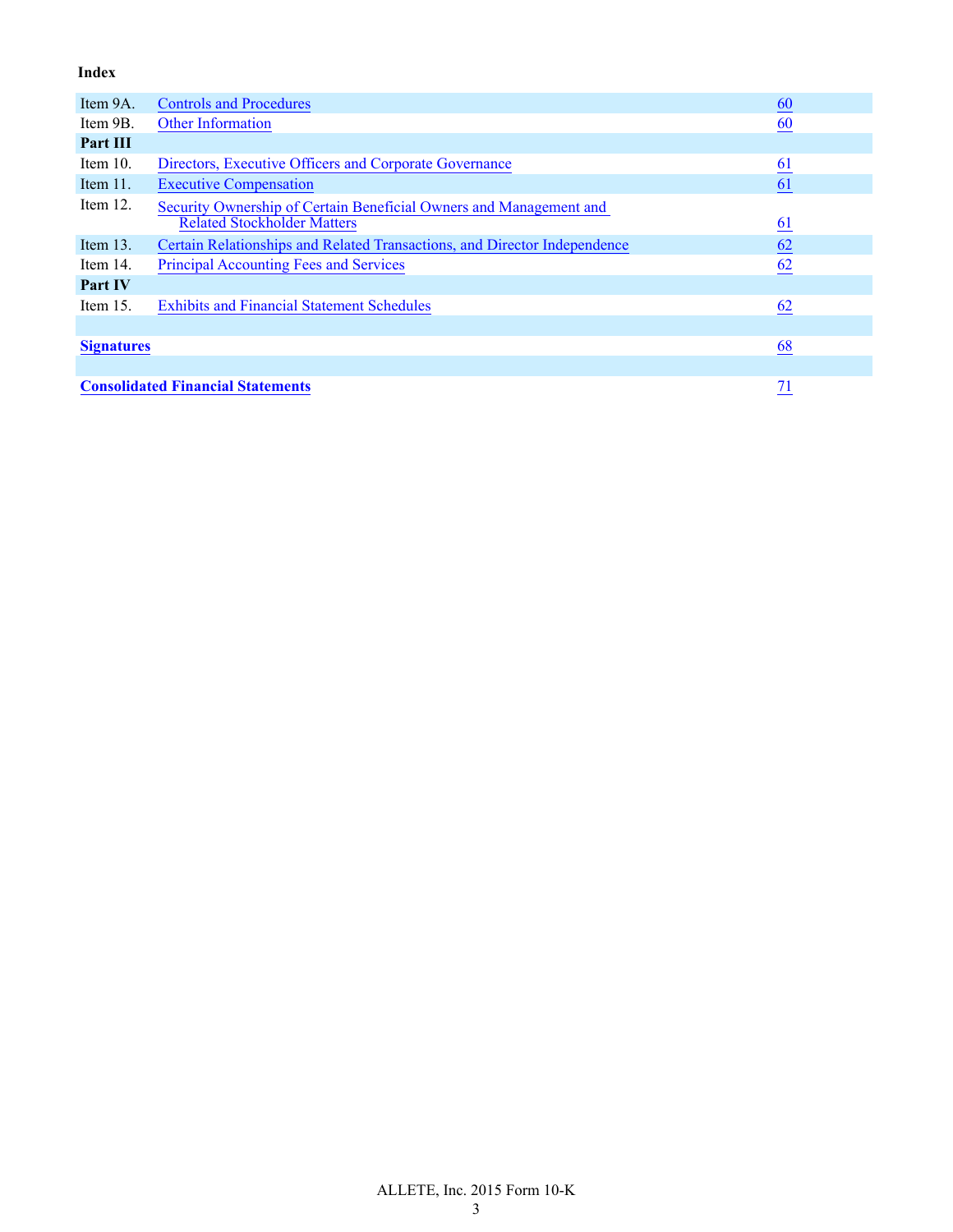**Index**

| Item 9A.          | <b>Controls and Procedures</b>                                                                           | 60               |
|-------------------|----------------------------------------------------------------------------------------------------------|------------------|
| Item 9B.          | <b>Other Information</b>                                                                                 | $\underline{60}$ |
| Part III          |                                                                                                          |                  |
| Item $10$ .       | Directors, Executive Officers and Corporate Governance                                                   | $\underline{61}$ |
| Item $11$ .       | <b>Executive Compensation</b>                                                                            | 61               |
| Item $12$ .       | Security Ownership of Certain Beneficial Owners and Management and<br><b>Related Stockholder Matters</b> | $\underline{61}$ |
| Item $131$        | <b>Certain Relationships and Related Transactions, and Director Independence</b>                         | 62               |
| Item $14$ .       | <b>Principal Accounting Fees and Services</b>                                                            | 62               |
| Part IV           |                                                                                                          |                  |
| Item $15$ .       | <b>Exhibits and Financial Statement Schedules</b>                                                        | 62               |
|                   |                                                                                                          |                  |
| <b>Signatures</b> |                                                                                                          | $\underline{68}$ |
|                   |                                                                                                          |                  |
|                   | <b>Consolidated Financial Statements</b>                                                                 | 71               |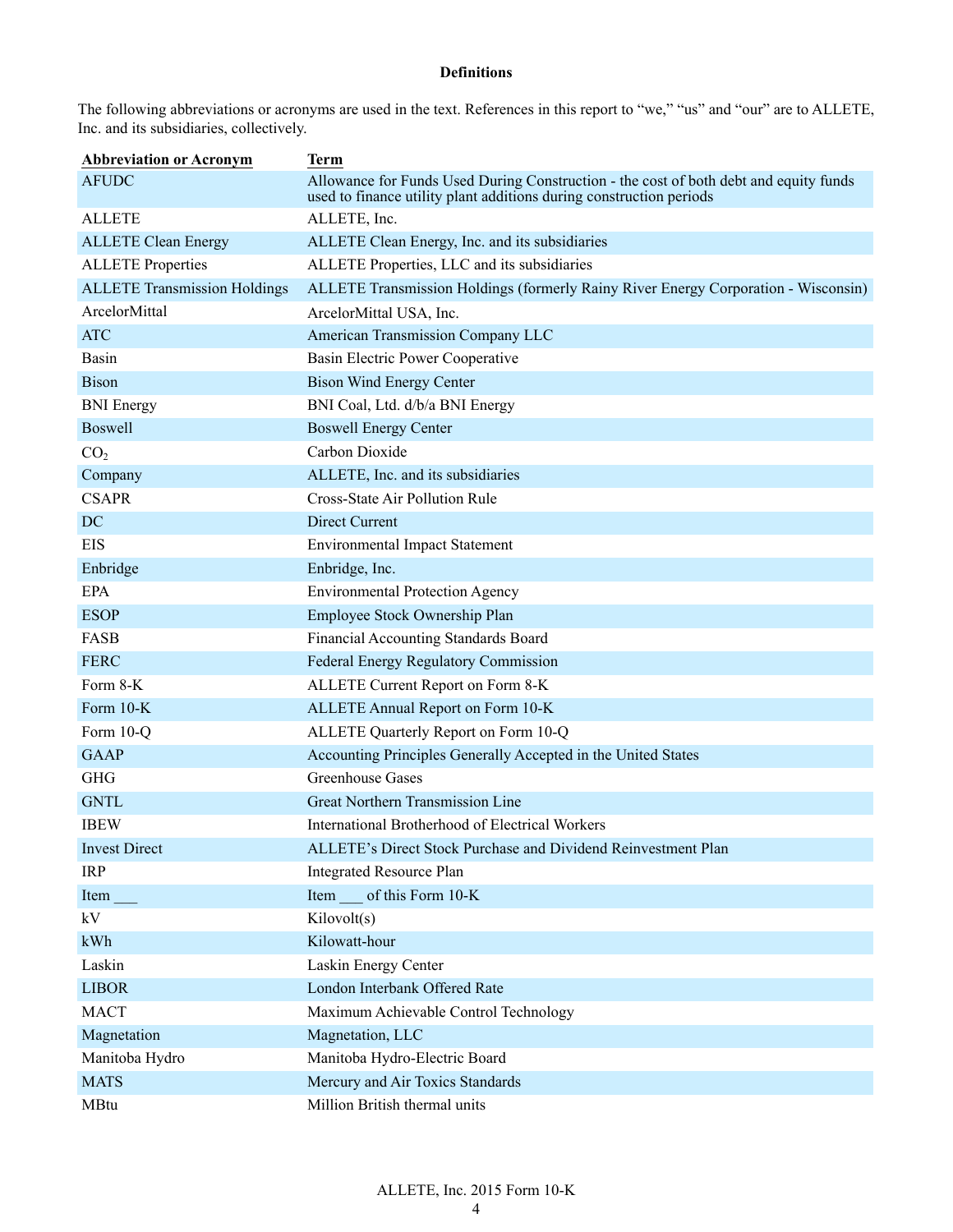### **Definitions**

<span id="page-3-0"></span>The following abbreviations or acronyms are used in the text. References in this report to "we," "us" and "our" are to ALLETE, Inc. and its subsidiaries, collectively.

| <b>Abbreviation or Acronym</b>      | <b>Term</b>                                                                                                                                                  |
|-------------------------------------|--------------------------------------------------------------------------------------------------------------------------------------------------------------|
| <b>AFUDC</b>                        | Allowance for Funds Used During Construction - the cost of both debt and equity funds<br>used to finance utility plant additions during construction periods |
| <b>ALLETE</b>                       | ALLETE, Inc.                                                                                                                                                 |
| <b>ALLETE</b> Clean Energy          | ALLETE Clean Energy, Inc. and its subsidiaries                                                                                                               |
| <b>ALLETE</b> Properties            | ALLETE Properties, LLC and its subsidiaries                                                                                                                  |
| <b>ALLETE Transmission Holdings</b> | ALLETE Transmission Holdings (formerly Rainy River Energy Corporation - Wisconsin)                                                                           |
| ArcelorMittal                       | ArcelorMittal USA, Inc.                                                                                                                                      |
| <b>ATC</b>                          | American Transmission Company LLC                                                                                                                            |
| Basin                               | Basin Electric Power Cooperative                                                                                                                             |
| <b>Bison</b>                        | <b>Bison Wind Energy Center</b>                                                                                                                              |
| <b>BNI</b> Energy                   | BNI Coal, Ltd. d/b/a BNI Energy                                                                                                                              |
| <b>Boswell</b>                      | <b>Boswell Energy Center</b>                                                                                                                                 |
| CO <sub>2</sub>                     | Carbon Dioxide                                                                                                                                               |
| Company                             | ALLETE, Inc. and its subsidiaries                                                                                                                            |
| <b>CSAPR</b>                        | Cross-State Air Pollution Rule                                                                                                                               |
| DC                                  | Direct Current                                                                                                                                               |
| <b>EIS</b>                          | <b>Environmental Impact Statement</b>                                                                                                                        |
| Enbridge                            | Enbridge, Inc.                                                                                                                                               |
| <b>EPA</b>                          | <b>Environmental Protection Agency</b>                                                                                                                       |
| <b>ESOP</b>                         | Employee Stock Ownership Plan                                                                                                                                |
| FASB                                | Financial Accounting Standards Board                                                                                                                         |
| <b>FERC</b>                         | Federal Energy Regulatory Commission                                                                                                                         |
| Form 8-K                            | ALLETE Current Report on Form 8-K                                                                                                                            |
| Form $10-K$                         | ALLETE Annual Report on Form 10-K                                                                                                                            |
| Form 10-Q                           | ALLETE Quarterly Report on Form 10-Q                                                                                                                         |
| <b>GAAP</b>                         | Accounting Principles Generally Accepted in the United States                                                                                                |
| <b>GHG</b>                          | Greenhouse Gases                                                                                                                                             |
| <b>GNTL</b>                         | Great Northern Transmission Line                                                                                                                             |
| <b>IBEW</b>                         | International Brotherhood of Electrical Workers                                                                                                              |
| <b>Invest Direct</b>                | ALLETE's Direct Stock Purchase and Dividend Reinvestment Plan                                                                                                |
| <b>IRP</b>                          | <b>Integrated Resource Plan</b>                                                                                                                              |
| Item                                | Item ___ of this Form 10-K                                                                                                                                   |
| kV                                  | Kilovolt(s)                                                                                                                                                  |
| kWh                                 | Kilowatt-hour                                                                                                                                                |
| Laskin                              | Laskin Energy Center                                                                                                                                         |
| <b>LIBOR</b>                        | London Interbank Offered Rate                                                                                                                                |
| <b>MACT</b>                         | Maximum Achievable Control Technology                                                                                                                        |
| Magnetation                         | Magnetation, LLC                                                                                                                                             |
| Manitoba Hydro                      | Manitoba Hydro-Electric Board                                                                                                                                |
| <b>MATS</b>                         | Mercury and Air Toxics Standards                                                                                                                             |
| MBtu                                | Million British thermal units                                                                                                                                |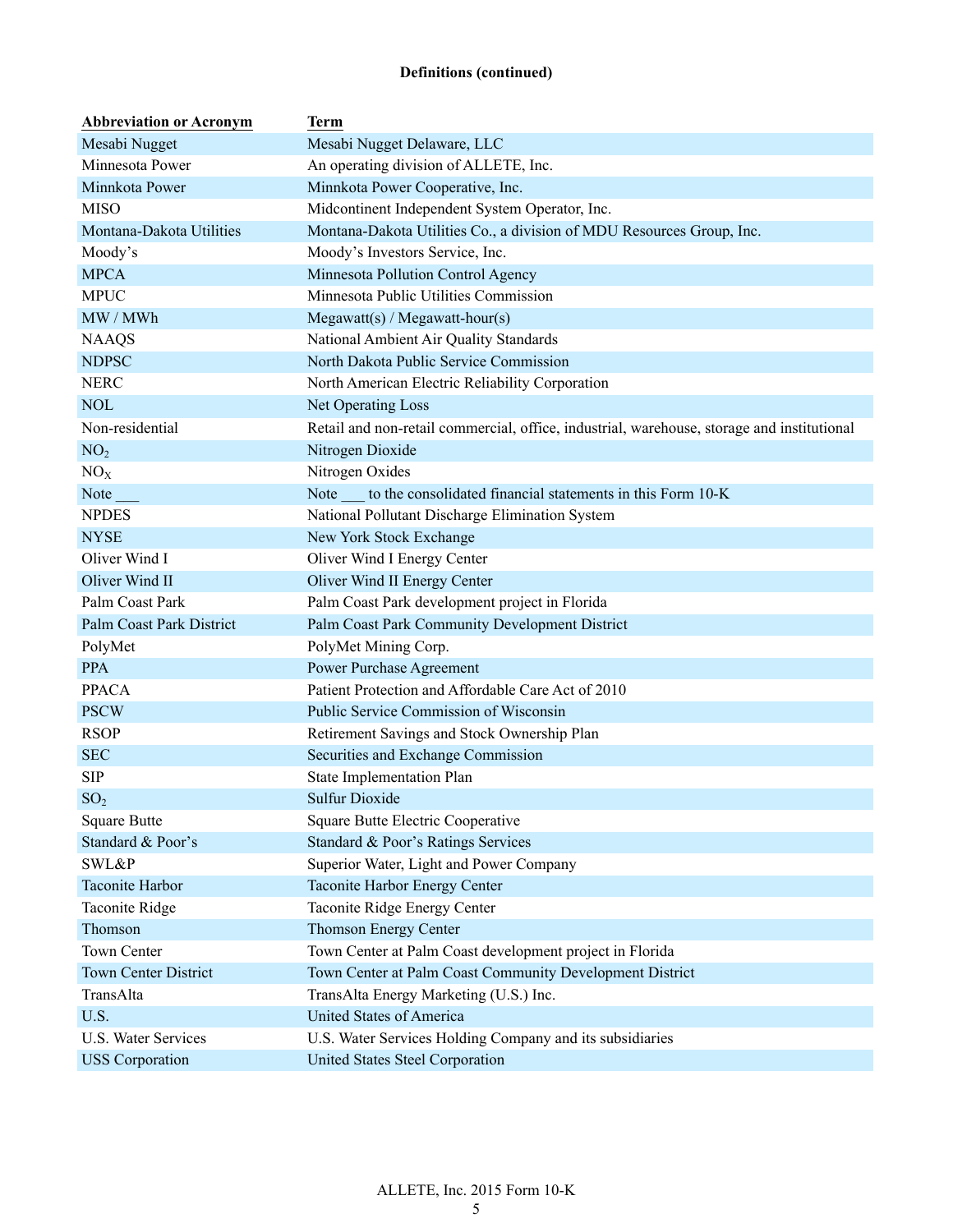# **Definitions (continued)**

| <b>Abbreviation or Acronym</b>  | <b>Term</b>                                                                                |
|---------------------------------|--------------------------------------------------------------------------------------------|
| Mesabi Nugget                   | Mesabi Nugget Delaware, LLC                                                                |
| Minnesota Power                 | An operating division of ALLETE, Inc.                                                      |
| Minnkota Power                  | Minnkota Power Cooperative, Inc.                                                           |
| <b>MISO</b>                     | Midcontinent Independent System Operator, Inc.                                             |
| Montana-Dakota Utilities        | Montana-Dakota Utilities Co., a division of MDU Resources Group, Inc.                      |
| Moody's                         | Moody's Investors Service, Inc.                                                            |
| <b>MPCA</b>                     | Minnesota Pollution Control Agency                                                         |
| <b>MPUC</b>                     | Minnesota Public Utilities Commission                                                      |
| MW/MWh                          | Megawatt(s) / Megawatt-hour(s)                                                             |
| <b>NAAQS</b>                    | National Ambient Air Quality Standards                                                     |
| <b>NDPSC</b>                    | North Dakota Public Service Commission                                                     |
| <b>NERC</b>                     | North American Electric Reliability Corporation                                            |
| <b>NOL</b>                      | Net Operating Loss                                                                         |
| Non-residential                 | Retail and non-retail commercial, office, industrial, warehouse, storage and institutional |
| NO <sub>2</sub>                 | Nitrogen Dioxide                                                                           |
| $\rm NO_X$                      | Nitrogen Oxides                                                                            |
| Note                            | to the consolidated financial statements in this Form 10-K<br>Note                         |
| <b>NPDES</b>                    | National Pollutant Discharge Elimination System                                            |
| <b>NYSE</b>                     | New York Stock Exchange                                                                    |
| Oliver Wind I                   | Oliver Wind I Energy Center                                                                |
| Oliver Wind II                  | Oliver Wind II Energy Center                                                               |
| Palm Coast Park                 | Palm Coast Park development project in Florida                                             |
| <b>Palm Coast Park District</b> | Palm Coast Park Community Development District                                             |
| PolyMet                         | PolyMet Mining Corp.                                                                       |
| <b>PPA</b>                      | Power Purchase Agreement                                                                   |
| <b>PPACA</b>                    | Patient Protection and Affordable Care Act of 2010                                         |
| <b>PSCW</b>                     | Public Service Commission of Wisconsin                                                     |
| <b>RSOP</b>                     | Retirement Savings and Stock Ownership Plan                                                |
| <b>SEC</b>                      | Securities and Exchange Commission                                                         |
| <b>SIP</b>                      | State Implementation Plan                                                                  |
| SO <sub>2</sub>                 | <b>Sulfur Dioxide</b>                                                                      |
| <b>Square Butte</b>             | <b>Square Butte Electric Cooperative</b>                                                   |
| Standard & Poor's               | Standard & Poor's Ratings Services                                                         |
| SWL&P                           | Superior Water, Light and Power Company                                                    |
| <b>Taconite Harbor</b>          | Taconite Harbor Energy Center                                                              |
| Taconite Ridge                  | Taconite Ridge Energy Center                                                               |
| Thomson                         | Thomson Energy Center                                                                      |
| <b>Town Center</b>              | Town Center at Palm Coast development project in Florida                                   |
| <b>Town Center District</b>     | Town Center at Palm Coast Community Development District                                   |
| TransAlta                       | TransAlta Energy Marketing (U.S.) Inc.                                                     |
| U.S.                            | United States of America                                                                   |
| U.S. Water Services             | U.S. Water Services Holding Company and its subsidiaries                                   |
| <b>USS</b> Corporation          | <b>United States Steel Corporation</b>                                                     |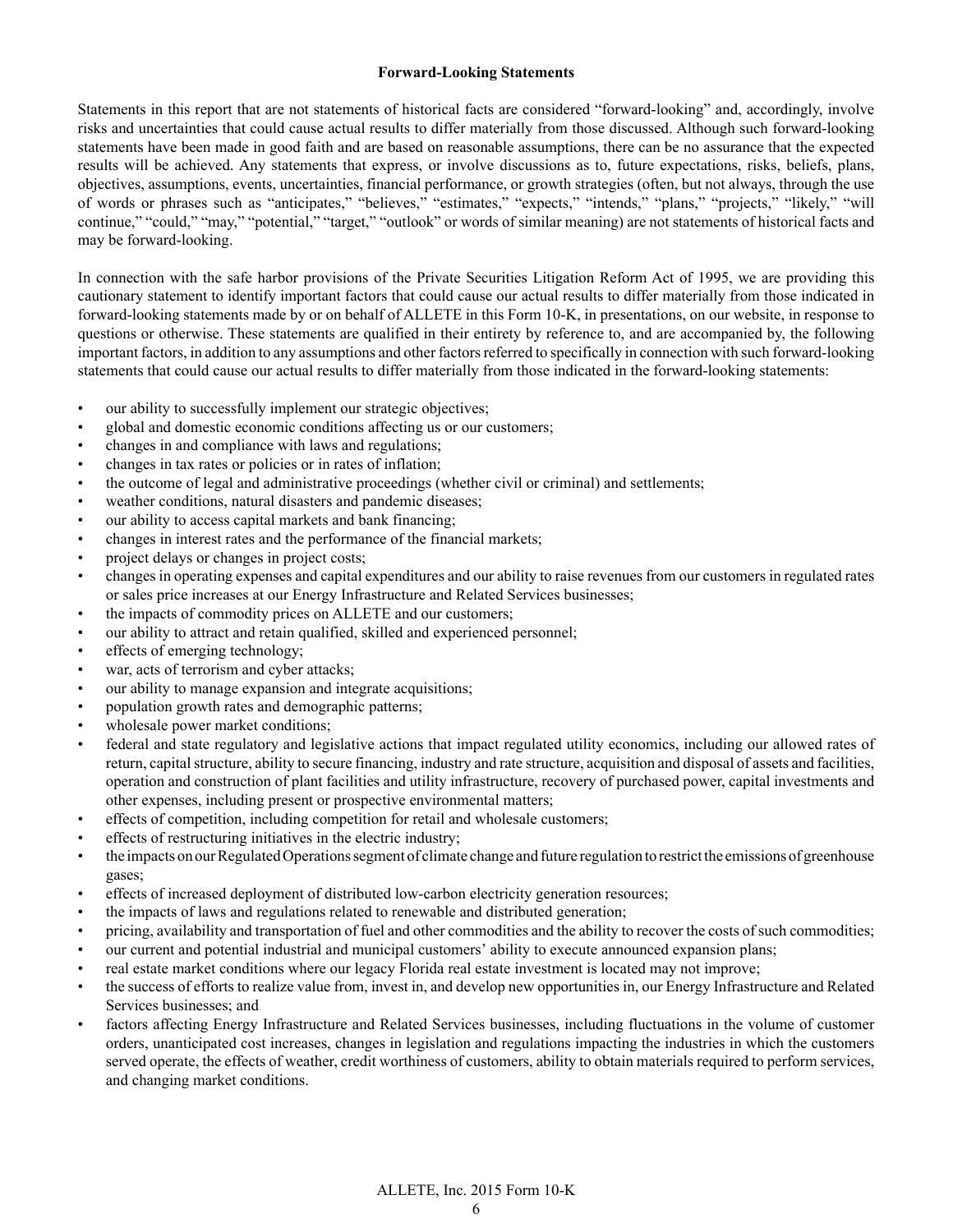#### **Forward-Looking Statements**

<span id="page-5-0"></span>Statements in this report that are not statements of historical facts are considered "forward-looking" and, accordingly, involve risks and uncertainties that could cause actual results to differ materially from those discussed. Although such forward-looking statements have been made in good faith and are based on reasonable assumptions, there can be no assurance that the expected results will be achieved. Any statements that express, or involve discussions as to, future expectations, risks, beliefs, plans, objectives, assumptions, events, uncertainties, financial performance, or growth strategies (often, but not always, through the use of words or phrases such as "anticipates," "believes," "estimates," "expects," "intends," "plans," "projects," "likely," "will continue," "could," "may," "potential," "target," "outlook" or words of similar meaning) are not statements of historical facts and may be forward-looking.

In connection with the safe harbor provisions of the Private Securities Litigation Reform Act of 1995, we are providing this cautionary statement to identify important factors that could cause our actual results to differ materially from those indicated in forward-looking statements made by or on behalf of ALLETE in this Form 10-K, in presentations, on our website, in response to questions or otherwise. These statements are qualified in their entirety by reference to, and are accompanied by, the following important factors, in addition to any assumptions and other factors referred to specifically in connection with such forward-looking statements that could cause our actual results to differ materially from those indicated in the forward-looking statements:

- our ability to successfully implement our strategic objectives;
- global and domestic economic conditions affecting us or our customers;
- changes in and compliance with laws and regulations;
- changes in tax rates or policies or in rates of inflation;
- the outcome of legal and administrative proceedings (whether civil or criminal) and settlements;
- weather conditions, natural disasters and pandemic diseases;
- our ability to access capital markets and bank financing;
- changes in interest rates and the performance of the financial markets;
- project delays or changes in project costs;
- changes in operating expenses and capital expenditures and our ability to raise revenues from our customers in regulated rates or sales price increases at our Energy Infrastructure and Related Services businesses;
- the impacts of commodity prices on ALLETE and our customers;
- our ability to attract and retain qualified, skilled and experienced personnel;
- effects of emerging technology;
- war, acts of terrorism and cyber attacks;
- our ability to manage expansion and integrate acquisitions;
- population growth rates and demographic patterns;
- wholesale power market conditions;
- federal and state regulatory and legislative actions that impact regulated utility economics, including our allowed rates of return, capital structure, ability to secure financing, industry and rate structure, acquisition and disposal of assets and facilities, operation and construction of plant facilities and utility infrastructure, recovery of purchased power, capital investments and other expenses, including present or prospective environmental matters;
- effects of competition, including competition for retail and wholesale customers;
- effects of restructuring initiatives in the electric industry;
- the impacts on our Regulated Operations segment of climate change and future regulation to restrict the emissions of greenhouse gases;
- effects of increased deployment of distributed low-carbon electricity generation resources;
- the impacts of laws and regulations related to renewable and distributed generation;
- pricing, availability and transportation of fuel and other commodities and the ability to recover the costs of such commodities;
- our current and potential industrial and municipal customers' ability to execute announced expansion plans;
- real estate market conditions where our legacy Florida real estate investment is located may not improve;
- the success of efforts to realize value from, invest in, and develop new opportunities in, our Energy Infrastructure and Related Services businesses; and
- factors affecting Energy Infrastructure and Related Services businesses, including fluctuations in the volume of customer orders, unanticipated cost increases, changes in legislation and regulations impacting the industries in which the customers served operate, the effects of weather, credit worthiness of customers, ability to obtain materials required to perform services, and changing market conditions.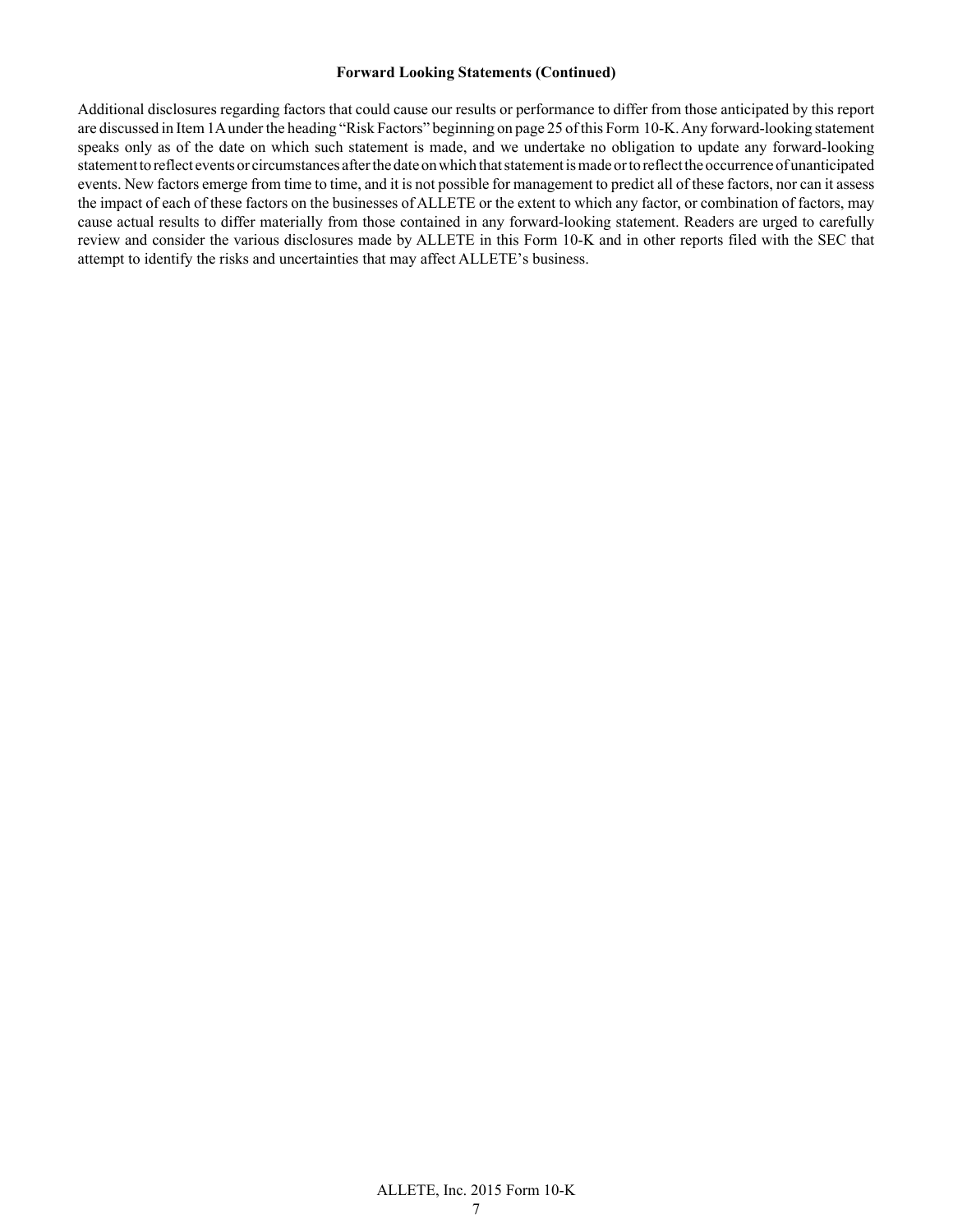#### **Forward Looking Statements (Continued)**

Additional disclosures regarding factors that could cause our results or performance to differ from those anticipated by this report are discussed in Item 1A under the heading "Risk Factors" beginning on page 25 of this Form 10-K. Any forward-looking statement speaks only as of the date on which such statement is made, and we undertake no obligation to update any forward-looking statement to reflect events or circumstances after the date on which that statement is made or to reflect the occurrence of unanticipated events. New factors emerge from time to time, and it is not possible for management to predict all of these factors, nor can it assess the impact of each of these factors on the businesses of ALLETE or the extent to which any factor, or combination of factors, may cause actual results to differ materially from those contained in any forward-looking statement. Readers are urged to carefully review and consider the various disclosures made by ALLETE in this Form 10-K and in other reports filed with the SEC that attempt to identify the risks and uncertainties that may affect ALLETE's business.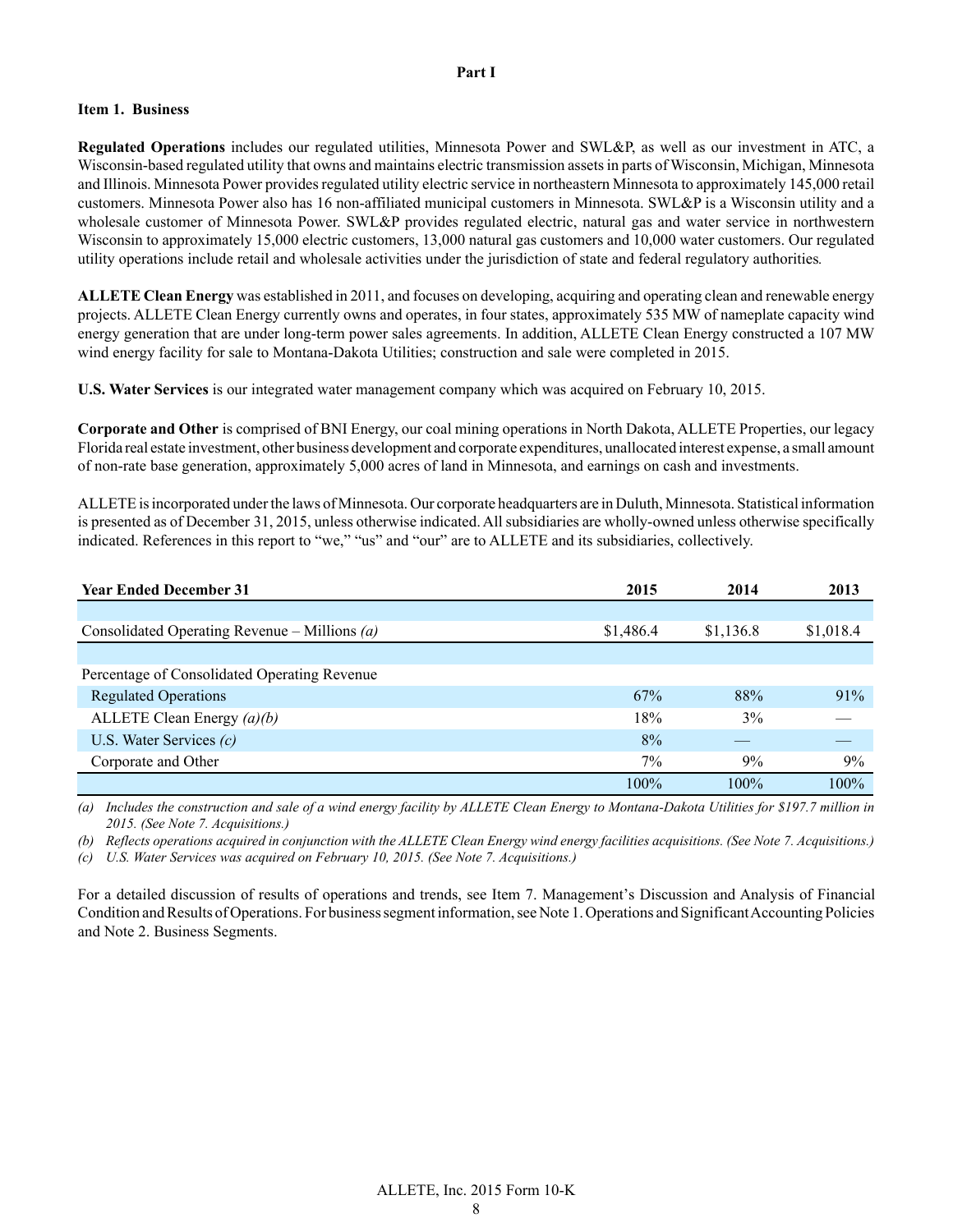#### **Part I**

#### <span id="page-7-0"></span>**Item 1. Business**

**Regulated Operations** includes our regulated utilities, Minnesota Power and SWL&P, as well as our investment in ATC, a Wisconsin-based regulated utility that owns and maintains electric transmission assets in parts of Wisconsin, Michigan, Minnesota and Illinois. Minnesota Power provides regulated utility electric service in northeastern Minnesota to approximately 145,000 retail customers. Minnesota Power also has 16 non-affiliated municipal customers in Minnesota. SWL&P is a Wisconsin utility and a wholesale customer of Minnesota Power. SWL&P provides regulated electric, natural gas and water service in northwestern Wisconsin to approximately 15,000 electric customers, 13,000 natural gas customers and 10,000 water customers. Our regulated utility operations include retail and wholesale activities under the jurisdiction of state and federal regulatory authorities*.*

**ALLETE Clean Energy** was established in 2011, and focuses on developing, acquiring and operating clean and renewable energy projects. ALLETE Clean Energy currently owns and operates, in four states, approximately 535 MW of nameplate capacity wind energy generation that are under long-term power sales agreements. In addition, ALLETE Clean Energy constructed a 107 MW wind energy facility for sale to Montana-Dakota Utilities; construction and sale were completed in 2015.

**U.S. Water Services** is our integrated water management company which was acquired on February 10, 2015.

**Corporate and Other** is comprised of BNI Energy, our coal mining operations in North Dakota, ALLETE Properties, our legacy Florida real estate investment, other business development and corporate expenditures, unallocated interest expense, a small amount of non-rate base generation, approximately 5,000 acres of land in Minnesota, and earnings on cash and investments.

ALLETE is incorporated under the laws of Minnesota. Our corporate headquarters are in Duluth, Minnesota. Statistical information is presented as of December 31, 2015, unless otherwise indicated. All subsidiaries are wholly-owned unless otherwise specifically indicated. References in this report to "we," "us" and "our" are to ALLETE and its subsidiaries, collectively.

| <b>Year Ended December 31</b>                   | 2015      | 2014      | 2013      |
|-------------------------------------------------|-----------|-----------|-----------|
|                                                 |           |           |           |
| Consolidated Operating Revenue – Millions $(a)$ | \$1,486.4 | \$1,136.8 | \$1,018.4 |
|                                                 |           |           |           |
| Percentage of Consolidated Operating Revenue    |           |           |           |
| <b>Regulated Operations</b>                     | 67%       | 88%       | 91%       |
| ALLETE Clean Energy $(a)(b)$                    | 18%       | 3%        |           |
| U.S. Water Services $(c)$                       | 8%        |           |           |
| Corporate and Other                             | 7%        | 9%        | 9%        |
|                                                 | 100%      | 100%      | 100%      |

*(a) Includes the construction and sale of a wind energy facility by ALLETE Clean Energy to Montana-Dakota Utilities for \$197.7 million in 2015. (See Note 7. Acquisitions.)*

*(b) Reflects operations acquired in conjunction with the ALLETE Clean Energy wind energy facilities acquisitions. (See Note 7. Acquisitions.)*

*(c) U.S. Water Services was acquired on February 10, 2015. (See Note 7. Acquisitions.)*

For a detailed discussion of results of operations and trends, see Item 7. Management's Discussion and Analysis of Financial Condition and Results of Operations. For business segment information, see Note 1. Operations and Significant Accounting Policies and Note 2. Business Segments.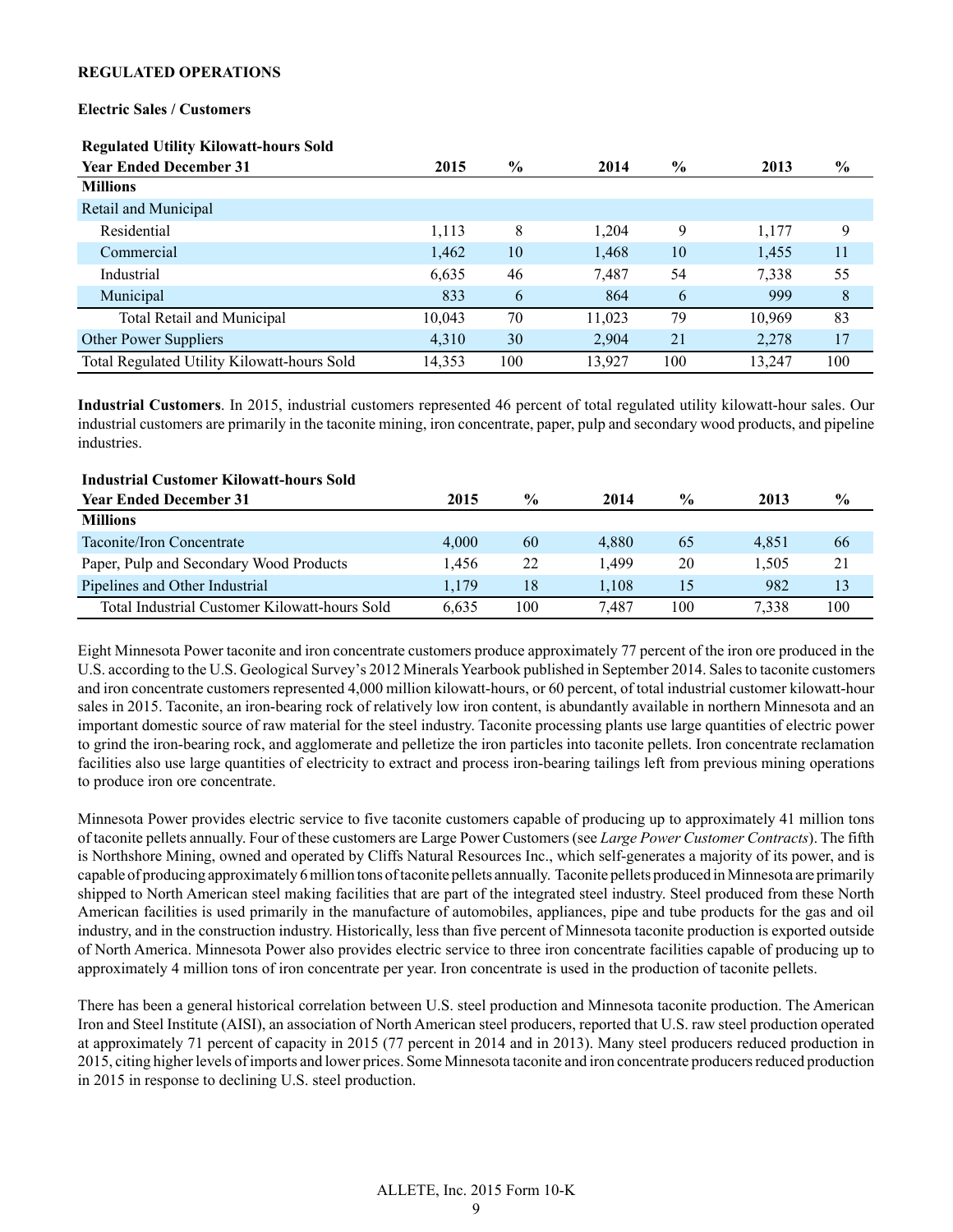### <span id="page-8-0"></span>**REGULATED OPERATIONS**

### **Electric Sales / Customers**

| recommend cume, range man nours song        |        |               |        |               |        |      |
|---------------------------------------------|--------|---------------|--------|---------------|--------|------|
| <b>Year Ended December 31</b>               | 2015   | $\frac{6}{6}$ | 2014   | $\frac{0}{0}$ | 2013   | $\%$ |
| <b>Millions</b>                             |        |               |        |               |        |      |
| Retail and Municipal                        |        |               |        |               |        |      |
| Residential                                 | 1,113  | 8             | 1,204  | 9             | 1,177  | 9    |
| Commercial                                  | 1,462  | 10            | 1,468  | 10            | 1,455  | 11   |
| Industrial                                  | 6,635  | 46            | 7,487  | 54            | 7,338  | 55   |
| Municipal                                   | 833    | 6             | 864    | 6             | 999    | 8    |
| <b>Total Retail and Municipal</b>           | 10,043 | 70            | 11,023 | 79            | 10,969 | 83   |
| Other Power Suppliers                       | 4,310  | 30            | 2,904  | 21            | 2,278  | 17   |
| Total Regulated Utility Kilowatt-hours Sold | 14,353 | 100           | 13,927 | 100           | 13,247 | 100  |

**Industrial Customers**. In 2015, industrial customers represented 46 percent of total regulated utility kilowatt-hour sales. Our industrial customers are primarily in the taconite mining, iron concentrate, paper, pulp and secondary wood products, and pipeline industries.

| <b>Industrial Customer Kilowatt-hours Sold</b> |       |               |       |               |       |               |
|------------------------------------------------|-------|---------------|-------|---------------|-------|---------------|
| <b>Year Ended December 31</b>                  | 2015  | $\frac{0}{0}$ | 2014  | $\frac{0}{0}$ | 2013  | $\frac{6}{6}$ |
| <b>Millions</b>                                |       |               |       |               |       |               |
| Taconite/Iron Concentrate                      | 4,000 | 60            | 4.880 | 65            | 4.851 | 66            |
| Paper, Pulp and Secondary Wood Products        | 1.456 | 22            | 1.499 | 20            | 1.505 | 21            |
| Pipelines and Other Industrial                 | 1.179 | 18            | 1.108 | 15            | 982   | 13            |
| Total Industrial Customer Kilowatt-hours Sold  | 6.635 | 100           | 7.487 | 100           | 7.338 | 100           |

Eight Minnesota Power taconite and iron concentrate customers produce approximately 77 percent of the iron ore produced in the U.S. according to the U.S. Geological Survey's 2012 Minerals Yearbook published in September 2014. Sales to taconite customers and iron concentrate customers represented 4,000 million kilowatt-hours, or 60 percent, of total industrial customer kilowatt-hour sales in 2015. Taconite, an iron-bearing rock of relatively low iron content, is abundantly available in northern Minnesota and an important domestic source of raw material for the steel industry. Taconite processing plants use large quantities of electric power to grind the iron-bearing rock, and agglomerate and pelletize the iron particles into taconite pellets. Iron concentrate reclamation facilities also use large quantities of electricity to extract and process iron-bearing tailings left from previous mining operations to produce iron ore concentrate.

Minnesota Power provides electric service to five taconite customers capable of producing up to approximately 41 million tons of taconite pellets annually. Four of these customers are Large Power Customers (see *Large Power Customer Contracts*). The fifth is Northshore Mining, owned and operated by Cliffs Natural Resources Inc., which self-generates a majority of its power, and is capable of producing approximately 6 million tons of taconite pellets annually. Taconite pellets produced in Minnesota are primarily shipped to North American steel making facilities that are part of the integrated steel industry. Steel produced from these North American facilities is used primarily in the manufacture of automobiles, appliances, pipe and tube products for the gas and oil industry, and in the construction industry. Historically, less than five percent of Minnesota taconite production is exported outside of North America. Minnesota Power also provides electric service to three iron concentrate facilities capable of producing up to approximately 4 million tons of iron concentrate per year. Iron concentrate is used in the production of taconite pellets.

There has been a general historical correlation between U.S. steel production and Minnesota taconite production. The American Iron and Steel Institute (AISI), an association of North American steel producers, reported that U.S. raw steel production operated at approximately 71 percent of capacity in 2015 (77 percent in 2014 and in 2013). Many steel producers reduced production in 2015, citing higher levels of imports and lower prices. Some Minnesota taconite and iron concentrate producers reduced production in 2015 in response to declining U.S. steel production.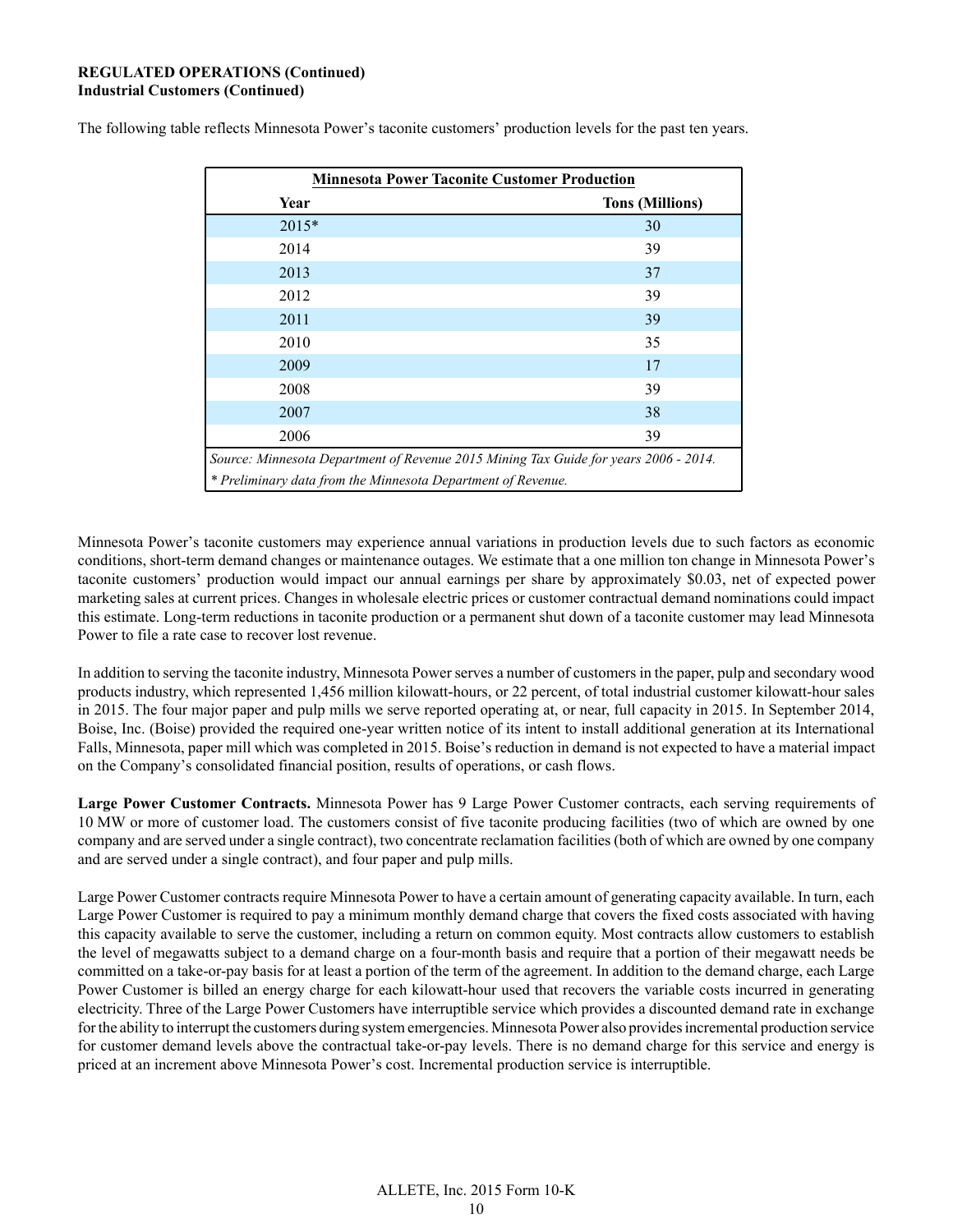# **REGULATED OPERATIONS (Continued) Industrial Customers (Continued)**

| <b>Minnesota Power Taconite Customer Production</b>                                  |                        |  |  |  |  |
|--------------------------------------------------------------------------------------|------------------------|--|--|--|--|
| Year                                                                                 | <b>Tons (Millions)</b> |  |  |  |  |
| $2015*$                                                                              | 30                     |  |  |  |  |
| 2014                                                                                 | 39                     |  |  |  |  |
| 2013                                                                                 | 37                     |  |  |  |  |
| 2012                                                                                 | 39                     |  |  |  |  |
| 2011                                                                                 | 39                     |  |  |  |  |
| 2010                                                                                 | 35                     |  |  |  |  |
| 2009                                                                                 | 17                     |  |  |  |  |
| 2008                                                                                 | 39                     |  |  |  |  |
| 2007                                                                                 | 38                     |  |  |  |  |
| 2006                                                                                 | 39                     |  |  |  |  |
| Source: Minnesota Department of Revenue 2015 Mining Tax Guide for years 2006 - 2014. |                        |  |  |  |  |
| * Preliminary data from the Minnesota Department of Revenue.                         |                        |  |  |  |  |

The following table reflects Minnesota Power's taconite customers' production levels for the past ten years.

Minnesota Power's taconite customers may experience annual variations in production levels due to such factors as economic conditions, short-term demand changes or maintenance outages. We estimate that a one million ton change in Minnesota Power's taconite customers' production would impact our annual earnings per share by approximately \$0.03, net of expected power marketing sales at current prices. Changes in wholesale electric prices or customer contractual demand nominations could impact this estimate. Long-term reductions in taconite production or a permanent shut down of a taconite customer may lead Minnesota Power to file a rate case to recover lost revenue.

In addition to serving the taconite industry, Minnesota Power serves a number of customers in the paper, pulp and secondary wood products industry, which represented 1,456 million kilowatt-hours, or 22 percent, of total industrial customer kilowatt-hour sales in 2015. The four major paper and pulp mills we serve reported operating at, or near, full capacity in 2015. In September 2014, Boise, Inc. (Boise) provided the required one-year written notice of its intent to install additional generation at its International Falls, Minnesota, paper mill which was completed in 2015. Boise's reduction in demand is not expected to have a material impact on the Company's consolidated financial position, results of operations, or cash flows.

**Large Power Customer Contracts.** Minnesota Power has 9 Large Power Customer contracts, each serving requirements of 10 MW or more of customer load. The customers consist of five taconite producing facilities (two of which are owned by one company and are served under a single contract), two concentrate reclamation facilities (both of which are owned by one company and are served under a single contract), and four paper and pulp mills.

Large Power Customer contracts require Minnesota Power to have a certain amount of generating capacity available. In turn, each Large Power Customer is required to pay a minimum monthly demand charge that covers the fixed costs associated with having this capacity available to serve the customer, including a return on common equity. Most contracts allow customers to establish the level of megawatts subject to a demand charge on a four-month basis and require that a portion of their megawatt needs be committed on a take-or-pay basis for at least a portion of the term of the agreement. In addition to the demand charge, each Large Power Customer is billed an energy charge for each kilowatt-hour used that recovers the variable costs incurred in generating electricity. Three of the Large Power Customers have interruptible service which provides a discounted demand rate in exchange for the ability to interrupt the customers during system emergencies. Minnesota Power also provides incremental production service for customer demand levels above the contractual take-or-pay levels. There is no demand charge for this service and energy is priced at an increment above Minnesota Power's cost. Incremental production service is interruptible.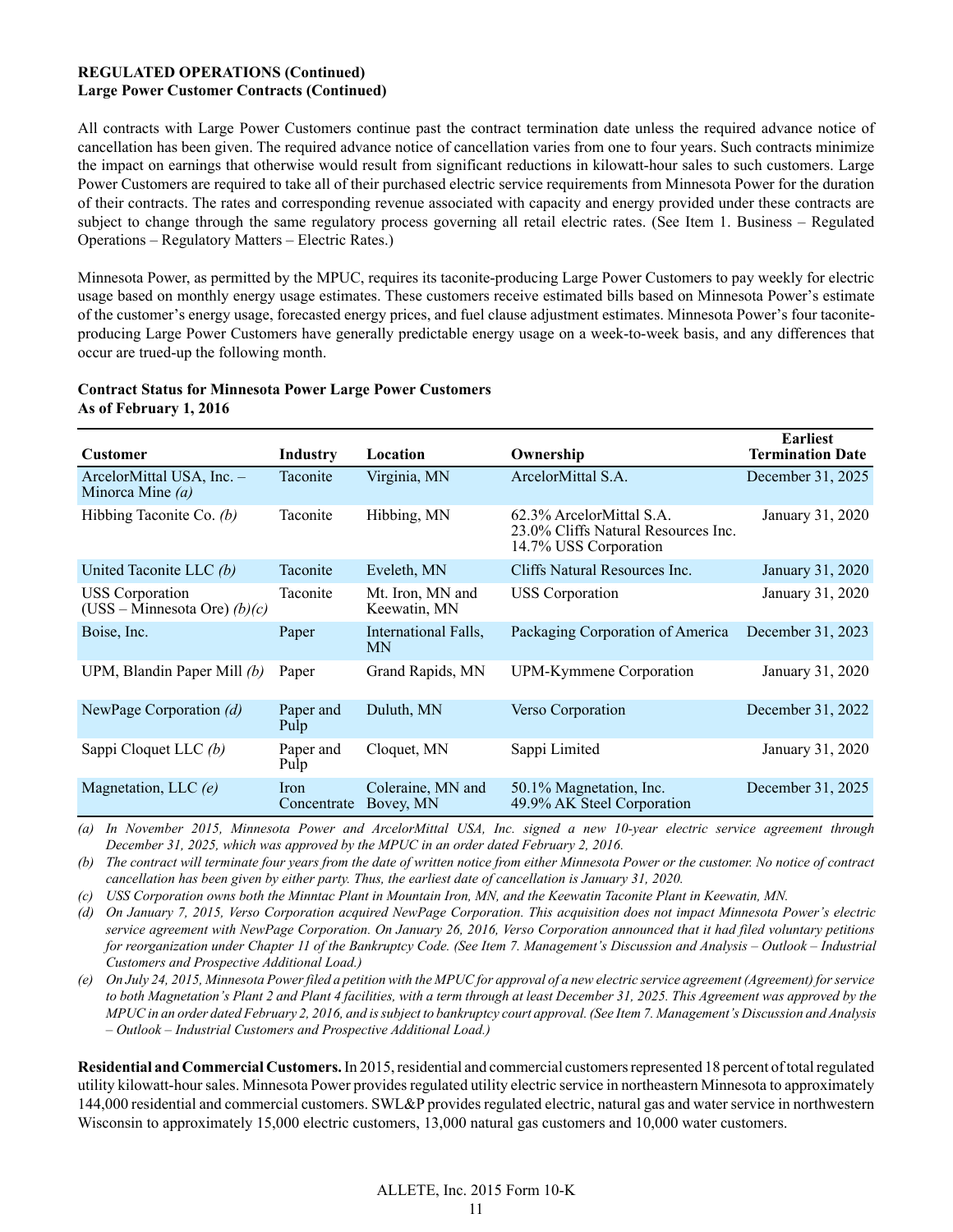## **REGULATED OPERATIONS (Continued) Large Power Customer Contracts (Continued)**

All contracts with Large Power Customers continue past the contract termination date unless the required advance notice of cancellation has been given. The required advance notice of cancellation varies from one to four years. Such contracts minimize the impact on earnings that otherwise would result from significant reductions in kilowatt-hour sales to such customers. Large Power Customers are required to take all of their purchased electric service requirements from Minnesota Power for the duration of their contracts. The rates and corresponding revenue associated with capacity and energy provided under these contracts are subject to change through the same regulatory process governing all retail electric rates. (See Item 1. Business – Regulated Operations – Regulatory Matters – Electric Rates.)

Minnesota Power, as permitted by the MPUC, requires its taconite-producing Large Power Customers to pay weekly for electric usage based on monthly energy usage estimates. These customers receive estimated bills based on Minnesota Power's estimate of the customer's energy usage, forecasted energy prices, and fuel clause adjustment estimates. Minnesota Power's four taconiteproducing Large Power Customers have generally predictable energy usage on a week-to-week basis, and any differences that occur are trued-up the following month.

# **Contract Status for Minnesota Power Large Power Customers As of February 1, 2016**

| <b>Customer</b>                                          | <b>Industry</b>     | Location                          | Ownership                                                                                | <b>Earliest</b><br><b>Termination Date</b> |
|----------------------------------------------------------|---------------------|-----------------------------------|------------------------------------------------------------------------------------------|--------------------------------------------|
| ArcelorMittal USA, Inc. -<br>Minorca Mine $(a)$          | <b>Taconite</b>     | Virginia, MN                      | ArcelorMittal S.A.                                                                       | December 31, 2025                          |
| Hibbing Taconite Co. $(b)$                               | Taconite            | Hibbing, MN                       | 62.3% ArcelorMittal S.A.<br>23.0% Cliffs Natural Resources Inc.<br>14.7% USS Corporation | January 31, 2020                           |
| United Taconite LLC $(b)$                                | <b>Taconite</b>     | Eveleth, MN                       | Cliffs Natural Resources Inc.                                                            | January 31, 2020                           |
| <b>USS</b> Corporation<br>(USS – Minnesota Ore) $(b)(c)$ | Taconite            | Mt. Iron, MN and<br>Keewatin, MN  | USS Corporation                                                                          | January 31, 2020                           |
| Boise, Inc.                                              | Paper               | International Falls,<br><b>MN</b> | Packaging Corporation of America                                                         | December 31, 2023                          |
| UPM, Blandin Paper Mill (b)                              | Paper               | Grand Rapids, MN                  | UPM-Kymmene Corporation                                                                  | January 31, 2020                           |
| NewPage Corporation $(d)$                                | Paper and<br>Pulp   | Duluth, MN                        | Verso Corporation                                                                        | December 31, 2022                          |
| Sappi Cloquet LLC $(b)$                                  | Paper and<br>Pulp   | Cloquet, MN                       | Sappi Limited                                                                            | January 31, 2020                           |
| Magnetation, LLC $(e)$                                   | Iron<br>Concentrate | Coleraine, MN and<br>Bovey, MN    | 50.1% Magnetation, Inc.<br>49.9% AK Steel Corporation                                    | December 31, 2025                          |

*(a) In November 2015, Minnesota Power and ArcelorMittal USA, Inc. signed a new 10-year electric service agreement through December 31, 2025, which was approved by the MPUC in an order dated February 2, 2016.*

*(b) The contract will terminate four years from the date of written notice from either Minnesota Power or the customer. No notice of contract cancellation has been given by either party. Thus, the earliest date of cancellation is January 31, 2020.*

*(c) USS Corporation owns both the Minntac Plant in Mountain Iron, MN, and the Keewatin Taconite Plant in Keewatin, MN.*

*(d) On January 7, 2015, Verso Corporation acquired NewPage Corporation. This acquisition does not impact Minnesota Power's electric service agreement with NewPage Corporation. On January 26, 2016, Verso Corporation announced that it had filed voluntary petitions for reorganization under Chapter 11 of the Bankruptcy Code. (See Item 7. Management's Discussion and Analysis – Outlook – Industrial Customers and Prospective Additional Load.)* 

*(e) On July 24, 2015, Minnesota Power filed a petition with the MPUC for approval of a new electric service agreement (Agreement) for service to both Magnetation's Plant 2 and Plant 4 facilities, with a term through at least December 31, 2025. This Agreement was approved by the MPUC in an order dated February 2, 2016, and is subject to bankruptcy court approval. (See Item 7. Management's Discussion and Analysis – Outlook – Industrial Customers and Prospective Additional Load.)* 

**Residential and Commercial Customers.** In 2015, residential and commercial customers represented 18 percent of total regulated utility kilowatt-hour sales. Minnesota Power provides regulated utility electric service in northeastern Minnesota to approximately 144,000 residential and commercial customers. SWL&P provides regulated electric, natural gas and water service in northwestern Wisconsin to approximately 15,000 electric customers, 13,000 natural gas customers and 10,000 water customers.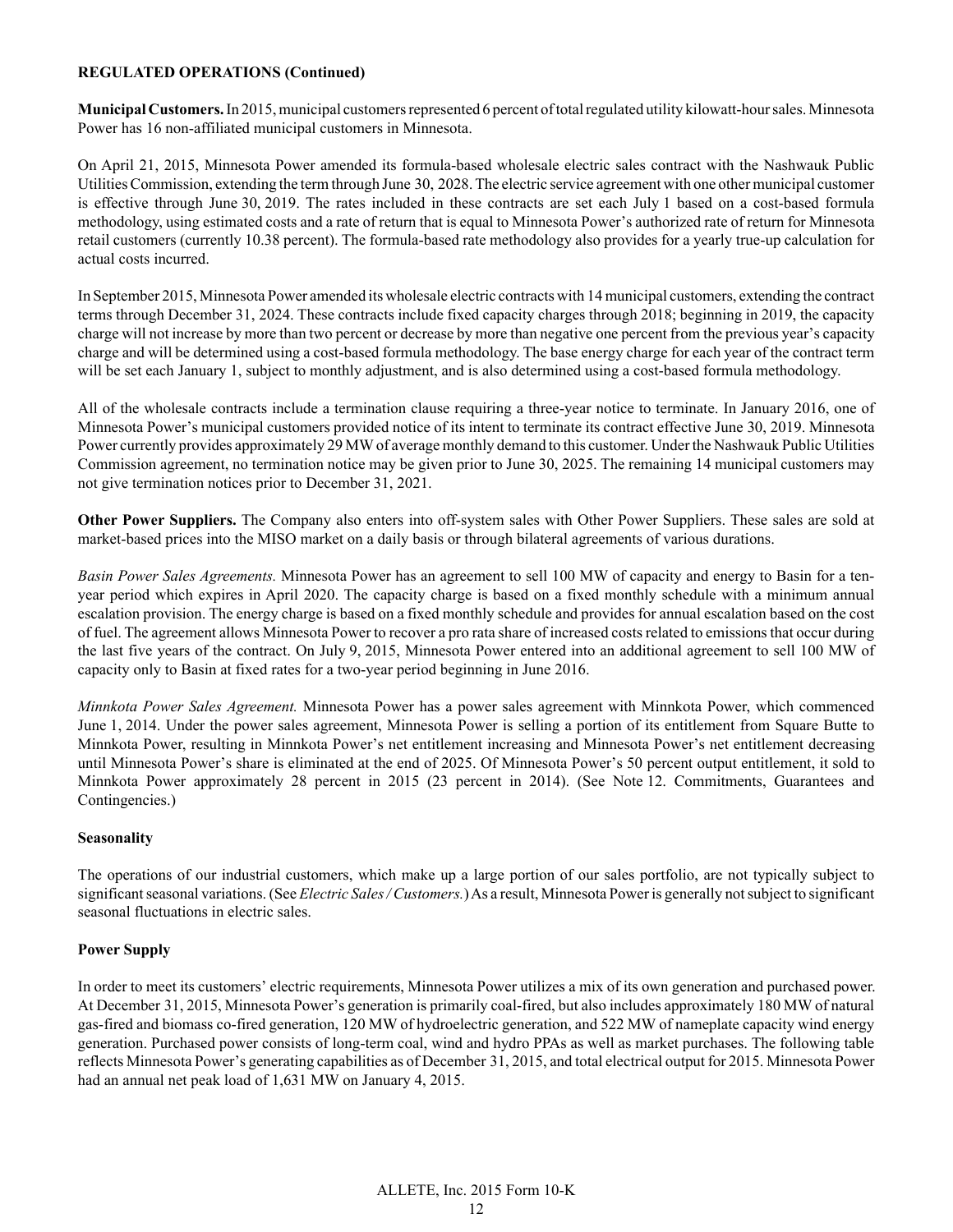### <span id="page-11-0"></span>**REGULATED OPERATIONS (Continued)**

**Municipal Customers.** In 2015, municipal customers represented 6 percent of total regulated utility kilowatt-hour sales. Minnesota Power has 16 non-affiliated municipal customers in Minnesota.

On April 21, 2015, Minnesota Power amended its formula-based wholesale electric sales contract with the Nashwauk Public Utilities Commission, extending the term through June 30, 2028. The electric service agreement with one other municipal customer is effective through June 30, 2019. The rates included in these contracts are set each July 1 based on a cost-based formula methodology, using estimated costs and a rate of return that is equal to Minnesota Power's authorized rate of return for Minnesota retail customers (currently 10.38 percent). The formula-based rate methodology also provides for a yearly true-up calculation for actual costs incurred.

In September 2015, Minnesota Power amended its wholesale electric contracts with 14 municipal customers, extending the contract terms through December 31, 2024. These contracts include fixed capacity charges through 2018; beginning in 2019, the capacity charge will not increase by more than two percent or decrease by more than negative one percent from the previous year's capacity charge and will be determined using a cost-based formula methodology. The base energy charge for each year of the contract term will be set each January 1, subject to monthly adjustment, and is also determined using a cost-based formula methodology.

All of the wholesale contracts include a termination clause requiring a three-year notice to terminate. In January 2016, one of Minnesota Power's municipal customers provided notice of its intent to terminate its contract effective June 30, 2019. Minnesota Power currently provides approximately 29 MW of average monthly demand to this customer. Under the Nashwauk Public Utilities Commission agreement, no termination notice may be given prior to June 30, 2025. The remaining 14 municipal customers may not give termination notices prior to December 31, 2021.

**Other Power Suppliers.** The Company also enters into off-system sales with Other Power Suppliers. These sales are sold at market-based prices into the MISO market on a daily basis or through bilateral agreements of various durations.

*Basin Power Sales Agreements.* Minnesota Power has an agreement to sell 100 MW of capacity and energy to Basin for a tenyear period which expires in April 2020. The capacity charge is based on a fixed monthly schedule with a minimum annual escalation provision. The energy charge is based on a fixed monthly schedule and provides for annual escalation based on the cost of fuel. The agreement allows Minnesota Power to recover a pro rata share of increased costs related to emissions that occur during the last five years of the contract. On July 9, 2015, Minnesota Power entered into an additional agreement to sell 100 MW of capacity only to Basin at fixed rates for a two-year period beginning in June 2016.

*Minnkota Power Sales Agreement.* Minnesota Power has a power sales agreement with Minnkota Power, which commenced June 1, 2014. Under the power sales agreement, Minnesota Power is selling a portion of its entitlement from Square Butte to Minnkota Power, resulting in Minnkota Power's net entitlement increasing and Minnesota Power's net entitlement decreasing until Minnesota Power's share is eliminated at the end of 2025. Of Minnesota Power's 50 percent output entitlement, it sold to Minnkota Power approximately 28 percent in 2015 (23 percent in 2014). (See Note 12. Commitments, Guarantees and Contingencies.)

### **Seasonality**

The operations of our industrial customers, which make up a large portion of our sales portfolio, are not typically subject to significant seasonal variations. (See *Electric Sales / Customers.*) As a result, Minnesota Power is generally not subject to significant seasonal fluctuations in electric sales.

### **Power Supply**

In order to meet its customers' electric requirements, Minnesota Power utilizes a mix of its own generation and purchased power. At December 31, 2015, Minnesota Power's generation is primarily coal-fired, but also includes approximately 180 MW of natural gas-fired and biomass co-fired generation, 120 MW of hydroelectric generation, and 522 MW of nameplate capacity wind energy generation. Purchased power consists of long-term coal, wind and hydro PPAs as well as market purchases. The following table reflects Minnesota Power's generating capabilities as of December 31, 2015, and total electrical output for 2015. Minnesota Power had an annual net peak load of 1,631 MW on January 4, 2015.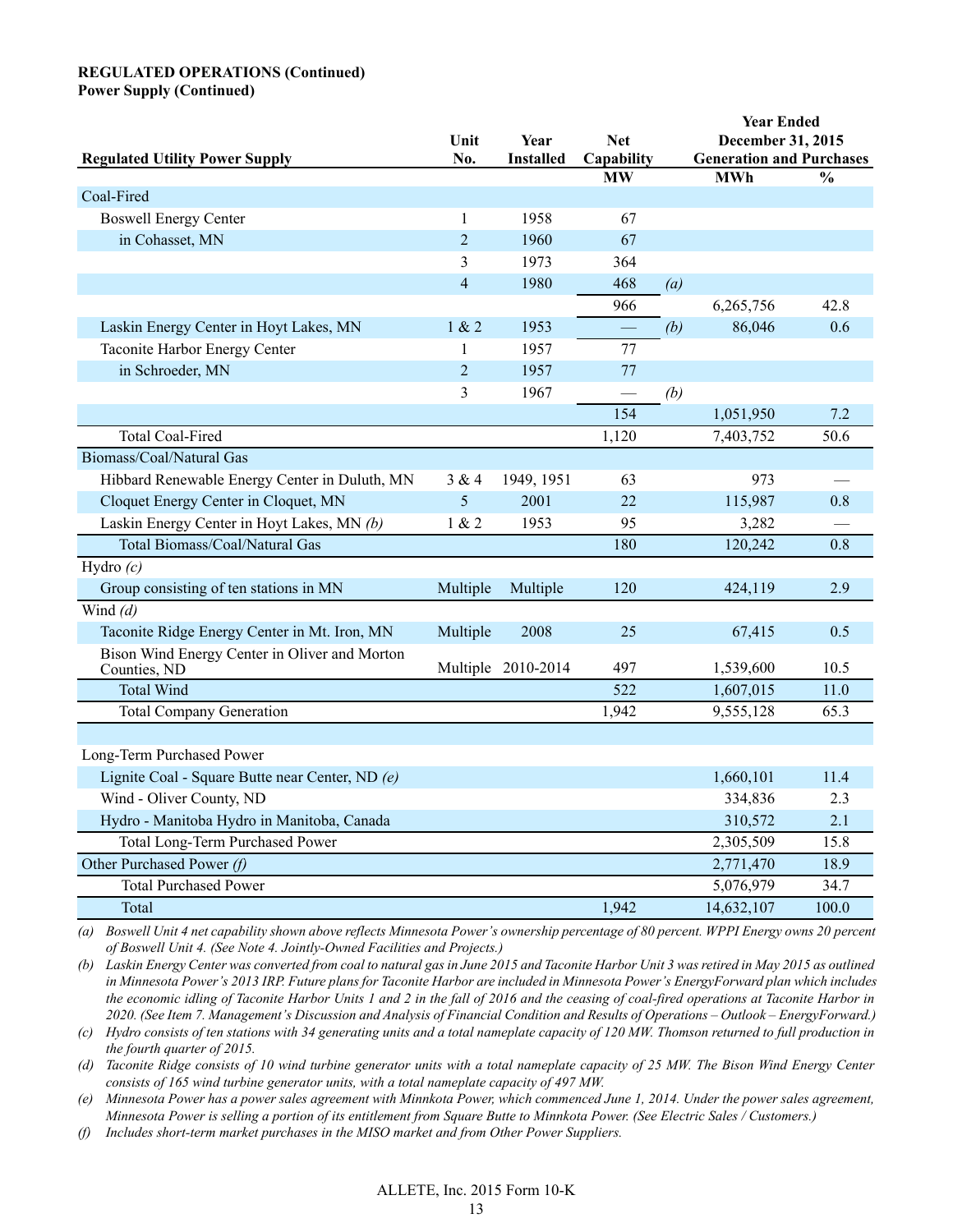### **REGULATED OPERATIONS (Continued) Power Supply (Continued)**

|                                                               |                |                    |            |     | <b>Year Ended</b>               |               |
|---------------------------------------------------------------|----------------|--------------------|------------|-----|---------------------------------|---------------|
|                                                               | Unit           | Year               | <b>Net</b> |     | December 31, 2015               |               |
| <b>Regulated Utility Power Supply</b>                         | No.            | <b>Installed</b>   | Capability |     | <b>Generation and Purchases</b> |               |
|                                                               |                |                    | MW         |     | <b>MWh</b>                      | $\frac{0}{0}$ |
| Coal-Fired                                                    |                |                    |            |     |                                 |               |
| <b>Boswell Energy Center</b>                                  | $\mathbf{1}$   | 1958               | 67         |     |                                 |               |
| in Cohasset, MN                                               | $\overline{2}$ | 1960               | 67         |     |                                 |               |
|                                                               | 3              | 1973               | 364        |     |                                 |               |
|                                                               | $\overline{4}$ | 1980               | 468        | (a) |                                 |               |
|                                                               |                |                    | 966        |     | 6,265,756                       | 42.8          |
| Laskin Energy Center in Hoyt Lakes, MN                        | 1 & 2          | 1953               |            | (b) | 86,046                          | 0.6           |
| Taconite Harbor Energy Center                                 | 1              | 1957               | 77         |     |                                 |               |
| in Schroeder, MN                                              | $\overline{2}$ | 1957               | 77         |     |                                 |               |
|                                                               | 3              | 1967               |            | (b) |                                 |               |
|                                                               |                |                    | 154        |     | 1,051,950                       | 7.2           |
| <b>Total Coal-Fired</b>                                       |                |                    | 1,120      |     | 7,403,752                       | 50.6          |
| Biomass/Coal/Natural Gas                                      |                |                    |            |     |                                 |               |
| Hibbard Renewable Energy Center in Duluth, MN                 | 3 & 4          | 1949, 1951         | 63         |     | 973                             |               |
| Cloquet Energy Center in Cloquet, MN                          | 5              | 2001               | 22         |     | 115,987                         | 0.8           |
| Laskin Energy Center in Hoyt Lakes, MN (b)                    | 1 & 2          | 1953               | 95         |     | 3,282                           |               |
| Total Biomass/Coal/Natural Gas                                |                |                    | 180        |     | 120,242                         | 0.8           |
| Hydro $(c)$                                                   |                |                    |            |     |                                 |               |
| Group consisting of ten stations in MN                        | Multiple       | Multiple           | 120        |     | 424,119                         | 2.9           |
| Wind $(d)$                                                    |                |                    |            |     |                                 |               |
| Taconite Ridge Energy Center in Mt. Iron, MN                  | Multiple       | 2008               | 25         |     | 67,415                          | 0.5           |
| Bison Wind Energy Center in Oliver and Morton<br>Counties, ND |                | Multiple 2010-2014 | 497        |     | 1,539,600                       | 10.5          |
| <b>Total Wind</b>                                             |                |                    | 522        |     | 1,607,015                       | 11.0          |
| <b>Total Company Generation</b>                               |                |                    | 1,942      |     | 9,555,128                       | 65.3          |
|                                                               |                |                    |            |     |                                 |               |
| Long-Term Purchased Power                                     |                |                    |            |     |                                 |               |
| Lignite Coal - Square Butte near Center, ND (e)               |                |                    |            |     | 1,660,101                       | 11.4          |
| Wind - Oliver County, ND                                      |                |                    |            |     | 334,836                         | 2.3           |
| Hydro - Manitoba Hydro in Manitoba, Canada                    |                |                    |            |     | 310,572                         | 2.1           |
| Total Long-Term Purchased Power                               |                |                    |            |     | 2,305,509                       | 15.8          |
| Other Purchased Power (f)                                     |                |                    |            |     | 2,771,470                       | 18.9          |
| <b>Total Purchased Power</b>                                  |                |                    |            |     | 5,076,979                       | 34.7          |
| Total                                                         |                |                    | 1,942      |     | 14,632,107                      | 100.0         |

*(a) Boswell Unit 4 net capability shown above reflects Minnesota Power's ownership percentage of 80 percent. WPPI Energy owns 20 percent of Boswell Unit 4. (See Note 4. Jointly-Owned Facilities and Projects.)*

*(b) Laskin Energy Center was converted from coal to natural gas in June 2015 and Taconite Harbor Unit 3 was retired in May 2015 as outlined in Minnesota Power's 2013 IRP. Future plans for Taconite Harbor are included in Minnesota Power's EnergyForward plan which includes the economic idling of Taconite Harbor Units 1 and 2 in the fall of 2016 and the ceasing of coal-fired operations at Taconite Harbor in 2020. (See Item 7. Management's Discussion and Analysis of Financial Condition and Results of Operations – Outlook – EnergyForward.)*

*(c) Hydro consists of ten stations with 34 generating units and a total nameplate capacity of 120 MW. Thomson returned to full production in the fourth quarter of 2015.*

*(d) Taconite Ridge consists of 10 wind turbine generator units with a total nameplate capacity of 25 MW. The Bison Wind Energy Center consists of 165 wind turbine generator units, with a total nameplate capacity of 497 MW.* 

*(e) Minnesota Power has a power sales agreement with Minnkota Power, which commenced June 1, 2014. Under the power sales agreement, Minnesota Power is selling a portion of its entitlement from Square Butte to Minnkota Power. (See Electric Sales / Customers.)*

*(f) Includes short-term market purchases in the MISO market and from Other Power Suppliers.*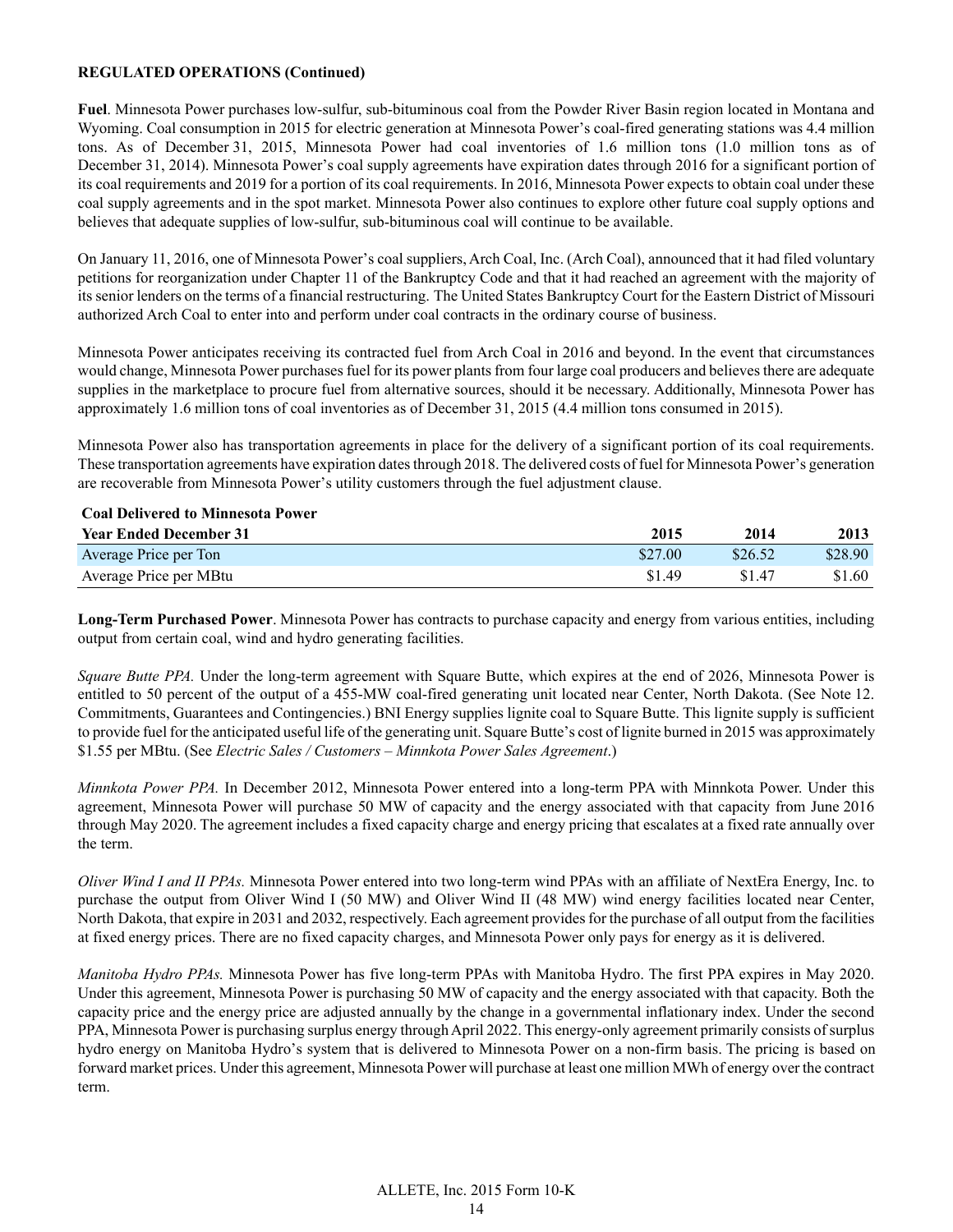## **REGULATED OPERATIONS (Continued)**

**Fuel**. Minnesota Power purchases low-sulfur, sub-bituminous coal from the Powder River Basin region located in Montana and Wyoming. Coal consumption in 2015 for electric generation at Minnesota Power's coal-fired generating stations was 4.4 million tons. As of December 31, 2015, Minnesota Power had coal inventories of 1.6 million tons (1.0 million tons as of December 31, 2014). Minnesota Power's coal supply agreements have expiration dates through 2016 for a significant portion of its coal requirements and 2019 for a portion of its coal requirements. In 2016, Minnesota Power expects to obtain coal under these coal supply agreements and in the spot market. Minnesota Power also continues to explore other future coal supply options and believes that adequate supplies of low-sulfur, sub-bituminous coal will continue to be available.

On January 11, 2016, one of Minnesota Power's coal suppliers, Arch Coal, Inc. (Arch Coal), announced that it had filed voluntary petitions for reorganization under Chapter 11 of the Bankruptcy Code and that it had reached an agreement with the majority of its senior lenders on the terms of a financial restructuring. The United States Bankruptcy Court for the Eastern District of Missouri authorized Arch Coal to enter into and perform under coal contracts in the ordinary course of business.

Minnesota Power anticipates receiving its contracted fuel from Arch Coal in 2016 and beyond. In the event that circumstances would change, Minnesota Power purchases fuel for its power plants from four large coal producers and believes there are adequate supplies in the marketplace to procure fuel from alternative sources, should it be necessary. Additionally, Minnesota Power has approximately 1.6 million tons of coal inventories as of December 31, 2015 (4.4 million tons consumed in 2015).

Minnesota Power also has transportation agreements in place for the delivery of a significant portion of its coal requirements. These transportation agreements have expiration dates through 2018. The delivered costs of fuel for Minnesota Power's generation are recoverable from Minnesota Power's utility customers through the fuel adjustment clause.

# **Coal Delivered to Minnesota Power**

| <b>Year Ended December 31</b> | 2015    | 2014    | 2013    |
|-------------------------------|---------|---------|---------|
| Average Price per Ton         | \$27.00 | \$26.52 | \$28.90 |
| Average Price per MBtu        | \$1.49  | \$1.47  | \$1.60  |

**Long-Term Purchased Power**. Minnesota Power has contracts to purchase capacity and energy from various entities, including output from certain coal, wind and hydro generating facilities.

*Square Butte PPA.* Under the long-term agreement with Square Butte, which expires at the end of 2026, Minnesota Power is entitled to 50 percent of the output of a 455-MW coal-fired generating unit located near Center, North Dakota. (See Note 12. Commitments, Guarantees and Contingencies.) BNI Energy supplies lignite coal to Square Butte. This lignite supply is sufficient to provide fuel for the anticipated useful life of the generating unit. Square Butte's cost of lignite burned in 2015 was approximately \$1.55 per MBtu. (See *Electric Sales / Customers* – *Minnkota Power Sales Agreement*.)

*Minnkota Power PPA.* In December 2012, Minnesota Power entered into a long-term PPA with Minnkota Power. Under this agreement, Minnesota Power will purchase 50 MW of capacity and the energy associated with that capacity from June 2016 through May 2020. The agreement includes a fixed capacity charge and energy pricing that escalates at a fixed rate annually over the term.

*Oliver Wind I and II PPAs.* Minnesota Power entered into two long-term wind PPAs with an affiliate of NextEra Energy, Inc. to purchase the output from Oliver Wind I (50 MW) and Oliver Wind II (48 MW) wind energy facilities located near Center, North Dakota, that expire in 2031 and 2032, respectively. Each agreement provides for the purchase of all output from the facilities at fixed energy prices. There are no fixed capacity charges, and Minnesota Power only pays for energy as it is delivered.

*Manitoba Hydro PPAs.* Minnesota Power has five long-term PPAs with Manitoba Hydro. The first PPA expires in May 2020. Under this agreement, Minnesota Power is purchasing 50 MW of capacity and the energy associated with that capacity. Both the capacity price and the energy price are adjusted annually by the change in a governmental inflationary index. Under the second PPA, Minnesota Power is purchasing surplus energy through April 2022. This energy-only agreement primarily consists of surplus hydro energy on Manitoba Hydro's system that is delivered to Minnesota Power on a non-firm basis. The pricing is based on forward market prices. Under this agreement, Minnesota Power will purchase at least one million MWh of energy over the contract term.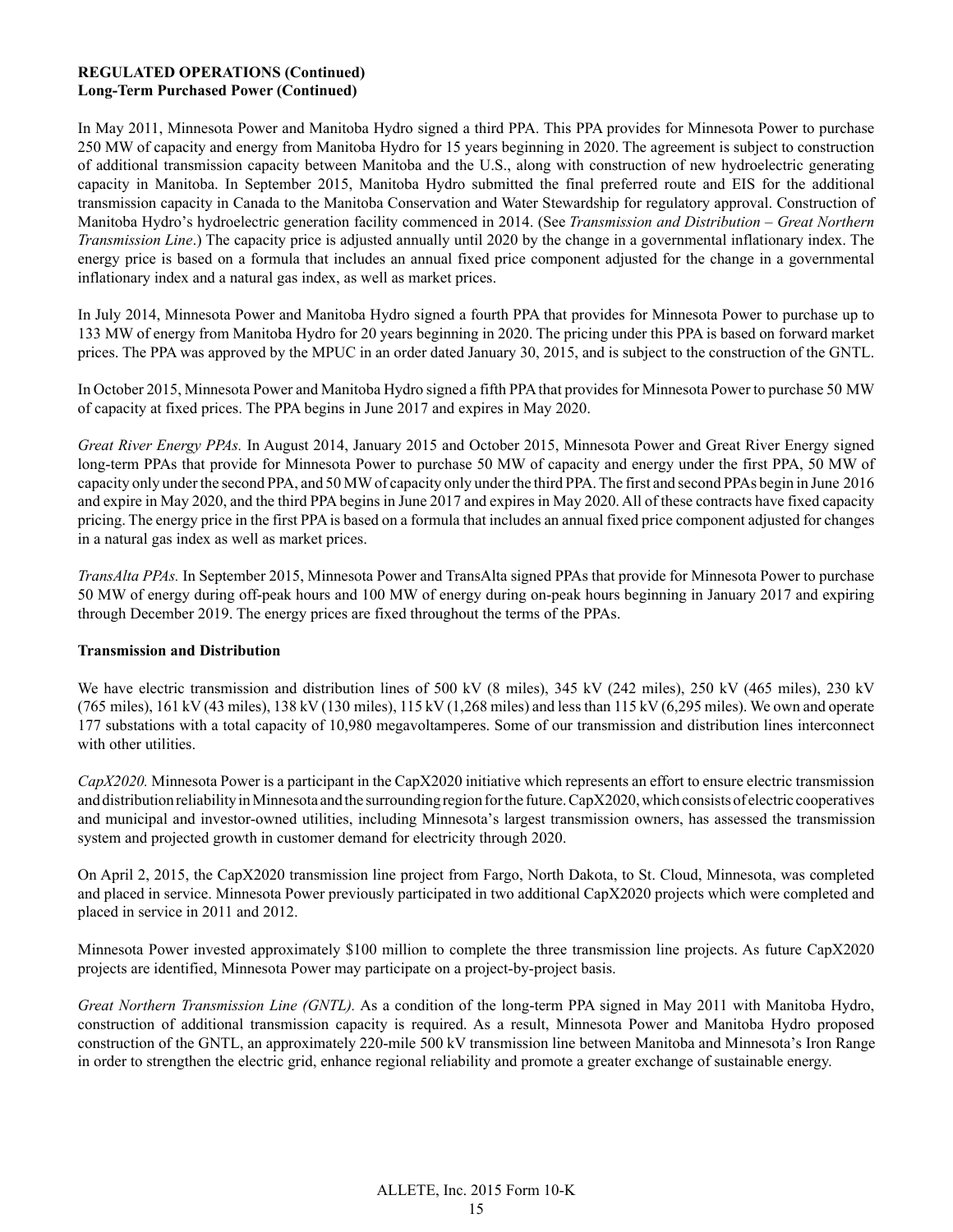### <span id="page-14-0"></span>**REGULATED OPERATIONS (Continued) Long-Term Purchased Power (Continued)**

In May 2011, Minnesota Power and Manitoba Hydro signed a third PPA. This PPA provides for Minnesota Power to purchase 250 MW of capacity and energy from Manitoba Hydro for 15 years beginning in 2020. The agreement is subject to construction of additional transmission capacity between Manitoba and the U.S., along with construction of new hydroelectric generating capacity in Manitoba. In September 2015, Manitoba Hydro submitted the final preferred route and EIS for the additional transmission capacity in Canada to the Manitoba Conservation and Water Stewardship for regulatory approval. Construction of Manitoba Hydro's hydroelectric generation facility commenced in 2014. (See *Transmission and Distribution – Great Northern Transmission Line*.) The capacity price is adjusted annually until 2020 by the change in a governmental inflationary index. The energy price is based on a formula that includes an annual fixed price component adjusted for the change in a governmental inflationary index and a natural gas index, as well as market prices.

In July 2014, Minnesota Power and Manitoba Hydro signed a fourth PPA that provides for Minnesota Power to purchase up to 133 MW of energy from Manitoba Hydro for 20 years beginning in 2020. The pricing under this PPA is based on forward market prices. The PPA was approved by the MPUC in an order dated January 30, 2015, and is subject to the construction of the GNTL.

In October 2015, Minnesota Power and Manitoba Hydro signed a fifth PPA that provides for Minnesota Power to purchase 50 MW of capacity at fixed prices. The PPA begins in June 2017 and expires in May 2020.

*Great River Energy PPAs.* In August 2014, January 2015 and October 2015, Minnesota Power and Great River Energy signed long-term PPAs that provide for Minnesota Power to purchase 50 MW of capacity and energy under the first PPA, 50 MW of capacity only under the second PPA, and 50 MW of capacity only under the third PPA. The first and second PPAs begin in June 2016 and expire in May 2020, and the third PPA begins in June 2017 and expires in May 2020. All of these contracts have fixed capacity pricing. The energy price in the first PPA is based on a formula that includes an annual fixed price component adjusted for changes in a natural gas index as well as market prices.

*TransAlta PPAs.* In September 2015, Minnesota Power and TransAlta signed PPAs that provide for Minnesota Power to purchase 50 MW of energy during off-peak hours and 100 MW of energy during on-peak hours beginning in January 2017 and expiring through December 2019. The energy prices are fixed throughout the terms of the PPAs.

### **Transmission and Distribution**

We have electric transmission and distribution lines of 500 kV (8 miles), 345 kV (242 miles), 250 kV (465 miles), 230 kV (765 miles), 161 kV (43 miles), 138 kV (130 miles), 115 kV (1,268 miles) and less than 115 kV (6,295 miles). We own and operate 177 substations with a total capacity of 10,980 megavoltamperes. Some of our transmission and distribution lines interconnect with other utilities.

*CapX2020.* Minnesota Power is a participant in the CapX2020 initiative which represents an effort to ensure electric transmission and distribution reliability in Minnesota and the surrounding region for the future. CapX2020, which consists of electric cooperatives and municipal and investor-owned utilities, including Minnesota's largest transmission owners, has assessed the transmission system and projected growth in customer demand for electricity through 2020.

On April 2, 2015, the CapX2020 transmission line project from Fargo, North Dakota, to St. Cloud, Minnesota, was completed and placed in service. Minnesota Power previously participated in two additional CapX2020 projects which were completed and placed in service in 2011 and 2012.

Minnesota Power invested approximately \$100 million to complete the three transmission line projects. As future CapX2020 projects are identified, Minnesota Power may participate on a project-by-project basis.

*Great Northern Transmission Line (GNTL).* As a condition of the long-term PPA signed in May 2011 with Manitoba Hydro, construction of additional transmission capacity is required. As a result, Minnesota Power and Manitoba Hydro proposed construction of the GNTL, an approximately 220-mile 500 kV transmission line between Manitoba and Minnesota's Iron Range in order to strengthen the electric grid, enhance regional reliability and promote a greater exchange of sustainable energy.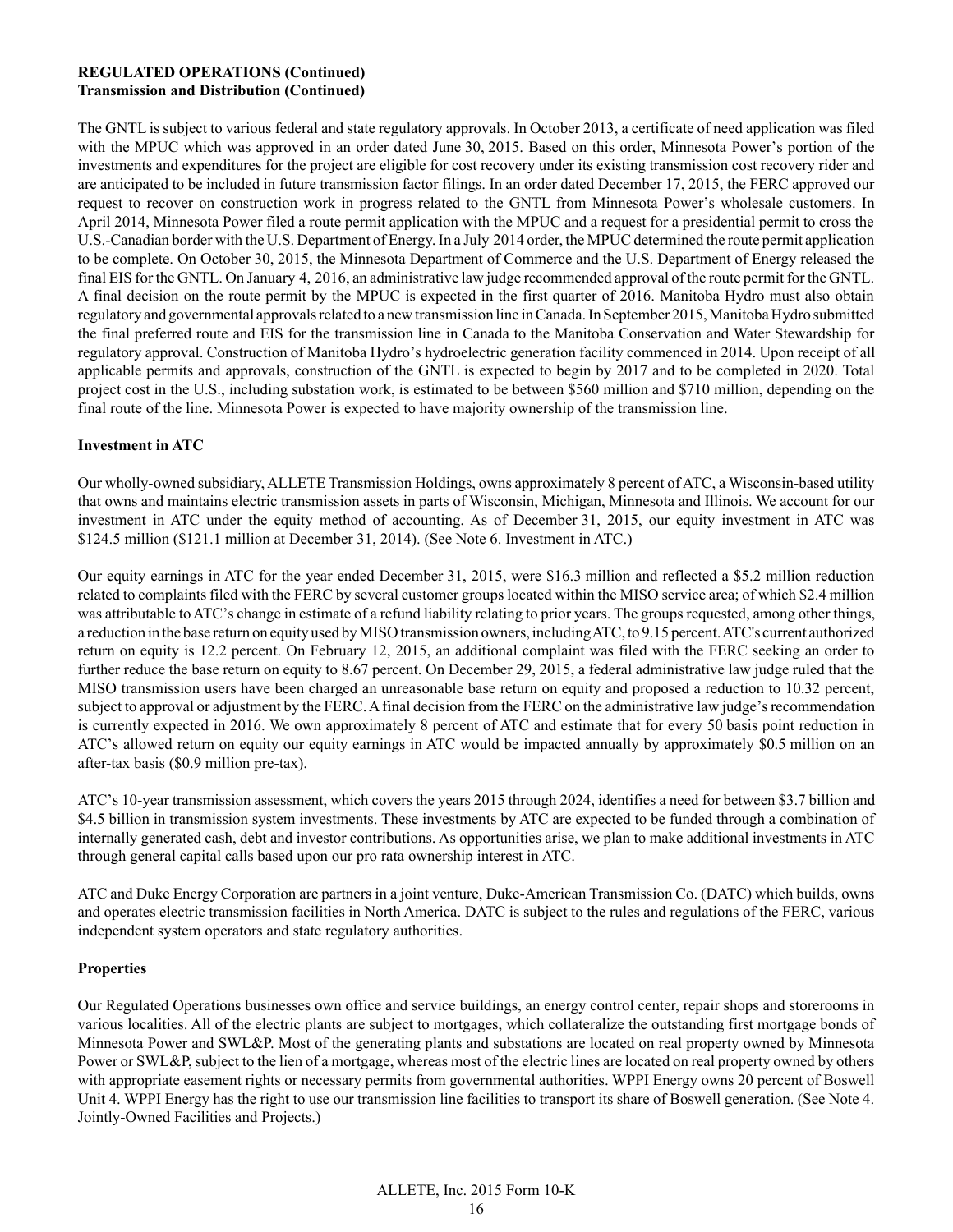## <span id="page-15-0"></span>**REGULATED OPERATIONS (Continued) Transmission and Distribution (Continued)**

The GNTL is subject to various federal and state regulatory approvals. In October 2013, a certificate of need application was filed with the MPUC which was approved in an order dated June 30, 2015. Based on this order, Minnesota Power's portion of the investments and expenditures for the project are eligible for cost recovery under its existing transmission cost recovery rider and are anticipated to be included in future transmission factor filings. In an order dated December 17, 2015, the FERC approved our request to recover on construction work in progress related to the GNTL from Minnesota Power's wholesale customers. In April 2014, Minnesota Power filed a route permit application with the MPUC and a request for a presidential permit to cross the U.S.-Canadian border with the U.S. Department of Energy. In a July 2014 order, the MPUC determined the route permit application to be complete. On October 30, 2015, the Minnesota Department of Commerce and the U.S. Department of Energy released the final EIS for the GNTL. On January 4, 2016, an administrative law judge recommended approval of the route permit for the GNTL. A final decision on the route permit by the MPUC is expected in the first quarter of 2016. Manitoba Hydro must also obtain regulatory and governmental approvals related to a new transmission line in Canada. In September 2015, Manitoba Hydro submitted the final preferred route and EIS for the transmission line in Canada to the Manitoba Conservation and Water Stewardship for regulatory approval. Construction of Manitoba Hydro's hydroelectric generation facility commenced in 2014. Upon receipt of all applicable permits and approvals, construction of the GNTL is expected to begin by 2017 and to be completed in 2020. Total project cost in the U.S., including substation work, is estimated to be between \$560 million and \$710 million, depending on the final route of the line. Minnesota Power is expected to have majority ownership of the transmission line.

### **Investment in ATC**

Our wholly-owned subsidiary, ALLETE Transmission Holdings, owns approximately 8 percent of ATC, a Wisconsin-based utility that owns and maintains electric transmission assets in parts of Wisconsin, Michigan, Minnesota and Illinois. We account for our investment in ATC under the equity method of accounting. As of December 31, 2015, our equity investment in ATC was \$124.5 million (\$121.1 million at December 31, 2014). (See Note 6. Investment in ATC.)

Our equity earnings in ATC for the year ended December 31, 2015, were \$16.3 million and reflected a \$5.2 million reduction related to complaints filed with the FERC by several customer groups located within the MISO service area; of which \$2.4 million was attributable to ATC's change in estimate of a refund liability relating to prior years. The groups requested, among other things, a reduction in the base return on equity used by MISO transmission owners, including ATC, to 9.15 percent. ATC's current authorized return on equity is 12.2 percent. On February 12, 2015, an additional complaint was filed with the FERC seeking an order to further reduce the base return on equity to 8.67 percent. On December 29, 2015, a federal administrative law judge ruled that the MISO transmission users have been charged an unreasonable base return on equity and proposed a reduction to 10.32 percent, subject to approval or adjustment by the FERC. A final decision from the FERC on the administrative law judge's recommendation is currently expected in 2016. We own approximately 8 percent of ATC and estimate that for every 50 basis point reduction in ATC's allowed return on equity our equity earnings in ATC would be impacted annually by approximately \$0.5 million on an after-tax basis (\$0.9 million pre-tax).

ATC's 10-year transmission assessment, which covers the years 2015 through 2024, identifies a need for between \$3.7 billion and \$4.5 billion in transmission system investments. These investments by ATC are expected to be funded through a combination of internally generated cash, debt and investor contributions. As opportunities arise, we plan to make additional investments in ATC through general capital calls based upon our pro rata ownership interest in ATC.

ATC and Duke Energy Corporation are partners in a joint venture, Duke-American Transmission Co. (DATC) which builds, owns and operates electric transmission facilities in North America. DATC is subject to the rules and regulations of the FERC, various independent system operators and state regulatory authorities.

### **Properties**

Our Regulated Operations businesses own office and service buildings, an energy control center, repair shops and storerooms in various localities. All of the electric plants are subject to mortgages, which collateralize the outstanding first mortgage bonds of Minnesota Power and SWL&P. Most of the generating plants and substations are located on real property owned by Minnesota Power or SWL&P, subject to the lien of a mortgage, whereas most of the electric lines are located on real property owned by others with appropriate easement rights or necessary permits from governmental authorities. WPPI Energy owns 20 percent of Boswell Unit 4. WPPI Energy has the right to use our transmission line facilities to transport its share of Boswell generation. (See Note 4. Jointly-Owned Facilities and Projects.)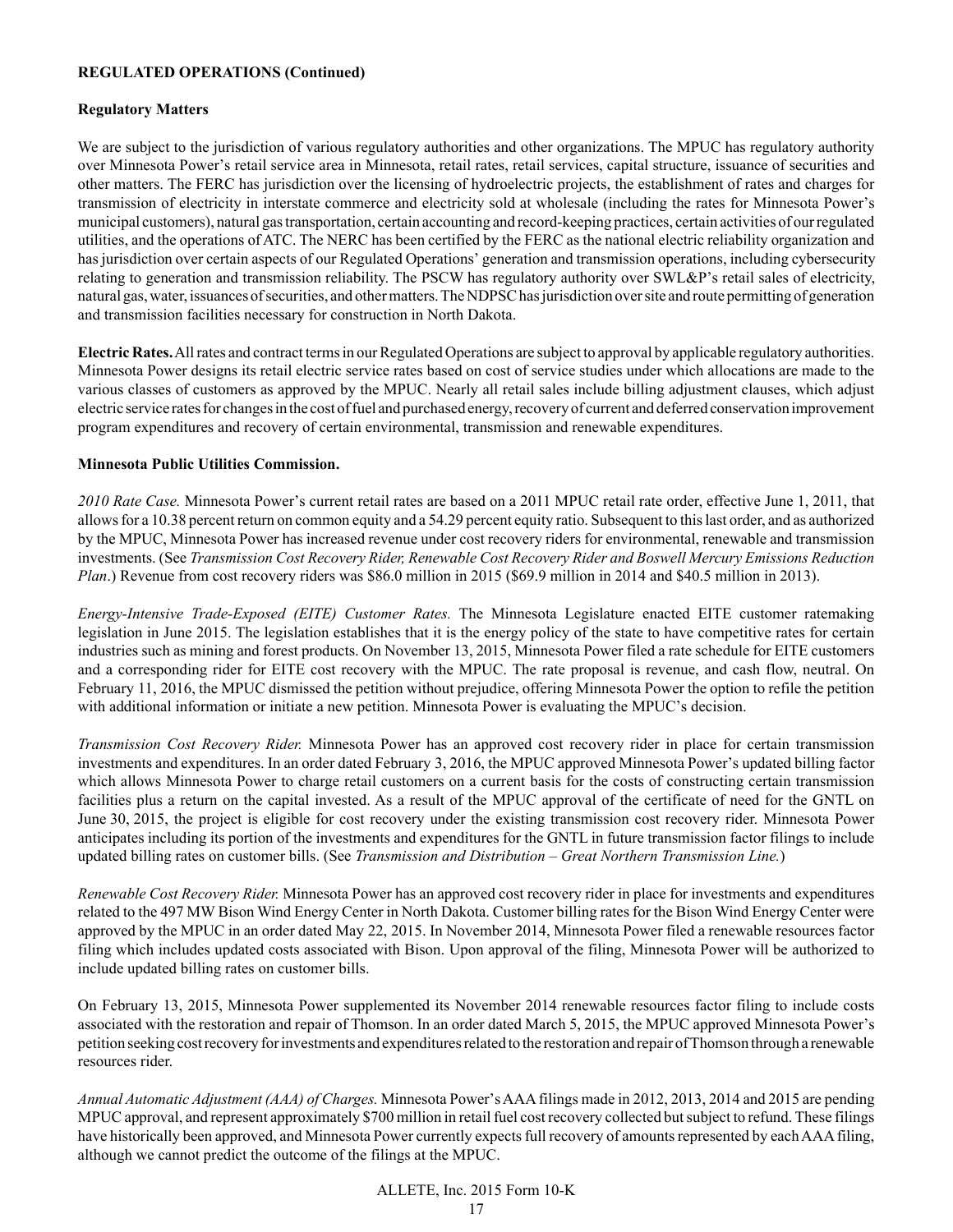### <span id="page-16-0"></span>**REGULATED OPERATIONS (Continued)**

### **Regulatory Matters**

We are subject to the jurisdiction of various regulatory authorities and other organizations. The MPUC has regulatory authority over Minnesota Power's retail service area in Minnesota, retail rates, retail services, capital structure, issuance of securities and other matters. The FERC has jurisdiction over the licensing of hydroelectric projects, the establishment of rates and charges for transmission of electricity in interstate commerce and electricity sold at wholesale (including the rates for Minnesota Power's municipal customers), natural gas transportation, certain accounting and record-keeping practices, certain activities of our regulated utilities, and the operations of ATC. The NERC has been certified by the FERC as the national electric reliability organization and has jurisdiction over certain aspects of our Regulated Operations' generation and transmission operations, including cybersecurity relating to generation and transmission reliability. The PSCW has regulatory authority over SWL&P's retail sales of electricity, natural gas, water, issuances of securities, and other matters. The NDPSC has jurisdiction over site and route permitting of generation and transmission facilities necessary for construction in North Dakota.

**Electric Rates.** All rates and contract terms in our Regulated Operations are subject to approval by applicable regulatory authorities. Minnesota Power designs its retail electric service rates based on cost of service studies under which allocations are made to the various classes of customers as approved by the MPUC. Nearly all retail sales include billing adjustment clauses, which adjust electric service rates for changes in the cost of fuel and purchased energy, recovery of current and deferred conservation improvement program expenditures and recovery of certain environmental, transmission and renewable expenditures.

### **Minnesota Public Utilities Commission.**

*2010 Rate Case.* Minnesota Power's current retail rates are based on a 2011 MPUC retail rate order, effective June 1, 2011, that allows for a 10.38 percent return on common equity and a 54.29 percent equity ratio. Subsequent to this last order, and as authorized by the MPUC, Minnesota Power has increased revenue under cost recovery riders for environmental, renewable and transmission investments. (See *Transmission Cost Recovery Rider, Renewable Cost Recovery Rider and Boswell Mercury Emissions Reduction Plan*.) Revenue from cost recovery riders was \$86.0 million in 2015 (\$69.9 million in 2014 and \$40.5 million in 2013).

*Energy-Intensive Trade-Exposed (EITE) Customer Rates.* The Minnesota Legislature enacted EITE customer ratemaking legislation in June 2015. The legislation establishes that it is the energy policy of the state to have competitive rates for certain industries such as mining and forest products. On November 13, 2015, Minnesota Power filed a rate schedule for EITE customers and a corresponding rider for EITE cost recovery with the MPUC. The rate proposal is revenue, and cash flow, neutral. On February 11, 2016, the MPUC dismissed the petition without prejudice, offering Minnesota Power the option to refile the petition with additional information or initiate a new petition. Minnesota Power is evaluating the MPUC's decision.

*Transmission Cost Recovery Rider.* Minnesota Power has an approved cost recovery rider in place for certain transmission investments and expenditures. In an order dated February 3, 2016, the MPUC approved Minnesota Power's updated billing factor which allows Minnesota Power to charge retail customers on a current basis for the costs of constructing certain transmission facilities plus a return on the capital invested. As a result of the MPUC approval of the certificate of need for the GNTL on June 30, 2015, the project is eligible for cost recovery under the existing transmission cost recovery rider. Minnesota Power anticipates including its portion of the investments and expenditures for the GNTL in future transmission factor filings to include updated billing rates on customer bills. (See *Transmission and Distribution – Great Northern Transmission Line.*)

*Renewable Cost Recovery Rider.* Minnesota Power has an approved cost recovery rider in place for investments and expenditures related to the 497 MW Bison Wind Energy Center in North Dakota. Customer billing rates for the Bison Wind Energy Center were approved by the MPUC in an order dated May 22, 2015. In November 2014, Minnesota Power filed a renewable resources factor filing which includes updated costs associated with Bison. Upon approval of the filing, Minnesota Power will be authorized to include updated billing rates on customer bills.

On February 13, 2015, Minnesota Power supplemented its November 2014 renewable resources factor filing to include costs associated with the restoration and repair of Thomson. In an order dated March 5, 2015, the MPUC approved Minnesota Power's petition seeking cost recovery for investments and expenditures related to the restoration and repair of Thomson through a renewable resources rider.

*Annual Automatic Adjustment (AAA) of Charges.* Minnesota Power's AAA filings made in 2012, 2013, 2014 and 2015 are pending MPUC approval, and represent approximately \$700 million in retail fuel cost recovery collected but subject to refund. These filings have historically been approved, and Minnesota Power currently expects full recovery of amounts represented by each AAA filing, although we cannot predict the outcome of the filings at the MPUC.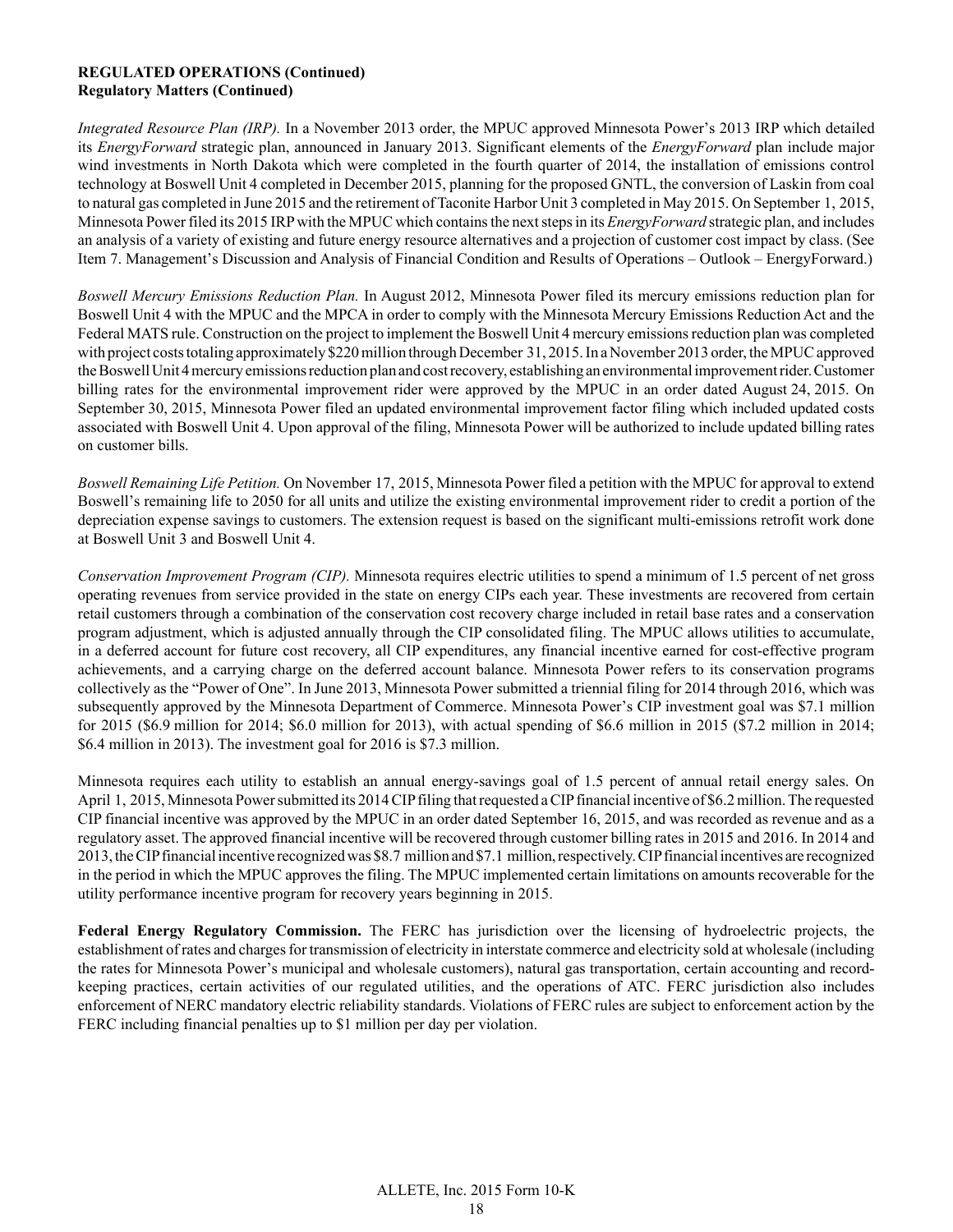# **REGULATED OPERATIONS (Continued) Regulatory Matters (Continued)**

*Integrated Resource Plan (IRP).* In a November 2013 order, the MPUC approved Minnesota Power's 2013 IRP which detailed its *EnergyForward* strategic plan, announced in January 2013. Significant elements of the *EnergyForward* plan include major wind investments in North Dakota which were completed in the fourth quarter of 2014, the installation of emissions control technology at Boswell Unit 4 completed in December 2015, planning for the proposed GNTL, the conversion of Laskin from coal to natural gas completed in June 2015 and the retirement of Taconite Harbor Unit 3 completed in May 2015. On September 1, 2015, Minnesota Power filed its 2015 IRP with the MPUC which contains the next steps in its *EnergyForward* strategic plan, and includes an analysis of a variety of existing and future energy resource alternatives and a projection of customer cost impact by class. (See Item 7. Management's Discussion and Analysis of Financial Condition and Results of Operations – Outlook – EnergyForward.)

*Boswell Mercury Emissions Reduction Plan.* In August 2012, Minnesota Power filed its mercury emissions reduction plan for Boswell Unit 4 with the MPUC and the MPCA in order to comply with the Minnesota Mercury Emissions Reduction Act and the Federal MATS rule. Construction on the project to implement the Boswell Unit 4 mercury emissions reduction plan was completed with project costs totaling approximately \$220 million through December 31, 2015. In a November 2013 order, the MPUC approved the Boswell Unit 4 mercury emissions reduction plan and cost recovery, establishing an environmental improvement rider. Customer billing rates for the environmental improvement rider were approved by the MPUC in an order dated August 24, 2015. On September 30, 2015, Minnesota Power filed an updated environmental improvement factor filing which included updated costs associated with Boswell Unit 4. Upon approval of the filing, Minnesota Power will be authorized to include updated billing rates on customer bills.

*Boswell Remaining Life Petition.* On November 17, 2015, Minnesota Power filed a petition with the MPUC for approval to extend Boswell's remaining life to 2050 for all units and utilize the existing environmental improvement rider to credit a portion of the depreciation expense savings to customers. The extension request is based on the significant multi-emissions retrofit work done at Boswell Unit 3 and Boswell Unit 4.

*Conservation Improvement Program (CIP).* Minnesota requires electric utilities to spend a minimum of 1.5 percent of net gross operating revenues from service provided in the state on energy CIPs each year. These investments are recovered from certain retail customers through a combination of the conservation cost recovery charge included in retail base rates and a conservation program adjustment, which is adjusted annually through the CIP consolidated filing. The MPUC allows utilities to accumulate, in a deferred account for future cost recovery, all CIP expenditures, any financial incentive earned for cost-effective program achievements, and a carrying charge on the deferred account balance. Minnesota Power refers to its conservation programs collectively as the "Power of One". In June 2013, Minnesota Power submitted a triennial filing for 2014 through 2016, which was subsequently approved by the Minnesota Department of Commerce. Minnesota Power's CIP investment goal was \$7.1 million for 2015 (\$6.9 million for 2014; \$6.0 million for 2013), with actual spending of \$6.6 million in 2015 (\$7.2 million in 2014; \$6.4 million in 2013). The investment goal for 2016 is \$7.3 million.

Minnesota requires each utility to establish an annual energy-savings goal of 1.5 percent of annual retail energy sales. On April 1, 2015, Minnesota Power submitted its 2014 CIP filing that requested a CIP financial incentive of \$6.2 million. The requested CIP financial incentive was approved by the MPUC in an order dated September 16, 2015, and was recorded as revenue and as a regulatory asset. The approved financial incentive will be recovered through customer billing rates in 2015 and 2016. In 2014 and 2013, the CIP financial incentive recognized was \$8.7 million and \$7.1 million, respectively. CIP financial incentives are recognized in the period in which the MPUC approves the filing. The MPUC implemented certain limitations on amounts recoverable for the utility performance incentive program for recovery years beginning in 2015.

**Federal Energy Regulatory Commission.** The FERC has jurisdiction over the licensing of hydroelectric projects, the establishment of rates and charges for transmission of electricity in interstate commerce and electricity sold at wholesale (including the rates for Minnesota Power's municipal and wholesale customers), natural gas transportation, certain accounting and recordkeeping practices, certain activities of our regulated utilities, and the operations of ATC. FERC jurisdiction also includes enforcement of NERC mandatory electric reliability standards. Violations of FERC rules are subject to enforcement action by the FERC including financial penalties up to \$1 million per day per violation.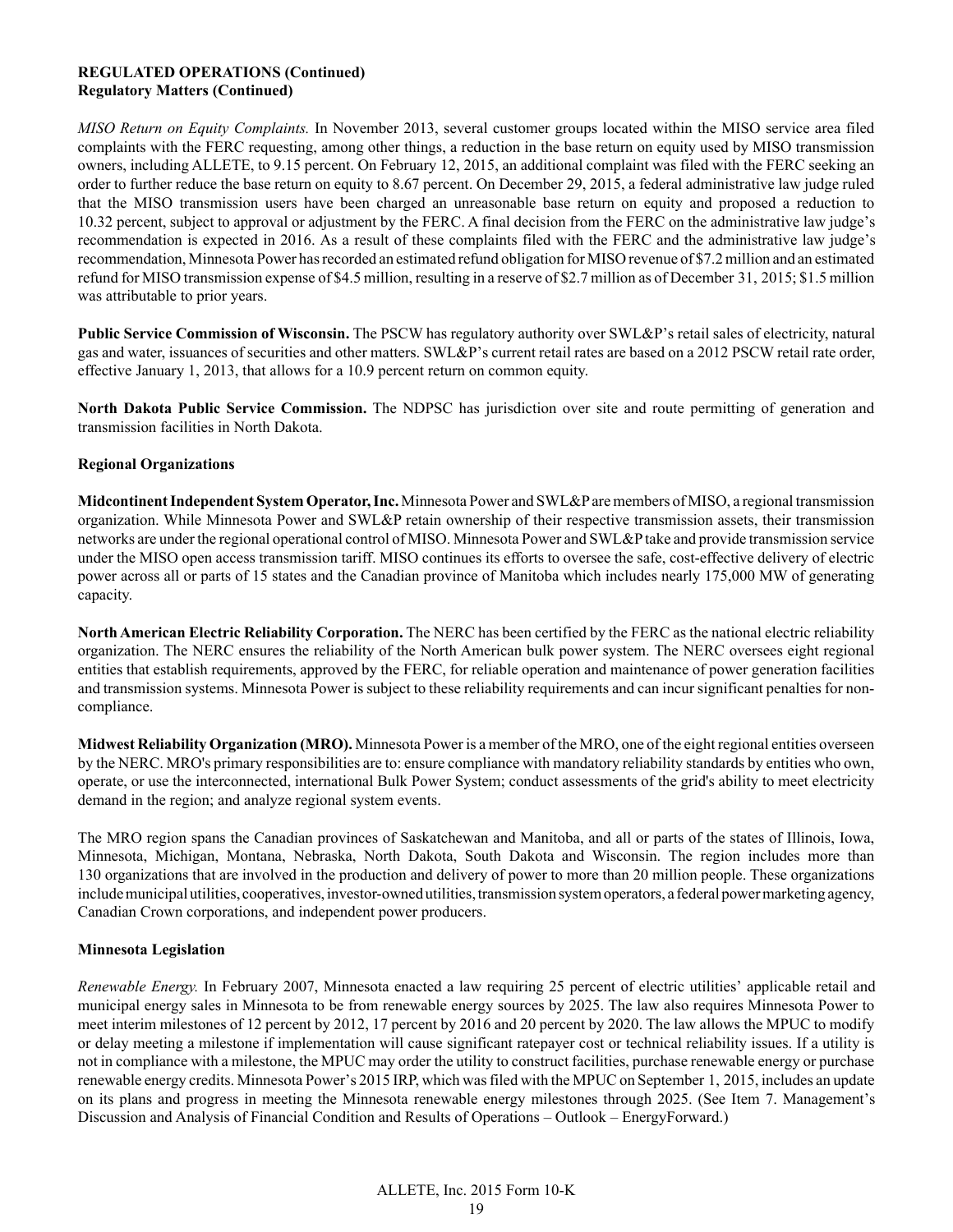# <span id="page-18-0"></span>**REGULATED OPERATIONS (Continued) Regulatory Matters (Continued)**

*MISO Return on Equity Complaints.* In November 2013, several customer groups located within the MISO service area filed complaints with the FERC requesting, among other things, a reduction in the base return on equity used by MISO transmission owners, including ALLETE, to 9.15 percent. On February 12, 2015, an additional complaint was filed with the FERC seeking an order to further reduce the base return on equity to 8.67 percent. On December 29, 2015, a federal administrative law judge ruled that the MISO transmission users have been charged an unreasonable base return on equity and proposed a reduction to 10.32 percent, subject to approval or adjustment by the FERC. A final decision from the FERC on the administrative law judge's recommendation is expected in 2016. As a result of these complaints filed with the FERC and the administrative law judge's recommendation, Minnesota Power has recorded an estimated refund obligation for MISO revenue of \$7.2 million and an estimated refund for MISO transmission expense of \$4.5 million, resulting in a reserve of \$2.7 million as of December 31, 2015; \$1.5 million was attributable to prior years.

**Public Service Commission of Wisconsin.** The PSCW has regulatory authority over SWL&P's retail sales of electricity, natural gas and water, issuances of securities and other matters. SWL&P's current retail rates are based on a 2012 PSCW retail rate order, effective January 1, 2013, that allows for a 10.9 percent return on common equity.

**North Dakota Public Service Commission.** The NDPSC has jurisdiction over site and route permitting of generation and transmission facilities in North Dakota.

### **Regional Organizations**

**Midcontinent Independent System Operator, Inc.** Minnesota Power and SWL&P are members of MISO, a regional transmission organization. While Minnesota Power and SWL&P retain ownership of their respective transmission assets, their transmission networks are under the regional operational control of MISO. Minnesota Power and SWL&P take and provide transmission service under the MISO open access transmission tariff. MISO continues its efforts to oversee the safe, cost-effective delivery of electric power across all or parts of 15 states and the Canadian province of Manitoba which includes nearly 175,000 MW of generating capacity.

**North American Electric Reliability Corporation.** The NERC has been certified by the FERC as the national electric reliability organization. The NERC ensures the reliability of the North American bulk power system. The NERC oversees eight regional entities that establish requirements, approved by the FERC, for reliable operation and maintenance of power generation facilities and transmission systems. Minnesota Power is subject to these reliability requirements and can incur significant penalties for noncompliance.

**Midwest Reliability Organization (MRO).** Minnesota Power is a member of the MRO, one of the eight regional entities overseen by the NERC. MRO's primary responsibilities are to: ensure compliance with mandatory reliability standards by entities who own, operate, or use the interconnected, international Bulk Power System; conduct assessments of the grid's ability to meet electricity demand in the region; and analyze regional system events.

The MRO region spans the Canadian provinces of Saskatchewan and Manitoba, and all or parts of the states of Illinois, Iowa, Minnesota, Michigan, Montana, Nebraska, North Dakota, South Dakota and Wisconsin. The region includes more than 130 organizations that are involved in the production and delivery of power to more than 20 million people. These organizations include municipal utilities, cooperatives, investor-owned utilities, transmission system operators, a federal power marketing agency, Canadian Crown corporations, and independent power producers.

# **Minnesota Legislation**

*Renewable Energy.* In February 2007, Minnesota enacted a law requiring 25 percent of electric utilities' applicable retail and municipal energy sales in Minnesota to be from renewable energy sources by 2025. The law also requires Minnesota Power to meet interim milestones of 12 percent by 2012, 17 percent by 2016 and 20 percent by 2020. The law allows the MPUC to modify or delay meeting a milestone if implementation will cause significant ratepayer cost or technical reliability issues. If a utility is not in compliance with a milestone, the MPUC may order the utility to construct facilities, purchase renewable energy or purchase renewable energy credits. Minnesota Power's 2015 IRP, which was filed with the MPUC on September 1, 2015, includes an update on its plans and progress in meeting the Minnesota renewable energy milestones through 2025. (See Item 7. Management's Discussion and Analysis of Financial Condition and Results of Operations – Outlook – EnergyForward.)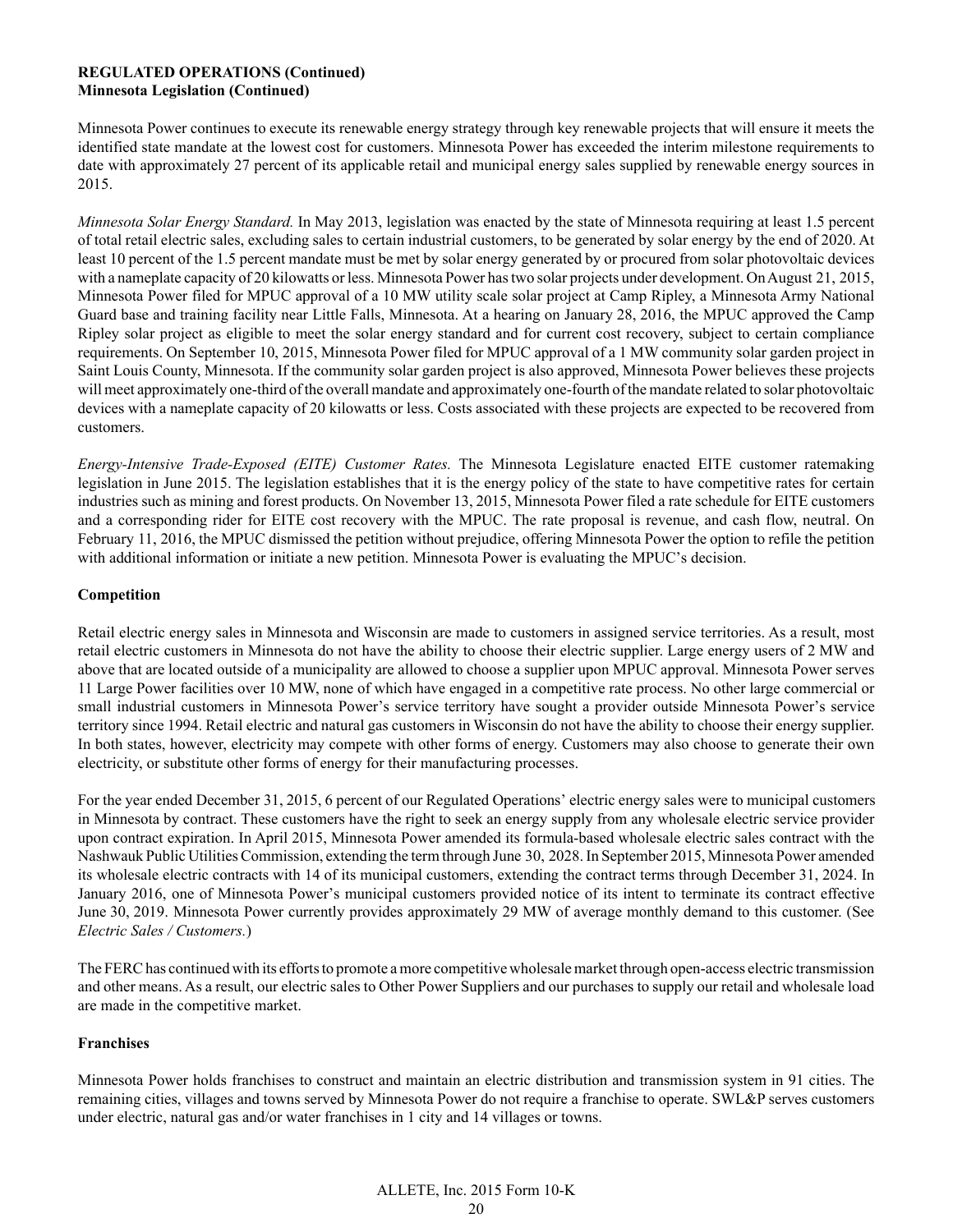# <span id="page-19-0"></span>**REGULATED OPERATIONS (Continued) Minnesota Legislation (Continued)**

Minnesota Power continues to execute its renewable energy strategy through key renewable projects that will ensure it meets the identified state mandate at the lowest cost for customers. Minnesota Power has exceeded the interim milestone requirements to date with approximately 27 percent of its applicable retail and municipal energy sales supplied by renewable energy sources in 2015.

*Minnesota Solar Energy Standard.* In May 2013, legislation was enacted by the state of Minnesota requiring at least 1.5 percent of total retail electric sales, excluding sales to certain industrial customers, to be generated by solar energy by the end of 2020. At least 10 percent of the 1.5 percent mandate must be met by solar energy generated by or procured from solar photovoltaic devices with a nameplate capacity of 20 kilowatts or less. Minnesota Power has two solar projects under development. On August 21, 2015, Minnesota Power filed for MPUC approval of a 10 MW utility scale solar project at Camp Ripley, a Minnesota Army National Guard base and training facility near Little Falls, Minnesota. At a hearing on January 28, 2016, the MPUC approved the Camp Ripley solar project as eligible to meet the solar energy standard and for current cost recovery, subject to certain compliance requirements. On September 10, 2015, Minnesota Power filed for MPUC approval of a 1 MW community solar garden project in Saint Louis County, Minnesota. If the community solar garden project is also approved, Minnesota Power believes these projects will meet approximately one-third of the overall mandate and approximately one-fourth of the mandate related to solar photovoltaic devices with a nameplate capacity of 20 kilowatts or less. Costs associated with these projects are expected to be recovered from customers.

*Energy-Intensive Trade-Exposed (EITE) Customer Rates.* The Minnesota Legislature enacted EITE customer ratemaking legislation in June 2015. The legislation establishes that it is the energy policy of the state to have competitive rates for certain industries such as mining and forest products. On November 13, 2015, Minnesota Power filed a rate schedule for EITE customers and a corresponding rider for EITE cost recovery with the MPUC. The rate proposal is revenue, and cash flow, neutral. On February 11, 2016, the MPUC dismissed the petition without prejudice, offering Minnesota Power the option to refile the petition with additional information or initiate a new petition. Minnesota Power is evaluating the MPUC's decision.

# **Competition**

Retail electric energy sales in Minnesota and Wisconsin are made to customers in assigned service territories. As a result, most retail electric customers in Minnesota do not have the ability to choose their electric supplier. Large energy users of 2 MW and above that are located outside of a municipality are allowed to choose a supplier upon MPUC approval. Minnesota Power serves 11 Large Power facilities over 10 MW, none of which have engaged in a competitive rate process. No other large commercial or small industrial customers in Minnesota Power's service territory have sought a provider outside Minnesota Power's service territory since 1994. Retail electric and natural gas customers in Wisconsin do not have the ability to choose their energy supplier. In both states, however, electricity may compete with other forms of energy. Customers may also choose to generate their own electricity, or substitute other forms of energy for their manufacturing processes.

For the year ended December 31, 2015, 6 percent of our Regulated Operations' electric energy sales were to municipal customers in Minnesota by contract. These customers have the right to seek an energy supply from any wholesale electric service provider upon contract expiration. In April 2015, Minnesota Power amended its formula-based wholesale electric sales contract with the Nashwauk Public Utilities Commission, extending the term through June 30, 2028. In September 2015, Minnesota Power amended its wholesale electric contracts with 14 of its municipal customers, extending the contract terms through December 31, 2024. In January 2016, one of Minnesota Power's municipal customers provided notice of its intent to terminate its contract effective June 30, 2019. Minnesota Power currently provides approximately 29 MW of average monthly demand to this customer. (See *Electric Sales / Customers.*)

The FERC has continued with its efforts to promote a more competitive wholesale market through open-access electric transmission and other means. As a result, our electric sales to Other Power Suppliers and our purchases to supply our retail and wholesale load are made in the competitive market.

### **Franchises**

Minnesota Power holds franchises to construct and maintain an electric distribution and transmission system in 91 cities. The remaining cities, villages and towns served by Minnesota Power do not require a franchise to operate. SWL&P serves customers under electric, natural gas and/or water franchises in 1 city and 14 villages or towns.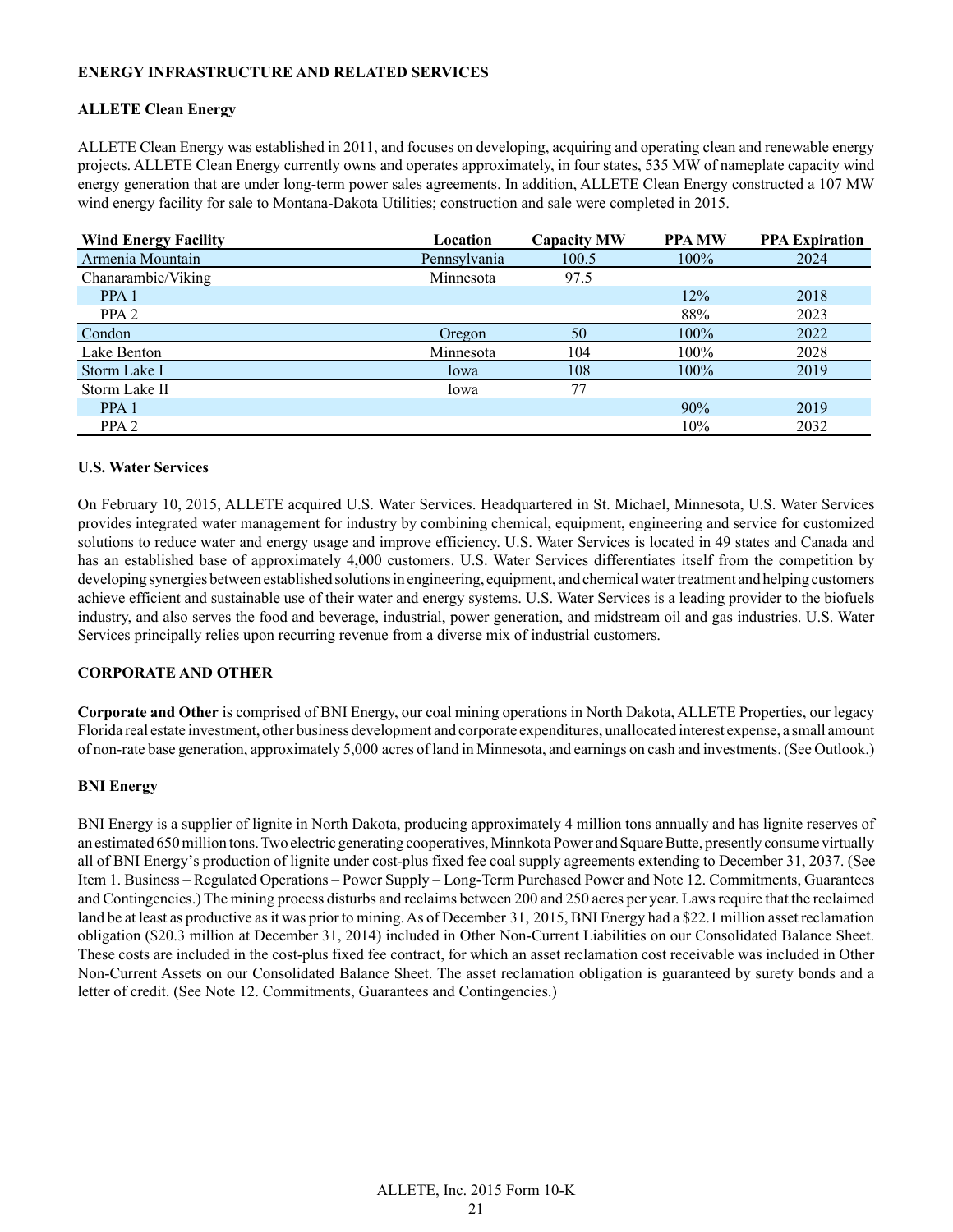## <span id="page-20-0"></span>**ENERGY INFRASTRUCTURE AND RELATED SERVICES**

### **ALLETE Clean Energy**

ALLETE Clean Energy was established in 2011, and focuses on developing, acquiring and operating clean and renewable energy projects. ALLETE Clean Energy currently owns and operates approximately, in four states, 535 MW of nameplate capacity wind energy generation that are under long-term power sales agreements. In addition, ALLETE Clean Energy constructed a 107 MW wind energy facility for sale to Montana-Dakota Utilities; construction and sale were completed in 2015.

| <b>Wind Energy Facility</b> | Location     | <b>Capacity MW</b> | <b>PPA MW</b> | <b>PPA Expiration</b> |
|-----------------------------|--------------|--------------------|---------------|-----------------------|
| Armenia Mountain            | Pennsylvania | 100.5              | 100%          | 2024                  |
| Chanarambie/Viking          | Minnesota    | 97.5               |               |                       |
| PPA <sub>1</sub>            |              |                    | 12%           | 2018                  |
| PPA <sub>2</sub>            |              |                    | 88%           | 2023                  |
| Condon                      | Oregon       | 50                 | $100\%$       | 2022                  |
| Lake Benton                 | Minnesota    | 104                | $100\%$       | 2028                  |
| Storm Lake I                | lowa         | 108                | $100\%$       | 2019                  |
| Storm Lake II               | Iowa         | 77                 |               |                       |
| PPA <sub>1</sub>            |              |                    | 90%           | 2019                  |
| PPA <sub>2</sub>            |              |                    | 10%           | 2032                  |

#### **U.S. Water Services**

On February 10, 2015, ALLETE acquired U.S. Water Services. Headquartered in St. Michael, Minnesota, U.S. Water Services provides integrated water management for industry by combining chemical, equipment, engineering and service for customized solutions to reduce water and energy usage and improve efficiency. U.S. Water Services is located in 49 states and Canada and has an established base of approximately 4,000 customers. U.S. Water Services differentiates itself from the competition by developing synergies between established solutions in engineering, equipment, and chemical water treatment and helping customers achieve efficient and sustainable use of their water and energy systems. U.S. Water Services is a leading provider to the biofuels industry, and also serves the food and beverage, industrial, power generation, and midstream oil and gas industries. U.S. Water Services principally relies upon recurring revenue from a diverse mix of industrial customers.

### **CORPORATE AND OTHER**

**Corporate and Other** is comprised of BNI Energy, our coal mining operations in North Dakota, ALLETE Properties, our legacy Florida real estate investment, other business development and corporate expenditures, unallocated interest expense, a small amount of non-rate base generation, approximately 5,000 acres of land in Minnesota, and earnings on cash and investments. (See Outlook.)

#### **BNI Energy**

BNI Energy is a supplier of lignite in North Dakota, producing approximately 4 million tons annually and has lignite reserves of an estimated 650 million tons. Two electric generating cooperatives, Minnkota Power and Square Butte, presently consume virtually all of BNI Energy's production of lignite under cost-plus fixed fee coal supply agreements extending to December 31, 2037. (See Item 1. Business – Regulated Operations – Power Supply – Long-Term Purchased Power and Note 12. Commitments, Guarantees and Contingencies.) The mining process disturbs and reclaims between 200 and 250 acres per year. Laws require that the reclaimed land be at least as productive as it was prior to mining. As of December 31, 2015, BNI Energy had a \$22.1 million asset reclamation obligation (\$20.3 million at December 31, 2014) included in Other Non-Current Liabilities on our Consolidated Balance Sheet. These costs are included in the cost-plus fixed fee contract, for which an asset reclamation cost receivable was included in Other Non-Current Assets on our Consolidated Balance Sheet. The asset reclamation obligation is guaranteed by surety bonds and a letter of credit. (See Note 12. Commitments, Guarantees and Contingencies.)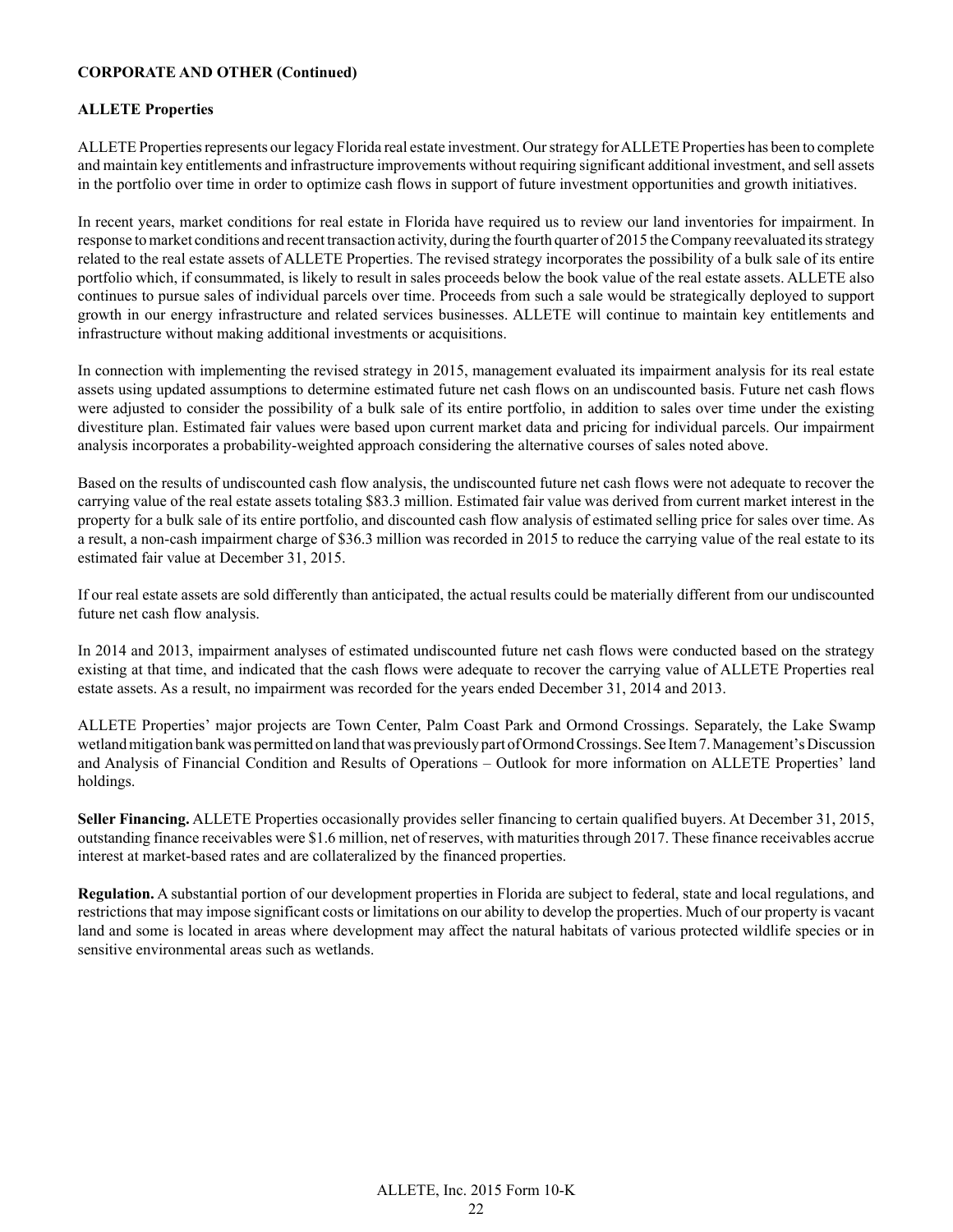# <span id="page-21-0"></span>**CORPORATE AND OTHER (Continued)**

#### **ALLETE Properties**

ALLETE Properties represents our legacy Florida real estate investment. Our strategy for ALLETE Properties has been to complete and maintain key entitlements and infrastructure improvements without requiring significant additional investment, and sell assets in the portfolio over time in order to optimize cash flows in support of future investment opportunities and growth initiatives.

In recent years, market conditions for real estate in Florida have required us to review our land inventories for impairment. In response to market conditions and recent transaction activity, during the fourth quarter of 2015 the Company reevaluated its strategy related to the real estate assets of ALLETE Properties. The revised strategy incorporates the possibility of a bulk sale of its entire portfolio which, if consummated, is likely to result in sales proceeds below the book value of the real estate assets. ALLETE also continues to pursue sales of individual parcels over time. Proceeds from such a sale would be strategically deployed to support growth in our energy infrastructure and related services businesses. ALLETE will continue to maintain key entitlements and infrastructure without making additional investments or acquisitions.

In connection with implementing the revised strategy in 2015, management evaluated its impairment analysis for its real estate assets using updated assumptions to determine estimated future net cash flows on an undiscounted basis. Future net cash flows were adjusted to consider the possibility of a bulk sale of its entire portfolio, in addition to sales over time under the existing divestiture plan. Estimated fair values were based upon current market data and pricing for individual parcels. Our impairment analysis incorporates a probability-weighted approach considering the alternative courses of sales noted above.

Based on the results of undiscounted cash flow analysis, the undiscounted future net cash flows were not adequate to recover the carrying value of the real estate assets totaling \$83.3 million. Estimated fair value was derived from current market interest in the property for a bulk sale of its entire portfolio, and discounted cash flow analysis of estimated selling price for sales over time. As a result, a non-cash impairment charge of \$36.3 million was recorded in 2015 to reduce the carrying value of the real estate to its estimated fair value at December 31, 2015.

If our real estate assets are sold differently than anticipated, the actual results could be materially different from our undiscounted future net cash flow analysis.

In 2014 and 2013, impairment analyses of estimated undiscounted future net cash flows were conducted based on the strategy existing at that time, and indicated that the cash flows were adequate to recover the carrying value of ALLETE Properties real estate assets. As a result, no impairment was recorded for the years ended December 31, 2014 and 2013.

ALLETE Properties' major projects are Town Center, Palm Coast Park and Ormond Crossings. Separately, the Lake Swamp wetland mitigation bank was permitted on land that was previously part of Ormond Crossings. See Item 7. Management's Discussion and Analysis of Financial Condition and Results of Operations – Outlook for more information on ALLETE Properties' land holdings.

**Seller Financing.** ALLETE Properties occasionally provides seller financing to certain qualified buyers. At December 31, 2015, outstanding finance receivables were \$1.6 million, net of reserves, with maturities through 2017. These finance receivables accrue interest at market-based rates and are collateralized by the financed properties.

**Regulation.** A substantial portion of our development properties in Florida are subject to federal, state and local regulations, and restrictions that may impose significant costs or limitations on our ability to develop the properties. Much of our property is vacant land and some is located in areas where development may affect the natural habitats of various protected wildlife species or in sensitive environmental areas such as wetlands.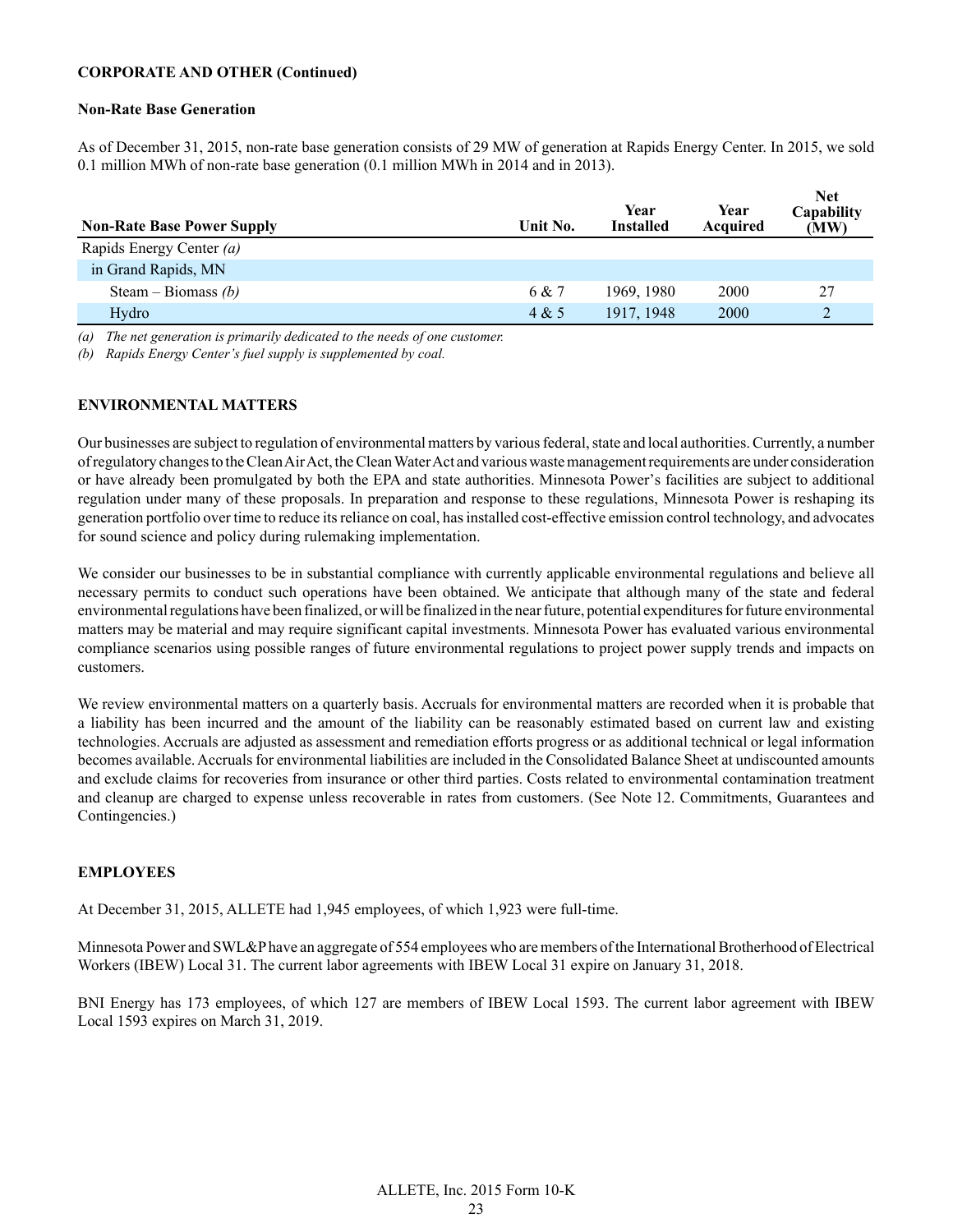## <span id="page-22-0"></span>**CORPORATE AND OTHER (Continued)**

#### **Non-Rate Base Generation**

As of December 31, 2015, non-rate base generation consists of 29 MW of generation at Rapids Energy Center. In 2015, we sold 0.1 million MWh of non-rate base generation (0.1 million MWh in 2014 and in 2013).

| <b>Non-Rate Base Power Supply</b> | Unit No. | Year<br><b>Installed</b> | Year<br>Acquired | Net<br>Capability<br>(MW) |
|-----------------------------------|----------|--------------------------|------------------|---------------------------|
| Rapids Energy Center (a)          |          |                          |                  |                           |
| in Grand Rapids, MN               |          |                          |                  |                           |
| Steam – Biomass $(b)$             | 6 & 7    | 1969, 1980               | 2000             | 27                        |
| Hydro                             | 4 & 5    | 1917, 1948               | 2000             | C                         |

*(a) The net generation is primarily dedicated to the needs of one customer.*

*(b) Rapids Energy Center's fuel supply is supplemented by coal.*

#### **ENVIRONMENTAL MATTERS**

Our businesses are subject to regulation of environmental matters by various federal, state and local authorities. Currently, a number of regulatory changes to the Clean Air Act, the Clean Water Act and various waste management requirements are under consideration or have already been promulgated by both the EPA and state authorities. Minnesota Power's facilities are subject to additional regulation under many of these proposals. In preparation and response to these regulations, Minnesota Power is reshaping its generation portfolio over time to reduce its reliance on coal, has installed cost-effective emission control technology, and advocates for sound science and policy during rulemaking implementation.

We consider our businesses to be in substantial compliance with currently applicable environmental regulations and believe all necessary permits to conduct such operations have been obtained. We anticipate that although many of the state and federal environmental regulations have been finalized, or will be finalized in the near future, potential expenditures for future environmental matters may be material and may require significant capital investments. Minnesota Power has evaluated various environmental compliance scenarios using possible ranges of future environmental regulations to project power supply trends and impacts on customers.

We review environmental matters on a quarterly basis. Accruals for environmental matters are recorded when it is probable that a liability has been incurred and the amount of the liability can be reasonably estimated based on current law and existing technologies. Accruals are adjusted as assessment and remediation efforts progress or as additional technical or legal information becomes available. Accruals for environmental liabilities are included in the Consolidated Balance Sheet at undiscounted amounts and exclude claims for recoveries from insurance or other third parties. Costs related to environmental contamination treatment and cleanup are charged to expense unless recoverable in rates from customers. (See Note 12. Commitments, Guarantees and Contingencies.)

### **EMPLOYEES**

At December 31, 2015, ALLETE had 1,945 employees, of which 1,923 were full-time.

Minnesota Power and SWL&P have an aggregate of 554 employees who are members of the International Brotherhood of Electrical Workers (IBEW) Local 31. The current labor agreements with IBEW Local 31 expire on January 31, 2018.

BNI Energy has 173 employees, of which 127 are members of IBEW Local 1593. The current labor agreement with IBEW Local 1593 expires on March 31, 2019.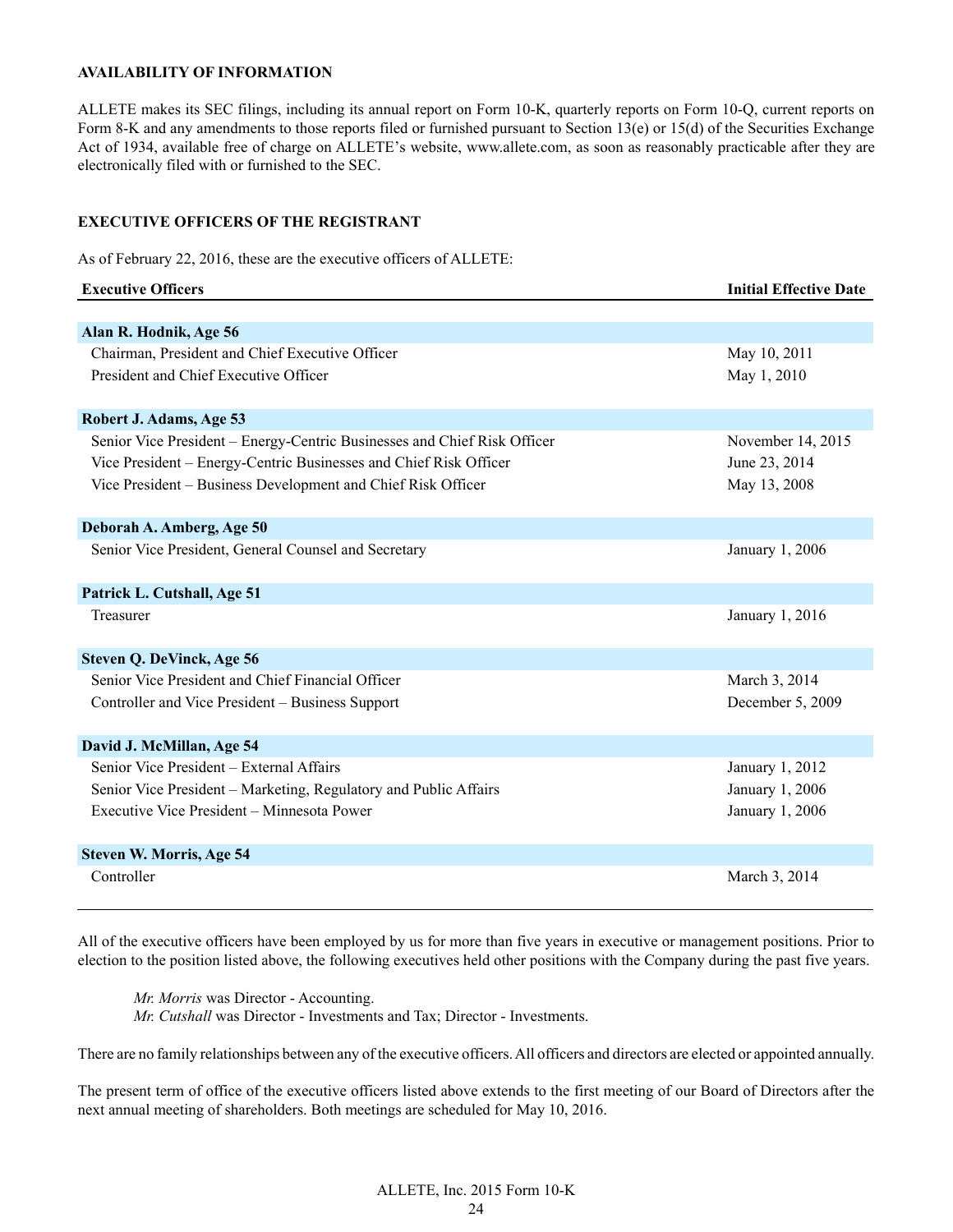#### <span id="page-23-0"></span>**AVAILABILITY OF INFORMATION**

ALLETE makes its SEC filings, including its annual report on Form 10-K, quarterly reports on Form 10-Q, current reports on Form 8-K and any amendments to those reports filed or furnished pursuant to Section 13(e) or 15(d) of the Securities Exchange Act of 1934, available free of charge on ALLETE's website, www.allete.com, as soon as reasonably practicable after they are electronically filed with or furnished to the SEC.

#### **EXECUTIVE OFFICERS OF THE REGISTRANT**

As of February 22, 2016, these are the executive officers of ALLETE:

| <b>Executive Officers</b>                                                | <b>Initial Effective Date</b> |
|--------------------------------------------------------------------------|-------------------------------|
|                                                                          |                               |
| Alan R. Hodnik, Age 56                                                   |                               |
| Chairman, President and Chief Executive Officer                          | May 10, 2011                  |
| President and Chief Executive Officer                                    | May 1, 2010                   |
|                                                                          |                               |
| Robert J. Adams, Age 53                                                  |                               |
| Senior Vice President - Energy-Centric Businesses and Chief Risk Officer | November 14, 2015             |
| Vice President - Energy-Centric Businesses and Chief Risk Officer        | June 23, 2014                 |
| Vice President - Business Development and Chief Risk Officer             | May 13, 2008                  |
|                                                                          |                               |
| Deborah A. Amberg, Age 50                                                |                               |
| Senior Vice President, General Counsel and Secretary                     | January 1, 2006               |
|                                                                          |                               |
| Patrick L. Cutshall, Age 51                                              |                               |
| Treasurer                                                                | January 1, 2016               |
|                                                                          |                               |
| Steven Q. DeVinck, Age 56                                                |                               |
| Senior Vice President and Chief Financial Officer                        | March 3, 2014                 |
| Controller and Vice President – Business Support                         | December 5, 2009              |
|                                                                          |                               |
| David J. McMillan, Age 54                                                |                               |
| Senior Vice President - External Affairs                                 | January 1, 2012               |
| Senior Vice President - Marketing, Regulatory and Public Affairs         | January 1, 2006               |
| Executive Vice President – Minnesota Power                               | January 1, 2006               |
|                                                                          |                               |
| <b>Steven W. Morris, Age 54</b>                                          |                               |
| Controller                                                               | March 3, 2014                 |

All of the executive officers have been employed by us for more than five years in executive or management positions. Prior to election to the position listed above, the following executives held other positions with the Company during the past five years.

*Mr. Morris* was Director - Accounting. *Mr. Cutshall* was Director - Investments and Tax; Director - Investments.

There are no family relationships between any of the executive officers. All officers and directors are elected or appointed annually.

The present term of office of the executive officers listed above extends to the first meeting of our Board of Directors after the next annual meeting of shareholders. Both meetings are scheduled for May 10, 2016.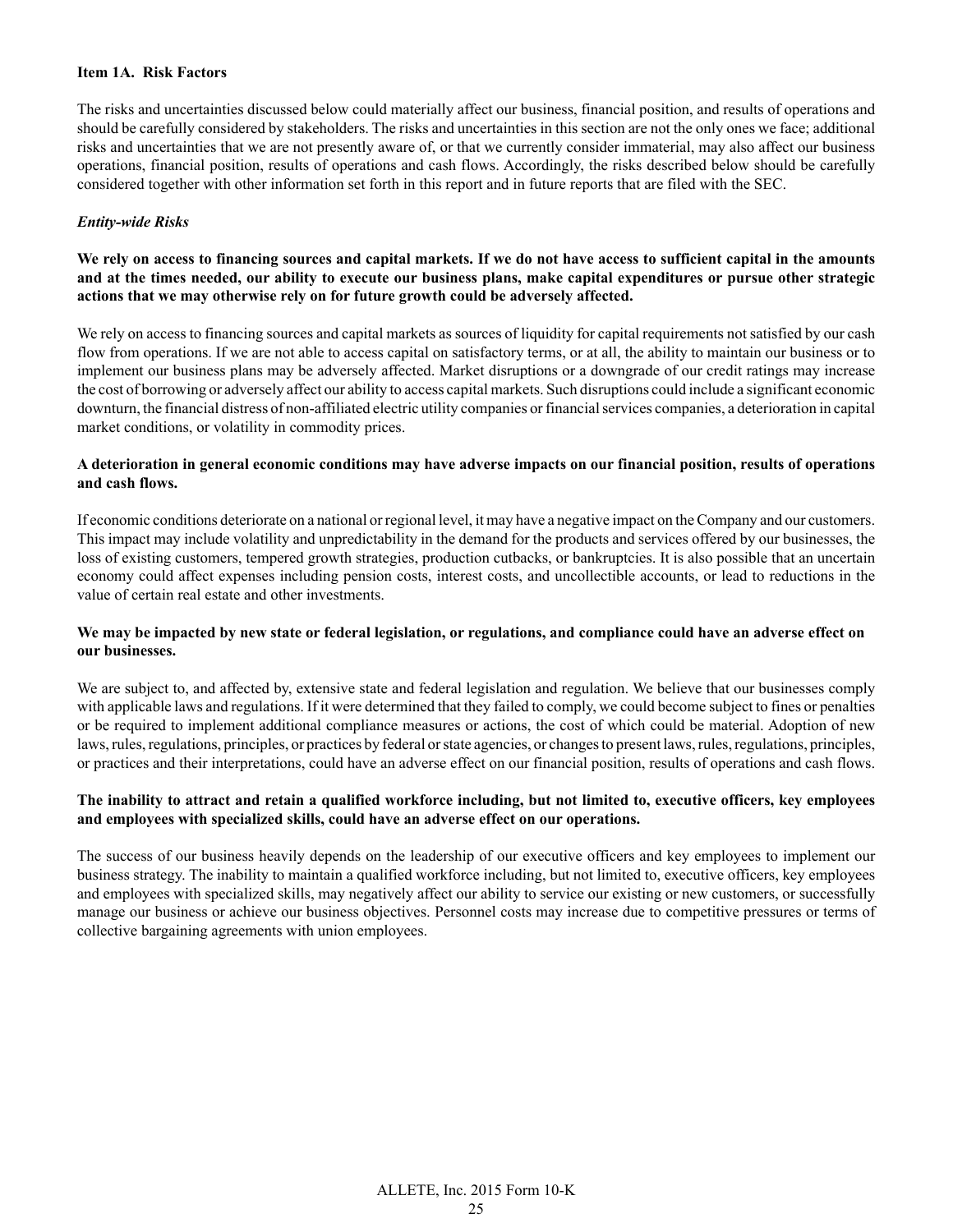#### <span id="page-24-0"></span>**Item 1A. Risk Factors**

The risks and uncertainties discussed below could materially affect our business, financial position, and results of operations and should be carefully considered by stakeholders. The risks and uncertainties in this section are not the only ones we face; additional risks and uncertainties that we are not presently aware of, or that we currently consider immaterial, may also affect our business operations, financial position, results of operations and cash flows. Accordingly, the risks described below should be carefully considered together with other information set forth in this report and in future reports that are filed with the SEC.

#### *Entity-wide Risks*

## **We rely on access to financing sources and capital markets. If we do not have access to sufficient capital in the amounts and at the times needed, our ability to execute our business plans, make capital expenditures or pursue other strategic actions that we may otherwise rely on for future growth could be adversely affected.**

We rely on access to financing sources and capital markets as sources of liquidity for capital requirements not satisfied by our cash flow from operations. If we are not able to access capital on satisfactory terms, or at all, the ability to maintain our business or to implement our business plans may be adversely affected. Market disruptions or a downgrade of our credit ratings may increase the cost of borrowing or adversely affect our ability to access capital markets. Such disruptions could include a significant economic downturn, the financial distress of non-affiliated electric utility companies or financial services companies, a deterioration in capital market conditions, or volatility in commodity prices.

#### **A deterioration in general economic conditions may have adverse impacts on our financial position, results of operations and cash flows.**

If economic conditions deteriorate on a national or regional level, it may have a negative impact on the Company and our customers. This impact may include volatility and unpredictability in the demand for the products and services offered by our businesses, the loss of existing customers, tempered growth strategies, production cutbacks, or bankruptcies. It is also possible that an uncertain economy could affect expenses including pension costs, interest costs, and uncollectible accounts, or lead to reductions in the value of certain real estate and other investments.

### **We may be impacted by new state or federal legislation, or regulations, and compliance could have an adverse effect on our businesses.**

We are subject to, and affected by, extensive state and federal legislation and regulation. We believe that our businesses comply with applicable laws and regulations. If it were determined that they failed to comply, we could become subject to fines or penalties or be required to implement additional compliance measures or actions, the cost of which could be material. Adoption of new laws, rules, regulations, principles, or practices by federal or state agencies, or changes to present laws, rules, regulations, principles, or practices and their interpretations, could have an adverse effect on our financial position, results of operations and cash flows.

### **The inability to attract and retain a qualified workforce including, but not limited to, executive officers, key employees and employees with specialized skills, could have an adverse effect on our operations.**

The success of our business heavily depends on the leadership of our executive officers and key employees to implement our business strategy. The inability to maintain a qualified workforce including, but not limited to, executive officers, key employees and employees with specialized skills, may negatively affect our ability to service our existing or new customers, or successfully manage our business or achieve our business objectives. Personnel costs may increase due to competitive pressures or terms of collective bargaining agreements with union employees.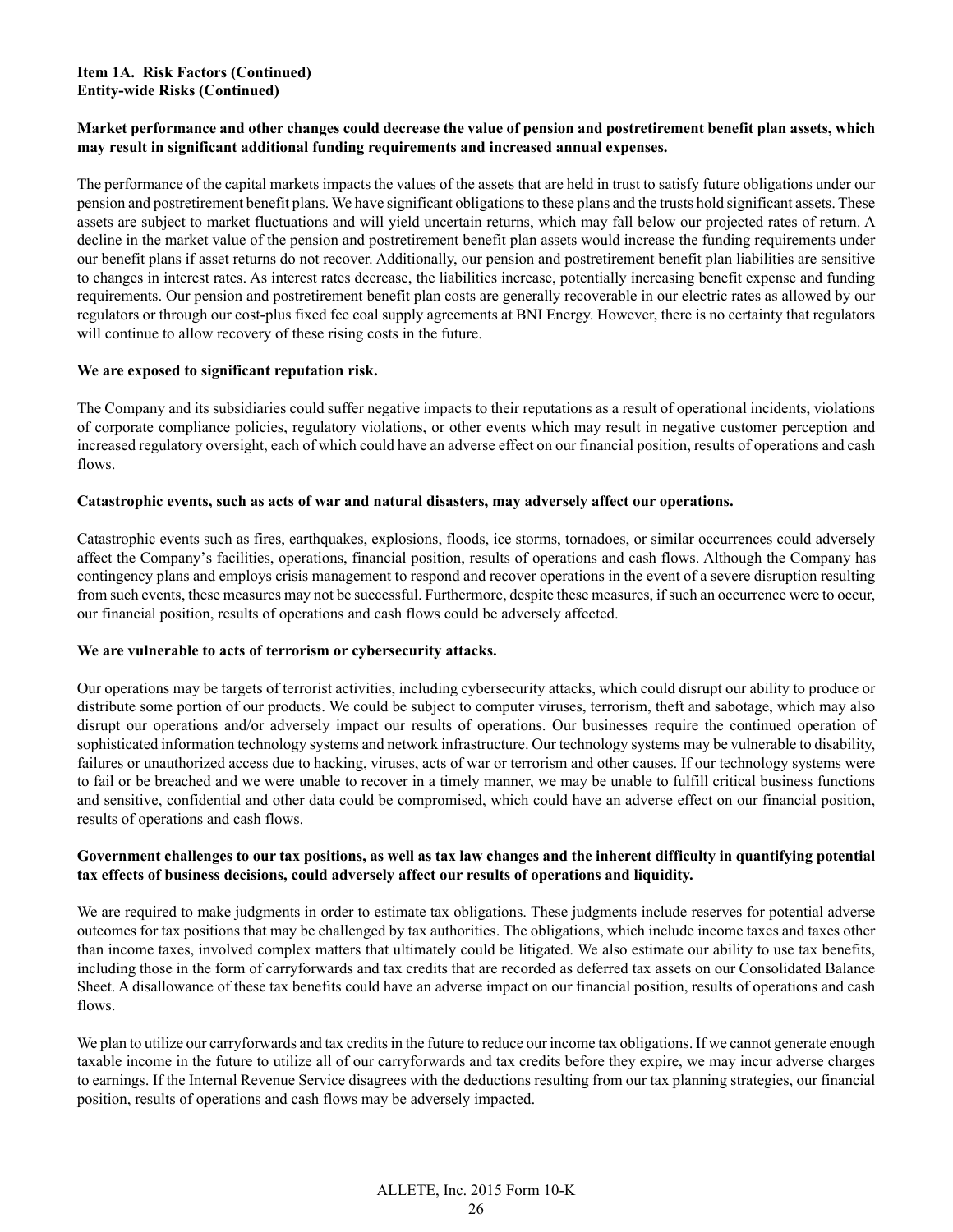# **Item 1A. Risk Factors (Continued) Entity-wide Risks (Continued)**

### **Market performance and other changes could decrease the value of pension and postretirement benefit plan assets, which may result in significant additional funding requirements and increased annual expenses.**

The performance of the capital markets impacts the values of the assets that are held in trust to satisfy future obligations under our pension and postretirement benefit plans. We have significant obligations to these plans and the trusts hold significant assets. These assets are subject to market fluctuations and will yield uncertain returns, which may fall below our projected rates of return. A decline in the market value of the pension and postretirement benefit plan assets would increase the funding requirements under our benefit plans if asset returns do not recover. Additionally, our pension and postretirement benefit plan liabilities are sensitive to changes in interest rates. As interest rates decrease, the liabilities increase, potentially increasing benefit expense and funding requirements. Our pension and postretirement benefit plan costs are generally recoverable in our electric rates as allowed by our regulators or through our cost-plus fixed fee coal supply agreements at BNI Energy. However, there is no certainty that regulators will continue to allow recovery of these rising costs in the future.

#### **We are exposed to significant reputation risk.**

The Company and its subsidiaries could suffer negative impacts to their reputations as a result of operational incidents, violations of corporate compliance policies, regulatory violations, or other events which may result in negative customer perception and increased regulatory oversight, each of which could have an adverse effect on our financial position, results of operations and cash flows.

#### **Catastrophic events, such as acts of war and natural disasters, may adversely affect our operations.**

Catastrophic events such as fires, earthquakes, explosions, floods, ice storms, tornadoes, or similar occurrences could adversely affect the Company's facilities, operations, financial position, results of operations and cash flows. Although the Company has contingency plans and employs crisis management to respond and recover operations in the event of a severe disruption resulting from such events, these measures may not be successful. Furthermore, despite these measures, if such an occurrence were to occur, our financial position, results of operations and cash flows could be adversely affected.

### **We are vulnerable to acts of terrorism or cybersecurity attacks.**

Our operations may be targets of terrorist activities, including cybersecurity attacks, which could disrupt our ability to produce or distribute some portion of our products. We could be subject to computer viruses, terrorism, theft and sabotage, which may also disrupt our operations and/or adversely impact our results of operations. Our businesses require the continued operation of sophisticated information technology systems and network infrastructure. Our technology systems may be vulnerable to disability, failures or unauthorized access due to hacking, viruses, acts of war or terrorism and other causes. If our technology systems were to fail or be breached and we were unable to recover in a timely manner, we may be unable to fulfill critical business functions and sensitive, confidential and other data could be compromised, which could have an adverse effect on our financial position, results of operations and cash flows.

### **Government challenges to our tax positions, as well as tax law changes and the inherent difficulty in quantifying potential tax effects of business decisions, could adversely affect our results of operations and liquidity.**

We are required to make judgments in order to estimate tax obligations. These judgments include reserves for potential adverse outcomes for tax positions that may be challenged by tax authorities. The obligations, which include income taxes and taxes other than income taxes, involved complex matters that ultimately could be litigated. We also estimate our ability to use tax benefits, including those in the form of carryforwards and tax credits that are recorded as deferred tax assets on our Consolidated Balance Sheet. A disallowance of these tax benefits could have an adverse impact on our financial position, results of operations and cash flows.

We plan to utilize our carryforwards and tax credits in the future to reduce our income tax obligations. If we cannot generate enough taxable income in the future to utilize all of our carryforwards and tax credits before they expire, we may incur adverse charges to earnings. If the Internal Revenue Service disagrees with the deductions resulting from our tax planning strategies, our financial position, results of operations and cash flows may be adversely impacted.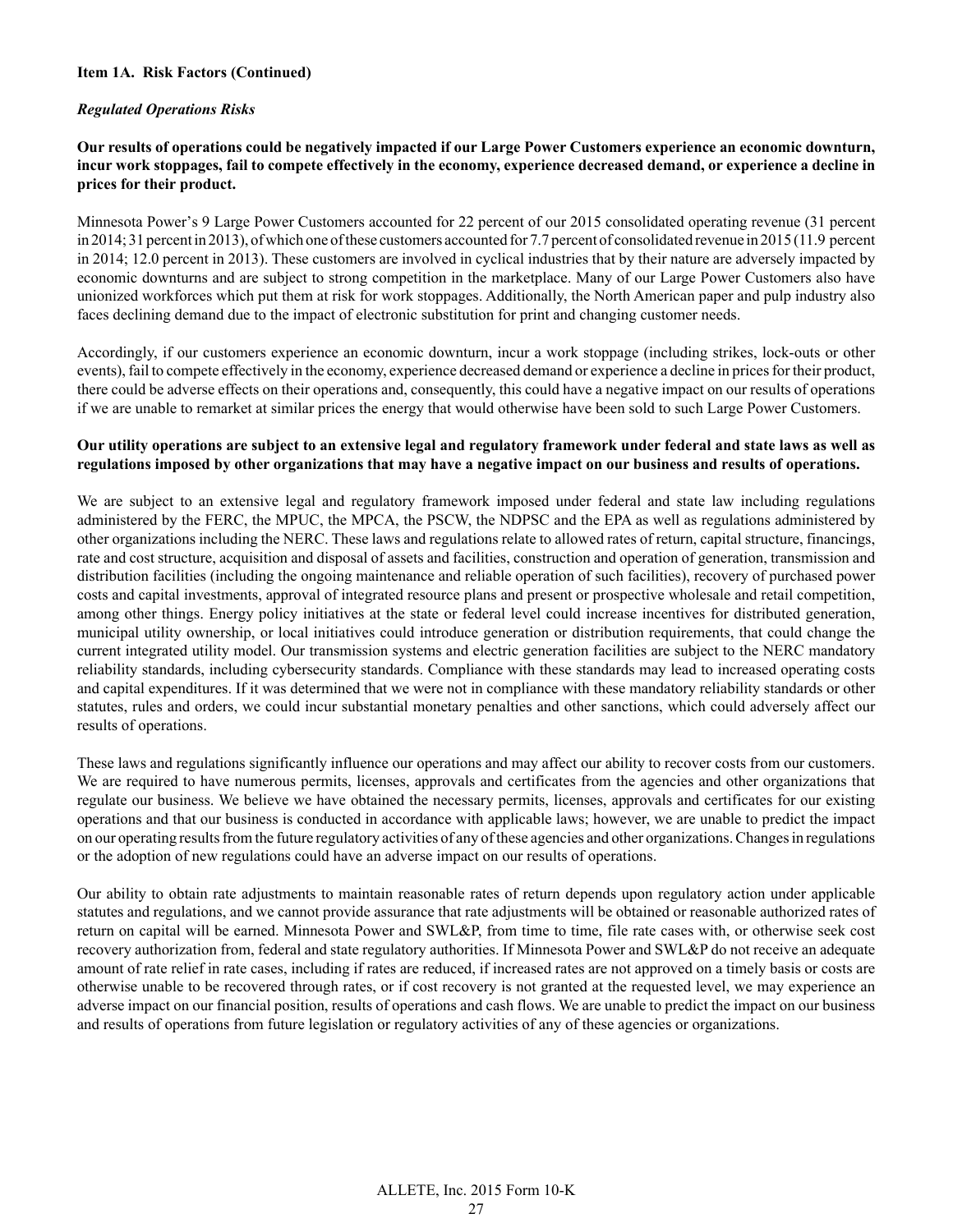### **Item 1A. Risk Factors (Continued)**

#### *Regulated Operations Risks*

**Our results of operations could be negatively impacted if our Large Power Customers experience an economic downturn, incur work stoppages, fail to compete effectively in the economy, experience decreased demand, or experience a decline in prices for their product.**

Minnesota Power's 9 Large Power Customers accounted for 22 percent of our 2015 consolidated operating revenue (31 percent in 2014; 31 percent in 2013), of which one of these customers accounted for 7.7 percent of consolidated revenue in 2015 (11.9 percent in 2014; 12.0 percent in 2013). These customers are involved in cyclical industries that by their nature are adversely impacted by economic downturns and are subject to strong competition in the marketplace. Many of our Large Power Customers also have unionized workforces which put them at risk for work stoppages. Additionally, the North American paper and pulp industry also faces declining demand due to the impact of electronic substitution for print and changing customer needs.

Accordingly, if our customers experience an economic downturn, incur a work stoppage (including strikes, lock-outs or other events), fail to compete effectively in the economy, experience decreased demand or experience a decline in prices for their product, there could be adverse effects on their operations and, consequently, this could have a negative impact on our results of operations if we are unable to remarket at similar prices the energy that would otherwise have been sold to such Large Power Customers.

#### **Our utility operations are subject to an extensive legal and regulatory framework under federal and state laws as well as regulations imposed by other organizations that may have a negative impact on our business and results of operations.**

We are subject to an extensive legal and regulatory framework imposed under federal and state law including regulations administered by the FERC, the MPUC, the MPCA, the PSCW, the NDPSC and the EPA as well as regulations administered by other organizations including the NERC. These laws and regulations relate to allowed rates of return, capital structure, financings, rate and cost structure, acquisition and disposal of assets and facilities, construction and operation of generation, transmission and distribution facilities (including the ongoing maintenance and reliable operation of such facilities), recovery of purchased power costs and capital investments, approval of integrated resource plans and present or prospective wholesale and retail competition, among other things. Energy policy initiatives at the state or federal level could increase incentives for distributed generation, municipal utility ownership, or local initiatives could introduce generation or distribution requirements, that could change the current integrated utility model. Our transmission systems and electric generation facilities are subject to the NERC mandatory reliability standards, including cybersecurity standards. Compliance with these standards may lead to increased operating costs and capital expenditures. If it was determined that we were not in compliance with these mandatory reliability standards or other statutes, rules and orders, we could incur substantial monetary penalties and other sanctions, which could adversely affect our results of operations.

These laws and regulations significantly influence our operations and may affect our ability to recover costs from our customers. We are required to have numerous permits, licenses, approvals and certificates from the agencies and other organizations that regulate our business. We believe we have obtained the necessary permits, licenses, approvals and certificates for our existing operations and that our business is conducted in accordance with applicable laws; however, we are unable to predict the impact on our operating results from the future regulatory activities of any of these agencies and other organizations. Changes in regulations or the adoption of new regulations could have an adverse impact on our results of operations.

Our ability to obtain rate adjustments to maintain reasonable rates of return depends upon regulatory action under applicable statutes and regulations, and we cannot provide assurance that rate adjustments will be obtained or reasonable authorized rates of return on capital will be earned. Minnesota Power and SWL&P, from time to time, file rate cases with, or otherwise seek cost recovery authorization from, federal and state regulatory authorities. If Minnesota Power and SWL&P do not receive an adequate amount of rate relief in rate cases, including if rates are reduced, if increased rates are not approved on a timely basis or costs are otherwise unable to be recovered through rates, or if cost recovery is not granted at the requested level, we may experience an adverse impact on our financial position, results of operations and cash flows. We are unable to predict the impact on our business and results of operations from future legislation or regulatory activities of any of these agencies or organizations.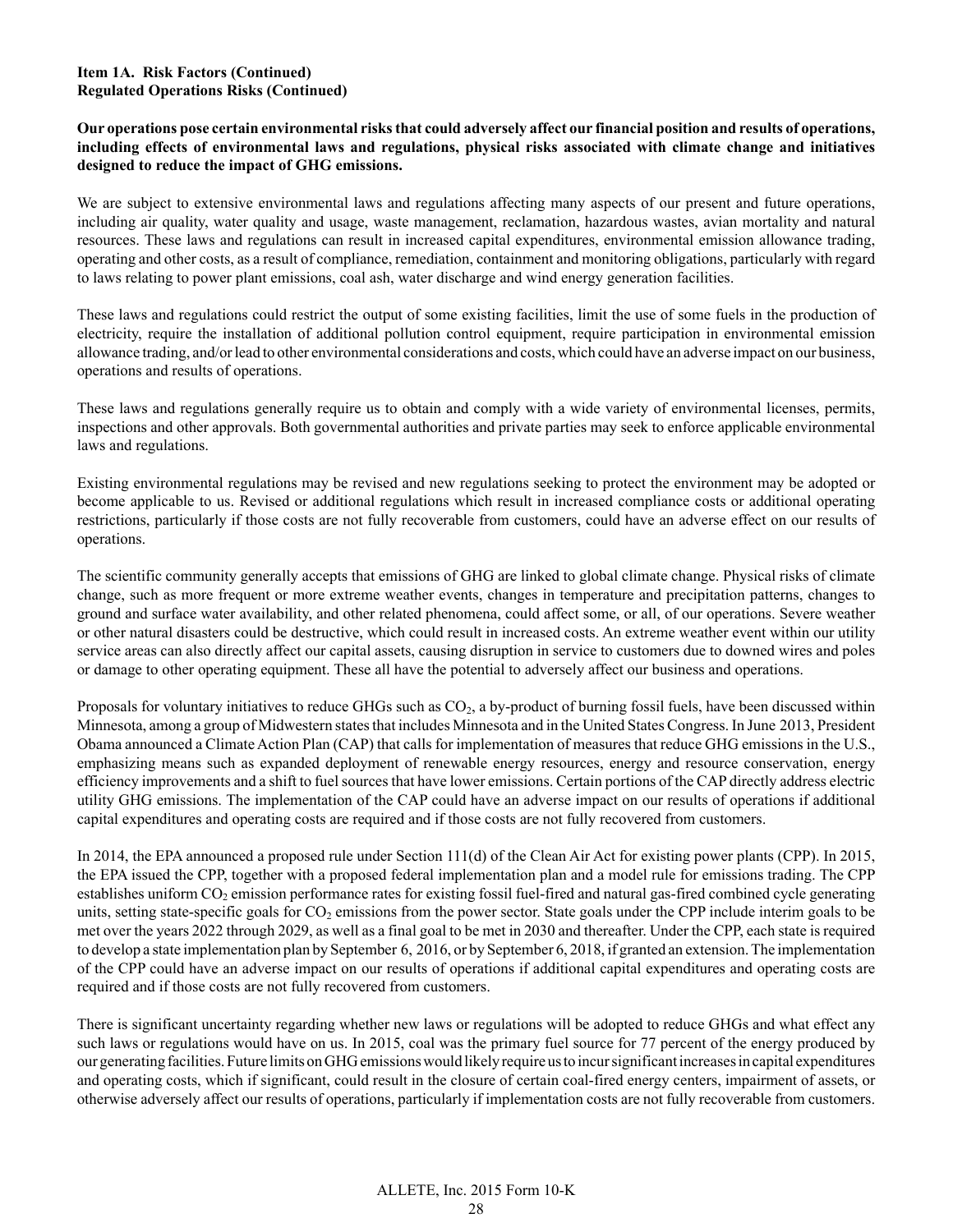## **Item 1A. Risk Factors (Continued) Regulated Operations Risks (Continued)**

## **Our operations pose certain environmental risks that could adversely affect our financial position and results of operations, including effects of environmental laws and regulations, physical risks associated with climate change and initiatives designed to reduce the impact of GHG emissions.**

We are subject to extensive environmental laws and regulations affecting many aspects of our present and future operations, including air quality, water quality and usage, waste management, reclamation, hazardous wastes, avian mortality and natural resources. These laws and regulations can result in increased capital expenditures, environmental emission allowance trading, operating and other costs, as a result of compliance, remediation, containment and monitoring obligations, particularly with regard to laws relating to power plant emissions, coal ash, water discharge and wind energy generation facilities.

These laws and regulations could restrict the output of some existing facilities, limit the use of some fuels in the production of electricity, require the installation of additional pollution control equipment, require participation in environmental emission allowance trading, and/or lead to other environmental considerations and costs, which could have an adverse impact on our business, operations and results of operations.

These laws and regulations generally require us to obtain and comply with a wide variety of environmental licenses, permits, inspections and other approvals. Both governmental authorities and private parties may seek to enforce applicable environmental laws and regulations.

Existing environmental regulations may be revised and new regulations seeking to protect the environment may be adopted or become applicable to us. Revised or additional regulations which result in increased compliance costs or additional operating restrictions, particularly if those costs are not fully recoverable from customers, could have an adverse effect on our results of operations.

The scientific community generally accepts that emissions of GHG are linked to global climate change. Physical risks of climate change, such as more frequent or more extreme weather events, changes in temperature and precipitation patterns, changes to ground and surface water availability, and other related phenomena, could affect some, or all, of our operations. Severe weather or other natural disasters could be destructive, which could result in increased costs. An extreme weather event within our utility service areas can also directly affect our capital assets, causing disruption in service to customers due to downed wires and poles or damage to other operating equipment. These all have the potential to adversely affect our business and operations.

Proposals for voluntary initiatives to reduce GHGs such as  $CO<sub>2</sub>$ , a by-product of burning fossil fuels, have been discussed within Minnesota, among a group of Midwestern states that includes Minnesota and in the United States Congress. In June 2013, President Obama announced a Climate Action Plan (CAP) that calls for implementation of measures that reduce GHG emissions in the U.S., emphasizing means such as expanded deployment of renewable energy resources, energy and resource conservation, energy efficiency improvements and a shift to fuel sources that have lower emissions. Certain portions of the CAP directly address electric utility GHG emissions. The implementation of the CAP could have an adverse impact on our results of operations if additional capital expenditures and operating costs are required and if those costs are not fully recovered from customers.

In 2014, the EPA announced a proposed rule under Section 111(d) of the Clean Air Act for existing power plants (CPP). In 2015, the EPA issued the CPP, together with a proposed federal implementation plan and a model rule for emissions trading. The CPP establishes uniform  $CO_2$  emission performance rates for existing fossil fuel-fired and natural gas-fired combined cycle generating units, setting state-specific goals for  $CO<sub>2</sub>$  emissions from the power sector. State goals under the CPP include interim goals to be met over the years 2022 through 2029, as well as a final goal to be met in 2030 and thereafter. Under the CPP, each state is required to develop a state implementation plan by September 6, 2016, or by September 6, 2018, if granted an extension. The implementation of the CPP could have an adverse impact on our results of operations if additional capital expenditures and operating costs are required and if those costs are not fully recovered from customers.

There is significant uncertainty regarding whether new laws or regulations will be adopted to reduce GHGs and what effect any such laws or regulations would have on us. In 2015, coal was the primary fuel source for 77 percent of the energy produced by our generating facilities. Future limits on GHG emissions would likely require us to incur significant increases in capital expenditures and operating costs, which if significant, could result in the closure of certain coal-fired energy centers, impairment of assets, or otherwise adversely affect our results of operations, particularly if implementation costs are not fully recoverable from customers.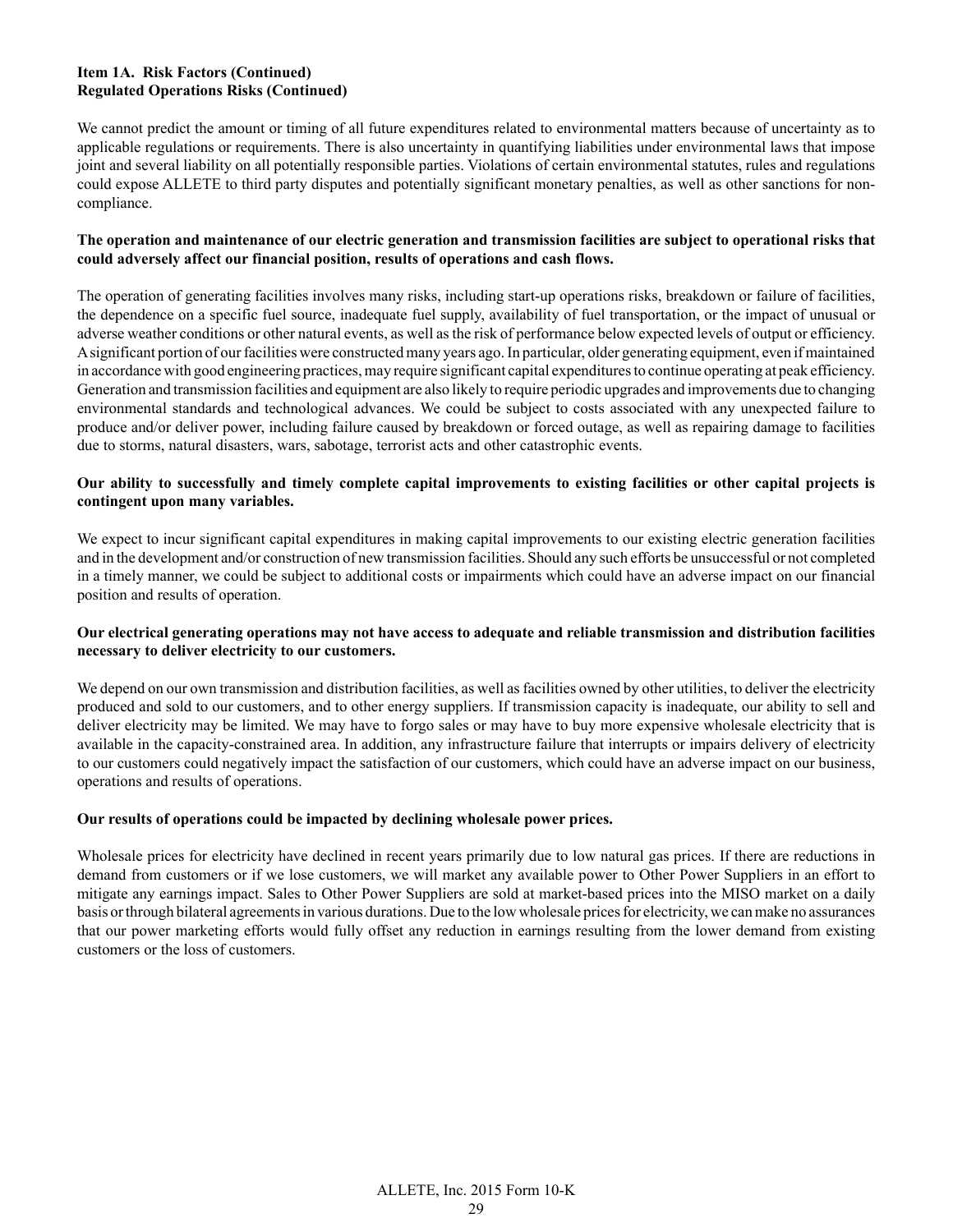## **Item 1A. Risk Factors (Continued) Regulated Operations Risks (Continued)**

We cannot predict the amount or timing of all future expenditures related to environmental matters because of uncertainty as to applicable regulations or requirements. There is also uncertainty in quantifying liabilities under environmental laws that impose joint and several liability on all potentially responsible parties. Violations of certain environmental statutes, rules and regulations could expose ALLETE to third party disputes and potentially significant monetary penalties, as well as other sanctions for noncompliance.

### **The operation and maintenance of our electric generation and transmission facilities are subject to operational risks that could adversely affect our financial position, results of operations and cash flows.**

The operation of generating facilities involves many risks, including start-up operations risks, breakdown or failure of facilities, the dependence on a specific fuel source, inadequate fuel supply, availability of fuel transportation, or the impact of unusual or adverse weather conditions or other natural events, as well as the risk of performance below expected levels of output or efficiency. A significant portion of our facilities were constructed many years ago. In particular, older generating equipment, even if maintained in accordance with good engineering practices, may require significant capital expenditures to continue operating at peak efficiency. Generation and transmission facilities and equipment are also likely to require periodic upgrades and improvements due to changing environmental standards and technological advances. We could be subject to costs associated with any unexpected failure to produce and/or deliver power, including failure caused by breakdown or forced outage, as well as repairing damage to facilities due to storms, natural disasters, wars, sabotage, terrorist acts and other catastrophic events.

# **Our ability to successfully and timely complete capital improvements to existing facilities or other capital projects is contingent upon many variables.**

We expect to incur significant capital expenditures in making capital improvements to our existing electric generation facilities and in the development and/or construction of new transmission facilities. Should any such efforts be unsuccessful or not completed in a timely manner, we could be subject to additional costs or impairments which could have an adverse impact on our financial position and results of operation.

# **Our electrical generating operations may not have access to adequate and reliable transmission and distribution facilities necessary to deliver electricity to our customers.**

We depend on our own transmission and distribution facilities, as well as facilities owned by other utilities, to deliver the electricity produced and sold to our customers, and to other energy suppliers. If transmission capacity is inadequate, our ability to sell and deliver electricity may be limited. We may have to forgo sales or may have to buy more expensive wholesale electricity that is available in the capacity-constrained area. In addition, any infrastructure failure that interrupts or impairs delivery of electricity to our customers could negatively impact the satisfaction of our customers, which could have an adverse impact on our business, operations and results of operations.

### **Our results of operations could be impacted by declining wholesale power prices.**

Wholesale prices for electricity have declined in recent years primarily due to low natural gas prices. If there are reductions in demand from customers or if we lose customers, we will market any available power to Other Power Suppliers in an effort to mitigate any earnings impact. Sales to Other Power Suppliers are sold at market-based prices into the MISO market on a daily basis or through bilateral agreements in various durations. Due to the low wholesale prices for electricity, we can make no assurances that our power marketing efforts would fully offset any reduction in earnings resulting from the lower demand from existing customers or the loss of customers.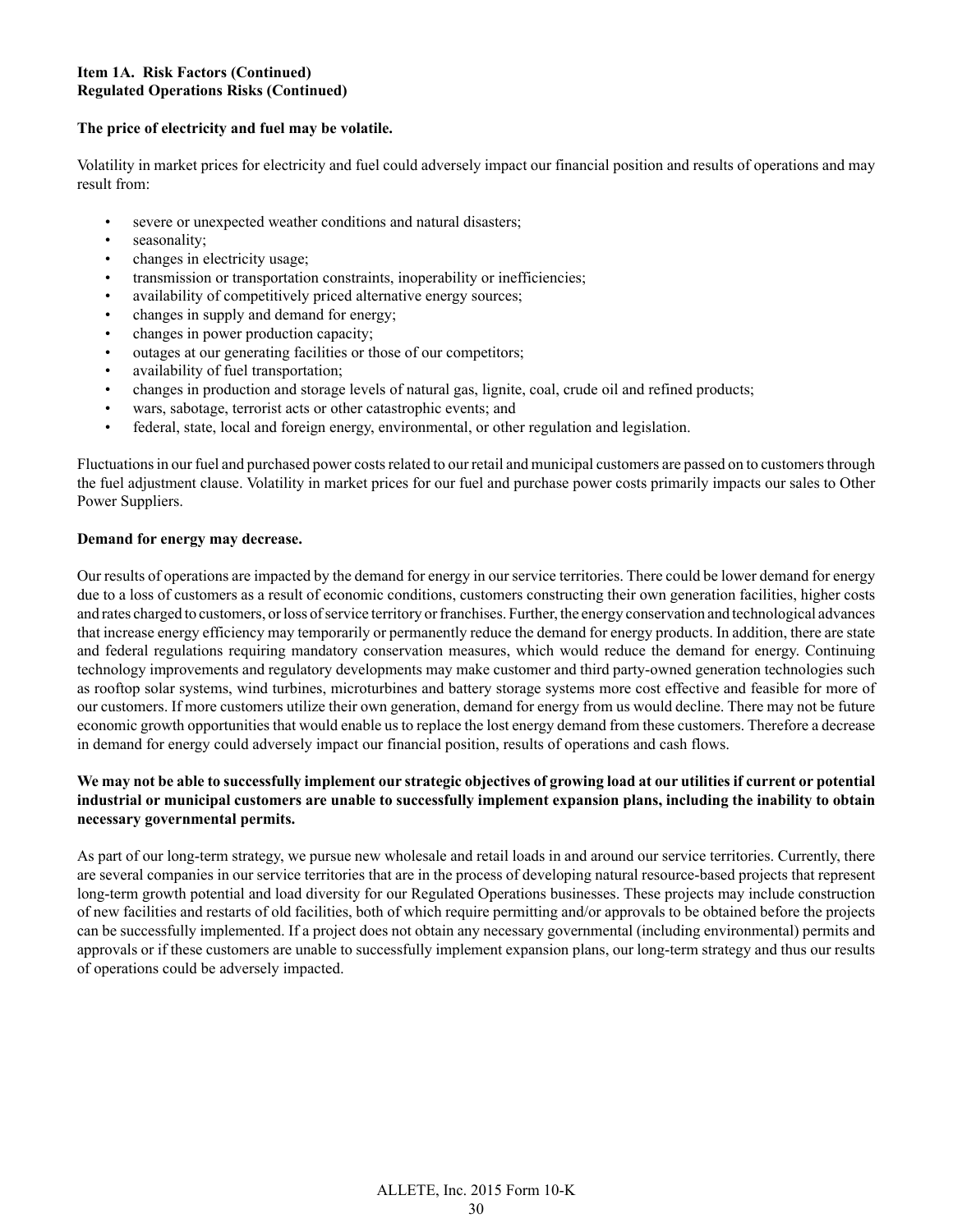## **Item 1A. Risk Factors (Continued) Regulated Operations Risks (Continued)**

### **The price of electricity and fuel may be volatile.**

Volatility in market prices for electricity and fuel could adversely impact our financial position and results of operations and may result from:

- severe or unexpected weather conditions and natural disasters;
- seasonality;
- changes in electricity usage;
- transmission or transportation constraints, inoperability or inefficiencies;
- availability of competitively priced alternative energy sources;
- changes in supply and demand for energy;
- changes in power production capacity;
- outages at our generating facilities or those of our competitors;
- availability of fuel transportation;
- changes in production and storage levels of natural gas, lignite, coal, crude oil and refined products;
- wars, sabotage, terrorist acts or other catastrophic events; and
- federal, state, local and foreign energy, environmental, or other regulation and legislation.

Fluctuations in our fuel and purchased power costs related to our retail and municipal customers are passed on to customers through the fuel adjustment clause. Volatility in market prices for our fuel and purchase power costs primarily impacts our sales to Other Power Suppliers.

### **Demand for energy may decrease.**

Our results of operations are impacted by the demand for energy in our service territories. There could be lower demand for energy due to a loss of customers as a result of economic conditions, customers constructing their own generation facilities, higher costs and rates charged to customers, or loss of service territory or franchises. Further, the energy conservation and technological advances that increase energy efficiency may temporarily or permanently reduce the demand for energy products. In addition, there are state and federal regulations requiring mandatory conservation measures, which would reduce the demand for energy. Continuing technology improvements and regulatory developments may make customer and third party-owned generation technologies such as rooftop solar systems, wind turbines, microturbines and battery storage systems more cost effective and feasible for more of our customers. If more customers utilize their own generation, demand for energy from us would decline. There may not be future economic growth opportunities that would enable us to replace the lost energy demand from these customers. Therefore a decrease in demand for energy could adversely impact our financial position, results of operations and cash flows.

## **We may not be able to successfully implement our strategic objectives of growing load at our utilities if current or potential industrial or municipal customers are unable to successfully implement expansion plans, including the inability to obtain necessary governmental permits.**

As part of our long-term strategy, we pursue new wholesale and retail loads in and around our service territories. Currently, there are several companies in our service territories that are in the process of developing natural resource-based projects that represent long-term growth potential and load diversity for our Regulated Operations businesses. These projects may include construction of new facilities and restarts of old facilities, both of which require permitting and/or approvals to be obtained before the projects can be successfully implemented. If a project does not obtain any necessary governmental (including environmental) permits and approvals or if these customers are unable to successfully implement expansion plans, our long-term strategy and thus our results of operations could be adversely impacted.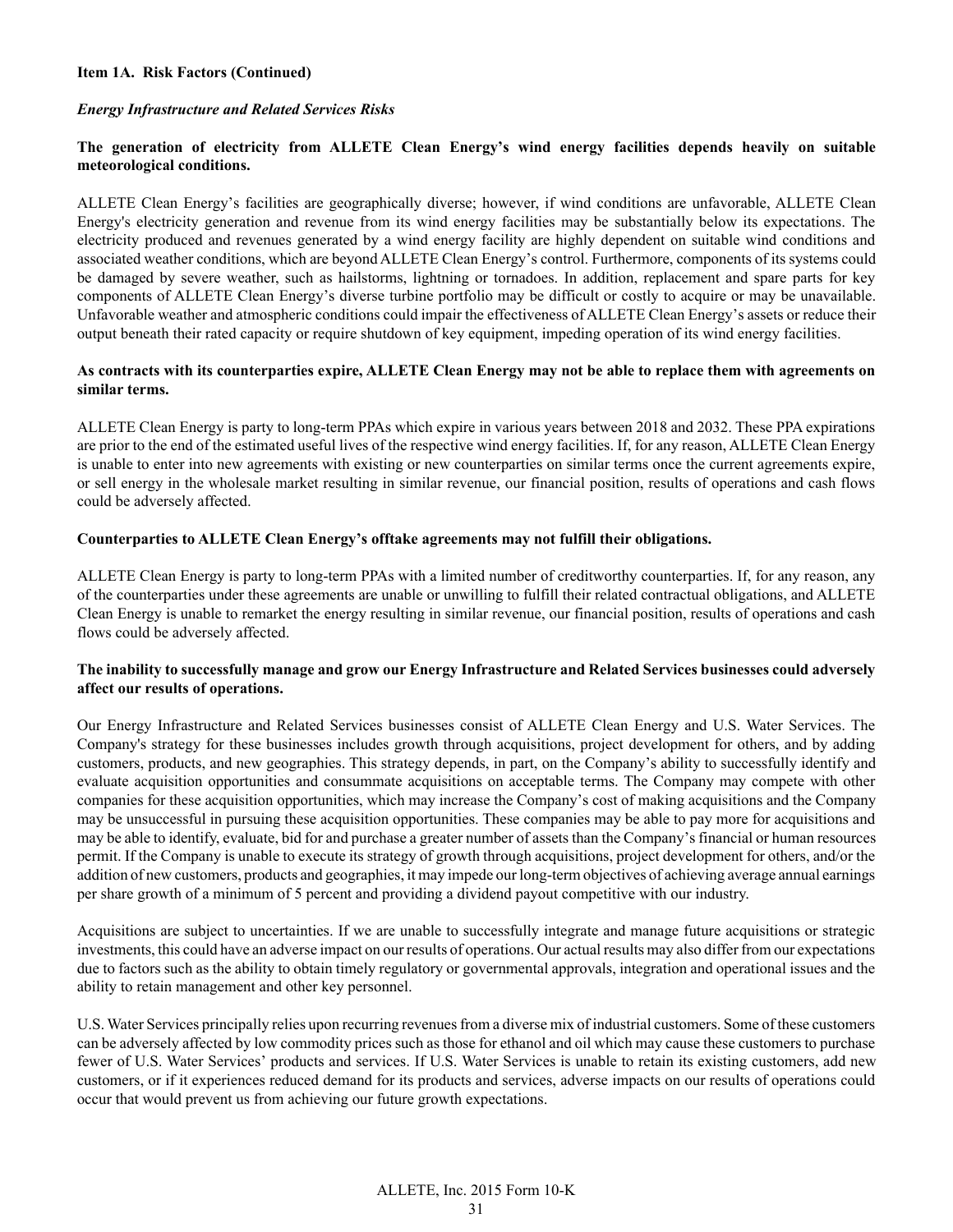#### **Item 1A. Risk Factors (Continued)**

#### *Energy Infrastructure and Related Services Risks*

### **The generation of electricity from ALLETE Clean Energy's wind energy facilities depends heavily on suitable meteorological conditions.**

ALLETE Clean Energy's facilities are geographically diverse; however, if wind conditions are unfavorable, ALLETE Clean Energy's electricity generation and revenue from its wind energy facilities may be substantially below its expectations. The electricity produced and revenues generated by a wind energy facility are highly dependent on suitable wind conditions and associated weather conditions, which are beyond ALLETE Clean Energy's control. Furthermore, components of its systems could be damaged by severe weather, such as hailstorms, lightning or tornadoes. In addition, replacement and spare parts for key components of ALLETE Clean Energy's diverse turbine portfolio may be difficult or costly to acquire or may be unavailable. Unfavorable weather and atmospheric conditions could impair the effectiveness of ALLETE Clean Energy's assets or reduce their output beneath their rated capacity or require shutdown of key equipment, impeding operation of its wind energy facilities.

#### **As contracts with its counterparties expire, ALLETE Clean Energy may not be able to replace them with agreements on similar terms.**

ALLETE Clean Energy is party to long-term PPAs which expire in various years between 2018 and 2032. These PPA expirations are prior to the end of the estimated useful lives of the respective wind energy facilities. If, for any reason, ALLETE Clean Energy is unable to enter into new agreements with existing or new counterparties on similar terms once the current agreements expire, or sell energy in the wholesale market resulting in similar revenue, our financial position, results of operations and cash flows could be adversely affected.

#### **Counterparties to ALLETE Clean Energy's offtake agreements may not fulfill their obligations.**

ALLETE Clean Energy is party to long-term PPAs with a limited number of creditworthy counterparties. If, for any reason, any of the counterparties under these agreements are unable or unwilling to fulfill their related contractual obligations, and ALLETE Clean Energy is unable to remarket the energy resulting in similar revenue, our financial position, results of operations and cash flows could be adversely affected.

#### **The inability to successfully manage and grow our Energy Infrastructure and Related Services businesses could adversely affect our results of operations.**

Our Energy Infrastructure and Related Services businesses consist of ALLETE Clean Energy and U.S. Water Services. The Company's strategy for these businesses includes growth through acquisitions, project development for others, and by adding customers, products, and new geographies. This strategy depends, in part, on the Company's ability to successfully identify and evaluate acquisition opportunities and consummate acquisitions on acceptable terms. The Company may compete with other companies for these acquisition opportunities, which may increase the Company's cost of making acquisitions and the Company may be unsuccessful in pursuing these acquisition opportunities. These companies may be able to pay more for acquisitions and may be able to identify, evaluate, bid for and purchase a greater number of assets than the Company's financial or human resources permit. If the Company is unable to execute its strategy of growth through acquisitions, project development for others, and/or the addition of new customers, products and geographies, it may impede our long-term objectives of achieving average annual earnings per share growth of a minimum of 5 percent and providing a dividend payout competitive with our industry.

Acquisitions are subject to uncertainties. If we are unable to successfully integrate and manage future acquisitions or strategic investments, this could have an adverse impact on our results of operations. Our actual results may also differ from our expectations due to factors such as the ability to obtain timely regulatory or governmental approvals, integration and operational issues and the ability to retain management and other key personnel.

U.S. Water Services principally relies upon recurring revenues from a diverse mix of industrial customers. Some of these customers can be adversely affected by low commodity prices such as those for ethanol and oil which may cause these customers to purchase fewer of U.S. Water Services' products and services. If U.S. Water Services is unable to retain its existing customers, add new customers, or if it experiences reduced demand for its products and services, adverse impacts on our results of operations could occur that would prevent us from achieving our future growth expectations.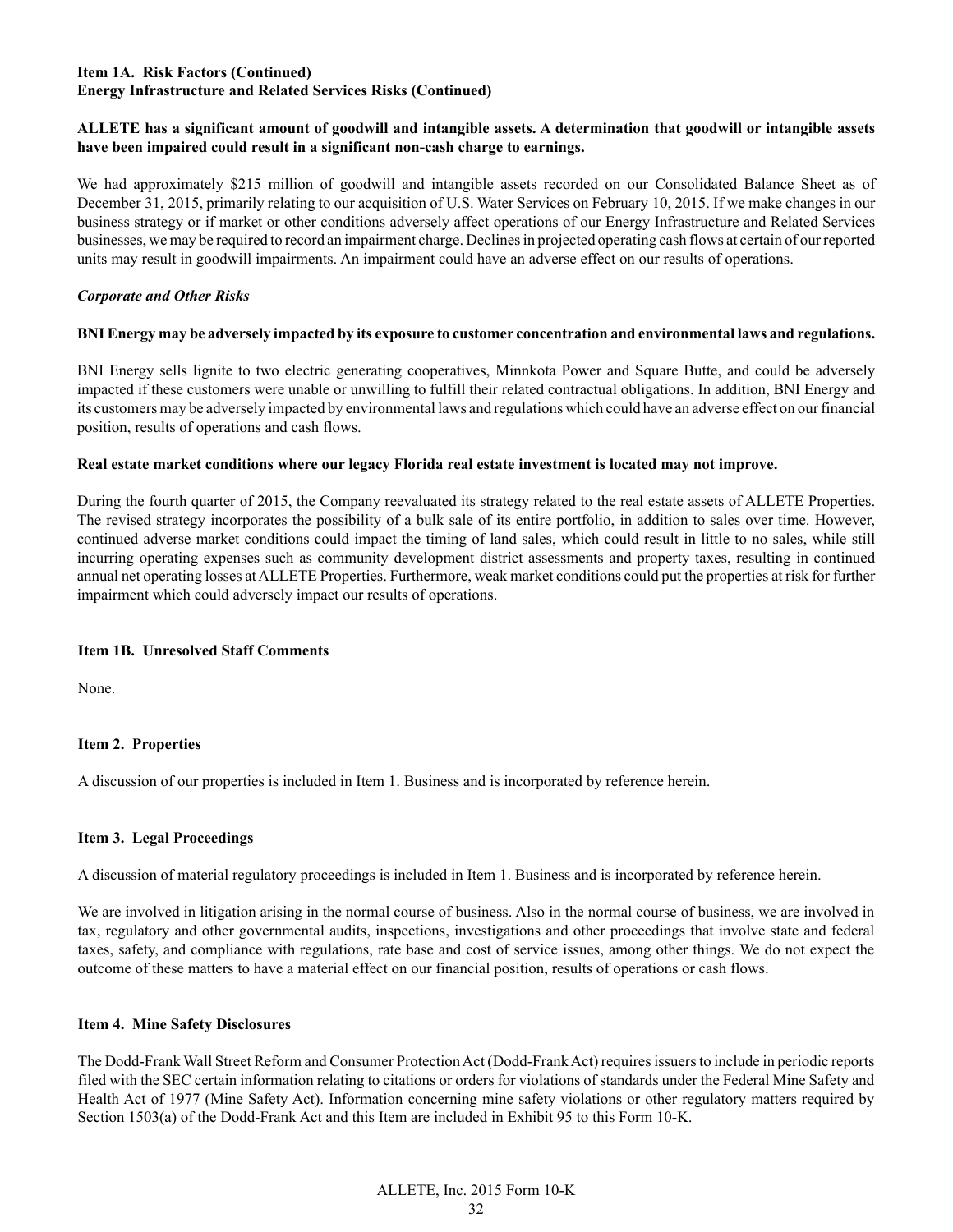# <span id="page-31-0"></span>**Item 1A. Risk Factors (Continued) Energy Infrastructure and Related Services Risks (Continued)**

## **ALLETE has a significant amount of goodwill and intangible assets. A determination that goodwill or intangible assets have been impaired could result in a significant non-cash charge to earnings.**

We had approximately \$215 million of goodwill and intangible assets recorded on our Consolidated Balance Sheet as of December 31, 2015, primarily relating to our acquisition of U.S. Water Services on February 10, 2015. If we make changes in our business strategy or if market or other conditions adversely affect operations of our Energy Infrastructure and Related Services businesses, we may be required to record an impairment charge. Declines in projected operating cash flows at certain of our reported units may result in goodwill impairments. An impairment could have an adverse effect on our results of operations.

### *Corporate and Other Risks*

#### **BNI Energy may be adversely impacted by its exposure to customer concentration and environmental laws and regulations.**

BNI Energy sells lignite to two electric generating cooperatives, Minnkota Power and Square Butte, and could be adversely impacted if these customers were unable or unwilling to fulfill their related contractual obligations. In addition, BNI Energy and its customers may be adversely impacted by environmental laws and regulations which could have an adverse effect on our financial position, results of operations and cash flows.

#### **Real estate market conditions where our legacy Florida real estate investment is located may not improve.**

During the fourth quarter of 2015, the Company reevaluated its strategy related to the real estate assets of ALLETE Properties. The revised strategy incorporates the possibility of a bulk sale of its entire portfolio, in addition to sales over time. However, continued adverse market conditions could impact the timing of land sales, which could result in little to no sales, while still incurring operating expenses such as community development district assessments and property taxes, resulting in continued annual net operating losses at ALLETE Properties. Furthermore, weak market conditions could put the properties at risk for further impairment which could adversely impact our results of operations.

### **Item 1B. Unresolved Staff Comments**

None.

# **Item 2. Properties**

A discussion of our properties is included in Item 1. Business and is incorporated by reference herein.

### **Item 3. Legal Proceedings**

A discussion of material regulatory proceedings is included in Item 1. Business and is incorporated by reference herein.

We are involved in litigation arising in the normal course of business. Also in the normal course of business, we are involved in tax, regulatory and other governmental audits, inspections, investigations and other proceedings that involve state and federal taxes, safety, and compliance with regulations, rate base and cost of service issues, among other things. We do not expect the outcome of these matters to have a material effect on our financial position, results of operations or cash flows.

#### **Item 4. Mine Safety Disclosures**

The Dodd-Frank Wall Street Reform and Consumer Protection Act (Dodd-Frank Act) requires issuers to include in periodic reports filed with the SEC certain information relating to citations or orders for violations of standards under the Federal Mine Safety and Health Act of 1977 (Mine Safety Act). Information concerning mine safety violations or other regulatory matters required by Section 1503(a) of the Dodd-Frank Act and this Item are included in Exhibit 95 to this Form 10-K.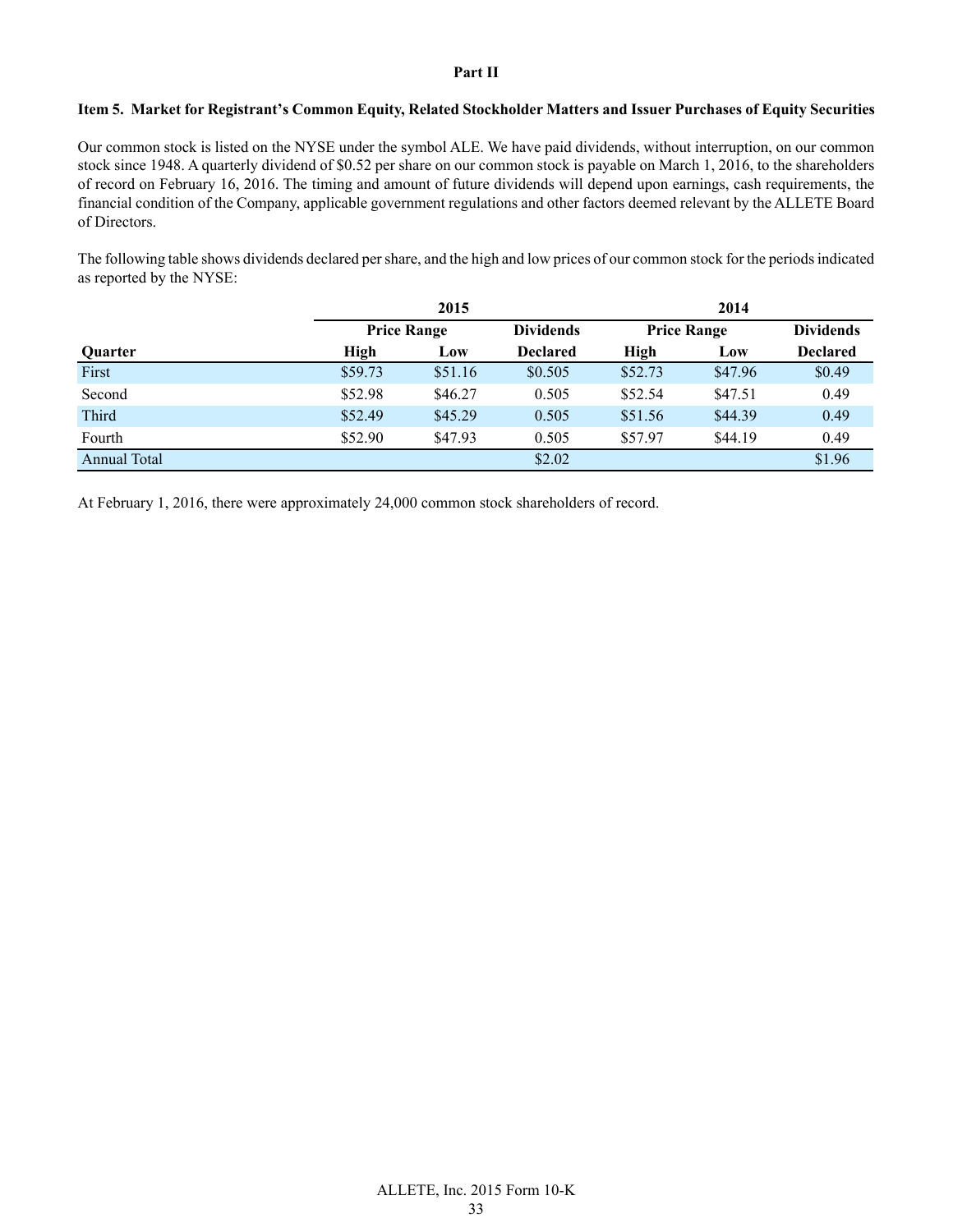#### **Part II**

#### <span id="page-32-0"></span>**Item 5. Market for Registrant's Common Equity, Related Stockholder Matters and Issuer Purchases of Equity Securities**

Our common stock is listed on the NYSE under the symbol ALE. We have paid dividends, without interruption, on our common stock since 1948. A quarterly dividend of \$0.52 per share on our common stock is payable on March 1, 2016, to the shareholders of record on February 16, 2016. The timing and amount of future dividends will depend upon earnings, cash requirements, the financial condition of the Company, applicable government regulations and other factors deemed relevant by the ALLETE Board of Directors.

The following table shows dividends declared per share, and the high and low prices of our common stock for the periods indicated as reported by the NYSE:

|                     | 2015               |         |                  | 2014               |         |                  |  |
|---------------------|--------------------|---------|------------------|--------------------|---------|------------------|--|
|                     | <b>Price Range</b> |         | <b>Dividends</b> | <b>Price Range</b> |         | <b>Dividends</b> |  |
| Quarter             | High               | Low     | <b>Declared</b>  | High               | Low     | <b>Declared</b>  |  |
| First               | \$59.73            | \$51.16 | \$0.505          | \$52.73            | \$47.96 | \$0.49           |  |
| Second              | \$52.98            | \$46.27 | 0.505            | \$52.54            | \$47.51 | 0.49             |  |
| Third               | \$52.49            | \$45.29 | 0.505            | \$51.56            | \$44.39 | 0.49             |  |
| Fourth              | \$52.90            | \$47.93 | 0.505            | \$57.97            | \$44.19 | 0.49             |  |
| <b>Annual Total</b> |                    |         | \$2.02           |                    |         | \$1.96           |  |

At February 1, 2016, there were approximately 24,000 common stock shareholders of record.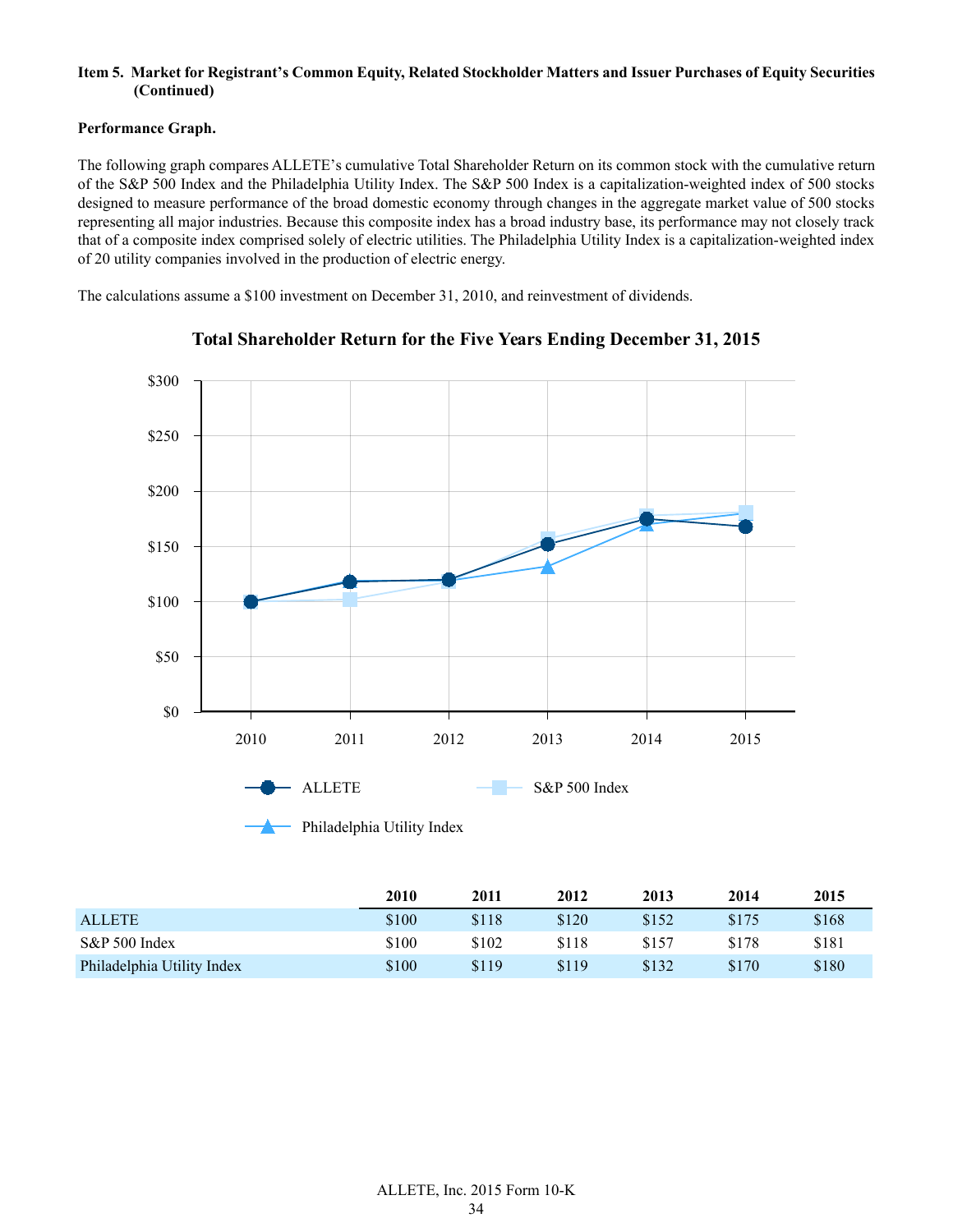## **Item 5. Market for Registrant's Common Equity, Related Stockholder Matters and Issuer Purchases of Equity Securities (Continued)**

## **Performance Graph.**

The following graph compares ALLETE's cumulative Total Shareholder Return on its common stock with the cumulative return of the S&P 500 Index and the Philadelphia Utility Index. The S&P 500 Index is a capitalization-weighted index of 500 stocks designed to measure performance of the broad domestic economy through changes in the aggregate market value of 500 stocks representing all major industries. Because this composite index has a broad industry base, its performance may not closely track that of a composite index comprised solely of electric utilities. The Philadelphia Utility Index is a capitalization-weighted index of 20 utility companies involved in the production of electric energy.

The calculations assume a \$100 investment on December 31, 2010, and reinvestment of dividends.



# **Total Shareholder Return for the Five Years Ending December 31, 2015**

|                            | 2010  | 2011  | 2012  | 2013  | 2014  | 2015  |
|----------------------------|-------|-------|-------|-------|-------|-------|
| <b>ALLETE</b>              | \$100 | \$118 | \$120 | \$152 | \$175 | \$168 |
| S&P 500 Index              | \$100 | \$102 | \$118 | \$157 | \$178 | \$181 |
| Philadelphia Utility Index | \$100 | \$119 | \$119 | \$132 | \$170 | \$180 |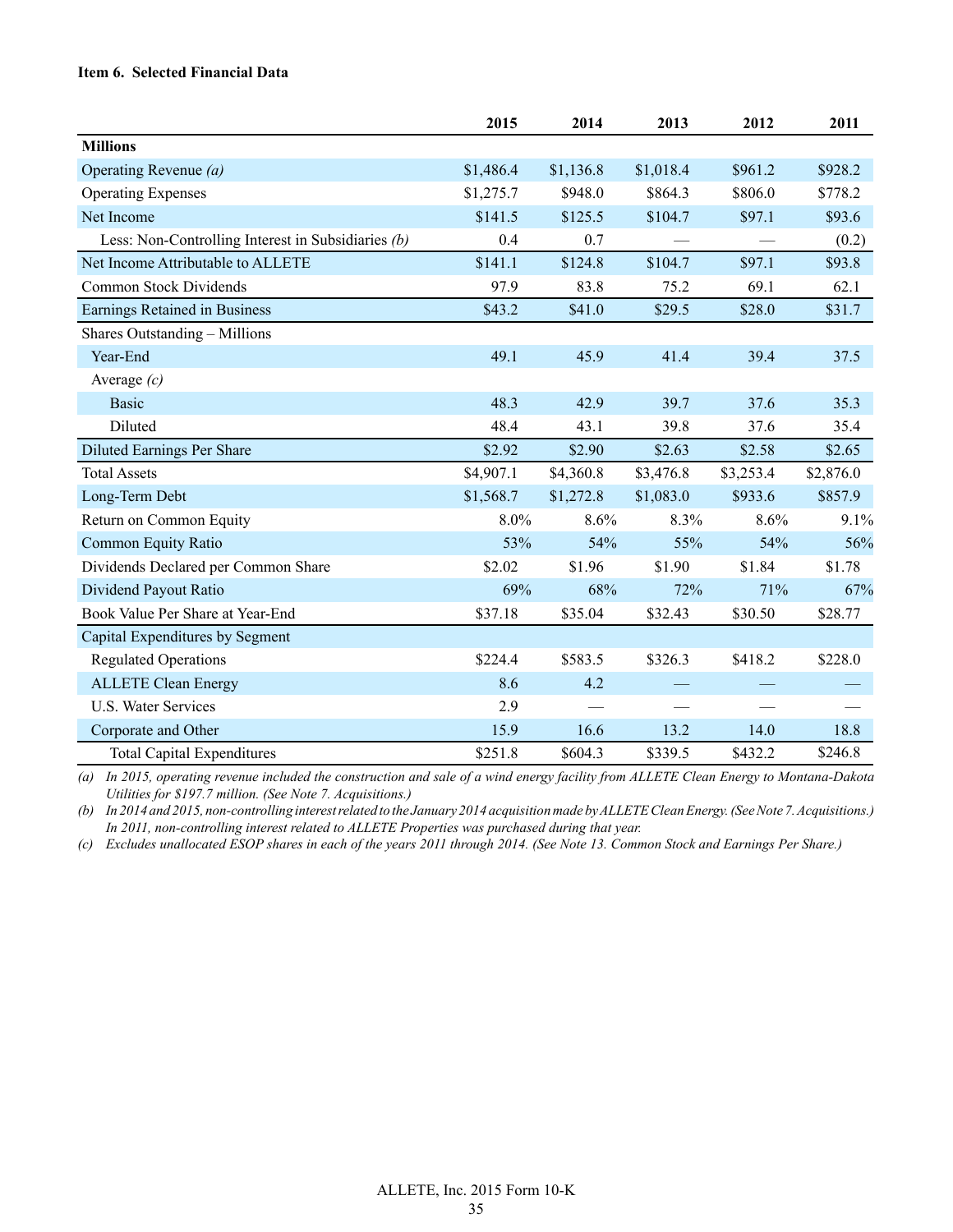#### <span id="page-34-0"></span>**Item 6. Selected Financial Data**

|                                                    | 2015      | 2014      | 2013      | 2012      | 2011      |
|----------------------------------------------------|-----------|-----------|-----------|-----------|-----------|
| <b>Millions</b>                                    |           |           |           |           |           |
| Operating Revenue (a)                              | \$1,486.4 | \$1,136.8 | \$1,018.4 | \$961.2   | \$928.2   |
| <b>Operating Expenses</b>                          | \$1,275.7 | \$948.0   | \$864.3   | \$806.0   | \$778.2   |
| Net Income                                         | \$141.5   | \$125.5   | \$104.7   | \$97.1    | \$93.6    |
| Less: Non-Controlling Interest in Subsidiaries (b) | 0.4       | 0.7       |           |           | (0.2)     |
| Net Income Attributable to ALLETE                  | \$141.1   | \$124.8   | \$104.7   | \$97.1    | \$93.8    |
| <b>Common Stock Dividends</b>                      | 97.9      | 83.8      | 75.2      | 69.1      | 62.1      |
| Earnings Retained in Business                      | \$43.2    | \$41.0    | \$29.5    | \$28.0    | \$31.7    |
| Shares Outstanding - Millions                      |           |           |           |           |           |
| Year-End                                           | 49.1      | 45.9      | 41.4      | 39.4      | 37.5      |
| Average $(c)$                                      |           |           |           |           |           |
| <b>Basic</b>                                       | 48.3      | 42.9      | 39.7      | 37.6      | 35.3      |
| Diluted                                            | 48.4      | 43.1      | 39.8      | 37.6      | 35.4      |
| Diluted Earnings Per Share                         | \$2.92    | \$2.90    | \$2.63    | \$2.58    | \$2.65    |
| <b>Total Assets</b>                                | \$4,907.1 | \$4,360.8 | \$3,476.8 | \$3,253.4 | \$2,876.0 |
| Long-Term Debt                                     | \$1,568.7 | \$1,272.8 | \$1,083.0 | \$933.6   | \$857.9   |
| Return on Common Equity                            | 8.0%      | 8.6%      | 8.3%      | 8.6%      | 9.1%      |
| <b>Common Equity Ratio</b>                         | 53%       | 54%       | 55%       | 54%       | 56%       |
| Dividends Declared per Common Share                | \$2.02    | \$1.96    | \$1.90    | \$1.84    | \$1.78    |
| Dividend Payout Ratio                              | 69%       | 68%       | 72%       | 71%       | 67%       |
| Book Value Per Share at Year-End                   | \$37.18   | \$35.04   | \$32.43   | \$30.50   | \$28.77   |
| Capital Expenditures by Segment                    |           |           |           |           |           |
| <b>Regulated Operations</b>                        | \$224.4   | \$583.5   | \$326.3   | \$418.2   | \$228.0   |
| <b>ALLETE</b> Clean Energy                         | 8.6       | 4.2       |           |           |           |
| <b>U.S. Water Services</b>                         | 2.9       |           |           |           |           |
| Corporate and Other                                | 15.9      | 16.6      | 13.2      | 14.0      | 18.8      |
| <b>Total Capital Expenditures</b>                  | \$251.8   | \$604.3   | \$339.5   | \$432.2   | \$246.8   |

*(a) In 2015, operating revenue included the construction and sale of a wind energy facility from ALLETE Clean Energy to Montana-Dakota Utilities for \$197.7 million. (See Note 7. Acquisitions.)*

*(b) In 2014 and 2015, non-controlling interest related to the January 2014 acquisition made by ALLETE Clean Energy. (See Note 7. Acquisitions.) In 2011, non-controlling interest related to ALLETE Properties was purchased during that year.*

*(c) Excludes unallocated ESOP shares in each of the years 2011 through 2014. (See Note 13. Common Stock and Earnings Per Share.)*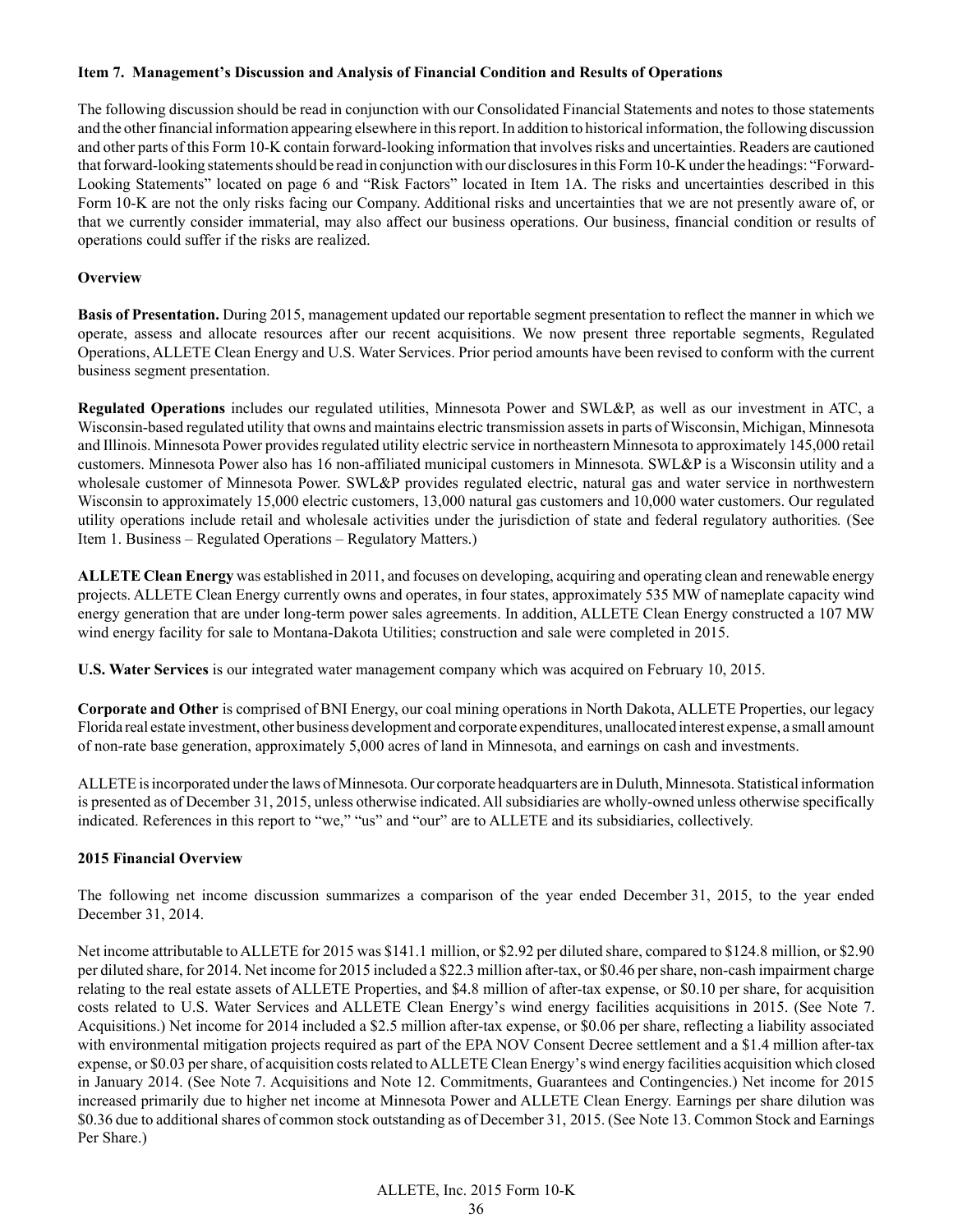#### <span id="page-35-0"></span>**Item 7. Management's Discussion and Analysis of Financial Condition and Results of Operations**

The following discussion should be read in conjunction with our Consolidated Financial Statements and notes to those statements and the other financial information appearing elsewhere in this report. In addition to historical information, the following discussion and other parts of this Form 10-K contain forward-looking information that involves risks and uncertainties. Readers are cautioned that forward-looking statements should be read in conjunction with our disclosures in this Form 10-K under the headings: "Forward-Looking Statements" located on page 6 and "Risk Factors" located in Item 1A. The risks and uncertainties described in this Form 10-K are not the only risks facing our Company. Additional risks and uncertainties that we are not presently aware of, or that we currently consider immaterial, may also affect our business operations. Our business, financial condition or results of operations could suffer if the risks are realized.

#### **Overview**

**Basis of Presentation.** During 2015, management updated our reportable segment presentation to reflect the manner in which we operate, assess and allocate resources after our recent acquisitions. We now present three reportable segments, Regulated Operations, ALLETE Clean Energy and U.S. Water Services. Prior period amounts have been revised to conform with the current business segment presentation.

**Regulated Operations** includes our regulated utilities, Minnesota Power and SWL&P, as well as our investment in ATC, a Wisconsin-based regulated utility that owns and maintains electric transmission assets in parts of Wisconsin, Michigan, Minnesota and Illinois. Minnesota Power provides regulated utility electric service in northeastern Minnesota to approximately 145,000 retail customers. Minnesota Power also has 16 non-affiliated municipal customers in Minnesota. SWL&P is a Wisconsin utility and a wholesale customer of Minnesota Power. SWL&P provides regulated electric, natural gas and water service in northwestern Wisconsin to approximately 15,000 electric customers, 13,000 natural gas customers and 10,000 water customers. Our regulated utility operations include retail and wholesale activities under the jurisdiction of state and federal regulatory authorities*.* (See Item 1. Business – Regulated Operations – Regulatory Matters.)

**ALLETE Clean Energy** was established in 2011, and focuses on developing, acquiring and operating clean and renewable energy projects. ALLETE Clean Energy currently owns and operates, in four states, approximately 535 MW of nameplate capacity wind energy generation that are under long-term power sales agreements. In addition, ALLETE Clean Energy constructed a 107 MW wind energy facility for sale to Montana-Dakota Utilities; construction and sale were completed in 2015.

**U.S. Water Services** is our integrated water management company which was acquired on February 10, 2015.

**Corporate and Other** is comprised of BNI Energy, our coal mining operations in North Dakota, ALLETE Properties, our legacy Florida real estate investment, other business development and corporate expenditures, unallocated interest expense, a small amount of non-rate base generation, approximately 5,000 acres of land in Minnesota, and earnings on cash and investments.

ALLETE is incorporated under the laws of Minnesota. Our corporate headquarters are in Duluth, Minnesota. Statistical information is presented as of December 31, 2015, unless otherwise indicated. All subsidiaries are wholly-owned unless otherwise specifically indicated. References in this report to "we," "us" and "our" are to ALLETE and its subsidiaries, collectively.

#### **2015 Financial Overview**

The following net income discussion summarizes a comparison of the year ended December 31, 2015, to the year ended December 31, 2014.

Net income attributable to ALLETE for 2015 was \$141.1 million, or \$2.92 per diluted share, compared to \$124.8 million, or \$2.90 per diluted share, for 2014. Net income for 2015 included a \$22.3 million after-tax, or \$0.46 per share, non-cash impairment charge relating to the real estate assets of ALLETE Properties, and \$4.8 million of after-tax expense, or \$0.10 per share, for acquisition costs related to U.S. Water Services and ALLETE Clean Energy's wind energy facilities acquisitions in 2015. (See Note 7. Acquisitions.) Net income for 2014 included a \$2.5 million after-tax expense, or \$0.06 per share, reflecting a liability associated with environmental mitigation projects required as part of the EPA NOV Consent Decree settlement and a \$1.4 million after-tax expense, or \$0.03 per share, of acquisition costs related to ALLETE Clean Energy's wind energy facilities acquisition which closed in January 2014. (See Note 7. Acquisitions and Note 12. Commitments, Guarantees and Contingencies.) Net income for 2015 increased primarily due to higher net income at Minnesota Power and ALLETE Clean Energy. Earnings per share dilution was \$0.36 due to additional shares of common stock outstanding as of December 31, 2015. (See Note 13. Common Stock and Earnings Per Share.)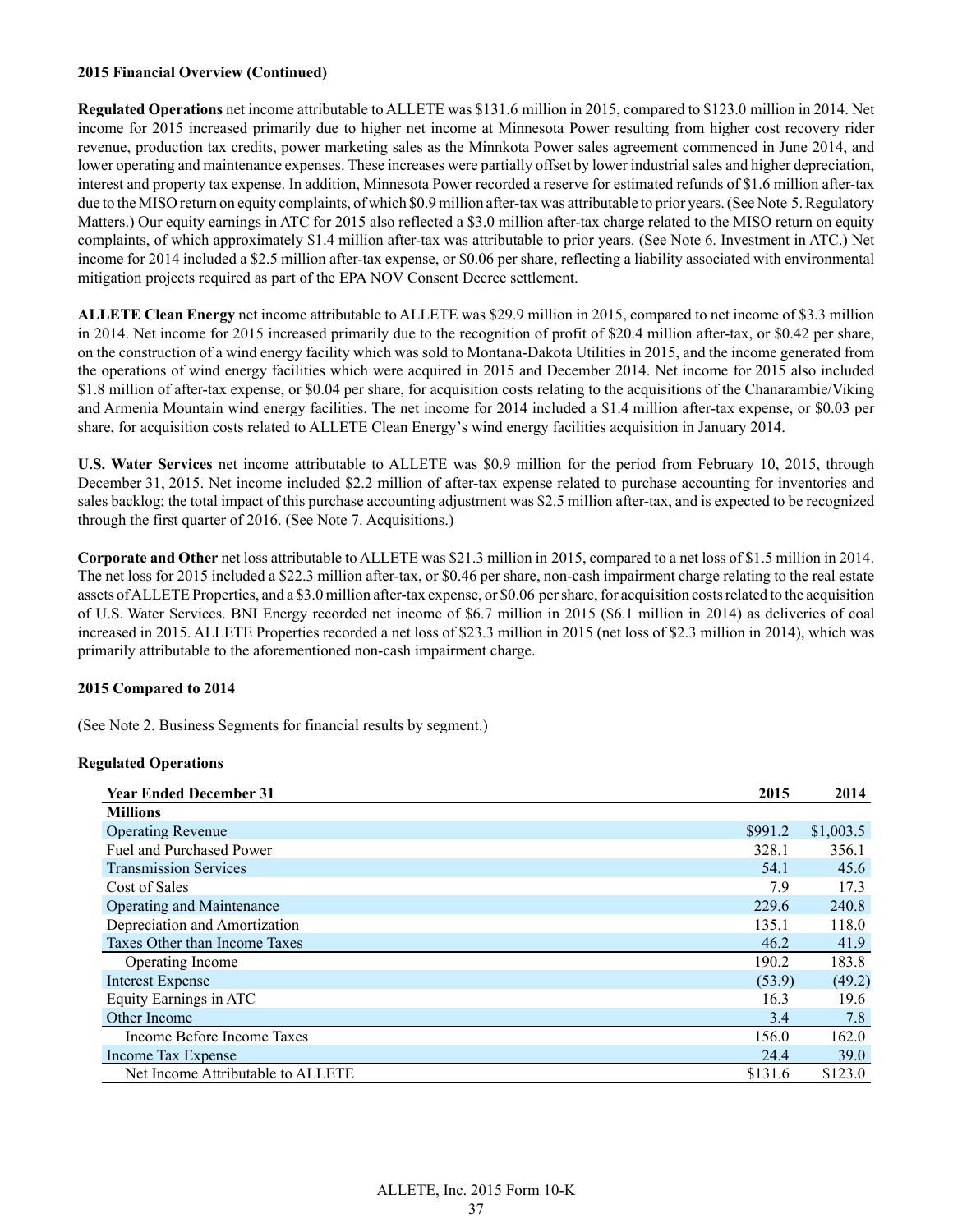## **2015 Financial Overview (Continued)**

**Regulated Operations** net income attributable to ALLETE was \$131.6 million in 2015, compared to \$123.0 million in 2014. Net income for 2015 increased primarily due to higher net income at Minnesota Power resulting from higher cost recovery rider revenue, production tax credits, power marketing sales as the Minnkota Power sales agreement commenced in June 2014, and lower operating and maintenance expenses. These increases were partially offset by lower industrial sales and higher depreciation, interest and property tax expense. In addition, Minnesota Power recorded a reserve for estimated refunds of \$1.6 million after-tax due to the MISO return on equity complaints, of which \$0.9 million after-tax was attributable to prior years. (See Note 5. Regulatory Matters.) Our equity earnings in ATC for 2015 also reflected a \$3.0 million after-tax charge related to the MISO return on equity complaints, of which approximately \$1.4 million after-tax was attributable to prior years. (See Note 6. Investment in ATC.) Net income for 2014 included a \$2.5 million after-tax expense, or \$0.06 per share, reflecting a liability associated with environmental mitigation projects required as part of the EPA NOV Consent Decree settlement.

**ALLETE Clean Energy** net income attributable to ALLETE was \$29.9 million in 2015, compared to net income of \$3.3 million in 2014. Net income for 2015 increased primarily due to the recognition of profit of \$20.4 million after-tax, or \$0.42 per share, on the construction of a wind energy facility which was sold to Montana-Dakota Utilities in 2015, and the income generated from the operations of wind energy facilities which were acquired in 2015 and December 2014. Net income for 2015 also included \$1.8 million of after-tax expense, or \$0.04 per share, for acquisition costs relating to the acquisitions of the Chanarambie/Viking and Armenia Mountain wind energy facilities. The net income for 2014 included a \$1.4 million after-tax expense, or \$0.03 per share, for acquisition costs related to ALLETE Clean Energy's wind energy facilities acquisition in January 2014.

**U.S. Water Services** net income attributable to ALLETE was \$0.9 million for the period from February 10, 2015, through December 31, 2015. Net income included \$2.2 million of after-tax expense related to purchase accounting for inventories and sales backlog; the total impact of this purchase accounting adjustment was \$2.5 million after-tax, and is expected to be recognized through the first quarter of 2016. (See Note 7. Acquisitions.)

**Corporate and Other** net loss attributable to ALLETE was \$21.3 million in 2015, compared to a net loss of \$1.5 million in 2014. The net loss for 2015 included a \$22.3 million after-tax, or \$0.46 per share, non-cash impairment charge relating to the real estate assets of ALLETE Properties, and a \$3.0 million after-tax expense, or \$0.06 per share, for acquisition costs related to the acquisition of U.S. Water Services. BNI Energy recorded net income of \$6.7 million in 2015 (\$6.1 million in 2014) as deliveries of coal increased in 2015. ALLETE Properties recorded a net loss of \$23.3 million in 2015 (net loss of \$2.3 million in 2014), which was primarily attributable to the aforementioned non-cash impairment charge.

## **2015 Compared to 2014**

(See Note 2. Business Segments for financial results by segment.)

## **Regulated Operations**

| <b>Year Ended December 31</b>     | 2015    | 2014      |
|-----------------------------------|---------|-----------|
| <b>Millions</b>                   |         |           |
| <b>Operating Revenue</b>          | \$991.2 | \$1,003.5 |
| Fuel and Purchased Power          | 328.1   | 356.1     |
| <b>Transmission Services</b>      | 54.1    | 45.6      |
| Cost of Sales                     | 7.9     | 17.3      |
| Operating and Maintenance         | 229.6   | 240.8     |
| Depreciation and Amortization     | 135.1   | 118.0     |
| Taxes Other than Income Taxes     | 46.2    | 41.9      |
| <b>Operating Income</b>           | 190.2   | 183.8     |
| Interest Expense                  | (53.9)  | (49.2)    |
| Equity Earnings in ATC            | 16.3    | 19.6      |
| Other Income                      | 3.4     | 7.8       |
| Income Before Income Taxes        | 156.0   | 162.0     |
| Income Tax Expense                | 24.4    | 39.0      |
| Net Income Attributable to ALLETE | \$131.6 | \$123.0   |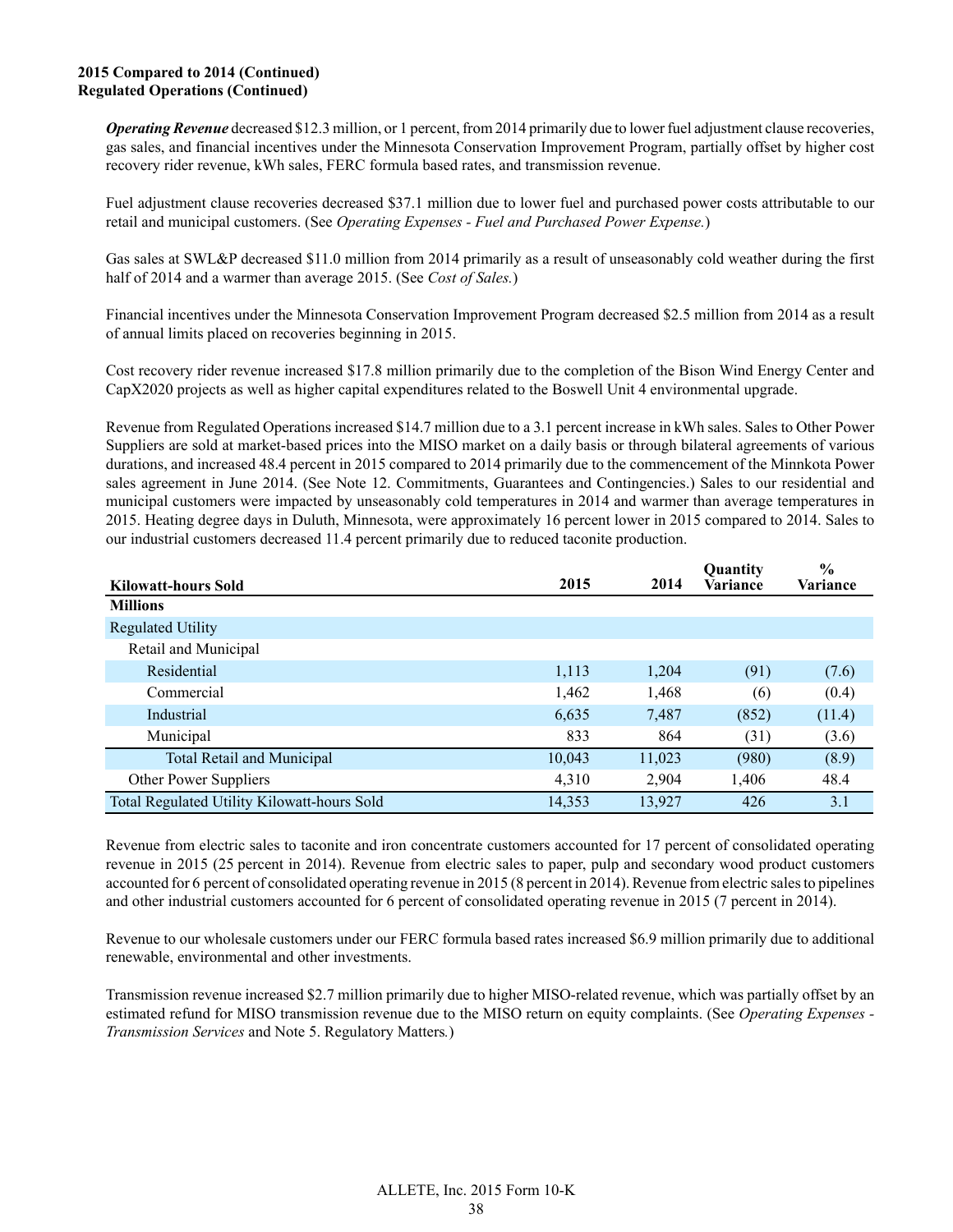## **2015 Compared to 2014 (Continued) Regulated Operations (Continued)**

*Operating Revenue* decreased \$12.3 million, or 1 percent, from 2014 primarily due to lower fuel adjustment clause recoveries, gas sales, and financial incentives under the Minnesota Conservation Improvement Program, partially offset by higher cost recovery rider revenue, kWh sales, FERC formula based rates, and transmission revenue.

Fuel adjustment clause recoveries decreased \$37.1 million due to lower fuel and purchased power costs attributable to our retail and municipal customers. (See *Operating Expenses - Fuel and Purchased Power Expense.*)

Gas sales at SWL&P decreased \$11.0 million from 2014 primarily as a result of unseasonably cold weather during the first half of 2014 and a warmer than average 2015. (See *Cost of Sales.*)

Financial incentives under the Minnesota Conservation Improvement Program decreased \$2.5 million from 2014 as a result of annual limits placed on recoveries beginning in 2015.

Cost recovery rider revenue increased \$17.8 million primarily due to the completion of the Bison Wind Energy Center and CapX2020 projects as well as higher capital expenditures related to the Boswell Unit 4 environmental upgrade.

Revenue from Regulated Operations increased \$14.7 million due to a 3.1 percent increase in kWh sales. Sales to Other Power Suppliers are sold at market-based prices into the MISO market on a daily basis or through bilateral agreements of various durations, and increased 48.4 percent in 2015 compared to 2014 primarily due to the commencement of the Minnkota Power sales agreement in June 2014. (See Note 12. Commitments, Guarantees and Contingencies.) Sales to our residential and municipal customers were impacted by unseasonably cold temperatures in 2014 and warmer than average temperatures in 2015. Heating degree days in Duluth, Minnesota, were approximately 16 percent lower in 2015 compared to 2014. Sales to our industrial customers decreased 11.4 percent primarily due to reduced taconite production.

| <b>Kilowatt-hours Sold</b>                  | 2015   | 2014   | <b>Ouantity</b><br>Variance | $\frac{6}{9}$<br>Variance |
|---------------------------------------------|--------|--------|-----------------------------|---------------------------|
| <b>Millions</b>                             |        |        |                             |                           |
| <b>Regulated Utility</b>                    |        |        |                             |                           |
| Retail and Municipal                        |        |        |                             |                           |
| Residential                                 | 1,113  | 1,204  | (91)                        | (7.6)                     |
| Commercial                                  | 1,462  | 1,468  | (6)                         | (0.4)                     |
| Industrial                                  | 6,635  | 7,487  | (852)                       | (11.4)                    |
| Municipal                                   | 833    | 864    | (31)                        | (3.6)                     |
| <b>Total Retail and Municipal</b>           | 10,043 | 11,023 | (980)                       | (8.9)                     |
| Other Power Suppliers                       | 4,310  | 2,904  | 1,406                       | 48.4                      |
| Total Regulated Utility Kilowatt-hours Sold | 14,353 | 13,927 | 426                         | 3.1                       |

Revenue from electric sales to taconite and iron concentrate customers accounted for 17 percent of consolidated operating revenue in 2015 (25 percent in 2014). Revenue from electric sales to paper, pulp and secondary wood product customers accounted for 6 percent of consolidated operating revenue in 2015 (8 percent in 2014). Revenue from electric sales to pipelines and other industrial customers accounted for 6 percent of consolidated operating revenue in 2015 (7 percent in 2014).

Revenue to our wholesale customers under our FERC formula based rates increased \$6.9 million primarily due to additional renewable, environmental and other investments.

Transmission revenue increased \$2.7 million primarily due to higher MISO-related revenue, which was partially offset by an estimated refund for MISO transmission revenue due to the MISO return on equity complaints. (See *Operating Expenses - Transmission Services* and Note 5. Regulatory Matters*.*)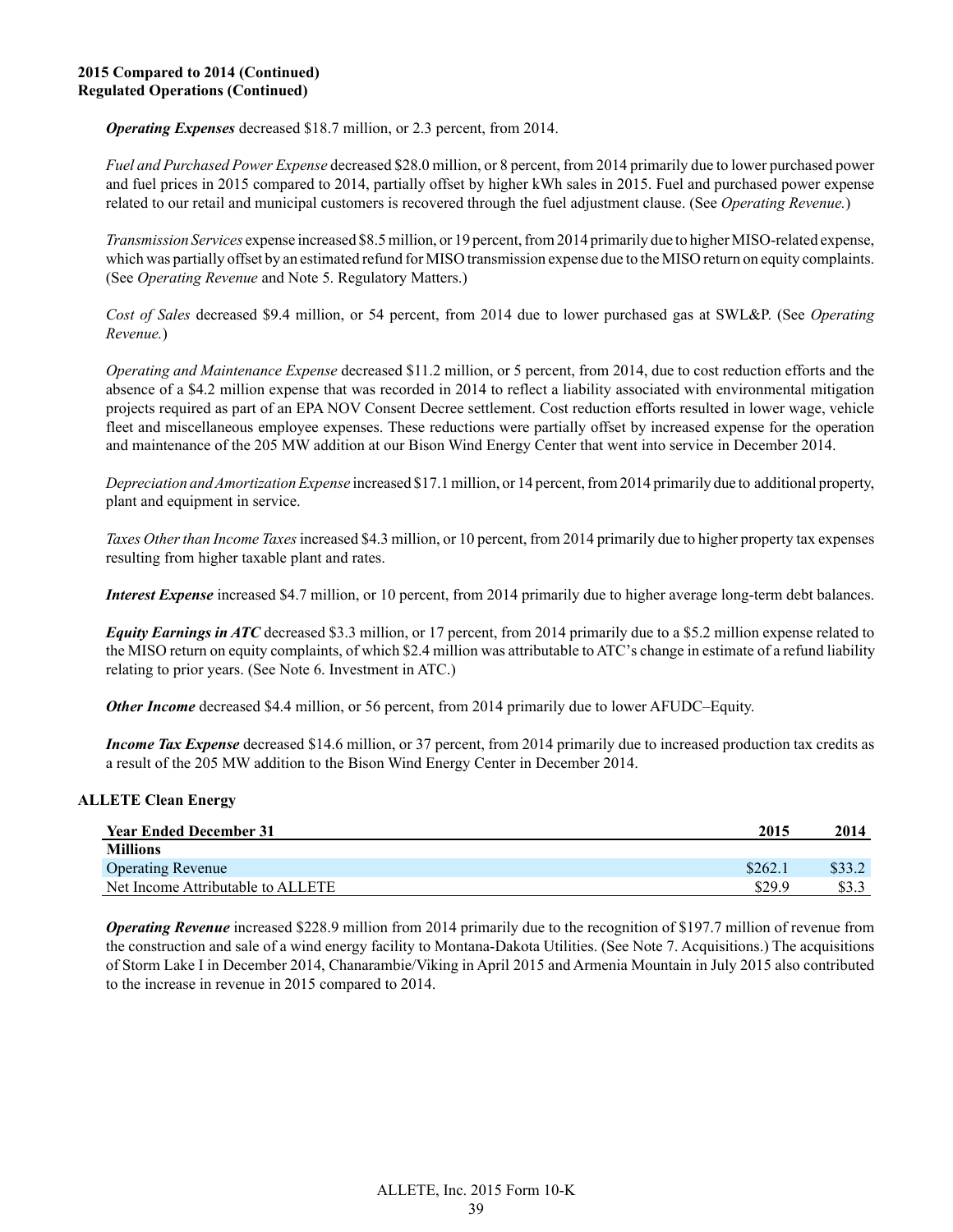*Operating Expenses* decreased \$18.7 million, or 2.3 percent, from 2014.

*Fuel and Purchased Power Expense* decreased \$28.0 million, or 8 percent, from 2014 primarily due to lower purchased power and fuel prices in 2015 compared to 2014, partially offset by higher kWh sales in 2015. Fuel and purchased power expense related to our retail and municipal customers is recovered through the fuel adjustment clause. (See *Operating Revenue.*)

*Transmission Services* expense increased \$8.5 million, or 19 percent, from 2014 primarily due to higher MISO-related expense, which was partially offset by an estimated refund for MISO transmission expense due to the MISO return on equity complaints. (See *Operating Revenue* and Note 5. Regulatory Matters.)

*Cost of Sales* decreased \$9.4 million, or 54 percent, from 2014 due to lower purchased gas at SWL&P. (See *Operating Revenue.*)

*Operating and Maintenance Expense* decreased \$11.2 million, or 5 percent, from 2014, due to cost reduction efforts and the absence of a \$4.2 million expense that was recorded in 2014 to reflect a liability associated with environmental mitigation projects required as part of an EPA NOV Consent Decree settlement. Cost reduction efforts resulted in lower wage, vehicle fleet and miscellaneous employee expenses. These reductions were partially offset by increased expense for the operation and maintenance of the 205 MW addition at our Bison Wind Energy Center that went into service in December 2014.

*Depreciation and Amortization Expense* increased \$17.1 million, or 14 percent, from 2014 primarily due to additional property, plant and equipment in service.

*Taxes Other than Income Taxes* increased \$4.3 million, or 10 percent, from 2014 primarily due to higher property tax expenses resulting from higher taxable plant and rates.

*Interest Expense* increased \$4.7 million, or 10 percent, from 2014 primarily due to higher average long-term debt balances.

*Equity Earnings in ATC* decreased \$3.3 million, or 17 percent, from 2014 primarily due to a \$5.2 million expense related to the MISO return on equity complaints, of which \$2.4 million was attributable to ATC's change in estimate of a refund liability relating to prior years. (See Note 6. Investment in ATC.)

*Other Income* decreased \$4.4 million, or 56 percent, from 2014 primarily due to lower AFUDC–Equity.

*Income Tax Expense* decreased \$14.6 million, or 37 percent, from 2014 primarily due to increased production tax credits as a result of the 205 MW addition to the Bison Wind Energy Center in December 2014.

## **ALLETE Clean Energy**

| <b>Year Ended December 31</b>     | 2015    | 2014   |
|-----------------------------------|---------|--------|
| <b>Millions</b>                   |         |        |
| <b>Operating Revenue</b>          | \$262.1 | \$33.2 |
| Net Income Attributable to ALLETE | \$29.9  | \$3.3  |

*Operating Revenue* increased \$228.9 million from 2014 primarily due to the recognition of \$197.7 million of revenue from the construction and sale of a wind energy facility to Montana-Dakota Utilities. (See Note 7. Acquisitions.) The acquisitions of Storm Lake I in December 2014, Chanarambie/Viking in April 2015 and Armenia Mountain in July 2015 also contributed to the increase in revenue in 2015 compared to 2014.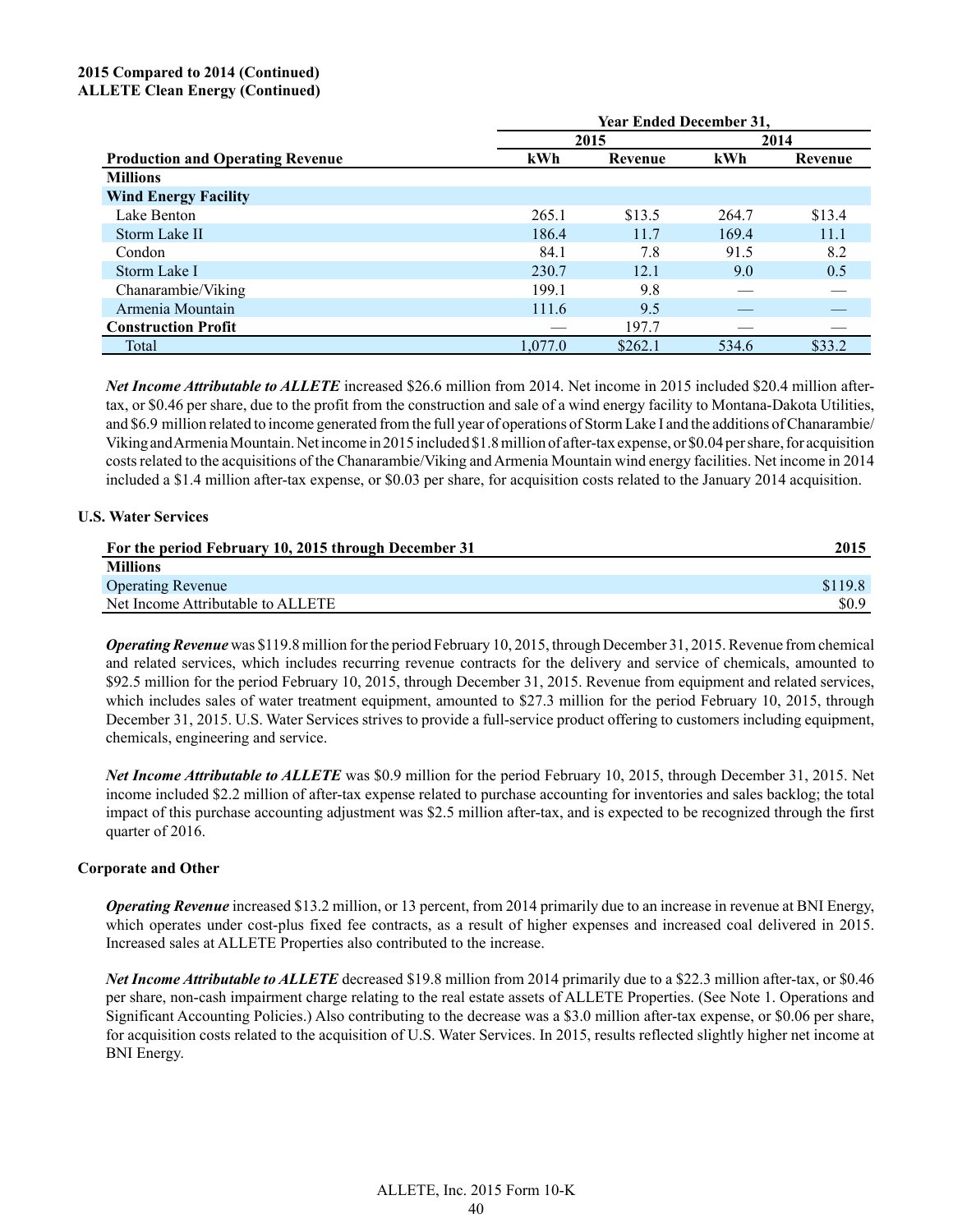## **2015 Compared to 2014 (Continued) ALLETE Clean Energy (Continued)**

|                                         | <b>Year Ended December 31,</b> |         |       |         |
|-----------------------------------------|--------------------------------|---------|-------|---------|
|                                         |                                | 2015    |       | 2014    |
| <b>Production and Operating Revenue</b> | kWh                            | Revenue | kWh   | Revenue |
| <b>Millions</b>                         |                                |         |       |         |
| <b>Wind Energy Facility</b>             |                                |         |       |         |
| Lake Benton                             | 265.1                          | \$13.5  | 264.7 | \$13.4  |
| Storm Lake II                           | 186.4                          | 11.7    | 169.4 | 11.1    |
| Condon                                  | 84.1                           | 7.8     | 91.5  | 8.2     |
| Storm Lake I                            | 230.7                          | 12.1    | 9.0   | 0.5     |
| Chanarambie/Viking                      | 199.1                          | 9.8     |       |         |
| Armenia Mountain                        | 111.6                          | 9.5     |       |         |
| <b>Construction Profit</b>              |                                | 197.7   |       |         |
| Total                                   | 1,077.0                        | \$262.1 | 534.6 | \$33.2  |

*Net Income Attributable to ALLETE* increased \$26.6 million from 2014. Net income in 2015 included \$20.4 million aftertax, or \$0.46 per share, due to the profit from the construction and sale of a wind energy facility to Montana-Dakota Utilities, and \$6.9 million related to income generated from the full year of operations of Storm Lake I and the additions of Chanarambie/ Viking and Armenia Mountain. Net income in 2015 included \$1.8 million of after-tax expense, or \$0.04 per share, for acquisition costs related to the acquisitions of the Chanarambie/Viking and Armenia Mountain wind energy facilities. Net income in 2014 included a \$1.4 million after-tax expense, or \$0.03 per share, for acquisition costs related to the January 2014 acquisition.

## **U.S. Water Services**

| For the period February 10, 2015 through December 31 | 2015   |
|------------------------------------------------------|--------|
| <b>Millions</b>                                      |        |
| <b>Operating Revenue</b>                             | \$1198 |
| Net Income Attributable to ALLETE                    | \$0.9  |

*Operating Revenue* was \$119.8 million for the period February 10, 2015, through December 31, 2015. Revenue from chemical and related services, which includes recurring revenue contracts for the delivery and service of chemicals, amounted to \$92.5 million for the period February 10, 2015, through December 31, 2015. Revenue from equipment and related services, which includes sales of water treatment equipment, amounted to \$27.3 million for the period February 10, 2015, through December 31, 2015. U.S. Water Services strives to provide a full-service product offering to customers including equipment, chemicals, engineering and service.

*Net Income Attributable to ALLETE* was \$0.9 million for the period February 10, 2015, through December 31, 2015. Net income included \$2.2 million of after-tax expense related to purchase accounting for inventories and sales backlog; the total impact of this purchase accounting adjustment was \$2.5 million after-tax, and is expected to be recognized through the first quarter of 2016.

# **Corporate and Other**

*Operating Revenue* increased \$13.2 million, or 13 percent, from 2014 primarily due to an increase in revenue at BNI Energy, which operates under cost-plus fixed fee contracts, as a result of higher expenses and increased coal delivered in 2015. Increased sales at ALLETE Properties also contributed to the increase.

*Net Income Attributable to ALLETE* decreased \$19.8 million from 2014 primarily due to a \$22.3 million after-tax, or \$0.46 per share, non-cash impairment charge relating to the real estate assets of ALLETE Properties. (See Note 1. Operations and Significant Accounting Policies.) Also contributing to the decrease was a \$3.0 million after-tax expense, or \$0.06 per share, for acquisition costs related to the acquisition of U.S. Water Services. In 2015, results reflected slightly higher net income at BNI Energy.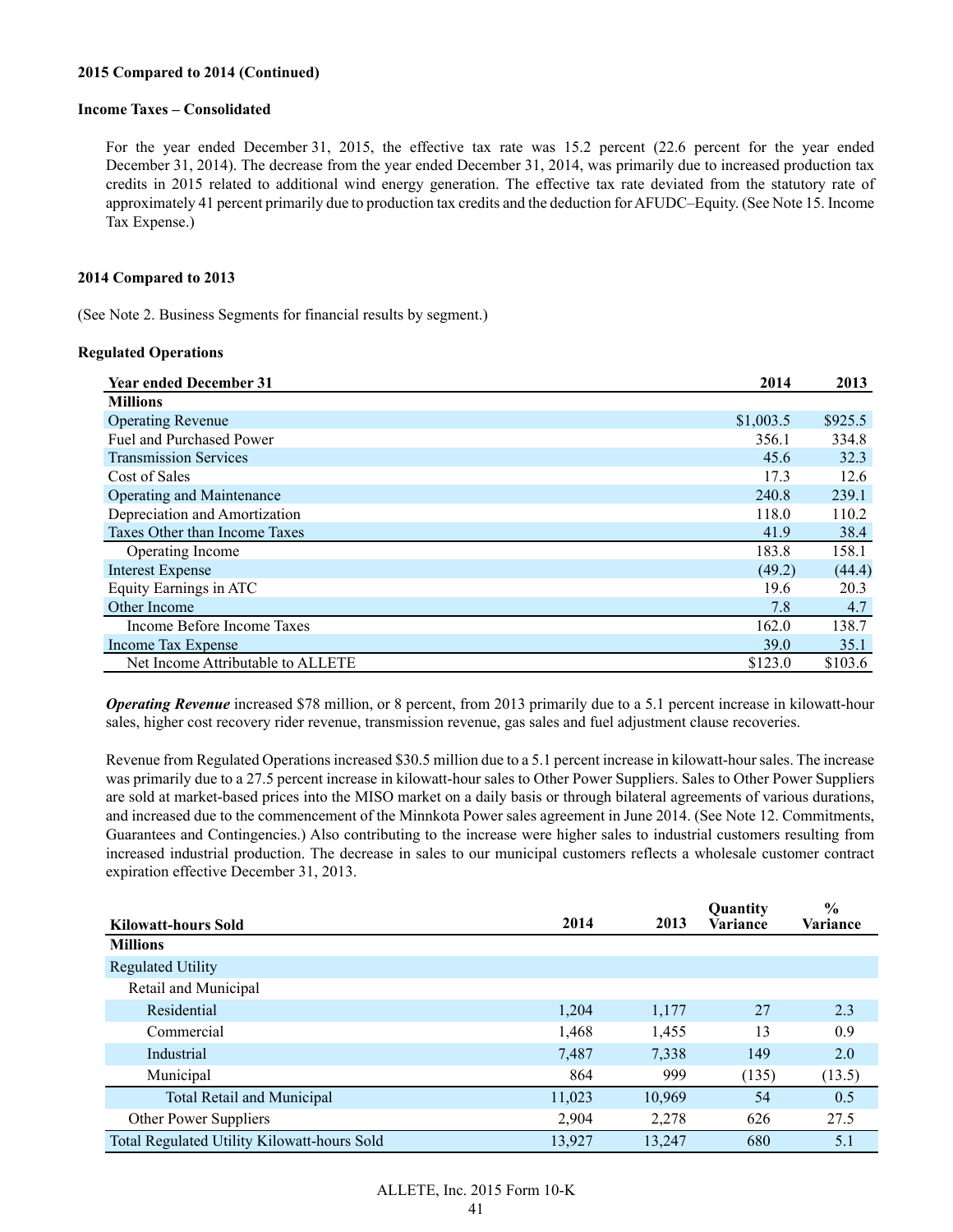#### **2015 Compared to 2014 (Continued)**

#### **Income Taxes – Consolidated**

For the year ended December 31, 2015, the effective tax rate was 15.2 percent (22.6 percent for the year ended December 31, 2014). The decrease from the year ended December 31, 2014, was primarily due to increased production tax credits in 2015 related to additional wind energy generation. The effective tax rate deviated from the statutory rate of approximately 41 percent primarily due to production tax credits and the deduction for AFUDC–Equity. (See Note 15. Income Tax Expense.)

#### **2014 Compared to 2013**

(See Note 2. Business Segments for financial results by segment.)

#### **Regulated Operations**

| <b>Year ended December 31</b>     | 2014      | 2013    |
|-----------------------------------|-----------|---------|
| <b>Millions</b>                   |           |         |
| <b>Operating Revenue</b>          | \$1,003.5 | \$925.5 |
| Fuel and Purchased Power          | 356.1     | 334.8   |
| <b>Transmission Services</b>      | 45.6      | 32.3    |
| Cost of Sales                     | 17.3      | 12.6    |
| Operating and Maintenance         | 240.8     | 239.1   |
| Depreciation and Amortization     | 118.0     | 110.2   |
| Taxes Other than Income Taxes     | 41.9      | 38.4    |
| <b>Operating Income</b>           | 183.8     | 158.1   |
| <b>Interest Expense</b>           | (49.2)    | (44.4)  |
| Equity Earnings in ATC            | 19.6      | 20.3    |
| Other Income                      | 7.8       | 4.7     |
| Income Before Income Taxes        | 162.0     | 138.7   |
| Income Tax Expense                | 39.0      | 35.1    |
| Net Income Attributable to ALLETE | \$123.0   | \$103.6 |

*Operating Revenue* increased \$78 million, or 8 percent, from 2013 primarily due to a 5.1 percent increase in kilowatt-hour sales, higher cost recovery rider revenue, transmission revenue, gas sales and fuel adjustment clause recoveries.

Revenue from Regulated Operations increased \$30.5 million due to a 5.1 percent increase in kilowatt-hour sales. The increase was primarily due to a 27.5 percent increase in kilowatt-hour sales to Other Power Suppliers. Sales to Other Power Suppliers are sold at market-based prices into the MISO market on a daily basis or through bilateral agreements of various durations, and increased due to the commencement of the Minnkota Power sales agreement in June 2014. (See Note 12. Commitments, Guarantees and Contingencies.) Also contributing to the increase were higher sales to industrial customers resulting from increased industrial production. The decrease in sales to our municipal customers reflects a wholesale customer contract expiration effective December 31, 2013.

| <b>Kilowatt-hours Sold</b>                  | 2014   | 2013   | Quantity<br><b>Variance</b> | $\frac{6}{6}$<br>Variance |
|---------------------------------------------|--------|--------|-----------------------------|---------------------------|
| <b>Millions</b>                             |        |        |                             |                           |
| <b>Regulated Utility</b>                    |        |        |                             |                           |
| Retail and Municipal                        |        |        |                             |                           |
| Residential                                 | 1,204  | 1,177  | 27                          | 2.3                       |
| Commercial                                  | 1,468  | 1,455  | 13                          | 0.9                       |
| Industrial                                  | 7,487  | 7,338  | 149                         | 2.0                       |
| Municipal                                   | 864    | 999    | (135)                       | (13.5)                    |
| <b>Total Retail and Municipal</b>           | 11,023 | 10,969 | 54                          | 0.5                       |
| Other Power Suppliers                       | 2,904  | 2,278  | 626                         | 27.5                      |
| Total Regulated Utility Kilowatt-hours Sold | 13,927 | 13,247 | 680                         | 5.1                       |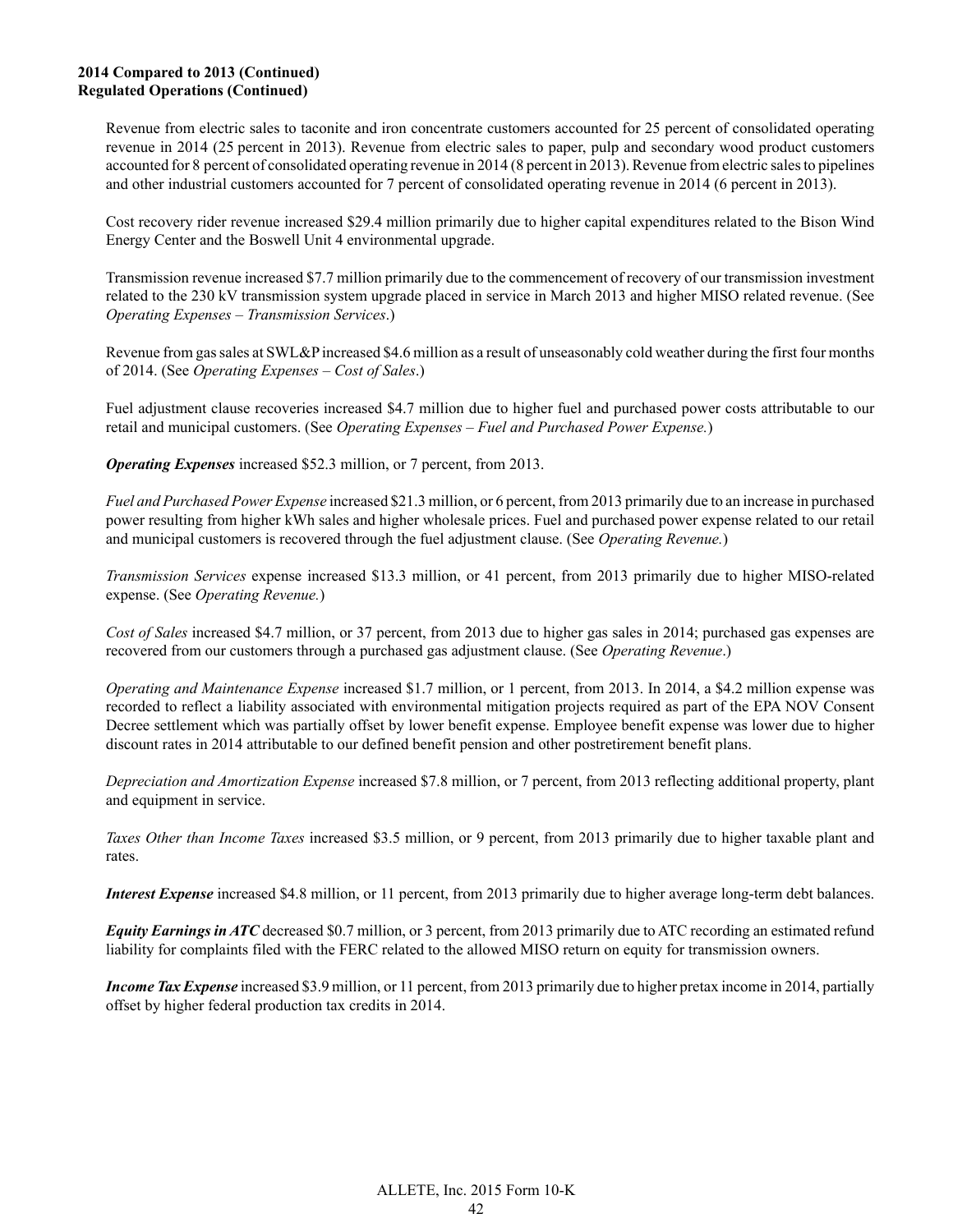## **2014 Compared to 2013 (Continued) Regulated Operations (Continued)**

Revenue from electric sales to taconite and iron concentrate customers accounted for 25 percent of consolidated operating revenue in 2014 (25 percent in 2013). Revenue from electric sales to paper, pulp and secondary wood product customers accounted for 8 percent of consolidated operating revenue in 2014 (8 percent in 2013). Revenue from electric sales to pipelines and other industrial customers accounted for 7 percent of consolidated operating revenue in 2014 (6 percent in 2013).

Cost recovery rider revenue increased \$29.4 million primarily due to higher capital expenditures related to the Bison Wind Energy Center and the Boswell Unit 4 environmental upgrade.

Transmission revenue increased \$7.7 million primarily due to the commencement of recovery of our transmission investment related to the 230 kV transmission system upgrade placed in service in March 2013 and higher MISO related revenue. (See *Operating Expenses* – *Transmission Services*.)

Revenue from gas sales at SWL&P increased \$4.6 million as a result of unseasonably cold weather during the first four months of 2014. (See *Operating Expenses* – *Cost of Sales*.)

Fuel adjustment clause recoveries increased \$4.7 million due to higher fuel and purchased power costs attributable to our retail and municipal customers. (See *Operating Expenses* – *Fuel and Purchased Power Expense.*)

*Operating Expenses* increased \$52.3 million, or 7 percent, from 2013.

*Fuel and Purchased Power Expense* increased \$21.3 million, or 6 percent, from 2013 primarily due to an increase in purchased power resulting from higher kWh sales and higher wholesale prices. Fuel and purchased power expense related to our retail and municipal customers is recovered through the fuel adjustment clause. (See *Operating Revenue.*)

*Transmission Services* expense increased \$13.3 million, or 41 percent, from 2013 primarily due to higher MISO-related expense. (See *Operating Revenue.*)

*Cost of Sales* increased \$4.7 million, or 37 percent, from 2013 due to higher gas sales in 2014; purchased gas expenses are recovered from our customers through a purchased gas adjustment clause. (See *Operating Revenue*.)

*Operating and Maintenance Expense* increased \$1.7 million, or 1 percent, from 2013. In 2014, a \$4.2 million expense was recorded to reflect a liability associated with environmental mitigation projects required as part of the EPA NOV Consent Decree settlement which was partially offset by lower benefit expense. Employee benefit expense was lower due to higher discount rates in 2014 attributable to our defined benefit pension and other postretirement benefit plans.

*Depreciation and Amortization Expense* increased \$7.8 million, or 7 percent, from 2013 reflecting additional property, plant and equipment in service.

*Taxes Other than Income Taxes* increased \$3.5 million, or 9 percent, from 2013 primarily due to higher taxable plant and rates.

*Interest Expense* increased \$4.8 million, or 11 percent, from 2013 primarily due to higher average long-term debt balances.

*Equity Earnings in ATC* decreased \$0.7 million, or 3 percent, from 2013 primarily due to ATC recording an estimated refund liability for complaints filed with the FERC related to the allowed MISO return on equity for transmission owners.

*Income Tax Expense* increased \$3.9 million, or 11 percent, from 2013 primarily due to higher pretax income in 2014, partially offset by higher federal production tax credits in 2014.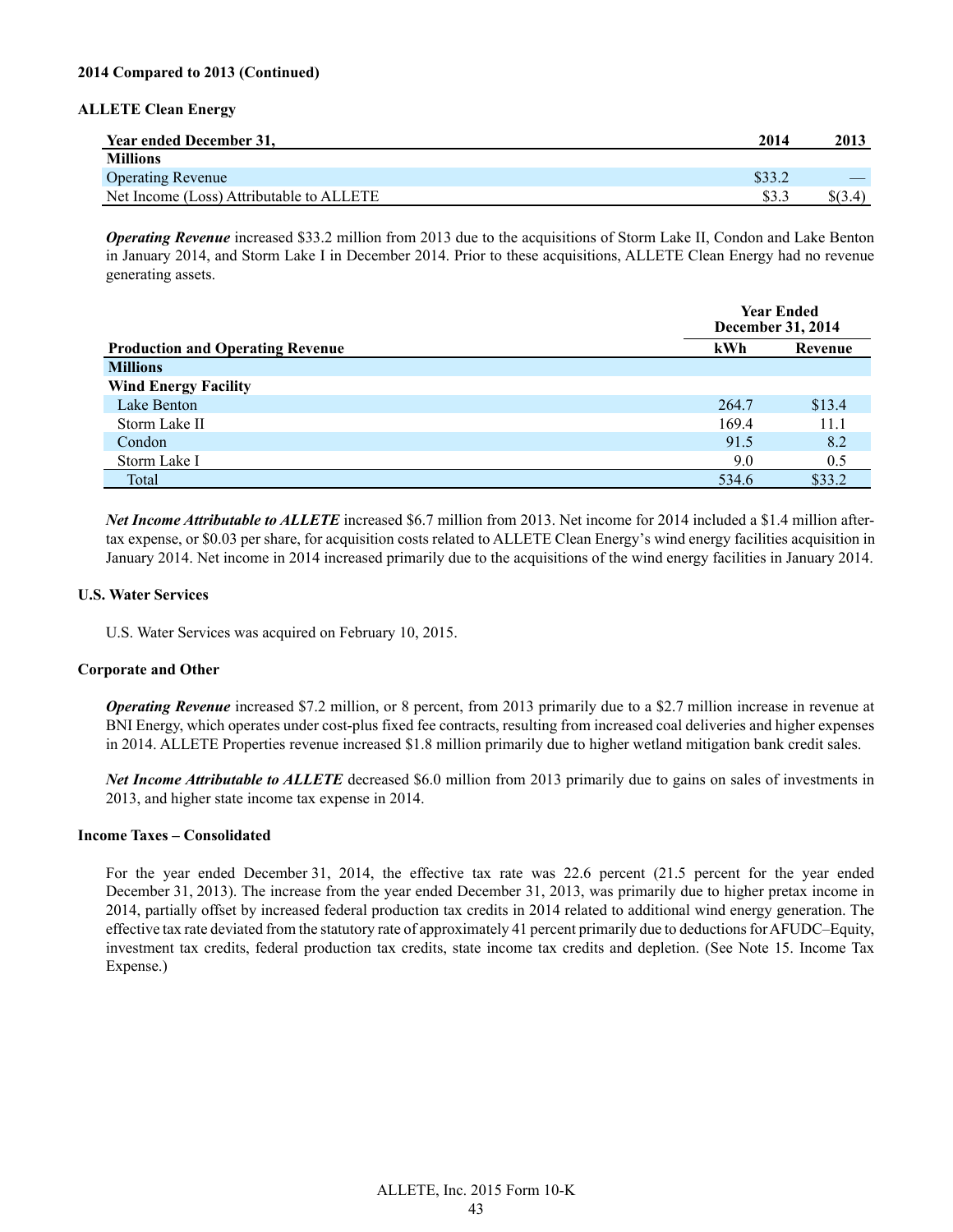## **2014 Compared to 2013 (Continued)**

#### **ALLETE Clean Energy**

| Year ended December 31,                  | 2014   | 2013 |
|------------------------------------------|--------|------|
| <b>Millions</b>                          |        |      |
| <b>Operating Revenue</b>                 | \$33.2 |      |
| Net Income (Loss) Attributable to ALLETE | \$3.3  |      |

*Operating Revenue* increased \$33.2 million from 2013 due to the acquisitions of Storm Lake II, Condon and Lake Benton in January 2014, and Storm Lake I in December 2014. Prior to these acquisitions, ALLETE Clean Energy had no revenue generating assets.

|                                         |       | <b>Year Ended</b><br><b>December 31, 2014</b> |
|-----------------------------------------|-------|-----------------------------------------------|
| <b>Production and Operating Revenue</b> | kWh   | Revenue                                       |
| <b>Millions</b>                         |       |                                               |
| <b>Wind Energy Facility</b>             |       |                                               |
| Lake Benton                             | 264.7 | \$13.4                                        |
| Storm Lake II                           | 169.4 | 11.1                                          |
| Condon                                  | 91.5  | 8.2                                           |
| Storm Lake I                            | 9.0   | 0.5                                           |
| Total                                   | 534.6 | \$33.2                                        |

*Net Income Attributable to ALLETE* increased \$6.7 million from 2013. Net income for 2014 included a \$1.4 million aftertax expense, or \$0.03 per share, for acquisition costs related to ALLETE Clean Energy's wind energy facilities acquisition in January 2014. Net income in 2014 increased primarily due to the acquisitions of the wind energy facilities in January 2014.

#### **U.S. Water Services**

U.S. Water Services was acquired on February 10, 2015.

#### **Corporate and Other**

*Operating Revenue* increased \$7.2 million, or 8 percent, from 2013 primarily due to a \$2.7 million increase in revenue at BNI Energy, which operates under cost-plus fixed fee contracts, resulting from increased coal deliveries and higher expenses in 2014. ALLETE Properties revenue increased \$1.8 million primarily due to higher wetland mitigation bank credit sales.

*Net Income Attributable to ALLETE* decreased \$6.0 million from 2013 primarily due to gains on sales of investments in 2013, and higher state income tax expense in 2014.

#### **Income Taxes – Consolidated**

For the year ended December 31, 2014, the effective tax rate was 22.6 percent (21.5 percent for the year ended December 31, 2013). The increase from the year ended December 31, 2013, was primarily due to higher pretax income in 2014, partially offset by increased federal production tax credits in 2014 related to additional wind energy generation. The effective tax rate deviated from the statutory rate of approximately 41 percent primarily due to deductions for AFUDC–Equity, investment tax credits, federal production tax credits, state income tax credits and depletion. (See Note 15. Income Tax Expense.)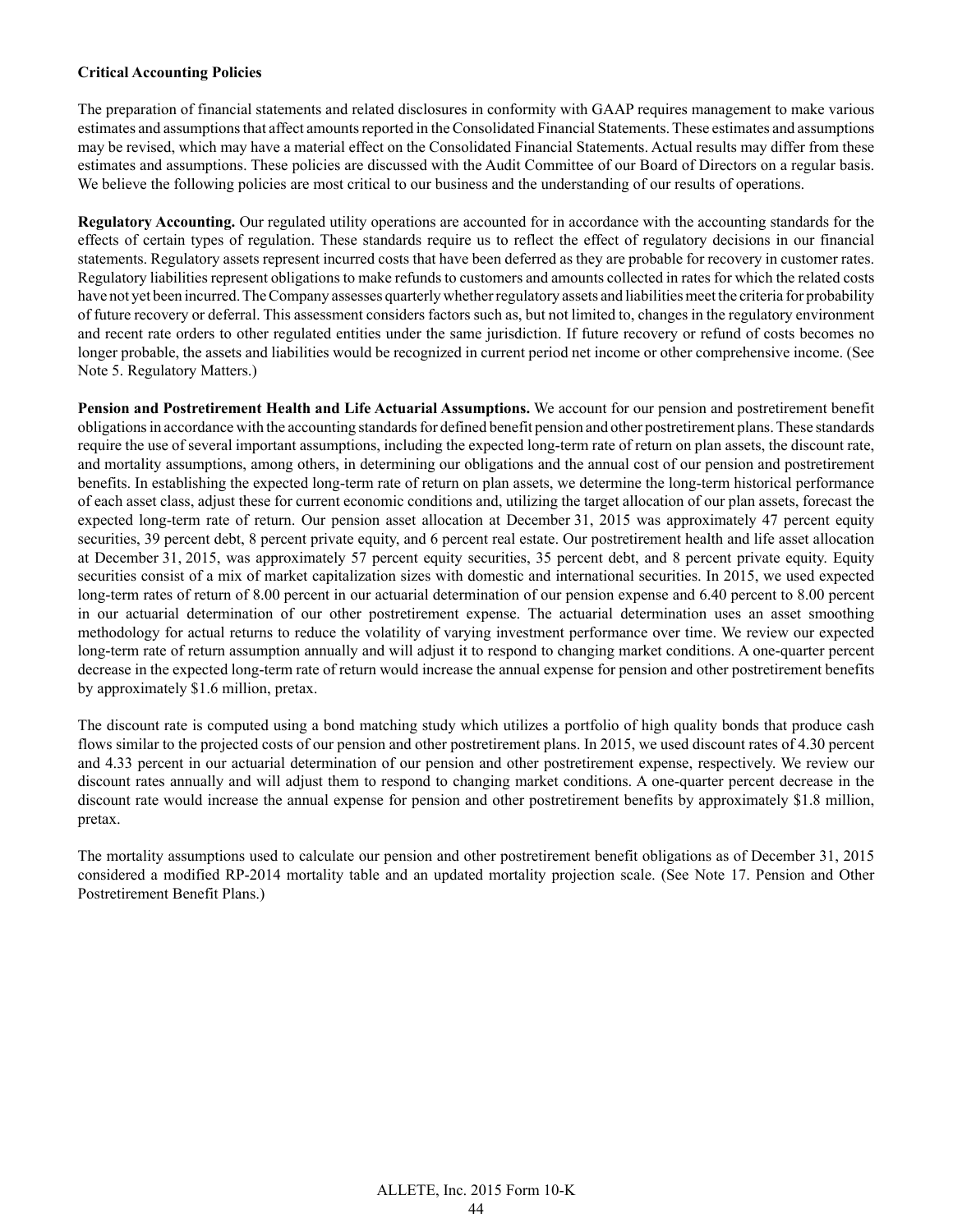## **Critical Accounting Policies**

The preparation of financial statements and related disclosures in conformity with GAAP requires management to make various estimates and assumptions that affect amounts reported in the Consolidated Financial Statements. These estimates and assumptions may be revised, which may have a material effect on the Consolidated Financial Statements. Actual results may differ from these estimates and assumptions. These policies are discussed with the Audit Committee of our Board of Directors on a regular basis. We believe the following policies are most critical to our business and the understanding of our results of operations.

**Regulatory Accounting.** Our regulated utility operations are accounted for in accordance with the accounting standards for the effects of certain types of regulation. These standards require us to reflect the effect of regulatory decisions in our financial statements. Regulatory assets represent incurred costs that have been deferred as they are probable for recovery in customer rates. Regulatory liabilities represent obligations to make refunds to customers and amounts collected in rates for which the related costs have not yet been incurred. The Company assesses quarterly whether regulatory assets and liabilities meet the criteria for probability of future recovery or deferral. This assessment considers factors such as, but not limited to, changes in the regulatory environment and recent rate orders to other regulated entities under the same jurisdiction. If future recovery or refund of costs becomes no longer probable, the assets and liabilities would be recognized in current period net income or other comprehensive income. (See Note 5. Regulatory Matters.)

**Pension and Postretirement Health and Life Actuarial Assumptions.** We account for our pension and postretirement benefit obligations in accordance with the accounting standards for defined benefit pension and other postretirement plans. These standards require the use of several important assumptions, including the expected long-term rate of return on plan assets, the discount rate, and mortality assumptions, among others, in determining our obligations and the annual cost of our pension and postretirement benefits. In establishing the expected long-term rate of return on plan assets, we determine the long-term historical performance of each asset class, adjust these for current economic conditions and, utilizing the target allocation of our plan assets, forecast the expected long-term rate of return. Our pension asset allocation at December 31, 2015 was approximately 47 percent equity securities, 39 percent debt, 8 percent private equity, and 6 percent real estate. Our postretirement health and life asset allocation at December 31, 2015, was approximately 57 percent equity securities, 35 percent debt, and 8 percent private equity. Equity securities consist of a mix of market capitalization sizes with domestic and international securities. In 2015, we used expected long-term rates of return of 8.00 percent in our actuarial determination of our pension expense and 6.40 percent to 8.00 percent in our actuarial determination of our other postretirement expense. The actuarial determination uses an asset smoothing methodology for actual returns to reduce the volatility of varying investment performance over time. We review our expected long-term rate of return assumption annually and will adjust it to respond to changing market conditions. A one-quarter percent decrease in the expected long-term rate of return would increase the annual expense for pension and other postretirement benefits by approximately \$1.6 million, pretax.

The discount rate is computed using a bond matching study which utilizes a portfolio of high quality bonds that produce cash flows similar to the projected costs of our pension and other postretirement plans. In 2015, we used discount rates of 4.30 percent and 4.33 percent in our actuarial determination of our pension and other postretirement expense, respectively. We review our discount rates annually and will adjust them to respond to changing market conditions. A one-quarter percent decrease in the discount rate would increase the annual expense for pension and other postretirement benefits by approximately \$1.8 million, pretax.

The mortality assumptions used to calculate our pension and other postretirement benefit obligations as of December 31, 2015 considered a modified RP-2014 mortality table and an updated mortality projection scale. (See Note 17. Pension and Other Postretirement Benefit Plans.)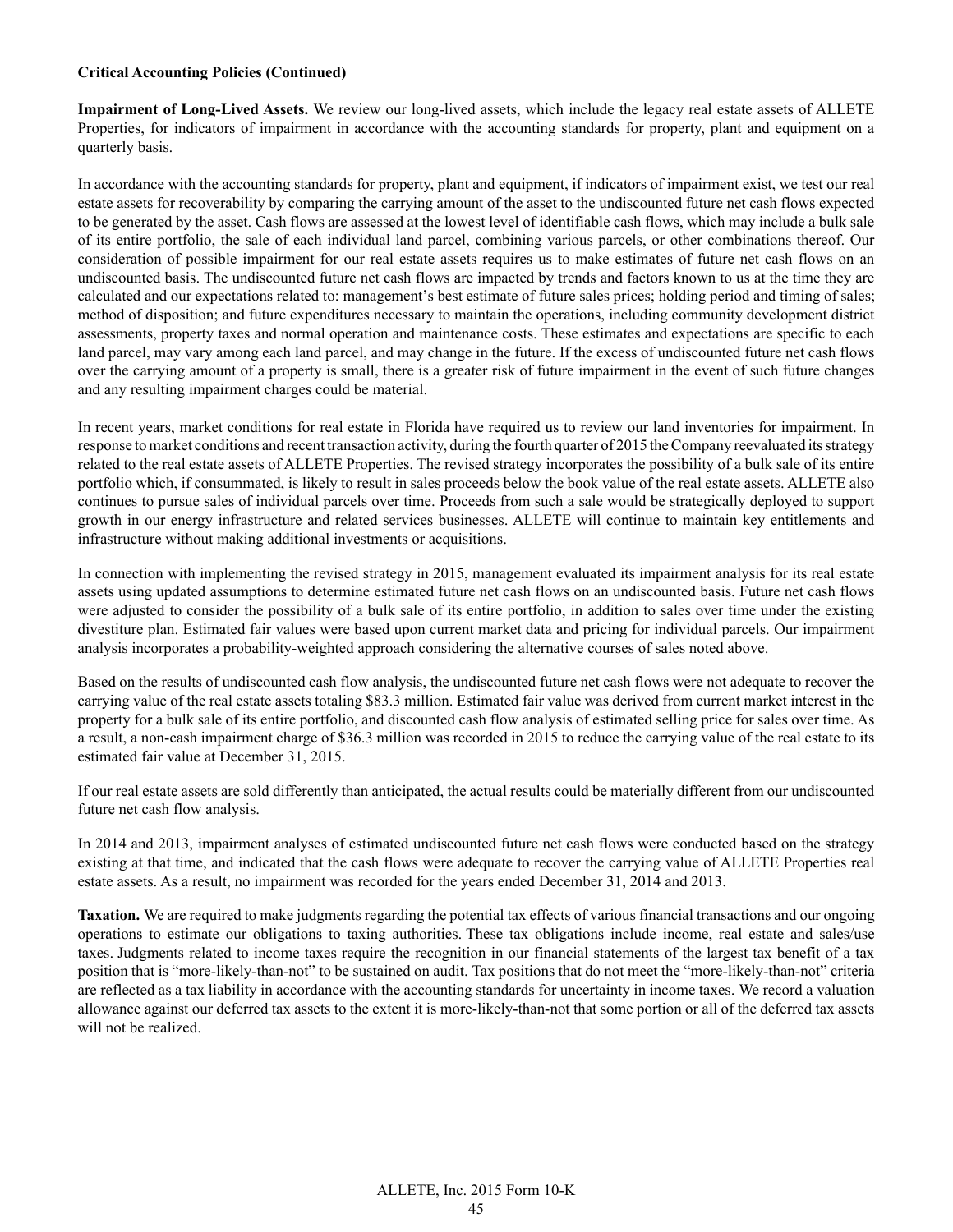## **Critical Accounting Policies (Continued)**

**Impairment of Long-Lived Assets.** We review our long-lived assets, which include the legacy real estate assets of ALLETE Properties, for indicators of impairment in accordance with the accounting standards for property, plant and equipment on a quarterly basis.

In accordance with the accounting standards for property, plant and equipment, if indicators of impairment exist, we test our real estate assets for recoverability by comparing the carrying amount of the asset to the undiscounted future net cash flows expected to be generated by the asset. Cash flows are assessed at the lowest level of identifiable cash flows, which may include a bulk sale of its entire portfolio, the sale of each individual land parcel, combining various parcels, or other combinations thereof. Our consideration of possible impairment for our real estate assets requires us to make estimates of future net cash flows on an undiscounted basis. The undiscounted future net cash flows are impacted by trends and factors known to us at the time they are calculated and our expectations related to: management's best estimate of future sales prices; holding period and timing of sales; method of disposition; and future expenditures necessary to maintain the operations, including community development district assessments, property taxes and normal operation and maintenance costs. These estimates and expectations are specific to each land parcel, may vary among each land parcel, and may change in the future. If the excess of undiscounted future net cash flows over the carrying amount of a property is small, there is a greater risk of future impairment in the event of such future changes and any resulting impairment charges could be material.

In recent years, market conditions for real estate in Florida have required us to review our land inventories for impairment. In response to market conditions and recent transaction activity, during the fourth quarter of 2015 the Company reevaluated its strategy related to the real estate assets of ALLETE Properties. The revised strategy incorporates the possibility of a bulk sale of its entire portfolio which, if consummated, is likely to result in sales proceeds below the book value of the real estate assets. ALLETE also continues to pursue sales of individual parcels over time. Proceeds from such a sale would be strategically deployed to support growth in our energy infrastructure and related services businesses. ALLETE will continue to maintain key entitlements and infrastructure without making additional investments or acquisitions.

In connection with implementing the revised strategy in 2015, management evaluated its impairment analysis for its real estate assets using updated assumptions to determine estimated future net cash flows on an undiscounted basis. Future net cash flows were adjusted to consider the possibility of a bulk sale of its entire portfolio, in addition to sales over time under the existing divestiture plan. Estimated fair values were based upon current market data and pricing for individual parcels. Our impairment analysis incorporates a probability-weighted approach considering the alternative courses of sales noted above.

Based on the results of undiscounted cash flow analysis, the undiscounted future net cash flows were not adequate to recover the carrying value of the real estate assets totaling \$83.3 million. Estimated fair value was derived from current market interest in the property for a bulk sale of its entire portfolio, and discounted cash flow analysis of estimated selling price for sales over time. As a result, a non-cash impairment charge of \$36.3 million was recorded in 2015 to reduce the carrying value of the real estate to its estimated fair value at December 31, 2015.

If our real estate assets are sold differently than anticipated, the actual results could be materially different from our undiscounted future net cash flow analysis.

In 2014 and 2013, impairment analyses of estimated undiscounted future net cash flows were conducted based on the strategy existing at that time, and indicated that the cash flows were adequate to recover the carrying value of ALLETE Properties real estate assets. As a result, no impairment was recorded for the years ended December 31, 2014 and 2013.

**Taxation.** We are required to make judgments regarding the potential tax effects of various financial transactions and our ongoing operations to estimate our obligations to taxing authorities. These tax obligations include income, real estate and sales/use taxes. Judgments related to income taxes require the recognition in our financial statements of the largest tax benefit of a tax position that is "more-likely-than-not" to be sustained on audit. Tax positions that do not meet the "more-likely-than-not" criteria are reflected as a tax liability in accordance with the accounting standards for uncertainty in income taxes. We record a valuation allowance against our deferred tax assets to the extent it is more-likely-than-not that some portion or all of the deferred tax assets will not be realized.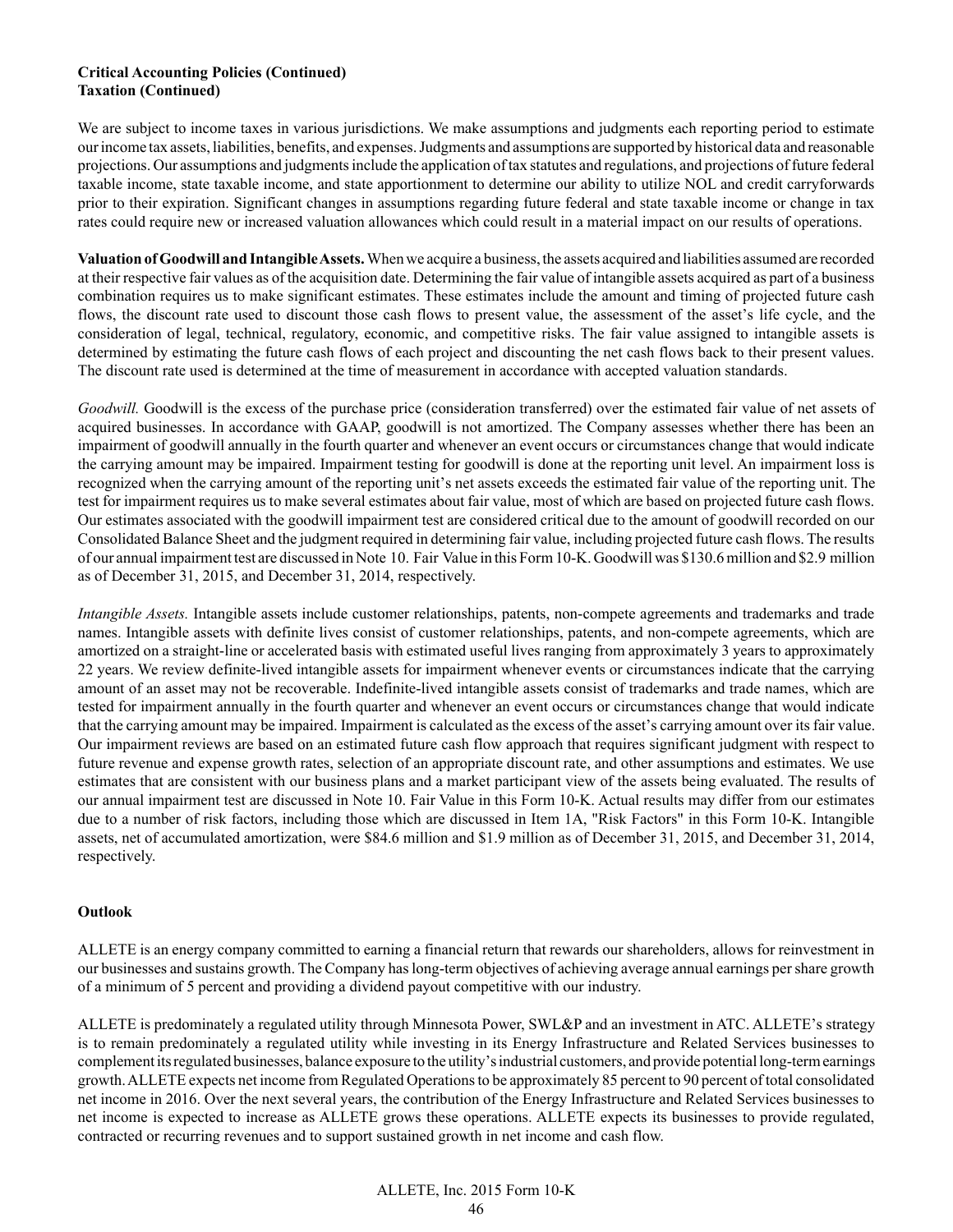## **Critical Accounting Policies (Continued) Taxation (Continued)**

We are subject to income taxes in various jurisdictions. We make assumptions and judgments each reporting period to estimate our income tax assets, liabilities, benefits, and expenses. Judgments and assumptions are supported by historical data and reasonable projections. Our assumptions and judgments include the application of tax statutes and regulations, and projections of future federal taxable income, state taxable income, and state apportionment to determine our ability to utilize NOL and credit carryforwards prior to their expiration. Significant changes in assumptions regarding future federal and state taxable income or change in tax rates could require new or increased valuation allowances which could result in a material impact on our results of operations.

**Valuation of Goodwill and Intangible Assets.** When we acquire a business, the assets acquired and liabilities assumed are recorded at their respective fair values as of the acquisition date. Determining the fair value of intangible assets acquired as part of a business combination requires us to make significant estimates. These estimates include the amount and timing of projected future cash flows, the discount rate used to discount those cash flows to present value, the assessment of the asset's life cycle, and the consideration of legal, technical, regulatory, economic, and competitive risks. The fair value assigned to intangible assets is determined by estimating the future cash flows of each project and discounting the net cash flows back to their present values. The discount rate used is determined at the time of measurement in accordance with accepted valuation standards.

*Goodwill.* Goodwill is the excess of the purchase price (consideration transferred) over the estimated fair value of net assets of acquired businesses. In accordance with GAAP, goodwill is not amortized. The Company assesses whether there has been an impairment of goodwill annually in the fourth quarter and whenever an event occurs or circumstances change that would indicate the carrying amount may be impaired. Impairment testing for goodwill is done at the reporting unit level. An impairment loss is recognized when the carrying amount of the reporting unit's net assets exceeds the estimated fair value of the reporting unit. The test for impairment requires us to make several estimates about fair value, most of which are based on projected future cash flows. Our estimates associated with the goodwill impairment test are considered critical due to the amount of goodwill recorded on our Consolidated Balance Sheet and the judgment required in determining fair value, including projected future cash flows. The results of our annual impairment test are discussed in Note 10. Fair Value in this Form 10-K. Goodwill was \$130.6 million and \$2.9 million as of December 31, 2015, and December 31, 2014, respectively.

*Intangible Assets.* Intangible assets include customer relationships, patents, non-compete agreements and trademarks and trade names. Intangible assets with definite lives consist of customer relationships, patents, and non-compete agreements, which are amortized on a straight-line or accelerated basis with estimated useful lives ranging from approximately 3 years to approximately 22 years. We review definite-lived intangible assets for impairment whenever events or circumstances indicate that the carrying amount of an asset may not be recoverable. Indefinite-lived intangible assets consist of trademarks and trade names, which are tested for impairment annually in the fourth quarter and whenever an event occurs or circumstances change that would indicate that the carrying amount may be impaired. Impairment is calculated as the excess of the asset's carrying amount over its fair value. Our impairment reviews are based on an estimated future cash flow approach that requires significant judgment with respect to future revenue and expense growth rates, selection of an appropriate discount rate, and other assumptions and estimates. We use estimates that are consistent with our business plans and a market participant view of the assets being evaluated. The results of our annual impairment test are discussed in Note 10. Fair Value in this Form 10-K. Actual results may differ from our estimates due to a number of risk factors, including those which are discussed in Item 1A, "Risk Factors" in this Form 10-K. Intangible assets, net of accumulated amortization, were \$84.6 million and \$1.9 million as of December 31, 2015, and December 31, 2014, respectively.

## **Outlook**

ALLETE is an energy company committed to earning a financial return that rewards our shareholders, allows for reinvestment in our businesses and sustains growth. The Company has long-term objectives of achieving average annual earnings per share growth of a minimum of 5 percent and providing a dividend payout competitive with our industry.

ALLETE is predominately a regulated utility through Minnesota Power, SWL&P and an investment in ATC. ALLETE's strategy is to remain predominately a regulated utility while investing in its Energy Infrastructure and Related Services businesses to complement its regulated businesses, balance exposure to the utility's industrial customers, and provide potential long-term earnings growth. ALLETE expects net income from Regulated Operations to be approximately 85 percent to 90 percent of total consolidated net income in 2016. Over the next several years, the contribution of the Energy Infrastructure and Related Services businesses to net income is expected to increase as ALLETE grows these operations. ALLETE expects its businesses to provide regulated, contracted or recurring revenues and to support sustained growth in net income and cash flow.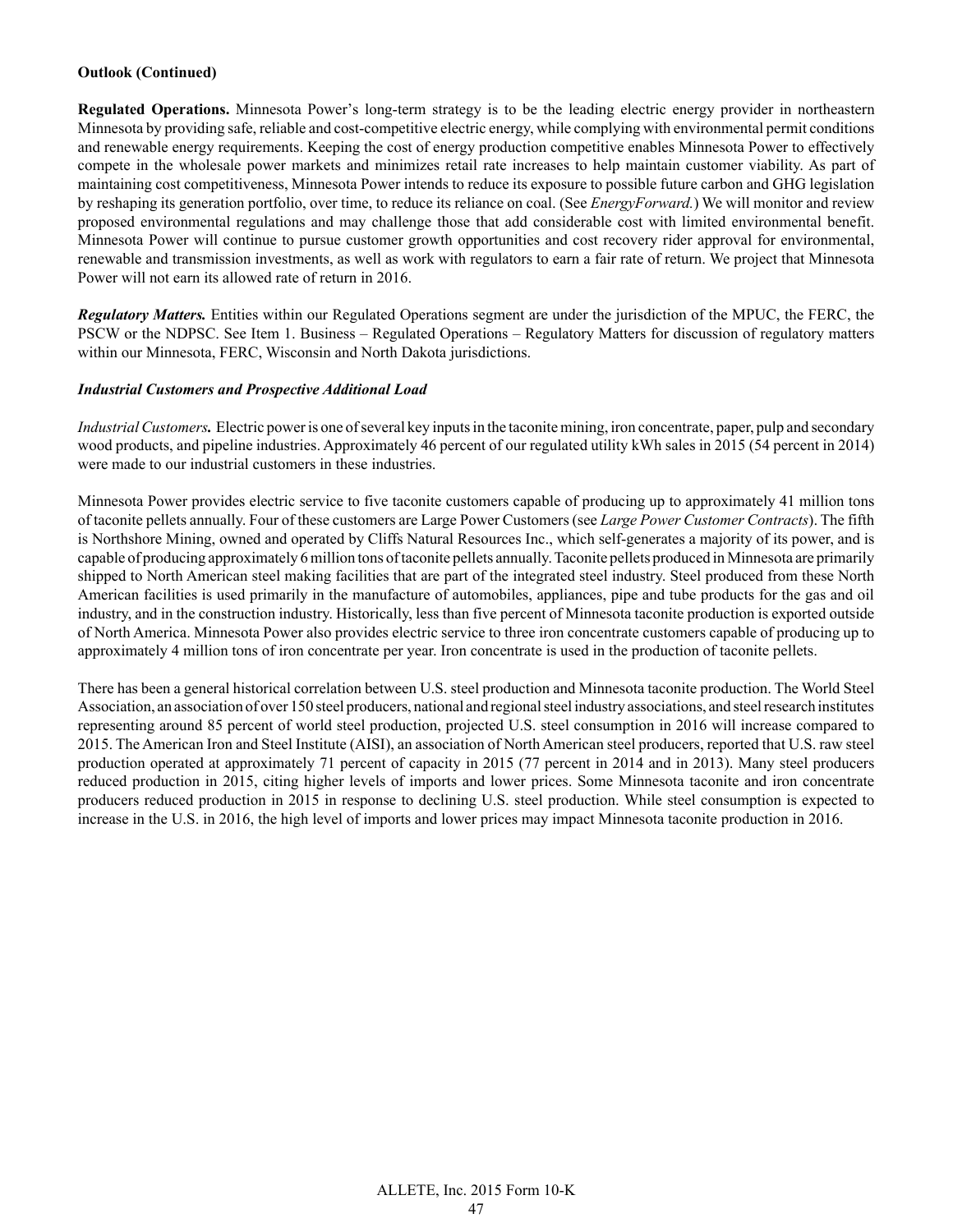## **Outlook (Continued)**

**Regulated Operations.** Minnesota Power's long-term strategy is to be the leading electric energy provider in northeastern Minnesota by providing safe, reliable and cost-competitive electric energy, while complying with environmental permit conditions and renewable energy requirements. Keeping the cost of energy production competitive enables Minnesota Power to effectively compete in the wholesale power markets and minimizes retail rate increases to help maintain customer viability. As part of maintaining cost competitiveness, Minnesota Power intends to reduce its exposure to possible future carbon and GHG legislation by reshaping its generation portfolio, over time, to reduce its reliance on coal. (See *EnergyForward.*) We will monitor and review proposed environmental regulations and may challenge those that add considerable cost with limited environmental benefit. Minnesota Power will continue to pursue customer growth opportunities and cost recovery rider approval for environmental, renewable and transmission investments, as well as work with regulators to earn a fair rate of return. We project that Minnesota Power will not earn its allowed rate of return in 2016.

*Regulatory Matters.* Entities within our Regulated Operations segment are under the jurisdiction of the MPUC, the FERC, the PSCW or the NDPSC. See Item 1. Business – Regulated Operations – Regulatory Matters for discussion of regulatory matters within our Minnesota, FERC, Wisconsin and North Dakota jurisdictions.

### *Industrial Customers and Prospective Additional Load*

*Industrial Customers*. Electric power is one of several key inputs in the taconite mining, iron concentrate, paper, pulp and secondary wood products, and pipeline industries. Approximately 46 percent of our regulated utility kWh sales in 2015 (54 percent in 2014) were made to our industrial customers in these industries.

Minnesota Power provides electric service to five taconite customers capable of producing up to approximately 41 million tons of taconite pellets annually. Four of these customers are Large Power Customers (see *Large Power Customer Contracts*). The fifth is Northshore Mining, owned and operated by Cliffs Natural Resources Inc., which self-generates a majority of its power, and is capable of producing approximately 6 million tons of taconite pellets annually. Taconite pellets produced in Minnesota are primarily shipped to North American steel making facilities that are part of the integrated steel industry. Steel produced from these North American facilities is used primarily in the manufacture of automobiles, appliances, pipe and tube products for the gas and oil industry, and in the construction industry. Historically, less than five percent of Minnesota taconite production is exported outside of North America. Minnesota Power also provides electric service to three iron concentrate customers capable of producing up to approximately 4 million tons of iron concentrate per year. Iron concentrate is used in the production of taconite pellets.

There has been a general historical correlation between U.S. steel production and Minnesota taconite production. The World Steel Association, an association of over 150 steel producers, national and regional steel industry associations, and steel research institutes representing around 85 percent of world steel production, projected U.S. steel consumption in 2016 will increase compared to 2015. The American Iron and Steel Institute (AISI), an association of North American steel producers, reported that U.S. raw steel production operated at approximately 71 percent of capacity in 2015 (77 percent in 2014 and in 2013). Many steel producers reduced production in 2015, citing higher levels of imports and lower prices. Some Minnesota taconite and iron concentrate producers reduced production in 2015 in response to declining U.S. steel production. While steel consumption is expected to increase in the U.S. in 2016, the high level of imports and lower prices may impact Minnesota taconite production in 2016.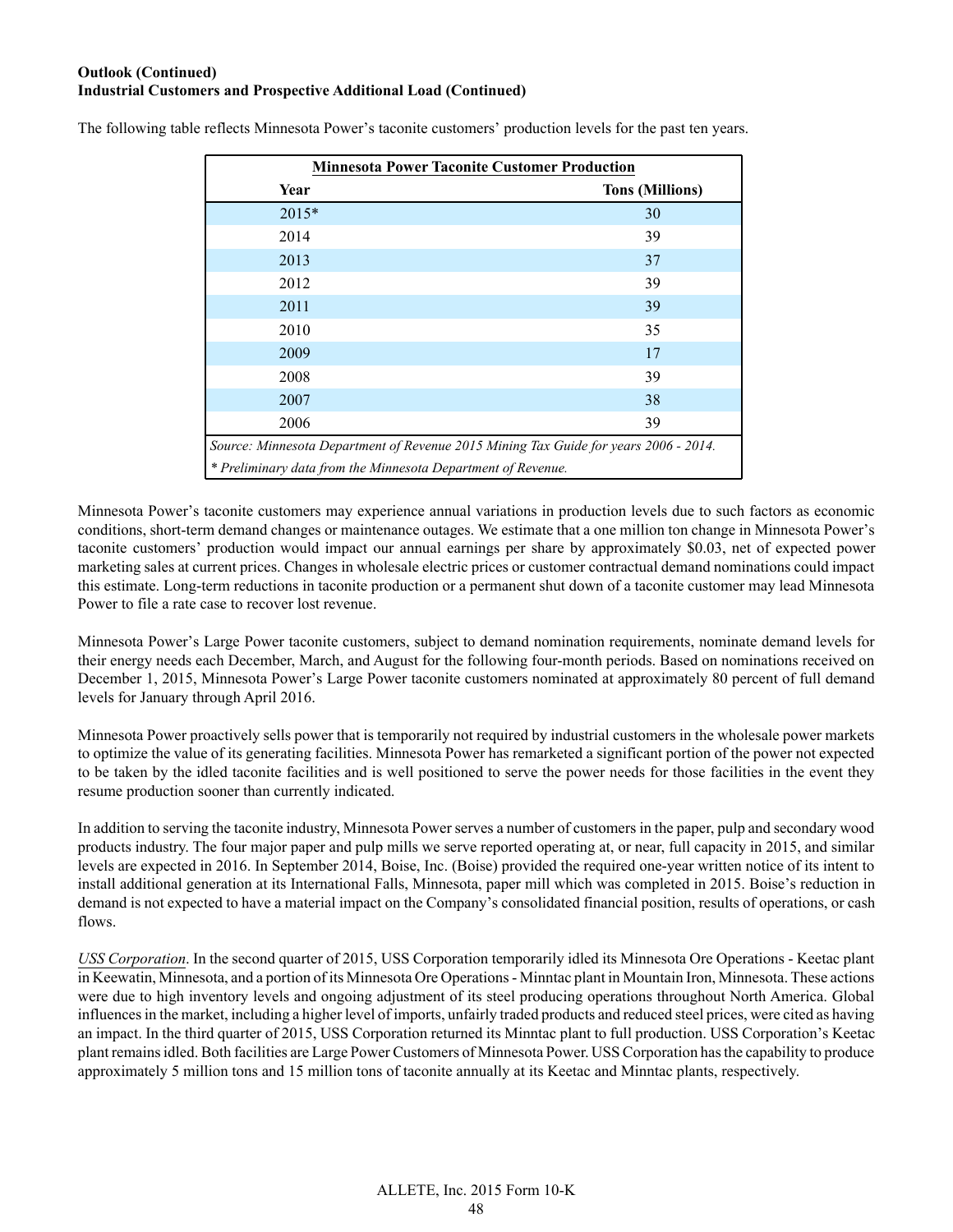## **Outlook (Continued) Industrial Customers and Prospective Additional Load (Continued)**

| <b>Minnesota Power Taconite Customer Production</b>                                  |                        |  |
|--------------------------------------------------------------------------------------|------------------------|--|
| Year                                                                                 | <b>Tons (Millions)</b> |  |
| $2015*$                                                                              | 30                     |  |
| 2014                                                                                 | 39                     |  |
| 2013                                                                                 | 37                     |  |
| 2012                                                                                 | 39                     |  |
| 2011                                                                                 | 39                     |  |
| 2010                                                                                 | 35                     |  |
| 2009                                                                                 | 17                     |  |
| 2008                                                                                 | 39                     |  |
| 2007                                                                                 | 38                     |  |
| 2006                                                                                 | 39                     |  |
| Source: Minnesota Department of Revenue 2015 Mining Tax Guide for years 2006 - 2014. |                        |  |
| * Preliminary data from the Minnesota Department of Revenue.                         |                        |  |

The following table reflects Minnesota Power's taconite customers' production levels for the past ten years.

Minnesota Power's taconite customers may experience annual variations in production levels due to such factors as economic conditions, short-term demand changes or maintenance outages. We estimate that a one million ton change in Minnesota Power's taconite customers' production would impact our annual earnings per share by approximately \$0.03, net of expected power marketing sales at current prices. Changes in wholesale electric prices or customer contractual demand nominations could impact this estimate. Long-term reductions in taconite production or a permanent shut down of a taconite customer may lead Minnesota Power to file a rate case to recover lost revenue.

Minnesota Power's Large Power taconite customers, subject to demand nomination requirements, nominate demand levels for their energy needs each December, March, and August for the following four-month periods. Based on nominations received on December 1, 2015, Minnesota Power's Large Power taconite customers nominated at approximately 80 percent of full demand levels for January through April 2016.

Minnesota Power proactively sells power that is temporarily not required by industrial customers in the wholesale power markets to optimize the value of its generating facilities. Minnesota Power has remarketed a significant portion of the power not expected to be taken by the idled taconite facilities and is well positioned to serve the power needs for those facilities in the event they resume production sooner than currently indicated.

In addition to serving the taconite industry, Minnesota Power serves a number of customers in the paper, pulp and secondary wood products industry. The four major paper and pulp mills we serve reported operating at, or near, full capacity in 2015, and similar levels are expected in 2016. In September 2014, Boise, Inc. (Boise) provided the required one-year written notice of its intent to install additional generation at its International Falls, Minnesota, paper mill which was completed in 2015. Boise's reduction in demand is not expected to have a material impact on the Company's consolidated financial position, results of operations, or cash flows.

*USS Corporation*. In the second quarter of 2015, USS Corporation temporarily idled its Minnesota Ore Operations - Keetac plant in Keewatin, Minnesota, and a portion of its Minnesota Ore Operations - Minntac plant in Mountain Iron, Minnesota. These actions were due to high inventory levels and ongoing adjustment of its steel producing operations throughout North America. Global influences in the market, including a higher level of imports, unfairly traded products and reduced steel prices, were cited as having an impact. In the third quarter of 2015, USS Corporation returned its Minntac plant to full production. USS Corporation's Keetac plant remains idled. Both facilities are Large Power Customers of Minnesota Power. USS Corporation has the capability to produce approximately 5 million tons and 15 million tons of taconite annually at its Keetac and Minntac plants, respectively.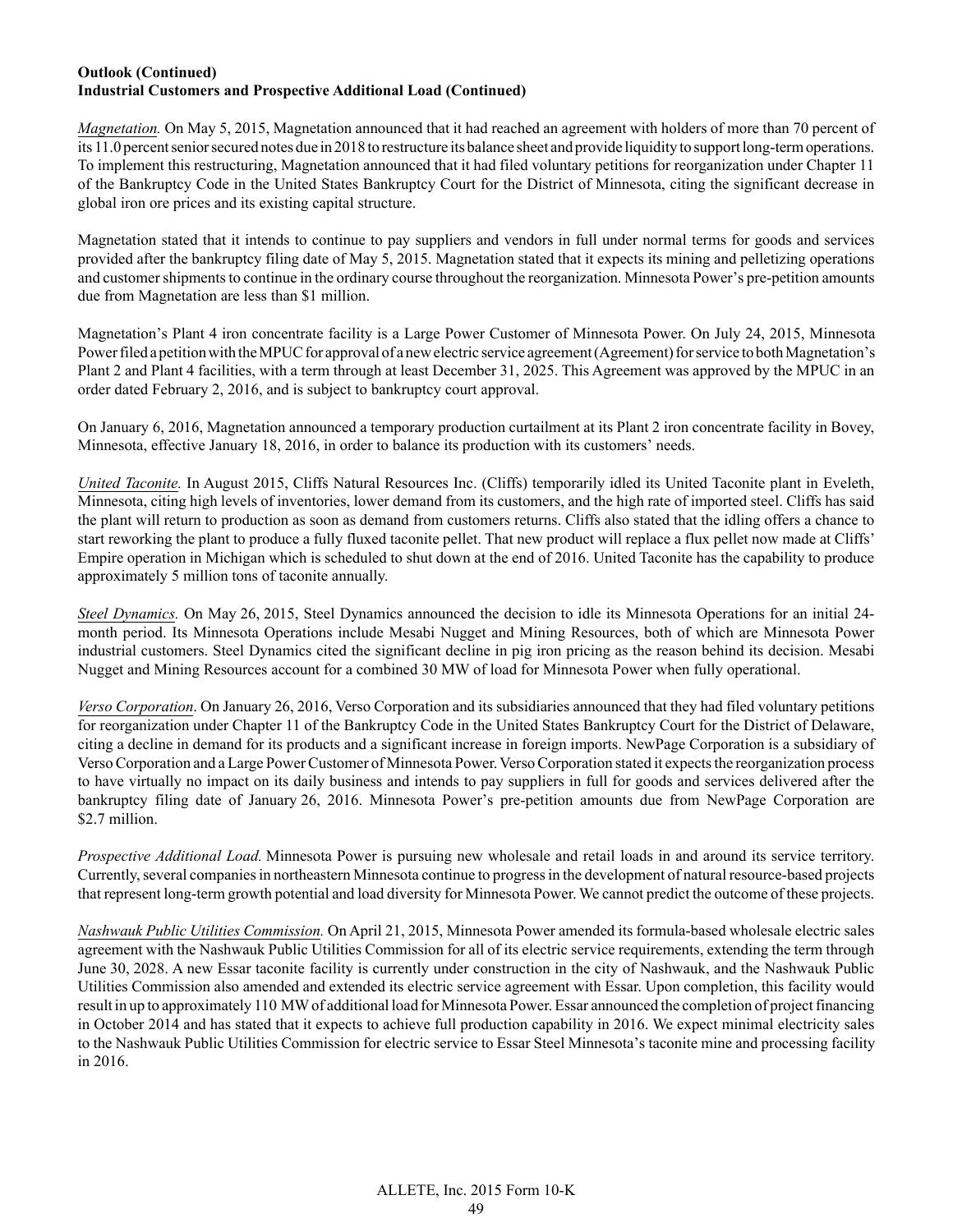## **Outlook (Continued) Industrial Customers and Prospective Additional Load (Continued)**

*Magnetation.* On May 5, 2015, Magnetation announced that it had reached an agreement with holders of more than 70 percent of its 11.0 percent senior secured notes due in 2018 to restructure its balance sheet and provide liquidity to support long-term operations. To implement this restructuring, Magnetation announced that it had filed voluntary petitions for reorganization under Chapter 11 of the Bankruptcy Code in the United States Bankruptcy Court for the District of Minnesota, citing the significant decrease in global iron ore prices and its existing capital structure.

Magnetation stated that it intends to continue to pay suppliers and vendors in full under normal terms for goods and services provided after the bankruptcy filing date of May 5, 2015. Magnetation stated that it expects its mining and pelletizing operations and customer shipments to continue in the ordinary course throughout the reorganization. Minnesota Power's pre-petition amounts due from Magnetation are less than \$1 million.

Magnetation's Plant 4 iron concentrate facility is a Large Power Customer of Minnesota Power. On July 24, 2015, Minnesota Power filed a petition with the MPUC for approval of a new electric service agreement (Agreement) for service to both Magnetation's Plant 2 and Plant 4 facilities, with a term through at least December 31, 2025. This Agreement was approved by the MPUC in an order dated February 2, 2016, and is subject to bankruptcy court approval.

On January 6, 2016, Magnetation announced a temporary production curtailment at its Plant 2 iron concentrate facility in Bovey, Minnesota, effective January 18, 2016, in order to balance its production with its customers' needs.

*United Taconite.* In August 2015, Cliffs Natural Resources Inc. (Cliffs) temporarily idled its United Taconite plant in Eveleth, Minnesota, citing high levels of inventories, lower demand from its customers, and the high rate of imported steel. Cliffs has said the plant will return to production as soon as demand from customers returns. Cliffs also stated that the idling offers a chance to start reworking the plant to produce a fully fluxed taconite pellet. That new product will replace a flux pellet now made at Cliffs' Empire operation in Michigan which is scheduled to shut down at the end of 2016. United Taconite has the capability to produce approximately 5 million tons of taconite annually.

*Steel Dynamics.* On May 26, 2015, Steel Dynamics announced the decision to idle its Minnesota Operations for an initial 24 month period. Its Minnesota Operations include Mesabi Nugget and Mining Resources, both of which are Minnesota Power industrial customers. Steel Dynamics cited the significant decline in pig iron pricing as the reason behind its decision. Mesabi Nugget and Mining Resources account for a combined 30 MW of load for Minnesota Power when fully operational.

*Verso Corporation*. On January 26, 2016, Verso Corporation and its subsidiaries announced that they had filed voluntary petitions for reorganization under Chapter 11 of the Bankruptcy Code in the United States Bankruptcy Court for the District of Delaware, citing a decline in demand for its products and a significant increase in foreign imports. NewPage Corporation is a subsidiary of Verso Corporation and a Large Power Customer of Minnesota Power. Verso Corporation stated it expects the reorganization process to have virtually no impact on its daily business and intends to pay suppliers in full for goods and services delivered after the bankruptcy filing date of January 26, 2016. Minnesota Power's pre-petition amounts due from NewPage Corporation are \$2.7 million.

*Prospective Additional Load.* Minnesota Power is pursuing new wholesale and retail loads in and around its service territory. Currently, several companies in northeastern Minnesota continue to progress in the development of natural resource-based projects that represent long-term growth potential and load diversity for Minnesota Power. We cannot predict the outcome of these projects.

*Nashwauk Public Utilities Commission.* On April 21, 2015, Minnesota Power amended its formula-based wholesale electric sales agreement with the Nashwauk Public Utilities Commission for all of its electric service requirements, extending the term through June 30, 2028. A new Essar taconite facility is currently under construction in the city of Nashwauk, and the Nashwauk Public Utilities Commission also amended and extended its electric service agreement with Essar. Upon completion, this facility would result in up to approximately 110 MW of additional load for Minnesota Power. Essar announced the completion of project financing in October 2014 and has stated that it expects to achieve full production capability in 2016. We expect minimal electricity sales to the Nashwauk Public Utilities Commission for electric service to Essar Steel Minnesota's taconite mine and processing facility in 2016.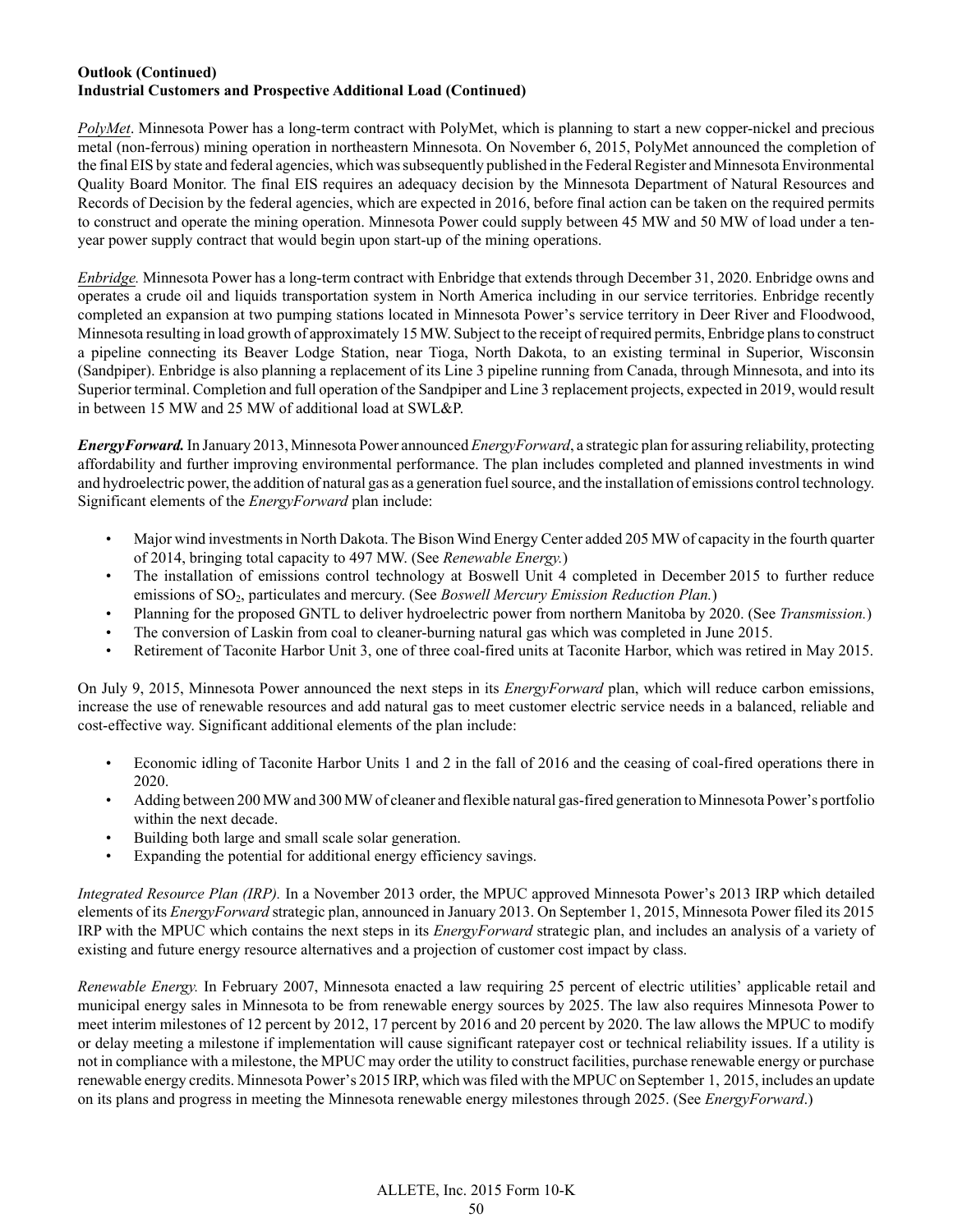## **Outlook (Continued) Industrial Customers and Prospective Additional Load (Continued)**

*PolyMet*. Minnesota Power has a long-term contract with PolyMet, which is planning to start a new copper-nickel and precious metal (non-ferrous) mining operation in northeastern Minnesota. On November 6, 2015, PolyMet announced the completion of the final EIS by state and federal agencies, which was subsequently published in the Federal Register and Minnesota Environmental Quality Board Monitor. The final EIS requires an adequacy decision by the Minnesota Department of Natural Resources and Records of Decision by the federal agencies, which are expected in 2016, before final action can be taken on the required permits to construct and operate the mining operation. Minnesota Power could supply between 45 MW and 50 MW of load under a tenyear power supply contract that would begin upon start-up of the mining operations.

*Enbridge.* Minnesota Power has a long-term contract with Enbridge that extends through December 31, 2020. Enbridge owns and operates a crude oil and liquids transportation system in North America including in our service territories. Enbridge recently completed an expansion at two pumping stations located in Minnesota Power's service territory in Deer River and Floodwood, Minnesota resulting in load growth of approximately 15 MW. Subject to the receipt of required permits, Enbridge plans to construct a pipeline connecting its Beaver Lodge Station, near Tioga, North Dakota, to an existing terminal in Superior, Wisconsin (Sandpiper). Enbridge is also planning a replacement of its Line 3 pipeline running from Canada, through Minnesota, and into its Superior terminal. Completion and full operation of the Sandpiper and Line 3 replacement projects, expected in 2019, would result in between 15 MW and 25 MW of additional load at SWL&P.

*EnergyForward.* In January 2013, Minnesota Power announced *EnergyForward*, a strategic plan for assuring reliability, protecting affordability and further improving environmental performance. The plan includes completed and planned investments in wind and hydroelectric power, the addition of natural gas as a generation fuel source, and the installation of emissions control technology. Significant elements of the *EnergyForward* plan include:

- Major wind investments in North Dakota. The Bison Wind Energy Center added 205 MW of capacity in the fourth quarter of 2014, bringing total capacity to 497 MW. (See *Renewable Energy.*)
- The installation of emissions control technology at Boswell Unit 4 completed in December 2015 to further reduce emissions of SO2, particulates and mercury. (See *Boswell Mercury Emission Reduction Plan.*)
- Planning for the proposed GNTL to deliver hydroelectric power from northern Manitoba by 2020. (See *Transmission.*)
- The conversion of Laskin from coal to cleaner-burning natural gas which was completed in June 2015.
- Retirement of Taconite Harbor Unit 3, one of three coal-fired units at Taconite Harbor, which was retired in May 2015.

On July 9, 2015, Minnesota Power announced the next steps in its *EnergyForward* plan, which will reduce carbon emissions, increase the use of renewable resources and add natural gas to meet customer electric service needs in a balanced, reliable and cost-effective way. Significant additional elements of the plan include:

- Economic idling of Taconite Harbor Units 1 and 2 in the fall of 2016 and the ceasing of coal-fired operations there in 2020.
- Adding between 200 MW and 300 MW of cleaner and flexible natural gas-fired generation to Minnesota Power's portfolio within the next decade.
- Building both large and small scale solar generation.
- Expanding the potential for additional energy efficiency savings.

*Integrated Resource Plan (IRP).* In a November 2013 order, the MPUC approved Minnesota Power's 2013 IRP which detailed elements of its *EnergyForward* strategic plan, announced in January 2013. On September 1, 2015, Minnesota Power filed its 2015 IRP with the MPUC which contains the next steps in its *EnergyForward* strategic plan, and includes an analysis of a variety of existing and future energy resource alternatives and a projection of customer cost impact by class.

*Renewable Energy.* In February 2007, Minnesota enacted a law requiring 25 percent of electric utilities' applicable retail and municipal energy sales in Minnesota to be from renewable energy sources by 2025. The law also requires Minnesota Power to meet interim milestones of 12 percent by 2012, 17 percent by 2016 and 20 percent by 2020. The law allows the MPUC to modify or delay meeting a milestone if implementation will cause significant ratepayer cost or technical reliability issues. If a utility is not in compliance with a milestone, the MPUC may order the utility to construct facilities, purchase renewable energy or purchase renewable energy credits. Minnesota Power's 2015 IRP, which was filed with the MPUC on September 1, 2015, includes an update on its plans and progress in meeting the Minnesota renewable energy milestones through 2025. (See *EnergyForward*.)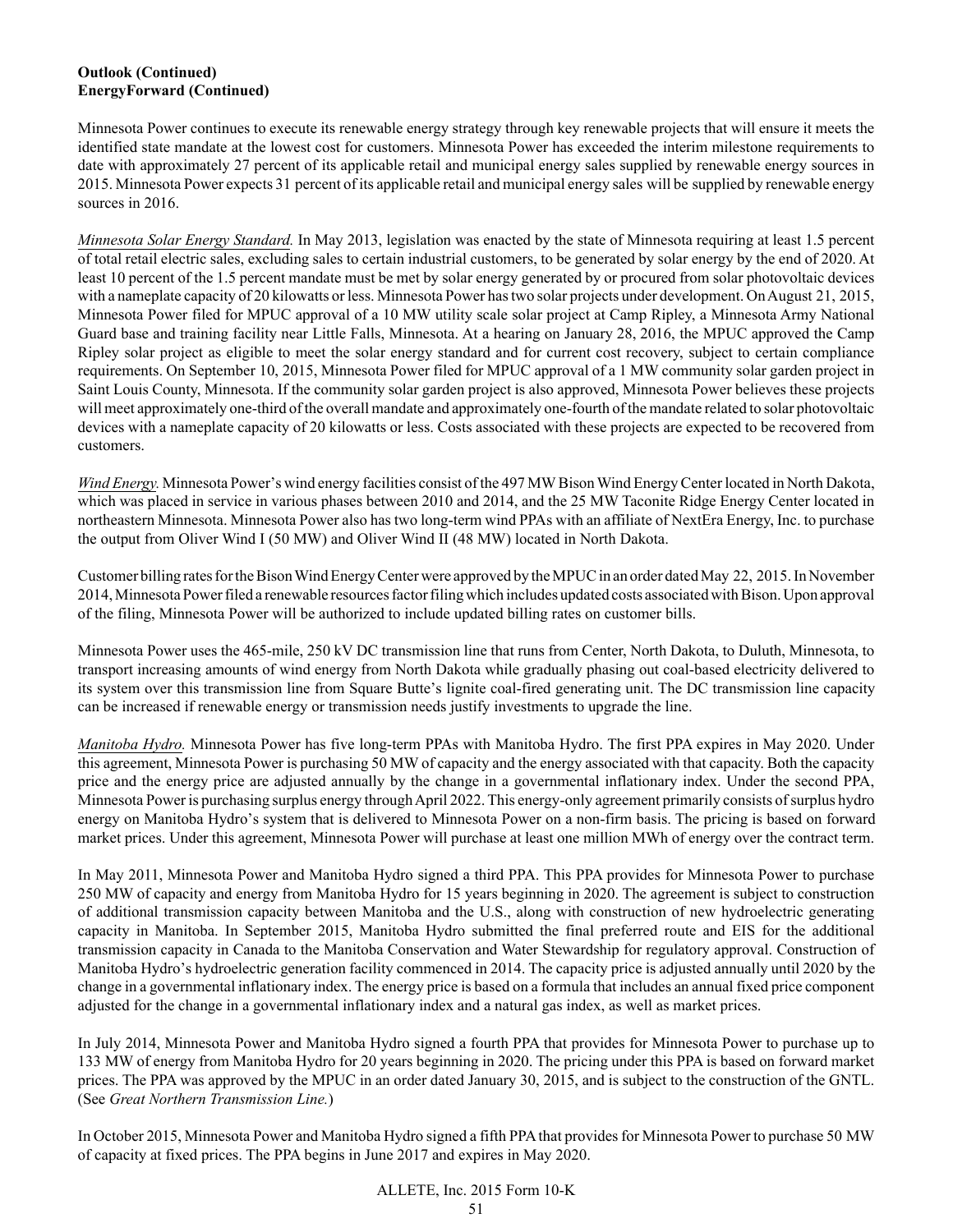## **Outlook (Continued) EnergyForward (Continued)**

Minnesota Power continues to execute its renewable energy strategy through key renewable projects that will ensure it meets the identified state mandate at the lowest cost for customers. Minnesota Power has exceeded the interim milestone requirements to date with approximately 27 percent of its applicable retail and municipal energy sales supplied by renewable energy sources in 2015. Minnesota Power expects 31 percent of its applicable retail and municipal energy sales will be supplied by renewable energy sources in 2016.

*Minnesota Solar Energy Standard.* In May 2013, legislation was enacted by the state of Minnesota requiring at least 1.5 percent of total retail electric sales, excluding sales to certain industrial customers, to be generated by solar energy by the end of 2020. At least 10 percent of the 1.5 percent mandate must be met by solar energy generated by or procured from solar photovoltaic devices with a nameplate capacity of 20 kilowatts or less. Minnesota Power has two solar projects under development. On August 21, 2015, Minnesota Power filed for MPUC approval of a 10 MW utility scale solar project at Camp Ripley, a Minnesota Army National Guard base and training facility near Little Falls, Minnesota. At a hearing on January 28, 2016, the MPUC approved the Camp Ripley solar project as eligible to meet the solar energy standard and for current cost recovery, subject to certain compliance requirements. On September 10, 2015, Minnesota Power filed for MPUC approval of a 1 MW community solar garden project in Saint Louis County, Minnesota. If the community solar garden project is also approved, Minnesota Power believes these projects will meet approximately one-third of the overall mandate and approximately one-fourth of the mandate related to solar photovoltaic devices with a nameplate capacity of 20 kilowatts or less. Costs associated with these projects are expected to be recovered from customers.

*Wind Energy.* Minnesota Power's wind energy facilities consist of the 497 MW Bison Wind Energy Center located in North Dakota, which was placed in service in various phases between 2010 and 2014, and the 25 MW Taconite Ridge Energy Center located in northeastern Minnesota. Minnesota Power also has two long-term wind PPAs with an affiliate of NextEra Energy, Inc. to purchase the output from Oliver Wind I (50 MW) and Oliver Wind II (48 MW) located in North Dakota.

Customer billing rates for the Bison Wind Energy Center were approved by the MPUC in an order dated May 22, 2015. In November 2014, Minnesota Power filed a renewable resources factor filing which includes updated costs associated with Bison. Upon approval of the filing, Minnesota Power will be authorized to include updated billing rates on customer bills.

Minnesota Power uses the 465-mile, 250 kV DC transmission line that runs from Center, North Dakota, to Duluth, Minnesota, to transport increasing amounts of wind energy from North Dakota while gradually phasing out coal-based electricity delivered to its system over this transmission line from Square Butte's lignite coal-fired generating unit. The DC transmission line capacity can be increased if renewable energy or transmission needs justify investments to upgrade the line.

*Manitoba Hydro.* Minnesota Power has five long-term PPAs with Manitoba Hydro. The first PPA expires in May 2020. Under this agreement, Minnesota Power is purchasing 50 MW of capacity and the energy associated with that capacity. Both the capacity price and the energy price are adjusted annually by the change in a governmental inflationary index. Under the second PPA, Minnesota Power is purchasing surplus energy through April 2022. This energy-only agreement primarily consists of surplus hydro energy on Manitoba Hydro's system that is delivered to Minnesota Power on a non-firm basis. The pricing is based on forward market prices. Under this agreement, Minnesota Power will purchase at least one million MWh of energy over the contract term.

In May 2011, Minnesota Power and Manitoba Hydro signed a third PPA. This PPA provides for Minnesota Power to purchase 250 MW of capacity and energy from Manitoba Hydro for 15 years beginning in 2020. The agreement is subject to construction of additional transmission capacity between Manitoba and the U.S., along with construction of new hydroelectric generating capacity in Manitoba. In September 2015, Manitoba Hydro submitted the final preferred route and EIS for the additional transmission capacity in Canada to the Manitoba Conservation and Water Stewardship for regulatory approval. Construction of Manitoba Hydro's hydroelectric generation facility commenced in 2014. The capacity price is adjusted annually until 2020 by the change in a governmental inflationary index. The energy price is based on a formula that includes an annual fixed price component adjusted for the change in a governmental inflationary index and a natural gas index, as well as market prices.

In July 2014, Minnesota Power and Manitoba Hydro signed a fourth PPA that provides for Minnesota Power to purchase up to 133 MW of energy from Manitoba Hydro for 20 years beginning in 2020. The pricing under this PPA is based on forward market prices. The PPA was approved by the MPUC in an order dated January 30, 2015, and is subject to the construction of the GNTL. (See *Great Northern Transmission Line.*)

In October 2015, Minnesota Power and Manitoba Hydro signed a fifth PPA that provides for Minnesota Power to purchase 50 MW of capacity at fixed prices. The PPA begins in June 2017 and expires in May 2020.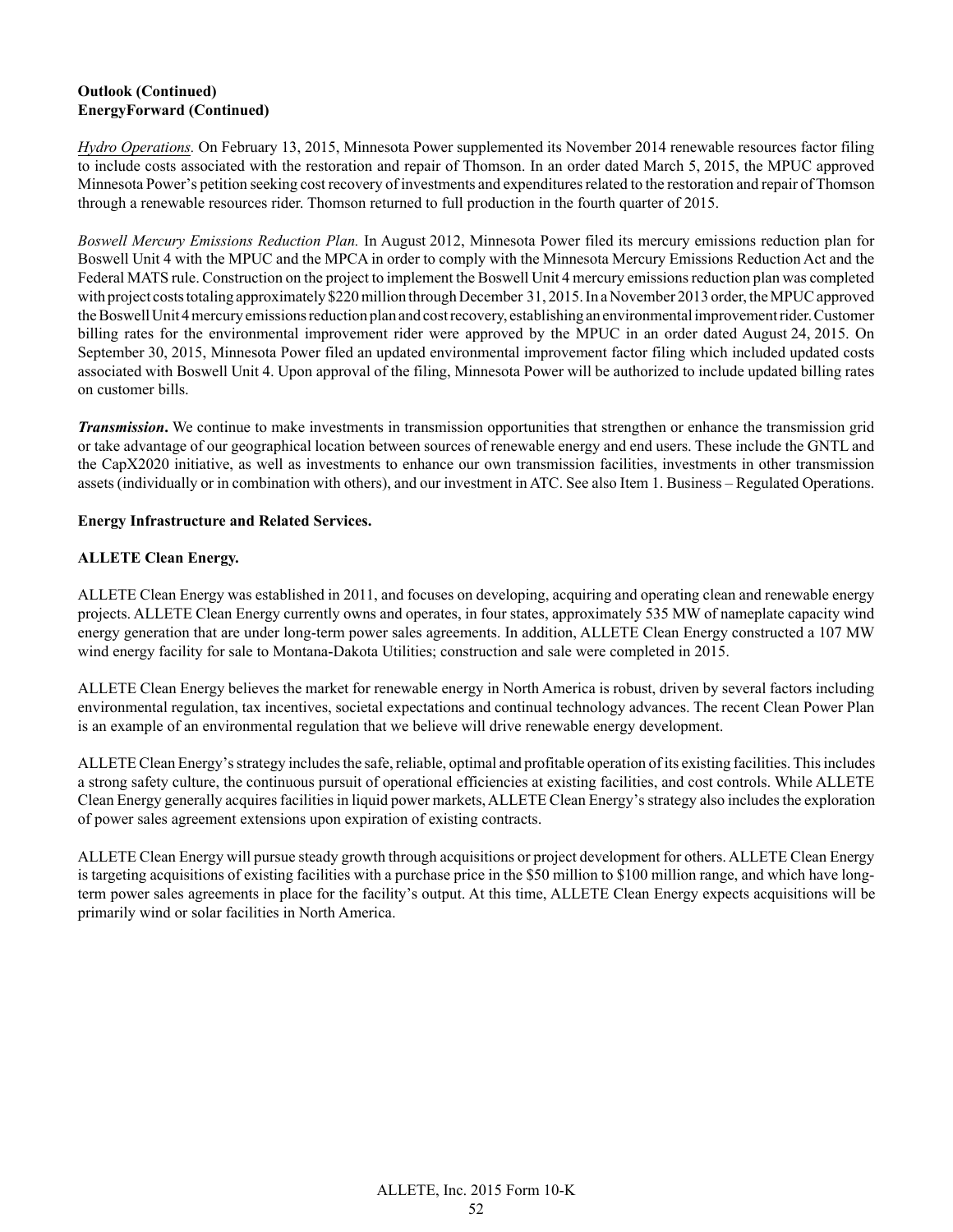# **Outlook (Continued) EnergyForward (Continued)**

*Hydro Operations.* On February 13, 2015, Minnesota Power supplemented its November 2014 renewable resources factor filing to include costs associated with the restoration and repair of Thomson. In an order dated March 5, 2015, the MPUC approved Minnesota Power's petition seeking cost recovery of investments and expenditures related to the restoration and repair of Thomson through a renewable resources rider. Thomson returned to full production in the fourth quarter of 2015.

*Boswell Mercury Emissions Reduction Plan.* In August 2012, Minnesota Power filed its mercury emissions reduction plan for Boswell Unit 4 with the MPUC and the MPCA in order to comply with the Minnesota Mercury Emissions Reduction Act and the Federal MATS rule. Construction on the project to implement the Boswell Unit 4 mercury emissions reduction plan was completed with project costs totaling approximately \$220 million through December 31, 2015. In a November 2013 order, the MPUC approved the Boswell Unit 4 mercury emissions reduction plan and cost recovery, establishing an environmental improvement rider. Customer billing rates for the environmental improvement rider were approved by the MPUC in an order dated August 24, 2015. On September 30, 2015, Minnesota Power filed an updated environmental improvement factor filing which included updated costs associated with Boswell Unit 4. Upon approval of the filing, Minnesota Power will be authorized to include updated billing rates on customer bills.

*Transmission***.** We continue to make investments in transmission opportunities that strengthen or enhance the transmission grid or take advantage of our geographical location between sources of renewable energy and end users. These include the GNTL and the CapX2020 initiative, as well as investments to enhance our own transmission facilities, investments in other transmission assets (individually or in combination with others), and our investment in ATC. See also Item 1. Business – Regulated Operations.

## **Energy Infrastructure and Related Services.**

## **ALLETE Clean Energy.**

ALLETE Clean Energy was established in 2011, and focuses on developing, acquiring and operating clean and renewable energy projects. ALLETE Clean Energy currently owns and operates, in four states, approximately 535 MW of nameplate capacity wind energy generation that are under long-term power sales agreements. In addition, ALLETE Clean Energy constructed a 107 MW wind energy facility for sale to Montana-Dakota Utilities; construction and sale were completed in 2015.

ALLETE Clean Energy believes the market for renewable energy in North America is robust, driven by several factors including environmental regulation, tax incentives, societal expectations and continual technology advances. The recent Clean Power Plan is an example of an environmental regulation that we believe will drive renewable energy development.

ALLETE Clean Energy's strategy includes the safe, reliable, optimal and profitable operation of its existing facilities. This includes a strong safety culture, the continuous pursuit of operational efficiencies at existing facilities, and cost controls. While ALLETE Clean Energy generally acquires facilities in liquid power markets, ALLETE Clean Energy's strategy also includes the exploration of power sales agreement extensions upon expiration of existing contracts.

ALLETE Clean Energy will pursue steady growth through acquisitions or project development for others. ALLETE Clean Energy is targeting acquisitions of existing facilities with a purchase price in the \$50 million to \$100 million range, and which have longterm power sales agreements in place for the facility's output. At this time, ALLETE Clean Energy expects acquisitions will be primarily wind or solar facilities in North America.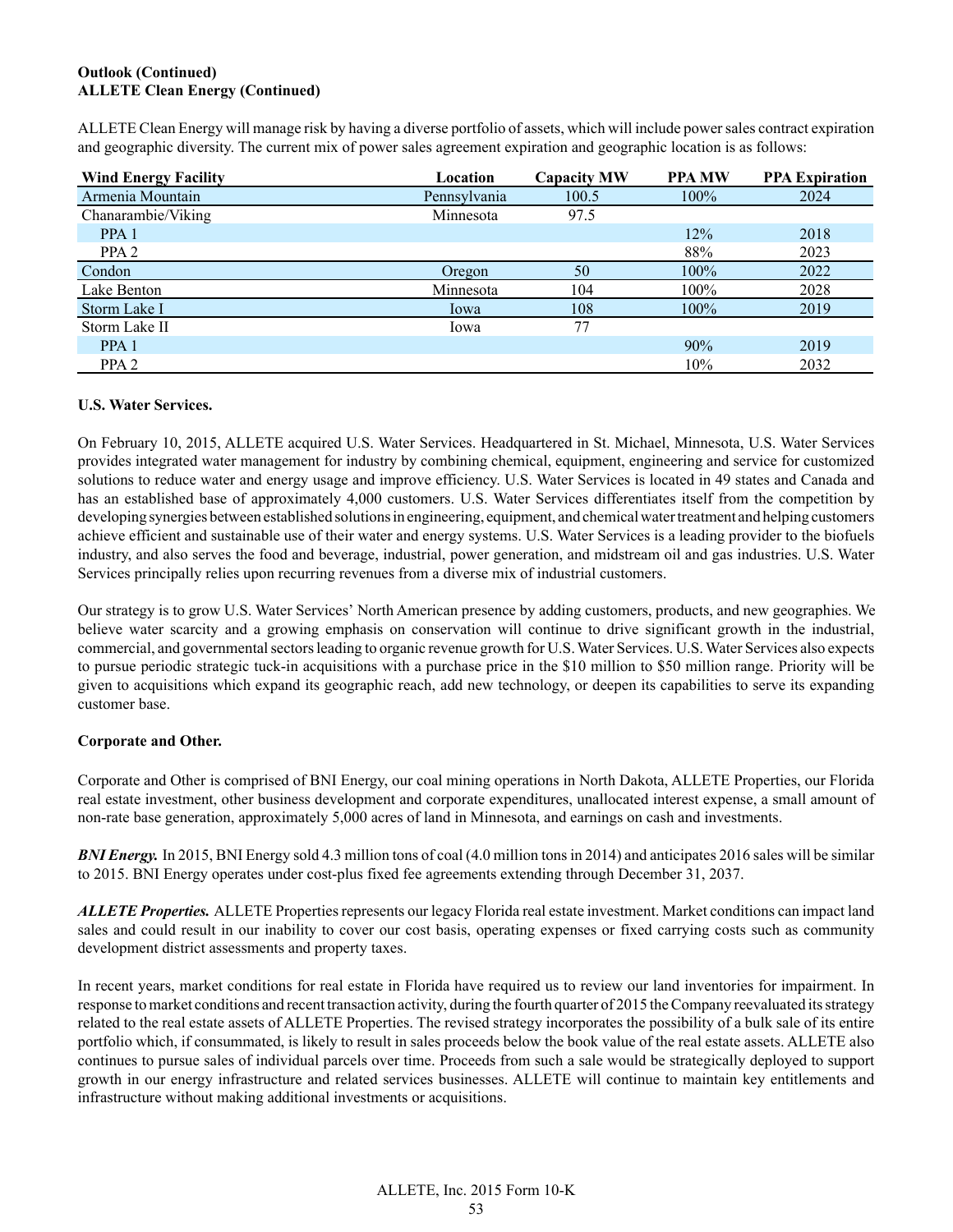## **Outlook (Continued) ALLETE Clean Energy (Continued)**

ALLETE Clean Energy will manage risk by having a diverse portfolio of assets, which will include power sales contract expiration and geographic diversity. The current mix of power sales agreement expiration and geographic location is as follows:

| <b>Wind Energy Facility</b> | Location     | <b>Capacity MW</b> | <b>PPA MW</b> | <b>PPA Expiration</b> |
|-----------------------------|--------------|--------------------|---------------|-----------------------|
| Armenia Mountain            | Pennsylvania | 100.5              | $100\%$       | 2024                  |
| Chanarambie/Viking          | Minnesota    | 97.5               |               |                       |
| PPA <sub>1</sub>            |              |                    | 12%           | 2018                  |
| PPA <sub>2</sub>            |              |                    | 88%           | 2023                  |
| Condon                      | Oregon       | 50                 | 100%          | 2022                  |
| Lake Benton                 | Minnesota    | 104                | 100%          | 2028                  |
| Storm Lake I                | lowa         | 108                | $100\%$       | 2019                  |
| Storm Lake II               | Iowa         | 77                 |               |                       |
| PPA <sub>1</sub>            |              |                    | 90%           | 2019                  |
| PPA <sub>2</sub>            |              |                    | 10%           | 2032                  |

## **U.S. Water Services.**

On February 10, 2015, ALLETE acquired U.S. Water Services. Headquartered in St. Michael, Minnesota, U.S. Water Services provides integrated water management for industry by combining chemical, equipment, engineering and service for customized solutions to reduce water and energy usage and improve efficiency. U.S. Water Services is located in 49 states and Canada and has an established base of approximately 4,000 customers. U.S. Water Services differentiates itself from the competition by developing synergies between established solutions in engineering, equipment, and chemical water treatment and helping customers achieve efficient and sustainable use of their water and energy systems. U.S. Water Services is a leading provider to the biofuels industry, and also serves the food and beverage, industrial, power generation, and midstream oil and gas industries. U.S. Water Services principally relies upon recurring revenues from a diverse mix of industrial customers.

Our strategy is to grow U.S. Water Services' North American presence by adding customers, products, and new geographies. We believe water scarcity and a growing emphasis on conservation will continue to drive significant growth in the industrial, commercial, and governmental sectors leading to organic revenue growth for U.S. Water Services. U.S. Water Services also expects to pursue periodic strategic tuck-in acquisitions with a purchase price in the \$10 million to \$50 million range. Priority will be given to acquisitions which expand its geographic reach, add new technology, or deepen its capabilities to serve its expanding customer base.

# **Corporate and Other.**

Corporate and Other is comprised of BNI Energy, our coal mining operations in North Dakota, ALLETE Properties, our Florida real estate investment, other business development and corporate expenditures, unallocated interest expense, a small amount of non-rate base generation, approximately 5,000 acres of land in Minnesota, and earnings on cash and investments.

*BNI Energy.* In 2015, BNI Energy sold 4.3 million tons of coal (4.0 million tons in 2014) and anticipates 2016 sales will be similar to 2015. BNI Energy operates under cost-plus fixed fee agreements extending through December 31, 2037.

*ALLETE Properties.* ALLETE Properties represents our legacy Florida real estate investment. Market conditions can impact land sales and could result in our inability to cover our cost basis, operating expenses or fixed carrying costs such as community development district assessments and property taxes.

In recent years, market conditions for real estate in Florida have required us to review our land inventories for impairment. In response to market conditions and recent transaction activity, during the fourth quarter of 2015 the Company reevaluated its strategy related to the real estate assets of ALLETE Properties. The revised strategy incorporates the possibility of a bulk sale of its entire portfolio which, if consummated, is likely to result in sales proceeds below the book value of the real estate assets. ALLETE also continues to pursue sales of individual parcels over time. Proceeds from such a sale would be strategically deployed to support growth in our energy infrastructure and related services businesses. ALLETE will continue to maintain key entitlements and infrastructure without making additional investments or acquisitions.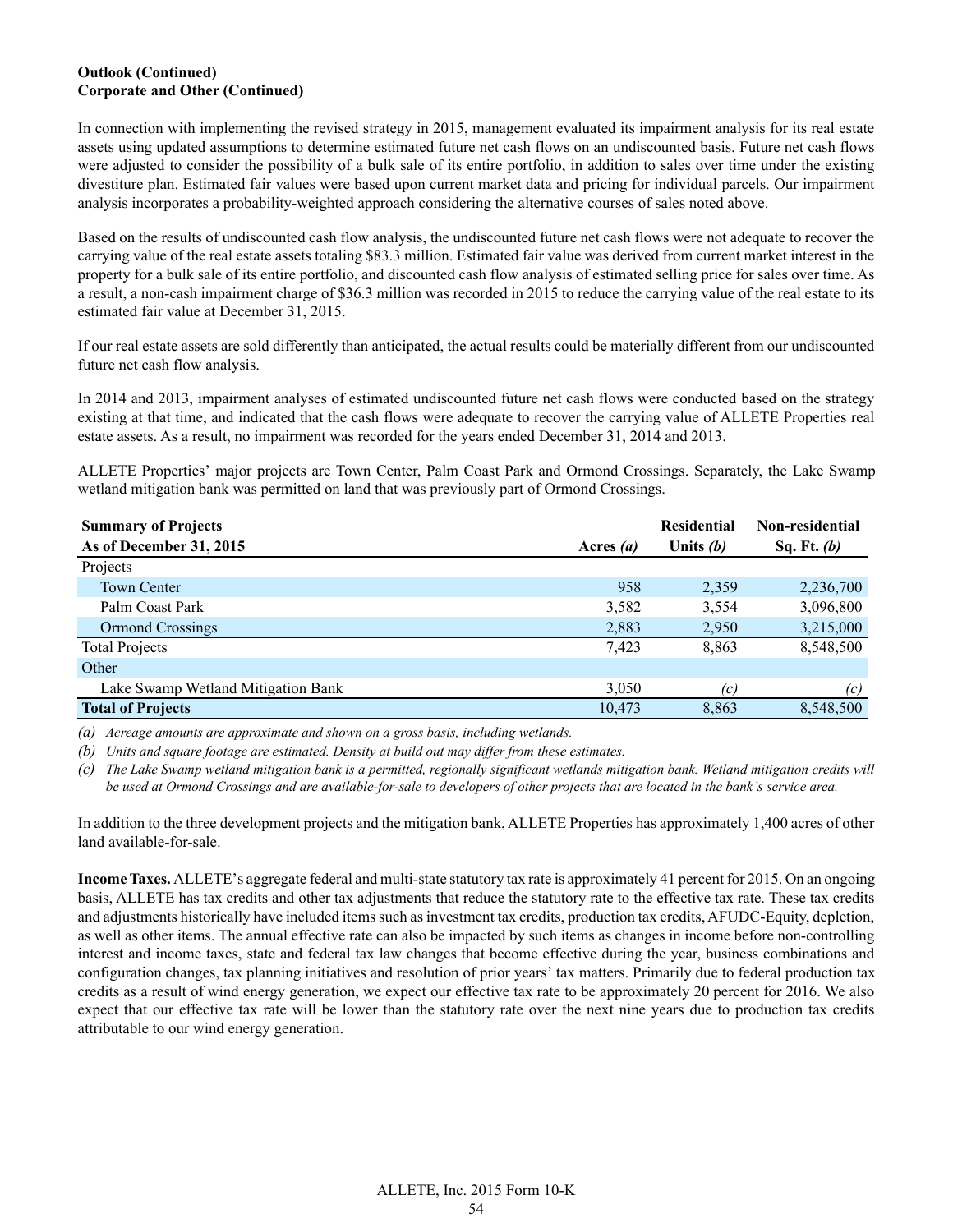## **Outlook (Continued) Corporate and Other (Continued)**

In connection with implementing the revised strategy in 2015, management evaluated its impairment analysis for its real estate assets using updated assumptions to determine estimated future net cash flows on an undiscounted basis. Future net cash flows were adjusted to consider the possibility of a bulk sale of its entire portfolio, in addition to sales over time under the existing divestiture plan. Estimated fair values were based upon current market data and pricing for individual parcels. Our impairment analysis incorporates a probability-weighted approach considering the alternative courses of sales noted above.

Based on the results of undiscounted cash flow analysis, the undiscounted future net cash flows were not adequate to recover the carrying value of the real estate assets totaling \$83.3 million. Estimated fair value was derived from current market interest in the property for a bulk sale of its entire portfolio, and discounted cash flow analysis of estimated selling price for sales over time. As a result, a non-cash impairment charge of \$36.3 million was recorded in 2015 to reduce the carrying value of the real estate to its estimated fair value at December 31, 2015.

If our real estate assets are sold differently than anticipated, the actual results could be materially different from our undiscounted future net cash flow analysis.

In 2014 and 2013, impairment analyses of estimated undiscounted future net cash flows were conducted based on the strategy existing at that time, and indicated that the cash flows were adequate to recover the carrying value of ALLETE Properties real estate assets. As a result, no impairment was recorded for the years ended December 31, 2014 and 2013.

ALLETE Properties' major projects are Town Center, Palm Coast Park and Ormond Crossings. Separately, the Lake Swamp wetland mitigation bank was permitted on land that was previously part of Ormond Crossings.

| <b>Summary of Projects</b>         |             | <b>Residential</b> | Non-residential |
|------------------------------------|-------------|--------------------|-----------------|
| As of December 31, 2015            | Acres $(a)$ | Units $(b)$        | Sq. Ft. $(b)$   |
| Projects                           |             |                    |                 |
| <b>Town Center</b>                 | 958         | 2,359              | 2,236,700       |
| Palm Coast Park                    | 3,582       | 3,554              | 3,096,800       |
| <b>Ormond Crossings</b>            | 2,883       | 2,950              | 3,215,000       |
| <b>Total Projects</b>              | 7.423       | 8,863              | 8,548,500       |
| Other                              |             |                    |                 |
| Lake Swamp Wetland Mitigation Bank | 3,050       | (c)                | (c)             |
| <b>Total of Projects</b>           | 10.473      | 8.863              | 8,548,500       |

*(a) Acreage amounts are approximate and shown on a gross basis, including wetlands.*

*(b) Units and square footage are estimated. Density at build out may differ from these estimates.*

*(c) The Lake Swamp wetland mitigation bank is a permitted, regionally significant wetlands mitigation bank. Wetland mitigation credits will be used at Ormond Crossings and are available-for-sale to developers of other projects that are located in the bank's service area.*

In addition to the three development projects and the mitigation bank, ALLETE Properties has approximately 1,400 acres of other land available-for-sale.

**Income Taxes.** ALLETE's aggregate federal and multi-state statutory tax rate is approximately 41 percent for 2015. On an ongoing basis, ALLETE has tax credits and other tax adjustments that reduce the statutory rate to the effective tax rate. These tax credits and adjustments historically have included items such as investment tax credits, production tax credits, AFUDC-Equity, depletion, as well as other items. The annual effective rate can also be impacted by such items as changes in income before non-controlling interest and income taxes, state and federal tax law changes that become effective during the year, business combinations and configuration changes, tax planning initiatives and resolution of prior years' tax matters. Primarily due to federal production tax credits as a result of wind energy generation, we expect our effective tax rate to be approximately 20 percent for 2016. We also expect that our effective tax rate will be lower than the statutory rate over the next nine years due to production tax credits attributable to our wind energy generation.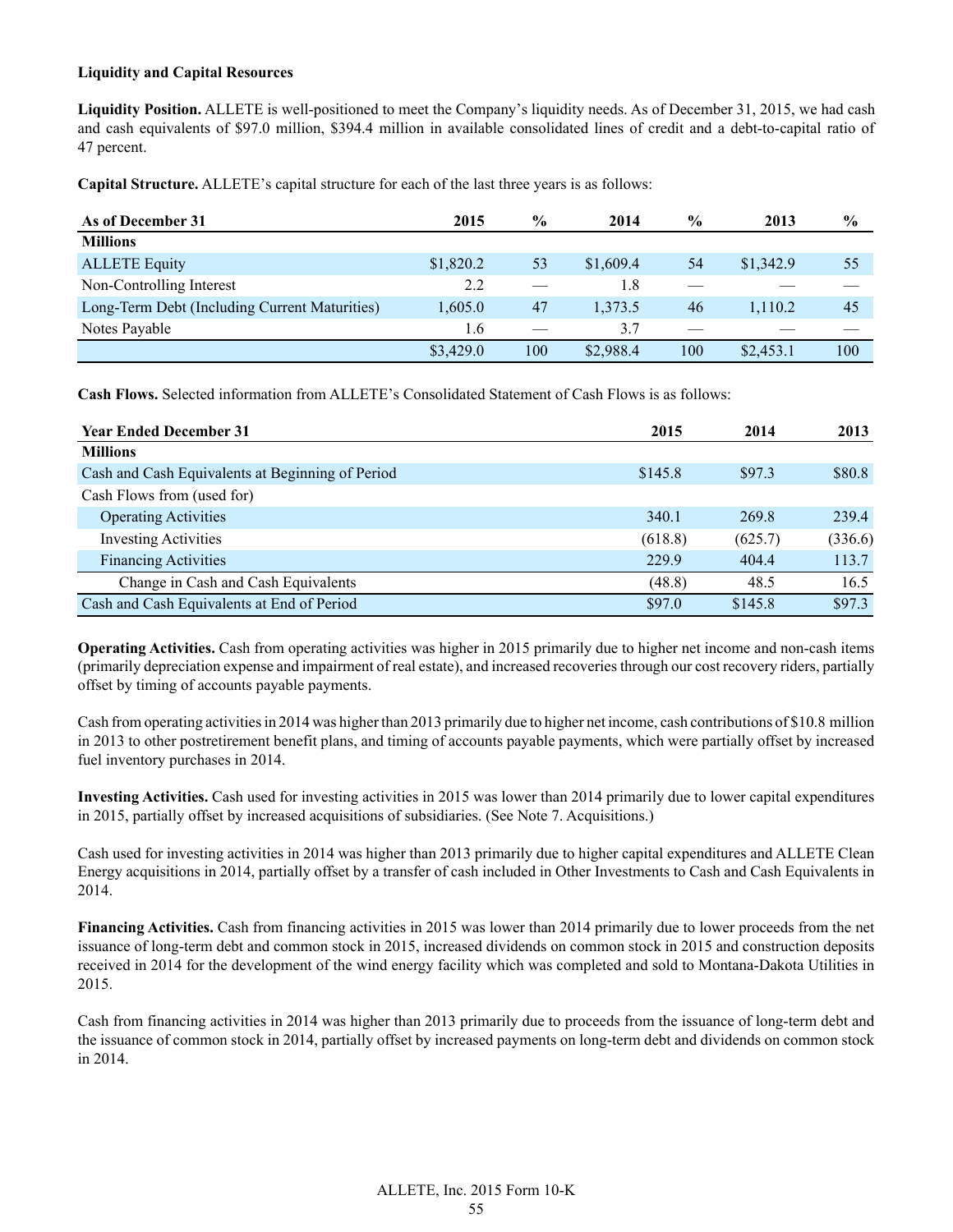## **Liquidity and Capital Resources**

**Liquidity Position.** ALLETE is well-positioned to meet the Company's liquidity needs. As of December 31, 2015, we had cash and cash equivalents of \$97.0 million, \$394.4 million in available consolidated lines of credit and a debt-to-capital ratio of 47 percent.

**Capital Structure.** ALLETE's capital structure for each of the last three years is as follows:

| As of December 31                             | 2015      | $\frac{0}{0}$ | 2014      | $\frac{6}{9}$ | 2013      | $\frac{0}{0}$ |
|-----------------------------------------------|-----------|---------------|-----------|---------------|-----------|---------------|
| <b>Millions</b>                               |           |               |           |               |           |               |
| <b>ALLETE Equity</b>                          | \$1,820.2 | 53            | \$1,609.4 | 54            | \$1,342.9 | 55            |
| Non-Controlling Interest                      | 2.2       |               | 1.8       |               |           |               |
| Long-Term Debt (Including Current Maturities) | 1,605.0   | 47            | 1,373.5   | 46            | 1,110.2   | 45            |
| Notes Payable                                 | 1.6       |               | 3.7       |               |           |               |
|                                               | \$3,429.0 | 100           | \$2,988.4 | 100           | \$2,453.1 | 100           |

**Cash Flows.** Selected information from ALLETE's Consolidated Statement of Cash Flows is as follows:

| <b>Year Ended December 31</b>                    | 2015    | 2014    | 2013    |
|--------------------------------------------------|---------|---------|---------|
| <b>Millions</b>                                  |         |         |         |
| Cash and Cash Equivalents at Beginning of Period | \$145.8 | \$97.3  | \$80.8  |
| Cash Flows from (used for)                       |         |         |         |
| <b>Operating Activities</b>                      | 340.1   | 269.8   | 239.4   |
| <b>Investing Activities</b>                      | (618.8) | (625.7) | (336.6) |
| <b>Financing Activities</b>                      | 229.9   | 404.4   | 113.7   |
| Change in Cash and Cash Equivalents              | (48.8)  | 48.5    | 16.5    |
| Cash and Cash Equivalents at End of Period       | \$97.0  | \$145.8 | \$97.3  |

**Operating Activities.** Cash from operating activities was higher in 2015 primarily due to higher net income and non-cash items (primarily depreciation expense and impairment of real estate), and increased recoveries through our cost recovery riders, partially offset by timing of accounts payable payments.

Cash from operating activities in 2014 was higher than 2013 primarily due to higher net income, cash contributions of \$10.8 million in 2013 to other postretirement benefit plans, and timing of accounts payable payments, which were partially offset by increased fuel inventory purchases in 2014.

**Investing Activities.** Cash used for investing activities in 2015 was lower than 2014 primarily due to lower capital expenditures in 2015, partially offset by increased acquisitions of subsidiaries. (See Note 7. Acquisitions.)

Cash used for investing activities in 2014 was higher than 2013 primarily due to higher capital expenditures and ALLETE Clean Energy acquisitions in 2014, partially offset by a transfer of cash included in Other Investments to Cash and Cash Equivalents in 2014.

**Financing Activities.** Cash from financing activities in 2015 was lower than 2014 primarily due to lower proceeds from the net issuance of long-term debt and common stock in 2015, increased dividends on common stock in 2015 and construction deposits received in 2014 for the development of the wind energy facility which was completed and sold to Montana-Dakota Utilities in 2015.

Cash from financing activities in 2014 was higher than 2013 primarily due to proceeds from the issuance of long-term debt and the issuance of common stock in 2014, partially offset by increased payments on long-term debt and dividends on common stock in 2014.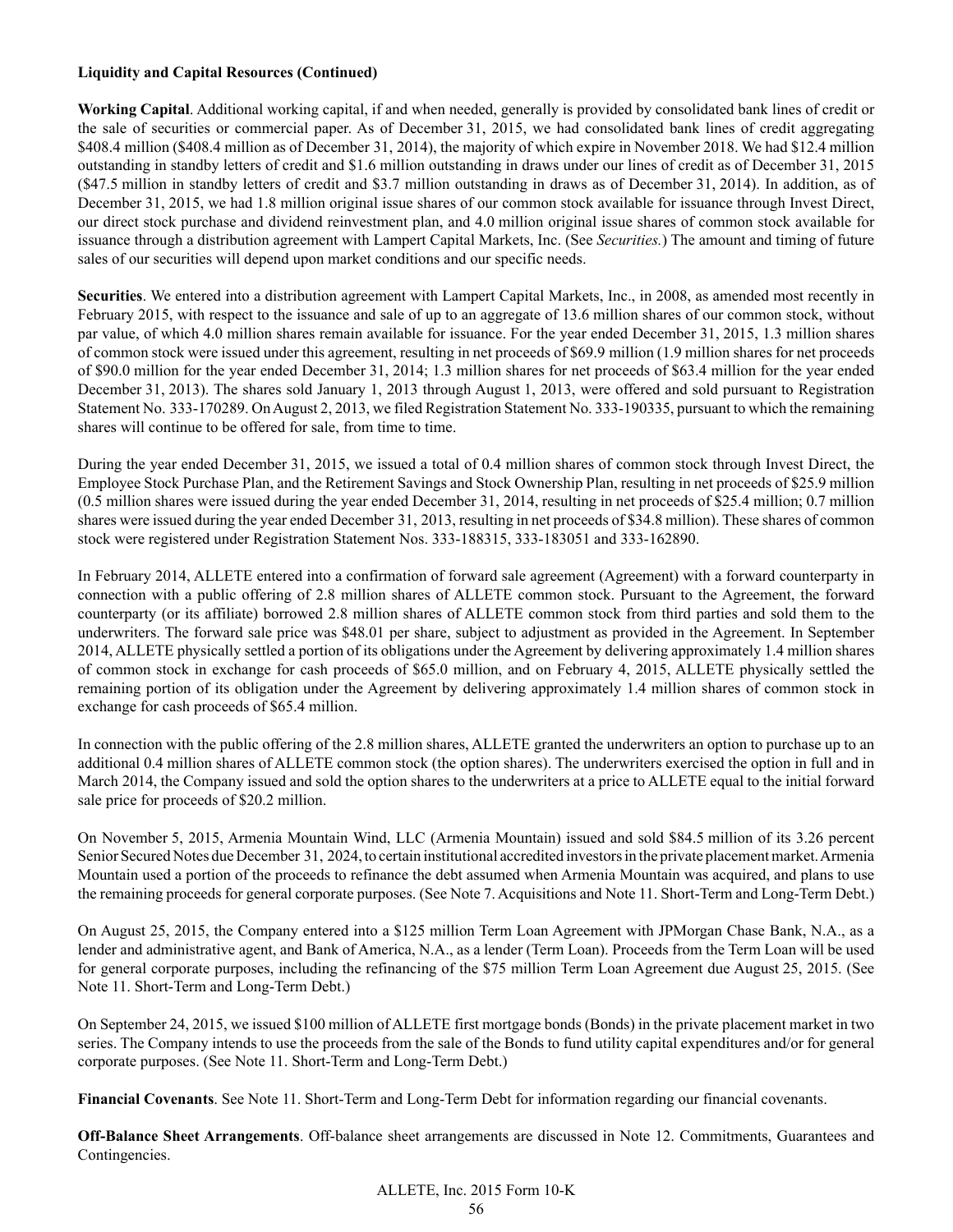**Working Capital**. Additional working capital, if and when needed, generally is provided by consolidated bank lines of credit or the sale of securities or commercial paper. As of December 31, 2015, we had consolidated bank lines of credit aggregating \$408.4 million (\$408.4 million as of December 31, 2014), the majority of which expire in November 2018. We had \$12.4 million outstanding in standby letters of credit and \$1.6 million outstanding in draws under our lines of credit as of December 31, 2015 (\$47.5 million in standby letters of credit and \$3.7 million outstanding in draws as of December 31, 2014). In addition, as of December 31, 2015, we had 1.8 million original issue shares of our common stock available for issuance through Invest Direct, our direct stock purchase and dividend reinvestment plan, and 4.0 million original issue shares of common stock available for issuance through a distribution agreement with Lampert Capital Markets, Inc. (See *Securities.*) The amount and timing of future sales of our securities will depend upon market conditions and our specific needs.

**Securities**. We entered into a distribution agreement with Lampert Capital Markets, Inc., in 2008, as amended most recently in February 2015, with respect to the issuance and sale of up to an aggregate of 13.6 million shares of our common stock, without par value, of which 4.0 million shares remain available for issuance. For the year ended December 31, 2015, 1.3 million shares of common stock were issued under this agreement, resulting in net proceeds of \$69.9 million (1.9 million shares for net proceeds of \$90.0 million for the year ended December 31, 2014; 1.3 million shares for net proceeds of \$63.4 million for the year ended December 31, 2013). The shares sold January 1, 2013 through August 1, 2013, were offered and sold pursuant to Registration Statement No. 333-170289. On August 2, 2013, we filed Registration Statement No. 333-190335, pursuant to which the remaining shares will continue to be offered for sale, from time to time.

During the year ended December 31, 2015, we issued a total of 0.4 million shares of common stock through Invest Direct, the Employee Stock Purchase Plan, and the Retirement Savings and Stock Ownership Plan, resulting in net proceeds of \$25.9 million (0.5 million shares were issued during the year ended December 31, 2014, resulting in net proceeds of \$25.4 million; 0.7 million shares were issued during the year ended December 31, 2013, resulting in net proceeds of \$34.8 million). These shares of common stock were registered under Registration Statement Nos. 333-188315, 333-183051 and 333-162890.

In February 2014, ALLETE entered into a confirmation of forward sale agreement (Agreement) with a forward counterparty in connection with a public offering of 2.8 million shares of ALLETE common stock. Pursuant to the Agreement, the forward counterparty (or its affiliate) borrowed 2.8 million shares of ALLETE common stock from third parties and sold them to the underwriters. The forward sale price was \$48.01 per share, subject to adjustment as provided in the Agreement. In September 2014, ALLETE physically settled a portion of its obligations under the Agreement by delivering approximately 1.4 million shares of common stock in exchange for cash proceeds of \$65.0 million, and on February 4, 2015, ALLETE physically settled the remaining portion of its obligation under the Agreement by delivering approximately 1.4 million shares of common stock in exchange for cash proceeds of \$65.4 million.

In connection with the public offering of the 2.8 million shares, ALLETE granted the underwriters an option to purchase up to an additional 0.4 million shares of ALLETE common stock (the option shares). The underwriters exercised the option in full and in March 2014, the Company issued and sold the option shares to the underwriters at a price to ALLETE equal to the initial forward sale price for proceeds of \$20.2 million.

On November 5, 2015, Armenia Mountain Wind, LLC (Armenia Mountain) issued and sold \$84.5 million of its 3.26 percent Senior Secured Notes due December 31, 2024, to certain institutional accredited investors in the private placement market. Armenia Mountain used a portion of the proceeds to refinance the debt assumed when Armenia Mountain was acquired, and plans to use the remaining proceeds for general corporate purposes. (See Note 7. Acquisitions and Note 11. Short-Term and Long-Term Debt.)

On August 25, 2015, the Company entered into a \$125 million Term Loan Agreement with JPMorgan Chase Bank, N.A., as a lender and administrative agent, and Bank of America, N.A., as a lender (Term Loan). Proceeds from the Term Loan will be used for general corporate purposes, including the refinancing of the \$75 million Term Loan Agreement due August 25, 2015. (See Note 11. Short-Term and Long-Term Debt.)

On September 24, 2015, we issued \$100 million of ALLETE first mortgage bonds (Bonds) in the private placement market in two series. The Company intends to use the proceeds from the sale of the Bonds to fund utility capital expenditures and/or for general corporate purposes. (See Note 11. Short-Term and Long-Term Debt.)

**Financial Covenants**. See Note 11. Short-Term and Long-Term Debt for information regarding our financial covenants.

**Off-Balance Sheet Arrangements**. Off-balance sheet arrangements are discussed in Note 12. Commitments, Guarantees and Contingencies.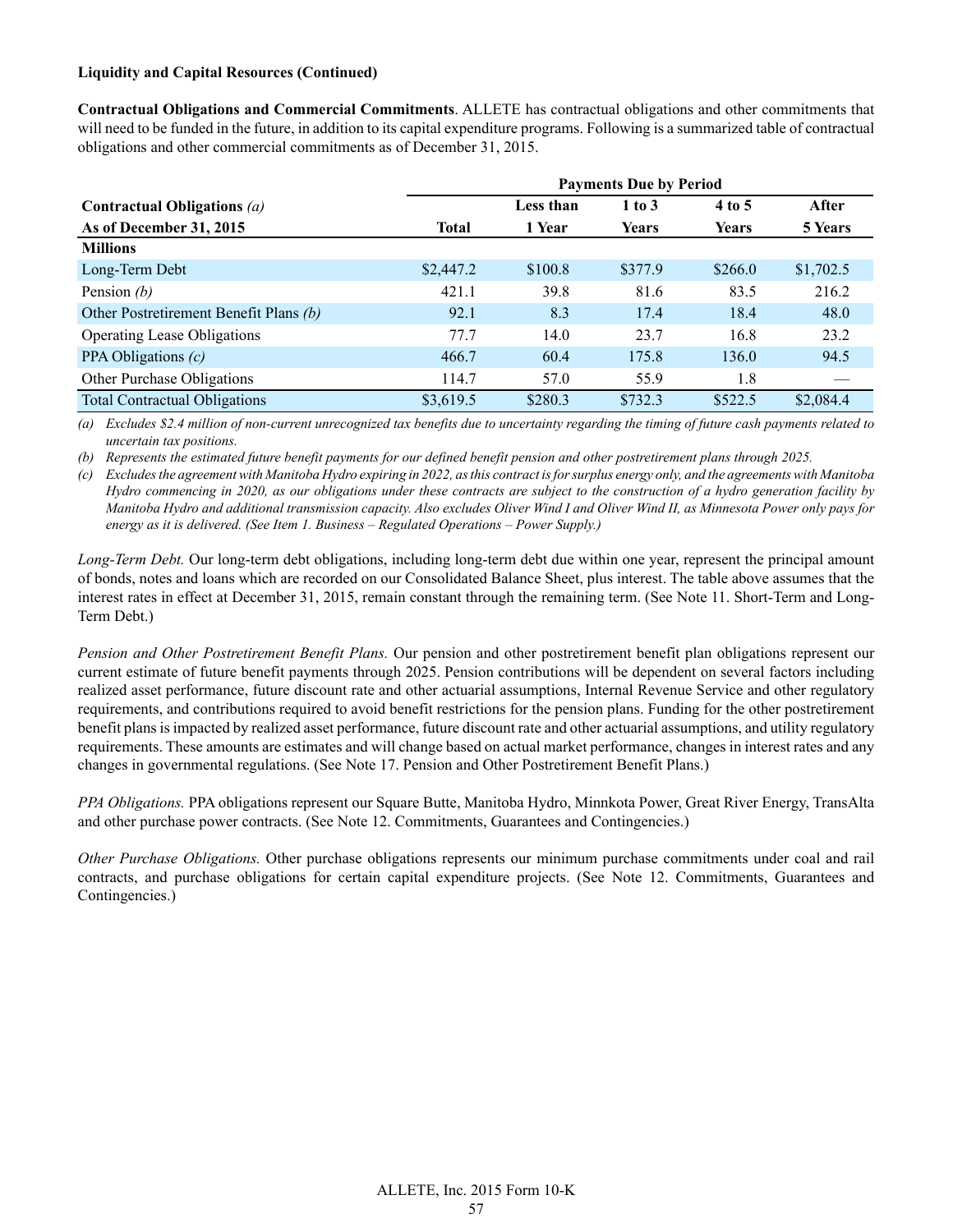**Contractual Obligations and Commercial Commitments**. ALLETE has contractual obligations and other commitments that will need to be funded in the future, in addition to its capital expenditure programs. Following is a summarized table of contractual obligations and other commercial commitments as of December 31, 2015.

|                                        | <b>Payments Due by Period</b> |           |              |              |                |
|----------------------------------------|-------------------------------|-----------|--------------|--------------|----------------|
| Contractual Obligations $(a)$          |                               | Less than | $1$ to $3$   | 4 to 5       | After          |
| As of December 31, 2015                | <b>Total</b>                  | 1 Year    | <b>Years</b> | <b>Years</b> | <b>5 Years</b> |
| <b>Millions</b>                        |                               |           |              |              |                |
| Long-Term Debt                         | \$2,447.2                     | \$100.8   | \$377.9      | \$266.0      | \$1,702.5      |
| Pension $(b)$                          | 421.1                         | 39.8      | 81.6         | 83.5         | 216.2          |
| Other Postretirement Benefit Plans (b) | 92.1                          | 8.3       | 17.4         | 18.4         | 48.0           |
| <b>Operating Lease Obligations</b>     | 77.7                          | 14.0      | 23.7         | 16.8         | 23.2           |
| PPA Obligations (c)                    | 466.7                         | 60.4      | 175.8        | 136.0        | 94.5           |
| Other Purchase Obligations             | 114.7                         | 57.0      | 55.9         | 1.8          |                |
| <b>Total Contractual Obligations</b>   | \$3,619.5                     | \$280.3   | \$732.3      | \$522.5      | \$2,084.4      |

*(a) Excludes \$2.4 million of non-current unrecognized tax benefits due to uncertainty regarding the timing of future cash payments related to uncertain tax positions.* 

*(b) Represents the estimated future benefit payments for our defined benefit pension and other postretirement plans through 2025.*

*(c) Excludes the agreement with Manitoba Hydro expiring in 2022, as this contract is for surplus energy only, and the agreements with Manitoba Hydro commencing in 2020, as our obligations under these contracts are subject to the construction of a hydro generation facility by Manitoba Hydro and additional transmission capacity. Also excludes Oliver Wind I and Oliver Wind II, as Minnesota Power only pays for energy as it is delivered. (See Item 1. Business – Regulated Operations – Power Supply.)*

*Long-Term Debt.* Our long-term debt obligations, including long-term debt due within one year, represent the principal amount of bonds, notes and loans which are recorded on our Consolidated Balance Sheet, plus interest. The table above assumes that the interest rates in effect at December 31, 2015, remain constant through the remaining term. (See Note 11. Short-Term and Long-Term Debt.)

*Pension and Other Postretirement Benefit Plans.* Our pension and other postretirement benefit plan obligations represent our current estimate of future benefit payments through 2025. Pension contributions will be dependent on several factors including realized asset performance, future discount rate and other actuarial assumptions, Internal Revenue Service and other regulatory requirements, and contributions required to avoid benefit restrictions for the pension plans. Funding for the other postretirement benefit plans is impacted by realized asset performance, future discount rate and other actuarial assumptions, and utility regulatory requirements. These amounts are estimates and will change based on actual market performance, changes in interest rates and any changes in governmental regulations. (See Note 17. Pension and Other Postretirement Benefit Plans.)

*PPA Obligations.* PPA obligations represent our Square Butte, Manitoba Hydro, Minnkota Power, Great River Energy, TransAlta and other purchase power contracts. (See Note 12. Commitments, Guarantees and Contingencies.)

*Other Purchase Obligations.* Other purchase obligations represents our minimum purchase commitments under coal and rail contracts, and purchase obligations for certain capital expenditure projects. (See Note 12. Commitments, Guarantees and Contingencies.)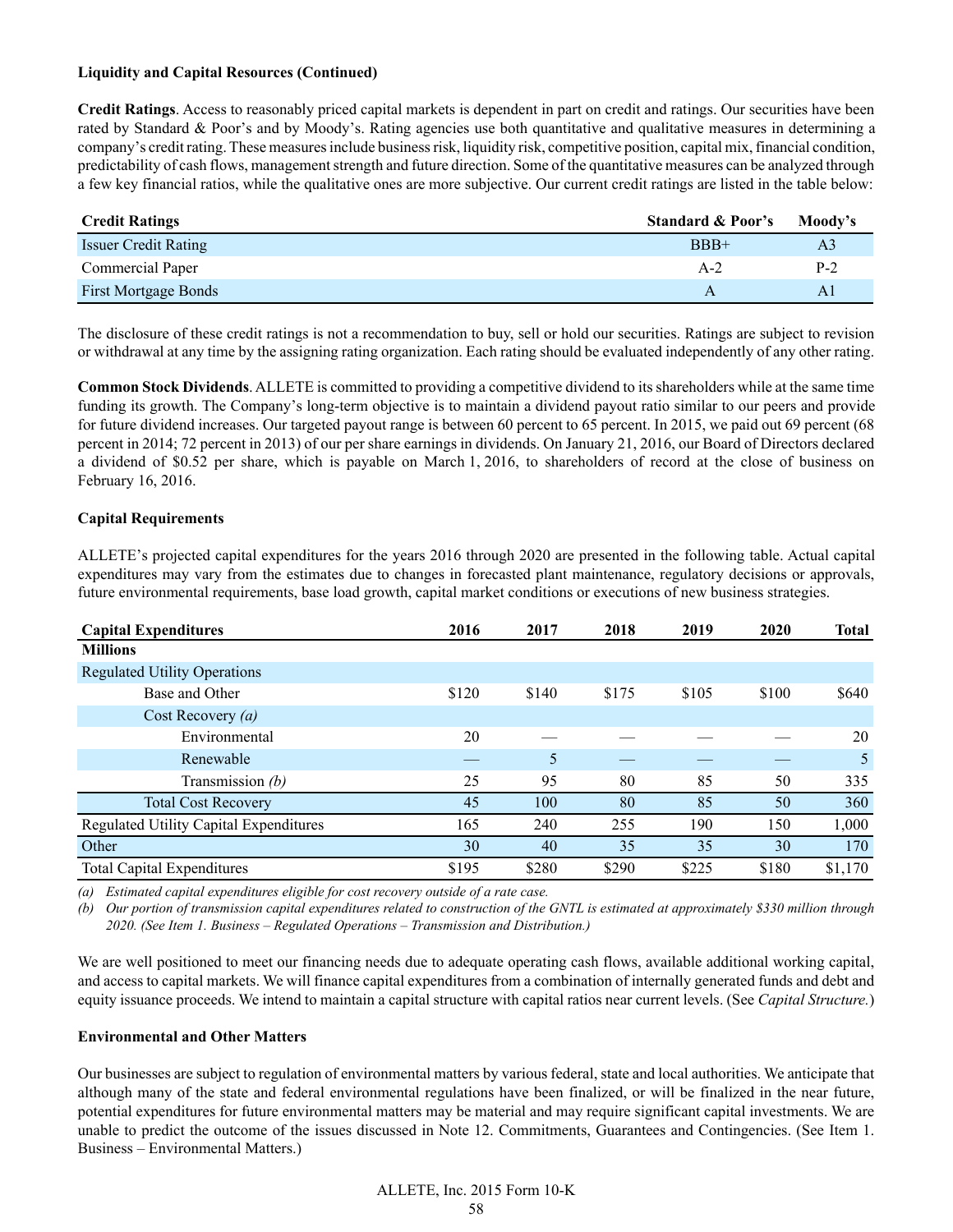**Credit Ratings**. Access to reasonably priced capital markets is dependent in part on credit and ratings. Our securities have been rated by Standard & Poor's and by Moody's. Rating agencies use both quantitative and qualitative measures in determining a company's credit rating. These measures include business risk, liquidity risk, competitive position, capital mix, financial condition, predictability of cash flows, management strength and future direction. Some of the quantitative measures can be analyzed through a few key financial ratios, while the qualitative ones are more subjective. Our current credit ratings are listed in the table below:

| <b>Credit Ratings</b>       | <b>Standard &amp; Poor's</b> | Moody's |
|-----------------------------|------------------------------|---------|
| <b>Issuer Credit Rating</b> | $BBB+$                       | A3      |
| <b>Commercial Paper</b>     | $A-2$                        | $P-2$   |
| <b>First Mortgage Bonds</b> |                              | Al      |

The disclosure of these credit ratings is not a recommendation to buy, sell or hold our securities. Ratings are subject to revision or withdrawal at any time by the assigning rating organization. Each rating should be evaluated independently of any other rating.

**Common Stock Dividends**. ALLETE is committed to providing a competitive dividend to its shareholders while at the same time funding its growth. The Company's long-term objective is to maintain a dividend payout ratio similar to our peers and provide for future dividend increases. Our targeted payout range is between 60 percent to 65 percent. In 2015, we paid out 69 percent (68 percent in 2014; 72 percent in 2013) of our per share earnings in dividends. On January 21, 2016, our Board of Directors declared a dividend of \$0.52 per share, which is payable on March 1, 2016, to shareholders of record at the close of business on February 16, 2016.

## **Capital Requirements**

ALLETE's projected capital expenditures for the years 2016 through 2020 are presented in the following table. Actual capital expenditures may vary from the estimates due to changes in forecasted plant maintenance, regulatory decisions or approvals, future environmental requirements, base load growth, capital market conditions or executions of new business strategies.

| <b>Capital Expenditures</b>            | 2016  | 2017  | 2018  | 2019  | 2020  | <b>Total</b> |
|----------------------------------------|-------|-------|-------|-------|-------|--------------|
| <b>Millions</b>                        |       |       |       |       |       |              |
| <b>Regulated Utility Operations</b>    |       |       |       |       |       |              |
| Base and Other                         | \$120 | \$140 | \$175 | \$105 | \$100 | \$640        |
| Cost Recovery $(a)$                    |       |       |       |       |       |              |
| Environmental                          | 20    |       |       |       |       | 20           |
| Renewable                              |       | 5     |       |       |       | 5            |
| Transmission $(b)$                     | 25    | 95    | 80    | 85    | 50    | 335          |
| <b>Total Cost Recovery</b>             | 45    | 100   | 80    | 85    | 50    | 360          |
| Regulated Utility Capital Expenditures | 165   | 240   | 255   | 190   | 150   | 1,000        |
| Other                                  | 30    | 40    | 35    | 35    | 30    | 170          |
| <b>Total Capital Expenditures</b>      | \$195 | \$280 | \$290 | \$225 | \$180 | \$1,170      |

*(a) Estimated capital expenditures eligible for cost recovery outside of a rate case.*

*(b) Our portion of transmission capital expenditures related to construction of the GNTL is estimated at approximately \$330 million through 2020. (See Item 1. Business – Regulated Operations – Transmission and Distribution.)*

We are well positioned to meet our financing needs due to adequate operating cash flows, available additional working capital, and access to capital markets. We will finance capital expenditures from a combination of internally generated funds and debt and equity issuance proceeds. We intend to maintain a capital structure with capital ratios near current levels. (See *Capital Structure.*)

#### **Environmental and Other Matters**

Our businesses are subject to regulation of environmental matters by various federal, state and local authorities. We anticipate that although many of the state and federal environmental regulations have been finalized, or will be finalized in the near future, potential expenditures for future environmental matters may be material and may require significant capital investments. We are unable to predict the outcome of the issues discussed in Note 12. Commitments, Guarantees and Contingencies. (See Item 1. Business – Environmental Matters.)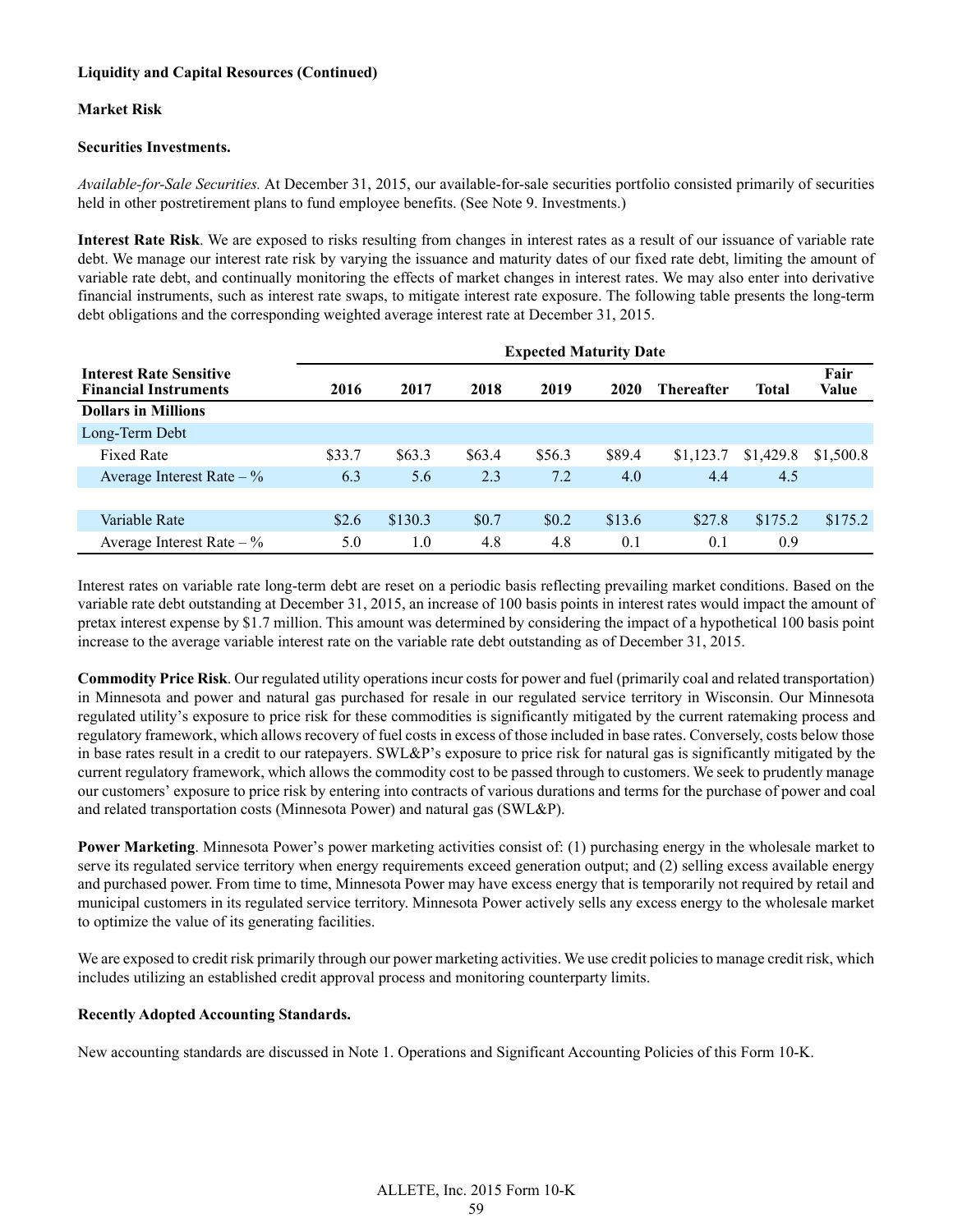## **Market Risk**

## **Securities Investments.**

*Available-for-Sale Securities.* At December 31, 2015, our available-for-sale securities portfolio consisted primarily of securities held in other postretirement plans to fund employee benefits. (See Note 9. Investments.)

**Interest Rate Risk**. We are exposed to risks resulting from changes in interest rates as a result of our issuance of variable rate debt. We manage our interest rate risk by varying the issuance and maturity dates of our fixed rate debt, limiting the amount of variable rate debt, and continually monitoring the effects of market changes in interest rates. We may also enter into derivative financial instruments, such as interest rate swaps, to mitigate interest rate exposure. The following table presents the long-term debt obligations and the corresponding weighted average interest rate at December 31, 2015.

|                                                                | <b>Expected Maturity Date</b> |         |        |         |        |                   |           |               |
|----------------------------------------------------------------|-------------------------------|---------|--------|---------|--------|-------------------|-----------|---------------|
| <b>Interest Rate Sensitive</b><br><b>Financial Instruments</b> | 2016                          | 2017    | 2018   | 2019    | 2020   | <b>Thereafter</b> | Total     | Fair<br>Value |
| <b>Dollars in Millions</b>                                     |                               |         |        |         |        |                   |           |               |
| Long-Term Debt                                                 |                               |         |        |         |        |                   |           |               |
| <b>Fixed Rate</b>                                              | \$33.7                        | \$63.3  | \$63.4 | \$56.3  | \$89.4 | \$1.123.7         | \$1,429.8 | \$1,500.8     |
| Average Interest Rate $-$ %                                    | 6.3                           | 5.6     | 2.3    | 7.2     | 4.0    | 4.4               | 4.5       |               |
|                                                                |                               |         |        |         |        |                   |           |               |
| Variable Rate                                                  | \$2.6                         | \$130.3 | \$0.7  | \$0.2\$ | \$13.6 | \$27.8            | \$175.2   | \$175.2       |
| Average Interest Rate $-$ %                                    | 5.0                           | 1.0     | 4.8    | 4.8     | 0.1    | 0.1               | 0.9       |               |

Interest rates on variable rate long-term debt are reset on a periodic basis reflecting prevailing market conditions. Based on the variable rate debt outstanding at December 31, 2015, an increase of 100 basis points in interest rates would impact the amount of pretax interest expense by \$1.7 million. This amount was determined by considering the impact of a hypothetical 100 basis point increase to the average variable interest rate on the variable rate debt outstanding as of December 31, 2015.

**Commodity Price Risk**. Our regulated utility operations incur costs for power and fuel (primarily coal and related transportation) in Minnesota and power and natural gas purchased for resale in our regulated service territory in Wisconsin. Our Minnesota regulated utility's exposure to price risk for these commodities is significantly mitigated by the current ratemaking process and regulatory framework, which allows recovery of fuel costs in excess of those included in base rates. Conversely, costs below those in base rates result in a credit to our ratepayers. SWL&P's exposure to price risk for natural gas is significantly mitigated by the current regulatory framework, which allows the commodity cost to be passed through to customers. We seek to prudently manage our customers' exposure to price risk by entering into contracts of various durations and terms for the purchase of power and coal and related transportation costs (Minnesota Power) and natural gas (SWL&P).

**Power Marketing**. Minnesota Power's power marketing activities consist of: (1) purchasing energy in the wholesale market to serve its regulated service territory when energy requirements exceed generation output; and (2) selling excess available energy and purchased power. From time to time, Minnesota Power may have excess energy that is temporarily not required by retail and municipal customers in its regulated service territory. Minnesota Power actively sells any excess energy to the wholesale market to optimize the value of its generating facilities.

We are exposed to credit risk primarily through our power marketing activities. We use credit policies to manage credit risk, which includes utilizing an established credit approval process and monitoring counterparty limits.

# **Recently Adopted Accounting Standards.**

New accounting standards are discussed in Note 1. Operations and Significant Accounting Policies of this Form 10-K.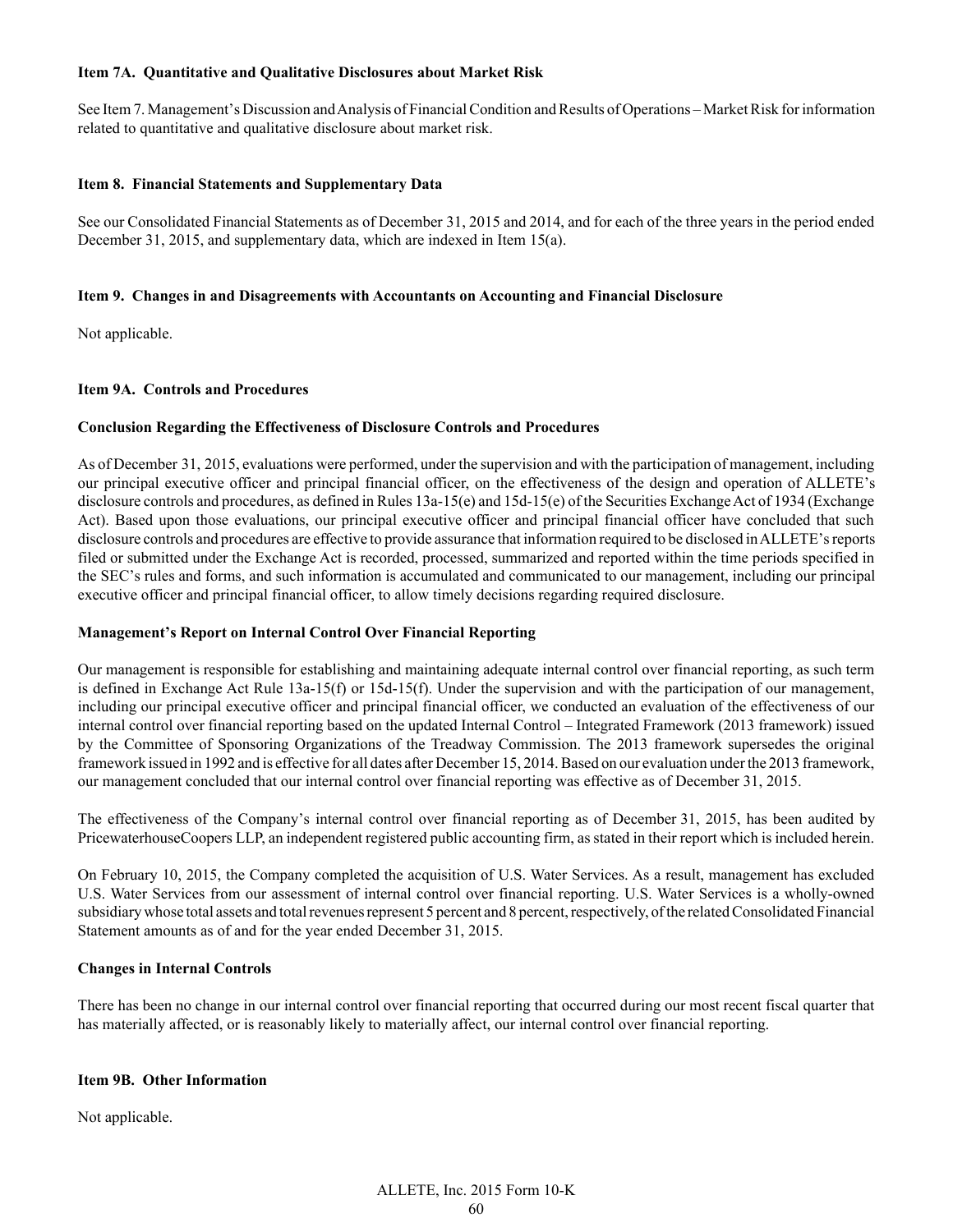## **Item 7A. Quantitative and Qualitative Disclosures about Market Risk**

See Item 7. Management's Discussion and Analysis of Financial Condition and Results of Operations – Market Risk for information related to quantitative and qualitative disclosure about market risk.

### **Item 8. Financial Statements and Supplementary Data**

See our Consolidated Financial Statements as of December 31, 2015 and 2014, and for each of the three years in the period ended December 31, 2015, and supplementary data, which are indexed in Item 15(a).

## **Item 9. Changes in and Disagreements with Accountants on Accounting and Financial Disclosure**

Not applicable.

### **Item 9A. Controls and Procedures**

### **Conclusion Regarding the Effectiveness of Disclosure Controls and Procedures**

As of December 31, 2015, evaluations were performed, under the supervision and with the participation of management, including our principal executive officer and principal financial officer, on the effectiveness of the design and operation of ALLETE's disclosure controls and procedures, as defined in Rules 13a-15(e) and 15d-15(e) of the Securities Exchange Act of 1934 (Exchange Act). Based upon those evaluations, our principal executive officer and principal financial officer have concluded that such disclosure controls and procedures are effective to provide assurance that information required to be disclosed in ALLETE's reports filed or submitted under the Exchange Act is recorded, processed, summarized and reported within the time periods specified in the SEC's rules and forms, and such information is accumulated and communicated to our management, including our principal executive officer and principal financial officer, to allow timely decisions regarding required disclosure.

#### **Management's Report on Internal Control Over Financial Reporting**

Our management is responsible for establishing and maintaining adequate internal control over financial reporting, as such term is defined in Exchange Act Rule 13a-15(f) or 15d-15(f). Under the supervision and with the participation of our management, including our principal executive officer and principal financial officer, we conducted an evaluation of the effectiveness of our internal control over financial reporting based on the updated Internal Control – Integrated Framework (2013 framework) issued by the Committee of Sponsoring Organizations of the Treadway Commission. The 2013 framework supersedes the original framework issued in 1992 and is effective for all dates after December 15, 2014. Based on our evaluation under the 2013 framework, our management concluded that our internal control over financial reporting was effective as of December 31, 2015.

The effectiveness of the Company's internal control over financial reporting as of December 31, 2015, has been audited by PricewaterhouseCoopers LLP, an independent registered public accounting firm, as stated in their report which is included herein.

On February 10, 2015, the Company completed the acquisition of U.S. Water Services. As a result, management has excluded U.S. Water Services from our assessment of internal control over financial reporting. U.S. Water Services is a wholly-owned subsidiary whose total assets and total revenues represent 5 percent and 8 percent, respectively, of the related Consolidated Financial Statement amounts as of and for the year ended December 31, 2015.

## **Changes in Internal Controls**

There has been no change in our internal control over financial reporting that occurred during our most recent fiscal quarter that has materially affected, or is reasonably likely to materially affect, our internal control over financial reporting.

#### **Item 9B. Other Information**

Not applicable.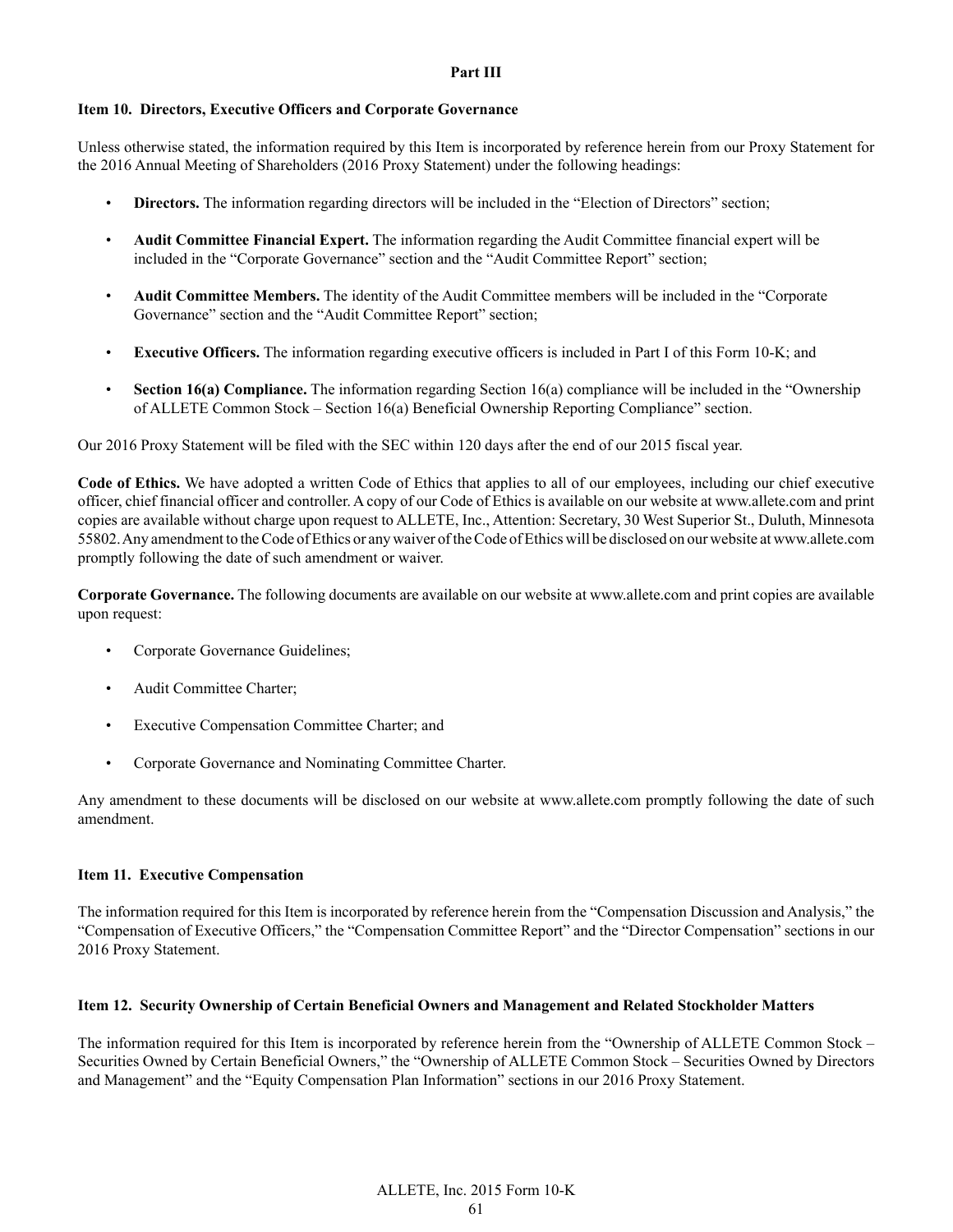## **Part III**

## **Item 10. Directors, Executive Officers and Corporate Governance**

Unless otherwise stated, the information required by this Item is incorporated by reference herein from our Proxy Statement for the 2016 Annual Meeting of Shareholders (2016 Proxy Statement) under the following headings:

- **Directors.** The information regarding directors will be included in the "Election of Directors" section;
- **Audit Committee Financial Expert.** The information regarding the Audit Committee financial expert will be included in the "Corporate Governance" section and the "Audit Committee Report" section;
- **Audit Committee Members.** The identity of the Audit Committee members will be included in the "Corporate Governance" section and the "Audit Committee Report" section;
- **Executive Officers.** The information regarding executive officers is included in Part I of this Form 10-K; and
- **Section 16(a) Compliance.** The information regarding Section 16(a) compliance will be included in the "Ownership of ALLETE Common Stock – Section 16(a) Beneficial Ownership Reporting Compliance" section.

Our 2016 Proxy Statement will be filed with the SEC within 120 days after the end of our 2015 fiscal year.

**Code of Ethics.** We have adopted a written Code of Ethics that applies to all of our employees, including our chief executive officer, chief financial officer and controller. A copy of our Code of Ethics is available on our website at www.allete.com and print copies are available without charge upon request to ALLETE, Inc., Attention: Secretary, 30 West Superior St., Duluth, Minnesota 55802. Any amendment to the Code of Ethics or any waiver of the Code of Ethics will be disclosed on our website at www.allete.com promptly following the date of such amendment or waiver.

**Corporate Governance.** The following documents are available on our website at www.allete.com and print copies are available upon request:

- Corporate Governance Guidelines;
- Audit Committee Charter;
- Executive Compensation Committee Charter; and
- Corporate Governance and Nominating Committee Charter.

Any amendment to these documents will be disclosed on our website at www.allete.com promptly following the date of such amendment.

## **Item 11. Executive Compensation**

The information required for this Item is incorporated by reference herein from the "Compensation Discussion and Analysis," the "Compensation of Executive Officers," the "Compensation Committee Report" and the "Director Compensation" sections in our 2016 Proxy Statement.

## **Item 12. Security Ownership of Certain Beneficial Owners and Management and Related Stockholder Matters**

The information required for this Item is incorporated by reference herein from the "Ownership of ALLETE Common Stock – Securities Owned by Certain Beneficial Owners," the "Ownership of ALLETE Common Stock – Securities Owned by Directors and Management" and the "Equity Compensation Plan Information" sections in our 2016 Proxy Statement.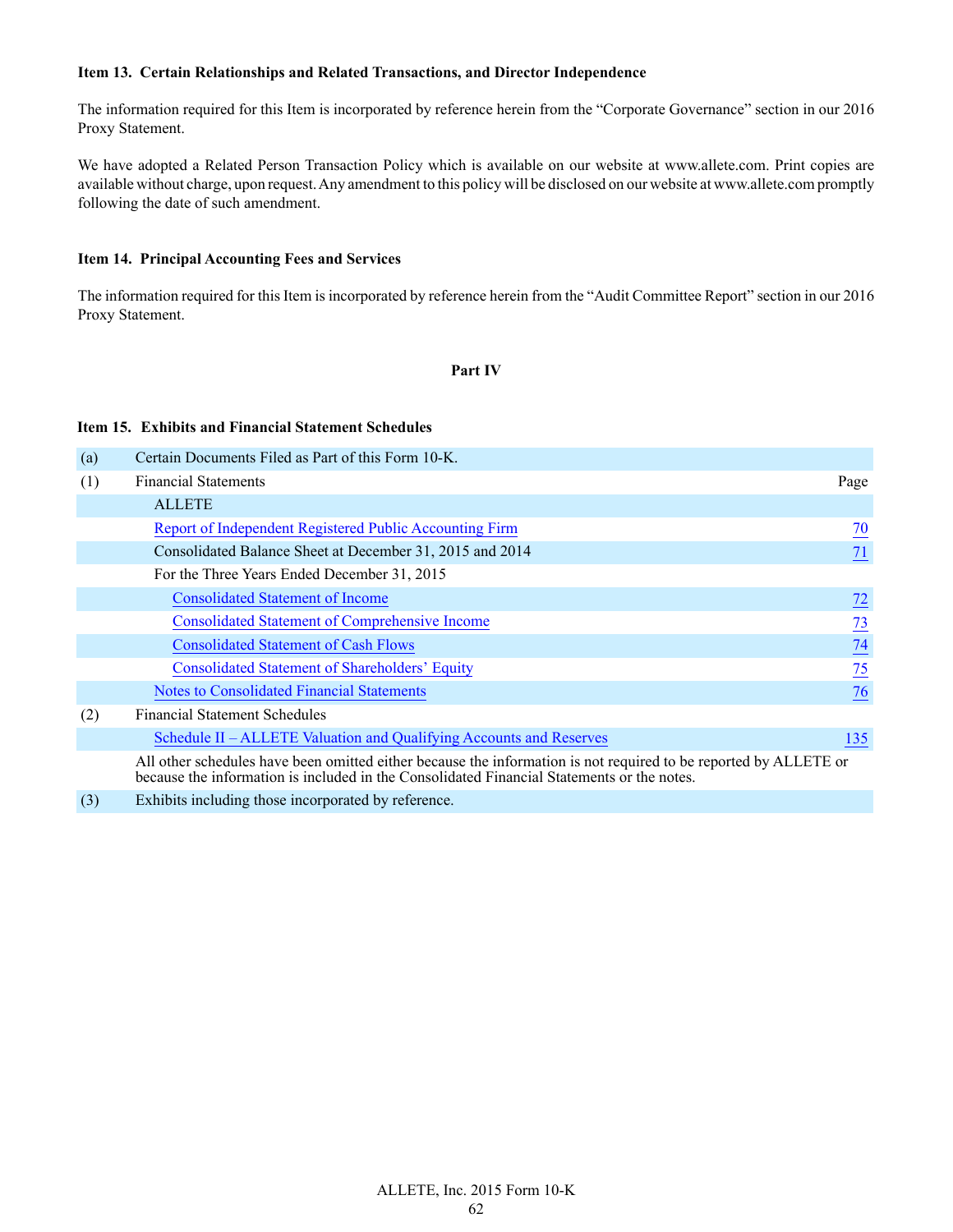### **Item 13. Certain Relationships and Related Transactions, and Director Independence**

The information required for this Item is incorporated by reference herein from the "Corporate Governance" section in our 2016 Proxy Statement.

We have adopted a Related Person Transaction Policy which is available on our website at www.allete.com. Print copies are available without charge, upon request. Any amendment to this policy will be disclosed on our website at www.allete.com promptly following the date of such amendment.

#### **Item 14. Principal Accounting Fees and Services**

The information required for this Item is incorporated by reference herein from the "Audit Committee Report" section in our 2016 Proxy Statement.

#### **Part IV**

### **Item 15. Exhibits and Financial Statement Schedules**

| (a) | Certain Documents Filed as Part of this Form 10-K.                                                                                                                                                             |                  |
|-----|----------------------------------------------------------------------------------------------------------------------------------------------------------------------------------------------------------------|------------------|
| (1) | <b>Financial Statements</b>                                                                                                                                                                                    | Page             |
|     | <b>ALLETE</b>                                                                                                                                                                                                  |                  |
|     | Report of Independent Registered Public Accounting Firm                                                                                                                                                        | $\underline{70}$ |
|     | Consolidated Balance Sheet at December 31, 2015 and 2014                                                                                                                                                       | $\frac{71}{2}$   |
|     | For the Three Years Ended December 31, 2015                                                                                                                                                                    |                  |
|     | <b>Consolidated Statement of Income</b>                                                                                                                                                                        | $\frac{72}{ }$   |
|     | <b>Consolidated Statement of Comprehensive Income</b>                                                                                                                                                          | $\frac{73}{2}$   |
|     | <b>Consolidated Statement of Cash Flows</b>                                                                                                                                                                    | $\frac{74}{1}$   |
|     | <b>Consolidated Statement of Shareholders' Equity</b>                                                                                                                                                          | $\frac{75}{2}$   |
|     | <b>Notes to Consolidated Financial Statements</b>                                                                                                                                                              | $\frac{76}{9}$   |
| (2) | <b>Financial Statement Schedules</b>                                                                                                                                                                           |                  |
|     | Schedule II – ALLETE Valuation and Qualifying Accounts and Reserves                                                                                                                                            | 135              |
|     | All other schedules have been omitted either because the information is not required to be reported by ALLETE or<br>because the information is included in the Consolidated Financial Statements or the notes. |                  |

(3) Exhibits including those incorporated by reference.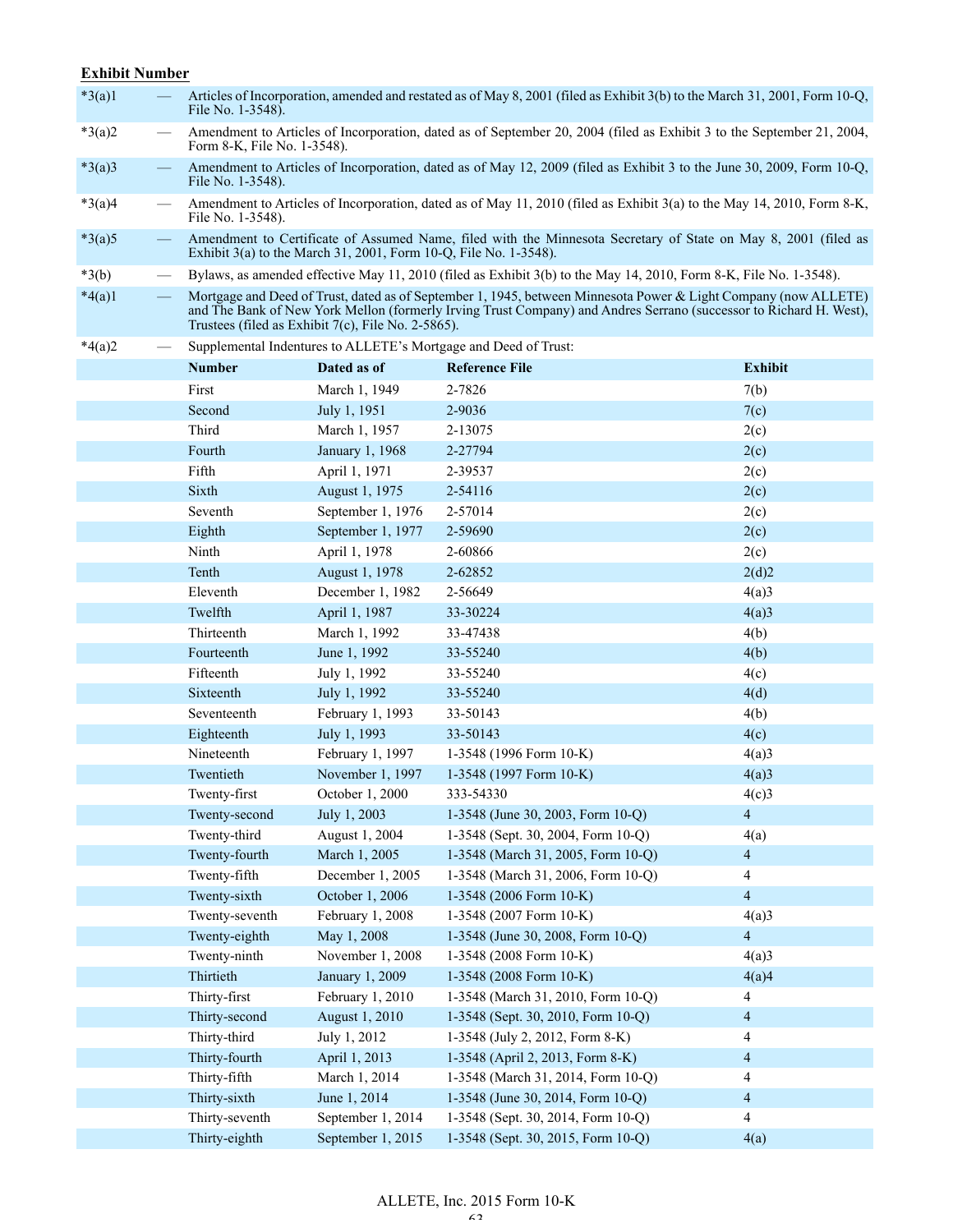| $*3(a)1$ |                               | Articles of Incorporation, amended and restated as of May 8, 2001 (filed as Exhibit 3(b) to the March 31, 2001, Form 10-Q,<br>File No. 1-3548). |                                                                                                                                                                                    |                                                                                                                                                                                                                                       |                          |  |  |  |
|----------|-------------------------------|-------------------------------------------------------------------------------------------------------------------------------------------------|------------------------------------------------------------------------------------------------------------------------------------------------------------------------------------|---------------------------------------------------------------------------------------------------------------------------------------------------------------------------------------------------------------------------------------|--------------------------|--|--|--|
| $*3(a)2$ |                               |                                                                                                                                                 | Amendment to Articles of Incorporation, dated as of September 20, 2004 (filed as Exhibit 3 to the September 21, 2004,<br>Form 8-K, File No. 1-3548).                               |                                                                                                                                                                                                                                       |                          |  |  |  |
| $*3(a)3$ |                               | File No. 1-3548).                                                                                                                               |                                                                                                                                                                                    | Amendment to Articles of Incorporation, dated as of May 12, 2009 (filed as Exhibit 3 to the June 30, 2009, Form 10-Q,                                                                                                                 |                          |  |  |  |
| $*3(a)4$ | $\overbrace{\phantom{12333}}$ | File No. 1-3548).                                                                                                                               | Amendment to Articles of Incorporation, dated as of May 11, 2010 (filed as Exhibit 3(a) to the May 14, 2010, Form 8-K,                                                             |                                                                                                                                                                                                                                       |                          |  |  |  |
| $*3(a)5$ | $\overline{\phantom{m}}$      |                                                                                                                                                 | Amendment to Certificate of Assumed Name, filed with the Minnesota Secretary of State on May 8, 2001 (filed as<br>Exhibit 3(a) to the March 31, 2001, Form 10-Q, File No. 1-3548). |                                                                                                                                                                                                                                       |                          |  |  |  |
| $*3(b)$  |                               |                                                                                                                                                 |                                                                                                                                                                                    | Bylaws, as amended effective May 11, 2010 (filed as Exhibit 3(b) to the May 14, 2010, Form 8-K, File No. 1-3548).                                                                                                                     |                          |  |  |  |
| $*4(a)1$ | $\overline{\phantom{0}}$      |                                                                                                                                                 | Trustees (filed as Exhibit 7(c), File No. 2-5865).                                                                                                                                 | Mortgage and Deed of Trust, dated as of September 1, 1945, between Minnesota Power & Light Company (now ALLETE)<br>and The Bank of New York Mellon (formerly Irving Trust Company) and Andres Serrano (successor to Richard H. West), |                          |  |  |  |
| $*4(a)2$ |                               |                                                                                                                                                 |                                                                                                                                                                                    | Supplemental Indentures to ALLETE's Mortgage and Deed of Trust:                                                                                                                                                                       |                          |  |  |  |
|          |                               | <b>Number</b>                                                                                                                                   | Dated as of                                                                                                                                                                        | <b>Reference File</b>                                                                                                                                                                                                                 | <b>Exhibit</b>           |  |  |  |
|          |                               | First                                                                                                                                           | March 1, 1949                                                                                                                                                                      | 2-7826                                                                                                                                                                                                                                | 7(b)                     |  |  |  |
|          |                               | Second                                                                                                                                          | July 1, 1951                                                                                                                                                                       | 2-9036                                                                                                                                                                                                                                | 7(c)                     |  |  |  |
|          |                               | Third                                                                                                                                           | March 1, 1957                                                                                                                                                                      | 2-13075                                                                                                                                                                                                                               | 2(c)                     |  |  |  |
|          |                               | Fourth                                                                                                                                          | January 1, 1968                                                                                                                                                                    | 2-27794                                                                                                                                                                                                                               | 2(c)                     |  |  |  |
|          |                               | Fifth                                                                                                                                           | April 1, 1971                                                                                                                                                                      | 2-39537                                                                                                                                                                                                                               | 2(c)                     |  |  |  |
|          |                               | Sixth                                                                                                                                           | August 1, 1975                                                                                                                                                                     | 2-54116                                                                                                                                                                                                                               | 2(c)                     |  |  |  |
|          |                               | Seventh                                                                                                                                         | September 1, 1976                                                                                                                                                                  | 2-57014                                                                                                                                                                                                                               | 2(c)                     |  |  |  |
|          |                               | Eighth                                                                                                                                          | September 1, 1977                                                                                                                                                                  | 2-59690                                                                                                                                                                                                                               | 2(c)                     |  |  |  |
|          |                               | Ninth                                                                                                                                           | April 1, 1978                                                                                                                                                                      | 2-60866                                                                                                                                                                                                                               | 2(c)                     |  |  |  |
|          |                               | Tenth                                                                                                                                           | August 1, 1978                                                                                                                                                                     | 2-62852                                                                                                                                                                                                                               | 2(d)2                    |  |  |  |
|          |                               | Eleventh                                                                                                                                        | December 1, 1982                                                                                                                                                                   | 2-56649                                                                                                                                                                                                                               | 4(a)3                    |  |  |  |
|          |                               | Twelfth                                                                                                                                         | April 1, 1987                                                                                                                                                                      | 33-30224                                                                                                                                                                                                                              | 4(a)3                    |  |  |  |
|          |                               | Thirteenth                                                                                                                                      | March 1, 1992                                                                                                                                                                      | 33-47438                                                                                                                                                                                                                              | 4(b)                     |  |  |  |
|          |                               | Fourteenth                                                                                                                                      | June 1, 1992                                                                                                                                                                       | 33-55240                                                                                                                                                                                                                              | 4(b)                     |  |  |  |
|          |                               | Fifteenth                                                                                                                                       | July 1, 1992                                                                                                                                                                       | 33-55240                                                                                                                                                                                                                              | 4(c)                     |  |  |  |
|          |                               | Sixteenth                                                                                                                                       | July 1, 1992                                                                                                                                                                       | 33-55240                                                                                                                                                                                                                              | 4(d)                     |  |  |  |
|          |                               | Seventeenth                                                                                                                                     | February 1, 1993                                                                                                                                                                   | 33-50143                                                                                                                                                                                                                              | 4(b)                     |  |  |  |
|          |                               | Eighteenth                                                                                                                                      | July 1, 1993                                                                                                                                                                       | 33-50143                                                                                                                                                                                                                              | 4(c)                     |  |  |  |
|          |                               | Nineteenth                                                                                                                                      | February 1, 1997                                                                                                                                                                   | 1-3548 (1996 Form 10-K)                                                                                                                                                                                                               | 4(a)3                    |  |  |  |
|          |                               | Twentieth                                                                                                                                       | November 1, 1997                                                                                                                                                                   | 1-3548 (1997 Form 10-K)                                                                                                                                                                                                               | 4(a)3                    |  |  |  |
|          |                               | Twenty-first                                                                                                                                    | October 1, 2000                                                                                                                                                                    | 333-54330                                                                                                                                                                                                                             | 4(c)3                    |  |  |  |
|          |                               | Twenty-second                                                                                                                                   | July 1, 2003                                                                                                                                                                       | 1-3548 (June 30, 2003, Form 10-Q)                                                                                                                                                                                                     | $\overline{4}$           |  |  |  |
|          |                               | Twenty-third                                                                                                                                    | August 1, 2004                                                                                                                                                                     | 1-3548 (Sept. 30, 2004, Form 10-Q)                                                                                                                                                                                                    | 4(a)                     |  |  |  |
|          |                               | Twenty-fourth                                                                                                                                   | March 1, 2005                                                                                                                                                                      | 1-3548 (March 31, 2005, Form 10-Q)                                                                                                                                                                                                    | 4                        |  |  |  |
|          |                               | Twenty-fifth                                                                                                                                    | December 1, 2005                                                                                                                                                                   | 1-3548 (March 31, 2006, Form 10-Q)                                                                                                                                                                                                    | 4                        |  |  |  |
|          |                               | Twenty-sixth                                                                                                                                    | October 1, 2006                                                                                                                                                                    | 1-3548 (2006 Form 10-K)                                                                                                                                                                                                               | $\overline{4}$           |  |  |  |
|          |                               | Twenty-seventh                                                                                                                                  | February 1, 2008                                                                                                                                                                   | 1-3548 (2007 Form 10-K)                                                                                                                                                                                                               | 4(a)3                    |  |  |  |
|          |                               | Twenty-eighth                                                                                                                                   | May 1, 2008                                                                                                                                                                        | 1-3548 (June 30, 2008, Form 10-Q)                                                                                                                                                                                                     | $\overline{4}$           |  |  |  |
|          |                               | Twenty-ninth                                                                                                                                    | November 1, 2008                                                                                                                                                                   | 1-3548 (2008 Form 10-K)                                                                                                                                                                                                               | 4(a)3                    |  |  |  |
|          |                               | Thirtieth                                                                                                                                       | January 1, 2009                                                                                                                                                                    | 1-3548 (2008 Form 10-K)                                                                                                                                                                                                               | 4(a)4                    |  |  |  |
|          |                               | Thirty-first                                                                                                                                    | February 1, 2010                                                                                                                                                                   | 1-3548 (March 31, 2010, Form 10-Q)                                                                                                                                                                                                    | 4                        |  |  |  |
|          |                               | Thirty-second                                                                                                                                   | August 1, 2010                                                                                                                                                                     | 1-3548 (Sept. 30, 2010, Form 10-Q)                                                                                                                                                                                                    | $\overline{\mathbf{4}}$  |  |  |  |
|          |                               | Thirty-third                                                                                                                                    | July 1, 2012                                                                                                                                                                       | 1-3548 (July 2, 2012, Form 8-K)                                                                                                                                                                                                       | 4                        |  |  |  |
|          |                               | Thirty-fourth                                                                                                                                   | April 1, 2013                                                                                                                                                                      | 1-3548 (April 2, 2013, Form 8-K)                                                                                                                                                                                                      | $\overline{\mathcal{A}}$ |  |  |  |
|          |                               | Thirty-fifth                                                                                                                                    | March 1, 2014                                                                                                                                                                      | 1-3548 (March 31, 2014, Form 10-Q)                                                                                                                                                                                                    | 4                        |  |  |  |
|          |                               | Thirty-sixth                                                                                                                                    | June 1, 2014                                                                                                                                                                       | 1-3548 (June 30, 2014, Form 10-Q)                                                                                                                                                                                                     | 4                        |  |  |  |
|          |                               | Thirty-seventh                                                                                                                                  | September 1, 2014                                                                                                                                                                  | 1-3548 (Sept. 30, 2014, Form 10-Q)                                                                                                                                                                                                    | 4                        |  |  |  |
|          |                               | Thirty-eighth                                                                                                                                   | September 1, 2015                                                                                                                                                                  | 1-3548 (Sept. 30, 2015, Form 10-Q)                                                                                                                                                                                                    | 4(a)                     |  |  |  |

# ALLETE, Inc. 2015 Form 10-K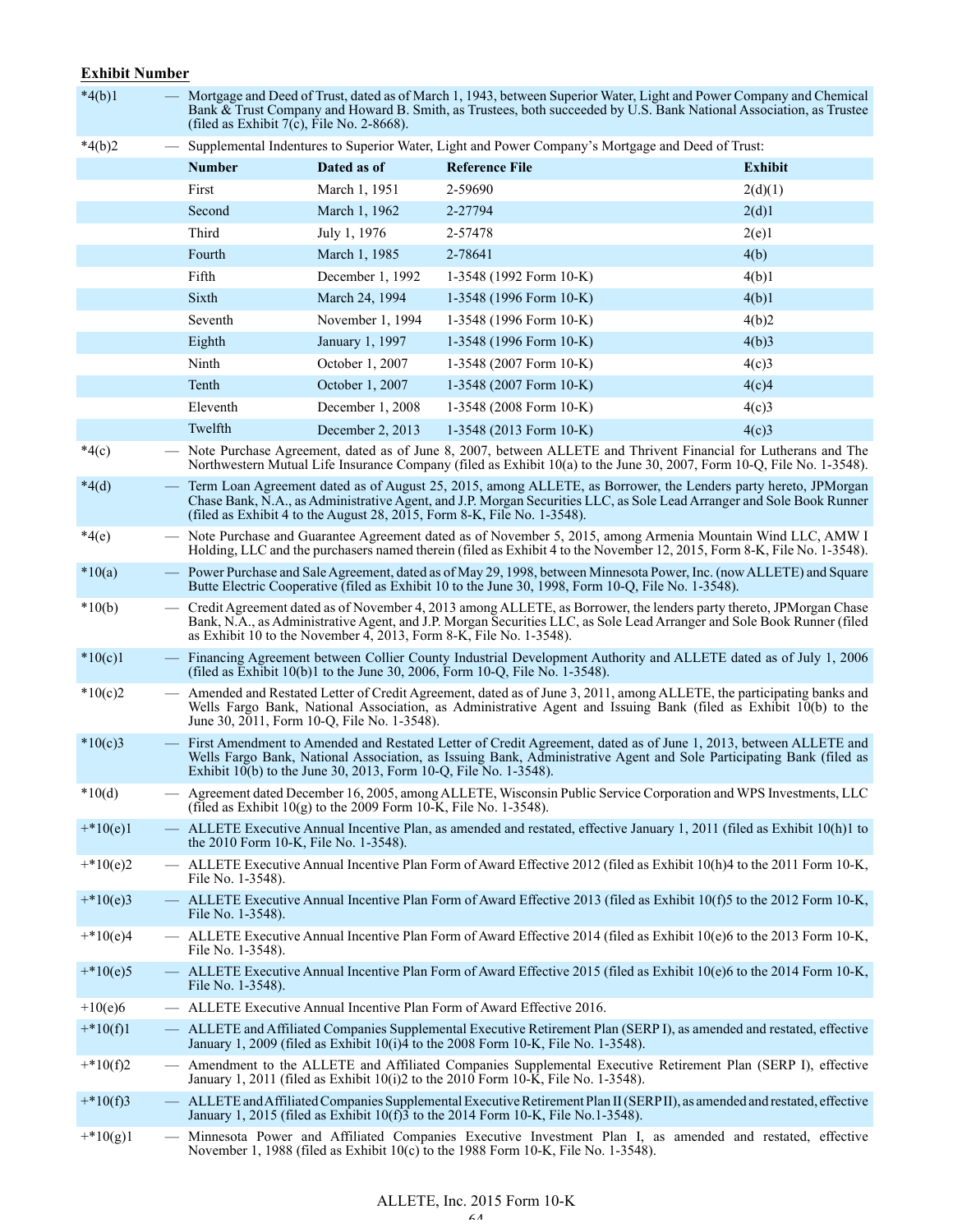\*4(b)1 — Mortgage and Deed of Trust, dated as of March 1, 1943, between Superior Water, Light and Power Company and Chemical Bank & Trust Company and Howard B. Smith, as Trustees, both succeeded by U.S. Bank National Association, as Trustee (filed as Exhibit 7 $(c)$ , File No. 2-8668).

| $*4(b)2$   |                   |                                                                         | — Supplemental Indentures to Superior Water, Light and Power Company's Mortgage and Deed of Trust:                                                                                                                                           |                |
|------------|-------------------|-------------------------------------------------------------------------|----------------------------------------------------------------------------------------------------------------------------------------------------------------------------------------------------------------------------------------------|----------------|
|            | <b>Number</b>     | Dated as of                                                             | <b>Reference File</b>                                                                                                                                                                                                                        | <b>Exhibit</b> |
|            | First             | March 1, 1951                                                           | 2-59690                                                                                                                                                                                                                                      | 2(d)(1)        |
|            | Second            | March 1, 1962                                                           | 2-27794                                                                                                                                                                                                                                      | 2(d)1          |
|            | Third             | July 1, 1976                                                            | 2-57478                                                                                                                                                                                                                                      | 2(e)1          |
|            | Fourth            | March 1, 1985                                                           | 2-78641                                                                                                                                                                                                                                      | 4(b)           |
|            | Fifth             | December 1, 1992                                                        | 1-3548 (1992 Form 10-K)                                                                                                                                                                                                                      | 4(b)1          |
|            | Sixth             | March 24, 1994                                                          | 1-3548 (1996 Form 10-K)                                                                                                                                                                                                                      | 4(b)1          |
|            | Seventh           | November 1, 1994                                                        | 1-3548 (1996 Form 10-K)                                                                                                                                                                                                                      | 4(b)2          |
|            | Eighth            | January 1, 1997                                                         | 1-3548 (1996 Form 10-K)                                                                                                                                                                                                                      | 4(b)3          |
|            | Ninth             | October 1, 2007                                                         | 1-3548 (2007 Form 10-K)                                                                                                                                                                                                                      | 4(c)3          |
|            | Tenth             | October 1, 2007                                                         | 1-3548 (2007 Form 10-K)                                                                                                                                                                                                                      | 4(c)4          |
|            | Eleventh          | December 1, 2008                                                        | 1-3548 (2008 Form 10-K)                                                                                                                                                                                                                      | 4(c)3          |
|            | Twelfth           | December 2, 2013                                                        | 1-3548 (2013 Form 10-K)                                                                                                                                                                                                                      | 4(c)3          |
| $*4(c)$    |                   |                                                                         | - Note Purchase Agreement, dated as of June 8, 2007, between ALLETE and Thrivent Financial for Lutherans and The<br>Northwestern Mutual Life Insurance Company (filed as Exhibit 10(a) to the June 30, 2007, Form 10-Q, File No. 1-3548).    |                |
| $*4(d)$    |                   | (filed as Exhibit 4 to the August 28, 2015, Form 8-K, File No. 1-3548). | Term Loan Agreement dated as of August 25, 2015, among ALLETE, as Borrower, the Lenders party hereto, JPMorgan<br>Chase Bank, N.A., as Administrative Agent, and J.P. Morgan Securities LLC, as Sole Lead Arranger and Sole Book Runner      |                |
| $*4(e)$    |                   |                                                                         | - Note Purchase and Guarantee Agreement dated as of November 5, 2015, among Armenia Mountain Wind LLC, AMW I<br>Holding, LLC and the purchasers named therein (filed as Exhibit 4 to the November 12, 2015, Form 8-K, File No. 1-3548).      |                |
| $*10(a)$   |                   |                                                                         | - Power Purchase and Sale Agreement, dated as of May 29, 1998, between Minnesota Power, Inc. (now ALLETE) and Square<br>Butte Electric Cooperative (filed as Exhibit 10 to the June 30, 1998, Form 10-Q, File No. 1-3548).                   |                |
| $*10(b)$   |                   | as Exhibit 10 to the November 4, 2013, Form 8-K, File No. 1-3548).      | Credit Agreement dated as of November 4, 2013 among ALLETE, as Borrower, the lenders party thereto, JPMorgan Chase<br>Bank, N.A., as Administrative Agent, and J.P. Morgan Securities LLC, as Sole Lead Arranger and Sole Book Runner (filed |                |
| $*10(c)1$  |                   |                                                                         | Financing Agreement between Collier County Industrial Development Authority and ALLETE dated as of July 1, 2006<br>(filed as Exhibit $10(b)1$ to the June 30, 2006, Form $10-Q$ , File No. 1-3548).                                          |                |
| $*10(c)2$  |                   | June 30, 2011, Form 10-Q, File No. 1-3548).                             | Amended and Restated Letter of Credit Agreement, dated as of June 3, 2011, among ALLETE, the participating banks and<br>Wells Fargo Bank, National Association, as Administrative Agent and Issuing Bank (filed as Exhibit 10(b) to the      |                |
| $*10(c)3$  |                   | Exhibit 10(b) to the June 30, 2013, Form 10-Q, File No. 1-3548).        | - First Amendment to Amended and Restated Letter of Credit Agreement, dated as of June 1, 2013, between ALLETE and<br>Wells Fargo Bank, National Association, as Issuing Bank, Administrative Agent and Sole Participating Bank (filed as    |                |
| $*10(d)$   |                   | (filed as Exhibit $10(g)$ to the 2009 Form 10-K, File No. 1-3548).      | Agreement dated December 16, 2005, among ALLETE, Wisconsin Public Service Corporation and WPS Investments, LLC                                                                                                                               |                |
| $+*10(e)1$ |                   | the 2010 Form 10-K, File No. 1-3548).                                   | — ALLETE Executive Annual Incentive Plan, as amended and restated, effective January 1, 2011 (filed as Exhibit 10(h)1 to                                                                                                                     |                |
| $+*10(e)2$ | File No. 1-3548). |                                                                         | ALLETE Executive Annual Incentive Plan Form of Award Effective 2012 (filed as Exhibit 10(h)4 to the 2011 Form 10-K,                                                                                                                          |                |
| $+*10(e)3$ | File No. 1-3548). |                                                                         | ALLETE Executive Annual Incentive Plan Form of Award Effective 2013 (filed as Exhibit 10(f)5 to the 2012 Form 10-K,                                                                                                                          |                |
| $+*10(e)4$ | File No. 1-3548). |                                                                         | ALLETE Executive Annual Incentive Plan Form of Award Effective 2014 (filed as Exhibit 10(e)6 to the 2013 Form 10-K,                                                                                                                          |                |
| $+*10(e)5$ | File No. 1-3548). |                                                                         | ALLETE Executive Annual Incentive Plan Form of Award Effective 2015 (filed as Exhibit 10(e)6 to the 2014 Form 10-K,                                                                                                                          |                |
| $+10(e)6$  |                   |                                                                         | ALLETE Executive Annual Incentive Plan Form of Award Effective 2016.                                                                                                                                                                         |                |
| $+*10(f)1$ |                   |                                                                         | ALLETE and Affiliated Companies Supplemental Executive Retirement Plan (SERP I), as amended and restated, effective<br>January 1, 2009 (filed as Exhibit $10(i)$ 4 to the 2008 Form 10-K, File No. 1-3548).                                  |                |
| $+*10(f)2$ |                   |                                                                         | Amendment to the ALLETE and Affiliated Companies Supplemental Executive Retirement Plan (SERP I), effective<br>January 1, 2011 (filed as Exhibit $10(i)2$ to the 2010 Form 10-K, File No. 1-3548).                                           |                |
| $+*10(f)3$ |                   |                                                                         | - ALLETE and Affiliated Companies Supplemental Executive Retirement Plan II (SERP II), as amended and restated, effective<br>January 1, 2015 (filed as Exhibit $10(f)\hat{3}$ to the 2014 Form 10-K, File No.1-3548).                        |                |
| $+*10(g)1$ |                   |                                                                         | Minnesota Power and Affiliated Companies Executive Investment Plan I, as amended and restated, effective                                                                                                                                     |                |

November 1, 1988 (filed as Exhibit 10(c) to the 1988 Form 10-K, File No. 1-3548).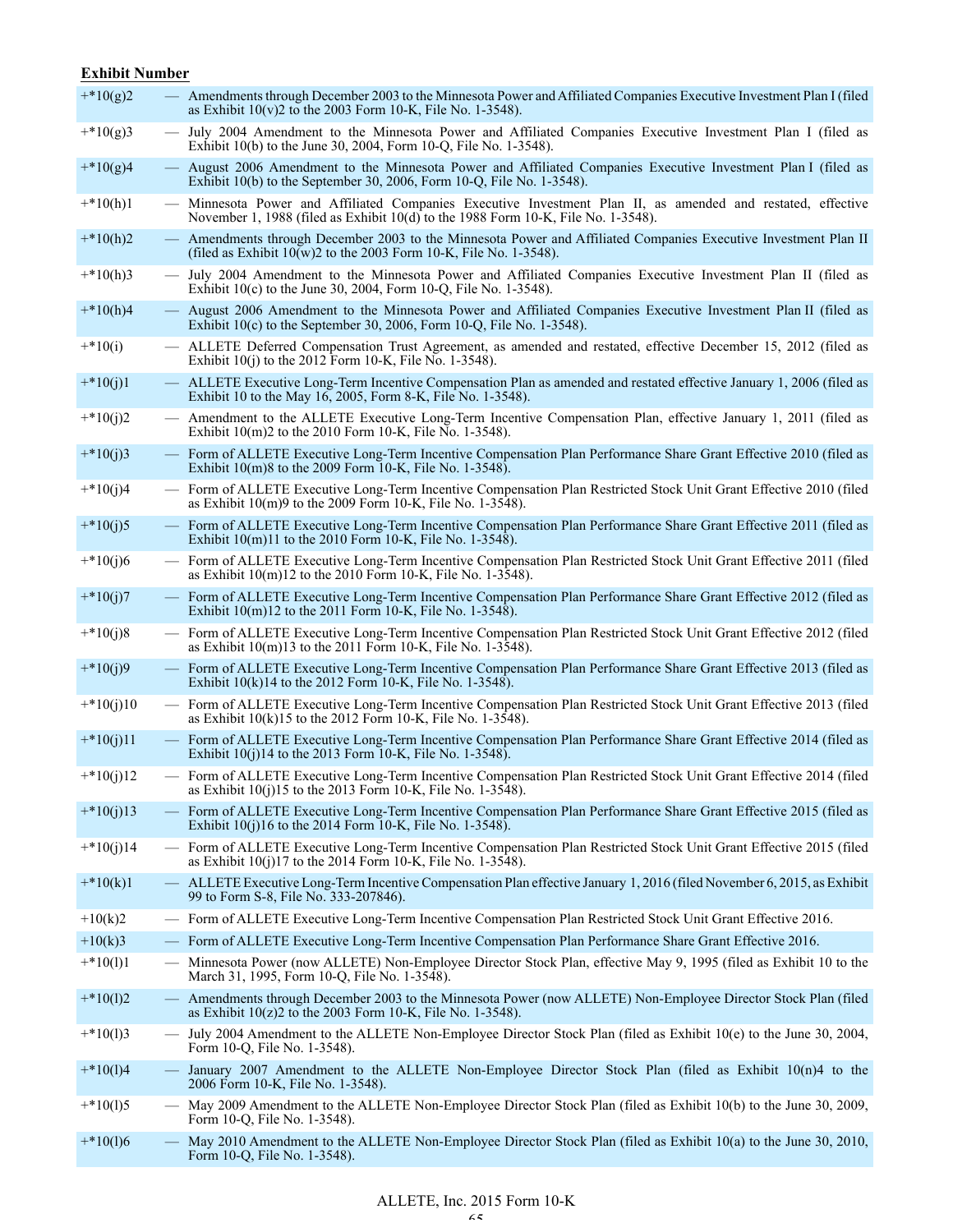| $+*10(g)2$  | — Amendments through December 2003 to the Minnesota Power and Affiliated Companies Executive Investment Plan I (filed<br>as Exhibit $10(v)2$ to the 2003 Form 10-K, File No. 1-3548).                         |
|-------------|---------------------------------------------------------------------------------------------------------------------------------------------------------------------------------------------------------------|
| $+*10(g)3$  | - July 2004 Amendment to the Minnesota Power and Affiliated Companies Executive Investment Plan I (filed as<br>Exhibit 10(b) to the June 30, 2004, Form 10-Q, File No. 1-3548).                               |
| $+*10(g)4$  | - August 2006 Amendment to the Minnesota Power and Affiliated Companies Executive Investment Plan I (filed as<br>Exhibit 10(b) to the September 30, 2006, Form 10-Q, File No. 1-3548).                        |
| $+*10(h)1$  | - Minnesota Power and Affiliated Companies Executive Investment Plan II, as amended and restated, effective<br>November 1, 1988 (filed as Exhibit $10(d)$ to the 1988 Form 10-K, File No. 1-3548).            |
| $+*10(h)2$  | Amendments through December 2003 to the Minnesota Power and Affiliated Companies Executive Investment Plan II<br>(filed as Exhibit $10\overline{w}$ ) to the 2003 Form 10-K, File No. 1-3548).                |
| $+*10(h)3$  | July 2004 Amendment to the Minnesota Power and Affiliated Companies Executive Investment Plan II (filed as<br>Exhibit 10(c) to the June 30, 2004, Form 10-Q, File No. 1-3548).                                |
| $+*10(h)4$  | — August 2006 Amendment to the Minnesota Power and Affiliated Companies Executive Investment Plan II (filed as<br>Exhibit $10(c)$ to the September 30, 2006, Form 10-Q, File No. 1-3548).                     |
| $+*10(i)$   | - ALLETE Deferred Compensation Trust Agreement, as amended and restated, effective December 15, 2012 (filed as<br>Exhibit $10(i)$ to the 2012 Form 10-K, File No. 1-3548).                                    |
| $+*10(j)1$  | ALLETE Executive Long-Term Incentive Compensation Plan as amended and restated effective January 1, 2006 (filed as<br>$\overline{\phantom{0}}$<br>Exhibit 10 to the May 16, 2005, Form 8-K, File No. 1-3548). |
| $+*10(j)2$  | Amendment to the ALLETE Executive Long-Term Incentive Compensation Plan, effective January 1, 2011 (filed as<br>$\overline{\phantom{m}}$<br>Exhibit $10(m)2$ to the 2010 Form 10-K, File No. 1-3548).         |
| $+*10(j)3$  | Form of ALLETE Executive Long-Term Incentive Compensation Plan Performance Share Grant Effective 2010 (filed as<br>Exhibit $10(m)8$ to the 2009 Form $10-K$ , File No. 1-3548).                               |
| $+*10(j)4$  | Form of ALLETE Executive Long-Term Incentive Compensation Plan Restricted Stock Unit Grant Effective 2010 (filed<br>as Exhibit 10(m)9 to the 2009 Form 10-K, File No. 1-3548).                                |
| $+*10(j)5$  | - Form of ALLETE Executive Long-Term Incentive Compensation Plan Performance Share Grant Effective 2011 (filed as<br>Exhibit $10(m)11$ to the 2010 Form 10-K, File No. 1-3548).                               |
| $+*10(j)6$  | Form of ALLETE Executive Long-Term Incentive Compensation Plan Restricted Stock Unit Grant Effective 2011 (filed<br>as Exhibit 10(m)12 to the 2010 Form 10-K, File No. 1-3548).                               |
| $+*10(j)7$  | Form of ALLETE Executive Long-Term Incentive Compensation Plan Performance Share Grant Effective 2012 (filed as<br>$\overline{\phantom{0}}$<br>Exhibit 10(m)12 to the 2011 Form 10-K, File No. 1-3548).       |
| $+*10(j)8$  | Form of ALLETE Executive Long-Term Incentive Compensation Plan Restricted Stock Unit Grant Effective 2012 (filed<br>as Exhibit $10(m)13$ to the 2011 Form 10-K, File No. 1-3548).                             |
| $+*10(j)9$  | Form of ALLETE Executive Long-Term Incentive Compensation Plan Performance Share Grant Effective 2013 (filed as<br>Exhibit $10(k)14$ to the 2012 Form 10-K, File No. 1-3548).                                 |
| $+*10(j)10$ | Form of ALLETE Executive Long-Term Incentive Compensation Plan Restricted Stock Unit Grant Effective 2013 (filed<br>as Exhibit $10(k)15$ to the 2012 Form 10-K, File No. 1-3548).                             |
| $+*10(j)11$ | - Form of ALLETE Executive Long-Term Incentive Compensation Plan Performance Share Grant Effective 2014 (filed as<br>Exhibit $10(j)14$ to the 2013 Form $10-K$ , File No. 1-3548).                            |
| $+*10(j)12$ | - Form of ALLETE Executive Long-Term Incentive Compensation Plan Restricted Stock Unit Grant Effective 2014 (filed<br>as Exhibit $10(i)15$ to the 2013 Form 10-K, File No. 1-3548).                           |
| $+*10(j)13$ | Form of ALLETE Executive Long-Term Incentive Compensation Plan Performance Share Grant Effective 2015 (filed as<br>Exhibit $10(j)16$ to the 2014 Form 10-K, File No. 1-3548).                                 |
| $+*10(i)14$ | Form of ALLETE Executive Long-Term Incentive Compensation Plan Restricted Stock Unit Grant Effective 2015 (filed<br>$\overline{\phantom{0}}$<br>as Exhibit $10(i)17$ to the 2014 Form 10-K, File No. 1-3548). |
| $+*10(k)1$  | ALLETE Executive Long-Term Incentive Compensation Plan effective January 1, 2016 (filed November 6, 2015, as Exhibit<br>99 to Form S-8, File No. 333-207846).                                                 |
| $+10(k)2$   | - Form of ALLETE Executive Long-Term Incentive Compensation Plan Restricted Stock Unit Grant Effective 2016.                                                                                                  |
| $+10(k)3$   | Form of ALLETE Executive Long-Term Incentive Compensation Plan Performance Share Grant Effective 2016.                                                                                                        |
| $+*10(1)1$  | Minnesota Power (now ALLETE) Non-Employee Director Stock Plan, effective May 9, 1995 (filed as Exhibit 10 to the<br>March 31, 1995, Form 10-Q, File No. 1-3548).                                              |
| $+*10(1)2$  | Amendments through December 2003 to the Minnesota Power (now ALLETE) Non-Employee Director Stock Plan (filed<br>$\overline{\phantom{0}}$<br>as Exhibit $10(z)2$ to the 2003 Form 10-K, File No. 1-3548).      |
| $+*10(1)3$  | July 2004 Amendment to the ALLETE Non-Employee Director Stock Plan (filed as Exhibit 10(e) to the June 30, 2004,<br>$\overline{\phantom{0}}$<br>Form 10-Q, File No. 1-3548).                                  |
| $+*10(1)4$  | January 2007 Amendment to the ALLETE Non-Employee Director Stock Plan (filed as Exhibit $10(n)4$ to the<br>2006 Form 10-K, File No. 1-3548).                                                                  |
| $+*10(1)5$  | May 2009 Amendment to the ALLETE Non-Employee Director Stock Plan (filed as Exhibit 10(b) to the June 30, 2009,<br>Form 10-Q, File No. 1-3548).                                                               |
| $+*10(1)6$  | May 2010 Amendment to the ALLETE Non-Employee Director Stock Plan (filed as Exhibit 10(a) to the June 30, 2010,<br>Form 10-Q, File No. 1-3548).                                                               |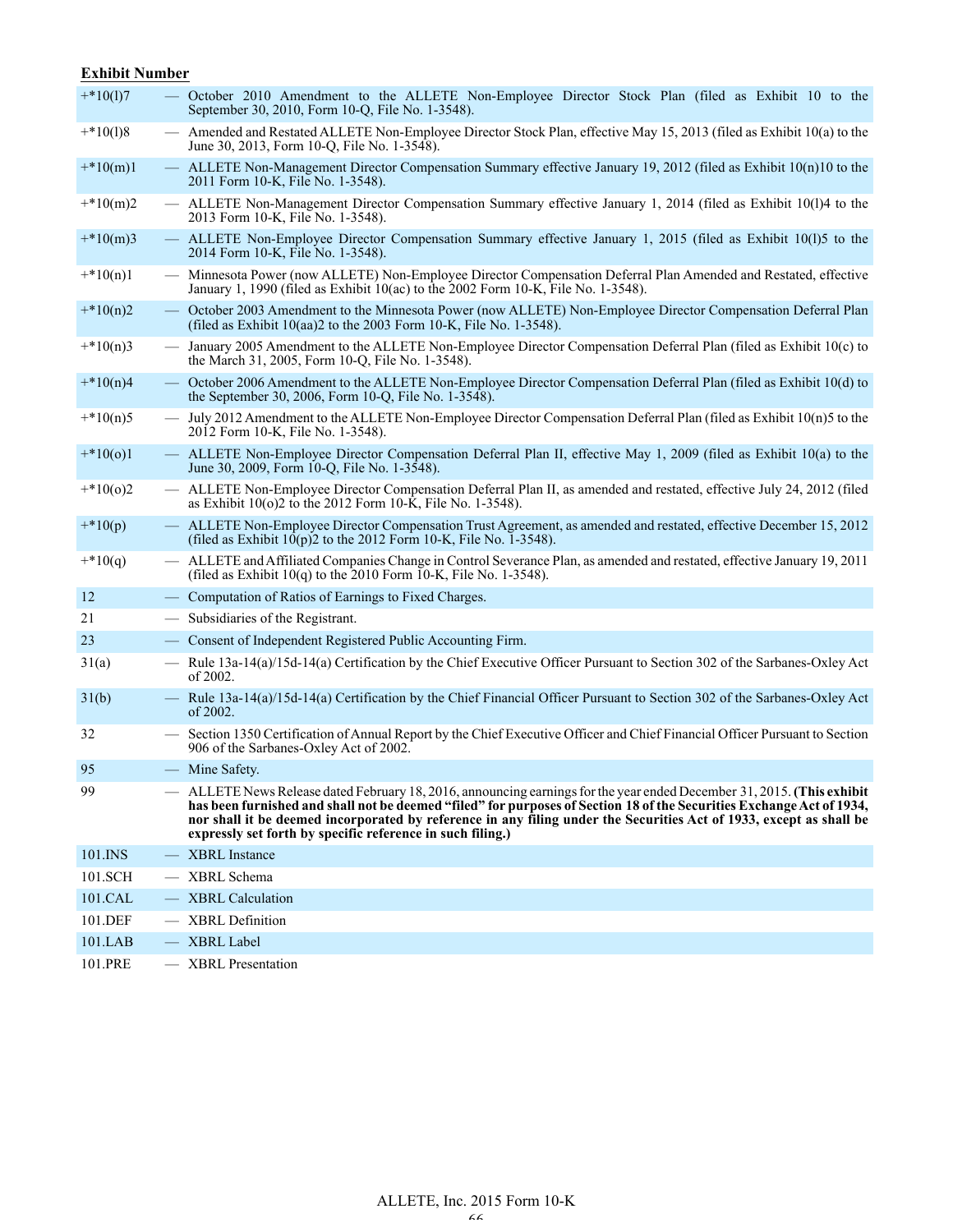| $+*10(1)7$ |                          | - October 2010 Amendment to the ALLETE Non-Employee Director Stock Plan (filed as Exhibit 10 to the<br>September 30, 2010, Form 10-Q, File No. 1-3548).                                                                                                                                                                                                                                                                            |
|------------|--------------------------|------------------------------------------------------------------------------------------------------------------------------------------------------------------------------------------------------------------------------------------------------------------------------------------------------------------------------------------------------------------------------------------------------------------------------------|
| $+*10(1)8$ |                          | - Amended and Restated ALLETE Non-Employee Director Stock Plan, effective May 15, 2013 (filed as Exhibit 10(a) to the<br>June 30, 2013, Form 10-Q, File No. 1-3548).                                                                                                                                                                                                                                                               |
| $+*10(m)1$ |                          | — ALLETE Non-Management Director Compensation Summary effective January 19, 2012 (filed as Exhibit $10(n)10$ to the<br>2011 Form 10-K, File No. 1-3548).                                                                                                                                                                                                                                                                           |
| $+*10(m)2$ |                          | ALLETE Non-Management Director Compensation Summary effective January 1, 2014 (filed as Exhibit 10(l)4 to the<br>2013 Form 10-K, File No. 1-3548).                                                                                                                                                                                                                                                                                 |
| $+*10(m)3$ | $\overline{\phantom{m}}$ | ALLETE Non-Employee Director Compensation Summary effective January 1, 2015 (filed as Exhibit 10(1)5 to the<br>2014 Form 10-K, File No. 1-3548).                                                                                                                                                                                                                                                                                   |
| $+*10(n)1$ |                          | Minnesota Power (now ALLETE) Non-Employee Director Compensation Deferral Plan Amended and Restated, effective<br>January 1, 1990 (filed as Exhibit 10(ac) to the $2002$ Form 10-K, File No. 1-3548).                                                                                                                                                                                                                               |
| $+*10(n)2$ | $\overline{\phantom{m}}$ | October 2003 Amendment to the Minnesota Power (now ALLETE) Non-Employee Director Compensation Deferral Plan<br>(filed as Exhibit $10(aa)2$ to the 2003 Form $10-K$ , File No. 1-3548).                                                                                                                                                                                                                                             |
| $+*10(n)3$ |                          | January 2005 Amendment to the ALLETE Non-Employee Director Compensation Deferral Plan (filed as Exhibit 10(c) to<br>the March 31, 2005, Form 10-Q, File No. 1-3548).                                                                                                                                                                                                                                                               |
| $+*10(n)4$ | $\overline{\phantom{m}}$ | October 2006 Amendment to the ALLETE Non-Employee Director Compensation Deferral Plan (filed as Exhibit 10(d) to<br>the September 30, 2006, Form 10-Q, File No. 1-3548).                                                                                                                                                                                                                                                           |
| $+*10(n)5$ |                          | July 2012 Amendment to the ALLETE Non-Employee Director Compensation Deferral Plan (filed as Exhibit 10(n)5 to the<br>2012 Form 10-K, File No. 1-3548).                                                                                                                                                                                                                                                                            |
| $+*10(0)1$ | $\overline{\phantom{m}}$ | ALLETE Non-Employee Director Compensation Deferral Plan II, effective May 1, 2009 (filed as Exhibit $10(a)$ ) to the<br>June 30, 2009, Form 10-Q, File No. 1-3548).                                                                                                                                                                                                                                                                |
| $+*10(0)2$ |                          | ALLETE Non-Employee Director Compensation Deferral Plan II, as amended and restated, effective July 24, 2012 (filed<br>as Exhibit $10(0)2$ to the 2012 Form $10-\hat{k}$ , File No. 1-3548).                                                                                                                                                                                                                                       |
| $+*10(p)$  |                          | - ALLETE Non-Employee Director Compensation Trust Agreement, as amended and restated, effective December 15, 2012<br>(filed as Exhibit $10(p)$ <sup>2</sup> to the 2012 Form 10-K, File No. 1-3548).                                                                                                                                                                                                                               |
| $+*10(q)$  |                          | - ALLETE and Affiliated Companies Change in Control Severance Plan, as amended and restated, effective January 19, 2011<br>(filed as Exhibit $10(q)$ to the 2010 Form $10-K$ , File No. 1-3548).                                                                                                                                                                                                                                   |
| 12         |                          | Computation of Ratios of Earnings to Fixed Charges.                                                                                                                                                                                                                                                                                                                                                                                |
| 21         |                          | Subsidiaries of the Registrant.                                                                                                                                                                                                                                                                                                                                                                                                    |
| 23         |                          | Consent of Independent Registered Public Accounting Firm.                                                                                                                                                                                                                                                                                                                                                                          |
| 31(a)      |                          | Rule 13a-14(a)/15d-14(a) Certification by the Chief Executive Officer Pursuant to Section 302 of the Sarbanes-Oxley Act<br>of 2002.                                                                                                                                                                                                                                                                                                |
| 31(b)      | $\overline{\phantom{m}}$ | Rule 13a-14(a)/15d-14(a) Certification by the Chief Financial Officer Pursuant to Section 302 of the Sarbanes-Oxley Act<br>of 2002.                                                                                                                                                                                                                                                                                                |
| 32         | $\overline{\phantom{m}}$ | Section 1350 Certification of Annual Report by the Chief Executive Officer and Chief Financial Officer Pursuant to Section<br>906 of the Sarbanes-Oxley Act of 2002.                                                                                                                                                                                                                                                               |
| 95         |                          | - Mine Safety.                                                                                                                                                                                                                                                                                                                                                                                                                     |
| 99         |                          | ALLETE News Release dated February 18, 2016, announcing earnings for the year ended December 31, 2015. (This exhibit<br>has been furnished and shall not be deemed "filed" for purposes of Section 18 of the Securities Exchange Act of 1934,<br>nor shall it be deemed incorporated by reference in any filing under the Securities Act of 1933, except as shall be<br>expressly set forth by specific reference in such filing.) |
| 101.INS    |                          | <b>XBRL</b> Instance                                                                                                                                                                                                                                                                                                                                                                                                               |
| 101.SCH    |                          | - XBRL Schema                                                                                                                                                                                                                                                                                                                                                                                                                      |
| 101.CAL    |                          | - XBRL Calculation                                                                                                                                                                                                                                                                                                                                                                                                                 |
| 101.DEF    | $\overline{\phantom{a}}$ | <b>XBRL</b> Definition                                                                                                                                                                                                                                                                                                                                                                                                             |
| 101.LAB    |                          | - XBRL Label                                                                                                                                                                                                                                                                                                                                                                                                                       |
|            |                          |                                                                                                                                                                                                                                                                                                                                                                                                                                    |

101.PRE — XBRL Presentation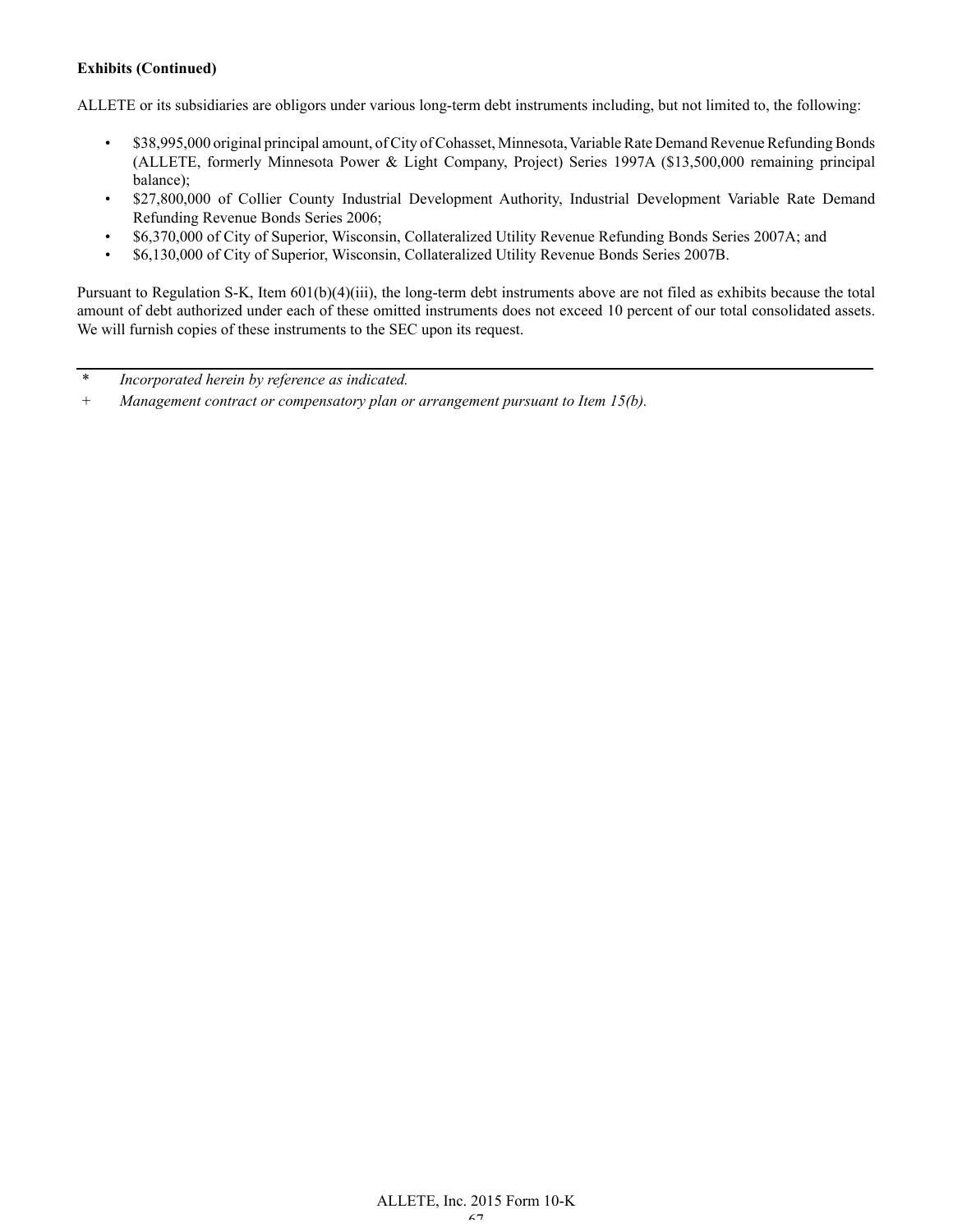## **Exhibits (Continued)**

ALLETE or its subsidiaries are obligors under various long-term debt instruments including, but not limited to, the following:

- \$38,995,000 original principal amount, of City of Cohasset, Minnesota, Variable Rate Demand Revenue Refunding Bonds (ALLETE, formerly Minnesota Power & Light Company, Project) Series 1997A (\$13,500,000 remaining principal balance);
- \$27,800,000 of Collier County Industrial Development Authority, Industrial Development Variable Rate Demand Refunding Revenue Bonds Series 2006;
- \$6,370,000 of City of Superior, Wisconsin, Collateralized Utility Revenue Refunding Bonds Series 2007A; and
- \$6,130,000 of City of Superior, Wisconsin, Collateralized Utility Revenue Bonds Series 2007B.

Pursuant to Regulation S-K, Item 601(b)(4)(iii), the long-term debt instruments above are not filed as exhibits because the total amount of debt authorized under each of these omitted instruments does not exceed 10 percent of our total consolidated assets. We will furnish copies of these instruments to the SEC upon its request.

*\* Incorporated herein by reference as indicated.*

*<sup>+</sup> Management contract or compensatory plan or arrangement pursuant to Item 15(b).*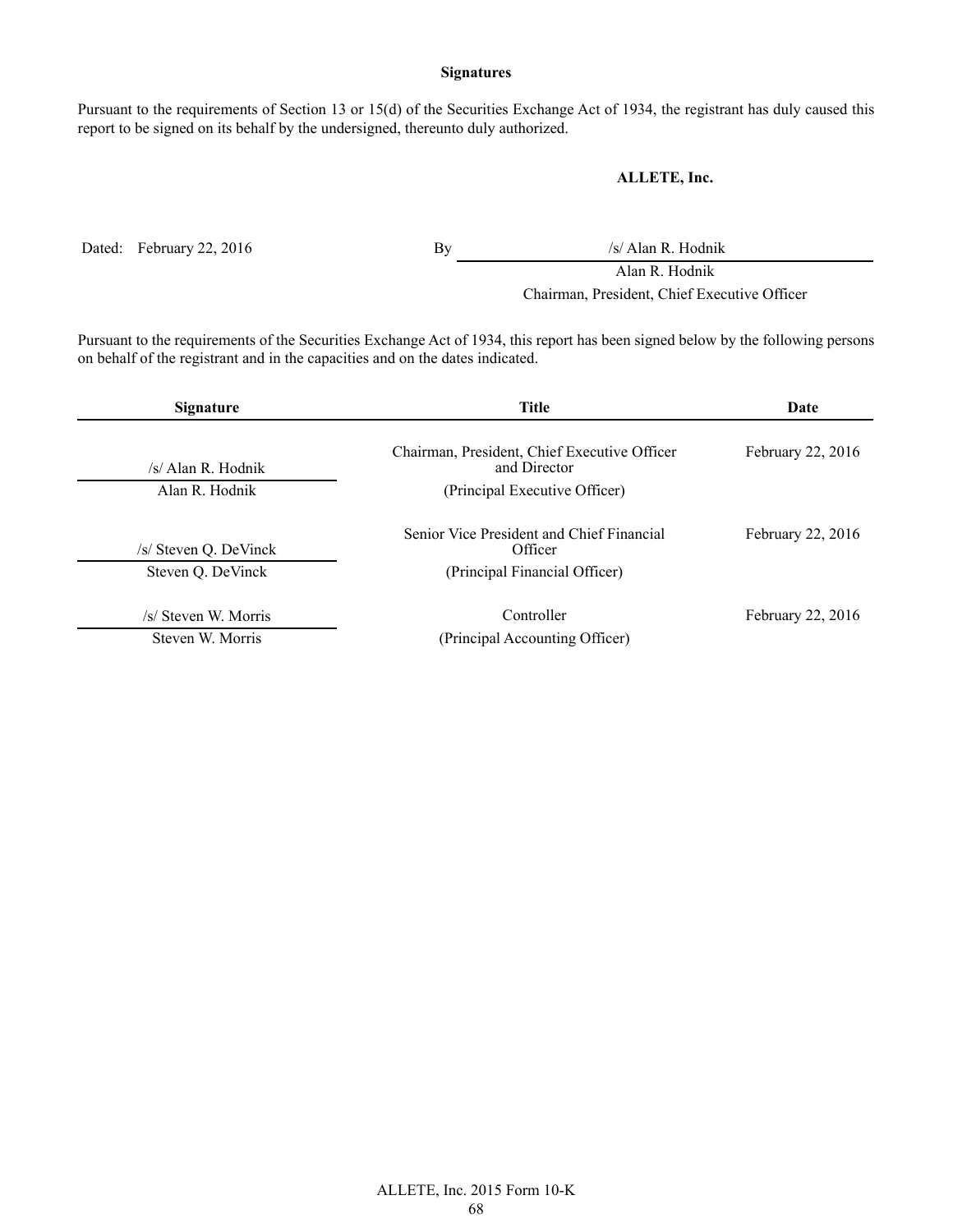#### **Signatures**

Pursuant to the requirements of Section 13 or 15(d) of the Securities Exchange Act of 1934, the registrant has duly caused this report to be signed on its behalf by the undersigned, thereunto duly authorized.

## **ALLETE, Inc.**

Dated: February 22, 2016 By By /s/ Alan R. Hodnik

Alan R. Hodnik

Chairman, President, Chief Executive Officer

Pursuant to the requirements of the Securities Exchange Act of 1934, this report has been signed below by the following persons on behalf of the registrant and in the capacities and on the dates indicated.

| <b>Signature</b>                         | Title                                                        | Date                |
|------------------------------------------|--------------------------------------------------------------|---------------------|
| /s/ Alan R. Hodnik                       | Chairman, President, Chief Executive Officer<br>and Director | February 22, $2016$ |
| Alan R. Hodnik                           | (Principal Executive Officer)                                |                     |
| /s/ Steven Q. DeVinck                    | Senior Vice President and Chief Financial<br>Officer         | February 22, $2016$ |
| Steven Q. DeVinck                        | (Principal Financial Officer)                                |                     |
| /s/ Steven W. Morris<br>Steven W. Morris | Controller<br>(Principal Accounting Officer)                 | February 22, 2016   |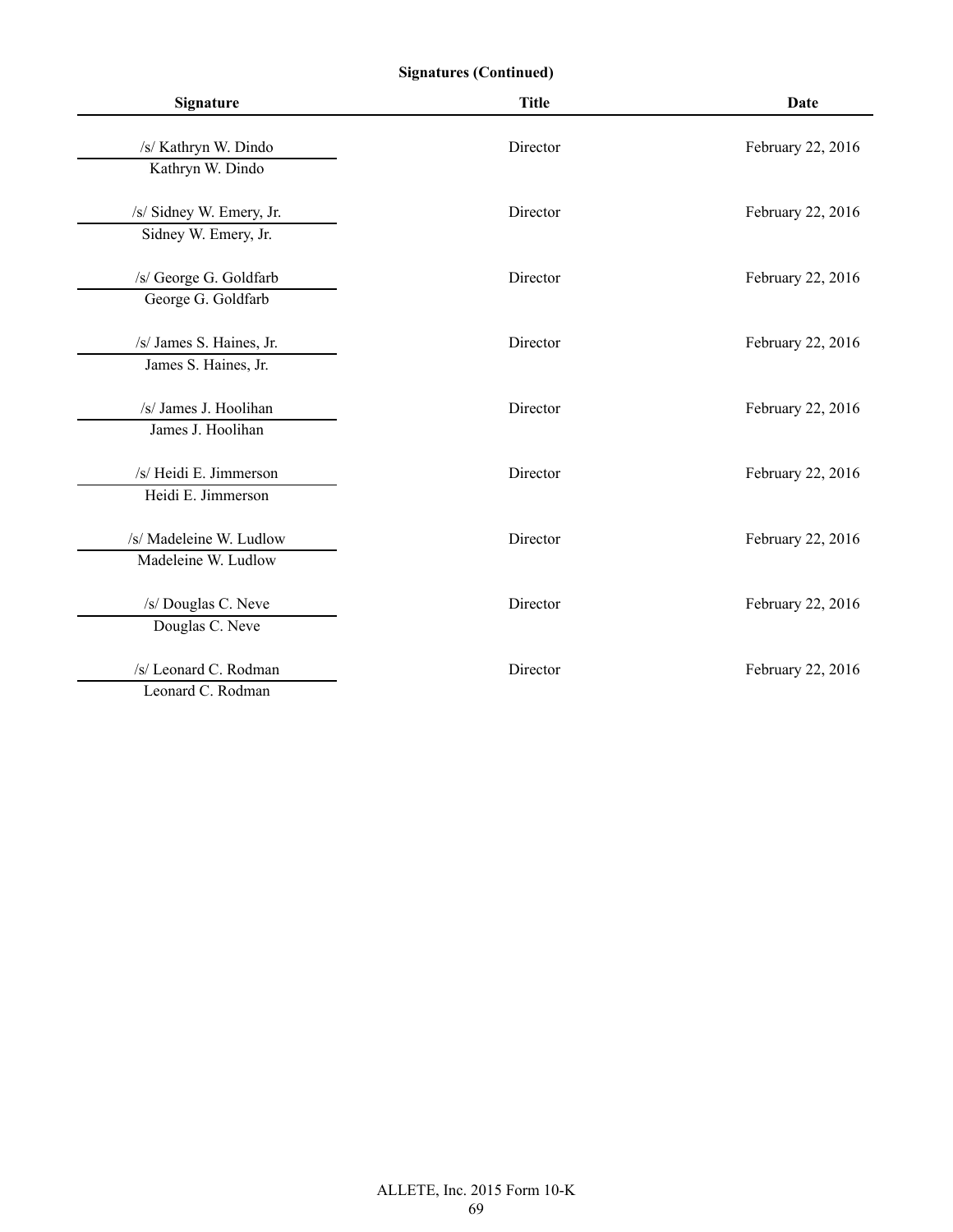# **Signatures (Continued)**

| <b>Signature</b>                                 | <b>Title</b> | Date              |
|--------------------------------------------------|--------------|-------------------|
| /s/ Kathryn W. Dindo<br>Kathryn W. Dindo         | Director     | February 22, 2016 |
| /s/ Sidney W. Emery, Jr.<br>Sidney W. Emery, Jr. | Director     | February 22, 2016 |
| /s/ George G. Goldfarb<br>George G. Goldfarb     | Director     | February 22, 2016 |
| /s/ James S. Haines, Jr.                         | Director     | February 22, 2016 |
| James S. Haines, Jr.<br>/s/ James J. Hoolihan    | Director     | February 22, 2016 |
| James J. Hoolihan<br>/s/ Heidi E. Jimmerson      | Director     | February 22, 2016 |
| Heidi E. Jimmerson<br>/s/ Madeleine W. Ludlow    | Director     | February 22, 2016 |
| Madeleine W. Ludlow<br>/s/ Douglas C. Neve       | Director     | February 22, 2016 |
| Douglas C. Neve<br>/s/ Leonard C. Rodman         | Director     |                   |
| Leonard C. Rodman                                |              | February 22, 2016 |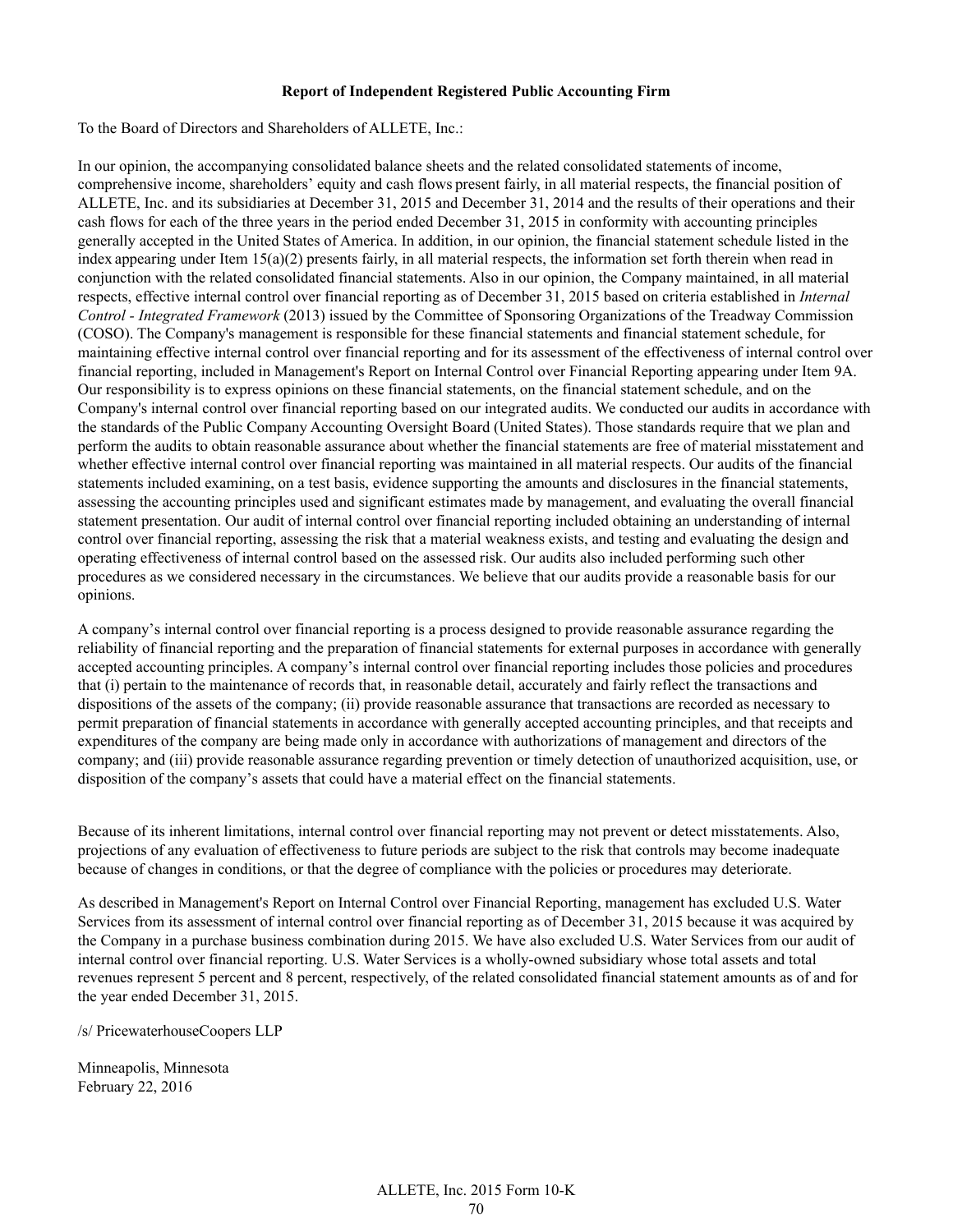#### **Report of Independent Registered Public Accounting Firm**

<span id="page-69-0"></span>To the Board of Directors and Shareholders of ALLETE, Inc.:

In our opinion, the accompanying consolidated balance sheets and the related consolidated statements of income, comprehensive income, shareholders' equity and cash flows present fairly, in all material respects, the financial position of ALLETE, Inc. and its subsidiaries at December 31, 2015 and December 31, 2014 and the results of their operations and their cash flows for each of the three years in the period ended December 31, 2015 in conformity with accounting principles generally accepted in the United States of America. In addition, in our opinion, the financial statement schedule listed in the index appearing under Item 15(a)(2) presents fairly, in all material respects, the information set forth therein when read in conjunction with the related consolidated financial statements. Also in our opinion, the Company maintained, in all material respects, effective internal control over financial reporting as of December 31, 2015 based on criteria established in *Internal Control - Integrated Framework* (2013) issued by the Committee of Sponsoring Organizations of the Treadway Commission (COSO). The Company's management is responsible for these financial statements and financial statement schedule, for maintaining effective internal control over financial reporting and for its assessment of the effectiveness of internal control over financial reporting, included in Management's Report on Internal Control over Financial Reporting appearing under Item 9A. Our responsibility is to express opinions on these financial statements, on the financial statement schedule, and on the Company's internal control over financial reporting based on our integrated audits. We conducted our audits in accordance with the standards of the Public Company Accounting Oversight Board (United States). Those standards require that we plan and perform the audits to obtain reasonable assurance about whether the financial statements are free of material misstatement and whether effective internal control over financial reporting was maintained in all material respects. Our audits of the financial statements included examining, on a test basis, evidence supporting the amounts and disclosures in the financial statements, assessing the accounting principles used and significant estimates made by management, and evaluating the overall financial statement presentation. Our audit of internal control over financial reporting included obtaining an understanding of internal control over financial reporting, assessing the risk that a material weakness exists, and testing and evaluating the design and operating effectiveness of internal control based on the assessed risk. Our audits also included performing such other procedures as we considered necessary in the circumstances. We believe that our audits provide a reasonable basis for our opinions.

A company's internal control over financial reporting is a process designed to provide reasonable assurance regarding the reliability of financial reporting and the preparation of financial statements for external purposes in accordance with generally accepted accounting principles. A company's internal control over financial reporting includes those policies and procedures that (i) pertain to the maintenance of records that, in reasonable detail, accurately and fairly reflect the transactions and dispositions of the assets of the company; (ii) provide reasonable assurance that transactions are recorded as necessary to permit preparation of financial statements in accordance with generally accepted accounting principles, and that receipts and expenditures of the company are being made only in accordance with authorizations of management and directors of the company; and (iii) provide reasonable assurance regarding prevention or timely detection of unauthorized acquisition, use, or disposition of the company's assets that could have a material effect on the financial statements.

Because of its inherent limitations, internal control over financial reporting may not prevent or detect misstatements. Also, projections of any evaluation of effectiveness to future periods are subject to the risk that controls may become inadequate because of changes in conditions, or that the degree of compliance with the policies or procedures may deteriorate.

As described in Management's Report on Internal Control over Financial Reporting, management has excluded U.S. Water Services from its assessment of internal control over financial reporting as of December 31, 2015 because it was acquired by the Company in a purchase business combination during 2015. We have also excluded U.S. Water Services from our audit of internal control over financial reporting. U.S. Water Services is a wholly-owned subsidiary whose total assets and total revenues represent 5 percent and 8 percent, respectively, of the related consolidated financial statement amounts as of and for the year ended December 31, 2015.

/s/ PricewaterhouseCoopers LLP

Minneapolis, Minnesota February 22, 2016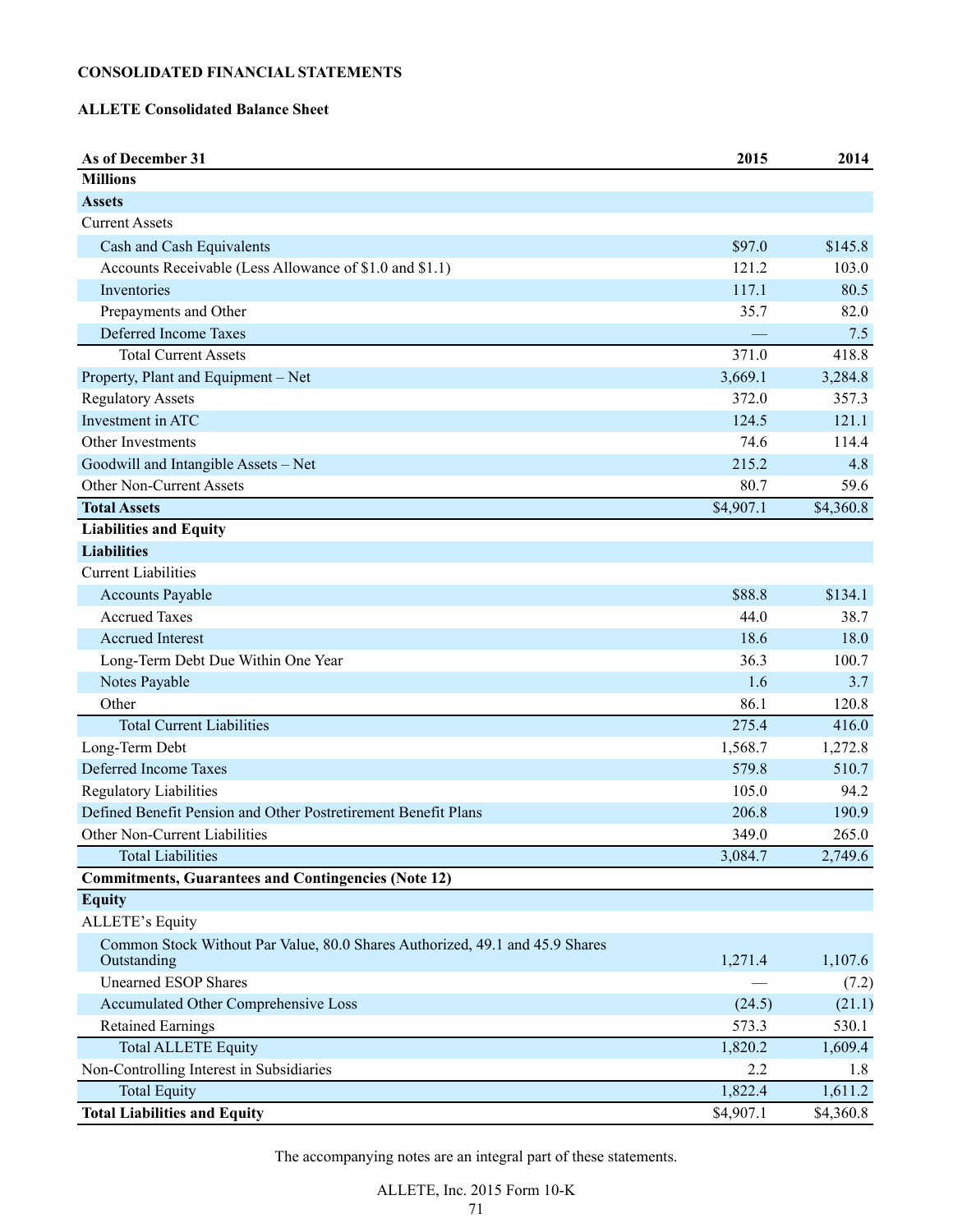# <span id="page-70-0"></span>**CONSOLIDATED FINANCIAL STATEMENTS**

## **ALLETE Consolidated Balance Sheet**

| As of December 31                                                                           | 2015      | 2014      |
|---------------------------------------------------------------------------------------------|-----------|-----------|
| <b>Millions</b>                                                                             |           |           |
| <b>Assets</b>                                                                               |           |           |
| <b>Current Assets</b>                                                                       |           |           |
| Cash and Cash Equivalents                                                                   | \$97.0    | \$145.8   |
| Accounts Receivable (Less Allowance of \$1.0 and \$1.1)                                     | 121.2     | 103.0     |
| Inventories                                                                                 | 117.1     | 80.5      |
| Prepayments and Other                                                                       | 35.7      | 82.0      |
| <b>Deferred Income Taxes</b>                                                                |           | 7.5       |
| <b>Total Current Assets</b>                                                                 | 371.0     | 418.8     |
| Property, Plant and Equipment - Net                                                         | 3,669.1   | 3,284.8   |
| <b>Regulatory Assets</b>                                                                    | 372.0     | 357.3     |
| Investment in ATC                                                                           | 124.5     | 121.1     |
| Other Investments                                                                           | 74.6      | 114.4     |
| Goodwill and Intangible Assets - Net                                                        | 215.2     | 4.8       |
| Other Non-Current Assets                                                                    | 80.7      | 59.6      |
| <b>Total Assets</b>                                                                         | \$4,907.1 | \$4,360.8 |
| <b>Liabilities and Equity</b>                                                               |           |           |
| <b>Liabilities</b>                                                                          |           |           |
| <b>Current Liabilities</b>                                                                  |           |           |
| <b>Accounts Payable</b>                                                                     | \$88.8    | \$134.1   |
| <b>Accrued Taxes</b>                                                                        | 44.0      | 38.7      |
| <b>Accrued Interest</b>                                                                     | 18.6      | 18.0      |
| Long-Term Debt Due Within One Year                                                          | 36.3      | 100.7     |
| Notes Payable                                                                               | 1.6       | 3.7       |
| Other                                                                                       | 86.1      | 120.8     |
| <b>Total Current Liabilities</b>                                                            | 275.4     | 416.0     |
| Long-Term Debt                                                                              | 1,568.7   | 1,272.8   |
| Deferred Income Taxes                                                                       | 579.8     | 510.7     |
| <b>Regulatory Liabilities</b>                                                               | 105.0     | 94.2      |
| Defined Benefit Pension and Other Postretirement Benefit Plans                              | 206.8     | 190.9     |
| Other Non-Current Liabilities                                                               | 349.0     | 265.0     |
| <b>Total Liabilities</b>                                                                    | 3,084.7   | 2,749.6   |
| <b>Commitments, Guarantees and Contingencies (Note 12)</b>                                  |           |           |
| <b>Equity</b>                                                                               |           |           |
| <b>ALLETE's Equity</b>                                                                      |           |           |
| Common Stock Without Par Value, 80.0 Shares Authorized, 49.1 and 45.9 Shares<br>Outstanding | 1,271.4   | 1,107.6   |
| <b>Unearned ESOP Shares</b>                                                                 |           | (7.2)     |
| Accumulated Other Comprehensive Loss                                                        | (24.5)    | (21.1)    |
| <b>Retained Earnings</b>                                                                    | 573.3     | 530.1     |
| <b>Total ALLETE Equity</b>                                                                  | 1,820.2   | 1,609.4   |
| Non-Controlling Interest in Subsidiaries                                                    | 2.2       | 1.8       |
| <b>Total Equity</b>                                                                         | 1,822.4   | 1,611.2   |
| <b>Total Liabilities and Equity</b>                                                         | \$4,907.1 | \$4,360.8 |
|                                                                                             |           |           |

The accompanying notes are an integral part of these statements.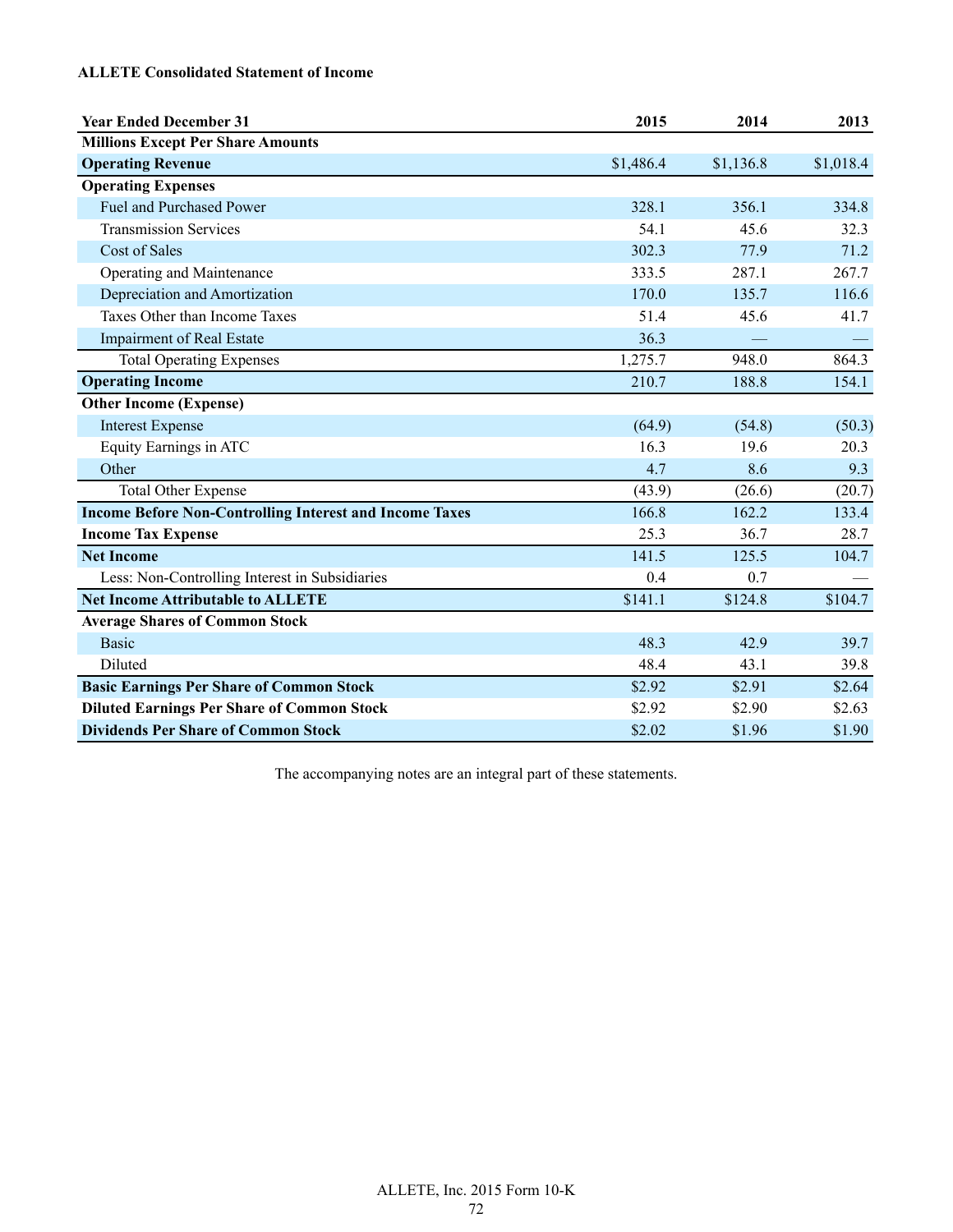# <span id="page-71-0"></span>**ALLETE Consolidated Statement of Income**

| <b>Year Ended December 31</b>                                  | 2015      | 2014      | 2013      |
|----------------------------------------------------------------|-----------|-----------|-----------|
| <b>Millions Except Per Share Amounts</b>                       |           |           |           |
| <b>Operating Revenue</b>                                       | \$1,486.4 | \$1,136.8 | \$1,018.4 |
| <b>Operating Expenses</b>                                      |           |           |           |
| <b>Fuel and Purchased Power</b>                                | 328.1     | 356.1     | 334.8     |
| <b>Transmission Services</b>                                   | 54.1      | 45.6      | 32.3      |
| <b>Cost of Sales</b>                                           | 302.3     | 77.9      | 71.2      |
| Operating and Maintenance                                      | 333.5     | 287.1     | 267.7     |
| Depreciation and Amortization                                  | 170.0     | 135.7     | 116.6     |
| Taxes Other than Income Taxes                                  | 51.4      | 45.6      | 41.7      |
| <b>Impairment of Real Estate</b>                               | 36.3      |           |           |
| <b>Total Operating Expenses</b>                                | 1,275.7   | 948.0     | 864.3     |
| <b>Operating Income</b>                                        | 210.7     | 188.8     | 154.1     |
| <b>Other Income (Expense)</b>                                  |           |           |           |
| <b>Interest Expense</b>                                        | (64.9)    | (54.8)    | (50.3)    |
| Equity Earnings in ATC                                         | 16.3      | 19.6      | 20.3      |
| Other                                                          | 4.7       | 8.6       | 9.3       |
| <b>Total Other Expense</b>                                     | (43.9)    | (26.6)    | (20.7)    |
| <b>Income Before Non-Controlling Interest and Income Taxes</b> | 166.8     | 162.2     | 133.4     |
| <b>Income Tax Expense</b>                                      | 25.3      | 36.7      | 28.7      |
| <b>Net Income</b>                                              | 141.5     | 125.5     | 104.7     |
| Less: Non-Controlling Interest in Subsidiaries                 | 0.4       | 0.7       |           |
| <b>Net Income Attributable to ALLETE</b>                       | \$141.1   | \$124.8   | \$104.7   |
| <b>Average Shares of Common Stock</b>                          |           |           |           |
| <b>Basic</b>                                                   | 48.3      | 42.9      | 39.7      |
| Diluted                                                        | 48.4      | 43.1      | 39.8      |
| <b>Basic Earnings Per Share of Common Stock</b>                | \$2.92    | \$2.91    | \$2.64    |
| <b>Diluted Earnings Per Share of Common Stock</b>              | \$2.92    | \$2.90    | \$2.63    |
| <b>Dividends Per Share of Common Stock</b>                     | \$2.02    | \$1.96    | \$1.90    |

The accompanying notes are an integral part of these statements.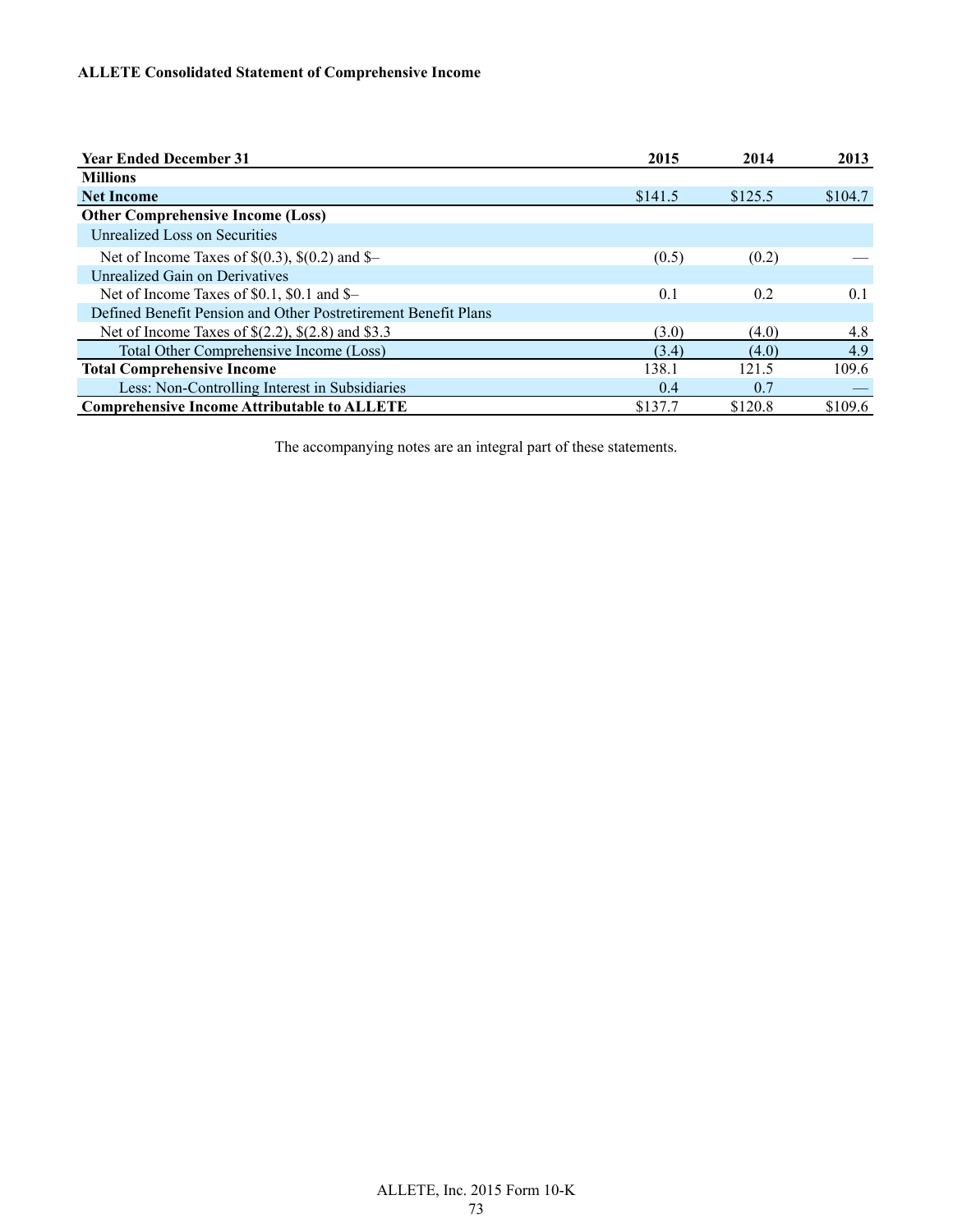# **ALLETE Consolidated Statement of Comprehensive Income**

| <b>Year Ended December 31</b>                                  | 2015    | 2014    | 2013    |
|----------------------------------------------------------------|---------|---------|---------|
| <b>Millions</b>                                                |         |         |         |
| <b>Net Income</b>                                              | \$141.5 | \$125.5 | \$104.7 |
| <b>Other Comprehensive Income (Loss)</b>                       |         |         |         |
| <b>Unrealized Loss on Securities</b>                           |         |         |         |
| Net of Income Taxes of $$(0.3), $(0.2)$$ and $$$ -             | (0.5)   | (0.2)   |         |
| <b>Unrealized Gain on Derivatives</b>                          |         |         |         |
| Net of Income Taxes of \$0.1, \$0.1 and \$-                    | 0.1     | 0.2     | 0.1     |
| Defined Benefit Pension and Other Postretirement Benefit Plans |         |         |         |
| Net of Income Taxes of $\S(2.2)$ , $\S(2.8)$ and \$3.3         | (3.0)   | (4.0)   | 4.8     |
| Total Other Comprehensive Income (Loss)                        | (3.4)   | (4.0)   | 4.9     |
| <b>Total Comprehensive Income</b>                              | 138.1   | 121.5   | 109.6   |
| Less: Non-Controlling Interest in Subsidiaries                 | 0.4     | 0.7     |         |
| <b>Comprehensive Income Attributable to ALLETE</b>             | \$137.7 | \$120.8 | \$109.6 |

The accompanying notes are an integral part of these statements.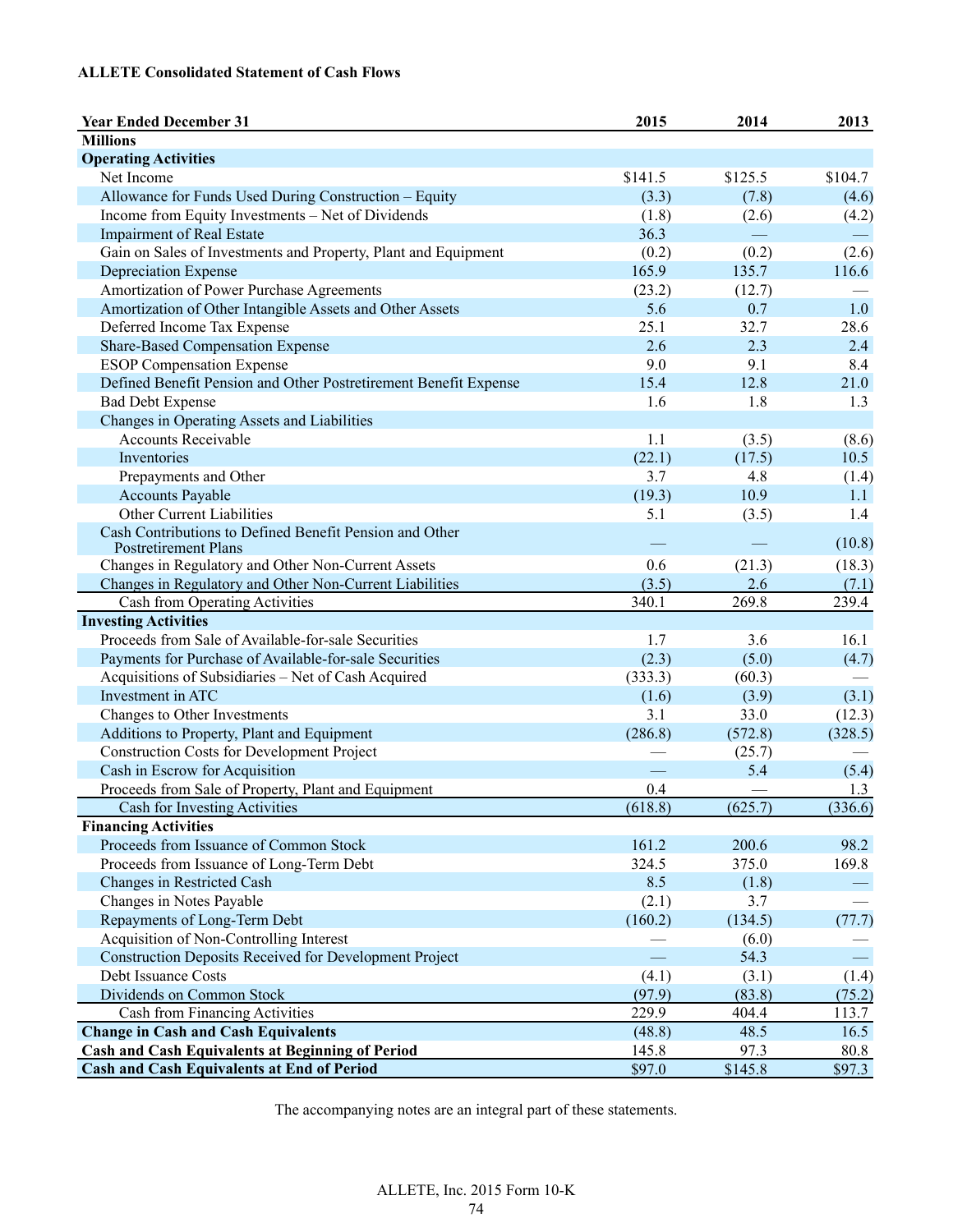# **ALLETE Consolidated Statement of Cash Flows**

| <b>Year Ended December 31</b>                                    | 2015    | 2014    | 2013    |
|------------------------------------------------------------------|---------|---------|---------|
| <b>Millions</b>                                                  |         |         |         |
| <b>Operating Activities</b>                                      |         |         |         |
| Net Income                                                       | \$141.5 | \$125.5 | \$104.7 |
| Allowance for Funds Used During Construction - Equity            | (3.3)   | (7.8)   | (4.6)   |
| Income from Equity Investments - Net of Dividends                | (1.8)   | (2.6)   | (4.2)   |
| <b>Impairment of Real Estate</b>                                 | 36.3    |         |         |
| Gain on Sales of Investments and Property, Plant and Equipment   | (0.2)   | (0.2)   | (2.6)   |
| Depreciation Expense                                             | 165.9   | 135.7   | 116.6   |
| Amortization of Power Purchase Agreements                        | (23.2)  | (12.7)  |         |
| Amortization of Other Intangible Assets and Other Assets         | 5.6     | 0.7     | 1.0     |
| Deferred Income Tax Expense                                      | 25.1    | 32.7    | 28.6    |
| Share-Based Compensation Expense                                 | 2.6     | 2.3     | 2.4     |
| <b>ESOP Compensation Expense</b>                                 | 9.0     | 9.1     | 8.4     |
| Defined Benefit Pension and Other Postretirement Benefit Expense | 15.4    | 12.8    | 21.0    |
| <b>Bad Debt Expense</b>                                          | 1.6     | 1.8     | 1.3     |
| Changes in Operating Assets and Liabilities                      |         |         |         |
| <b>Accounts Receivable</b>                                       | 1.1     | (3.5)   | (8.6)   |
| Inventories                                                      | (22.1)  | (17.5)  | 10.5    |
| Prepayments and Other                                            | 3.7     | 4.8     | (1.4)   |
| <b>Accounts Payable</b>                                          | (19.3)  | 10.9    | 1.1     |
| Other Current Liabilities                                        | 5.1     | (3.5)   | 1.4     |
| Cash Contributions to Defined Benefit Pension and Other          |         |         |         |
| <b>Postretirement Plans</b>                                      |         |         | (10.8)  |
| Changes in Regulatory and Other Non-Current Assets               | 0.6     | (21.3)  | (18.3)  |
| Changes in Regulatory and Other Non-Current Liabilities          | (3.5)   | 2.6     | (7.1)   |
| <b>Cash from Operating Activities</b>                            | 340.1   | 269.8   | 239.4   |
| <b>Investing Activities</b>                                      |         |         |         |
| Proceeds from Sale of Available-for-sale Securities              | 1.7     | 3.6     | 16.1    |
| Payments for Purchase of Available-for-sale Securities           | (2.3)   | (5.0)   | (4.7)   |
| Acquisitions of Subsidiaries - Net of Cash Acquired              | (333.3) | (60.3)  |         |
| Investment in ATC                                                | (1.6)   | (3.9)   | (3.1)   |
| Changes to Other Investments                                     | 3.1     | 33.0    | (12.3)  |
| Additions to Property, Plant and Equipment                       | (286.8) | (572.8) | (328.5) |
| <b>Construction Costs for Development Project</b>                |         | (25.7)  |         |
| Cash in Escrow for Acquisition                                   |         | 5.4     | (5.4)   |
| Proceeds from Sale of Property, Plant and Equipment              | 0.4     |         | 1.3     |
| Cash for Investing Activities                                    | (618.8) | (625.7) | (336.6) |
| <b>Financing Activities</b>                                      |         |         |         |
| Proceeds from Issuance of Common Stock                           | 161.2   | 200.6   | 98.2    |
| Proceeds from Issuance of Long-Term Debt                         | 324.5   | 375.0   | 169.8   |
| Changes in Restricted Cash                                       | 8.5     | (1.8)   |         |
| Changes in Notes Payable                                         | (2.1)   | 3.7     |         |
| Repayments of Long-Term Debt                                     | (160.2) | (134.5) | (77.7)  |
| Acquisition of Non-Controlling Interest                          |         | (6.0)   |         |
| Construction Deposits Received for Development Project           |         | 54.3    |         |
| Debt Issuance Costs                                              | (4.1)   | (3.1)   | (1.4)   |
| Dividends on Common Stock                                        | (97.9)  | (83.8)  | (75.2)  |
| Cash from Financing Activities                                   | 229.9   | 404.4   | 113.7   |
| <b>Change in Cash and Cash Equivalents</b>                       | (48.8)  | 48.5    | 16.5    |
| <b>Cash and Cash Equivalents at Beginning of Period</b>          | 145.8   | 97.3    | 80.8    |
| <b>Cash and Cash Equivalents at End of Period</b>                | \$97.0  | \$145.8 | \$97.3  |

The accompanying notes are an integral part of these statements.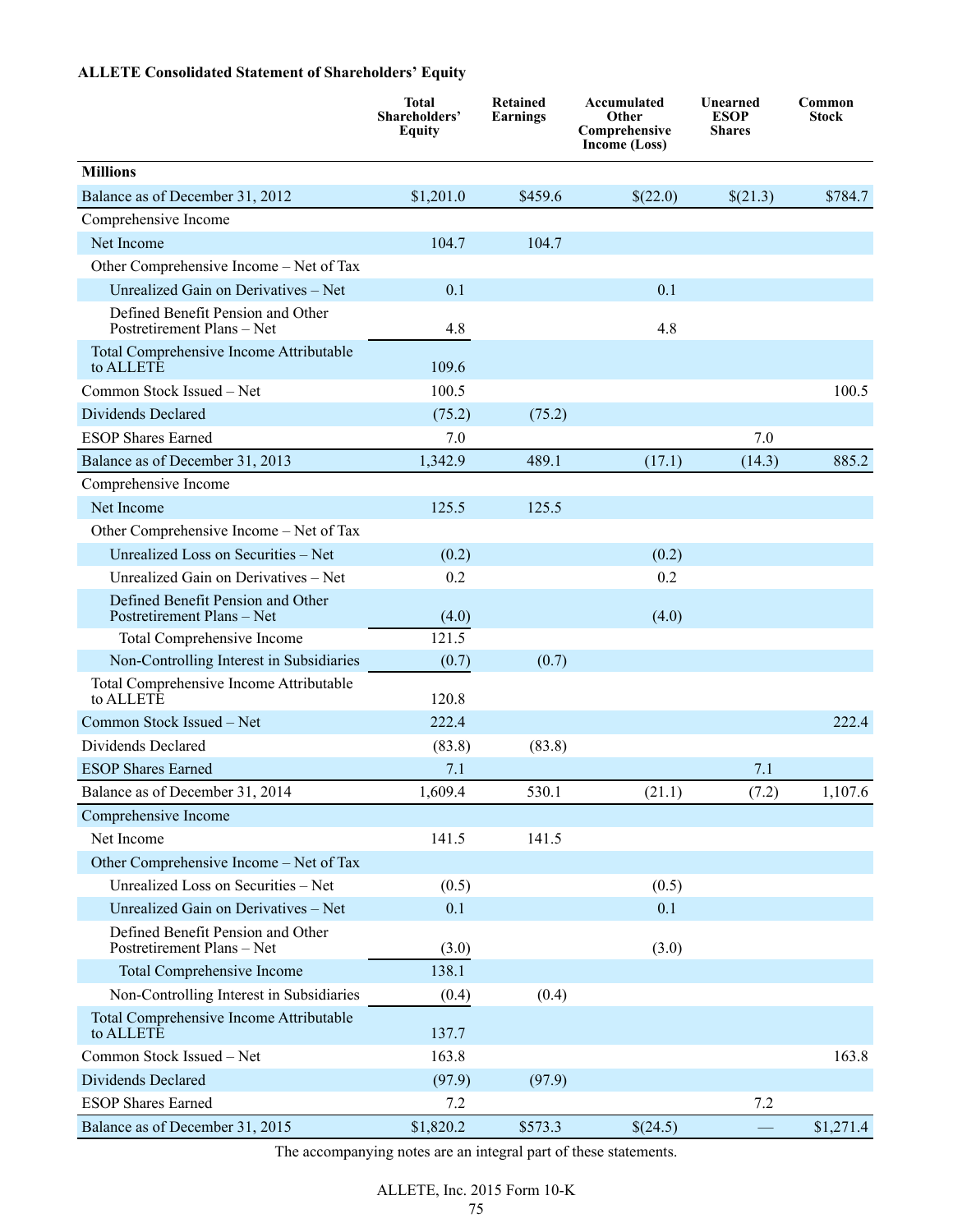# **ALLETE Consolidated Statement of Shareholders' Equity**

|                                                                 | <b>Total</b><br>Shareholders'<br><b>Equity</b> | <b>Retained</b><br>Earnings | Accumulated<br><b>Other</b><br>Comprehensive<br>Income (Loss) | Unearned<br><b>ESOP</b><br><b>Shares</b> | Common<br>Stock |
|-----------------------------------------------------------------|------------------------------------------------|-----------------------------|---------------------------------------------------------------|------------------------------------------|-----------------|
| <b>Millions</b>                                                 |                                                |                             |                                                               |                                          |                 |
| Balance as of December 31, 2012                                 | \$1,201.0                                      | \$459.6                     | \$(22.0)                                                      | \$(21.3)                                 | \$784.7         |
| Comprehensive Income                                            |                                                |                             |                                                               |                                          |                 |
| Net Income                                                      | 104.7                                          | 104.7                       |                                                               |                                          |                 |
| Other Comprehensive Income - Net of Tax                         |                                                |                             |                                                               |                                          |                 |
| Unrealized Gain on Derivatives - Net                            | 0.1                                            |                             | 0.1                                                           |                                          |                 |
| Defined Benefit Pension and Other<br>Postretirement Plans - Net | 4.8                                            |                             | 4.8                                                           |                                          |                 |
| Total Comprehensive Income Attributable<br>to ALLETE            | 109.6                                          |                             |                                                               |                                          |                 |
| Common Stock Issued - Net                                       | 100.5                                          |                             |                                                               |                                          | 100.5           |
| Dividends Declared                                              | (75.2)                                         | (75.2)                      |                                                               |                                          |                 |
| <b>ESOP Shares Earned</b>                                       | 7.0                                            |                             |                                                               | 7.0                                      |                 |
| Balance as of December 31, 2013                                 | 1,342.9                                        | 489.1                       | (17.1)                                                        | (14.3)                                   | 885.2           |
| Comprehensive Income                                            |                                                |                             |                                                               |                                          |                 |
| Net Income                                                      | 125.5                                          | 125.5                       |                                                               |                                          |                 |
| Other Comprehensive Income - Net of Tax                         |                                                |                             |                                                               |                                          |                 |
| Unrealized Loss on Securities - Net                             | (0.2)                                          |                             | (0.2)                                                         |                                          |                 |
| Unrealized Gain on Derivatives - Net                            | 0.2                                            |                             | 0.2                                                           |                                          |                 |
| Defined Benefit Pension and Other<br>Postretirement Plans - Net | (4.0)                                          |                             | (4.0)                                                         |                                          |                 |
| Total Comprehensive Income                                      | 121.5                                          |                             |                                                               |                                          |                 |
| Non-Controlling Interest in Subsidiaries                        | (0.7)                                          | (0.7)                       |                                                               |                                          |                 |
| Total Comprehensive Income Attributable<br>to ALLETE            | 120.8                                          |                             |                                                               |                                          |                 |
| Common Stock Issued - Net                                       | 222.4                                          |                             |                                                               |                                          | 222.4           |
| Dividends Declared                                              | (83.8)                                         | (83.8)                      |                                                               |                                          |                 |
| <b>ESOP Shares Earned</b>                                       | 7.1                                            |                             |                                                               | 7.1                                      |                 |
| Balance as of December 31, 2014                                 | 1,609.4                                        | 530.1                       | (21.1)                                                        | (7.2)                                    | 1,107.6         |
| Comprehensive Income                                            |                                                |                             |                                                               |                                          |                 |
| Net Income                                                      | 141.5                                          | 141.5                       |                                                               |                                          |                 |
| Other Comprehensive Income - Net of Tax                         |                                                |                             |                                                               |                                          |                 |
| Unrealized Loss on Securities - Net                             | (0.5)                                          |                             | (0.5)                                                         |                                          |                 |
| Unrealized Gain on Derivatives - Net                            | 0.1                                            |                             | 0.1                                                           |                                          |                 |
| Defined Benefit Pension and Other<br>Postretirement Plans - Net | (3.0)                                          |                             | (3.0)                                                         |                                          |                 |
| <b>Total Comprehensive Income</b>                               | 138.1                                          |                             |                                                               |                                          |                 |
| Non-Controlling Interest in Subsidiaries                        | (0.4)                                          | (0.4)                       |                                                               |                                          |                 |
| Total Comprehensive Income Attributable<br>to ALLETE            | 137.7                                          |                             |                                                               |                                          |                 |
| Common Stock Issued - Net                                       | 163.8                                          |                             |                                                               |                                          | 163.8           |
| Dividends Declared                                              | (97.9)                                         | (97.9)                      |                                                               |                                          |                 |
| <b>ESOP Shares Earned</b>                                       | 7.2                                            |                             |                                                               | 7.2                                      |                 |
| Balance as of December 31, 2015                                 | \$1,820.2                                      | \$573.3                     | \$(24.5)                                                      |                                          | \$1,271.4       |

The accompanying notes are an integral part of these statements.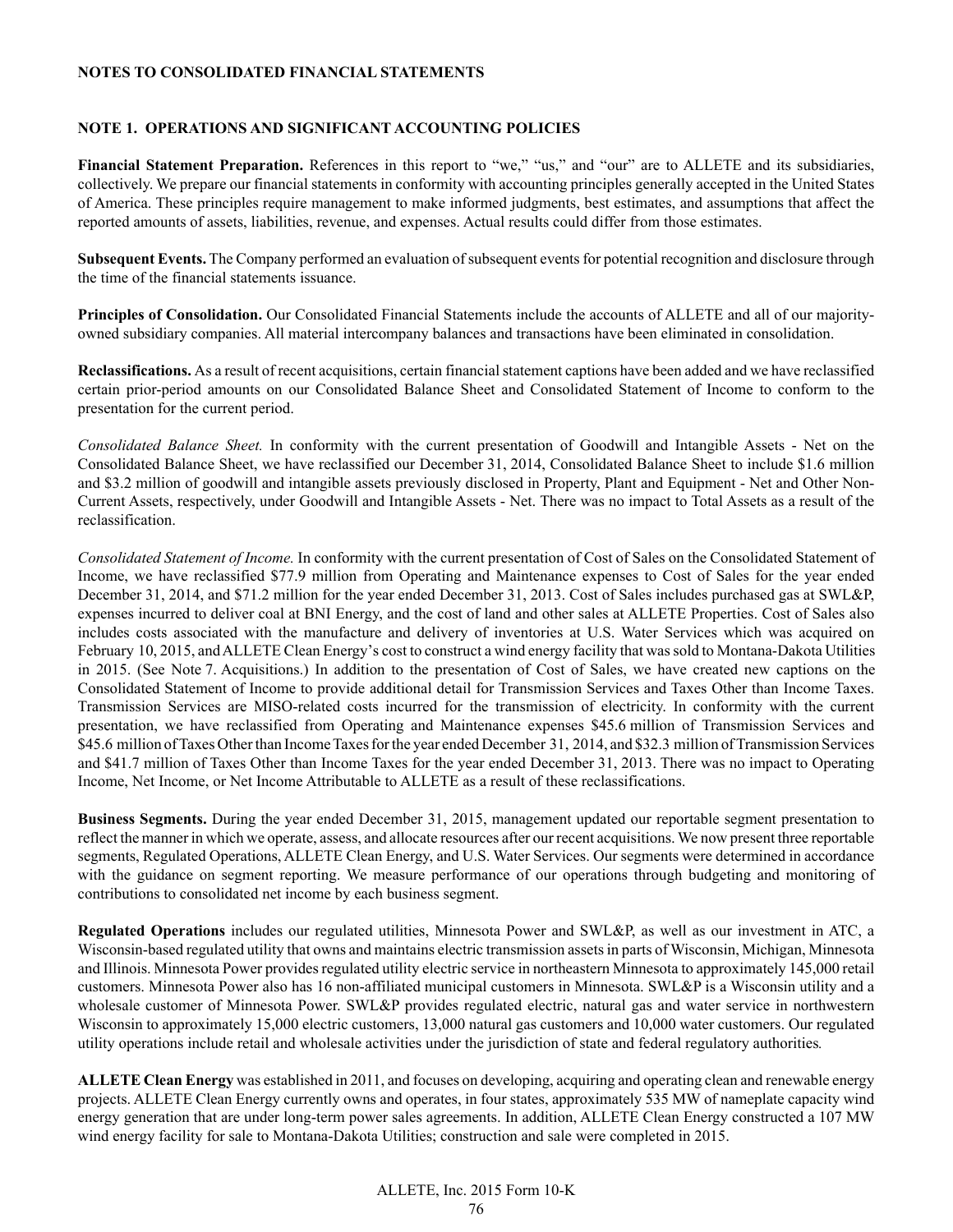#### **NOTES TO CONSOLIDATED FINANCIAL STATEMENTS**

#### **NOTE 1. OPERATIONS AND SIGNIFICANT ACCOUNTING POLICIES**

Financial Statement Preparation. References in this report to "we," "us," and "our" are to ALLETE and its subsidiaries, collectively. We prepare our financial statements in conformity with accounting principles generally accepted in the United States of America. These principles require management to make informed judgments, best estimates, and assumptions that affect the reported amounts of assets, liabilities, revenue, and expenses. Actual results could differ from those estimates.

**Subsequent Events.** The Company performed an evaluation of subsequent events for potential recognition and disclosure through the time of the financial statements issuance.

**Principles of Consolidation.** Our Consolidated Financial Statements include the accounts of ALLETE and all of our majorityowned subsidiary companies. All material intercompany balances and transactions have been eliminated in consolidation.

**Reclassifications.** As a result of recent acquisitions, certain financial statement captions have been added and we have reclassified certain prior-period amounts on our Consolidated Balance Sheet and Consolidated Statement of Income to conform to the presentation for the current period.

*Consolidated Balance Sheet.* In conformity with the current presentation of Goodwill and Intangible Assets - Net on the Consolidated Balance Sheet, we have reclassified our December 31, 2014, Consolidated Balance Sheet to include \$1.6 million and \$3.2 million of goodwill and intangible assets previously disclosed in Property, Plant and Equipment - Net and Other Non-Current Assets, respectively, under Goodwill and Intangible Assets - Net. There was no impact to Total Assets as a result of the reclassification.

*Consolidated Statement of Income.* In conformity with the current presentation of Cost of Sales on the Consolidated Statement of Income, we have reclassified \$77.9 million from Operating and Maintenance expenses to Cost of Sales for the year ended December 31, 2014, and \$71.2 million for the year ended December 31, 2013. Cost of Sales includes purchased gas at SWL&P, expenses incurred to deliver coal at BNI Energy, and the cost of land and other sales at ALLETE Properties. Cost of Sales also includes costs associated with the manufacture and delivery of inventories at U.S. Water Services which was acquired on February 10, 2015, and ALLETE Clean Energy's cost to construct a wind energy facility that was sold to Montana-Dakota Utilities in 2015. (See Note 7. Acquisitions.) In addition to the presentation of Cost of Sales, we have created new captions on the Consolidated Statement of Income to provide additional detail for Transmission Services and Taxes Other than Income Taxes. Transmission Services are MISO-related costs incurred for the transmission of electricity. In conformity with the current presentation, we have reclassified from Operating and Maintenance expenses \$45.6 million of Transmission Services and \$45.6 million of Taxes Other than Income Taxes for the year ended December 31, 2014, and \$32.3 million of Transmission Services and \$41.7 million of Taxes Other than Income Taxes for the year ended December 31, 2013. There was no impact to Operating Income, Net Income, or Net Income Attributable to ALLETE as a result of these reclassifications.

**Business Segments.** During the year ended December 31, 2015, management updated our reportable segment presentation to reflect the manner in which we operate, assess, and allocate resources after our recent acquisitions. We now present three reportable segments, Regulated Operations, ALLETE Clean Energy, and U.S. Water Services. Our segments were determined in accordance with the guidance on segment reporting. We measure performance of our operations through budgeting and monitoring of contributions to consolidated net income by each business segment.

**Regulated Operations** includes our regulated utilities, Minnesota Power and SWL&P, as well as our investment in ATC, a Wisconsin-based regulated utility that owns and maintains electric transmission assets in parts of Wisconsin, Michigan, Minnesota and Illinois. Minnesota Power provides regulated utility electric service in northeastern Minnesota to approximately 145,000 retail customers. Minnesota Power also has 16 non-affiliated municipal customers in Minnesota. SWL&P is a Wisconsin utility and a wholesale customer of Minnesota Power. SWL&P provides regulated electric, natural gas and water service in northwestern Wisconsin to approximately 15,000 electric customers, 13,000 natural gas customers and 10,000 water customers. Our regulated utility operations include retail and wholesale activities under the jurisdiction of state and federal regulatory authorities*.*

**ALLETE Clean Energy** was established in 2011, and focuses on developing, acquiring and operating clean and renewable energy projects. ALLETE Clean Energy currently owns and operates, in four states, approximately 535 MW of nameplate capacity wind energy generation that are under long-term power sales agreements. In addition, ALLETE Clean Energy constructed a 107 MW wind energy facility for sale to Montana-Dakota Utilities; construction and sale were completed in 2015.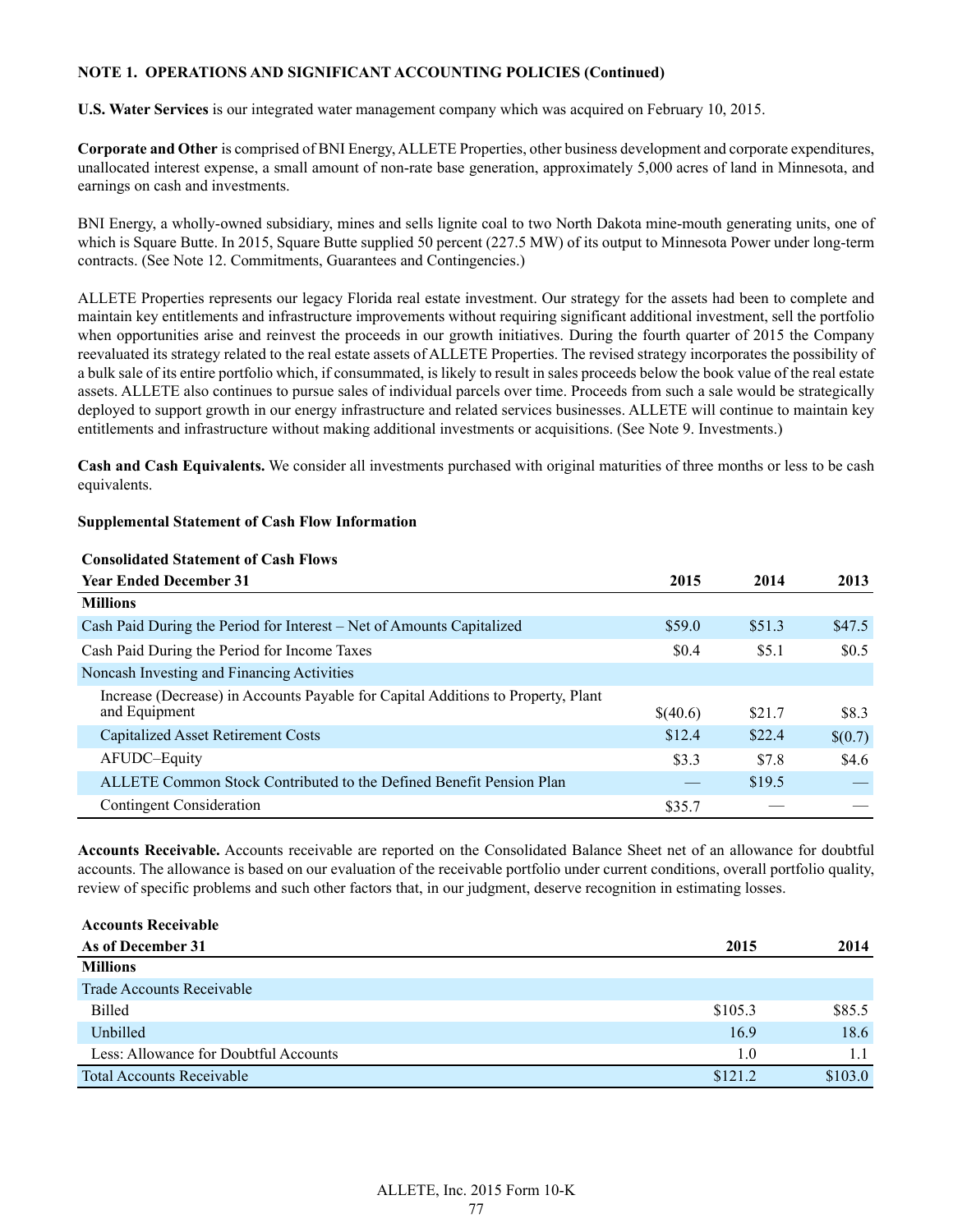**U.S. Water Services** is our integrated water management company which was acquired on February 10, 2015.

**Corporate and Other** is comprised of BNI Energy, ALLETE Properties, other business development and corporate expenditures, unallocated interest expense, a small amount of non-rate base generation, approximately 5,000 acres of land in Minnesota, and earnings on cash and investments.

BNI Energy, a wholly-owned subsidiary, mines and sells lignite coal to two North Dakota mine-mouth generating units, one of which is Square Butte. In 2015, Square Butte supplied 50 percent (227.5 MW) of its output to Minnesota Power under long-term contracts. (See Note 12. Commitments, Guarantees and Contingencies.)

ALLETE Properties represents our legacy Florida real estate investment. Our strategy for the assets had been to complete and maintain key entitlements and infrastructure improvements without requiring significant additional investment, sell the portfolio when opportunities arise and reinvest the proceeds in our growth initiatives. During the fourth quarter of 2015 the Company reevaluated its strategy related to the real estate assets of ALLETE Properties. The revised strategy incorporates the possibility of a bulk sale of its entire portfolio which, if consummated, is likely to result in sales proceeds below the book value of the real estate assets. ALLETE also continues to pursue sales of individual parcels over time. Proceeds from such a sale would be strategically deployed to support growth in our energy infrastructure and related services businesses. ALLETE will continue to maintain key entitlements and infrastructure without making additional investments or acquisitions. (See Note 9. Investments.)

**Cash and Cash Equivalents.** We consider all investments purchased with original maturities of three months or less to be cash equivalents.

#### **Supplemental Statement of Cash Flow Information**

| Сонзончакса этактисны от Сази т юмэ                                                               |          |        |         |
|---------------------------------------------------------------------------------------------------|----------|--------|---------|
| <b>Year Ended December 31</b>                                                                     | 2015     | 2014   | 2013    |
| <b>Millions</b>                                                                                   |          |        |         |
| Cash Paid During the Period for Interest – Net of Amounts Capitalized                             | \$59.0   | \$51.3 | \$47.5  |
| Cash Paid During the Period for Income Taxes                                                      | \$0.4    | \$5.1  | \$0.5   |
| Noncash Investing and Financing Activities                                                        |          |        |         |
| Increase (Decrease) in Accounts Payable for Capital Additions to Property, Plant<br>and Equipment | \$(40.6) | \$21.7 | \$8.3   |
| <b>Capitalized Asset Retirement Costs</b>                                                         | \$12.4   | \$22.4 | \$(0.7) |
| AFUDC-Equity                                                                                      | \$3.3    | \$7.8  | \$4.6   |
| ALLETE Common Stock Contributed to the Defined Benefit Pension Plan                               |          | \$19.5 |         |
| <b>Contingent Consideration</b>                                                                   | \$35.7   |        |         |

# **Consolidated Statement of Cash Flows**

**Accounts Receivable**

**Accounts Receivable.** Accounts receivable are reported on the Consolidated Balance Sheet net of an allowance for doubtful accounts. The allowance is based on our evaluation of the receivable portfolio under current conditions, overall portfolio quality, review of specific problems and such other factors that, in our judgment, deserve recognition in estimating losses.

| Attuums Reteivadie                    |         |         |
|---------------------------------------|---------|---------|
| As of December 31                     | 2015    | 2014    |
| <b>Millions</b>                       |         |         |
| Trade Accounts Receivable             |         |         |
| <b>Billed</b>                         | \$105.3 | \$85.5  |
| Unbilled                              | 16.9    | 18.6    |
| Less: Allowance for Doubtful Accounts | 1.0     |         |
| <b>Total Accounts Receivable</b>      | \$121.2 | \$103.0 |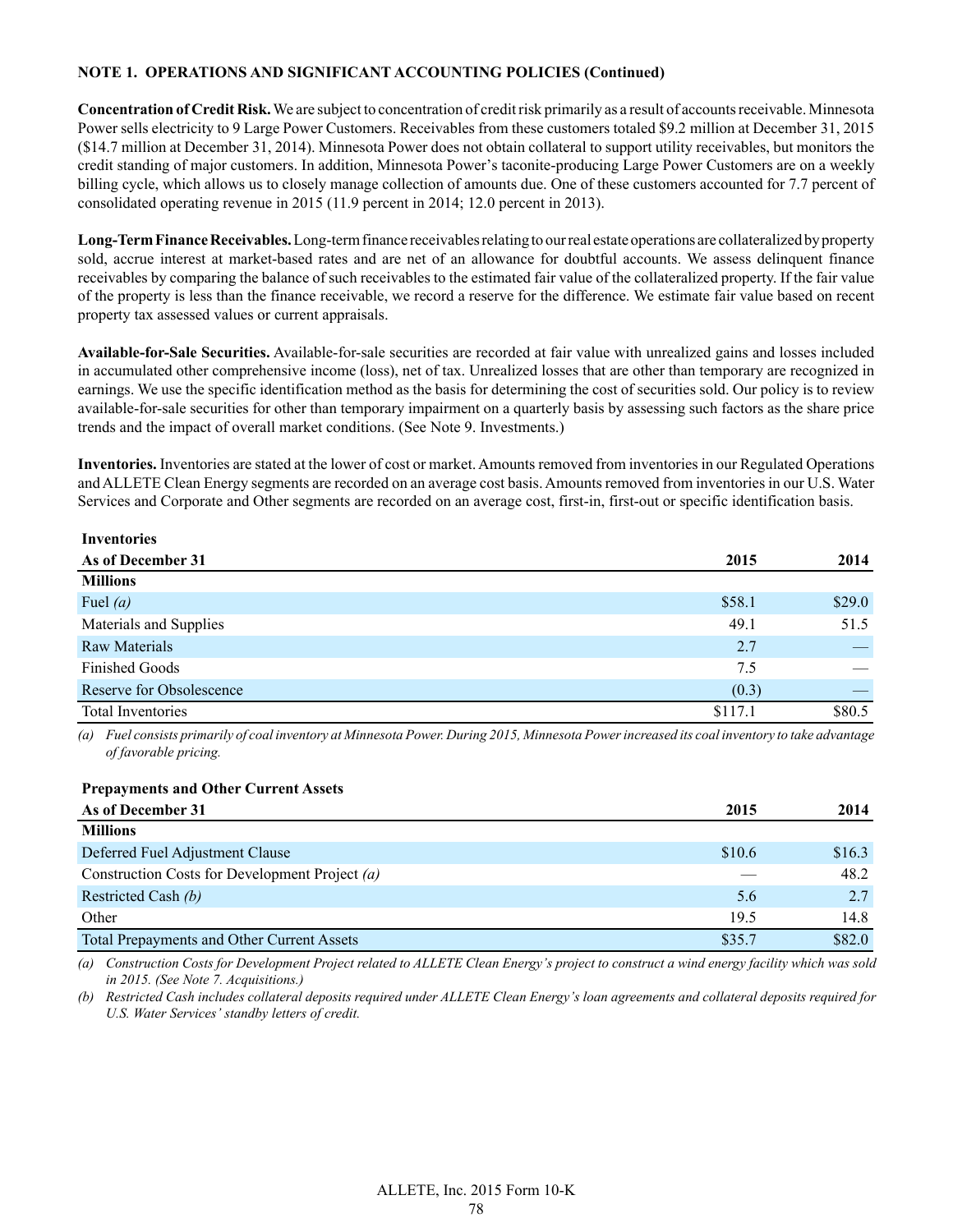**Concentration of Credit Risk.** We are subject to concentration of credit risk primarily as a result of accounts receivable. Minnesota Power sells electricity to 9 Large Power Customers. Receivables from these customers totaled \$9.2 million at December 31, 2015 (\$14.7 million at December 31, 2014). Minnesota Power does not obtain collateral to support utility receivables, but monitors the credit standing of major customers. In addition, Minnesota Power's taconite-producing Large Power Customers are on a weekly billing cycle, which allows us to closely manage collection of amounts due. One of these customers accounted for 7.7 percent of consolidated operating revenue in 2015 (11.9 percent in 2014; 12.0 percent in 2013).

**Long-Term Finance Receivables.** Long-term finance receivables relating to our real estate operations are collateralized by property sold, accrue interest at market-based rates and are net of an allowance for doubtful accounts. We assess delinquent finance receivables by comparing the balance of such receivables to the estimated fair value of the collateralized property. If the fair value of the property is less than the finance receivable, we record a reserve for the difference. We estimate fair value based on recent property tax assessed values or current appraisals.

**Available-for-Sale Securities.** Available-for-sale securities are recorded at fair value with unrealized gains and losses included in accumulated other comprehensive income (loss), net of tax. Unrealized losses that are other than temporary are recognized in earnings. We use the specific identification method as the basis for determining the cost of securities sold. Our policy is to review available-for-sale securities for other than temporary impairment on a quarterly basis by assessing such factors as the share price trends and the impact of overall market conditions. (See Note 9. Investments.)

**Inventories.** Inventories are stated at the lower of cost or market. Amounts removed from inventories in our Regulated Operations and ALLETE Clean Energy segments are recorded on an average cost basis. Amounts removed from inventories in our U.S. Water Services and Corporate and Other segments are recorded on an average cost, first-in, first-out or specific identification basis.

| <b>Inventories</b>       |         |        |
|--------------------------|---------|--------|
| As of December 31        | 2015    | 2014   |
| <b>Millions</b>          |         |        |
| Fuel $(a)$               | \$58.1  | \$29.0 |
| Materials and Supplies   | 49.1    | 51.5   |
| <b>Raw Materials</b>     | 2.7     |        |
| <b>Finished Goods</b>    | 7.5     |        |
| Reserve for Obsolescence | (0.3)   |        |
| <b>Total Inventories</b> | \$117.1 | \$80.5 |

*(a) Fuel consists primarily of coal inventory at Minnesota Power. During 2015, Minnesota Power increased its coal inventory to take advantage of favorable pricing.* 

#### **Prepayments and Other Current Assets**

| As of December 31                                 | 2015   | 2014   |
|---------------------------------------------------|--------|--------|
| <b>Millions</b>                                   |        |        |
| Deferred Fuel Adjustment Clause                   | \$10.6 | \$16.3 |
| Construction Costs for Development Project (a)    |        | 48.2   |
| Restricted Cash (b)                               | 5.6    | 2.7    |
| Other                                             | 19.5   | 14.8   |
| <b>Total Prepayments and Other Current Assets</b> | \$35.7 | \$82.0 |

*(a) Construction Costs for Development Project related to ALLETE Clean Energy's project to construct a wind energy facility which was sold in 2015. (See Note 7. Acquisitions.)*

*(b) Restricted Cash includes collateral deposits required under ALLETE Clean Energy's loan agreements and collateral deposits required for U.S. Water Services' standby letters of credit.*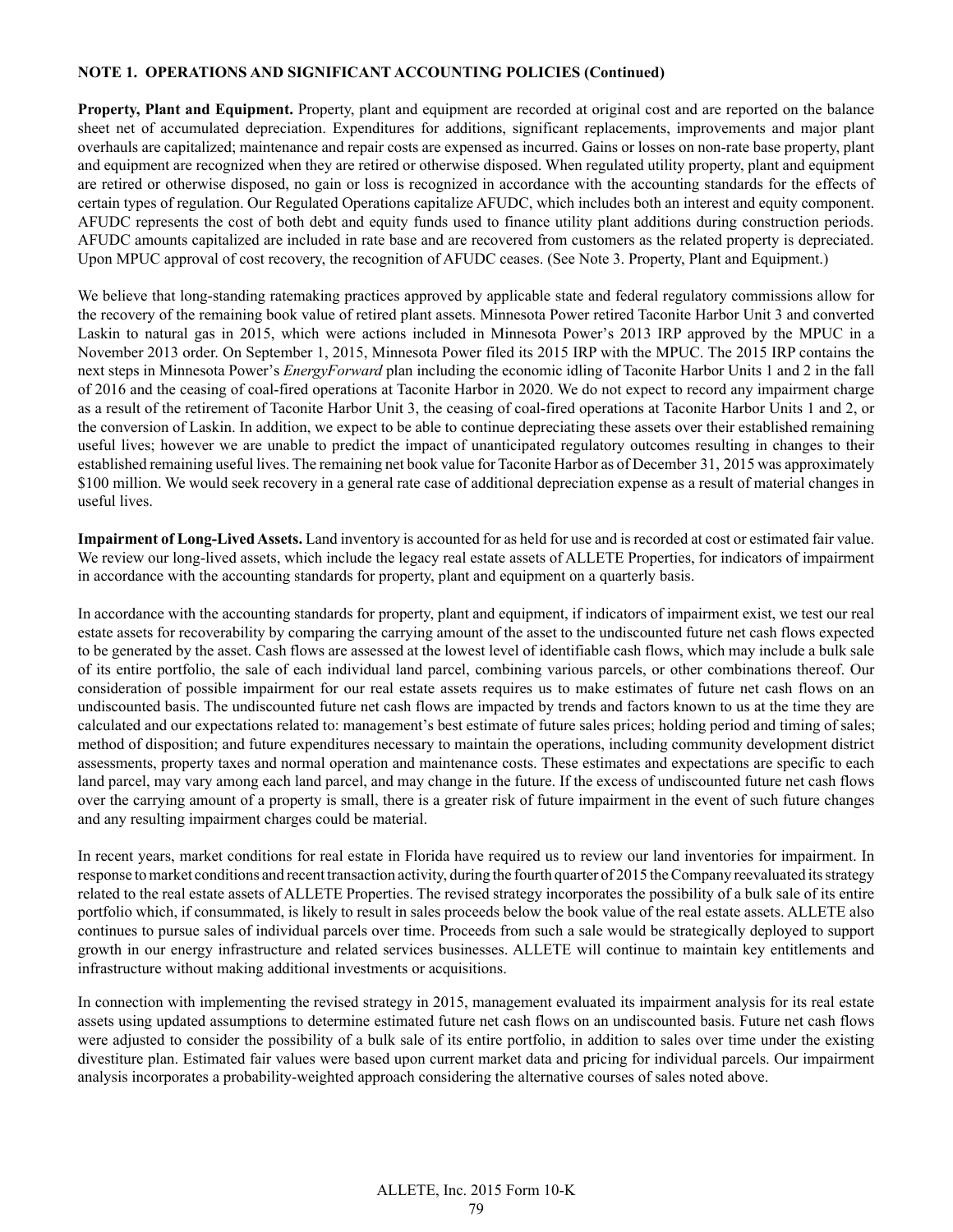**Property, Plant and Equipment.** Property, plant and equipment are recorded at original cost and are reported on the balance sheet net of accumulated depreciation. Expenditures for additions, significant replacements, improvements and major plant overhauls are capitalized; maintenance and repair costs are expensed as incurred. Gains or losses on non-rate base property, plant and equipment are recognized when they are retired or otherwise disposed. When regulated utility property, plant and equipment are retired or otherwise disposed, no gain or loss is recognized in accordance with the accounting standards for the effects of certain types of regulation. Our Regulated Operations capitalize AFUDC, which includes both an interest and equity component. AFUDC represents the cost of both debt and equity funds used to finance utility plant additions during construction periods. AFUDC amounts capitalized are included in rate base and are recovered from customers as the related property is depreciated. Upon MPUC approval of cost recovery, the recognition of AFUDC ceases. (See Note 3. Property, Plant and Equipment.)

We believe that long-standing ratemaking practices approved by applicable state and federal regulatory commissions allow for the recovery of the remaining book value of retired plant assets. Minnesota Power retired Taconite Harbor Unit 3 and converted Laskin to natural gas in 2015, which were actions included in Minnesota Power's 2013 IRP approved by the MPUC in a November 2013 order. On September 1, 2015, Minnesota Power filed its 2015 IRP with the MPUC. The 2015 IRP contains the next steps in Minnesota Power's *EnergyForward* plan including the economic idling of Taconite Harbor Units 1 and 2 in the fall of 2016 and the ceasing of coal-fired operations at Taconite Harbor in 2020. We do not expect to record any impairment charge as a result of the retirement of Taconite Harbor Unit 3, the ceasing of coal-fired operations at Taconite Harbor Units 1 and 2, or the conversion of Laskin. In addition, we expect to be able to continue depreciating these assets over their established remaining useful lives; however we are unable to predict the impact of unanticipated regulatory outcomes resulting in changes to their established remaining useful lives. The remaining net book value for Taconite Harbor as of December 31, 2015 was approximately \$100 million. We would seek recovery in a general rate case of additional depreciation expense as a result of material changes in useful lives.

**Impairment of Long-Lived Assets.** Land inventory is accounted for as held for use and is recorded at cost or estimated fair value. We review our long-lived assets, which include the legacy real estate assets of ALLETE Properties, for indicators of impairment in accordance with the accounting standards for property, plant and equipment on a quarterly basis.

In accordance with the accounting standards for property, plant and equipment, if indicators of impairment exist, we test our real estate assets for recoverability by comparing the carrying amount of the asset to the undiscounted future net cash flows expected to be generated by the asset. Cash flows are assessed at the lowest level of identifiable cash flows, which may include a bulk sale of its entire portfolio, the sale of each individual land parcel, combining various parcels, or other combinations thereof. Our consideration of possible impairment for our real estate assets requires us to make estimates of future net cash flows on an undiscounted basis. The undiscounted future net cash flows are impacted by trends and factors known to us at the time they are calculated and our expectations related to: management's best estimate of future sales prices; holding period and timing of sales; method of disposition; and future expenditures necessary to maintain the operations, including community development district assessments, property taxes and normal operation and maintenance costs. These estimates and expectations are specific to each land parcel, may vary among each land parcel, and may change in the future. If the excess of undiscounted future net cash flows over the carrying amount of a property is small, there is a greater risk of future impairment in the event of such future changes and any resulting impairment charges could be material.

In recent years, market conditions for real estate in Florida have required us to review our land inventories for impairment. In response to market conditions and recent transaction activity, during the fourth quarter of 2015 the Company reevaluated its strategy related to the real estate assets of ALLETE Properties. The revised strategy incorporates the possibility of a bulk sale of its entire portfolio which, if consummated, is likely to result in sales proceeds below the book value of the real estate assets. ALLETE also continues to pursue sales of individual parcels over time. Proceeds from such a sale would be strategically deployed to support growth in our energy infrastructure and related services businesses. ALLETE will continue to maintain key entitlements and infrastructure without making additional investments or acquisitions.

In connection with implementing the revised strategy in 2015, management evaluated its impairment analysis for its real estate assets using updated assumptions to determine estimated future net cash flows on an undiscounted basis. Future net cash flows were adjusted to consider the possibility of a bulk sale of its entire portfolio, in addition to sales over time under the existing divestiture plan. Estimated fair values were based upon current market data and pricing for individual parcels. Our impairment analysis incorporates a probability-weighted approach considering the alternative courses of sales noted above.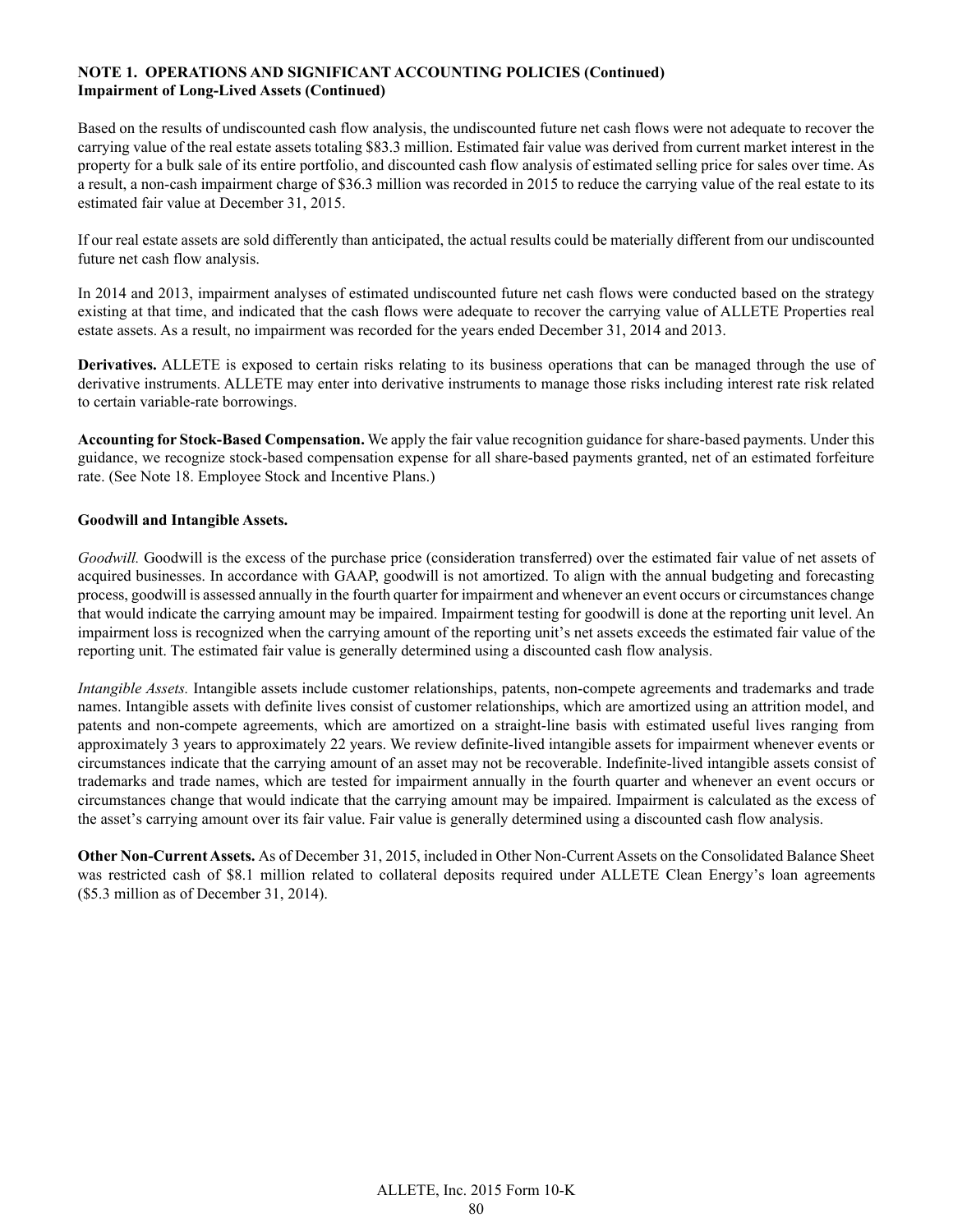# **NOTE 1. OPERATIONS AND SIGNIFICANT ACCOUNTING POLICIES (Continued) Impairment of Long-Lived Assets (Continued)**

Based on the results of undiscounted cash flow analysis, the undiscounted future net cash flows were not adequate to recover the carrying value of the real estate assets totaling \$83.3 million. Estimated fair value was derived from current market interest in the property for a bulk sale of its entire portfolio, and discounted cash flow analysis of estimated selling price for sales over time. As a result, a non-cash impairment charge of \$36.3 million was recorded in 2015 to reduce the carrying value of the real estate to its estimated fair value at December 31, 2015.

If our real estate assets are sold differently than anticipated, the actual results could be materially different from our undiscounted future net cash flow analysis.

In 2014 and 2013, impairment analyses of estimated undiscounted future net cash flows were conducted based on the strategy existing at that time, and indicated that the cash flows were adequate to recover the carrying value of ALLETE Properties real estate assets. As a result, no impairment was recorded for the years ended December 31, 2014 and 2013.

**Derivatives.** ALLETE is exposed to certain risks relating to its business operations that can be managed through the use of derivative instruments. ALLETE may enter into derivative instruments to manage those risks including interest rate risk related to certain variable-rate borrowings.

**Accounting for Stock-Based Compensation.** We apply the fair value recognition guidance for share-based payments. Under this guidance, we recognize stock-based compensation expense for all share-based payments granted, net of an estimated forfeiture rate. (See Note 18. Employee Stock and Incentive Plans.)

#### **Goodwill and Intangible Assets.**

*Goodwill.* Goodwill is the excess of the purchase price (consideration transferred) over the estimated fair value of net assets of acquired businesses. In accordance with GAAP, goodwill is not amortized. To align with the annual budgeting and forecasting process, goodwill is assessed annually in the fourth quarter for impairment and whenever an event occurs or circumstances change that would indicate the carrying amount may be impaired. Impairment testing for goodwill is done at the reporting unit level. An impairment loss is recognized when the carrying amount of the reporting unit's net assets exceeds the estimated fair value of the reporting unit. The estimated fair value is generally determined using a discounted cash flow analysis.

*Intangible Assets.* Intangible assets include customer relationships, patents, non-compete agreements and trademarks and trade names. Intangible assets with definite lives consist of customer relationships, which are amortized using an attrition model, and patents and non-compete agreements, which are amortized on a straight-line basis with estimated useful lives ranging from approximately 3 years to approximately 22 years. We review definite-lived intangible assets for impairment whenever events or circumstances indicate that the carrying amount of an asset may not be recoverable. Indefinite-lived intangible assets consist of trademarks and trade names, which are tested for impairment annually in the fourth quarter and whenever an event occurs or circumstances change that would indicate that the carrying amount may be impaired. Impairment is calculated as the excess of the asset's carrying amount over its fair value. Fair value is generally determined using a discounted cash flow analysis.

**Other Non-Current Assets.** As of December 31, 2015, included in Other Non-Current Assets on the Consolidated Balance Sheet was restricted cash of \$8.1 million related to collateral deposits required under ALLETE Clean Energy's loan agreements (\$5.3 million as of December 31, 2014).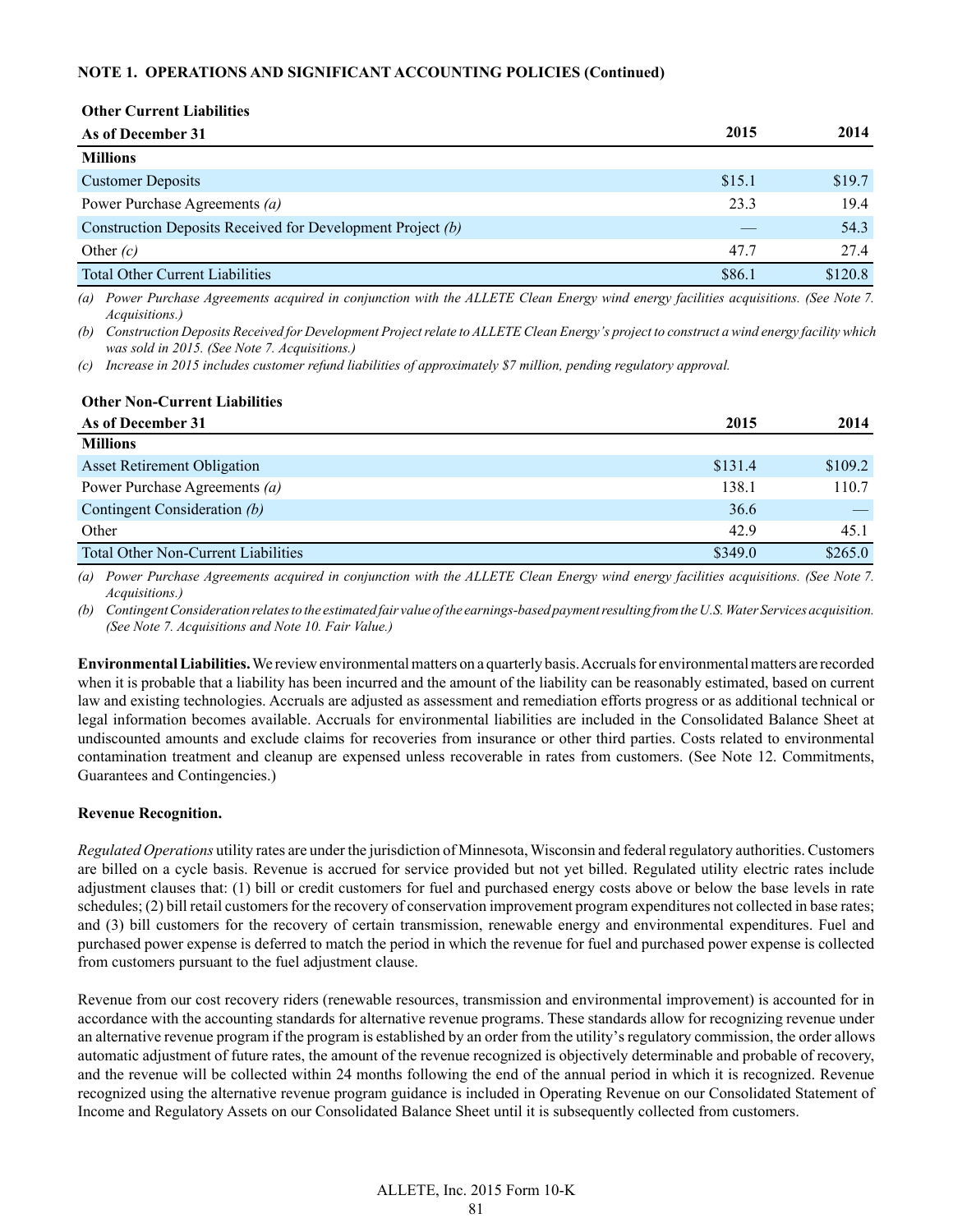## **Other Current Liabilities**

| As of December 31                                          | 2015   | 2014    |
|------------------------------------------------------------|--------|---------|
| <b>Millions</b>                                            |        |         |
| <b>Customer Deposits</b>                                   | \$15.1 | \$19.7  |
| Power Purchase Agreements (a)                              | 23.3   | 19.4    |
| Construction Deposits Received for Development Project (b) |        | 54.3    |
| Other $(c)$                                                | 47.7   | 27.4    |
| <b>Total Other Current Liabilities</b>                     | \$86.1 | \$120.8 |

*(a) Power Purchase Agreements acquired in conjunction with the ALLETE Clean Energy wind energy facilities acquisitions. (See Note 7. Acquisitions.)*

*(b) Construction Deposits Received for Development Project relate to ALLETE Clean Energy's project to construct a wind energy facility which was sold in 2015. (See Note 7. Acquisitions.)*

*(c) Increase in 2015 includes customer refund liabilities of approximately \$7 million, pending regulatory approval.*

| <b>Other Non-Current Liabilities</b>       |         |         |
|--------------------------------------------|---------|---------|
| As of December 31                          | 2015    | 2014    |
| <b>Millions</b>                            |         |         |
| <b>Asset Retirement Obligation</b>         | \$131.4 | \$109.2 |
| Power Purchase Agreements (a)              | 138.1   | 110.7   |
| Contingent Consideration (b)               | 36.6    |         |
| Other                                      | 42.9    | 45.1    |
| <b>Total Other Non-Current Liabilities</b> | \$349.0 | \$265.0 |

*(a) Power Purchase Agreements acquired in conjunction with the ALLETE Clean Energy wind energy facilities acquisitions. (See Note 7. Acquisitions.)*

*(b) Contingent Consideration relates to the estimated fair value of the earnings-based payment resulting from the U.S. Water Services acquisition. (See Note 7. Acquisitions and Note 10. Fair Value.)*

**Environmental Liabilities.** We review environmental matters on a quarterly basis. Accruals for environmental matters are recorded when it is probable that a liability has been incurred and the amount of the liability can be reasonably estimated, based on current law and existing technologies. Accruals are adjusted as assessment and remediation efforts progress or as additional technical or legal information becomes available. Accruals for environmental liabilities are included in the Consolidated Balance Sheet at undiscounted amounts and exclude claims for recoveries from insurance or other third parties. Costs related to environmental contamination treatment and cleanup are expensed unless recoverable in rates from customers. (See Note 12. Commitments, Guarantees and Contingencies.)

#### **Revenue Recognition.**

*Regulated Operations* utility rates are under the jurisdiction of Minnesota, Wisconsin and federal regulatory authorities. Customers are billed on a cycle basis. Revenue is accrued for service provided but not yet billed. Regulated utility electric rates include adjustment clauses that: (1) bill or credit customers for fuel and purchased energy costs above or below the base levels in rate schedules; (2) bill retail customers for the recovery of conservation improvement program expenditures not collected in base rates; and (3) bill customers for the recovery of certain transmission, renewable energy and environmental expenditures. Fuel and purchased power expense is deferred to match the period in which the revenue for fuel and purchased power expense is collected from customers pursuant to the fuel adjustment clause.

Revenue from our cost recovery riders (renewable resources, transmission and environmental improvement) is accounted for in accordance with the accounting standards for alternative revenue programs. These standards allow for recognizing revenue under an alternative revenue program if the program is established by an order from the utility's regulatory commission, the order allows automatic adjustment of future rates, the amount of the revenue recognized is objectively determinable and probable of recovery, and the revenue will be collected within 24 months following the end of the annual period in which it is recognized. Revenue recognized using the alternative revenue program guidance is included in Operating Revenue on our Consolidated Statement of Income and Regulatory Assets on our Consolidated Balance Sheet until it is subsequently collected from customers.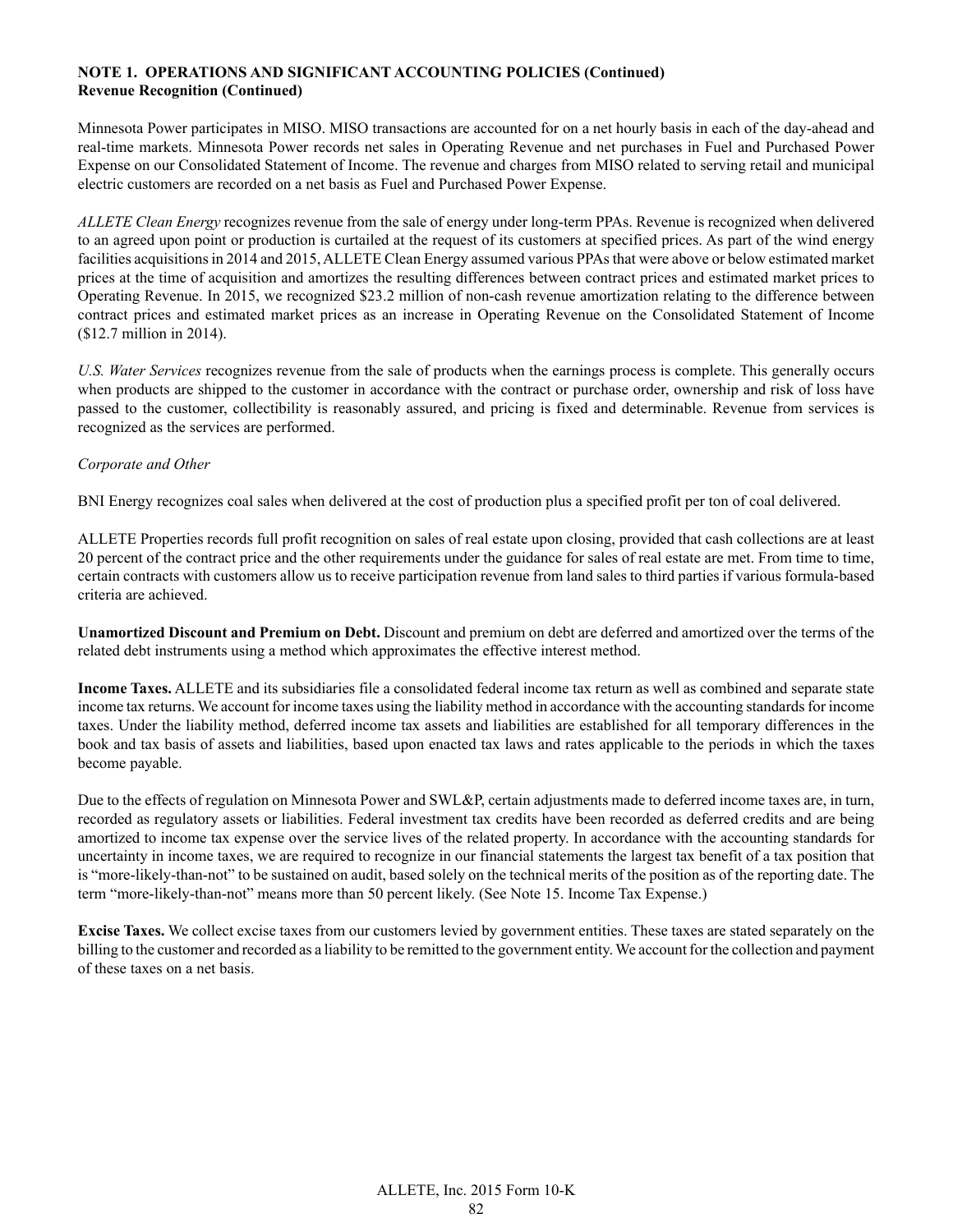# **NOTE 1. OPERATIONS AND SIGNIFICANT ACCOUNTING POLICIES (Continued) Revenue Recognition (Continued)**

Minnesota Power participates in MISO. MISO transactions are accounted for on a net hourly basis in each of the day-ahead and real-time markets. Minnesota Power records net sales in Operating Revenue and net purchases in Fuel and Purchased Power Expense on our Consolidated Statement of Income. The revenue and charges from MISO related to serving retail and municipal electric customers are recorded on a net basis as Fuel and Purchased Power Expense.

*ALLETE Clean Energy* recognizes revenue from the sale of energy under long-term PPAs. Revenue is recognized when delivered to an agreed upon point or production is curtailed at the request of its customers at specified prices. As part of the wind energy facilities acquisitions in 2014 and 2015, ALLETE Clean Energy assumed various PPAs that were above or below estimated market prices at the time of acquisition and amortizes the resulting differences between contract prices and estimated market prices to Operating Revenue. In 2015, we recognized \$23.2 million of non-cash revenue amortization relating to the difference between contract prices and estimated market prices as an increase in Operating Revenue on the Consolidated Statement of Income (\$12.7 million in 2014).

*U.S. Water Services* recognizes revenue from the sale of products when the earnings process is complete. This generally occurs when products are shipped to the customer in accordance with the contract or purchase order, ownership and risk of loss have passed to the customer, collectibility is reasonably assured, and pricing is fixed and determinable. Revenue from services is recognized as the services are performed.

# *Corporate and Other*

BNI Energy recognizes coal sales when delivered at the cost of production plus a specified profit per ton of coal delivered.

ALLETE Properties records full profit recognition on sales of real estate upon closing, provided that cash collections are at least 20 percent of the contract price and the other requirements under the guidance for sales of real estate are met. From time to time, certain contracts with customers allow us to receive participation revenue from land sales to third parties if various formula-based criteria are achieved.

**Unamortized Discount and Premium on Debt.** Discount and premium on debt are deferred and amortized over the terms of the related debt instruments using a method which approximates the effective interest method.

**Income Taxes.** ALLETE and its subsidiaries file a consolidated federal income tax return as well as combined and separate state income tax returns. We account for income taxes using the liability method in accordance with the accounting standards for income taxes. Under the liability method, deferred income tax assets and liabilities are established for all temporary differences in the book and tax basis of assets and liabilities, based upon enacted tax laws and rates applicable to the periods in which the taxes become payable.

Due to the effects of regulation on Minnesota Power and SWL&P, certain adjustments made to deferred income taxes are, in turn, recorded as regulatory assets or liabilities. Federal investment tax credits have been recorded as deferred credits and are being amortized to income tax expense over the service lives of the related property. In accordance with the accounting standards for uncertainty in income taxes, we are required to recognize in our financial statements the largest tax benefit of a tax position that is "more-likely-than-not" to be sustained on audit, based solely on the technical merits of the position as of the reporting date. The term "more-likely-than-not" means more than 50 percent likely. (See Note 15. Income Tax Expense.)

**Excise Taxes.** We collect excise taxes from our customers levied by government entities. These taxes are stated separately on the billing to the customer and recorded as a liability to be remitted to the government entity. We account for the collection and payment of these taxes on a net basis.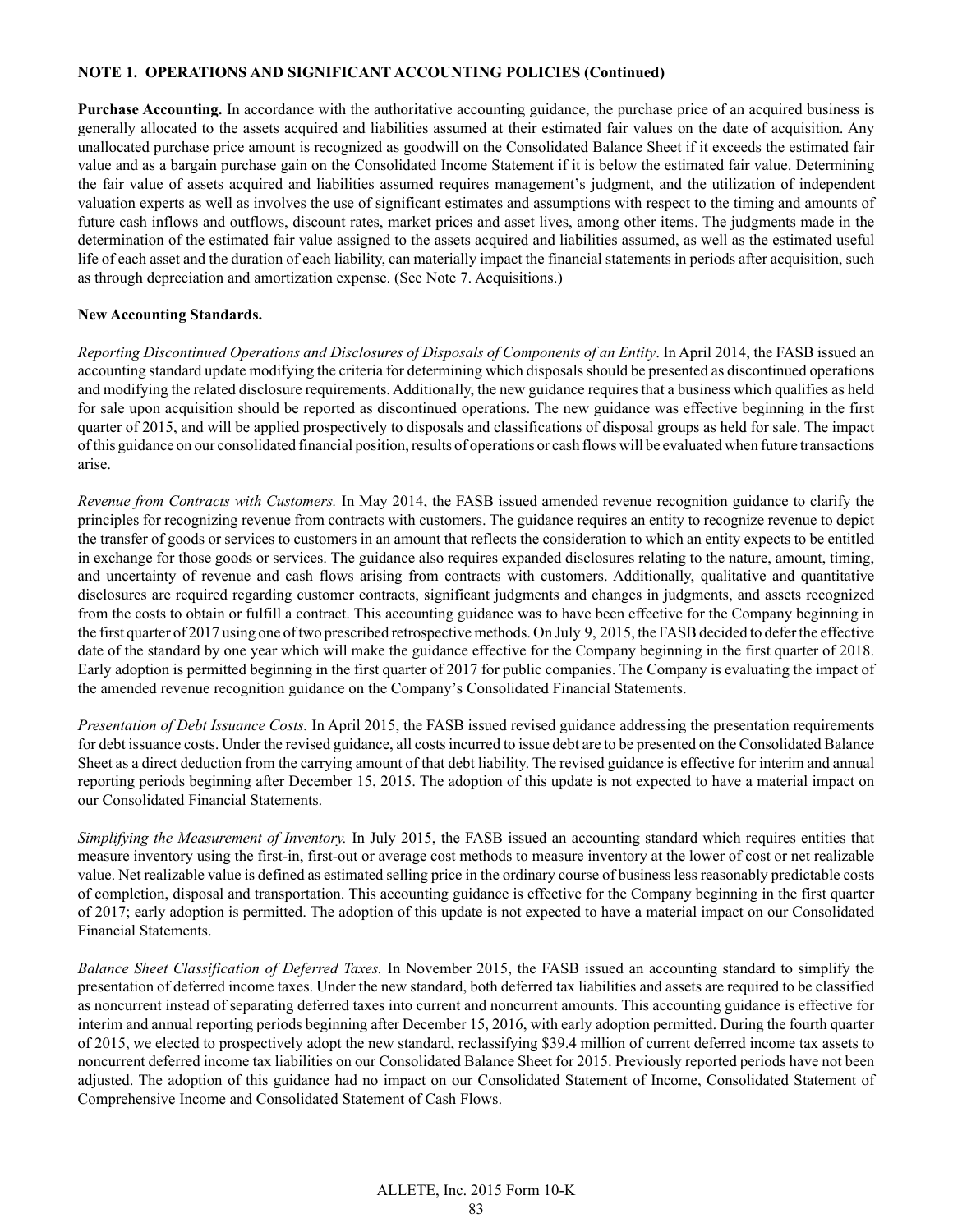**Purchase Accounting.** In accordance with the authoritative accounting guidance, the purchase price of an acquired business is generally allocated to the assets acquired and liabilities assumed at their estimated fair values on the date of acquisition. Any unallocated purchase price amount is recognized as goodwill on the Consolidated Balance Sheet if it exceeds the estimated fair value and as a bargain purchase gain on the Consolidated Income Statement if it is below the estimated fair value. Determining the fair value of assets acquired and liabilities assumed requires management's judgment, and the utilization of independent valuation experts as well as involves the use of significant estimates and assumptions with respect to the timing and amounts of future cash inflows and outflows, discount rates, market prices and asset lives, among other items. The judgments made in the determination of the estimated fair value assigned to the assets acquired and liabilities assumed, as well as the estimated useful life of each asset and the duration of each liability, can materially impact the financial statements in periods after acquisition, such as through depreciation and amortization expense. (See Note 7. Acquisitions.)

#### **New Accounting Standards.**

*Reporting Discontinued Operations and Disclosures of Disposals of Components of an Entity*. In April 2014, the FASB issued an accounting standard update modifying the criteria for determining which disposals should be presented as discontinued operations and modifying the related disclosure requirements. Additionally, the new guidance requires that a business which qualifies as held for sale upon acquisition should be reported as discontinued operations. The new guidance was effective beginning in the first quarter of 2015, and will be applied prospectively to disposals and classifications of disposal groups as held for sale. The impact of this guidance on our consolidated financial position, results of operations or cash flows will be evaluated when future transactions arise.

*Revenue from Contracts with Customers.* In May 2014, the FASB issued amended revenue recognition guidance to clarify the principles for recognizing revenue from contracts with customers. The guidance requires an entity to recognize revenue to depict the transfer of goods or services to customers in an amount that reflects the consideration to which an entity expects to be entitled in exchange for those goods or services. The guidance also requires expanded disclosures relating to the nature, amount, timing, and uncertainty of revenue and cash flows arising from contracts with customers. Additionally, qualitative and quantitative disclosures are required regarding customer contracts, significant judgments and changes in judgments, and assets recognized from the costs to obtain or fulfill a contract. This accounting guidance was to have been effective for the Company beginning in the first quarter of 2017 using one of two prescribed retrospective methods. On July 9, 2015, the FASB decided to defer the effective date of the standard by one year which will make the guidance effective for the Company beginning in the first quarter of 2018. Early adoption is permitted beginning in the first quarter of 2017 for public companies. The Company is evaluating the impact of the amended revenue recognition guidance on the Company's Consolidated Financial Statements.

*Presentation of Debt Issuance Costs.* In April 2015, the FASB issued revised guidance addressing the presentation requirements for debt issuance costs. Under the revised guidance, all costs incurred to issue debt are to be presented on the Consolidated Balance Sheet as a direct deduction from the carrying amount of that debt liability. The revised guidance is effective for interim and annual reporting periods beginning after December 15, 2015. The adoption of this update is not expected to have a material impact on our Consolidated Financial Statements.

*Simplifying the Measurement of Inventory.* In July 2015, the FASB issued an accounting standard which requires entities that measure inventory using the first-in, first-out or average cost methods to measure inventory at the lower of cost or net realizable value. Net realizable value is defined as estimated selling price in the ordinary course of business less reasonably predictable costs of completion, disposal and transportation. This accounting guidance is effective for the Company beginning in the first quarter of 2017; early adoption is permitted. The adoption of this update is not expected to have a material impact on our Consolidated Financial Statements.

*Balance Sheet Classification of Deferred Taxes.* In November 2015, the FASB issued an accounting standard to simplify the presentation of deferred income taxes. Under the new standard, both deferred tax liabilities and assets are required to be classified as noncurrent instead of separating deferred taxes into current and noncurrent amounts. This accounting guidance is effective for interim and annual reporting periods beginning after December 15, 2016, with early adoption permitted. During the fourth quarter of 2015, we elected to prospectively adopt the new standard, reclassifying \$39.4 million of current deferred income tax assets to noncurrent deferred income tax liabilities on our Consolidated Balance Sheet for 2015. Previously reported periods have not been adjusted. The adoption of this guidance had no impact on our Consolidated Statement of Income, Consolidated Statement of Comprehensive Income and Consolidated Statement of Cash Flows.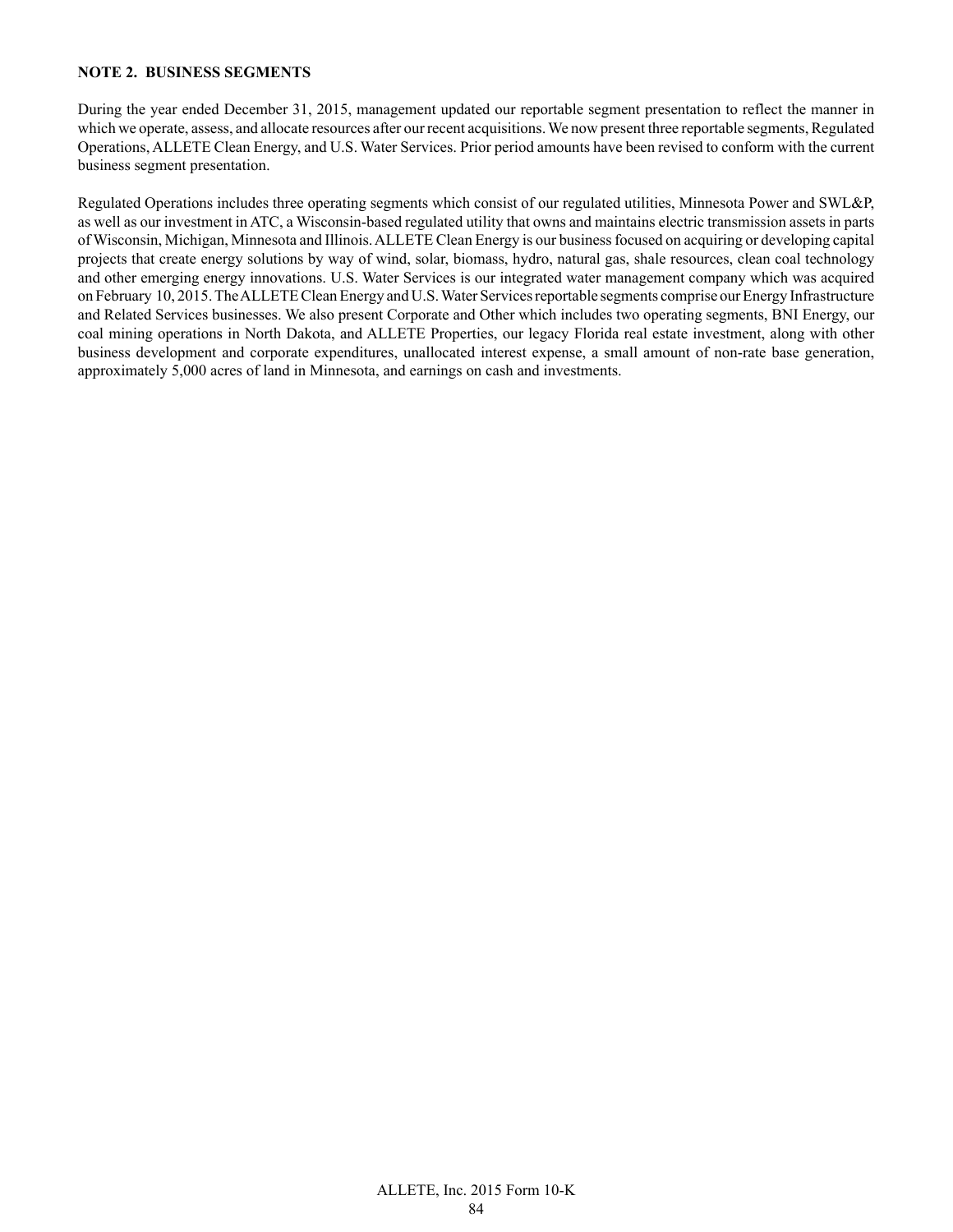#### **NOTE 2. BUSINESS SEGMENTS**

During the year ended December 31, 2015, management updated our reportable segment presentation to reflect the manner in which we operate, assess, and allocate resources after our recent acquisitions. We now present three reportable segments, Regulated Operations, ALLETE Clean Energy, and U.S. Water Services. Prior period amounts have been revised to conform with the current business segment presentation.

Regulated Operations includes three operating segments which consist of our regulated utilities, Minnesota Power and SWL&P, as well as our investment in ATC, a Wisconsin-based regulated utility that owns and maintains electric transmission assets in parts of Wisconsin, Michigan, Minnesota and Illinois. ALLETE Clean Energy is our business focused on acquiring or developing capital projects that create energy solutions by way of wind, solar, biomass, hydro, natural gas, shale resources, clean coal technology and other emerging energy innovations. U.S. Water Services is our integrated water management company which was acquired on February 10, 2015. The ALLETE Clean Energy and U.S. Water Services reportable segments comprise our Energy Infrastructure and Related Services businesses. We also present Corporate and Other which includes two operating segments, BNI Energy, our coal mining operations in North Dakota, and ALLETE Properties, our legacy Florida real estate investment, along with other business development and corporate expenditures, unallocated interest expense, a small amount of non-rate base generation, approximately 5,000 acres of land in Minnesota, and earnings on cash and investments.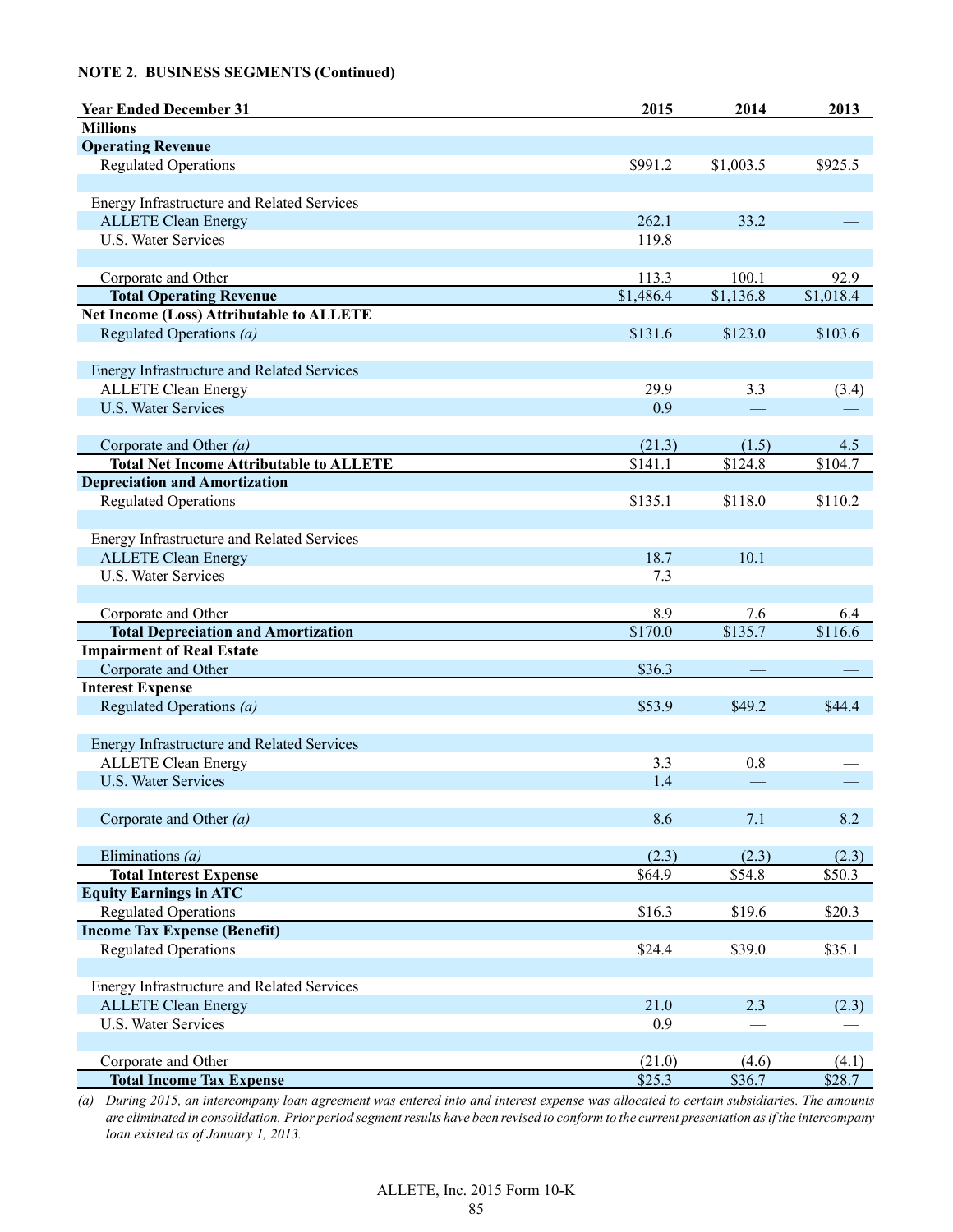# **NOTE 2. BUSINESS SEGMENTS (Continued)**

| <b>Year Ended December 31</b>                     | 2015      | 2014      | 2013      |
|---------------------------------------------------|-----------|-----------|-----------|
| <b>Millions</b>                                   |           |           |           |
| <b>Operating Revenue</b>                          |           |           |           |
| <b>Regulated Operations</b>                       | \$991.2   | \$1,003.5 | \$925.5   |
|                                                   |           |           |           |
| <b>Energy Infrastructure and Related Services</b> |           |           |           |
| <b>ALLETE</b> Clean Energy                        | 262.1     | 33.2      |           |
| <b>U.S. Water Services</b>                        | 119.8     |           |           |
|                                                   |           |           |           |
| Corporate and Other                               | 113.3     | 100.1     | 92.9      |
| <b>Total Operating Revenue</b>                    | \$1,486.4 | \$1,136.8 | \$1,018.4 |
| <b>Net Income (Loss) Attributable to ALLETE</b>   |           |           |           |
| Regulated Operations (a)                          | \$131.6   | \$123.0   | \$103.6   |
|                                                   |           |           |           |
| <b>Energy Infrastructure and Related Services</b> |           |           |           |
| <b>ALLETE</b> Clean Energy                        | 29.9      | 3.3       | (3.4)     |
| <b>U.S. Water Services</b>                        | 0.9       |           |           |
|                                                   |           |           |           |
| Corporate and Other $(a)$                         | (21.3)    | (1.5)     | 4.5       |
| <b>Total Net Income Attributable to ALLETE</b>    | \$141.1   | \$124.8   | \$104.7   |
| <b>Depreciation and Amortization</b>              |           |           |           |
| <b>Regulated Operations</b>                       | \$135.1   | \$118.0   | \$110.2   |
|                                                   |           |           |           |
| Energy Infrastructure and Related Services        |           |           |           |
| <b>ALLETE</b> Clean Energy                        | 18.7      | 10.1      |           |
| <b>U.S. Water Services</b>                        | 7.3       |           |           |
|                                                   |           |           |           |
| Corporate and Other                               | 8.9       | 7.6       | 6.4       |
| <b>Total Depreciation and Amortization</b>        | \$170.0   | \$135.7   | \$116.6   |
| <b>Impairment of Real Estate</b>                  |           |           |           |
| Corporate and Other                               | \$36.3    |           |           |
| <b>Interest Expense</b>                           |           |           |           |
| Regulated Operations (a)                          | \$53.9    | \$49.2    | \$44.4    |
|                                                   |           |           |           |
| <b>Energy Infrastructure and Related Services</b> |           |           |           |
| <b>ALLETE</b> Clean Energy                        | 3.3       | 0.8       |           |
| <b>U.S. Water Services</b>                        | 1.4       |           |           |
|                                                   |           |           |           |
| Corporate and Other $(a)$                         | 8.6       | 7.1       | 8.2       |
|                                                   |           |           |           |
| Eliminations $(a)$                                | (2.3)     | (2.3)     | (2.3)     |
| <b>Total Interest Expense</b>                     | \$64.9    | \$54.8    | \$50.3    |
| <b>Equity Earnings in ATC</b>                     |           |           |           |
| <b>Regulated Operations</b>                       | \$16.3    | \$19.6    | \$20.3    |
| <b>Income Tax Expense (Benefit)</b>               |           |           |           |
| <b>Regulated Operations</b>                       | \$24.4    | \$39.0    | \$35.1    |
|                                                   |           |           |           |
| <b>Energy Infrastructure and Related Services</b> |           |           |           |
| <b>ALLETE</b> Clean Energy                        | 21.0      | 2.3       | (2.3)     |
| U.S. Water Services                               | 0.9       |           |           |
|                                                   |           |           |           |
| Corporate and Other                               | (21.0)    | (4.6)     | (4.1)     |
| <b>Total Income Tax Expense</b>                   | \$25.3    | \$36.7    | \$28.7    |

*(a) During 2015, an intercompany loan agreement was entered into and interest expense was allocated to certain subsidiaries. The amounts are eliminated in consolidation. Prior period segment results have been revised to conform to the current presentation as if the intercompany loan existed as of January 1, 2013.*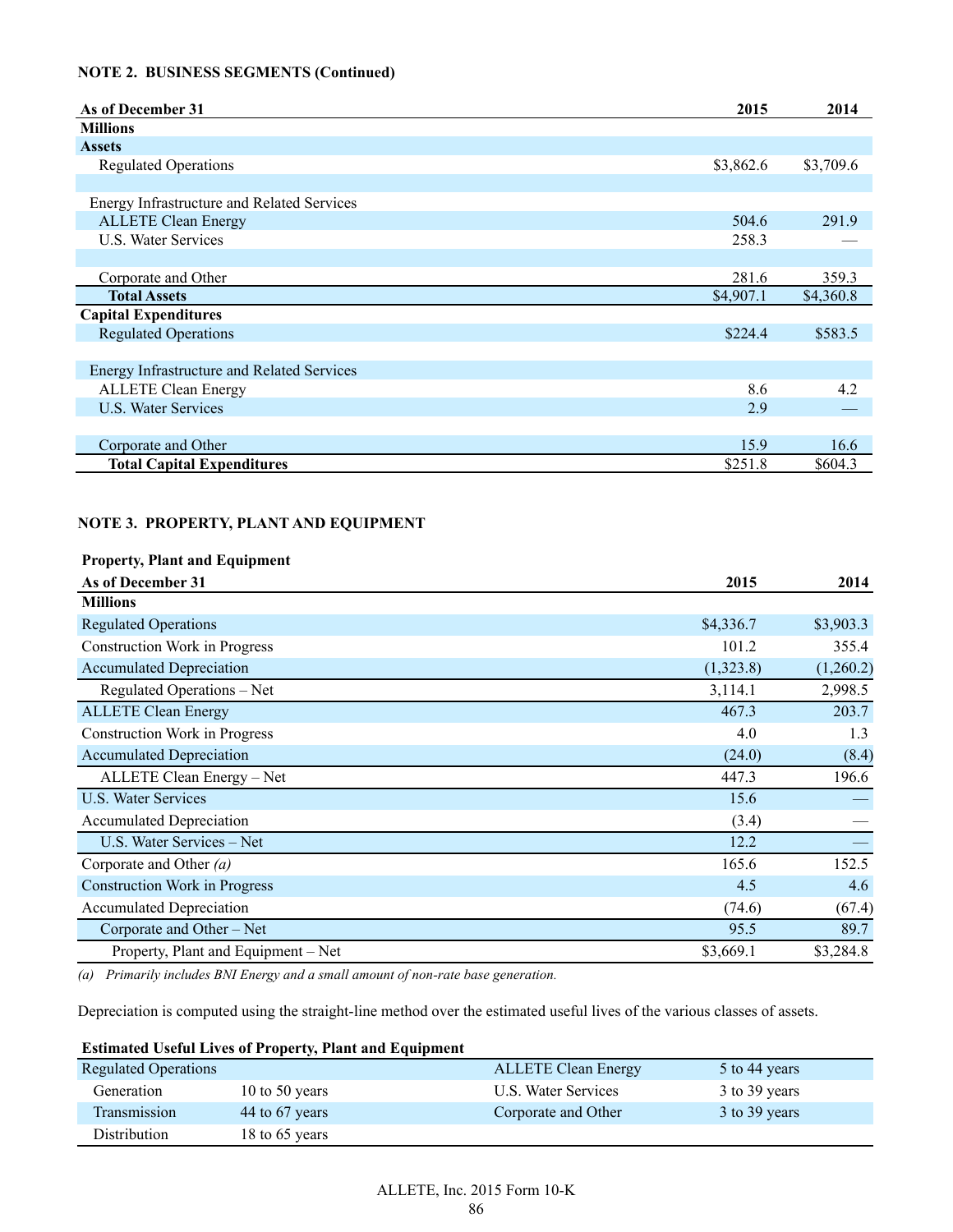# **NOTE 2. BUSINESS SEGMENTS (Continued)**

| As of December 31                                 | 2015      | 2014      |
|---------------------------------------------------|-----------|-----------|
| <b>Millions</b>                                   |           |           |
| <b>Assets</b>                                     |           |           |
| <b>Regulated Operations</b>                       | \$3,862.6 | \$3,709.6 |
|                                                   |           |           |
| Energy Infrastructure and Related Services        |           |           |
| <b>ALLETE</b> Clean Energy                        | 504.6     | 291.9     |
| <b>U.S. Water Services</b>                        | 258.3     |           |
|                                                   |           |           |
| Corporate and Other                               | 281.6     | 359.3     |
| <b>Total Assets</b>                               | \$4,907.1 | \$4,360.8 |
| <b>Capital Expenditures</b>                       |           |           |
| <b>Regulated Operations</b>                       | \$224.4   | \$583.5   |
|                                                   |           |           |
| <b>Energy Infrastructure and Related Services</b> |           |           |
| <b>ALLETE</b> Clean Energy                        | 8.6       | 4.2       |
| <b>U.S. Water Services</b>                        | 2.9       |           |
|                                                   |           |           |
| Corporate and Other                               | 15.9      | 16.6      |
| <b>Total Capital Expenditures</b>                 | \$251.8   | \$604.3   |

# **NOTE 3. PROPERTY, PLANT AND EQUIPMENT**

| <b>Property, Plant and Equipment</b> |           |           |
|--------------------------------------|-----------|-----------|
| As of December 31                    | 2015      | 2014      |
| <b>Millions</b>                      |           |           |
| <b>Regulated Operations</b>          | \$4,336.7 | \$3,903.3 |
| <b>Construction Work in Progress</b> | 101.2     | 355.4     |
| <b>Accumulated Depreciation</b>      | (1,323.8) | (1,260.2) |
| Regulated Operations - Net           | 3,114.1   | 2,998.5   |
| <b>ALLETE</b> Clean Energy           | 467.3     | 203.7     |
| <b>Construction Work in Progress</b> | 4.0       | 1.3       |
| <b>Accumulated Depreciation</b>      | (24.0)    | (8.4)     |
| ALLETE Clean Energy - Net            | 447.3     | 196.6     |
| <b>U.S. Water Services</b>           | 15.6      |           |
| <b>Accumulated Depreciation</b>      | (3.4)     |           |
| U.S. Water Services – Net            | 12.2      |           |
| Corporate and Other $(a)$            | 165.6     | 152.5     |
| <b>Construction Work in Progress</b> | 4.5       | 4.6       |
| <b>Accumulated Depreciation</b>      | (74.6)    | (67.4)    |
| Corporate and Other – Net            | 95.5      | 89.7      |
| Property, Plant and Equipment – Net  | \$3,669.1 | \$3,284.8 |
|                                      |           |           |

*(a) Primarily includes BNI Energy and a small amount of non-rate base generation.*

Depreciation is computed using the straight-line method over the estimated useful lives of the various classes of assets.

# **Estimated Useful Lives of Property, Plant and Equipment**

| <b>Regulated Operations</b> |                | <b>ALLETE Clean Energy</b> | 5 to 44 years |
|-----------------------------|----------------|----------------------------|---------------|
| Generation                  | 10 to 50 years | U.S. Water Services        | 3 to 39 years |
| Transmission                | 44 to 67 years | Corporate and Other        | 3 to 39 years |
| <b>Distribution</b>         | 18 to 65 years |                            |               |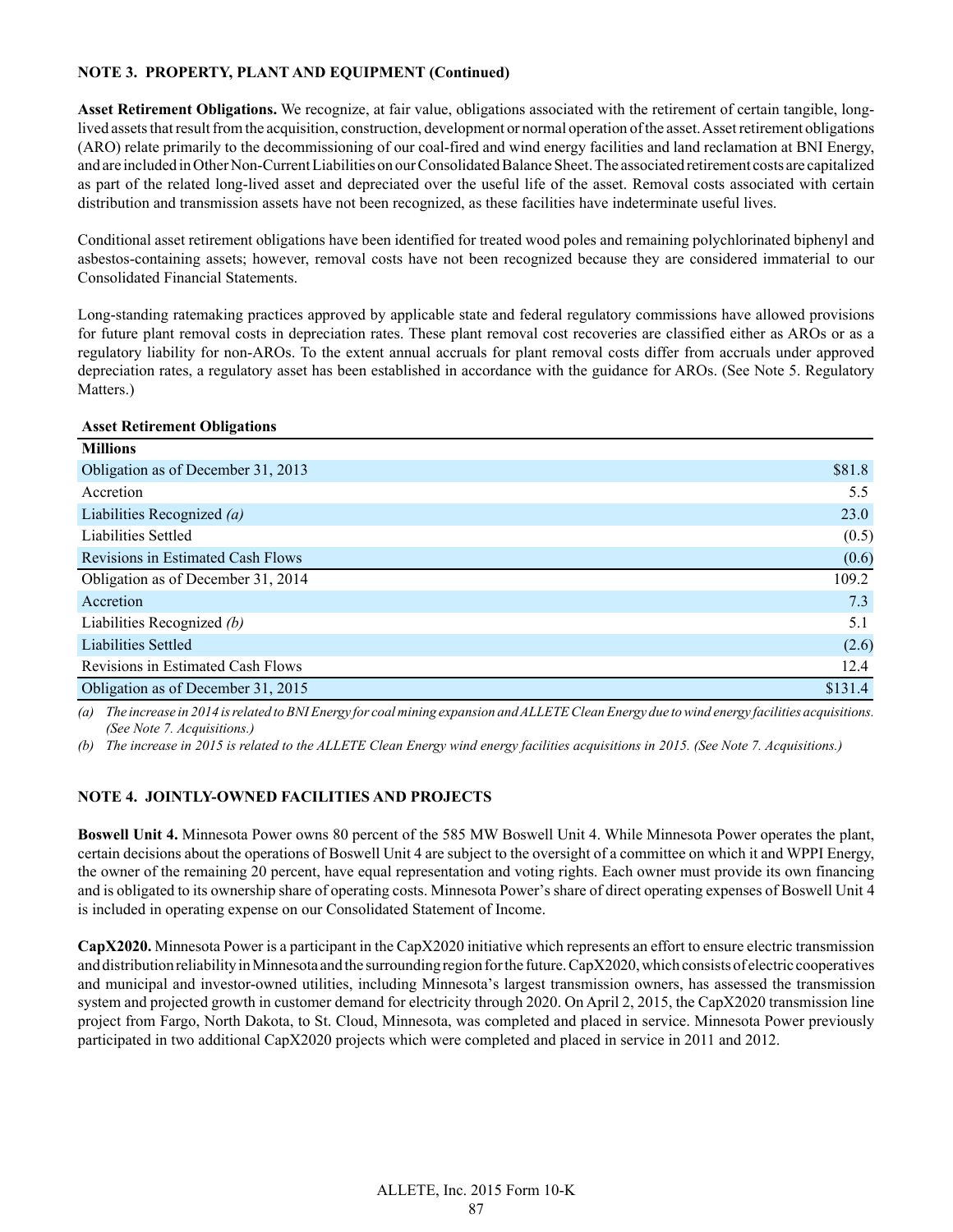# **NOTE 3. PROPERTY, PLANT AND EQUIPMENT (Continued)**

**Asset Retirement Obligations.** We recognize, at fair value, obligations associated with the retirement of certain tangible, longlived assets that result from the acquisition, construction, development or normal operation of the asset. Asset retirement obligations (ARO) relate primarily to the decommissioning of our coal-fired and wind energy facilities and land reclamation at BNI Energy, and are included in Other Non-Current Liabilities on our Consolidated Balance Sheet. The associated retirement costs are capitalized as part of the related long-lived asset and depreciated over the useful life of the asset. Removal costs associated with certain distribution and transmission assets have not been recognized, as these facilities have indeterminate useful lives.

Conditional asset retirement obligations have been identified for treated wood poles and remaining polychlorinated biphenyl and asbestos-containing assets; however, removal costs have not been recognized because they are considered immaterial to our Consolidated Financial Statements.

Long-standing ratemaking practices approved by applicable state and federal regulatory commissions have allowed provisions for future plant removal costs in depreciation rates. These plant removal cost recoveries are classified either as AROs or as a regulatory liability for non-AROs. To the extent annual accruals for plant removal costs differ from accruals under approved depreciation rates, a regulatory asset has been established in accordance with the guidance for AROs. (See Note 5. Regulatory Matters.)

#### **Asset Retirement Obligations**

| <b>Millions</b>                          |         |
|------------------------------------------|---------|
| Obligation as of December 31, 2013       | \$81.8  |
| Accretion                                | 5.5     |
| Liabilities Recognized (a)               | 23.0    |
| Liabilities Settled                      | (0.5)   |
| <b>Revisions in Estimated Cash Flows</b> | (0.6)   |
| Obligation as of December 31, 2014       | 109.2   |
| Accretion                                | 7.3     |
| Liabilities Recognized (b)               | 5.1     |
| Liabilities Settled                      | (2.6)   |
| Revisions in Estimated Cash Flows        | 12.4    |
| Obligation as of December 31, 2015       | \$131.4 |

*(a) The increase in 2014 is related to BNI Energy for coal mining expansion and ALLETE Clean Energy due to wind energy facilities acquisitions. (See Note 7. Acquisitions.)*

*(b) The increase in 2015 is related to the ALLETE Clean Energy wind energy facilities acquisitions in 2015. (See Note 7. Acquisitions.)*

#### **NOTE 4. JOINTLY-OWNED FACILITIES AND PROJECTS**

**Boswell Unit 4.** Minnesota Power owns 80 percent of the 585 MW Boswell Unit 4. While Minnesota Power operates the plant, certain decisions about the operations of Boswell Unit 4 are subject to the oversight of a committee on which it and WPPI Energy, the owner of the remaining 20 percent, have equal representation and voting rights. Each owner must provide its own financing and is obligated to its ownership share of operating costs. Minnesota Power's share of direct operating expenses of Boswell Unit 4 is included in operating expense on our Consolidated Statement of Income.

**CapX2020.** Minnesota Power is a participant in the CapX2020 initiative which represents an effort to ensure electric transmission and distribution reliability in Minnesota and the surrounding region for the future. CapX2020, which consists of electric cooperatives and municipal and investor-owned utilities, including Minnesota's largest transmission owners, has assessed the transmission system and projected growth in customer demand for electricity through 2020. On April 2, 2015, the CapX2020 transmission line project from Fargo, North Dakota, to St. Cloud, Minnesota, was completed and placed in service. Minnesota Power previously participated in two additional CapX2020 projects which were completed and placed in service in 2011 and 2012.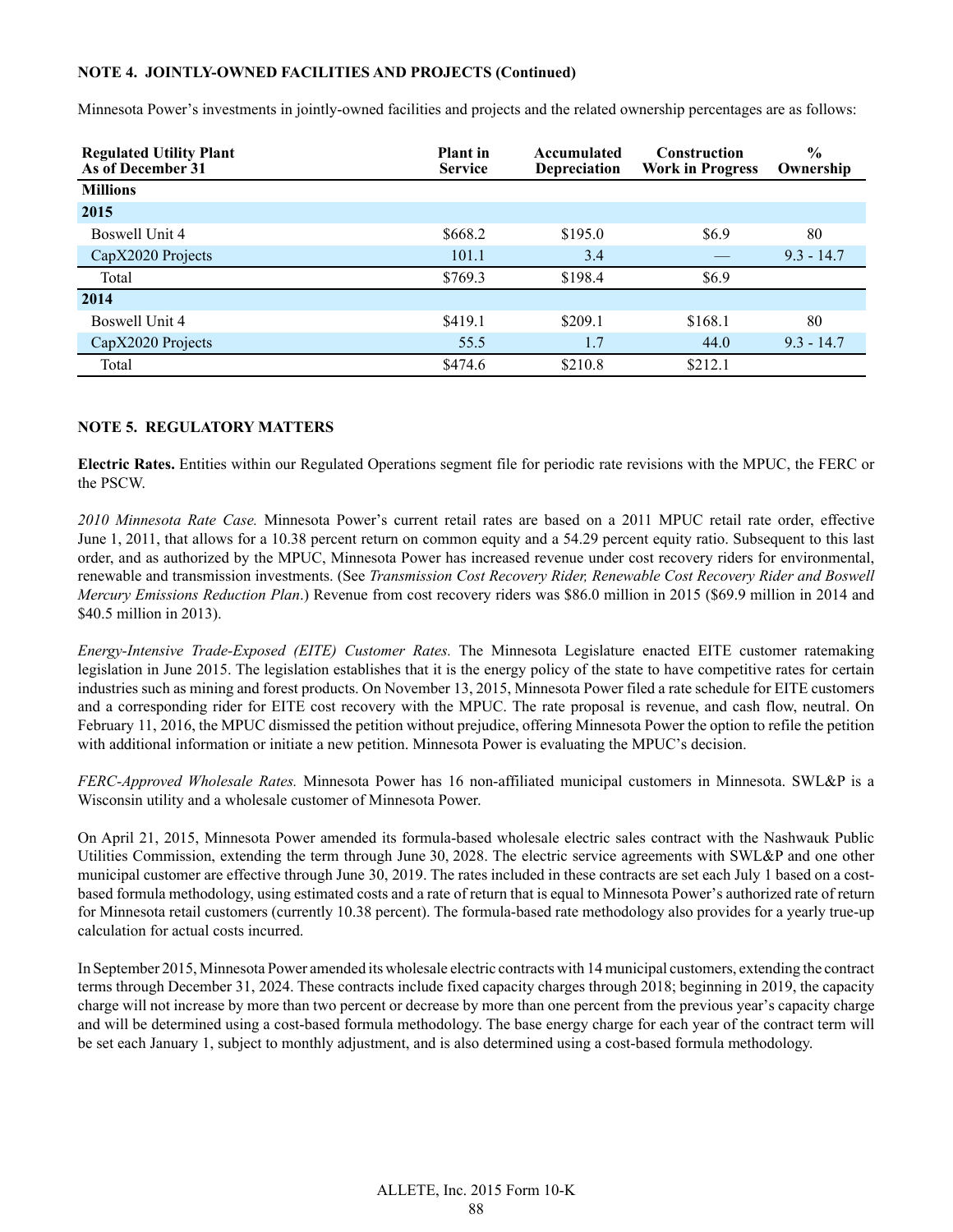#### **NOTE 4. JOINTLY-OWNED FACILITIES AND PROJECTS (Continued)**

Minnesota Power's investments in jointly-owned facilities and projects and the related ownership percentages are as follows:

| <b>Regulated Utility Plant</b><br>As of December 31 | <b>Plant</b> in<br><b>Service</b> | Accumulated<br>Depreciation | <b>Construction</b><br><b>Work in Progress</b> | $\frac{0}{0}$<br>Ownership |
|-----------------------------------------------------|-----------------------------------|-----------------------------|------------------------------------------------|----------------------------|
| <b>Millions</b>                                     |                                   |                             |                                                |                            |
| 2015                                                |                                   |                             |                                                |                            |
| Boswell Unit 4                                      | \$668.2                           | \$195.0                     | \$6.9                                          | 80                         |
| CapX2020 Projects                                   | 101.1                             | 3.4                         |                                                | $9.3 - 14.7$               |
| Total                                               | \$769.3                           | \$198.4                     | \$6.9                                          |                            |
| 2014                                                |                                   |                             |                                                |                            |
| Boswell Unit 4                                      | \$419.1                           | \$209.1                     | \$168.1                                        | 80                         |
| CapX2020 Projects                                   | 55.5                              | 1.7                         | 44.0                                           | $9.3 - 14.7$               |
| Total                                               | \$474.6                           | \$210.8                     | \$212.1                                        |                            |

#### **NOTE 5. REGULATORY MATTERS**

**Electric Rates.** Entities within our Regulated Operations segment file for periodic rate revisions with the MPUC, the FERC or the PSCW.

*2010 Minnesota Rate Case.* Minnesota Power's current retail rates are based on a 2011 MPUC retail rate order, effective June 1, 2011, that allows for a 10.38 percent return on common equity and a 54.29 percent equity ratio. Subsequent to this last order, and as authorized by the MPUC, Minnesota Power has increased revenue under cost recovery riders for environmental, renewable and transmission investments. (See *Transmission Cost Recovery Rider, Renewable Cost Recovery Rider and Boswell Mercury Emissions Reduction Plan*.) Revenue from cost recovery riders was \$86.0 million in 2015 (\$69.9 million in 2014 and \$40.5 million in 2013).

*Energy-Intensive Trade-Exposed (EITE) Customer Rates.* The Minnesota Legislature enacted EITE customer ratemaking legislation in June 2015. The legislation establishes that it is the energy policy of the state to have competitive rates for certain industries such as mining and forest products. On November 13, 2015, Minnesota Power filed a rate schedule for EITE customers and a corresponding rider for EITE cost recovery with the MPUC. The rate proposal is revenue, and cash flow, neutral. On February 11, 2016, the MPUC dismissed the petition without prejudice, offering Minnesota Power the option to refile the petition with additional information or initiate a new petition. Minnesota Power is evaluating the MPUC's decision.

*FERC-Approved Wholesale Rates.* Minnesota Power has 16 non-affiliated municipal customers in Minnesota. SWL&P is a Wisconsin utility and a wholesale customer of Minnesota Power.

On April 21, 2015, Minnesota Power amended its formula-based wholesale electric sales contract with the Nashwauk Public Utilities Commission, extending the term through June 30, 2028. The electric service agreements with SWL&P and one other municipal customer are effective through June 30, 2019. The rates included in these contracts are set each July 1 based on a costbased formula methodology, using estimated costs and a rate of return that is equal to Minnesota Power's authorized rate of return for Minnesota retail customers (currently 10.38 percent). The formula-based rate methodology also provides for a yearly true-up calculation for actual costs incurred.

In September 2015, Minnesota Power amended its wholesale electric contracts with 14 municipal customers, extending the contract terms through December 31, 2024. These contracts include fixed capacity charges through 2018; beginning in 2019, the capacity charge will not increase by more than two percent or decrease by more than one percent from the previous year's capacity charge and will be determined using a cost-based formula methodology. The base energy charge for each year of the contract term will be set each January 1, subject to monthly adjustment, and is also determined using a cost-based formula methodology.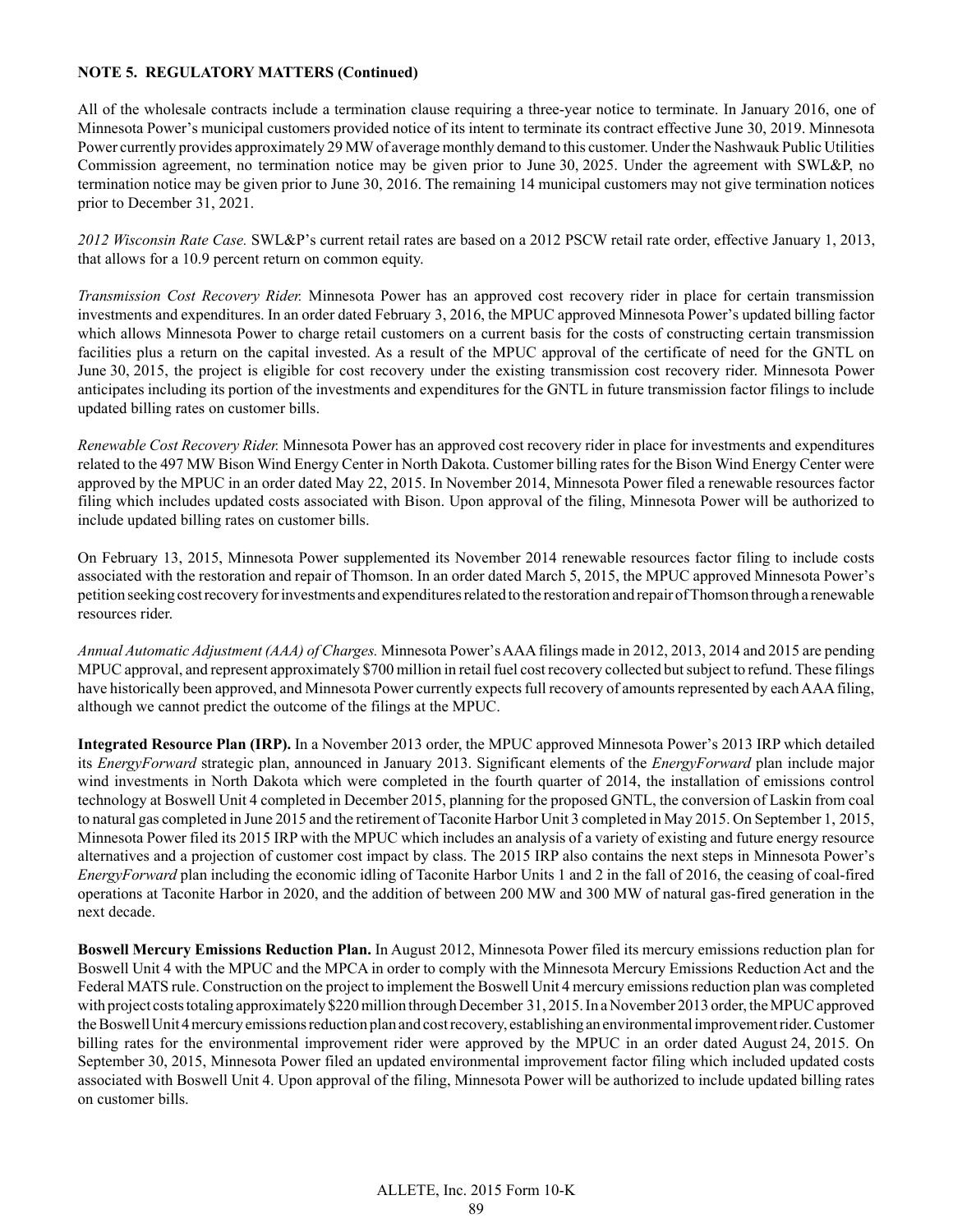All of the wholesale contracts include a termination clause requiring a three-year notice to terminate. In January 2016, one of Minnesota Power's municipal customers provided notice of its intent to terminate its contract effective June 30, 2019. Minnesota Power currently provides approximately 29 MW of average monthly demand to this customer. Under the Nashwauk Public Utilities Commission agreement, no termination notice may be given prior to June 30, 2025. Under the agreement with SWL&P, no termination notice may be given prior to June 30, 2016. The remaining 14 municipal customers may not give termination notices prior to December 31, 2021.

*2012 Wisconsin Rate Case.* SWL&P's current retail rates are based on a 2012 PSCW retail rate order, effective January 1, 2013, that allows for a 10.9 percent return on common equity.

*Transmission Cost Recovery Rider.* Minnesota Power has an approved cost recovery rider in place for certain transmission investments and expenditures. In an order dated February 3, 2016, the MPUC approved Minnesota Power's updated billing factor which allows Minnesota Power to charge retail customers on a current basis for the costs of constructing certain transmission facilities plus a return on the capital invested. As a result of the MPUC approval of the certificate of need for the GNTL on June 30, 2015, the project is eligible for cost recovery under the existing transmission cost recovery rider. Minnesota Power anticipates including its portion of the investments and expenditures for the GNTL in future transmission factor filings to include updated billing rates on customer bills.

*Renewable Cost Recovery Rider.* Minnesota Power has an approved cost recovery rider in place for investments and expenditures related to the 497 MW Bison Wind Energy Center in North Dakota. Customer billing rates for the Bison Wind Energy Center were approved by the MPUC in an order dated May 22, 2015. In November 2014, Minnesota Power filed a renewable resources factor filing which includes updated costs associated with Bison. Upon approval of the filing, Minnesota Power will be authorized to include updated billing rates on customer bills.

On February 13, 2015, Minnesota Power supplemented its November 2014 renewable resources factor filing to include costs associated with the restoration and repair of Thomson. In an order dated March 5, 2015, the MPUC approved Minnesota Power's petition seeking cost recovery for investments and expenditures related to the restoration and repair of Thomson through a renewable resources rider.

*Annual Automatic Adjustment (AAA) of Charges.* Minnesota Power's AAA filings made in 2012, 2013, 2014 and 2015 are pending MPUC approval, and represent approximately \$700 million in retail fuel cost recovery collected but subject to refund. These filings have historically been approved, and Minnesota Power currently expects full recovery of amounts represented by each AAA filing, although we cannot predict the outcome of the filings at the MPUC.

**Integrated Resource Plan (IRP).** In a November 2013 order, the MPUC approved Minnesota Power's 2013 IRP which detailed its *EnergyForward* strategic plan, announced in January 2013. Significant elements of the *EnergyForward* plan include major wind investments in North Dakota which were completed in the fourth quarter of 2014, the installation of emissions control technology at Boswell Unit 4 completed in December 2015, planning for the proposed GNTL, the conversion of Laskin from coal to natural gas completed in June 2015 and the retirement of Taconite Harbor Unit 3 completed in May 2015. On September 1, 2015, Minnesota Power filed its 2015 IRP with the MPUC which includes an analysis of a variety of existing and future energy resource alternatives and a projection of customer cost impact by class. The 2015 IRP also contains the next steps in Minnesota Power's *EnergyForward* plan including the economic idling of Taconite Harbor Units 1 and 2 in the fall of 2016, the ceasing of coal-fired operations at Taconite Harbor in 2020, and the addition of between 200 MW and 300 MW of natural gas-fired generation in the next decade.

**Boswell Mercury Emissions Reduction Plan.** In August 2012, Minnesota Power filed its mercury emissions reduction plan for Boswell Unit 4 with the MPUC and the MPCA in order to comply with the Minnesota Mercury Emissions Reduction Act and the Federal MATS rule. Construction on the project to implement the Boswell Unit 4 mercury emissions reduction plan was completed with project costs totaling approximately \$220 million through December 31, 2015. In a November 2013 order, the MPUC approved the Boswell Unit 4 mercury emissions reduction plan and cost recovery, establishing an environmental improvement rider. Customer billing rates for the environmental improvement rider were approved by the MPUC in an order dated August 24, 2015. On September 30, 2015, Minnesota Power filed an updated environmental improvement factor filing which included updated costs associated with Boswell Unit 4. Upon approval of the filing, Minnesota Power will be authorized to include updated billing rates on customer bills.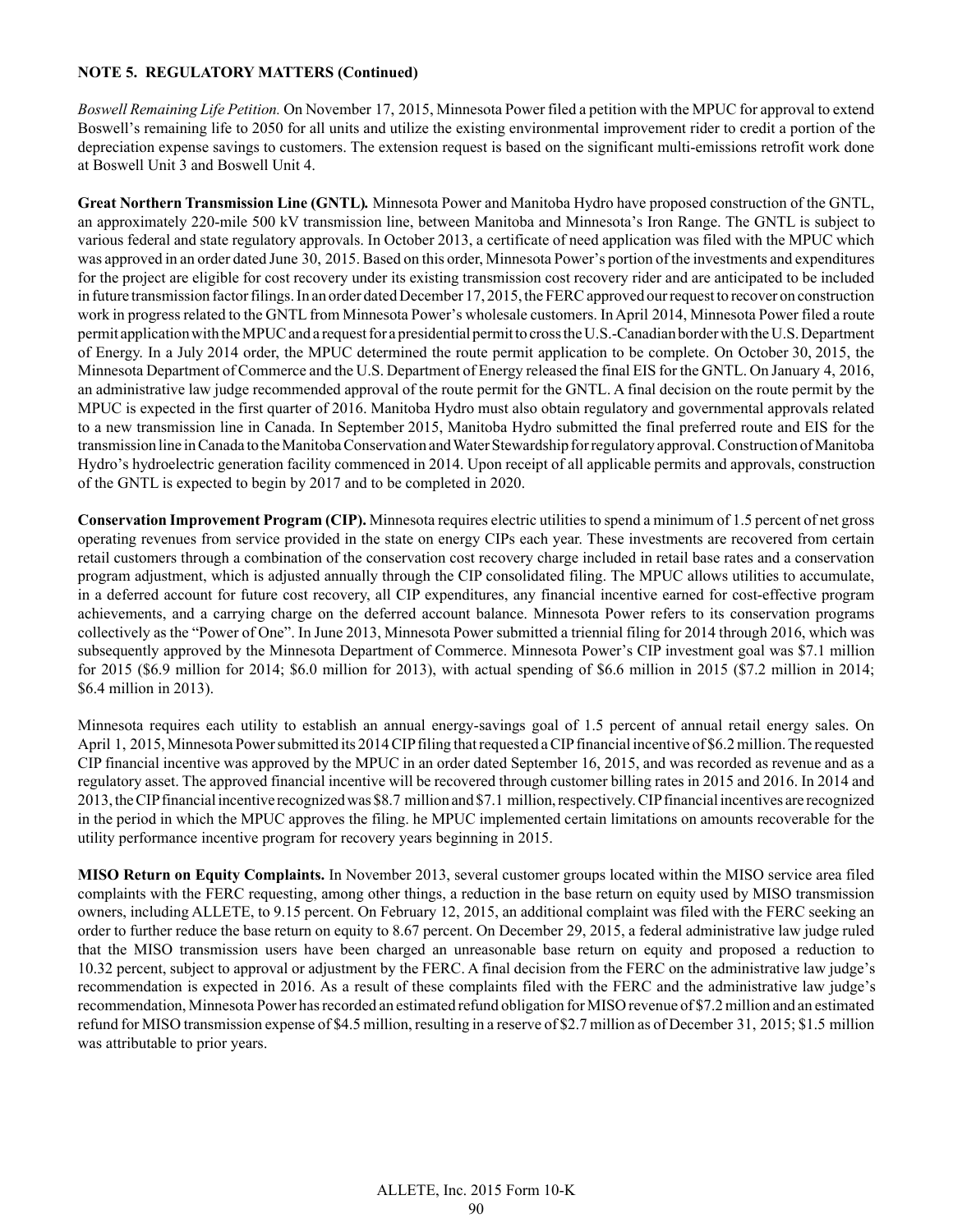*Boswell Remaining Life Petition.* On November 17, 2015, Minnesota Power filed a petition with the MPUC for approval to extend Boswell's remaining life to 2050 for all units and utilize the existing environmental improvement rider to credit a portion of the depreciation expense savings to customers. The extension request is based on the significant multi-emissions retrofit work done at Boswell Unit 3 and Boswell Unit 4.

**Great Northern Transmission Line (GNTL)***.* Minnesota Power and Manitoba Hydro have proposed construction of the GNTL, an approximately 220-mile 500 kV transmission line, between Manitoba and Minnesota's Iron Range. The GNTL is subject to various federal and state regulatory approvals. In October 2013, a certificate of need application was filed with the MPUC which was approved in an order dated June 30, 2015. Based on this order, Minnesota Power's portion of the investments and expenditures for the project are eligible for cost recovery under its existing transmission cost recovery rider and are anticipated to be included in future transmission factor filings. In an order dated December 17, 2015, the FERC approved our request to recover on construction work in progress related to the GNTL from Minnesota Power's wholesale customers. In April 2014, Minnesota Power filed a route permit application with the MPUC and a request for a presidential permit to cross the U.S.-Canadian border with the U.S. Department of Energy. In a July 2014 order, the MPUC determined the route permit application to be complete. On October 30, 2015, the Minnesota Department of Commerce and the U.S. Department of Energy released the final EIS for the GNTL. On January 4, 2016, an administrative law judge recommended approval of the route permit for the GNTL. A final decision on the route permit by the MPUC is expected in the first quarter of 2016. Manitoba Hydro must also obtain regulatory and governmental approvals related to a new transmission line in Canada. In September 2015, Manitoba Hydro submitted the final preferred route and EIS for the transmission line in Canada to the Manitoba Conservation and Water Stewardship for regulatory approval. Construction of Manitoba Hydro's hydroelectric generation facility commenced in 2014. Upon receipt of all applicable permits and approvals, construction of the GNTL is expected to begin by 2017 and to be completed in 2020.

**Conservation Improvement Program (CIP).** Minnesota requires electric utilities to spend a minimum of 1.5 percent of net gross operating revenues from service provided in the state on energy CIPs each year. These investments are recovered from certain retail customers through a combination of the conservation cost recovery charge included in retail base rates and a conservation program adjustment, which is adjusted annually through the CIP consolidated filing. The MPUC allows utilities to accumulate, in a deferred account for future cost recovery, all CIP expenditures, any financial incentive earned for cost-effective program achievements, and a carrying charge on the deferred account balance. Minnesota Power refers to its conservation programs collectively as the "Power of One". In June 2013, Minnesota Power submitted a triennial filing for 2014 through 2016, which was subsequently approved by the Minnesota Department of Commerce. Minnesota Power's CIP investment goal was \$7.1 million for 2015 (\$6.9 million for 2014; \$6.0 million for 2013), with actual spending of \$6.6 million in 2015 (\$7.2 million in 2014; \$6.4 million in 2013).

Minnesota requires each utility to establish an annual energy-savings goal of 1.5 percent of annual retail energy sales. On April 1, 2015, Minnesota Power submitted its 2014 CIP filing that requested a CIP financial incentive of \$6.2 million. The requested CIP financial incentive was approved by the MPUC in an order dated September 16, 2015, and was recorded as revenue and as a regulatory asset. The approved financial incentive will be recovered through customer billing rates in 2015 and 2016. In 2014 and 2013, the CIP financial incentive recognized was \$8.7 million and \$7.1 million, respectively. CIP financial incentives are recognized in the period in which the MPUC approves the filing. he MPUC implemented certain limitations on amounts recoverable for the utility performance incentive program for recovery years beginning in 2015.

**MISO Return on Equity Complaints.** In November 2013, several customer groups located within the MISO service area filed complaints with the FERC requesting, among other things, a reduction in the base return on equity used by MISO transmission owners, including ALLETE, to 9.15 percent. On February 12, 2015, an additional complaint was filed with the FERC seeking an order to further reduce the base return on equity to 8.67 percent. On December 29, 2015, a federal administrative law judge ruled that the MISO transmission users have been charged an unreasonable base return on equity and proposed a reduction to 10.32 percent, subject to approval or adjustment by the FERC. A final decision from the FERC on the administrative law judge's recommendation is expected in 2016. As a result of these complaints filed with the FERC and the administrative law judge's recommendation, Minnesota Power has recorded an estimated refund obligation for MISO revenue of \$7.2 million and an estimated refund for MISO transmission expense of \$4.5 million, resulting in a reserve of \$2.7 million as of December 31, 2015; \$1.5 million was attributable to prior years.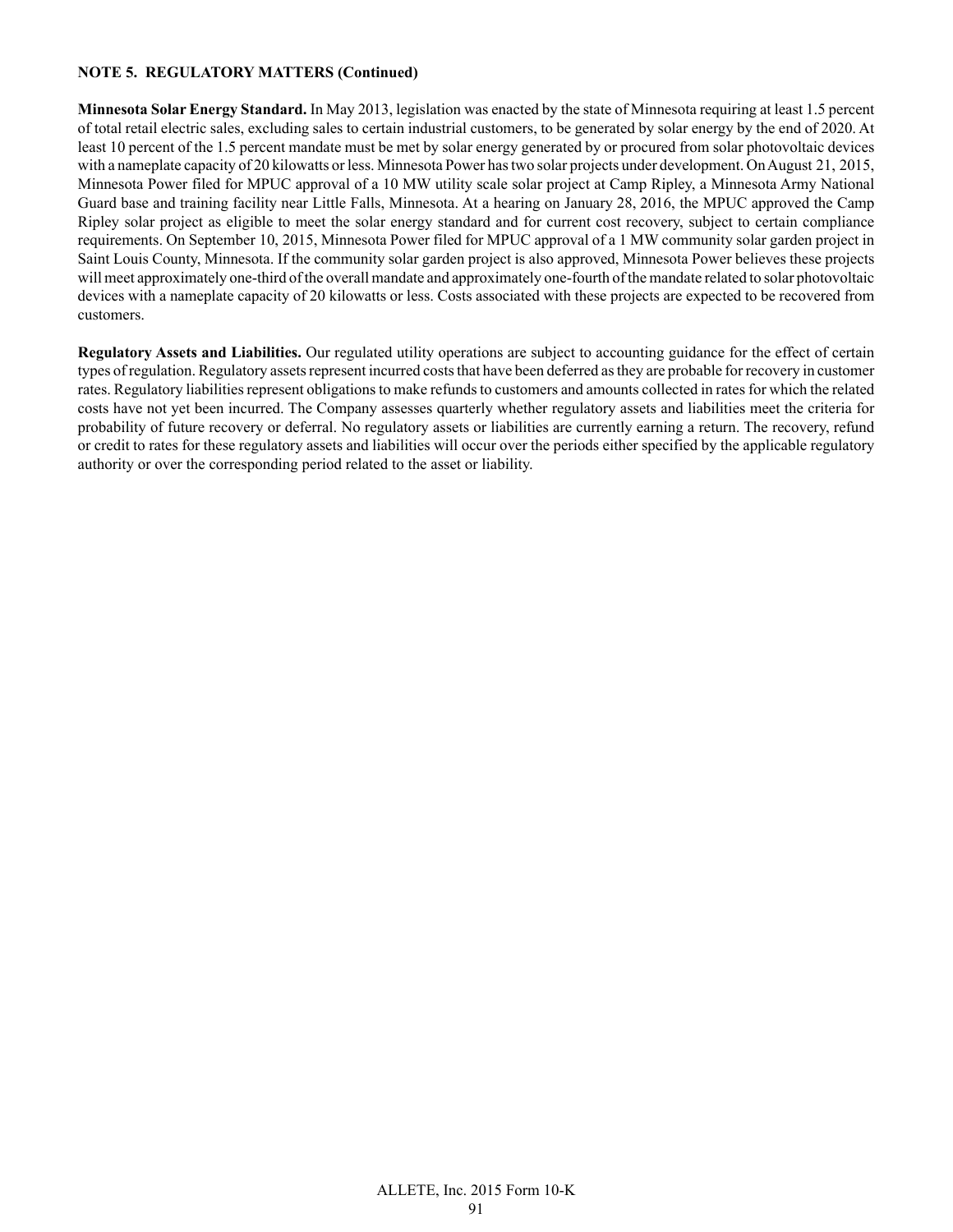**Minnesota Solar Energy Standard.** In May 2013, legislation was enacted by the state of Minnesota requiring at least 1.5 percent of total retail electric sales, excluding sales to certain industrial customers, to be generated by solar energy by the end of 2020. At least 10 percent of the 1.5 percent mandate must be met by solar energy generated by or procured from solar photovoltaic devices with a nameplate capacity of 20 kilowatts or less. Minnesota Power has two solar projects under development. On August 21, 2015, Minnesota Power filed for MPUC approval of a 10 MW utility scale solar project at Camp Ripley, a Minnesota Army National Guard base and training facility near Little Falls, Minnesota. At a hearing on January 28, 2016, the MPUC approved the Camp Ripley solar project as eligible to meet the solar energy standard and for current cost recovery, subject to certain compliance requirements. On September 10, 2015, Minnesota Power filed for MPUC approval of a 1 MW community solar garden project in Saint Louis County, Minnesota. If the community solar garden project is also approved, Minnesota Power believes these projects will meet approximately one-third of the overall mandate and approximately one-fourth of the mandate related to solar photovoltaic devices with a nameplate capacity of 20 kilowatts or less. Costs associated with these projects are expected to be recovered from customers.

**Regulatory Assets and Liabilities.** Our regulated utility operations are subject to accounting guidance for the effect of certain types of regulation. Regulatory assets represent incurred costs that have been deferred as they are probable for recovery in customer rates. Regulatory liabilities represent obligations to make refunds to customers and amounts collected in rates for which the related costs have not yet been incurred. The Company assesses quarterly whether regulatory assets and liabilities meet the criteria for probability of future recovery or deferral. No regulatory assets or liabilities are currently earning a return. The recovery, refund or credit to rates for these regulatory assets and liabilities will occur over the periods either specified by the applicable regulatory authority or over the corresponding period related to the asset or liability.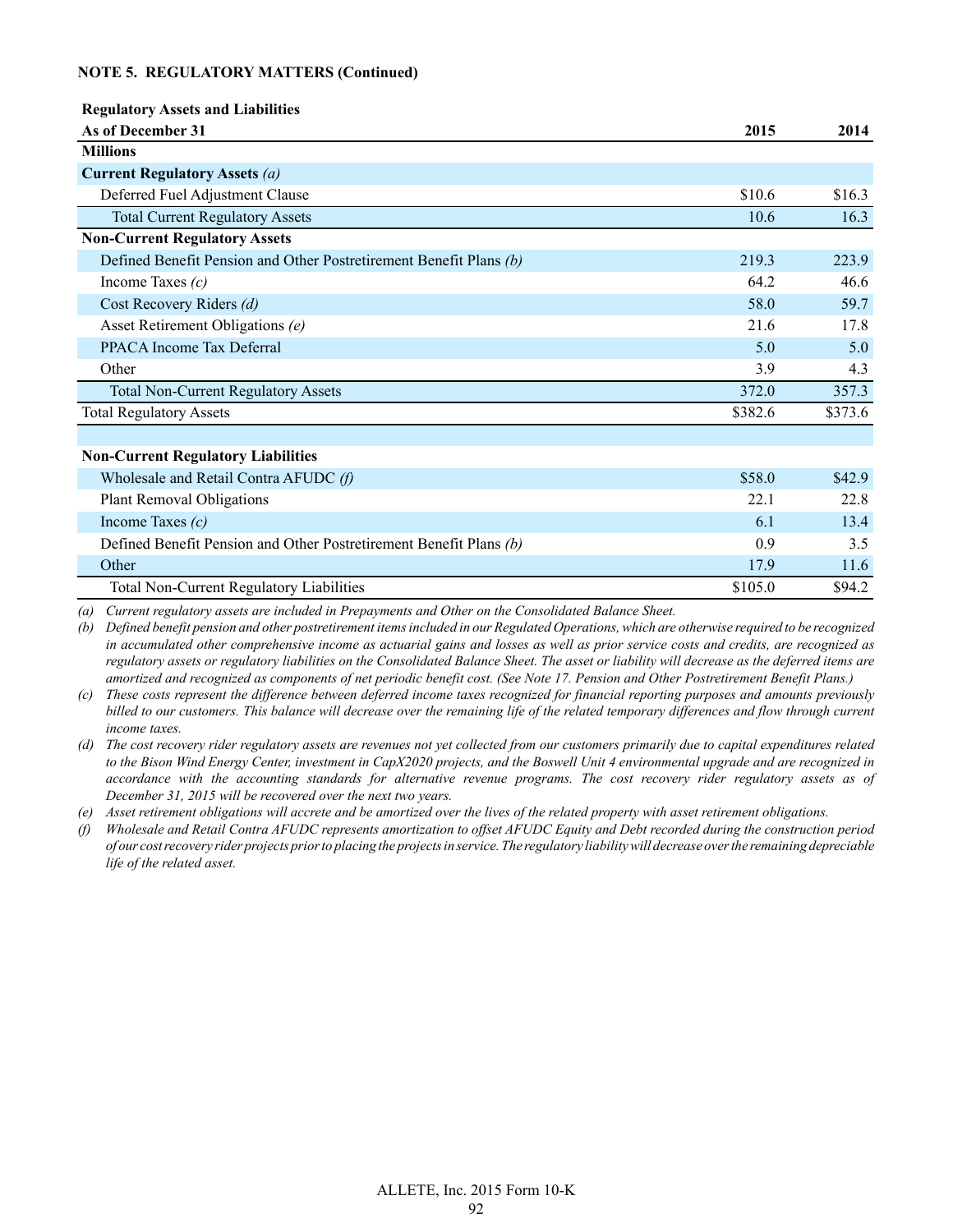| <b>Regulatory Assets and Liabilities</b>                           |         |         |
|--------------------------------------------------------------------|---------|---------|
| As of December 31                                                  | 2015    | 2014    |
| <b>Millions</b>                                                    |         |         |
| <b>Current Regulatory Assets (a)</b>                               |         |         |
| Deferred Fuel Adjustment Clause                                    | \$10.6  | \$16.3  |
| <b>Total Current Regulatory Assets</b>                             | 10.6    | 16.3    |
| <b>Non-Current Regulatory Assets</b>                               |         |         |
| Defined Benefit Pension and Other Postretirement Benefit Plans (b) | 219.3   | 223.9   |
| Income Taxes $(c)$                                                 | 64.2    | 46.6    |
| Cost Recovery Riders (d)                                           | 58.0    | 59.7    |
| Asset Retirement Obligations (e)                                   | 21.6    | 17.8    |
| PPACA Income Tax Deferral                                          | 5.0     | 5.0     |
| Other                                                              | 3.9     | 4.3     |
| <b>Total Non-Current Regulatory Assets</b>                         | 372.0   | 357.3   |
| <b>Total Regulatory Assets</b>                                     | \$382.6 | \$373.6 |
|                                                                    |         |         |
| <b>Non-Current Regulatory Liabilities</b>                          |         |         |
| Wholesale and Retail Contra AFUDC (f)                              | \$58.0  | \$42.9  |
| <b>Plant Removal Obligations</b>                                   | 22.1    | 22.8    |
| Income Taxes $(c)$                                                 | 6.1     | 13.4    |
| Defined Benefit Pension and Other Postretirement Benefit Plans (b) | 0.9     | 3.5     |
| Other                                                              | 17.9    | 11.6    |
| <b>Total Non-Current Regulatory Liabilities</b>                    | \$105.0 | \$94.2  |

*(a) Current regulatory assets are included in Prepayments and Other on the Consolidated Balance Sheet.*

*(b) Defined benefit pension and other postretirement items included in our Regulated Operations, which are otherwise required to be recognized in accumulated other comprehensive income as actuarial gains and losses as well as prior service costs and credits, are recognized as regulatory assets or regulatory liabilities on the Consolidated Balance Sheet. The asset or liability will decrease as the deferred items are amortized and recognized as components of net periodic benefit cost. (See Note 17. Pension and Other Postretirement Benefit Plans.)* 

*(c) These costs represent the difference between deferred income taxes recognized for financial reporting purposes and amounts previously billed to our customers. This balance will decrease over the remaining life of the related temporary differences and flow through current income taxes.*

*(d) The cost recovery rider regulatory assets are revenues not yet collected from our customers primarily due to capital expenditures related to the Bison Wind Energy Center, investment in CapX2020 projects, and the Boswell Unit 4 environmental upgrade and are recognized in accordance with the accounting standards for alternative revenue programs. The cost recovery rider regulatory assets as of December 31, 2015 will be recovered over the next two years.*

*(e) Asset retirement obligations will accrete and be amortized over the lives of the related property with asset retirement obligations.*

*(f) Wholesale and Retail Contra AFUDC represents amortization to offset AFUDC Equity and Debt recorded during the construction period of our cost recovery rider projects prior to placing the projects in service. The regulatory liability will decrease over the remaining depreciable life of the related asset.*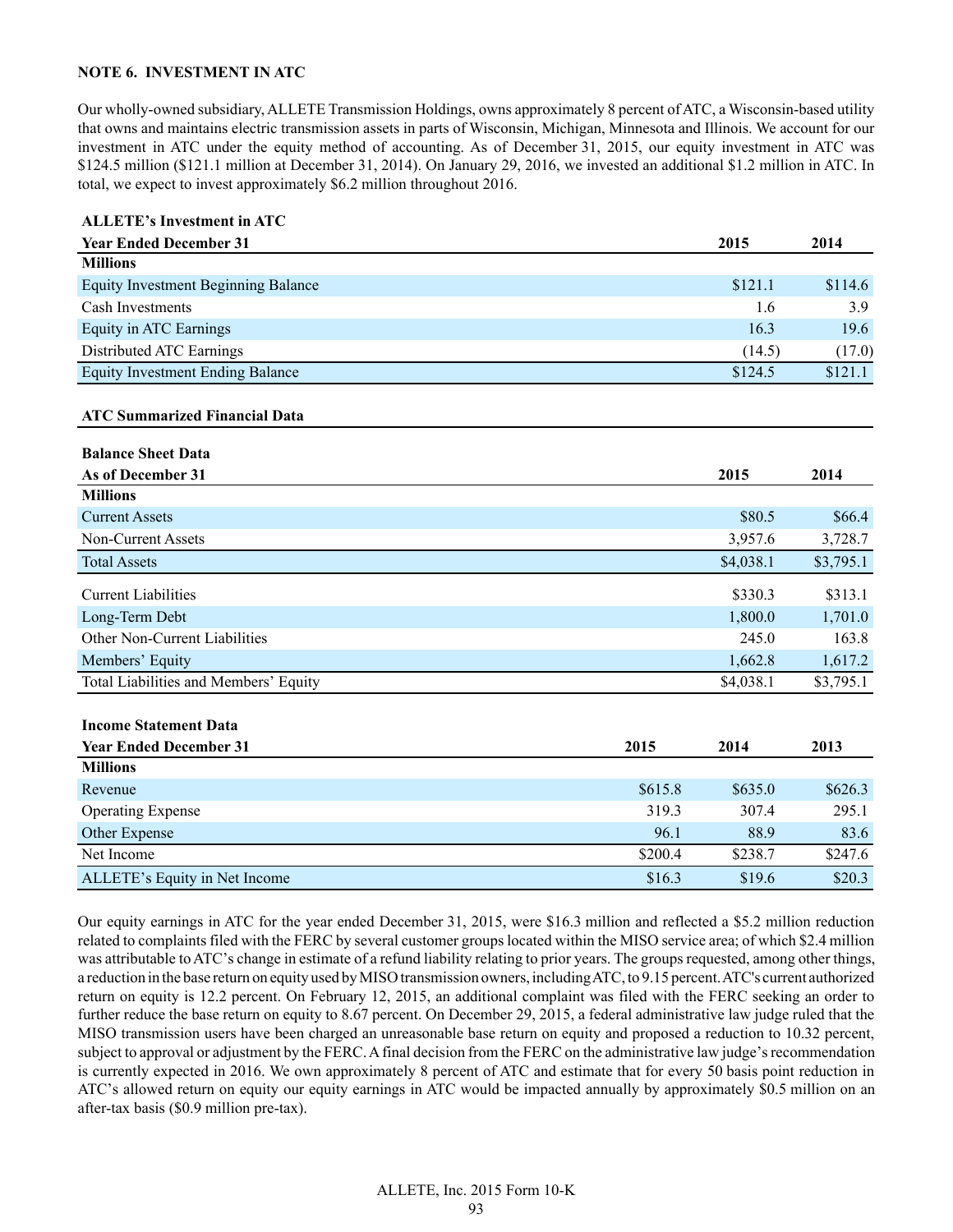# **NOTE 6. INVESTMENT IN ATC**

Our wholly-owned subsidiary, ALLETE Transmission Holdings, owns approximately 8 percent of ATC, a Wisconsin-based utility that owns and maintains electric transmission assets in parts of Wisconsin, Michigan, Minnesota and Illinois. We account for our investment in ATC under the equity method of accounting. As of December 31, 2015, our equity investment in ATC was \$124.5 million (\$121.1 million at December 31, 2014). On January 29, 2016, we invested an additional \$1.2 million in ATC. In total, we expect to invest approximately \$6.2 million throughout 2016.

| <b>ALLETE's Investment in ATC</b>          |         |           |           |
|--------------------------------------------|---------|-----------|-----------|
| <b>Year Ended December 31</b>              |         | 2015      | 2014      |
| <b>Millions</b>                            |         |           |           |
| <b>Equity Investment Beginning Balance</b> |         | \$121.1   | \$114.6   |
| Cash Investments                           |         | 1.6       | 3.9       |
| <b>Equity in ATC Earnings</b>              |         | 16.3      | 19.6      |
| Distributed ATC Earnings                   |         | (14.5)    | (17.0)    |
| <b>Equity Investment Ending Balance</b>    |         | \$124.5   | \$121.1   |
| <b>ATC Summarized Financial Data</b>       |         |           |           |
| <b>Balance Sheet Data</b>                  |         |           |           |
| As of December 31                          |         | 2015      | 2014      |
| <b>Millions</b>                            |         |           |           |
| <b>Current Assets</b>                      |         | \$80.5    | \$66.4    |
| Non-Current Assets                         |         | 3,957.6   | 3,728.7   |
| <b>Total Assets</b>                        |         | \$4,038.1 | \$3,795.1 |
| <b>Current Liabilities</b>                 |         | \$330.3   | \$313.1   |
| Long-Term Debt                             |         | 1,800.0   | 1,701.0   |
| Other Non-Current Liabilities              |         | 245.0     | 163.8     |
| Members' Equity                            |         | 1,662.8   | 1,617.2   |
| Total Liabilities and Members' Equity      |         | \$4,038.1 | \$3,795.1 |
| <b>Income Statement Data</b>               |         |           |           |
| <b>Year Ended December 31</b>              | 2015    | 2014      | 2013      |
| <b>Millions</b>                            |         |           |           |
| Revenue                                    | \$615.8 | \$635.0   | \$626.3   |
| <b>Operating Expense</b>                   | 319.3   | 307.4     | 295.1     |
| Other Expense                              | 96.1    | 88.9      | 83.6      |
| Net Income                                 | \$200.4 | \$238.7   | \$247.6   |
| ALLETE's Equity in Net Income              | \$16.3  | \$19.6    | \$20.3    |

Our equity earnings in ATC for the year ended December 31, 2015, were \$16.3 million and reflected a \$5.2 million reduction related to complaints filed with the FERC by several customer groups located within the MISO service area; of which \$2.4 million was attributable to ATC's change in estimate of a refund liability relating to prior years. The groups requested, among other things, a reduction in the base return on equity used by MISO transmission owners, including ATC, to 9.15 percent. ATC's current authorized return on equity is 12.2 percent. On February 12, 2015, an additional complaint was filed with the FERC seeking an order to further reduce the base return on equity to 8.67 percent. On December 29, 2015, a federal administrative law judge ruled that the MISO transmission users have been charged an unreasonable base return on equity and proposed a reduction to 10.32 percent, subject to approval or adjustment by the FERC. A final decision from the FERC on the administrative law judge's recommendation is currently expected in 2016. We own approximately 8 percent of ATC and estimate that for every 50 basis point reduction in ATC's allowed return on equity our equity earnings in ATC would be impacted annually by approximately \$0.5 million on an after-tax basis (\$0.9 million pre-tax).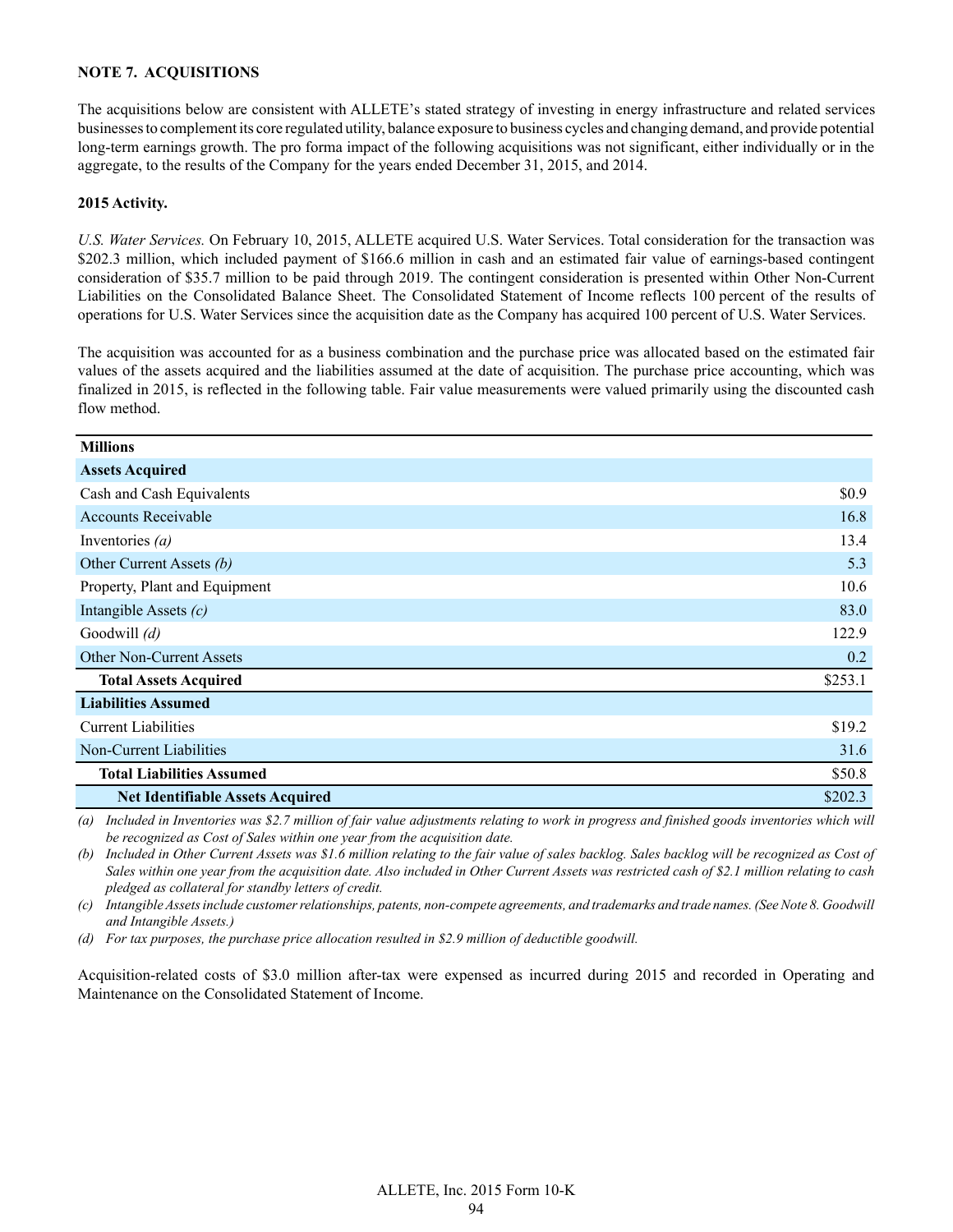# **NOTE 7. ACQUISITIONS**

The acquisitions below are consistent with ALLETE's stated strategy of investing in energy infrastructure and related services businesses to complement its core regulated utility, balance exposure to business cycles and changing demand, and provide potential long-term earnings growth. The pro forma impact of the following acquisitions was not significant, either individually or in the aggregate, to the results of the Company for the years ended December 31, 2015, and 2014.

#### **2015 Activity.**

*U.S. Water Services.* On February 10, 2015, ALLETE acquired U.S. Water Services. Total consideration for the transaction was \$202.3 million, which included payment of \$166.6 million in cash and an estimated fair value of earnings-based contingent consideration of \$35.7 million to be paid through 2019. The contingent consideration is presented within Other Non-Current Liabilities on the Consolidated Balance Sheet. The Consolidated Statement of Income reflects 100 percent of the results of operations for U.S. Water Services since the acquisition date as the Company has acquired 100 percent of U.S. Water Services.

The acquisition was accounted for as a business combination and the purchase price was allocated based on the estimated fair values of the assets acquired and the liabilities assumed at the date of acquisition. The purchase price accounting, which was finalized in 2015, is reflected in the following table. Fair value measurements were valued primarily using the discounted cash flow method.

| <b>Millions</b>                         |         |
|-----------------------------------------|---------|
| <b>Assets Acquired</b>                  |         |
| Cash and Cash Equivalents               | \$0.9   |
| <b>Accounts Receivable</b>              | 16.8    |
| Inventories $(a)$                       | 13.4    |
| Other Current Assets (b)                | 5.3     |
| Property, Plant and Equipment           | 10.6    |
| Intangible Assets $(c)$                 | 83.0    |
| Goodwill (d)                            | 122.9   |
| <b>Other Non-Current Assets</b>         | 0.2     |
| <b>Total Assets Acquired</b>            | \$253.1 |
| <b>Liabilities Assumed</b>              |         |
| <b>Current Liabilities</b>              | \$19.2  |
| Non-Current Liabilities                 | 31.6    |
| <b>Total Liabilities Assumed</b>        | \$50.8  |
| <b>Net Identifiable Assets Acquired</b> | \$202.3 |

*(a) Included in Inventories was \$2.7 million of fair value adjustments relating to work in progress and finished goods inventories which will be recognized as Cost of Sales within one year from the acquisition date.* 

*(b) Included in Other Current Assets was \$1.6 million relating to the fair value of sales backlog. Sales backlog will be recognized as Cost of Sales within one year from the acquisition date. Also included in Other Current Assets was restricted cash of \$2.1 million relating to cash pledged as collateral for standby letters of credit.*

*(c) Intangible Assets include customer relationships, patents, non-compete agreements, and trademarks and trade names. (See Note 8. Goodwill and Intangible Assets.)*

*(d) For tax purposes, the purchase price allocation resulted in \$2.9 million of deductible goodwill.*

Acquisition-related costs of \$3.0 million after-tax were expensed as incurred during 2015 and recorded in Operating and Maintenance on the Consolidated Statement of Income.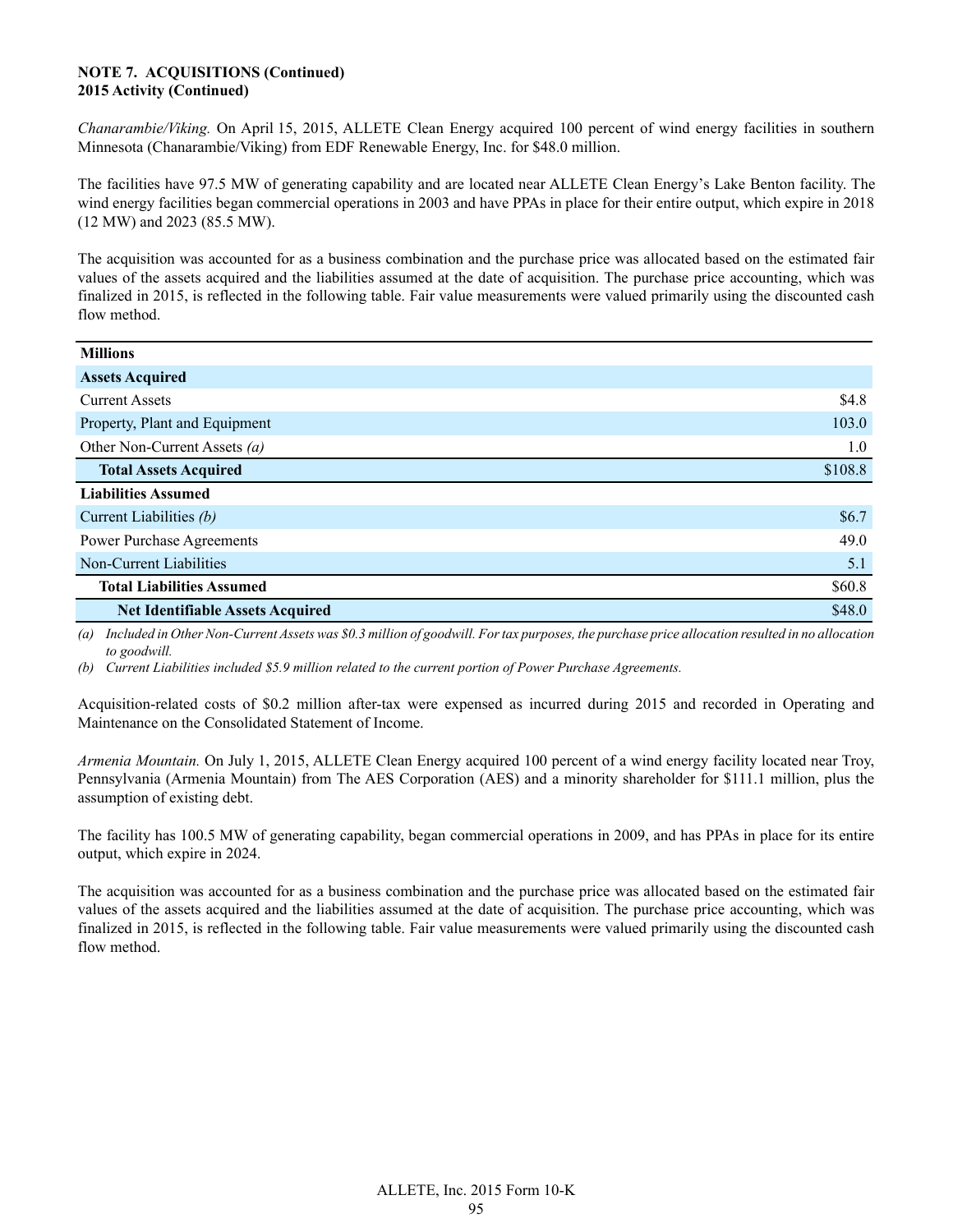# **NOTE 7. ACQUISITIONS (Continued) 2015 Activity (Continued)**

*Chanarambie/Viking.* On April 15, 2015, ALLETE Clean Energy acquired 100 percent of wind energy facilities in southern Minnesota (Chanarambie/Viking) from EDF Renewable Energy, Inc. for \$48.0 million.

The facilities have 97.5 MW of generating capability and are located near ALLETE Clean Energy's Lake Benton facility. The wind energy facilities began commercial operations in 2003 and have PPAs in place for their entire output, which expire in 2018 (12 MW) and 2023 (85.5 MW).

The acquisition was accounted for as a business combination and the purchase price was allocated based on the estimated fair values of the assets acquired and the liabilities assumed at the date of acquisition. The purchase price accounting, which was finalized in 2015, is reflected in the following table. Fair value measurements were valued primarily using the discounted cash flow method.

| <b>Millions</b>                         |         |
|-----------------------------------------|---------|
| <b>Assets Acquired</b>                  |         |
| <b>Current Assets</b>                   | \$4.8   |
| Property, Plant and Equipment           | 103.0   |
| Other Non-Current Assets (a)            | 1.0     |
| <b>Total Assets Acquired</b>            | \$108.8 |
| <b>Liabilities Assumed</b>              |         |
| Current Liabilities (b)                 | \$6.7   |
| <b>Power Purchase Agreements</b>        | 49.0    |
| Non-Current Liabilities                 | 5.1     |
| <b>Total Liabilities Assumed</b>        | \$60.8  |
| <b>Net Identifiable Assets Acquired</b> | \$48.0  |

*(a) Included in Other Non-Current Assets was \$0.3 million of goodwill. For tax purposes, the purchase price allocation resulted in no allocation to goodwill.*

*(b) Current Liabilities included \$5.9 million related to the current portion of Power Purchase Agreements.*

Acquisition-related costs of \$0.2 million after-tax were expensed as incurred during 2015 and recorded in Operating and Maintenance on the Consolidated Statement of Income.

*Armenia Mountain.* On July 1, 2015, ALLETE Clean Energy acquired 100 percent of a wind energy facility located near Troy, Pennsylvania (Armenia Mountain) from The AES Corporation (AES) and a minority shareholder for \$111.1 million, plus the assumption of existing debt.

The facility has 100.5 MW of generating capability, began commercial operations in 2009, and has PPAs in place for its entire output, which expire in 2024.

The acquisition was accounted for as a business combination and the purchase price was allocated based on the estimated fair values of the assets acquired and the liabilities assumed at the date of acquisition. The purchase price accounting, which was finalized in 2015, is reflected in the following table. Fair value measurements were valued primarily using the discounted cash flow method.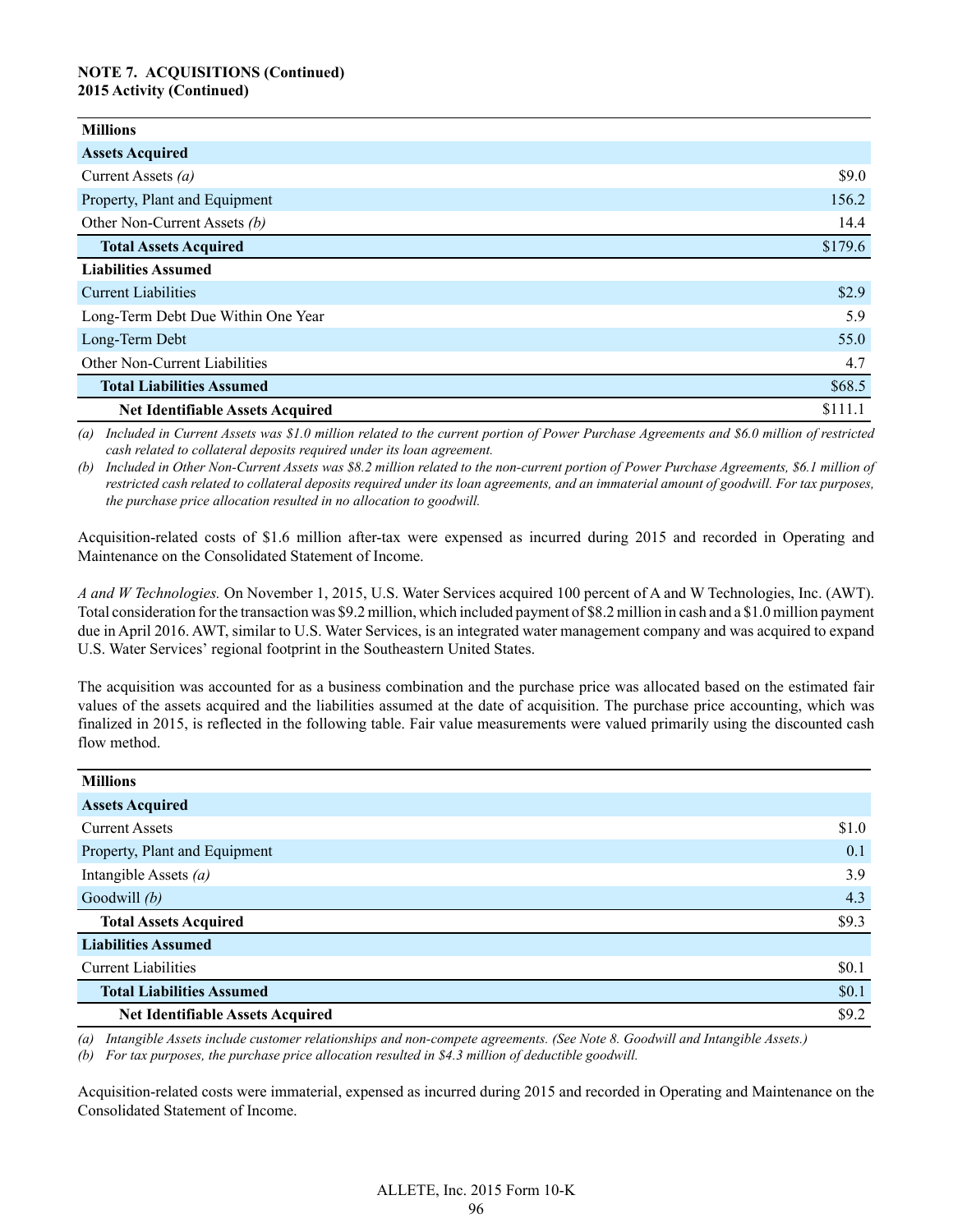# **NOTE 7. ACQUISITIONS (Continued) 2015 Activity (Continued)**

| <b>Millions</b>                         |         |
|-----------------------------------------|---------|
| <b>Assets Acquired</b>                  |         |
| Current Assets $(a)$                    | \$9.0   |
| Property, Plant and Equipment           | 156.2   |
| Other Non-Current Assets (b)            | 14.4    |
| <b>Total Assets Acquired</b>            | \$179.6 |
| <b>Liabilities Assumed</b>              |         |
| <b>Current Liabilities</b>              | \$2.9   |
| Long-Term Debt Due Within One Year      | 5.9     |
| Long-Term Debt                          | 55.0    |
| Other Non-Current Liabilities           | 4.7     |
| <b>Total Liabilities Assumed</b>        | \$68.5  |
| <b>Net Identifiable Assets Acquired</b> | \$111.1 |

*(a) Included in Current Assets was \$1.0 million related to the current portion of Power Purchase Agreements and \$6.0 million of restricted cash related to collateral deposits required under its loan agreement.*

*(b) Included in Other Non-Current Assets was \$8.2 million related to the non-current portion of Power Purchase Agreements, \$6.1 million of restricted cash related to collateral deposits required under its loan agreements, and an immaterial amount of goodwill. For tax purposes, the purchase price allocation resulted in no allocation to goodwill.*

Acquisition-related costs of \$1.6 million after-tax were expensed as incurred during 2015 and recorded in Operating and Maintenance on the Consolidated Statement of Income.

*A and W Technologies.* On November 1, 2015, U.S. Water Services acquired 100 percent of A and W Technologies, Inc. (AWT). Total consideration for the transaction was \$9.2 million, which included payment of \$8.2 million in cash and a \$1.0 million payment due in April 2016. AWT, similar to U.S. Water Services, is an integrated water management company and was acquired to expand U.S. Water Services' regional footprint in the Southeastern United States.

The acquisition was accounted for as a business combination and the purchase price was allocated based on the estimated fair values of the assets acquired and the liabilities assumed at the date of acquisition. The purchase price accounting, which was finalized in 2015, is reflected in the following table. Fair value measurements were valued primarily using the discounted cash flow method.

| <b>Millions</b>                         |       |
|-----------------------------------------|-------|
| <b>Assets Acquired</b>                  |       |
| <b>Current Assets</b>                   | \$1.0 |
| Property, Plant and Equipment           | 0.1   |
| Intangible Assets $(a)$                 | 3.9   |
| Goodwill $(b)$                          | 4.3   |
| <b>Total Assets Acquired</b>            | \$9.3 |
| <b>Liabilities Assumed</b>              |       |
| <b>Current Liabilities</b>              | \$0.1 |
| <b>Total Liabilities Assumed</b>        | \$0.1 |
| <b>Net Identifiable Assets Acquired</b> | \$9.2 |

*(a) Intangible Assets include customer relationships and non-compete agreements. (See Note 8. Goodwill and Intangible Assets.)*

*(b) For tax purposes, the purchase price allocation resulted in \$4.3 million of deductible goodwill.*

Acquisition-related costs were immaterial, expensed as incurred during 2015 and recorded in Operating and Maintenance on the Consolidated Statement of Income.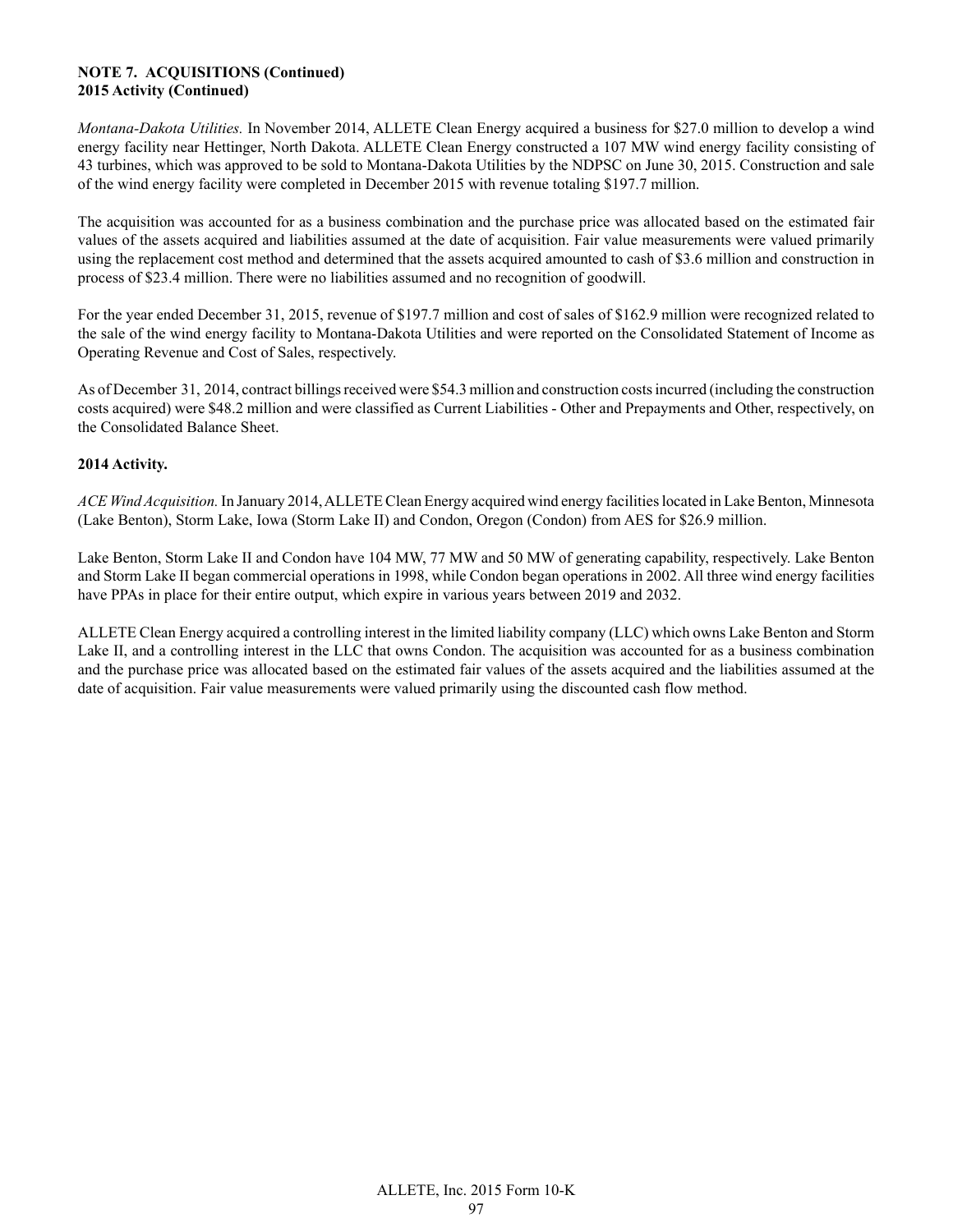# **NOTE 7. ACQUISITIONS (Continued) 2015 Activity (Continued)**

*Montana-Dakota Utilities.* In November 2014, ALLETE Clean Energy acquired a business for \$27.0 million to develop a wind energy facility near Hettinger, North Dakota. ALLETE Clean Energy constructed a 107 MW wind energy facility consisting of 43 turbines, which was approved to be sold to Montana-Dakota Utilities by the NDPSC on June 30, 2015. Construction and sale of the wind energy facility were completed in December 2015 with revenue totaling \$197.7 million.

The acquisition was accounted for as a business combination and the purchase price was allocated based on the estimated fair values of the assets acquired and liabilities assumed at the date of acquisition. Fair value measurements were valued primarily using the replacement cost method and determined that the assets acquired amounted to cash of \$3.6 million and construction in process of \$23.4 million. There were no liabilities assumed and no recognition of goodwill.

For the year ended December 31, 2015, revenue of \$197.7 million and cost of sales of \$162.9 million were recognized related to the sale of the wind energy facility to Montana-Dakota Utilities and were reported on the Consolidated Statement of Income as Operating Revenue and Cost of Sales, respectively.

As of December 31, 2014, contract billings received were \$54.3 million and construction costs incurred (including the construction costs acquired) were \$48.2 million and were classified as Current Liabilities - Other and Prepayments and Other, respectively, on the Consolidated Balance Sheet.

# **2014 Activity.**

*ACE Wind Acquisition.* In January 2014, ALLETE Clean Energy acquired wind energy facilities located in Lake Benton, Minnesota (Lake Benton), Storm Lake, Iowa (Storm Lake II) and Condon, Oregon (Condon) from AES for \$26.9 million.

Lake Benton, Storm Lake II and Condon have 104 MW, 77 MW and 50 MW of generating capability, respectively. Lake Benton and Storm Lake II began commercial operations in 1998, while Condon began operations in 2002. All three wind energy facilities have PPAs in place for their entire output, which expire in various years between 2019 and 2032.

ALLETE Clean Energy acquired a controlling interest in the limited liability company (LLC) which owns Lake Benton and Storm Lake II, and a controlling interest in the LLC that owns Condon. The acquisition was accounted for as a business combination and the purchase price was allocated based on the estimated fair values of the assets acquired and the liabilities assumed at the date of acquisition. Fair value measurements were valued primarily using the discounted cash flow method.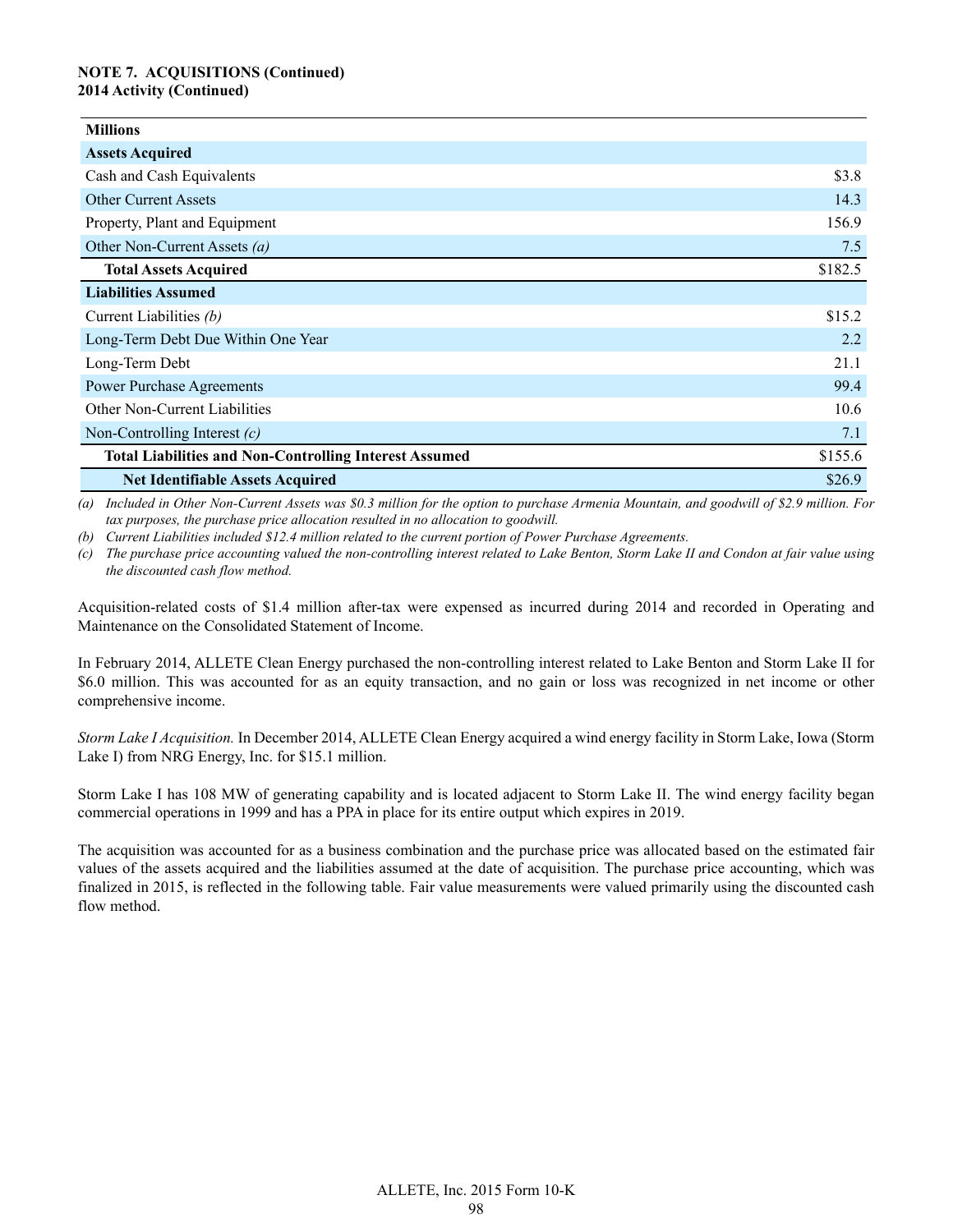# **NOTE 7. ACQUISITIONS (Continued) 2014 Activity (Continued)**

| <b>Millions</b>                                               |         |
|---------------------------------------------------------------|---------|
| <b>Assets Acquired</b>                                        |         |
| Cash and Cash Equivalents                                     | \$3.8   |
| <b>Other Current Assets</b>                                   | 14.3    |
| Property, Plant and Equipment                                 | 156.9   |
| Other Non-Current Assets (a)                                  | 7.5     |
| <b>Total Assets Acquired</b>                                  | \$182.5 |
| <b>Liabilities Assumed</b>                                    |         |
| Current Liabilities (b)                                       | \$15.2  |
| Long-Term Debt Due Within One Year                            | 2.2     |
| Long-Term Debt                                                | 21.1    |
| <b>Power Purchase Agreements</b>                              | 99.4    |
| <b>Other Non-Current Liabilities</b>                          | 10.6    |
| Non-Controlling Interest $(c)$                                | 7.1     |
| <b>Total Liabilities and Non-Controlling Interest Assumed</b> | \$155.6 |
| <b>Net Identifiable Assets Acquired</b>                       | \$26.9  |

*(a) Included in Other Non-Current Assets was \$0.3 million for the option to purchase Armenia Mountain, and goodwill of \$2.9 million. For tax purposes, the purchase price allocation resulted in no allocation to goodwill.*

*(b) Current Liabilities included \$12.4 million related to the current portion of Power Purchase Agreements.*

*(c) The purchase price accounting valued the non-controlling interest related to Lake Benton, Storm Lake II and Condon at fair value using the discounted cash flow method.*

Acquisition-related costs of \$1.4 million after-tax were expensed as incurred during 2014 and recorded in Operating and Maintenance on the Consolidated Statement of Income.

In February 2014, ALLETE Clean Energy purchased the non-controlling interest related to Lake Benton and Storm Lake II for \$6.0 million. This was accounted for as an equity transaction, and no gain or loss was recognized in net income or other comprehensive income.

*Storm Lake I Acquisition.* In December 2014, ALLETE Clean Energy acquired a wind energy facility in Storm Lake, Iowa (Storm Lake I) from NRG Energy, Inc. for \$15.1 million.

Storm Lake I has 108 MW of generating capability and is located adjacent to Storm Lake II. The wind energy facility began commercial operations in 1999 and has a PPA in place for its entire output which expires in 2019.

The acquisition was accounted for as a business combination and the purchase price was allocated based on the estimated fair values of the assets acquired and the liabilities assumed at the date of acquisition. The purchase price accounting, which was finalized in 2015, is reflected in the following table. Fair value measurements were valued primarily using the discounted cash flow method.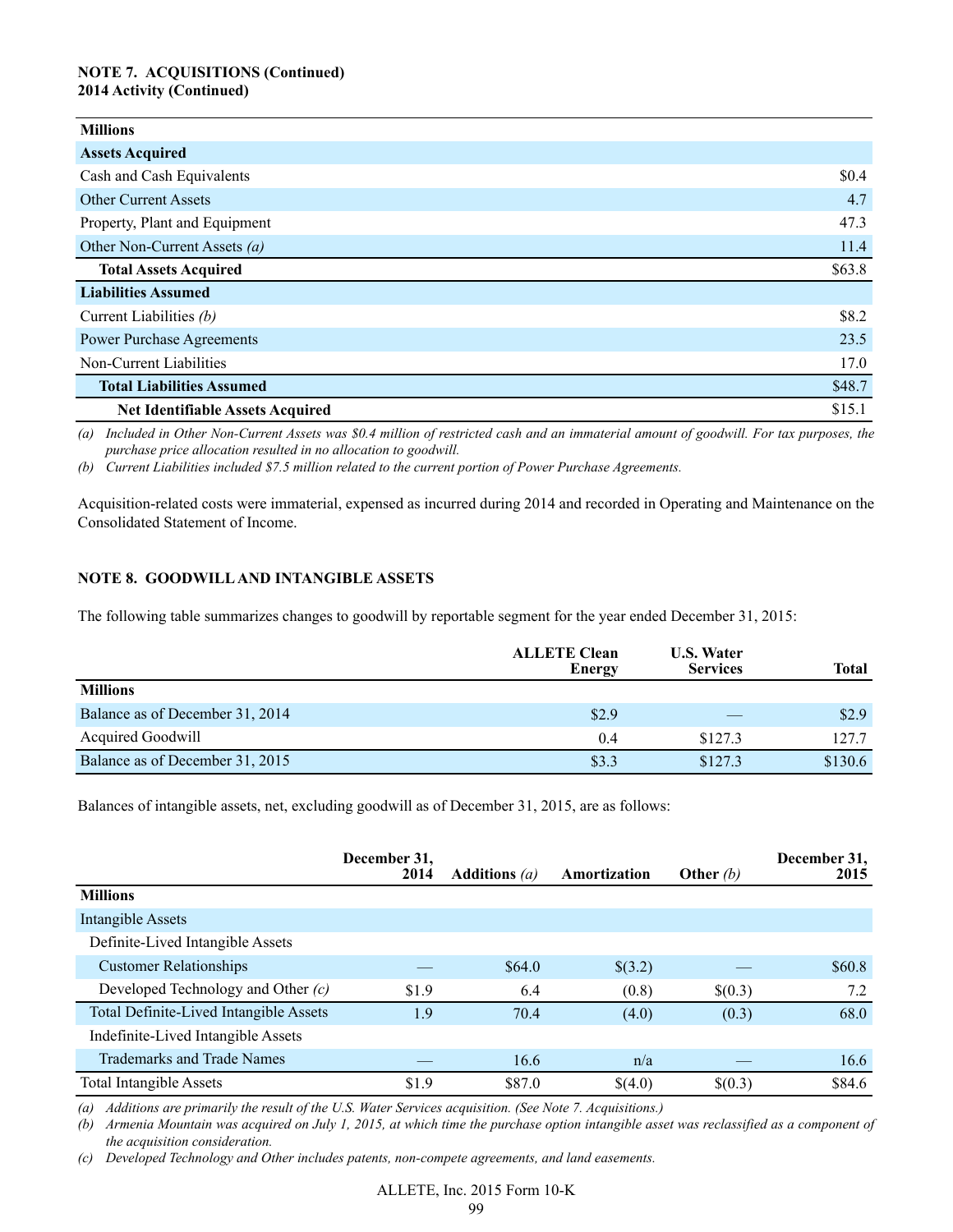# **NOTE 7. ACQUISITIONS (Continued) 2014 Activity (Continued)**

| <b>Millions</b>                         |        |
|-----------------------------------------|--------|
| <b>Assets Acquired</b>                  |        |
| Cash and Cash Equivalents               | \$0.4  |
| <b>Other Current Assets</b>             | 4.7    |
| Property, Plant and Equipment           | 47.3   |
| Other Non-Current Assets (a)            | 11.4   |
| <b>Total Assets Acquired</b>            | \$63.8 |
| <b>Liabilities Assumed</b>              |        |
| Current Liabilities (b)                 | \$8.2  |
| <b>Power Purchase Agreements</b>        | 23.5   |
| Non-Current Liabilities                 | 17.0   |
| <b>Total Liabilities Assumed</b>        | \$48.7 |
| <b>Net Identifiable Assets Acquired</b> | \$15.1 |

*(a) Included in Other Non-Current Assets was \$0.4 million of restricted cash and an immaterial amount of goodwill. For tax purposes, the purchase price allocation resulted in no allocation to goodwill.*

*(b) Current Liabilities included \$7.5 million related to the current portion of Power Purchase Agreements.*

Acquisition-related costs were immaterial, expensed as incurred during 2014 and recorded in Operating and Maintenance on the Consolidated Statement of Income.

# **NOTE 8. GOODWILL AND INTANGIBLE ASSETS**

The following table summarizes changes to goodwill by reportable segment for the year ended December 31, 2015:

|                                 | <b>ALLETE Clean</b><br>Energy | <b>U.S. Water</b><br><b>Services</b> | Total   |
|---------------------------------|-------------------------------|--------------------------------------|---------|
| <b>Millions</b>                 |                               |                                      |         |
| Balance as of December 31, 2014 | \$2.9                         |                                      | \$2.9   |
| <b>Acquired Goodwill</b>        | 0.4                           | \$127.3                              | 127.7   |
| Balance as of December 31, 2015 | \$3.3                         | \$127.3                              | \$130.6 |

Balances of intangible assets, net, excluding goodwill as of December 31, 2015, are as follows:

|                                               | December 31,<br>2014 | <b>Additions</b> (a) | Amortization | Other $(b)$ | December 31,<br>2015 |
|-----------------------------------------------|----------------------|----------------------|--------------|-------------|----------------------|
| <b>Millions</b>                               |                      |                      |              |             |                      |
| Intangible Assets                             |                      |                      |              |             |                      |
| Definite-Lived Intangible Assets              |                      |                      |              |             |                      |
| <b>Customer Relationships</b>                 |                      | \$64.0               | \$(3.2)      |             | \$60.8               |
| Developed Technology and Other (c)            | \$1.9                | 6.4                  | (0.8)        | \$(0.3)     | 7.2                  |
| <b>Total Definite-Lived Intangible Assets</b> | 1.9                  | 70.4                 | (4.0)        | (0.3)       | 68.0                 |
| Indefinite-Lived Intangible Assets            |                      |                      |              |             |                      |
| <b>Trademarks and Trade Names</b>             |                      | 16.6                 | n/a          |             | 16.6                 |
| <b>Total Intangible Assets</b>                | \$1.9                | \$87.0               | \$(4.0)      | \$(0.3)     | \$84.6               |

*(a) Additions are primarily the result of the U.S. Water Services acquisition. (See Note 7. Acquisitions.)*

*(b) Armenia Mountain was acquired on July 1, 2015, at which time the purchase option intangible asset was reclassified as a component of the acquisition consideration.*

*(c) Developed Technology and Other includes patents, non-compete agreements, and land easements.*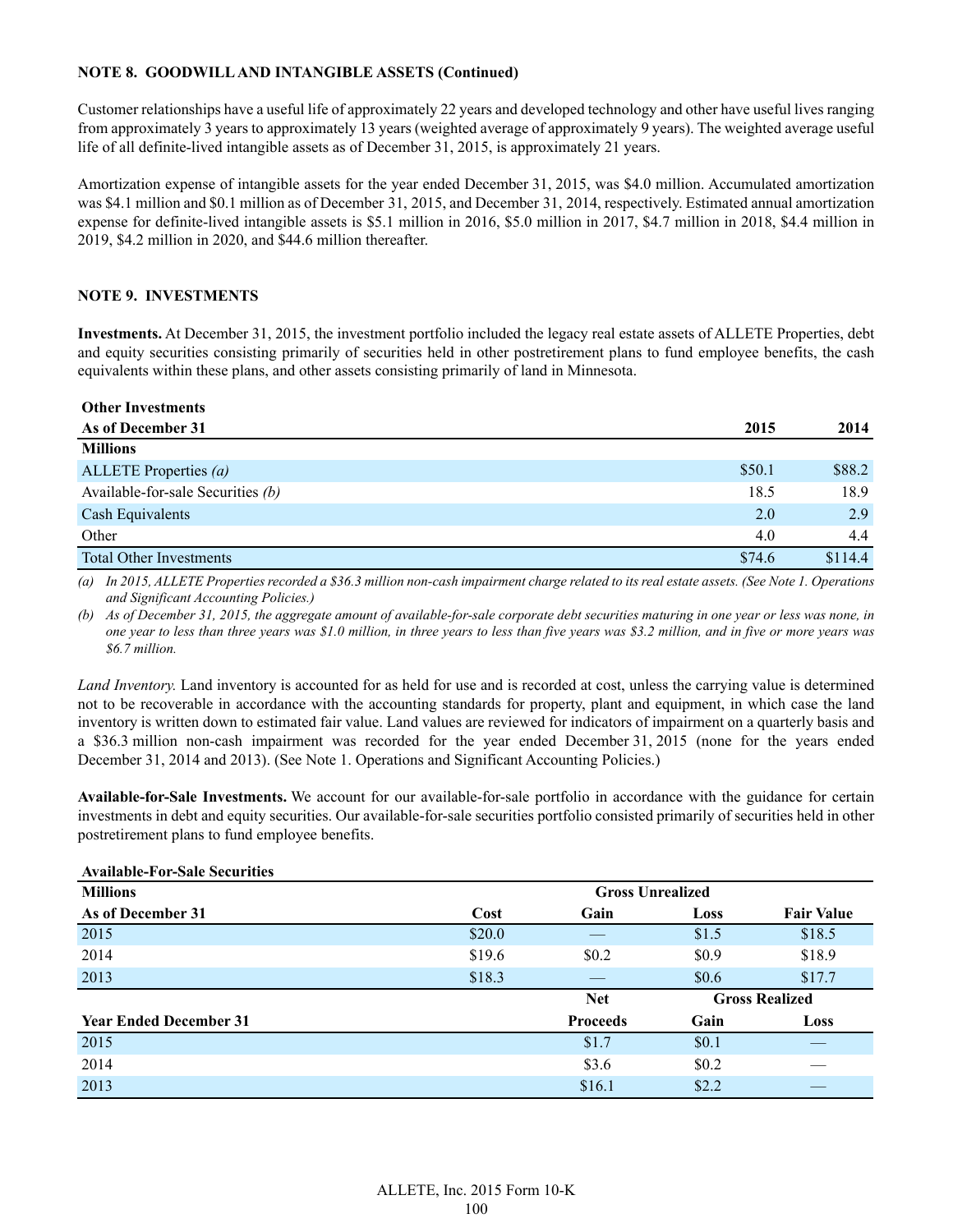# **NOTE 8. GOODWILL AND INTANGIBLE ASSETS (Continued)**

Customer relationships have a useful life of approximately 22 years and developed technology and other have useful lives ranging from approximately 3 years to approximately 13 years (weighted average of approximately 9 years). The weighted average useful life of all definite-lived intangible assets as of December 31, 2015, is approximately 21 years.

Amortization expense of intangible assets for the year ended December 31, 2015, was \$4.0 million. Accumulated amortization was \$4.1 million and \$0.1 million as of December 31, 2015, and December 31, 2014, respectively. Estimated annual amortization expense for definite-lived intangible assets is \$5.1 million in 2016, \$5.0 million in 2017, \$4.7 million in 2018, \$4.4 million in 2019, \$4.2 million in 2020, and \$44.6 million thereafter.

#### **NOTE 9. INVESTMENTS**

**Investments.** At December 31, 2015, the investment portfolio included the legacy real estate assets of ALLETE Properties, debt and equity securities consisting primarily of securities held in other postretirement plans to fund employee benefits, the cash equivalents within these plans, and other assets consisting primarily of land in Minnesota.

| <b>Other Investments</b>            |        |         |
|-------------------------------------|--------|---------|
| As of December 31                   | 2015   | 2014    |
| <b>Millions</b>                     |        |         |
| ALLETE Properties $(a)$             | \$50.1 | \$88.2  |
| Available-for-sale Securities $(b)$ | 18.5   | 18.9    |
| Cash Equivalents                    | 2.0    | 2.9     |
| Other                               | 4.0    | 4.4     |
| <b>Total Other Investments</b>      | \$74.6 | \$114.4 |

*(a) In 2015, ALLETE Properties recorded a \$36.3 million non-cash impairment charge related to its real estate assets. (See Note 1. Operations and Significant Accounting Policies.)*

*(b) As of December 31, 2015, the aggregate amount of available-for-sale corporate debt securities maturing in one year or less was none, in one year to less than three years was \$1.0 million, in three years to less than five years was \$3.2 million, and in five or more years was \$6.7 million.*

*Land Inventory.* Land inventory is accounted for as held for use and is recorded at cost, unless the carrying value is determined not to be recoverable in accordance with the accounting standards for property, plant and equipment, in which case the land inventory is written down to estimated fair value. Land values are reviewed for indicators of impairment on a quarterly basis and a \$36.3 million non-cash impairment was recorded for the year ended December 31, 2015 (none for the years ended December 31, 2014 and 2013). (See Note 1. Operations and Significant Accounting Policies.)

**Available-for-Sale Investments.** We account for our available-for-sale portfolio in accordance with the guidance for certain investments in debt and equity securities. Our available-for-sale securities portfolio consisted primarily of securities held in other postretirement plans to fund employee benefits.

| <b>Available-For-Sale Securities</b> |        |                         |                       |                   |  |
|--------------------------------------|--------|-------------------------|-----------------------|-------------------|--|
| <b>Millions</b>                      |        | <b>Gross Unrealized</b> |                       |                   |  |
| As of December 31                    | Cost   | Gain                    | Loss                  | <b>Fair Value</b> |  |
| 2015                                 | \$20.0 |                         | \$1.5                 | \$18.5            |  |
| 2014                                 | \$19.6 | \$0.2                   | \$0.9                 | \$18.9            |  |
| 2013                                 | \$18.3 |                         | \$0.6                 | \$17.7            |  |
|                                      |        | <b>Net</b>              | <b>Gross Realized</b> |                   |  |
| <b>Year Ended December 31</b>        |        | <b>Proceeds</b>         | Gain                  | Loss              |  |
| 2015                                 |        | \$1.7                   | \$0.1                 |                   |  |
| 2014                                 |        | \$3.6                   | \$0.2\$               |                   |  |
| 2013                                 |        | \$16.1                  | \$2.2                 |                   |  |

# **Available-For-Sale Securities**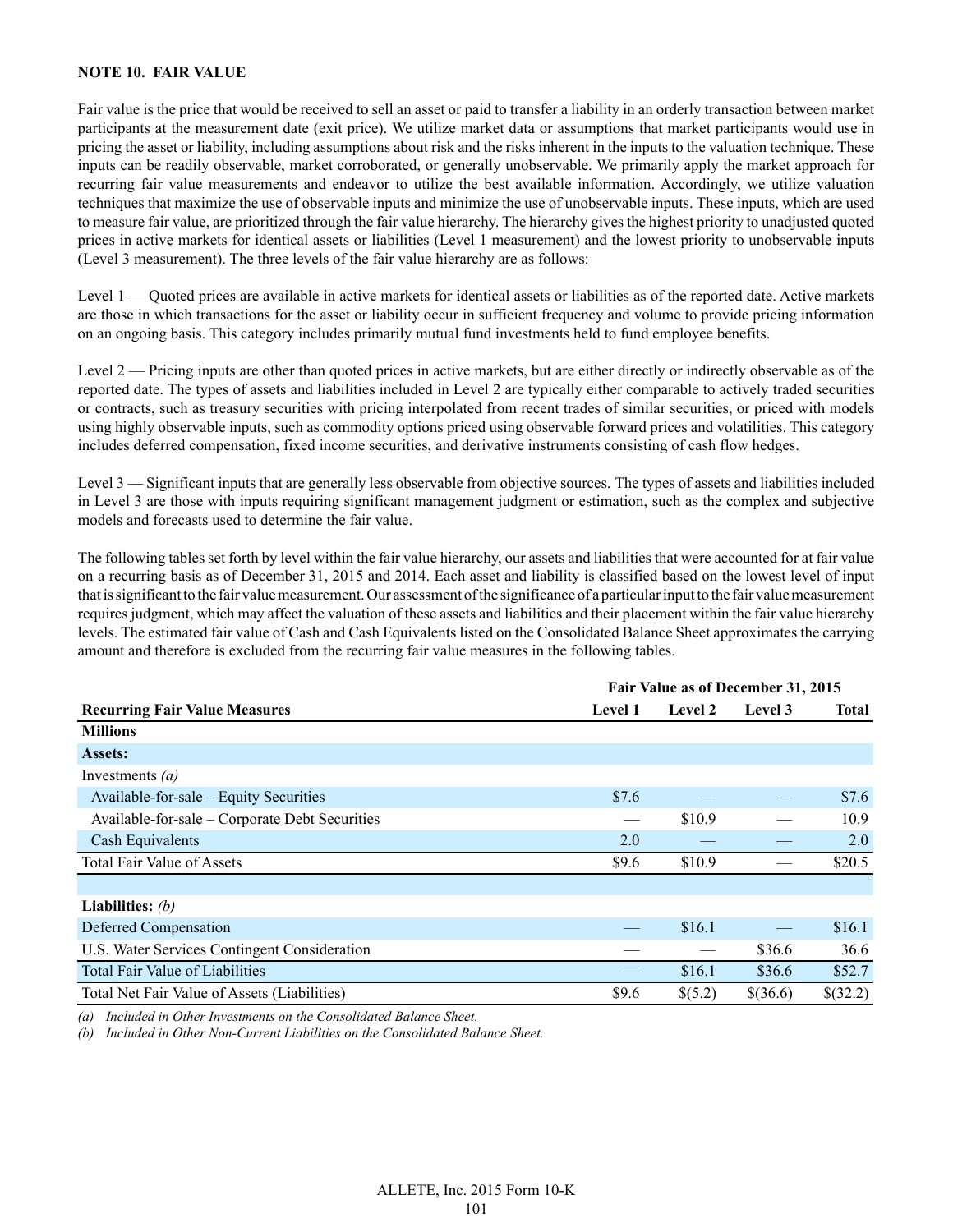#### **NOTE 10. FAIR VALUE**

Fair value is the price that would be received to sell an asset or paid to transfer a liability in an orderly transaction between market participants at the measurement date (exit price). We utilize market data or assumptions that market participants would use in pricing the asset or liability, including assumptions about risk and the risks inherent in the inputs to the valuation technique. These inputs can be readily observable, market corroborated, or generally unobservable. We primarily apply the market approach for recurring fair value measurements and endeavor to utilize the best available information. Accordingly, we utilize valuation techniques that maximize the use of observable inputs and minimize the use of unobservable inputs. These inputs, which are used to measure fair value, are prioritized through the fair value hierarchy. The hierarchy gives the highest priority to unadjusted quoted prices in active markets for identical assets or liabilities (Level 1 measurement) and the lowest priority to unobservable inputs (Level 3 measurement). The three levels of the fair value hierarchy are as follows:

Level 1 — Quoted prices are available in active markets for identical assets or liabilities as of the reported date. Active markets are those in which transactions for the asset or liability occur in sufficient frequency and volume to provide pricing information on an ongoing basis. This category includes primarily mutual fund investments held to fund employee benefits.

Level 2 — Pricing inputs are other than quoted prices in active markets, but are either directly or indirectly observable as of the reported date. The types of assets and liabilities included in Level 2 are typically either comparable to actively traded securities or contracts, such as treasury securities with pricing interpolated from recent trades of similar securities, or priced with models using highly observable inputs, such as commodity options priced using observable forward prices and volatilities. This category includes deferred compensation, fixed income securities, and derivative instruments consisting of cash flow hedges.

Level 3 — Significant inputs that are generally less observable from objective sources. The types of assets and liabilities included in Level 3 are those with inputs requiring significant management judgment or estimation, such as the complex and subjective models and forecasts used to determine the fair value.

The following tables set forth by level within the fair value hierarchy, our assets and liabilities that were accounted for at fair value on a recurring basis as of December 31, 2015 and 2014. Each asset and liability is classified based on the lowest level of input that is significant to the fair value measurement. Our assessment of the significance of a particular input to the fair value measurement requires judgment, which may affect the valuation of these assets and liabilities and their placement within the fair value hierarchy levels. The estimated fair value of Cash and Cash Equivalents listed on the Consolidated Balance Sheet approximates the carrying amount and therefore is excluded from the recurring fair value measures in the following tables.

|                                                |                | Fair Value as of December 31, 2015 |          |          |
|------------------------------------------------|----------------|------------------------------------|----------|----------|
| <b>Recurring Fair Value Measures</b>           | <b>Level 1</b> | <b>Level 2</b>                     | Level 3  | Total    |
| <b>Millions</b>                                |                |                                    |          |          |
| <b>Assets:</b>                                 |                |                                    |          |          |
| Investments $(a)$                              |                |                                    |          |          |
| Available-for-sale – Equity Securities         | \$7.6          |                                    |          | \$7.6    |
| Available-for-sale – Corporate Debt Securities |                | \$10.9                             |          | 10.9     |
| Cash Equivalents                               | 2.0            |                                    |          | 2.0      |
| <b>Total Fair Value of Assets</b>              | \$9.6          | \$10.9                             |          | \$20.5   |
|                                                |                |                                    |          |          |
| Liabilities: $(b)$                             |                |                                    |          |          |
| Deferred Compensation                          |                | \$16.1                             |          | \$16.1   |
| U.S. Water Services Contingent Consideration   |                |                                    | \$36.6   | 36.6     |
| Total Fair Value of Liabilities                |                | \$16.1                             | \$36.6   | \$52.7   |
| Total Net Fair Value of Assets (Liabilities)   | \$9.6          | \$(5.2)                            | \$(36.6) | \$(32.2) |

*(a) Included in Other Investments on the Consolidated Balance Sheet.*

*(b) Included in Other Non-Current Liabilities on the Consolidated Balance Sheet.*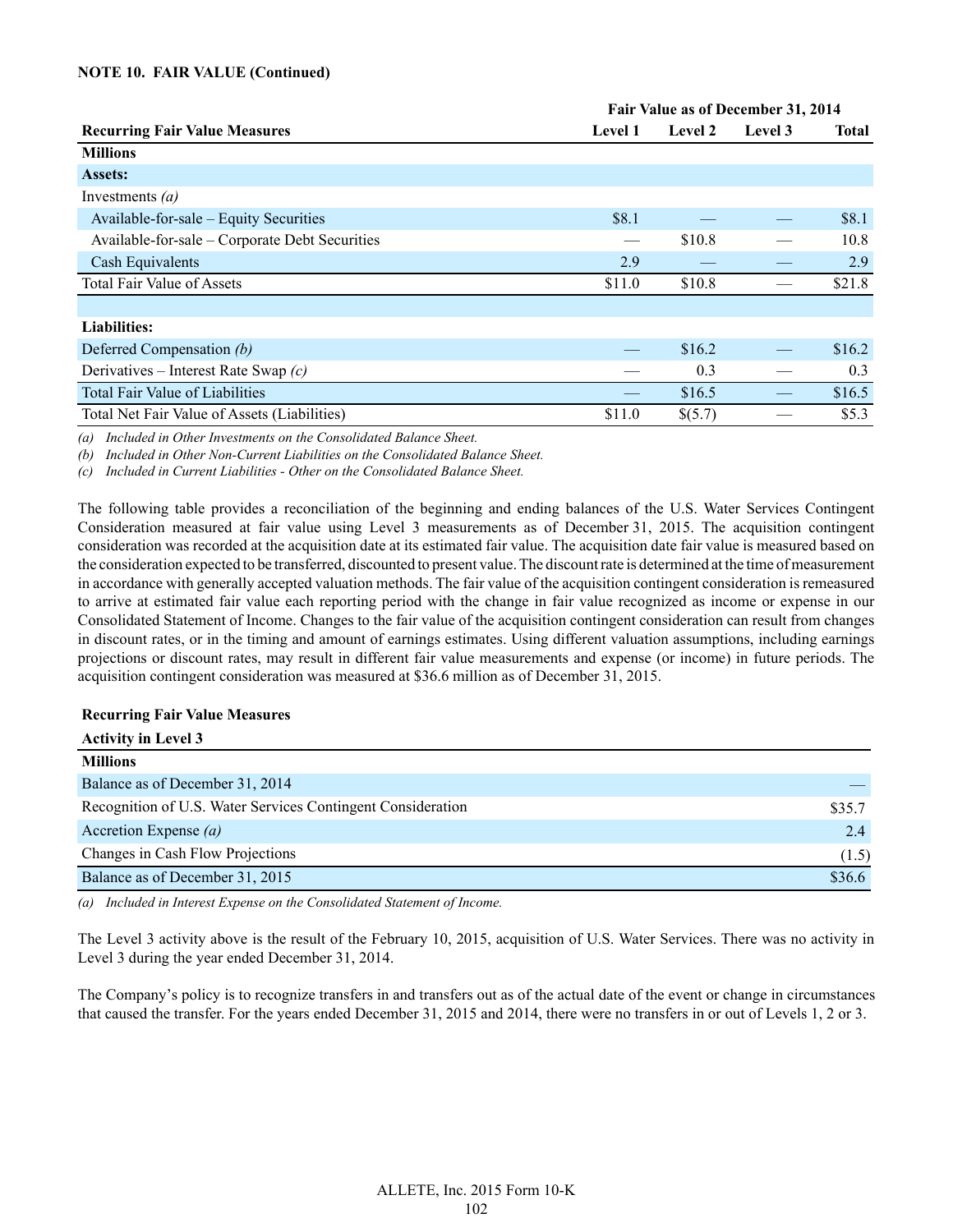#### **NOTE 10. FAIR VALUE (Continued)**

|                                                |         | Fair Value as of December 31, 2014 |         |              |
|------------------------------------------------|---------|------------------------------------|---------|--------------|
| <b>Recurring Fair Value Measures</b>           | Level 1 | <b>Level 2</b>                     | Level 3 | <b>Total</b> |
| <b>Millions</b>                                |         |                                    |         |              |
| <b>Assets:</b>                                 |         |                                    |         |              |
| Investments $(a)$                              |         |                                    |         |              |
| Available-for-sale – Equity Securities         | \$8.1   |                                    |         | \$8.1        |
| Available-for-sale – Corporate Debt Securities |         | \$10.8                             |         | 10.8         |
| Cash Equivalents                               | 2.9     |                                    |         | 2.9          |
| <b>Total Fair Value of Assets</b>              | \$11.0  | \$10.8                             |         | \$21.8       |
|                                                |         |                                    |         |              |
| <b>Liabilities:</b>                            |         |                                    |         |              |
| Deferred Compensation (b)                      |         | \$16.2                             |         | \$16.2       |
| Derivatives – Interest Rate Swap $(c)$         |         | 0.3                                |         | 0.3          |
| Total Fair Value of Liabilities                |         | \$16.5                             |         | \$16.5       |
| Total Net Fair Value of Assets (Liabilities)   | \$11.0  | $\$(5.7)$                          |         | \$5.3\$      |

*(a) Included in Other Investments on the Consolidated Balance Sheet.*

*(b) Included in Other Non-Current Liabilities on the Consolidated Balance Sheet.*

*(c) Included in Current Liabilities - Other on the Consolidated Balance Sheet.*

The following table provides a reconciliation of the beginning and ending balances of the U.S. Water Services Contingent Consideration measured at fair value using Level 3 measurements as of December 31, 2015. The acquisition contingent consideration was recorded at the acquisition date at its estimated fair value. The acquisition date fair value is measured based on the consideration expected to be transferred, discounted to present value. The discount rate is determined at the time of measurement in accordance with generally accepted valuation methods. The fair value of the acquisition contingent consideration is remeasured to arrive at estimated fair value each reporting period with the change in fair value recognized as income or expense in our Consolidated Statement of Income. Changes to the fair value of the acquisition contingent consideration can result from changes in discount rates, or in the timing and amount of earnings estimates. Using different valuation assumptions, including earnings projections or discount rates, may result in different fair value measurements and expense (or income) in future periods. The acquisition contingent consideration was measured at \$36.6 million as of December 31, 2015.

#### **Recurring Fair Value Measures**

| <b>Activity in Level 3</b>                                  |        |
|-------------------------------------------------------------|--------|
| <b>Millions</b>                                             |        |
| Balance as of December 31, 2014                             |        |
| Recognition of U.S. Water Services Contingent Consideration | \$35.7 |
| Accretion Expense $(a)$                                     | 2.4    |
| Changes in Cash Flow Projections                            | (1.5)  |
| Balance as of December 31, 2015                             | \$36.6 |

*(a) Included in Interest Expense on the Consolidated Statement of Income.*

The Level 3 activity above is the result of the February 10, 2015, acquisition of U.S. Water Services. There was no activity in Level 3 during the year ended December 31, 2014.

The Company's policy is to recognize transfers in and transfers out as of the actual date of the event or change in circumstances that caused the transfer. For the years ended December 31, 2015 and 2014, there were no transfers in or out of Levels 1, 2 or 3.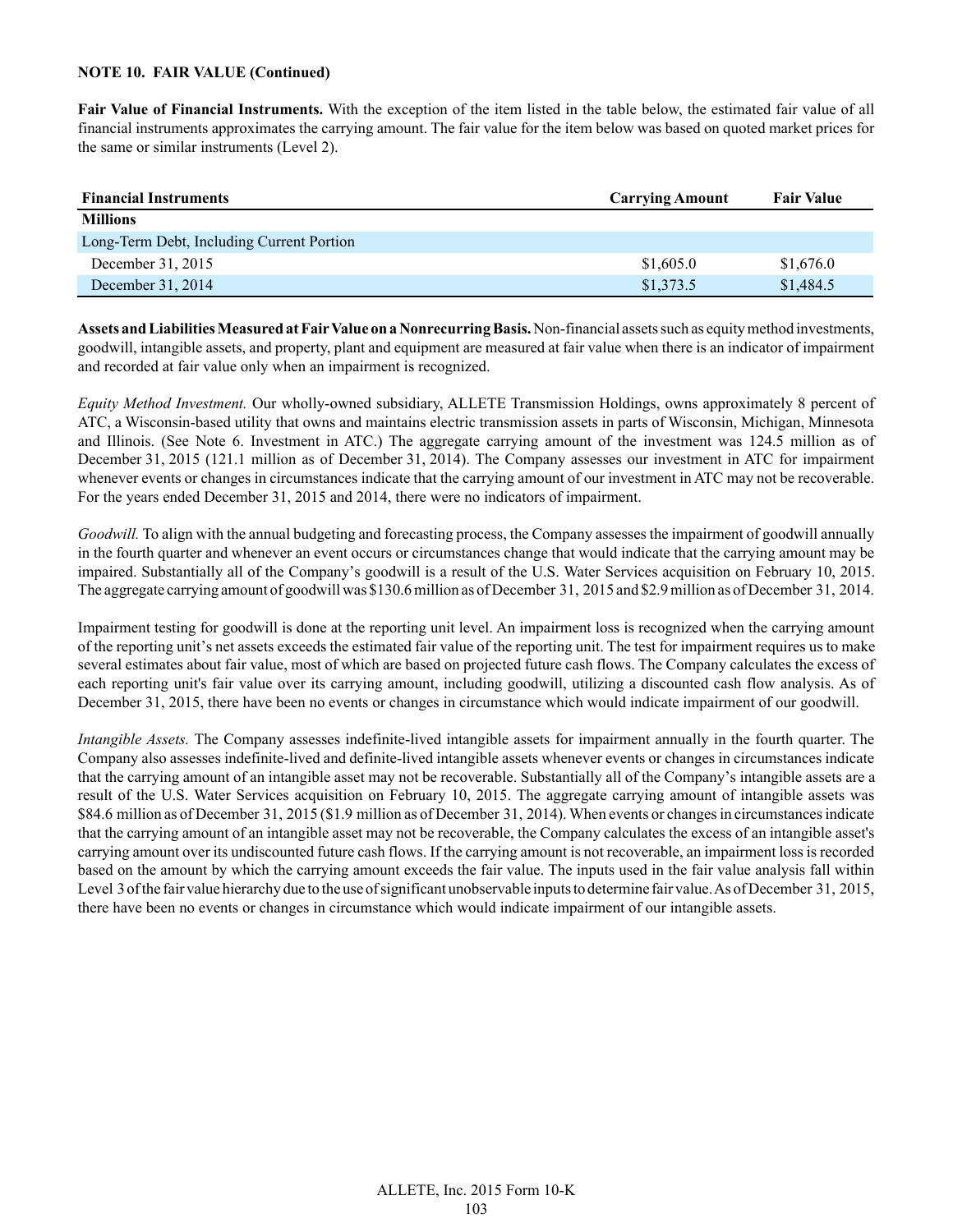#### **NOTE 10. FAIR VALUE (Continued)**

**Fair Value of Financial Instruments.** With the exception of the item listed in the table below, the estimated fair value of all financial instruments approximates the carrying amount. The fair value for the item below was based on quoted market prices for the same or similar instruments (Level 2).

| <b>Financial Instruments</b>              | <b>Carrying Amount</b> | <b>Fair Value</b> |  |
|-------------------------------------------|------------------------|-------------------|--|
| <b>Millions</b>                           |                        |                   |  |
| Long-Term Debt, Including Current Portion |                        |                   |  |
| December 31, 2015                         | \$1,605.0              | \$1,676.0         |  |
| December 31, 2014                         | \$1,373.5              | \$1,484.5         |  |

**Assets and Liabilities Measured at Fair Value on a Nonrecurring Basis.** Non-financial assets such as equity method investments, goodwill, intangible assets, and property, plant and equipment are measured at fair value when there is an indicator of impairment and recorded at fair value only when an impairment is recognized.

*Equity Method Investment.* Our wholly-owned subsidiary, ALLETE Transmission Holdings, owns approximately 8 percent of ATC, a Wisconsin-based utility that owns and maintains electric transmission assets in parts of Wisconsin, Michigan, Minnesota and Illinois. (See Note 6. Investment in ATC.) The aggregate carrying amount of the investment was 124.5 million as of December 31, 2015 (121.1 million as of December 31, 2014). The Company assesses our investment in ATC for impairment whenever events or changes in circumstances indicate that the carrying amount of our investment in ATC may not be recoverable. For the years ended December 31, 2015 and 2014, there were no indicators of impairment.

*Goodwill.* To align with the annual budgeting and forecasting process, the Company assesses the impairment of goodwill annually in the fourth quarter and whenever an event occurs or circumstances change that would indicate that the carrying amount may be impaired. Substantially all of the Company's goodwill is a result of the U.S. Water Services acquisition on February 10, 2015. The aggregate carrying amount of goodwill was \$130.6 million as of December 31, 2015 and \$2.9 million as of December 31, 2014.

Impairment testing for goodwill is done at the reporting unit level. An impairment loss is recognized when the carrying amount of the reporting unit's net assets exceeds the estimated fair value of the reporting unit. The test for impairment requires us to make several estimates about fair value, most of which are based on projected future cash flows. The Company calculates the excess of each reporting unit's fair value over its carrying amount, including goodwill, utilizing a discounted cash flow analysis. As of December 31, 2015, there have been no events or changes in circumstance which would indicate impairment of our goodwill.

*Intangible Assets.* The Company assesses indefinite-lived intangible assets for impairment annually in the fourth quarter. The Company also assesses indefinite-lived and definite-lived intangible assets whenever events or changes in circumstances indicate that the carrying amount of an intangible asset may not be recoverable. Substantially all of the Company's intangible assets are a result of the U.S. Water Services acquisition on February 10, 2015. The aggregate carrying amount of intangible assets was \$84.6 million as of December 31, 2015 (\$1.9 million as of December 31, 2014). When events or changes in circumstances indicate that the carrying amount of an intangible asset may not be recoverable, the Company calculates the excess of an intangible asset's carrying amount over its undiscounted future cash flows. If the carrying amount is not recoverable, an impairment loss is recorded based on the amount by which the carrying amount exceeds the fair value. The inputs used in the fair value analysis fall within Level 3 of the fair value hierarchy due to the use of significant unobservable inputs to determine fair value. As of December 31, 2015, there have been no events or changes in circumstance which would indicate impairment of our intangible assets.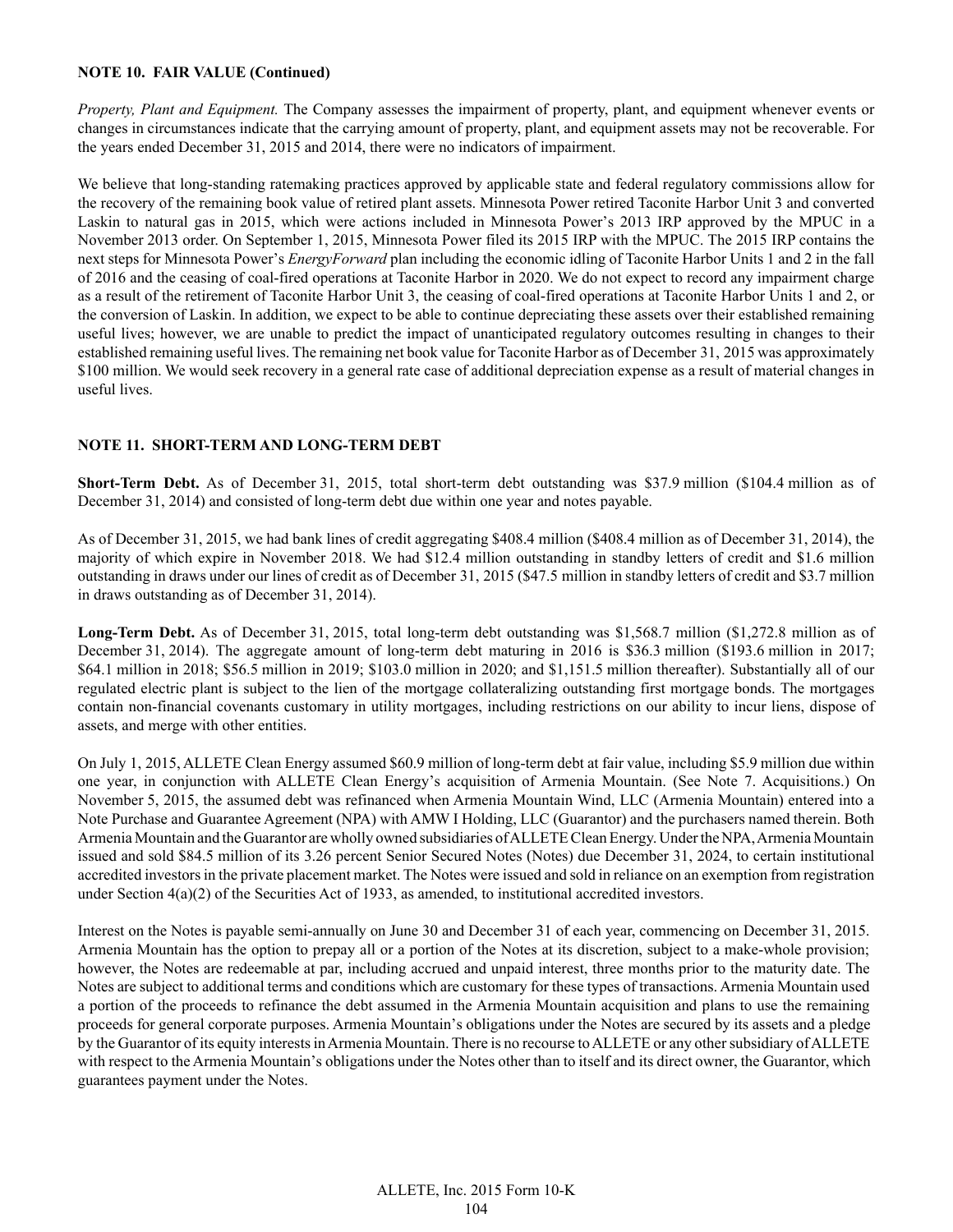### **NOTE 10. FAIR VALUE (Continued)**

*Property, Plant and Equipment.* The Company assesses the impairment of property, plant, and equipment whenever events or changes in circumstances indicate that the carrying amount of property, plant, and equipment assets may not be recoverable. For the years ended December 31, 2015 and 2014, there were no indicators of impairment.

We believe that long-standing ratemaking practices approved by applicable state and federal regulatory commissions allow for the recovery of the remaining book value of retired plant assets. Minnesota Power retired Taconite Harbor Unit 3 and converted Laskin to natural gas in 2015, which were actions included in Minnesota Power's 2013 IRP approved by the MPUC in a November 2013 order. On September 1, 2015, Minnesota Power filed its 2015 IRP with the MPUC. The 2015 IRP contains the next steps for Minnesota Power's *EnergyForward* plan including the economic idling of Taconite Harbor Units 1 and 2 in the fall of 2016 and the ceasing of coal-fired operations at Taconite Harbor in 2020. We do not expect to record any impairment charge as a result of the retirement of Taconite Harbor Unit 3, the ceasing of coal-fired operations at Taconite Harbor Units 1 and 2, or the conversion of Laskin. In addition, we expect to be able to continue depreciating these assets over their established remaining useful lives; however, we are unable to predict the impact of unanticipated regulatory outcomes resulting in changes to their established remaining useful lives. The remaining net book value for Taconite Harbor as of December 31, 2015 was approximately \$100 million. We would seek recovery in a general rate case of additional depreciation expense as a result of material changes in useful lives.

# **NOTE 11. SHORT-TERM AND LONG-TERM DEBT**

**Short-Term Debt.** As of December 31, 2015, total short-term debt outstanding was \$37.9 million (\$104.4 million as of December 31, 2014) and consisted of long-term debt due within one year and notes payable.

As of December 31, 2015, we had bank lines of credit aggregating \$408.4 million (\$408.4 million as of December 31, 2014), the majority of which expire in November 2018. We had \$12.4 million outstanding in standby letters of credit and \$1.6 million outstanding in draws under our lines of credit as of December 31, 2015 (\$47.5 million in standby letters of credit and \$3.7 million in draws outstanding as of December 31, 2014).

**Long-Term Debt.** As of December 31, 2015, total long-term debt outstanding was \$1,568.7 million (\$1,272.8 million as of December 31, 2014). The aggregate amount of long-term debt maturing in 2016 is \$36.3 million (\$193.6 million in 2017; \$64.1 million in 2018; \$56.5 million in 2019; \$103.0 million in 2020; and \$1,151.5 million thereafter). Substantially all of our regulated electric plant is subject to the lien of the mortgage collateralizing outstanding first mortgage bonds. The mortgages contain non-financial covenants customary in utility mortgages, including restrictions on our ability to incur liens, dispose of assets, and merge with other entities.

On July 1, 2015, ALLETE Clean Energy assumed \$60.9 million of long-term debt at fair value, including \$5.9 million due within one year, in conjunction with ALLETE Clean Energy's acquisition of Armenia Mountain. (See Note 7. Acquisitions.) On November 5, 2015, the assumed debt was refinanced when Armenia Mountain Wind, LLC (Armenia Mountain) entered into a Note Purchase and Guarantee Agreement (NPA) with AMW I Holding, LLC (Guarantor) and the purchasers named therein. Both Armenia Mountain and the Guarantor are wholly owned subsidiaries of ALLETE Clean Energy. Under the NPA, Armenia Mountain issued and sold \$84.5 million of its 3.26 percent Senior Secured Notes (Notes) due December 31, 2024, to certain institutional accredited investors in the private placement market. The Notes were issued and sold in reliance on an exemption from registration under Section  $4(a)(2)$  of the Securities Act of 1933, as amended, to institutional accredited investors.

Interest on the Notes is payable semi-annually on June 30 and December 31 of each year, commencing on December 31, 2015. Armenia Mountain has the option to prepay all or a portion of the Notes at its discretion, subject to a make-whole provision; however, the Notes are redeemable at par, including accrued and unpaid interest, three months prior to the maturity date. The Notes are subject to additional terms and conditions which are customary for these types of transactions. Armenia Mountain used a portion of the proceeds to refinance the debt assumed in the Armenia Mountain acquisition and plans to use the remaining proceeds for general corporate purposes. Armenia Mountain's obligations under the Notes are secured by its assets and a pledge by the Guarantor of its equity interests in Armenia Mountain. There is no recourse to ALLETE or any other subsidiary of ALLETE with respect to the Armenia Mountain's obligations under the Notes other than to itself and its direct owner, the Guarantor, which guarantees payment under the Notes.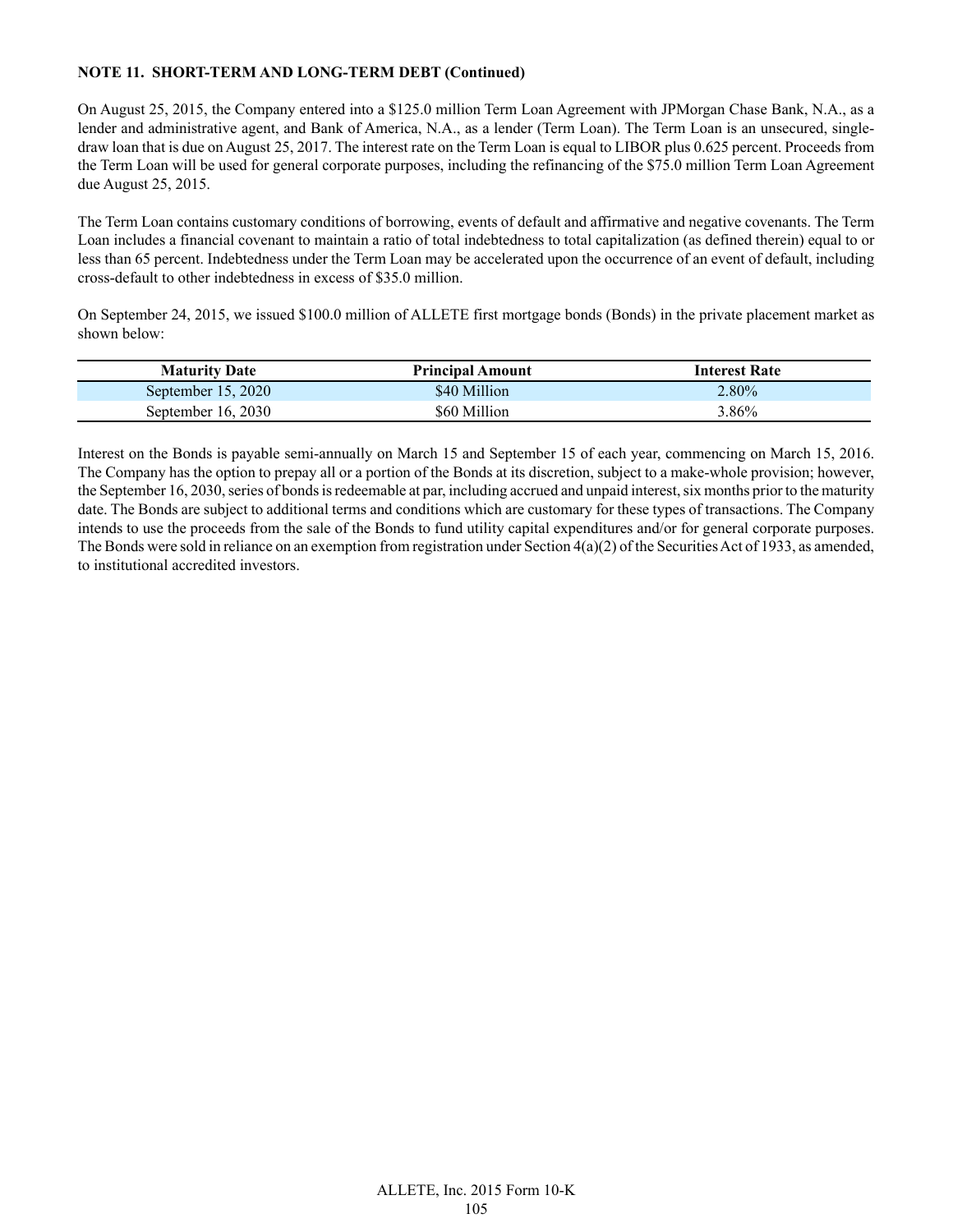# **NOTE 11. SHORT-TERM AND LONG-TERM DEBT (Continued)**

On August 25, 2015, the Company entered into a \$125.0 million Term Loan Agreement with JPMorgan Chase Bank, N.A., as a lender and administrative agent, and Bank of America, N.A., as a lender (Term Loan). The Term Loan is an unsecured, singledraw loan that is due on August 25, 2017. The interest rate on the Term Loan is equal to LIBOR plus 0.625 percent. Proceeds from the Term Loan will be used for general corporate purposes, including the refinancing of the \$75.0 million Term Loan Agreement due August 25, 2015.

The Term Loan contains customary conditions of borrowing, events of default and affirmative and negative covenants. The Term Loan includes a financial covenant to maintain a ratio of total indebtedness to total capitalization (as defined therein) equal to or less than 65 percent. Indebtedness under the Term Loan may be accelerated upon the occurrence of an event of default, including cross-default to other indebtedness in excess of \$35.0 million.

On September 24, 2015, we issued \$100.0 million of ALLETE first mortgage bonds (Bonds) in the private placement market as shown below:

| <b>Maturity Date</b> | <b>Principal Amount</b> | <b>Interest Rate</b> |
|----------------------|-------------------------|----------------------|
| September $15, 2020$ | \$40 Million            | 2.80%                |
| September $16, 2030$ | \$60 Million            | 3.86%                |

Interest on the Bonds is payable semi-annually on March 15 and September 15 of each year, commencing on March 15, 2016. The Company has the option to prepay all or a portion of the Bonds at its discretion, subject to a make-whole provision; however, the September 16, 2030, series of bonds is redeemable at par, including accrued and unpaid interest, six months prior to the maturity date. The Bonds are subject to additional terms and conditions which are customary for these types of transactions. The Company intends to use the proceeds from the sale of the Bonds to fund utility capital expenditures and/or for general corporate purposes. The Bonds were sold in reliance on an exemption from registration under Section 4(a)(2) of the Securities Act of 1933, as amended, to institutional accredited investors.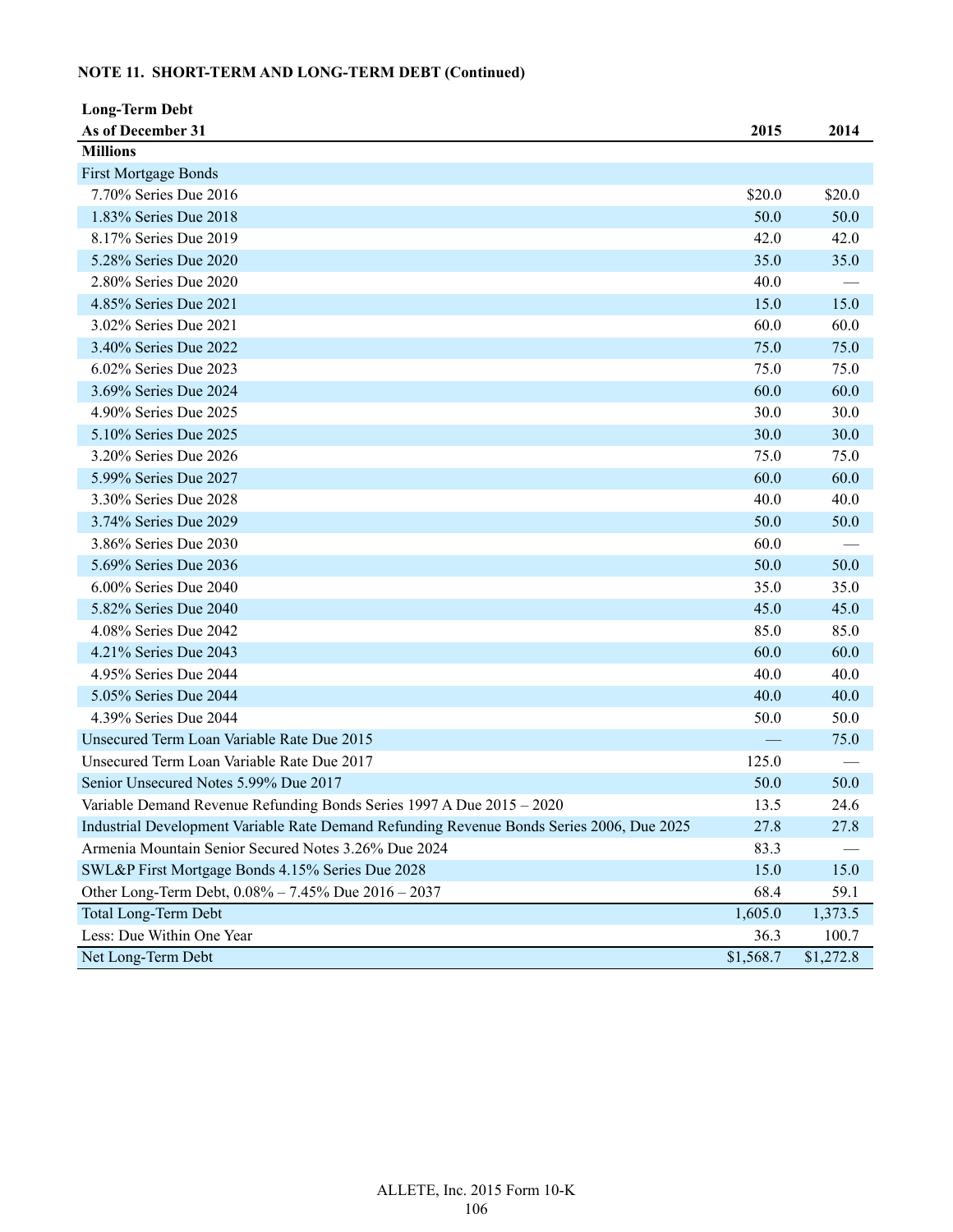# **NOTE 11. SHORT-TERM AND LONG-TERM DEBT (Continued)**

| <b>Long-Term Debt</b>                                                                     |           |           |
|-------------------------------------------------------------------------------------------|-----------|-----------|
| As of December 31                                                                         | 2015      | 2014      |
| <b>Millions</b>                                                                           |           |           |
| <b>First Mortgage Bonds</b>                                                               |           |           |
| 7.70% Series Due 2016                                                                     | \$20.0    | \$20.0    |
| 1.83% Series Due 2018                                                                     | 50.0      | 50.0      |
| 8.17% Series Due 2019                                                                     | 42.0      | 42.0      |
| 5.28% Series Due 2020                                                                     | 35.0      | 35.0      |
| 2.80% Series Due 2020                                                                     | 40.0      |           |
| 4.85% Series Due 2021                                                                     | 15.0      | 15.0      |
| 3.02% Series Due 2021                                                                     | 60.0      | 60.0      |
| 3.40% Series Due 2022                                                                     | 75.0      | 75.0      |
| 6.02% Series Due 2023                                                                     | 75.0      | 75.0      |
| 3.69% Series Due 2024                                                                     | 60.0      | 60.0      |
| 4.90% Series Due 2025                                                                     | 30.0      | 30.0      |
| 5.10% Series Due 2025                                                                     | 30.0      | 30.0      |
| 3.20% Series Due 2026                                                                     | 75.0      | 75.0      |
| 5.99% Series Due 2027                                                                     | 60.0      | 60.0      |
| 3.30% Series Due 2028                                                                     | 40.0      | 40.0      |
| 3.74% Series Due 2029                                                                     | 50.0      | 50.0      |
| 3.86% Series Due 2030                                                                     | 60.0      |           |
| 5.69% Series Due 2036                                                                     | 50.0      | 50.0      |
| 6.00% Series Due 2040                                                                     | 35.0      | 35.0      |
| 5.82% Series Due 2040                                                                     | 45.0      | 45.0      |
| 4.08% Series Due 2042                                                                     | 85.0      | 85.0      |
| 4.21% Series Due 2043                                                                     | 60.0      | 60.0      |
| 4.95% Series Due 2044                                                                     | 40.0      | 40.0      |
| 5.05% Series Due 2044                                                                     | 40.0      | 40.0      |
| 4.39% Series Due 2044                                                                     | 50.0      | 50.0      |
| Unsecured Term Loan Variable Rate Due 2015                                                |           | 75.0      |
| Unsecured Term Loan Variable Rate Due 2017                                                | 125.0     |           |
| Senior Unsecured Notes 5.99% Due 2017                                                     | 50.0      | 50.0      |
| Variable Demand Revenue Refunding Bonds Series 1997 A Due 2015 - 2020                     | 13.5      | 24.6      |
| Industrial Development Variable Rate Demand Refunding Revenue Bonds Series 2006, Due 2025 | 27.8      | 27.8      |
| Armenia Mountain Senior Secured Notes 3.26% Due 2024                                      | 83.3      |           |
| SWL&P First Mortgage Bonds 4.15% Series Due 2028                                          | 15.0      | 15.0      |
| Other Long-Term Debt, 0.08% - 7.45% Due 2016 - 2037                                       | 68.4      | 59.1      |
| Total Long-Term Debt                                                                      | 1,605.0   | 1,373.5   |
| Less: Due Within One Year                                                                 | 36.3      | 100.7     |
| Net Long-Term Debt                                                                        | \$1,568.7 | \$1,272.8 |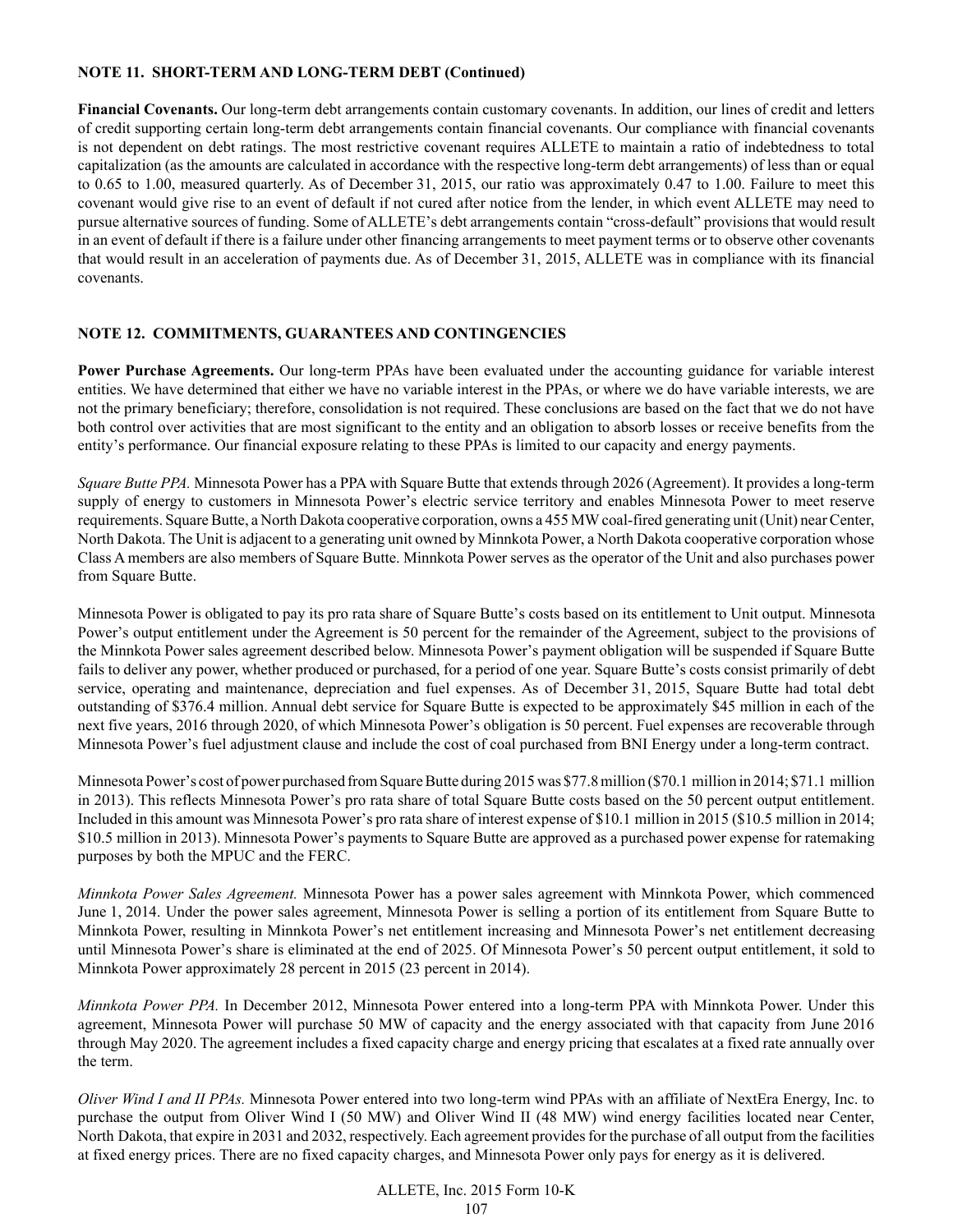#### **NOTE 11. SHORT-TERM AND LONG-TERM DEBT (Continued)**

**Financial Covenants.** Our long-term debt arrangements contain customary covenants. In addition, our lines of credit and letters of credit supporting certain long-term debt arrangements contain financial covenants. Our compliance with financial covenants is not dependent on debt ratings. The most restrictive covenant requires ALLETE to maintain a ratio of indebtedness to total capitalization (as the amounts are calculated in accordance with the respective long-term debt arrangements) of less than or equal to 0.65 to 1.00, measured quarterly. As of December 31, 2015, our ratio was approximately 0.47 to 1.00. Failure to meet this covenant would give rise to an event of default if not cured after notice from the lender, in which event ALLETE may need to pursue alternative sources of funding. Some of ALLETE's debt arrangements contain "cross-default" provisions that would result in an event of default if there is a failure under other financing arrangements to meet payment terms or to observe other covenants that would result in an acceleration of payments due. As of December 31, 2015, ALLETE was in compliance with its financial covenants.

#### **NOTE 12. COMMITMENTS, GUARANTEES AND CONTINGENCIES**

**Power Purchase Agreements.** Our long-term PPAs have been evaluated under the accounting guidance for variable interest entities. We have determined that either we have no variable interest in the PPAs, or where we do have variable interests, we are not the primary beneficiary; therefore, consolidation is not required. These conclusions are based on the fact that we do not have both control over activities that are most significant to the entity and an obligation to absorb losses or receive benefits from the entity's performance. Our financial exposure relating to these PPAs is limited to our capacity and energy payments.

*Square Butte PPA.* Minnesota Power has a PPA with Square Butte that extends through 2026 (Agreement). It provides a long-term supply of energy to customers in Minnesota Power's electric service territory and enables Minnesota Power to meet reserve requirements. Square Butte, a North Dakota cooperative corporation, owns a 455 MW coal-fired generating unit (Unit) near Center, North Dakota. The Unit is adjacent to a generating unit owned by Minnkota Power, a North Dakota cooperative corporation whose Class A members are also members of Square Butte. Minnkota Power serves as the operator of the Unit and also purchases power from Square Butte.

Minnesota Power is obligated to pay its pro rata share of Square Butte's costs based on its entitlement to Unit output. Minnesota Power's output entitlement under the Agreement is 50 percent for the remainder of the Agreement, subject to the provisions of the Minnkota Power sales agreement described below. Minnesota Power's payment obligation will be suspended if Square Butte fails to deliver any power, whether produced or purchased, for a period of one year. Square Butte's costs consist primarily of debt service, operating and maintenance, depreciation and fuel expenses. As of December 31, 2015, Square Butte had total debt outstanding of \$376.4 million. Annual debt service for Square Butte is expected to be approximately \$45 million in each of the next five years, 2016 through 2020, of which Minnesota Power's obligation is 50 percent. Fuel expenses are recoverable through Minnesota Power's fuel adjustment clause and include the cost of coal purchased from BNI Energy under a long-term contract.

Minnesota Power's cost of power purchased from Square Butte during 2015 was \$77.8 million (\$70.1 million in 2014; \$71.1 million in 2013). This reflects Minnesota Power's pro rata share of total Square Butte costs based on the 50 percent output entitlement. Included in this amount was Minnesota Power's pro rata share of interest expense of \$10.1 million in 2015 (\$10.5 million in 2014; \$10.5 million in 2013). Minnesota Power's payments to Square Butte are approved as a purchased power expense for ratemaking purposes by both the MPUC and the FERC.

*Minnkota Power Sales Agreement.* Minnesota Power has a power sales agreement with Minnkota Power, which commenced June 1, 2014. Under the power sales agreement, Minnesota Power is selling a portion of its entitlement from Square Butte to Minnkota Power, resulting in Minnkota Power's net entitlement increasing and Minnesota Power's net entitlement decreasing until Minnesota Power's share is eliminated at the end of 2025. Of Minnesota Power's 50 percent output entitlement, it sold to Minnkota Power approximately 28 percent in 2015 (23 percent in 2014).

*Minnkota Power PPA.* In December 2012, Minnesota Power entered into a long-term PPA with Minnkota Power. Under this agreement, Minnesota Power will purchase 50 MW of capacity and the energy associated with that capacity from June 2016 through May 2020. The agreement includes a fixed capacity charge and energy pricing that escalates at a fixed rate annually over the term.

*Oliver Wind I and II PPAs.* Minnesota Power entered into two long-term wind PPAs with an affiliate of NextEra Energy, Inc. to purchase the output from Oliver Wind I (50 MW) and Oliver Wind II (48 MW) wind energy facilities located near Center, North Dakota, that expire in 2031 and 2032, respectively. Each agreement provides for the purchase of all output from the facilities at fixed energy prices. There are no fixed capacity charges, and Minnesota Power only pays for energy as it is delivered.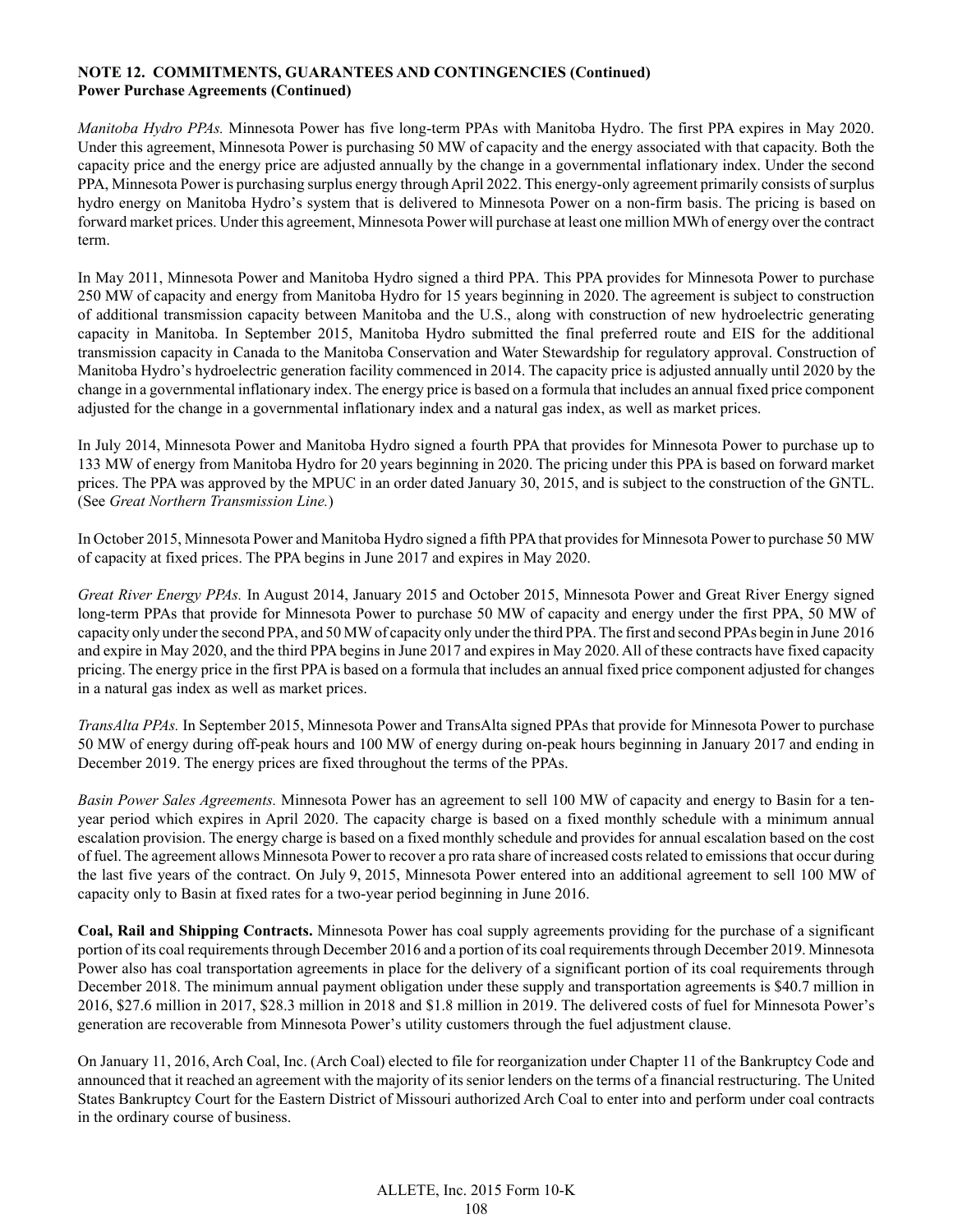# **NOTE 12. COMMITMENTS, GUARANTEES AND CONTINGENCIES (Continued) Power Purchase Agreements (Continued)**

*Manitoba Hydro PPAs.* Minnesota Power has five long-term PPAs with Manitoba Hydro. The first PPA expires in May 2020. Under this agreement, Minnesota Power is purchasing 50 MW of capacity and the energy associated with that capacity. Both the capacity price and the energy price are adjusted annually by the change in a governmental inflationary index. Under the second PPA, Minnesota Power is purchasing surplus energy through April 2022. This energy-only agreement primarily consists of surplus hydro energy on Manitoba Hydro's system that is delivered to Minnesota Power on a non-firm basis. The pricing is based on forward market prices. Under this agreement, Minnesota Power will purchase at least one million MWh of energy over the contract term.

In May 2011, Minnesota Power and Manitoba Hydro signed a third PPA. This PPA provides for Minnesota Power to purchase 250 MW of capacity and energy from Manitoba Hydro for 15 years beginning in 2020. The agreement is subject to construction of additional transmission capacity between Manitoba and the U.S., along with construction of new hydroelectric generating capacity in Manitoba. In September 2015, Manitoba Hydro submitted the final preferred route and EIS for the additional transmission capacity in Canada to the Manitoba Conservation and Water Stewardship for regulatory approval. Construction of Manitoba Hydro's hydroelectric generation facility commenced in 2014. The capacity price is adjusted annually until 2020 by the change in a governmental inflationary index. The energy price is based on a formula that includes an annual fixed price component adjusted for the change in a governmental inflationary index and a natural gas index, as well as market prices.

In July 2014, Minnesota Power and Manitoba Hydro signed a fourth PPA that provides for Minnesota Power to purchase up to 133 MW of energy from Manitoba Hydro for 20 years beginning in 2020. The pricing under this PPA is based on forward market prices. The PPA was approved by the MPUC in an order dated January 30, 2015, and is subject to the construction of the GNTL. (See *Great Northern Transmission Line.*)

In October 2015, Minnesota Power and Manitoba Hydro signed a fifth PPA that provides for Minnesota Power to purchase 50 MW of capacity at fixed prices. The PPA begins in June 2017 and expires in May 2020.

*Great River Energy PPAs.* In August 2014, January 2015 and October 2015, Minnesota Power and Great River Energy signed long-term PPAs that provide for Minnesota Power to purchase 50 MW of capacity and energy under the first PPA, 50 MW of capacity only under the second PPA, and 50 MW of capacity only under the third PPA. The first and second PPAs begin in June 2016 and expire in May 2020, and the third PPA begins in June 2017 and expires in May 2020. All of these contracts have fixed capacity pricing. The energy price in the first PPA is based on a formula that includes an annual fixed price component adjusted for changes in a natural gas index as well as market prices.

*TransAlta PPAs.* In September 2015, Minnesota Power and TransAlta signed PPAs that provide for Minnesota Power to purchase 50 MW of energy during off-peak hours and 100 MW of energy during on-peak hours beginning in January 2017 and ending in December 2019. The energy prices are fixed throughout the terms of the PPAs.

*Basin Power Sales Agreements.* Minnesota Power has an agreement to sell 100 MW of capacity and energy to Basin for a tenyear period which expires in April 2020. The capacity charge is based on a fixed monthly schedule with a minimum annual escalation provision. The energy charge is based on a fixed monthly schedule and provides for annual escalation based on the cost of fuel. The agreement allows Minnesota Power to recover a pro rata share of increased costs related to emissions that occur during the last five years of the contract. On July 9, 2015, Minnesota Power entered into an additional agreement to sell 100 MW of capacity only to Basin at fixed rates for a two-year period beginning in June 2016.

**Coal, Rail and Shipping Contracts.** Minnesota Power has coal supply agreements providing for the purchase of a significant portion of its coal requirements through December 2016 and a portion of its coal requirements through December 2019. Minnesota Power also has coal transportation agreements in place for the delivery of a significant portion of its coal requirements through December 2018. The minimum annual payment obligation under these supply and transportation agreements is \$40.7 million in 2016, \$27.6 million in 2017, \$28.3 million in 2018 and \$1.8 million in 2019. The delivered costs of fuel for Minnesota Power's generation are recoverable from Minnesota Power's utility customers through the fuel adjustment clause.

On January 11, 2016, Arch Coal, Inc. (Arch Coal) elected to file for reorganization under Chapter 11 of the Bankruptcy Code and announced that it reached an agreement with the majority of its senior lenders on the terms of a financial restructuring. The United States Bankruptcy Court for the Eastern District of Missouri authorized Arch Coal to enter into and perform under coal contracts in the ordinary course of business.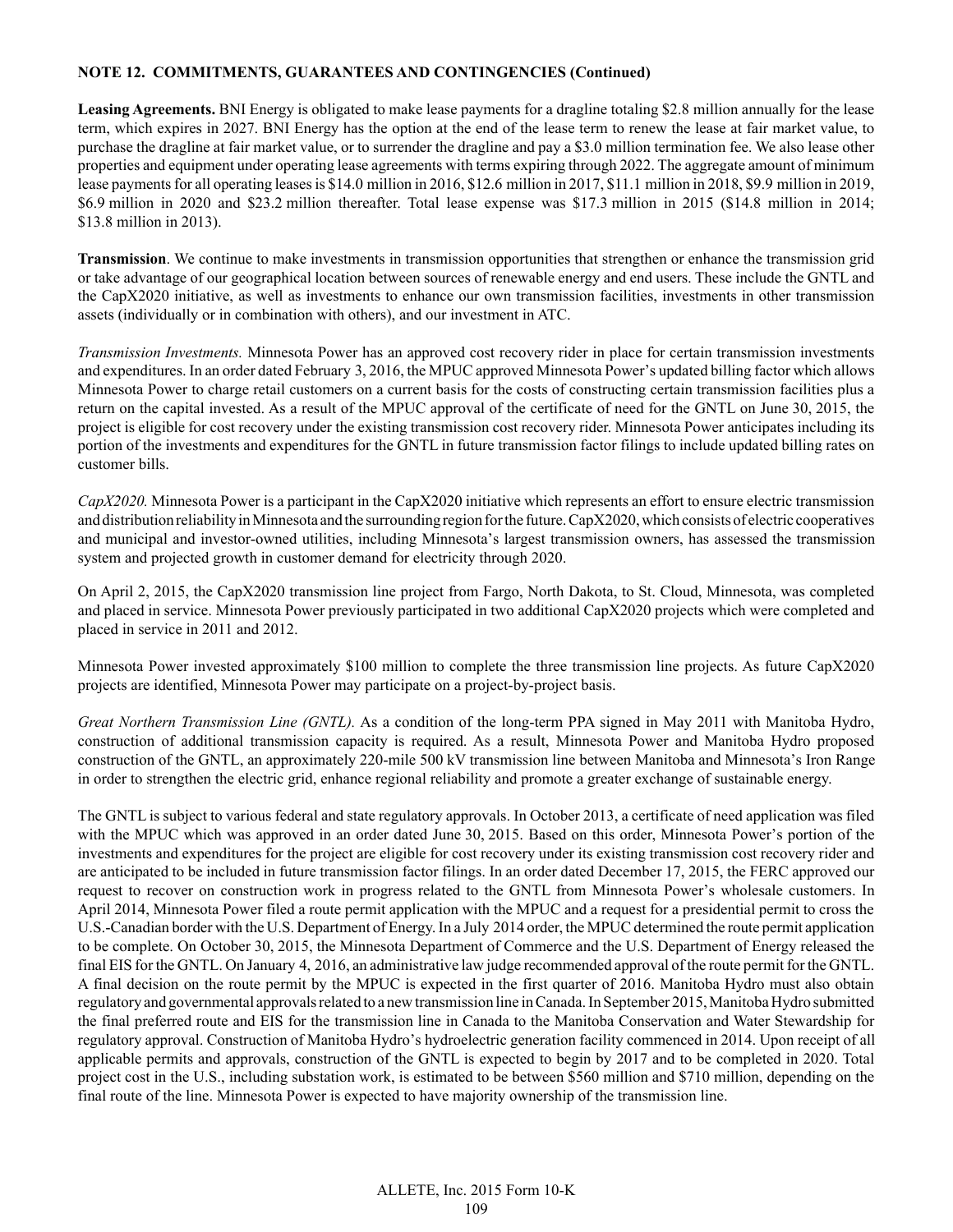# **NOTE 12. COMMITMENTS, GUARANTEES AND CONTINGENCIES (Continued)**

**Leasing Agreements.** BNI Energy is obligated to make lease payments for a dragline totaling \$2.8 million annually for the lease term, which expires in 2027. BNI Energy has the option at the end of the lease term to renew the lease at fair market value, to purchase the dragline at fair market value, or to surrender the dragline and pay a \$3.0 million termination fee. We also lease other properties and equipment under operating lease agreements with terms expiring through 2022. The aggregate amount of minimum lease payments for all operating leases is \$14.0 million in 2016, \$12.6 million in 2017, \$11.1 million in 2018, \$9.9 million in 2019, \$6.9 million in 2020 and \$23.2 million thereafter. Total lease expense was \$17.3 million in 2015 (\$14.8 million in 2014; \$13.8 million in 2013).

**Transmission**. We continue to make investments in transmission opportunities that strengthen or enhance the transmission grid or take advantage of our geographical location between sources of renewable energy and end users. These include the GNTL and the CapX2020 initiative, as well as investments to enhance our own transmission facilities, investments in other transmission assets (individually or in combination with others), and our investment in ATC.

*Transmission Investments.* Minnesota Power has an approved cost recovery rider in place for certain transmission investments and expenditures. In an order dated February 3, 2016, the MPUC approved Minnesota Power's updated billing factor which allows Minnesota Power to charge retail customers on a current basis for the costs of constructing certain transmission facilities plus a return on the capital invested. As a result of the MPUC approval of the certificate of need for the GNTL on June 30, 2015, the project is eligible for cost recovery under the existing transmission cost recovery rider. Minnesota Power anticipates including its portion of the investments and expenditures for the GNTL in future transmission factor filings to include updated billing rates on customer bills.

*CapX2020.* Minnesota Power is a participant in the CapX2020 initiative which represents an effort to ensure electric transmission and distribution reliability in Minnesota and the surrounding region for the future. CapX2020, which consists of electric cooperatives and municipal and investor-owned utilities, including Minnesota's largest transmission owners, has assessed the transmission system and projected growth in customer demand for electricity through 2020.

On April 2, 2015, the CapX2020 transmission line project from Fargo, North Dakota, to St. Cloud, Minnesota, was completed and placed in service. Minnesota Power previously participated in two additional CapX2020 projects which were completed and placed in service in 2011 and 2012.

Minnesota Power invested approximately \$100 million to complete the three transmission line projects. As future CapX2020 projects are identified, Minnesota Power may participate on a project-by-project basis.

*Great Northern Transmission Line (GNTL).* As a condition of the long-term PPA signed in May 2011 with Manitoba Hydro, construction of additional transmission capacity is required. As a result, Minnesota Power and Manitoba Hydro proposed construction of the GNTL, an approximately 220-mile 500 kV transmission line between Manitoba and Minnesota's Iron Range in order to strengthen the electric grid, enhance regional reliability and promote a greater exchange of sustainable energy.

The GNTL is subject to various federal and state regulatory approvals. In October 2013, a certificate of need application was filed with the MPUC which was approved in an order dated June 30, 2015. Based on this order, Minnesota Power's portion of the investments and expenditures for the project are eligible for cost recovery under its existing transmission cost recovery rider and are anticipated to be included in future transmission factor filings. In an order dated December 17, 2015, the FERC approved our request to recover on construction work in progress related to the GNTL from Minnesota Power's wholesale customers. In April 2014, Minnesota Power filed a route permit application with the MPUC and a request for a presidential permit to cross the U.S.-Canadian border with the U.S. Department of Energy. In a July 2014 order, the MPUC determined the route permit application to be complete. On October 30, 2015, the Minnesota Department of Commerce and the U.S. Department of Energy released the final EIS for the GNTL. On January 4, 2016, an administrative law judge recommended approval of the route permit for the GNTL. A final decision on the route permit by the MPUC is expected in the first quarter of 2016. Manitoba Hydro must also obtain regulatory and governmental approvals related to a new transmission line in Canada. In September 2015, Manitoba Hydro submitted the final preferred route and EIS for the transmission line in Canada to the Manitoba Conservation and Water Stewardship for regulatory approval. Construction of Manitoba Hydro's hydroelectric generation facility commenced in 2014. Upon receipt of all applicable permits and approvals, construction of the GNTL is expected to begin by 2017 and to be completed in 2020. Total project cost in the U.S., including substation work, is estimated to be between \$560 million and \$710 million, depending on the final route of the line. Minnesota Power is expected to have majority ownership of the transmission line.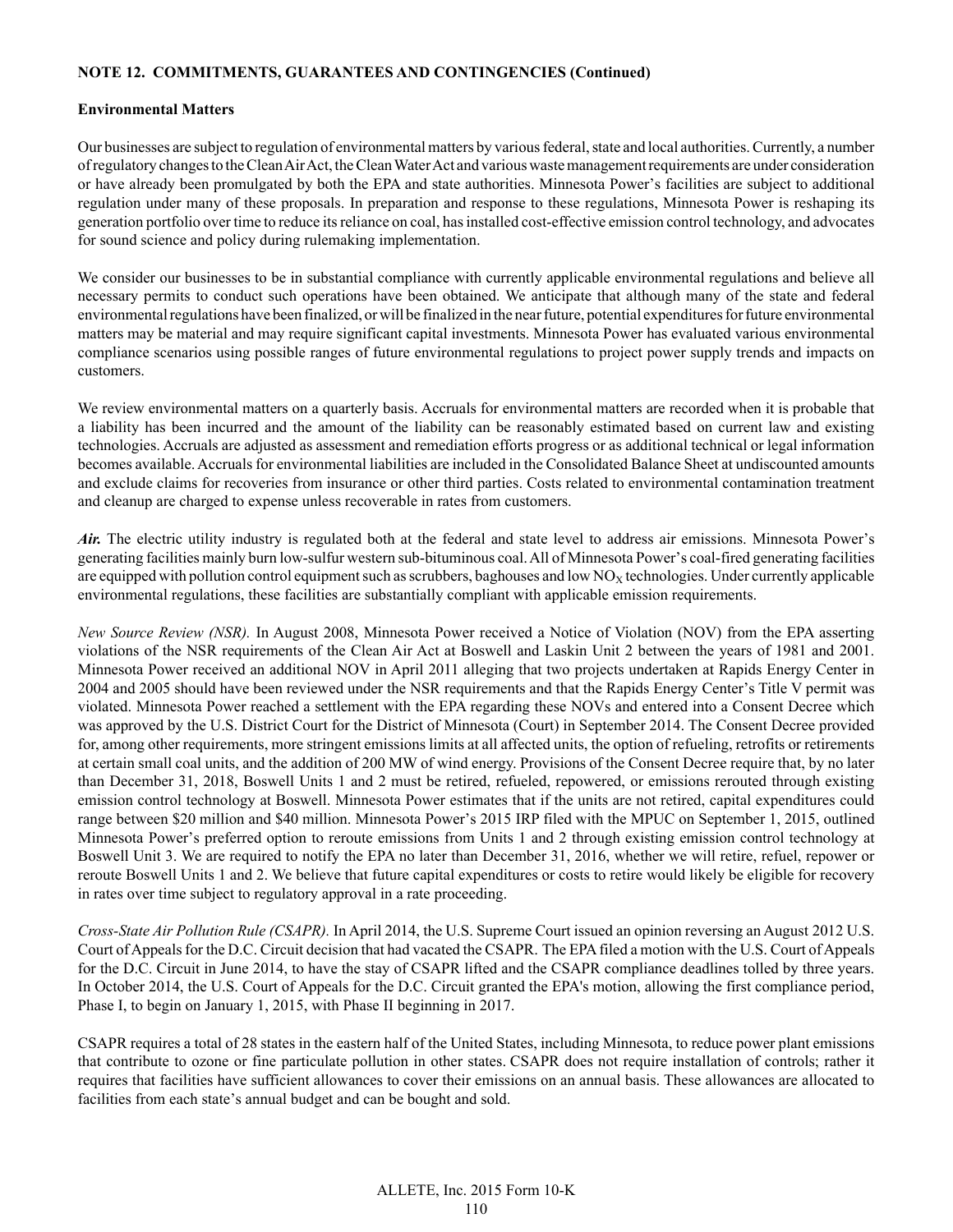## **NOTE 12. COMMITMENTS, GUARANTEES AND CONTINGENCIES (Continued)**

#### **Environmental Matters**

Our businesses are subject to regulation of environmental matters by various federal, state and local authorities. Currently, a number of regulatory changes to the Clean Air Act, the Clean Water Act and various waste management requirements are under consideration or have already been promulgated by both the EPA and state authorities. Minnesota Power's facilities are subject to additional regulation under many of these proposals. In preparation and response to these regulations, Minnesota Power is reshaping its generation portfolio over time to reduce its reliance on coal, has installed cost-effective emission control technology, and advocates for sound science and policy during rulemaking implementation.

We consider our businesses to be in substantial compliance with currently applicable environmental regulations and believe all necessary permits to conduct such operations have been obtained. We anticipate that although many of the state and federal environmental regulations have been finalized, or will be finalized in the near future, potential expenditures for future environmental matters may be material and may require significant capital investments. Minnesota Power has evaluated various environmental compliance scenarios using possible ranges of future environmental regulations to project power supply trends and impacts on customers.

We review environmental matters on a quarterly basis. Accruals for environmental matters are recorded when it is probable that a liability has been incurred and the amount of the liability can be reasonably estimated based on current law and existing technologies. Accruals are adjusted as assessment and remediation efforts progress or as additional technical or legal information becomes available. Accruals for environmental liabilities are included in the Consolidated Balance Sheet at undiscounted amounts and exclude claims for recoveries from insurance or other third parties. Costs related to environmental contamination treatment and cleanup are charged to expense unless recoverable in rates from customers.

*Air.* The electric utility industry is regulated both at the federal and state level to address air emissions. Minnesota Power's generating facilities mainly burn low-sulfur western sub-bituminous coal. All of Minnesota Power's coal-fired generating facilities are equipped with pollution control equipment such as scrubbers, baghouses and low  $NO<sub>x</sub>$  technologies. Under currently applicable environmental regulations, these facilities are substantially compliant with applicable emission requirements.

*New Source Review (NSR).* In August 2008, Minnesota Power received a Notice of Violation (NOV) from the EPA asserting violations of the NSR requirements of the Clean Air Act at Boswell and Laskin Unit 2 between the years of 1981 and 2001. Minnesota Power received an additional NOV in April 2011 alleging that two projects undertaken at Rapids Energy Center in 2004 and 2005 should have been reviewed under the NSR requirements and that the Rapids Energy Center's Title V permit was violated. Minnesota Power reached a settlement with the EPA regarding these NOVs and entered into a Consent Decree which was approved by the U.S. District Court for the District of Minnesota (Court) in September 2014. The Consent Decree provided for, among other requirements, more stringent emissions limits at all affected units, the option of refueling, retrofits or retirements at certain small coal units, and the addition of 200 MW of wind energy. Provisions of the Consent Decree require that, by no later than December 31, 2018, Boswell Units 1 and 2 must be retired, refueled, repowered, or emissions rerouted through existing emission control technology at Boswell. Minnesota Power estimates that if the units are not retired, capital expenditures could range between \$20 million and \$40 million. Minnesota Power's 2015 IRP filed with the MPUC on September 1, 2015, outlined Minnesota Power's preferred option to reroute emissions from Units 1 and 2 through existing emission control technology at Boswell Unit 3. We are required to notify the EPA no later than December 31, 2016, whether we will retire, refuel, repower or reroute Boswell Units 1 and 2. We believe that future capital expenditures or costs to retire would likely be eligible for recovery in rates over time subject to regulatory approval in a rate proceeding.

*Cross-State Air Pollution Rule (CSAPR).* In April 2014, the U.S. Supreme Court issued an opinion reversing an August 2012 U.S. Court of Appeals for the D.C. Circuit decision that had vacated the CSAPR. The EPA filed a motion with the U.S. Court of Appeals for the D.C. Circuit in June 2014, to have the stay of CSAPR lifted and the CSAPR compliance deadlines tolled by three years. In October 2014, the U.S. Court of Appeals for the D.C. Circuit granted the EPA's motion, allowing the first compliance period, Phase I, to begin on January 1, 2015, with Phase II beginning in 2017.

CSAPR requires a total of 28 states in the eastern half of the United States, including Minnesota, to reduce power plant emissions that contribute to ozone or fine particulate pollution in other states. CSAPR does not require installation of controls; rather it requires that facilities have sufficient allowances to cover their emissions on an annual basis. These allowances are allocated to facilities from each state's annual budget and can be bought and sold.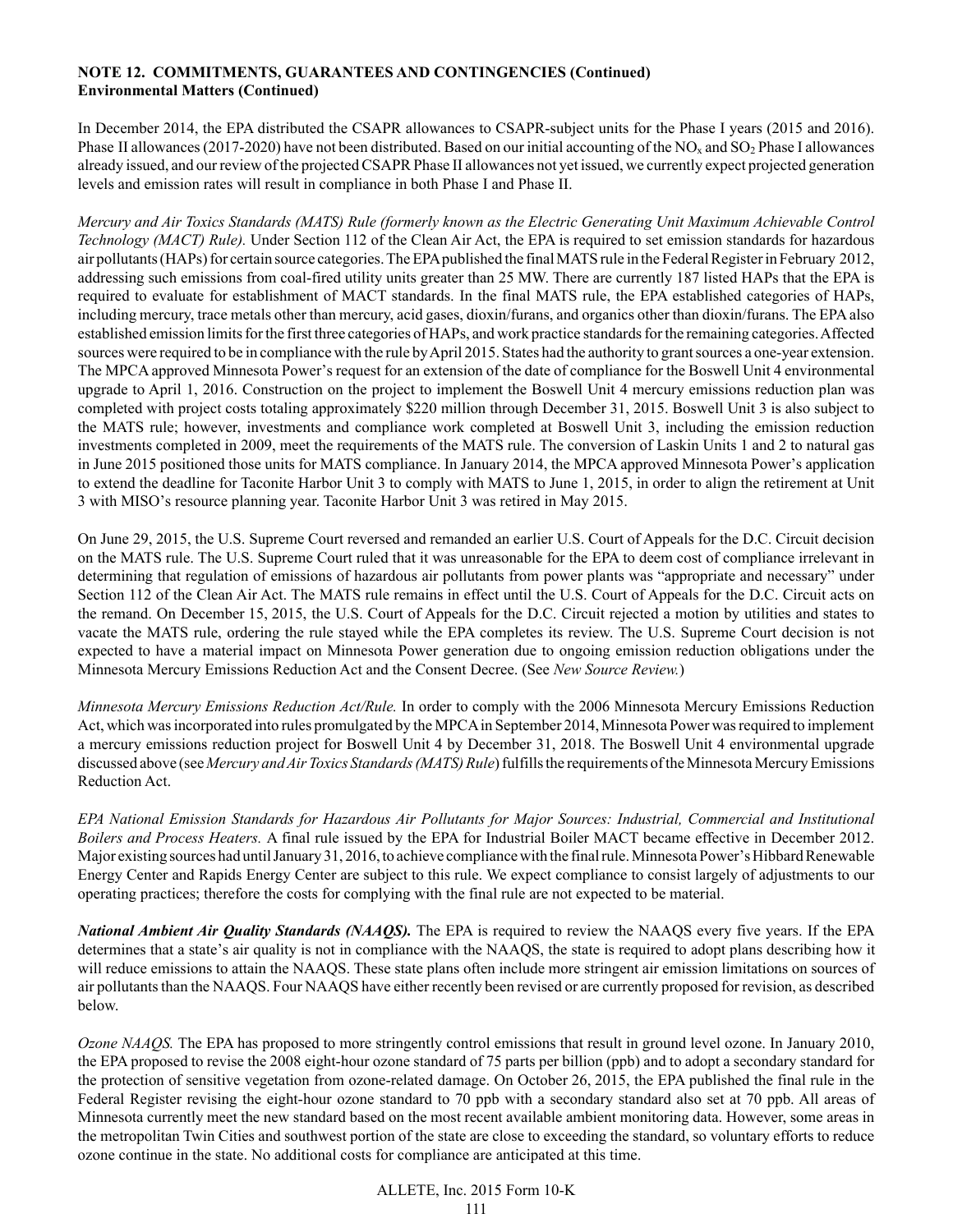In December 2014, the EPA distributed the CSAPR allowances to CSAPR-subject units for the Phase I years (2015 and 2016). Phase II allowances (2017-2020) have not been distributed. Based on our initial accounting of the  $NO<sub>x</sub>$  and  $SO<sub>2</sub>$  Phase I allowances already issued, and our review of the projected CSAPR Phase II allowances not yet issued, we currently expect projected generation levels and emission rates will result in compliance in both Phase I and Phase II.

*Mercury and Air Toxics Standards (MATS) Rule (formerly known as the Electric Generating Unit Maximum Achievable Control Technology (MACT) Rule).* Under Section 112 of the Clean Air Act, the EPA is required to set emission standards for hazardous air pollutants (HAPs) for certain source categories. The EPA published the final MATS rule in the Federal Register in February 2012, addressing such emissions from coal-fired utility units greater than 25 MW. There are currently 187 listed HAPs that the EPA is required to evaluate for establishment of MACT standards. In the final MATS rule, the EPA established categories of HAPs, including mercury, trace metals other than mercury, acid gases, dioxin/furans, and organics other than dioxin/furans. The EPA also established emission limits for the first three categories of HAPs, and work practice standards for the remaining categories. Affected sources were required to be in compliance with the rule by April 2015. States had the authority to grant sources a one-year extension. The MPCA approved Minnesota Power's request for an extension of the date of compliance for the Boswell Unit 4 environmental upgrade to April 1, 2016. Construction on the project to implement the Boswell Unit 4 mercury emissions reduction plan was completed with project costs totaling approximately \$220 million through December 31, 2015. Boswell Unit 3 is also subject to the MATS rule; however, investments and compliance work completed at Boswell Unit 3, including the emission reduction investments completed in 2009, meet the requirements of the MATS rule. The conversion of Laskin Units 1 and 2 to natural gas in June 2015 positioned those units for MATS compliance. In January 2014, the MPCA approved Minnesota Power's application to extend the deadline for Taconite Harbor Unit 3 to comply with MATS to June 1, 2015, in order to align the retirement at Unit 3 with MISO's resource planning year. Taconite Harbor Unit 3 was retired in May 2015.

On June 29, 2015, the U.S. Supreme Court reversed and remanded an earlier U.S. Court of Appeals for the D.C. Circuit decision on the MATS rule. The U.S. Supreme Court ruled that it was unreasonable for the EPA to deem cost of compliance irrelevant in determining that regulation of emissions of hazardous air pollutants from power plants was "appropriate and necessary" under Section 112 of the Clean Air Act. The MATS rule remains in effect until the U.S. Court of Appeals for the D.C. Circuit acts on the remand. On December 15, 2015, the U.S. Court of Appeals for the D.C. Circuit rejected a motion by utilities and states to vacate the MATS rule, ordering the rule stayed while the EPA completes its review. The U.S. Supreme Court decision is not expected to have a material impact on Minnesota Power generation due to ongoing emission reduction obligations under the Minnesota Mercury Emissions Reduction Act and the Consent Decree. (See *New Source Review.*)

*Minnesota Mercury Emissions Reduction Act/Rule.* In order to comply with the 2006 Minnesota Mercury Emissions Reduction Act, which was incorporated into rules promulgated by the MPCA in September 2014, Minnesota Power was required to implement a mercury emissions reduction project for Boswell Unit 4 by December 31, 2018. The Boswell Unit 4 environmental upgrade discussed above (see *Mercury and Air Toxics Standards (MATS) Rule*) fulfills the requirements of the Minnesota Mercury Emissions Reduction Act.

*EPA National Emission Standards for Hazardous Air Pollutants for Major Sources: Industrial, Commercial and Institutional Boilers and Process Heaters.* A final rule issued by the EPA for Industrial Boiler MACT became effective in December 2012. Major existing sources had until January 31, 2016, to achieve compliance with the final rule. Minnesota Power's Hibbard Renewable Energy Center and Rapids Energy Center are subject to this rule. We expect compliance to consist largely of adjustments to our operating practices; therefore the costs for complying with the final rule are not expected to be material.

*National Ambient Air Quality Standards (NAAQS).* The EPA is required to review the NAAQS every five years. If the EPA determines that a state's air quality is not in compliance with the NAAQS, the state is required to adopt plans describing how it will reduce emissions to attain the NAAQS. These state plans often include more stringent air emission limitations on sources of air pollutants than the NAAQS. Four NAAQS have either recently been revised or are currently proposed for revision, as described below.

*Ozone NAAQS.* The EPA has proposed to more stringently control emissions that result in ground level ozone. In January 2010, the EPA proposed to revise the 2008 eight-hour ozone standard of 75 parts per billion (ppb) and to adopt a secondary standard for the protection of sensitive vegetation from ozone-related damage. On October 26, 2015, the EPA published the final rule in the Federal Register revising the eight-hour ozone standard to 70 ppb with a secondary standard also set at 70 ppb. All areas of Minnesota currently meet the new standard based on the most recent available ambient monitoring data. However, some areas in the metropolitan Twin Cities and southwest portion of the state are close to exceeding the standard, so voluntary efforts to reduce ozone continue in the state. No additional costs for compliance are anticipated at this time.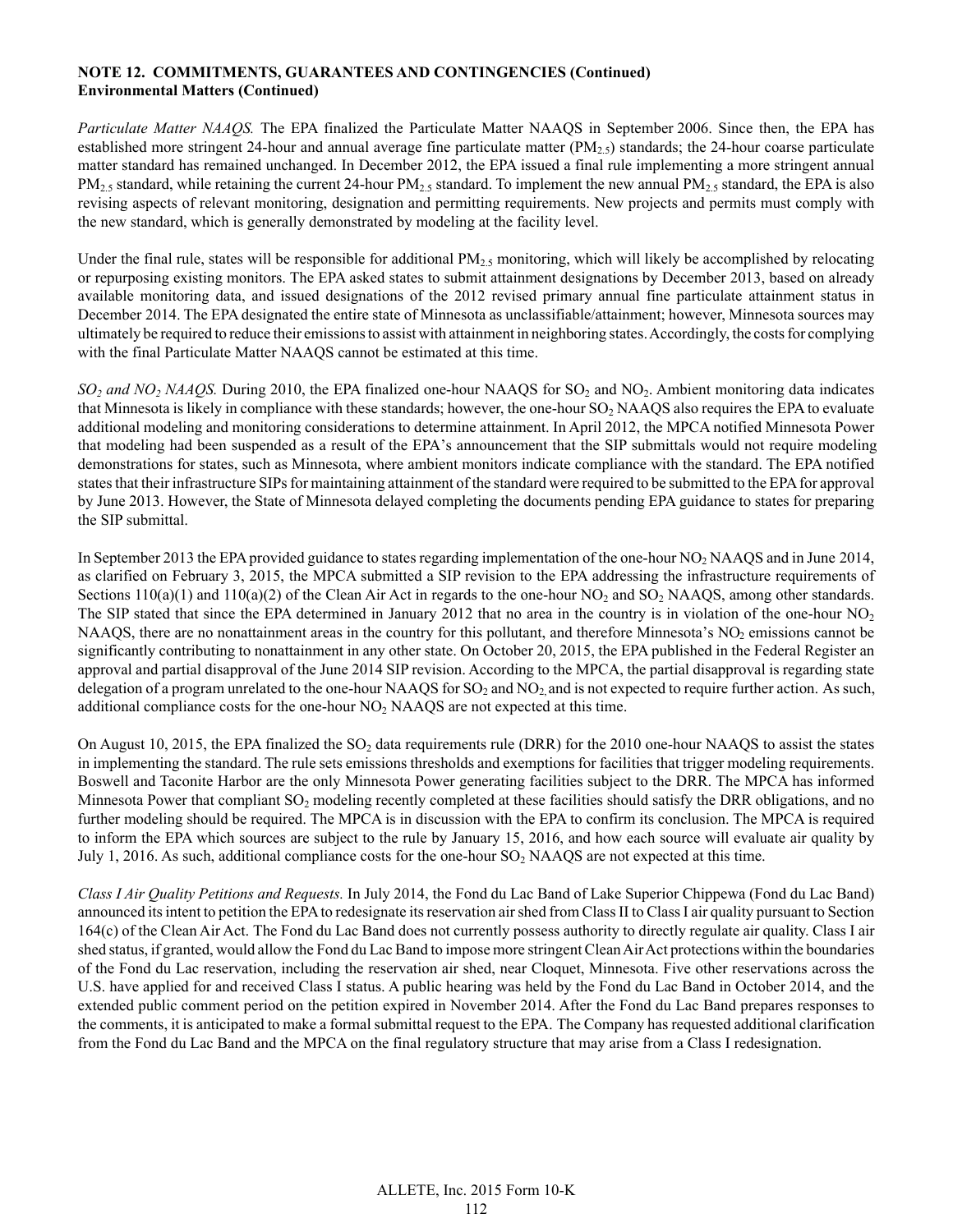*Particulate Matter NAAQS.* The EPA finalized the Particulate Matter NAAQS in September 2006. Since then, the EPA has established more stringent 24-hour and annual average fine particulate matter  $(PM<sub>2.5</sub>)$  standards; the 24-hour coarse particulate matter standard has remained unchanged. In December 2012, the EPA issued a final rule implementing a more stringent annual  $PM_{2.5}$  standard, while retaining the current 24-hour PM<sub>2.5</sub> standard. To implement the new annual PM<sub>2.5</sub> standard, the EPA is also revising aspects of relevant monitoring, designation and permitting requirements. New projects and permits must comply with the new standard, which is generally demonstrated by modeling at the facility level.

Under the final rule, states will be responsible for additional  $PM<sub>2.5</sub>$  monitoring, which will likely be accomplished by relocating or repurposing existing monitors. The EPA asked states to submit attainment designations by December 2013, based on already available monitoring data, and issued designations of the 2012 revised primary annual fine particulate attainment status in December 2014. The EPA designated the entire state of Minnesota as unclassifiable/attainment; however, Minnesota sources may ultimately be required to reduce their emissions to assist with attainment in neighboring states. Accordingly, the costs for complying with the final Particulate Matter NAAQS cannot be estimated at this time.

 $SO_2$  and  $NO_2$  NAAQS. During 2010, the EPA finalized one-hour NAAQS for SO<sub>2</sub> and NO<sub>2</sub>. Ambient monitoring data indicates that Minnesota is likely in compliance with these standards; however, the one-hour  $SO_2$  NAAQS also requires the EPA to evaluate additional modeling and monitoring considerations to determine attainment. In April 2012, the MPCA notified Minnesota Power that modeling had been suspended as a result of the EPA's announcement that the SIP submittals would not require modeling demonstrations for states, such as Minnesota, where ambient monitors indicate compliance with the standard. The EPA notified states that their infrastructure SIPs for maintaining attainment of the standard were required to be submitted to the EPA for approval by June 2013. However, the State of Minnesota delayed completing the documents pending EPA guidance to states for preparing the SIP submittal.

In September 2013 the EPA provided guidance to states regarding implementation of the one-hour NO<sub>2</sub> NAAQS and in June 2014, as clarified on February 3, 2015, the MPCA submitted a SIP revision to the EPA addressing the infrastructure requirements of Sections  $110(a)(1)$  and  $110(a)(2)$  of the Clean Air Act in regards to the one-hour NO<sub>2</sub> and SO<sub>2</sub> NAAOS, among other standards. The SIP stated that since the EPA determined in January 2012 that no area in the country is in violation of the one-hour  $NO<sub>2</sub>$ NAAQS, there are no nonattainment areas in the country for this pollutant, and therefore Minnesota's  $NO<sub>2</sub>$  emissions cannot be significantly contributing to nonattainment in any other state. On October 20, 2015, the EPA published in the Federal Register an approval and partial disapproval of the June 2014 SIP revision. According to the MPCA, the partial disapproval is regarding state delegation of a program unrelated to the one-hour NAAQS for  $SO_2$  and  $NO_2$  and is not expected to require further action. As such, additional compliance costs for the one-hour  $NO<sub>2</sub> NAAQS$  are not expected at this time.

On August 10, 2015, the EPA finalized the  $SO_2$  data requirements rule (DRR) for the 2010 one-hour NAAQS to assist the states in implementing the standard. The rule sets emissions thresholds and exemptions for facilities that trigger modeling requirements. Boswell and Taconite Harbor are the only Minnesota Power generating facilities subject to the DRR. The MPCA has informed Minnesota Power that compliant  $SO<sub>2</sub>$  modeling recently completed at these facilities should satisfy the DRR obligations, and no further modeling should be required. The MPCA is in discussion with the EPA to confirm its conclusion. The MPCA is required to inform the EPA which sources are subject to the rule by January 15, 2016, and how each source will evaluate air quality by July 1, 2016. As such, additional compliance costs for the one-hour  $SO_2$  NAAQS are not expected at this time.

*Class I Air Quality Petitions and Requests.* In July 2014, the Fond du Lac Band of Lake Superior Chippewa (Fond du Lac Band) announced its intent to petition the EPA to redesignate its reservation air shed from Class II to Class I air quality pursuant to Section 164(c) of the Clean Air Act. The Fond du Lac Band does not currently possess authority to directly regulate air quality. Class I air shed status, if granted, would allow the Fond du Lac Band to impose more stringent Clean Air Act protections within the boundaries of the Fond du Lac reservation, including the reservation air shed, near Cloquet, Minnesota. Five other reservations across the U.S. have applied for and received Class I status. A public hearing was held by the Fond du Lac Band in October 2014, and the extended public comment period on the petition expired in November 2014. After the Fond du Lac Band prepares responses to the comments, it is anticipated to make a formal submittal request to the EPA. The Company has requested additional clarification from the Fond du Lac Band and the MPCA on the final regulatory structure that may arise from a Class I redesignation.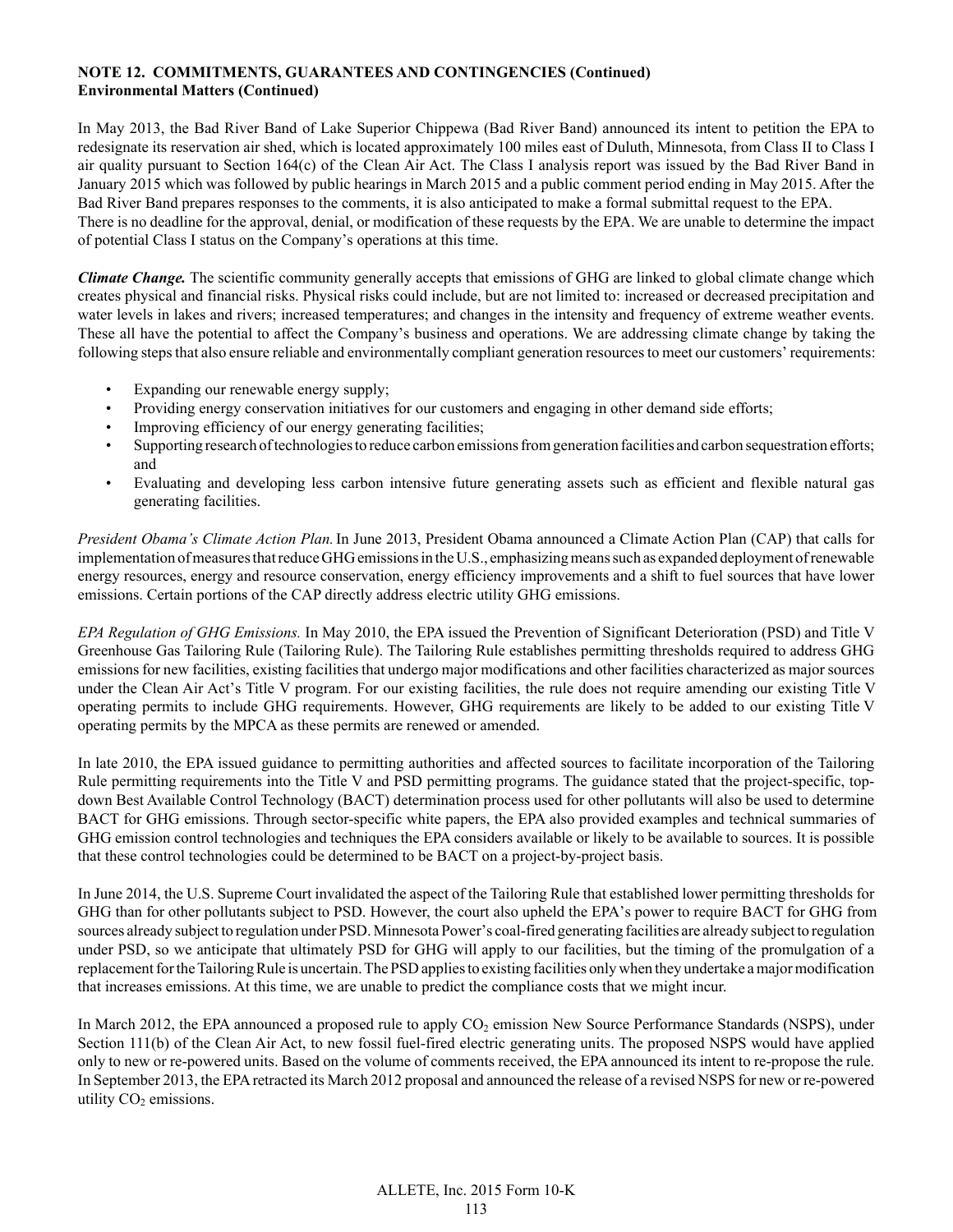In May 2013, the Bad River Band of Lake Superior Chippewa (Bad River Band) announced its intent to petition the EPA to redesignate its reservation air shed, which is located approximately 100 miles east of Duluth, Minnesota, from Class II to Class I air quality pursuant to Section 164(c) of the Clean Air Act. The Class I analysis report was issued by the Bad River Band in January 2015 which was followed by public hearings in March 2015 and a public comment period ending in May 2015. After the Bad River Band prepares responses to the comments, it is also anticipated to make a formal submittal request to the EPA. There is no deadline for the approval, denial, or modification of these requests by the EPA. We are unable to determine the impact of potential Class I status on the Company's operations at this time.

*Climate Change.* The scientific community generally accepts that emissions of GHG are linked to global climate change which creates physical and financial risks. Physical risks could include, but are not limited to: increased or decreased precipitation and water levels in lakes and rivers; increased temperatures; and changes in the intensity and frequency of extreme weather events. These all have the potential to affect the Company's business and operations. We are addressing climate change by taking the following steps that also ensure reliable and environmentally compliant generation resources to meet our customers' requirements:

- Expanding our renewable energy supply;
- Providing energy conservation initiatives for our customers and engaging in other demand side efforts;
- Improving efficiency of our energy generating facilities;
- Supporting research of technologies to reduce carbon emissions from generation facilities and carbon sequestration efforts; and
- Evaluating and developing less carbon intensive future generating assets such as efficient and flexible natural gas generating facilities.

*President Obama's Climate Action Plan.* In June 2013, President Obama announced a Climate Action Plan (CAP) that calls for implementation of measures that reduce GHG emissions in the U.S., emphasizing means such as expanded deployment of renewable energy resources, energy and resource conservation, energy efficiency improvements and a shift to fuel sources that have lower emissions. Certain portions of the CAP directly address electric utility GHG emissions.

*EPA Regulation of GHG Emissions.* In May 2010, the EPA issued the Prevention of Significant Deterioration (PSD) and Title V Greenhouse Gas Tailoring Rule (Tailoring Rule). The Tailoring Rule establishes permitting thresholds required to address GHG emissions for new facilities, existing facilities that undergo major modifications and other facilities characterized as major sources under the Clean Air Act's Title V program. For our existing facilities, the rule does not require amending our existing Title V operating permits to include GHG requirements. However, GHG requirements are likely to be added to our existing Title V operating permits by the MPCA as these permits are renewed or amended.

In late 2010, the EPA issued guidance to permitting authorities and affected sources to facilitate incorporation of the Tailoring Rule permitting requirements into the Title V and PSD permitting programs. The guidance stated that the project-specific, topdown Best Available Control Technology (BACT) determination process used for other pollutants will also be used to determine BACT for GHG emissions. Through sector-specific white papers, the EPA also provided examples and technical summaries of GHG emission control technologies and techniques the EPA considers available or likely to be available to sources. It is possible that these control technologies could be determined to be BACT on a project-by-project basis.

In June 2014, the U.S. Supreme Court invalidated the aspect of the Tailoring Rule that established lower permitting thresholds for GHG than for other pollutants subject to PSD. However, the court also upheld the EPA's power to require BACT for GHG from sources already subject to regulation under PSD. Minnesota Power's coal-fired generating facilities are already subject to regulation under PSD, so we anticipate that ultimately PSD for GHG will apply to our facilities, but the timing of the promulgation of a replacement for the Tailoring Rule is uncertain. The PSD applies to existing facilities only when they undertake a major modification that increases emissions. At this time, we are unable to predict the compliance costs that we might incur.

In March 2012, the EPA announced a proposed rule to apply  $CO<sub>2</sub>$  emission New Source Performance Standards (NSPS), under Section 111(b) of the Clean Air Act, to new fossil fuel-fired electric generating units. The proposed NSPS would have applied only to new or re-powered units. Based on the volume of comments received, the EPA announced its intent to re-propose the rule. In September 2013, the EPA retracted its March 2012 proposal and announced the release of a revised NSPS for new or re-powered utility  $CO<sub>2</sub>$  emissions.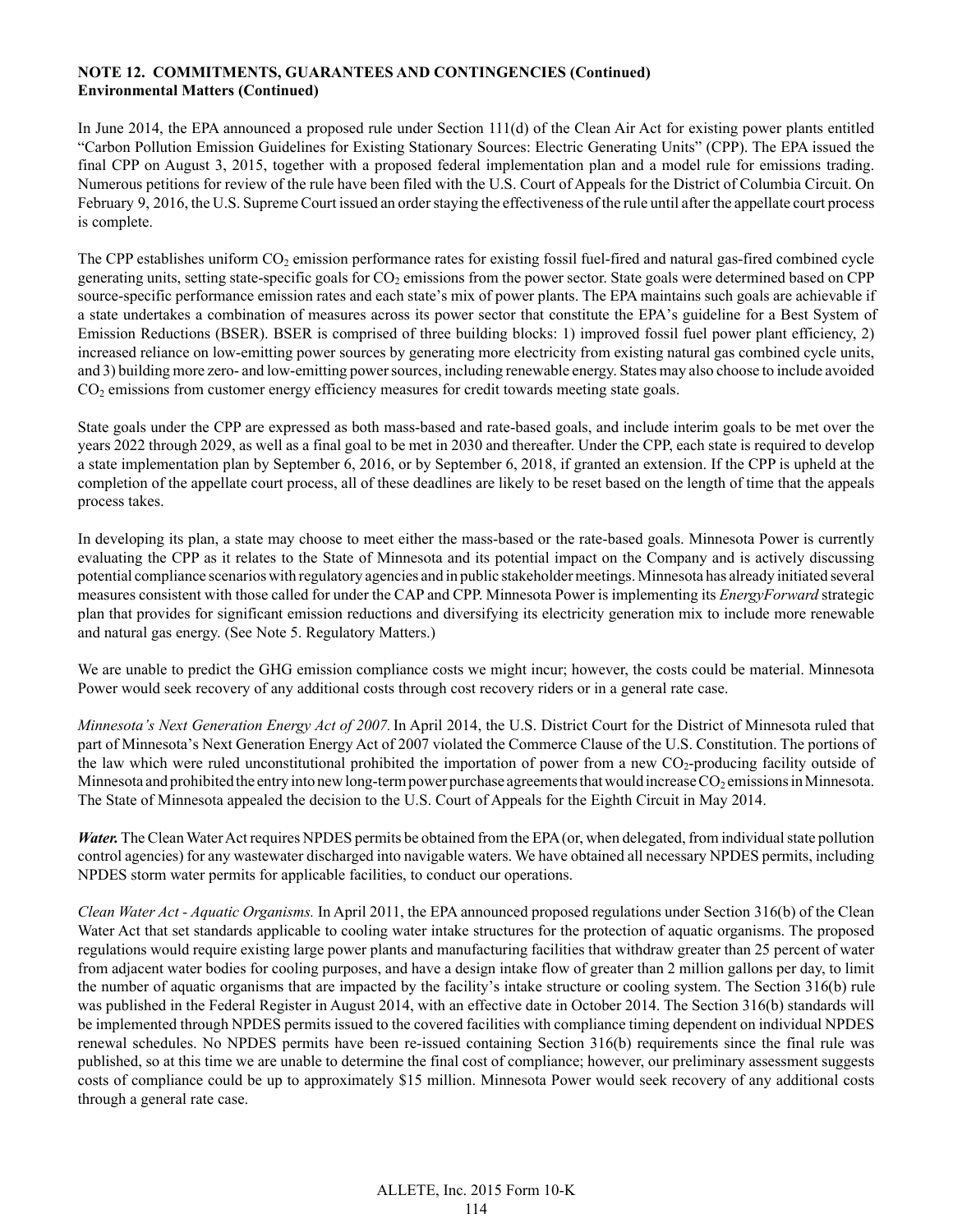In June 2014, the EPA announced a proposed rule under Section 111(d) of the Clean Air Act for existing power plants entitled "Carbon Pollution Emission Guidelines for Existing Stationary Sources: Electric Generating Units" (CPP). The EPA issued the final CPP on August 3, 2015, together with a proposed federal implementation plan and a model rule for emissions trading. Numerous petitions for review of the rule have been filed with the U.S. Court of Appeals for the District of Columbia Circuit. On February 9, 2016, the U.S. Supreme Court issued an order staying the effectiveness of the rule until after the appellate court process is complete.

The CPP establishes uniform  $CO<sub>2</sub>$  emission performance rates for existing fossil fuel-fired and natural gas-fired combined cycle generating units, setting state-specific goals for  $CO<sub>2</sub>$  emissions from the power sector. State goals were determined based on CPP source-specific performance emission rates and each state's mix of power plants. The EPA maintains such goals are achievable if a state undertakes a combination of measures across its power sector that constitute the EPA's guideline for a Best System of Emission Reductions (BSER). BSER is comprised of three building blocks: 1) improved fossil fuel power plant efficiency, 2) increased reliance on low-emitting power sources by generating more electricity from existing natural gas combined cycle units, and 3) building more zero- and low-emitting power sources, including renewable energy. States may also choose to include avoided CO<sub>2</sub> emissions from customer energy efficiency measures for credit towards meeting state goals.

State goals under the CPP are expressed as both mass-based and rate-based goals, and include interim goals to be met over the years 2022 through 2029, as well as a final goal to be met in 2030 and thereafter. Under the CPP, each state is required to develop a state implementation plan by September 6, 2016, or by September 6, 2018, if granted an extension. If the CPP is upheld at the completion of the appellate court process, all of these deadlines are likely to be reset based on the length of time that the appeals process takes.

In developing its plan, a state may choose to meet either the mass-based or the rate-based goals. Minnesota Power is currently evaluating the CPP as it relates to the State of Minnesota and its potential impact on the Company and is actively discussing potential compliance scenarios with regulatory agencies and in public stakeholder meetings. Minnesota has already initiated several measures consistent with those called for under the CAP and CPP. Minnesota Power is implementing its *EnergyForward* strategic plan that provides for significant emission reductions and diversifying its electricity generation mix to include more renewable and natural gas energy. (See Note 5. Regulatory Matters.)

We are unable to predict the GHG emission compliance costs we might incur; however, the costs could be material. Minnesota Power would seek recovery of any additional costs through cost recovery riders or in a general rate case.

*Minnesota's Next Generation Energy Act of 2007.* In April 2014, the U.S. District Court for the District of Minnesota ruled that part of Minnesota's Next Generation Energy Act of 2007 violated the Commerce Clause of the U.S. Constitution. The portions of the law which were ruled unconstitutional prohibited the importation of power from a new  $CO<sub>2</sub>$ -producing facility outside of Minnesota and prohibited the entry into new long-term power purchase agreements that would increase  $CO<sub>2</sub>$  emissions in Minnesota. The State of Minnesota appealed the decision to the U.S. Court of Appeals for the Eighth Circuit in May 2014.

*Water.* The Clean Water Act requires NPDES permits be obtained from the EPA (or, when delegated, from individual state pollution control agencies) for any wastewater discharged into navigable waters. We have obtained all necessary NPDES permits, including NPDES storm water permits for applicable facilities, to conduct our operations.

*Clean Water Act - Aquatic Organisms.* In April 2011, the EPA announced proposed regulations under Section 316(b) of the Clean Water Act that set standards applicable to cooling water intake structures for the protection of aquatic organisms. The proposed regulations would require existing large power plants and manufacturing facilities that withdraw greater than 25 percent of water from adjacent water bodies for cooling purposes, and have a design intake flow of greater than 2 million gallons per day, to limit the number of aquatic organisms that are impacted by the facility's intake structure or cooling system. The Section 316(b) rule was published in the Federal Register in August 2014, with an effective date in October 2014. The Section 316(b) standards will be implemented through NPDES permits issued to the covered facilities with compliance timing dependent on individual NPDES renewal schedules. No NPDES permits have been re-issued containing Section 316(b) requirements since the final rule was published, so at this time we are unable to determine the final cost of compliance; however, our preliminary assessment suggests costs of compliance could be up to approximately \$15 million. Minnesota Power would seek recovery of any additional costs through a general rate case.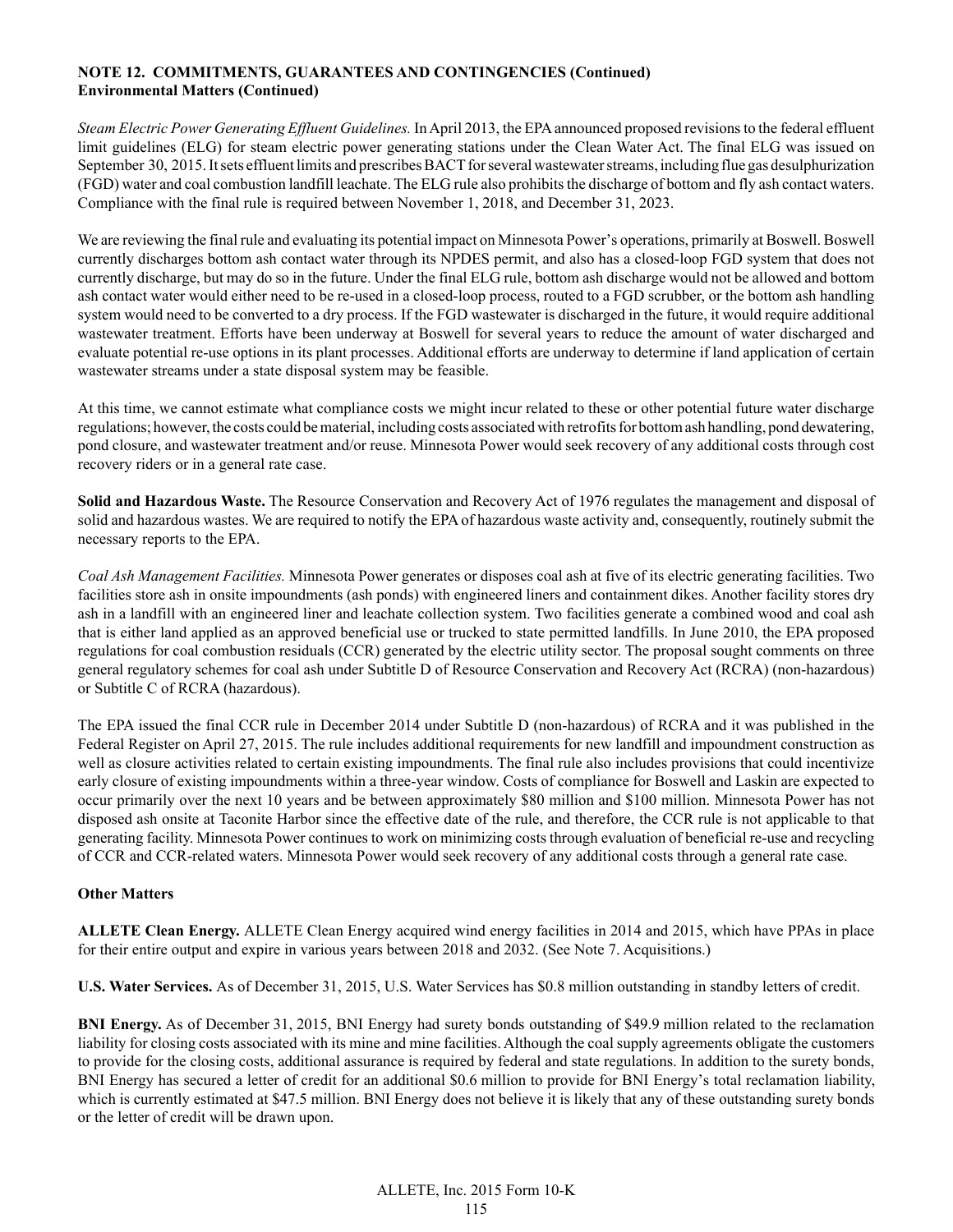*Steam Electric Power Generating Effluent Guidelines.* In April 2013, the EPA announced proposed revisions to the federal effluent limit guidelines (ELG) for steam electric power generating stations under the Clean Water Act. The final ELG was issued on September 30, 2015. It sets effluent limits and prescribes BACT for several wastewater streams, including flue gas desulphurization (FGD) water and coal combustion landfill leachate. The ELG rule also prohibits the discharge of bottom and fly ash contact waters. Compliance with the final rule is required between November 1, 2018, and December 31, 2023.

We are reviewing the final rule and evaluating its potential impact on Minnesota Power's operations, primarily at Boswell. Boswell currently discharges bottom ash contact water through its NPDES permit, and also has a closed-loop FGD system that does not currently discharge, but may do so in the future. Under the final ELG rule, bottom ash discharge would not be allowed and bottom ash contact water would either need to be re-used in a closed-loop process, routed to a FGD scrubber, or the bottom ash handling system would need to be converted to a dry process. If the FGD wastewater is discharged in the future, it would require additional wastewater treatment. Efforts have been underway at Boswell for several years to reduce the amount of water discharged and evaluate potential re-use options in its plant processes. Additional efforts are underway to determine if land application of certain wastewater streams under a state disposal system may be feasible.

At this time, we cannot estimate what compliance costs we might incur related to these or other potential future water discharge regulations; however, the costs could be material, including costs associated with retrofits for bottom ash handling, pond dewatering, pond closure, and wastewater treatment and/or reuse. Minnesota Power would seek recovery of any additional costs through cost recovery riders or in a general rate case.

**Solid and Hazardous Waste.** The Resource Conservation and Recovery Act of 1976 regulates the management and disposal of solid and hazardous wastes. We are required to notify the EPA of hazardous waste activity and, consequently, routinely submit the necessary reports to the EPA.

*Coal Ash Management Facilities.* Minnesota Power generates or disposes coal ash at five of its electric generating facilities. Two facilities store ash in onsite impoundments (ash ponds) with engineered liners and containment dikes. Another facility stores dry ash in a landfill with an engineered liner and leachate collection system. Two facilities generate a combined wood and coal ash that is either land applied as an approved beneficial use or trucked to state permitted landfills. In June 2010, the EPA proposed regulations for coal combustion residuals (CCR) generated by the electric utility sector. The proposal sought comments on three general regulatory schemes for coal ash under Subtitle D of Resource Conservation and Recovery Act (RCRA) (non-hazardous) or Subtitle C of RCRA (hazardous).

The EPA issued the final CCR rule in December 2014 under Subtitle D (non-hazardous) of RCRA and it was published in the Federal Register on April 27, 2015. The rule includes additional requirements for new landfill and impoundment construction as well as closure activities related to certain existing impoundments. The final rule also includes provisions that could incentivize early closure of existing impoundments within a three-year window. Costs of compliance for Boswell and Laskin are expected to occur primarily over the next 10 years and be between approximately \$80 million and \$100 million. Minnesota Power has not disposed ash onsite at Taconite Harbor since the effective date of the rule, and therefore, the CCR rule is not applicable to that generating facility. Minnesota Power continues to work on minimizing costs through evaluation of beneficial re-use and recycling of CCR and CCR-related waters. Minnesota Power would seek recovery of any additional costs through a general rate case.

# **Other Matters**

**ALLETE Clean Energy.** ALLETE Clean Energy acquired wind energy facilities in 2014 and 2015, which have PPAs in place for their entire output and expire in various years between 2018 and 2032. (See Note 7. Acquisitions.)

**U.S. Water Services.** As of December 31, 2015, U.S. Water Services has \$0.8 million outstanding in standby letters of credit.

**BNI Energy.** As of December 31, 2015, BNI Energy had surety bonds outstanding of \$49.9 million related to the reclamation liability for closing costs associated with its mine and mine facilities. Although the coal supply agreements obligate the customers to provide for the closing costs, additional assurance is required by federal and state regulations. In addition to the surety bonds, BNI Energy has secured a letter of credit for an additional \$0.6 million to provide for BNI Energy's total reclamation liability, which is currently estimated at \$47.5 million. BNI Energy does not believe it is likely that any of these outstanding surety bonds or the letter of credit will be drawn upon.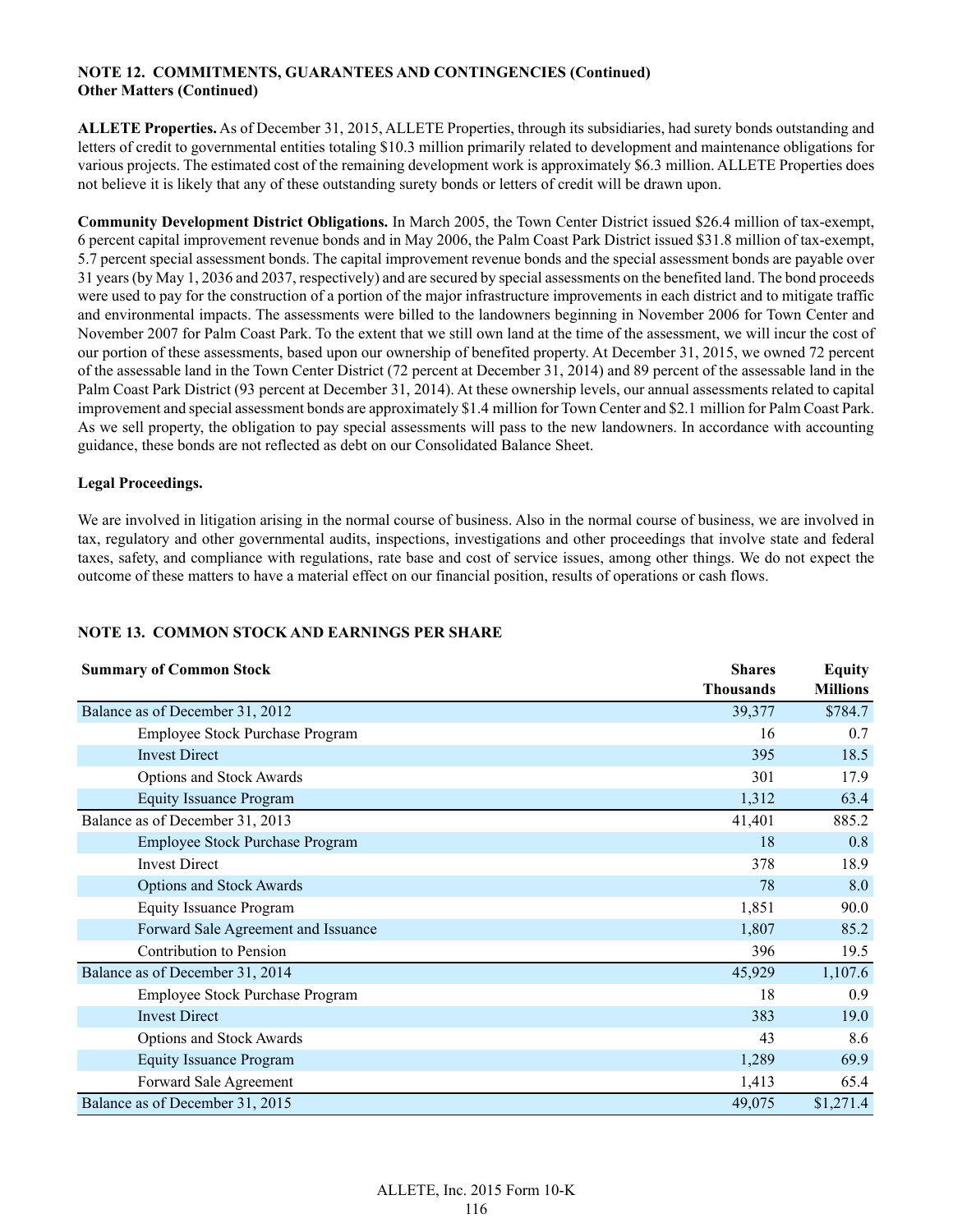**ALLETE Properties.** As of December 31, 2015, ALLETE Properties, through its subsidiaries, had surety bonds outstanding and letters of credit to governmental entities totaling \$10.3 million primarily related to development and maintenance obligations for various projects. The estimated cost of the remaining development work is approximately \$6.3 million. ALLETE Properties does not believe it is likely that any of these outstanding surety bonds or letters of credit will be drawn upon.

**Community Development District Obligations.** In March 2005, the Town Center District issued \$26.4 million of tax-exempt, 6 percent capital improvement revenue bonds and in May 2006, the Palm Coast Park District issued \$31.8 million of tax-exempt, 5.7 percent special assessment bonds. The capital improvement revenue bonds and the special assessment bonds are payable over 31 years (by May 1, 2036 and 2037, respectively) and are secured by special assessments on the benefited land. The bond proceeds were used to pay for the construction of a portion of the major infrastructure improvements in each district and to mitigate traffic and environmental impacts. The assessments were billed to the landowners beginning in November 2006 for Town Center and November 2007 for Palm Coast Park. To the extent that we still own land at the time of the assessment, we will incur the cost of our portion of these assessments, based upon our ownership of benefited property. At December 31, 2015, we owned 72 percent of the assessable land in the Town Center District (72 percent at December 31, 2014) and 89 percent of the assessable land in the Palm Coast Park District (93 percent at December 31, 2014). At these ownership levels, our annual assessments related to capital improvement and special assessment bonds are approximately \$1.4 million for Town Center and \$2.1 million for Palm Coast Park. As we sell property, the obligation to pay special assessments will pass to the new landowners. In accordance with accounting guidance, these bonds are not reflected as debt on our Consolidated Balance Sheet.

# **Legal Proceedings.**

We are involved in litigation arising in the normal course of business. Also in the normal course of business, we are involved in tax, regulatory and other governmental audits, inspections, investigations and other proceedings that involve state and federal taxes, safety, and compliance with regulations, rate base and cost of service issues, among other things. We do not expect the outcome of these matters to have a material effect on our financial position, results of operations or cash flows.

# **NOTE 13. COMMON STOCK AND EARNINGS PER SHARE**

| <b>Summary of Common Stock</b>      | <b>Shares</b>    | <b>Equity</b>   |
|-------------------------------------|------------------|-----------------|
|                                     | <b>Thousands</b> | <b>Millions</b> |
| Balance as of December 31, 2012     | 39,377           | \$784.7         |
| Employee Stock Purchase Program     | 16               | 0.7             |
| <b>Invest Direct</b>                | 395              | 18.5            |
| <b>Options and Stock Awards</b>     | 301              | 17.9            |
| <b>Equity Issuance Program</b>      | 1,312            | 63.4            |
| Balance as of December 31, 2013     | 41,401           | 885.2           |
| Employee Stock Purchase Program     | 18               | 0.8             |
| <b>Invest Direct</b>                | 378              | 18.9            |
| <b>Options and Stock Awards</b>     | 78               | 8.0             |
| <b>Equity Issuance Program</b>      | 1,851            | 90.0            |
| Forward Sale Agreement and Issuance | 1,807            | 85.2            |
| Contribution to Pension             | 396              | 19.5            |
| Balance as of December 31, 2014     | 45,929           | 1,107.6         |
| Employee Stock Purchase Program     | 18               | 0.9             |
| <b>Invest Direct</b>                | 383              | 19.0            |
| <b>Options and Stock Awards</b>     | 43               | 8.6             |
| <b>Equity Issuance Program</b>      | 1,289            | 69.9            |
| Forward Sale Agreement              | 1,413            | 65.4            |
| Balance as of December 31, 2015     | 49,075           | \$1,271.4       |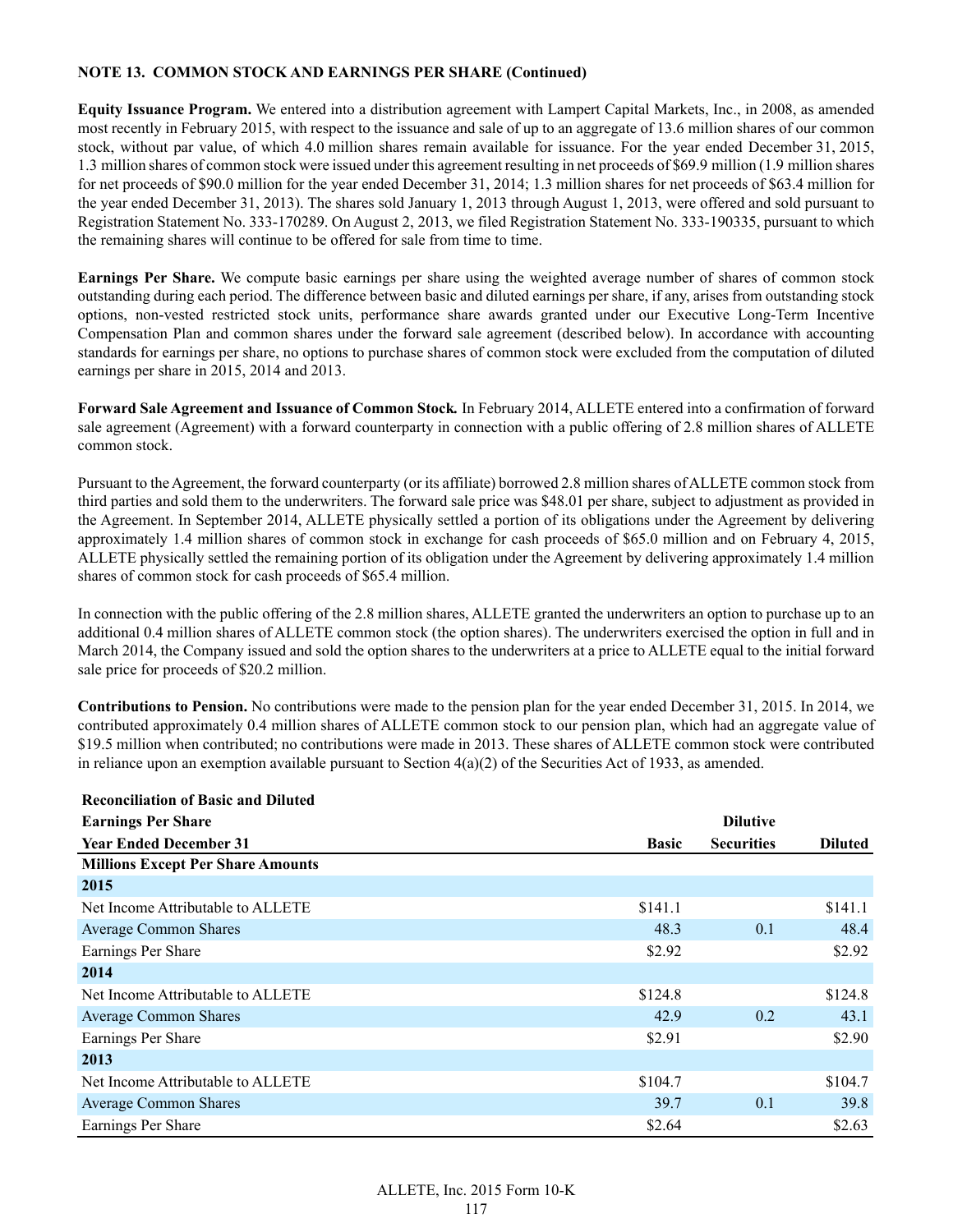# **NOTE 13. COMMON STOCK AND EARNINGS PER SHARE (Continued)**

**Equity Issuance Program.** We entered into a distribution agreement with Lampert Capital Markets, Inc., in 2008, as amended most recently in February 2015, with respect to the issuance and sale of up to an aggregate of 13.6 million shares of our common stock, without par value, of which 4.0 million shares remain available for issuance. For the year ended December 31, 2015, 1.3 million shares of common stock were issued under this agreement resulting in net proceeds of \$69.9 million (1.9 million shares for net proceeds of \$90.0 million for the year ended December 31, 2014; 1.3 million shares for net proceeds of \$63.4 million for the year ended December 31, 2013). The shares sold January 1, 2013 through August 1, 2013, were offered and sold pursuant to Registration Statement No. 333-170289. On August 2, 2013, we filed Registration Statement No. 333-190335, pursuant to which the remaining shares will continue to be offered for sale from time to time.

**Earnings Per Share.** We compute basic earnings per share using the weighted average number of shares of common stock outstanding during each period. The difference between basic and diluted earnings per share, if any, arises from outstanding stock options, non-vested restricted stock units, performance share awards granted under our Executive Long-Term Incentive Compensation Plan and common shares under the forward sale agreement (described below). In accordance with accounting standards for earnings per share, no options to purchase shares of common stock were excluded from the computation of diluted earnings per share in 2015, 2014 and 2013.

**Forward Sale Agreement and Issuance of Common Stock***.* In February 2014, ALLETE entered into a confirmation of forward sale agreement (Agreement) with a forward counterparty in connection with a public offering of 2.8 million shares of ALLETE common stock.

Pursuant to the Agreement, the forward counterparty (or its affiliate) borrowed 2.8 million shares of ALLETE common stock from third parties and sold them to the underwriters. The forward sale price was \$48.01 per share, subject to adjustment as provided in the Agreement. In September 2014, ALLETE physically settled a portion of its obligations under the Agreement by delivering approximately 1.4 million shares of common stock in exchange for cash proceeds of \$65.0 million and on February 4, 2015, ALLETE physically settled the remaining portion of its obligation under the Agreement by delivering approximately 1.4 million shares of common stock for cash proceeds of \$65.4 million.

In connection with the public offering of the 2.8 million shares, ALLETE granted the underwriters an option to purchase up to an additional 0.4 million shares of ALLETE common stock (the option shares). The underwriters exercised the option in full and in March 2014, the Company issued and sold the option shares to the underwriters at a price to ALLETE equal to the initial forward sale price for proceeds of \$20.2 million.

**Contributions to Pension.** No contributions were made to the pension plan for the year ended December 31, 2015. In 2014, we contributed approximately 0.4 million shares of ALLETE common stock to our pension plan, which had an aggregate value of \$19.5 million when contributed; no contributions were made in 2013. These shares of ALLETE common stock were contributed in reliance upon an exemption available pursuant to Section  $4(a)(2)$  of the Securities Act of 1933, as amended.

| <b>Reconciliation of Basic and Diluted</b> |              |                   |                |
|--------------------------------------------|--------------|-------------------|----------------|
| <b>Earnings Per Share</b>                  |              | <b>Dilutive</b>   |                |
| <b>Year Ended December 31</b>              | <b>Basic</b> | <b>Securities</b> | <b>Diluted</b> |
| <b>Millions Except Per Share Amounts</b>   |              |                   |                |
| 2015                                       |              |                   |                |
| Net Income Attributable to ALLETE          | \$141.1      |                   | \$141.1        |
| <b>Average Common Shares</b>               | 48.3         | 0.1               | 48.4           |
| Earnings Per Share                         | \$2.92       |                   | \$2.92         |
| 2014                                       |              |                   |                |
| Net Income Attributable to ALLETE          | \$124.8      |                   | \$124.8        |
| <b>Average Common Shares</b>               | 42.9         | 0.2               | 43.1           |
| Earnings Per Share                         | \$2.91       |                   | \$2.90         |
| 2013                                       |              |                   |                |
| Net Income Attributable to ALLETE          | \$104.7      |                   | \$104.7        |
| <b>Average Common Shares</b>               | 39.7         | 0.1               | 39.8           |
| Earnings Per Share                         | \$2.64       |                   | \$2.63         |

# ALLETE, Inc. 2015 Form 10-K 117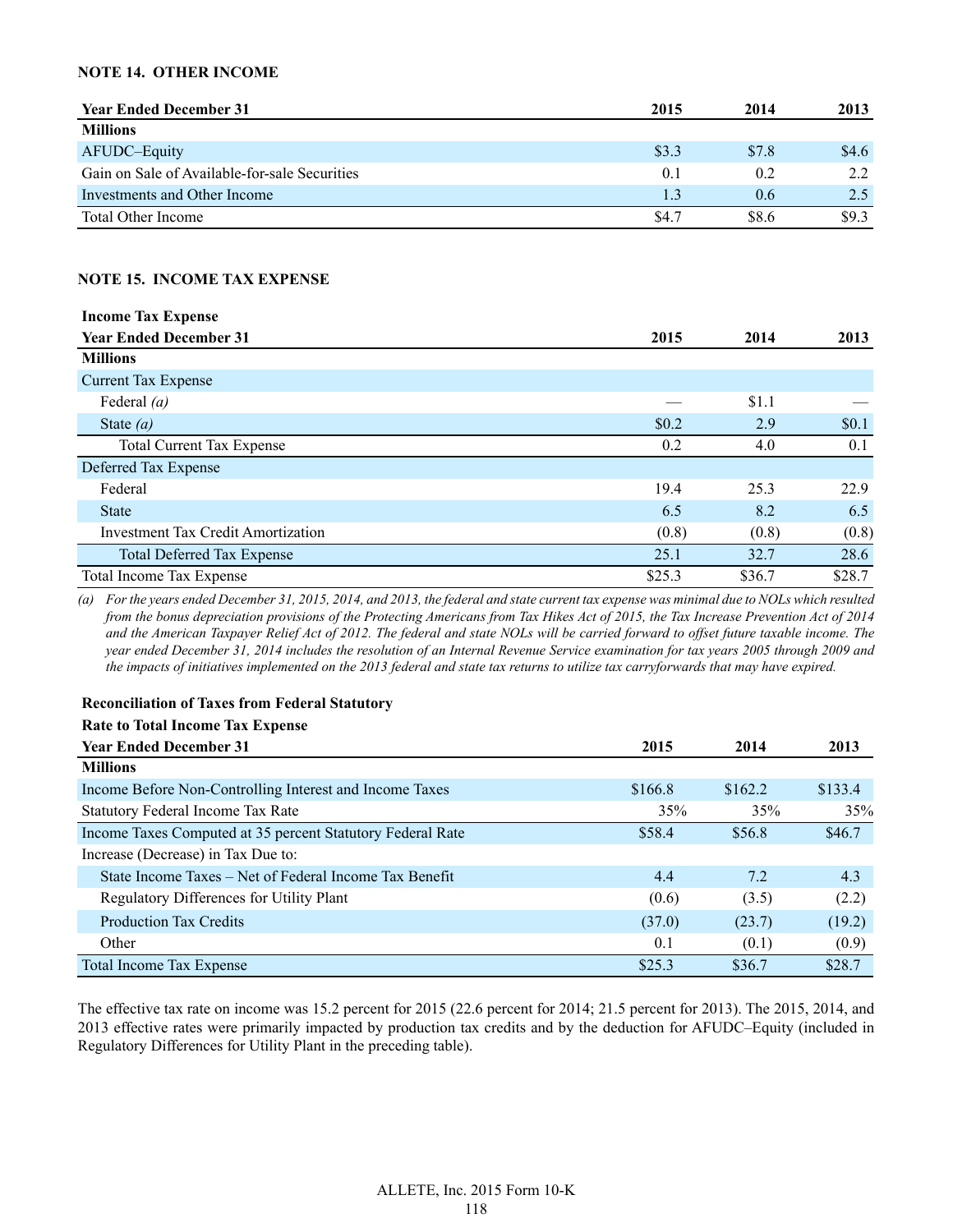# **NOTE 14. OTHER INCOME**

| <b>Year Ended December 31</b>                 | 2015  | 2014  | 2013          |
|-----------------------------------------------|-------|-------|---------------|
| <b>Millions</b>                               |       |       |               |
| AFUDC-Equity                                  | \$3.3 | \$7.8 | \$4.6         |
| Gain on Sale of Available-for-sale Securities | 0.1   | 0.2   | 2.2           |
| Investments and Other Income                  | 1.3   | 0.6   | $2.5^{\circ}$ |
| <b>Total Other Income</b>                     | \$4.7 | \$8.6 | \$9.3         |

#### **NOTE 15. INCOME TAX EXPENSE**

| <b>Income Tax Expense</b>                 |         |        |        |
|-------------------------------------------|---------|--------|--------|
| <b>Year Ended December 31</b>             | 2015    | 2014   | 2013   |
| <b>Millions</b>                           |         |        |        |
| <b>Current Tax Expense</b>                |         |        |        |
| Federal $(a)$                             |         | \$1.1  |        |
| State $(a)$                               | \$0.2\$ | 2.9    | \$0.1  |
| <b>Total Current Tax Expense</b>          | 0.2     | 4.0    | 0.1    |
| Deferred Tax Expense                      |         |        |        |
| Federal                                   | 19.4    | 25.3   | 22.9   |
| <b>State</b>                              | 6.5     | 8.2    | 6.5    |
| <b>Investment Tax Credit Amortization</b> | (0.8)   | (0.8)  | (0.8)  |
| <b>Total Deferred Tax Expense</b>         | 25.1    | 32.7   | 28.6   |
| Total Income Tax Expense                  | \$25.3  | \$36.7 | \$28.7 |

*(a) For the years ended December 31, 2015, 2014, and 2013, the federal and state current tax expense was minimal due to NOLs which resulted from the bonus depreciation provisions of the Protecting Americans from Tax Hikes Act of 2015, the Tax Increase Prevention Act of 2014 and the American Taxpayer Relief Act of 2012. The federal and state NOLs will be carried forward to offset future taxable income. The year ended December 31, 2014 includes the resolution of an Internal Revenue Service examination for tax years 2005 through 2009 and the impacts of initiatives implemented on the 2013 federal and state tax returns to utilize tax carryforwards that may have expired.*

#### **Reconciliation of Taxes from Federal Statutory**

#### **Rate to Total Income Tax Expense**

| <b>Year Ended December 31</b>                              | 2015    | 2014    | 2013    |
|------------------------------------------------------------|---------|---------|---------|
| <b>Millions</b>                                            |         |         |         |
| Income Before Non-Controlling Interest and Income Taxes    | \$166.8 | \$162.2 | \$133.4 |
| <b>Statutory Federal Income Tax Rate</b>                   | 35%     | 35%     | 35%     |
| Income Taxes Computed at 35 percent Statutory Federal Rate | \$58.4  | \$56.8  | \$46.7  |
| Increase (Decrease) in Tax Due to:                         |         |         |         |
| State Income Taxes – Net of Federal Income Tax Benefit     | 4.4     | 7.2     | 4.3     |
| Regulatory Differences for Utility Plant                   | (0.6)   | (3.5)   | (2.2)   |
| <b>Production Tax Credits</b>                              | (37.0)  | (23.7)  | (19.2)  |
| Other                                                      | 0.1     | (0.1)   | (0.9)   |
| <b>Total Income Tax Expense</b>                            | \$25.3  | \$36.7  | \$28.7  |

The effective tax rate on income was 15.2 percent for 2015 (22.6 percent for 2014; 21.5 percent for 2013). The 2015, 2014, and 2013 effective rates were primarily impacted by production tax credits and by the deduction for AFUDC–Equity (included in Regulatory Differences for Utility Plant in the preceding table).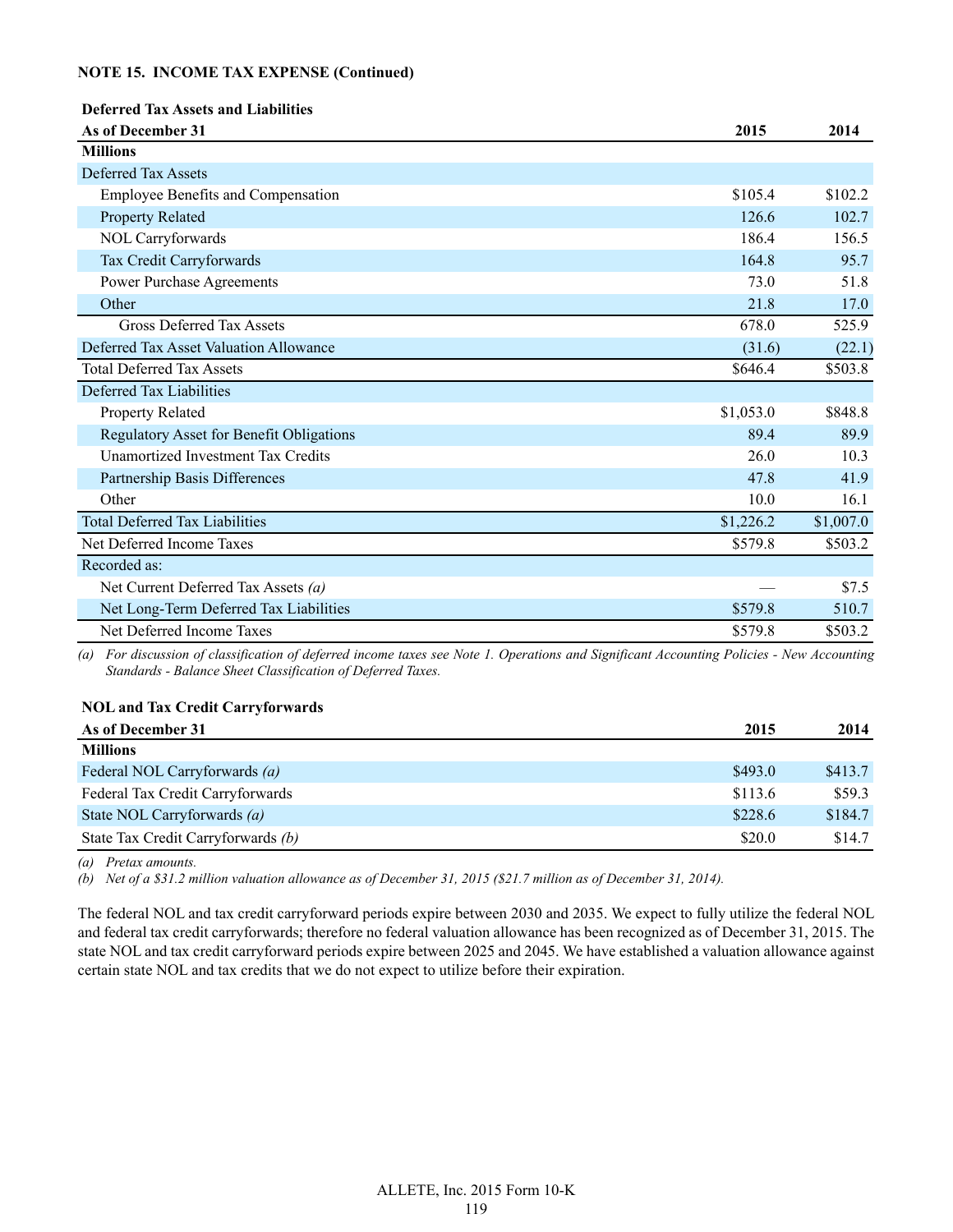#### **NOTE 15. INCOME TAX EXPENSE (Continued)**

| <b>Deferred Tax Assets and Liabilities</b> |           |           |
|--------------------------------------------|-----------|-----------|
| As of December 31                          | 2015      | 2014      |
| <b>Millions</b>                            |           |           |
| <b>Deferred Tax Assets</b>                 |           |           |
| <b>Employee Benefits and Compensation</b>  | \$105.4   | \$102.2   |
| <b>Property Related</b>                    | 126.6     | 102.7     |
| NOL Carryforwards                          | 186.4     | 156.5     |
| Tax Credit Carryforwards                   | 164.8     | 95.7      |
| Power Purchase Agreements                  | 73.0      | 51.8      |
| Other                                      | 21.8      | 17.0      |
| <b>Gross Deferred Tax Assets</b>           | 678.0     | 525.9     |
| Deferred Tax Asset Valuation Allowance     | (31.6)    | (22.1)    |
| <b>Total Deferred Tax Assets</b>           | \$646.4   | \$503.8   |
| Deferred Tax Liabilities                   |           |           |
| Property Related                           | \$1,053.0 | \$848.8   |
| Regulatory Asset for Benefit Obligations   | 89.4      | 89.9      |
| <b>Unamortized Investment Tax Credits</b>  | 26.0      | 10.3      |
| Partnership Basis Differences              | 47.8      | 41.9      |
| Other                                      | 10.0      | 16.1      |
| <b>Total Deferred Tax Liabilities</b>      | \$1,226.2 | \$1,007.0 |
| Net Deferred Income Taxes                  | \$579.8   | \$503.2   |
| Recorded as:                               |           |           |
| Net Current Deferred Tax Assets (a)        |           | \$7.5     |
| Net Long-Term Deferred Tax Liabilities     | \$579.8   | 510.7     |
| Net Deferred Income Taxes                  | \$579.8   | \$503.2   |

*(a) For discussion of classification of deferred income taxes see Note 1. Operations and Significant Accounting Policies - New Accounting Standards - Balance Sheet Classification of Deferred Taxes.* 

#### **NOL and Tax Credit Carryforwards**

| As of December 31                  | 2015    | 2014    |
|------------------------------------|---------|---------|
| <b>Millions</b>                    |         |         |
| Federal NOL Carryforwards (a)      | \$493.0 | \$413.7 |
| Federal Tax Credit Carryforwards   | \$113.6 | \$59.3  |
| State NOL Carryforwards (a)        | \$228.6 | \$184.7 |
| State Tax Credit Carryforwards (b) | \$20.0  | \$14.7  |

*(a) Pretax amounts.*

*(b) Net of a \$31.2 million valuation allowance as of December 31, 2015 (\$21.7 million as of December 31, 2014).*

The federal NOL and tax credit carryforward periods expire between 2030 and 2035. We expect to fully utilize the federal NOL and federal tax credit carryforwards; therefore no federal valuation allowance has been recognized as of December 31, 2015. The state NOL and tax credit carryforward periods expire between 2025 and 2045. We have established a valuation allowance against certain state NOL and tax credits that we do not expect to utilize before their expiration.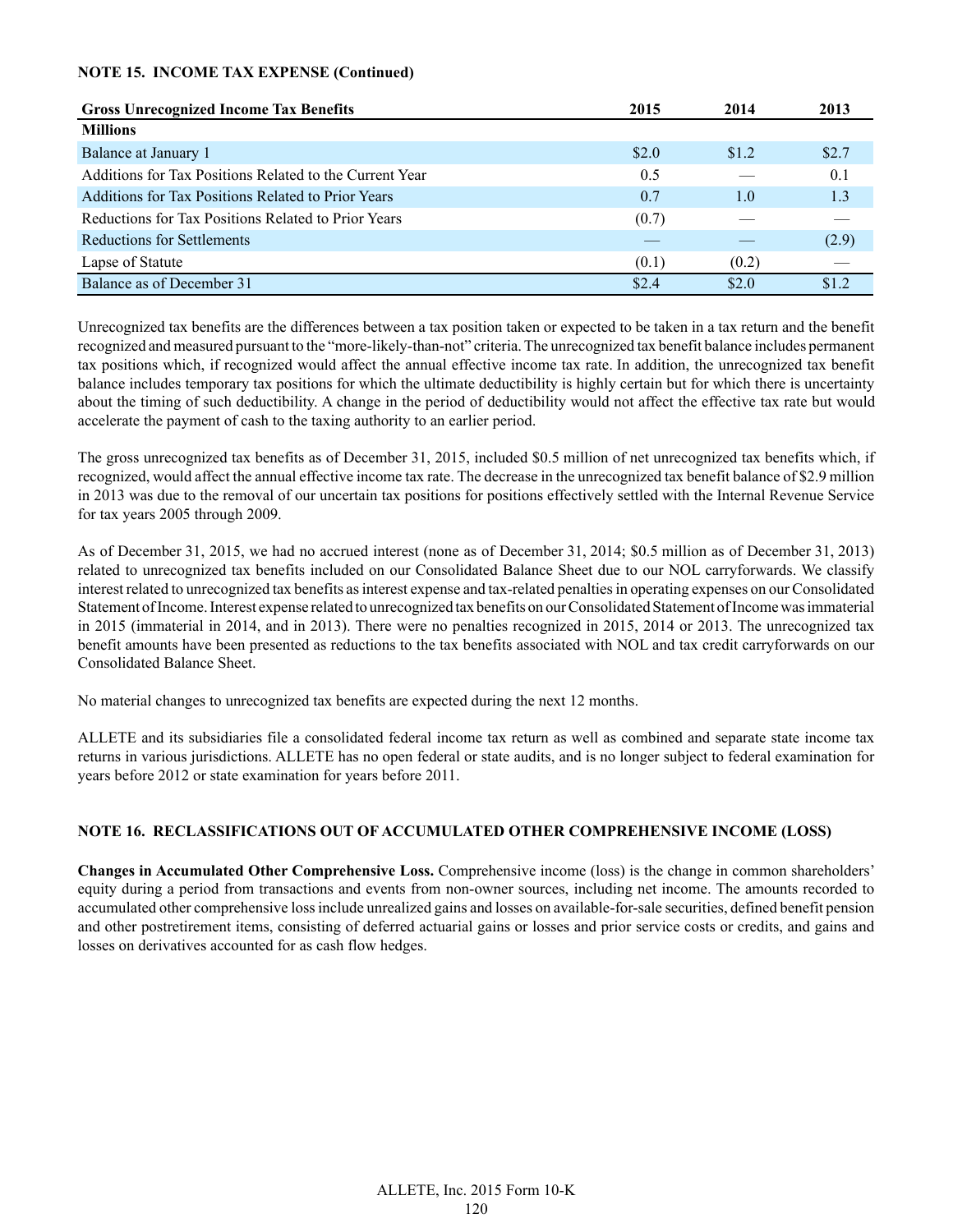# **NOTE 15. INCOME TAX EXPENSE (Continued)**

| <b>Gross Unrecognized Income Tax Benefits</b>           | 2015  | 2014  | 2013  |
|---------------------------------------------------------|-------|-------|-------|
| <b>Millions</b>                                         |       |       |       |
| Balance at January 1                                    | \$2.0 | \$1.2 | \$2.7 |
| Additions for Tax Positions Related to the Current Year | 0.5   |       | 0.1   |
| Additions for Tax Positions Related to Prior Years      | 0.7   | 1.0   | 1.3   |
| Reductions for Tax Positions Related to Prior Years     | (0.7) |       |       |
| Reductions for Settlements                              |       |       | (2.9) |
| Lapse of Statute                                        | (0.1) | (0.2) |       |
| Balance as of December 31                               | \$2.4 | \$2.0 | \$12  |

Unrecognized tax benefits are the differences between a tax position taken or expected to be taken in a tax return and the benefit recognized and measured pursuant to the "more-likely-than-not" criteria. The unrecognized tax benefit balance includes permanent tax positions which, if recognized would affect the annual effective income tax rate. In addition, the unrecognized tax benefit balance includes temporary tax positions for which the ultimate deductibility is highly certain but for which there is uncertainty about the timing of such deductibility. A change in the period of deductibility would not affect the effective tax rate but would accelerate the payment of cash to the taxing authority to an earlier period.

The gross unrecognized tax benefits as of December 31, 2015, included \$0.5 million of net unrecognized tax benefits which, if recognized, would affect the annual effective income tax rate. The decrease in the unrecognized tax benefit balance of \$2.9 million in 2013 was due to the removal of our uncertain tax positions for positions effectively settled with the Internal Revenue Service for tax years 2005 through 2009.

As of December 31, 2015, we had no accrued interest (none as of December 31, 2014; \$0.5 million as of December 31, 2013) related to unrecognized tax benefits included on our Consolidated Balance Sheet due to our NOL carryforwards. We classify interest related to unrecognized tax benefits as interest expense and tax-related penalties in operating expenses on our Consolidated Statement of Income. Interest expense related to unrecognized tax benefits on our Consolidated Statement of Income was immaterial in 2015 (immaterial in 2014, and in 2013). There were no penalties recognized in 2015, 2014 or 2013. The unrecognized tax benefit amounts have been presented as reductions to the tax benefits associated with NOL and tax credit carryforwards on our Consolidated Balance Sheet.

No material changes to unrecognized tax benefits are expected during the next 12 months.

ALLETE and its subsidiaries file a consolidated federal income tax return as well as combined and separate state income tax returns in various jurisdictions. ALLETE has no open federal or state audits, and is no longer subject to federal examination for years before 2012 or state examination for years before 2011.

### **NOTE 16. RECLASSIFICATIONS OUT OF ACCUMULATED OTHER COMPREHENSIVE INCOME (LOSS)**

**Changes in Accumulated Other Comprehensive Loss.** Comprehensive income (loss) is the change in common shareholders' equity during a period from transactions and events from non-owner sources, including net income. The amounts recorded to accumulated other comprehensive loss include unrealized gains and losses on available-for-sale securities, defined benefit pension and other postretirement items, consisting of deferred actuarial gains or losses and prior service costs or credits, and gains and losses on derivatives accounted for as cash flow hedges.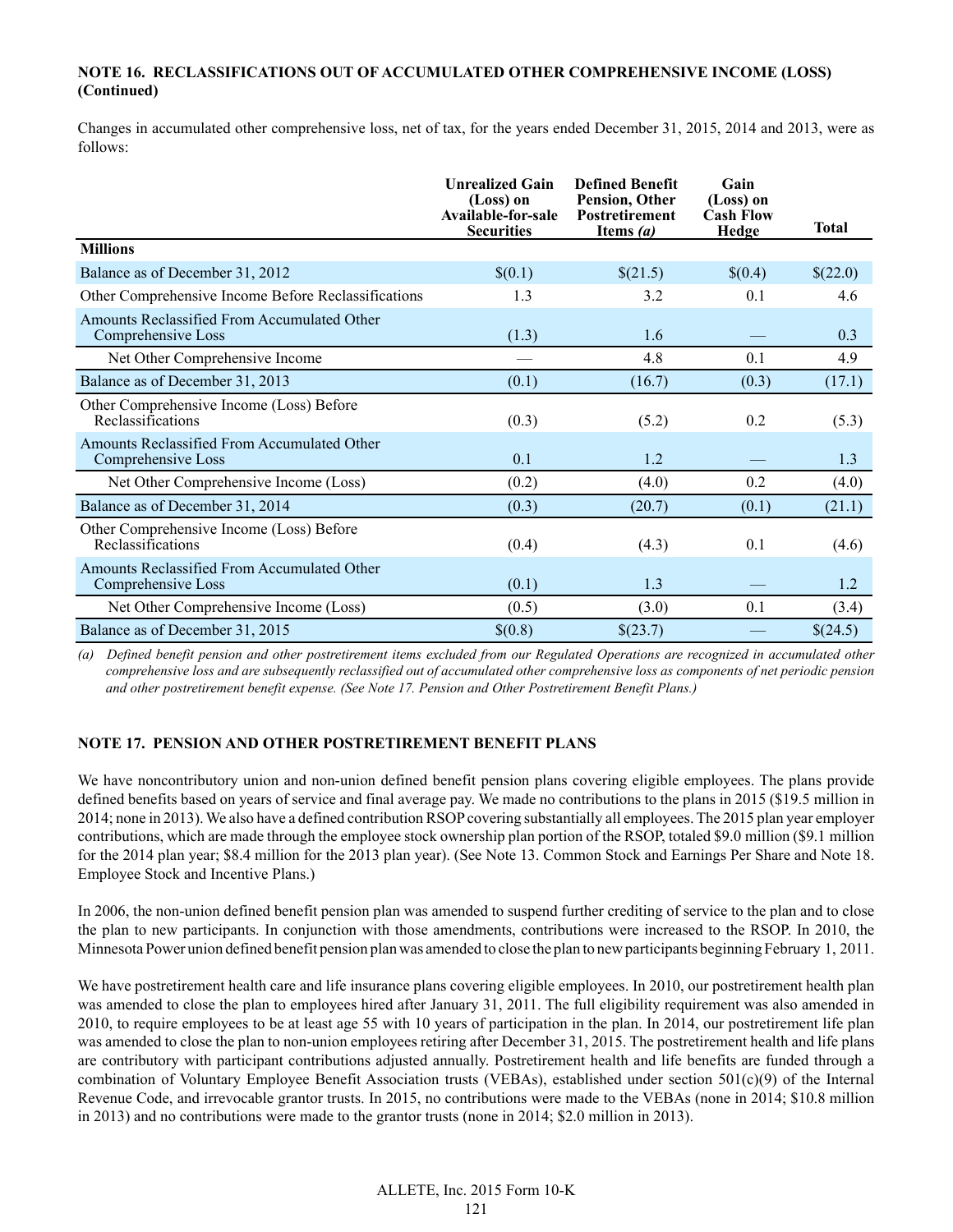# **NOTE 16. RECLASSIFICATIONS OUT OF ACCUMULATED OTHER COMPREHENSIVE INCOME (LOSS) (Continued)**

Changes in accumulated other comprehensive loss, net of tax, for the years ended December 31, 2015, 2014 and 2013, were as follows:

|                                                                   | <b>Unrealized Gain</b><br>(Loss) on<br>Available-for-sale<br><b>Securities</b> | <b>Defined Benefit</b><br>Pension, Other<br><b>Postretirement</b><br>Items $(a)$ | Gain<br>(Loss) on<br><b>Cash Flow</b><br>Hedge | Total    |
|-------------------------------------------------------------------|--------------------------------------------------------------------------------|----------------------------------------------------------------------------------|------------------------------------------------|----------|
| <b>Millions</b>                                                   |                                                                                |                                                                                  |                                                |          |
| Balance as of December 31, 2012                                   | \$(0.1)                                                                        | \$(21.5)                                                                         | \$(0.4)                                        | \$(22.0) |
| Other Comprehensive Income Before Reclassifications               | 1.3                                                                            | 3.2                                                                              | 0.1                                            | 4.6      |
| Amounts Reclassified From Accumulated Other<br>Comprehensive Loss | (1.3)                                                                          | 1.6                                                                              |                                                | 0.3      |
| Net Other Comprehensive Income                                    |                                                                                | 4.8                                                                              | 0.1                                            | 4.9      |
| Balance as of December 31, 2013                                   | (0.1)                                                                          | (16.7)                                                                           | (0.3)                                          | (17.1)   |
| Other Comprehensive Income (Loss) Before<br>Reclassifications     | (0.3)                                                                          | (5.2)                                                                            | 0.2                                            | (5.3)    |
| Amounts Reclassified From Accumulated Other<br>Comprehensive Loss | 0.1                                                                            | 1.2                                                                              |                                                | 1.3      |
| Net Other Comprehensive Income (Loss)                             | (0.2)                                                                          | (4.0)                                                                            | 0.2                                            | (4.0)    |
| Balance as of December 31, 2014                                   | (0.3)                                                                          | (20.7)                                                                           | (0.1)                                          | (21.1)   |
| Other Comprehensive Income (Loss) Before<br>Reclassifications     | (0.4)                                                                          | (4.3)                                                                            | 0.1                                            | (4.6)    |
| Amounts Reclassified From Accumulated Other<br>Comprehensive Loss | (0.1)                                                                          | 1.3                                                                              |                                                | 1.2      |
| Net Other Comprehensive Income (Loss)                             | (0.5)                                                                          | (3.0)                                                                            | 0.1                                            | (3.4)    |
| Balance as of December 31, 2015                                   | \$(0.8)                                                                        | \$(23.7)                                                                         |                                                | \$(24.5) |

*(a) Defined benefit pension and other postretirement items excluded from our Regulated Operations are recognized in accumulated other comprehensive loss and are subsequently reclassified out of accumulated other comprehensive loss as components of net periodic pension and other postretirement benefit expense. (See Note 17. Pension and Other Postretirement Benefit Plans.)* 

# **NOTE 17. PENSION AND OTHER POSTRETIREMENT BENEFIT PLANS**

We have noncontributory union and non-union defined benefit pension plans covering eligible employees. The plans provide defined benefits based on years of service and final average pay. We made no contributions to the plans in 2015 (\$19.5 million in 2014; none in 2013). We also have a defined contribution RSOP covering substantially all employees. The 2015 plan year employer contributions, which are made through the employee stock ownership plan portion of the RSOP, totaled \$9.0 million (\$9.1 million for the 2014 plan year; \$8.4 million for the 2013 plan year). (See Note 13. Common Stock and Earnings Per Share and Note 18. Employee Stock and Incentive Plans.)

In 2006, the non-union defined benefit pension plan was amended to suspend further crediting of service to the plan and to close the plan to new participants. In conjunction with those amendments, contributions were increased to the RSOP. In 2010, the Minnesota Power union defined benefit pension plan was amended to close the plan to new participants beginning February 1, 2011.

We have postretirement health care and life insurance plans covering eligible employees. In 2010, our postretirement health plan was amended to close the plan to employees hired after January 31, 2011. The full eligibility requirement was also amended in 2010, to require employees to be at least age 55 with 10 years of participation in the plan. In 2014, our postretirement life plan was amended to close the plan to non-union employees retiring after December 31, 2015. The postretirement health and life plans are contributory with participant contributions adjusted annually. Postretirement health and life benefits are funded through a combination of Voluntary Employee Benefit Association trusts (VEBAs), established under section 501(c)(9) of the Internal Revenue Code, and irrevocable grantor trusts. In 2015, no contributions were made to the VEBAs (none in 2014; \$10.8 million in 2013) and no contributions were made to the grantor trusts (none in 2014; \$2.0 million in 2013).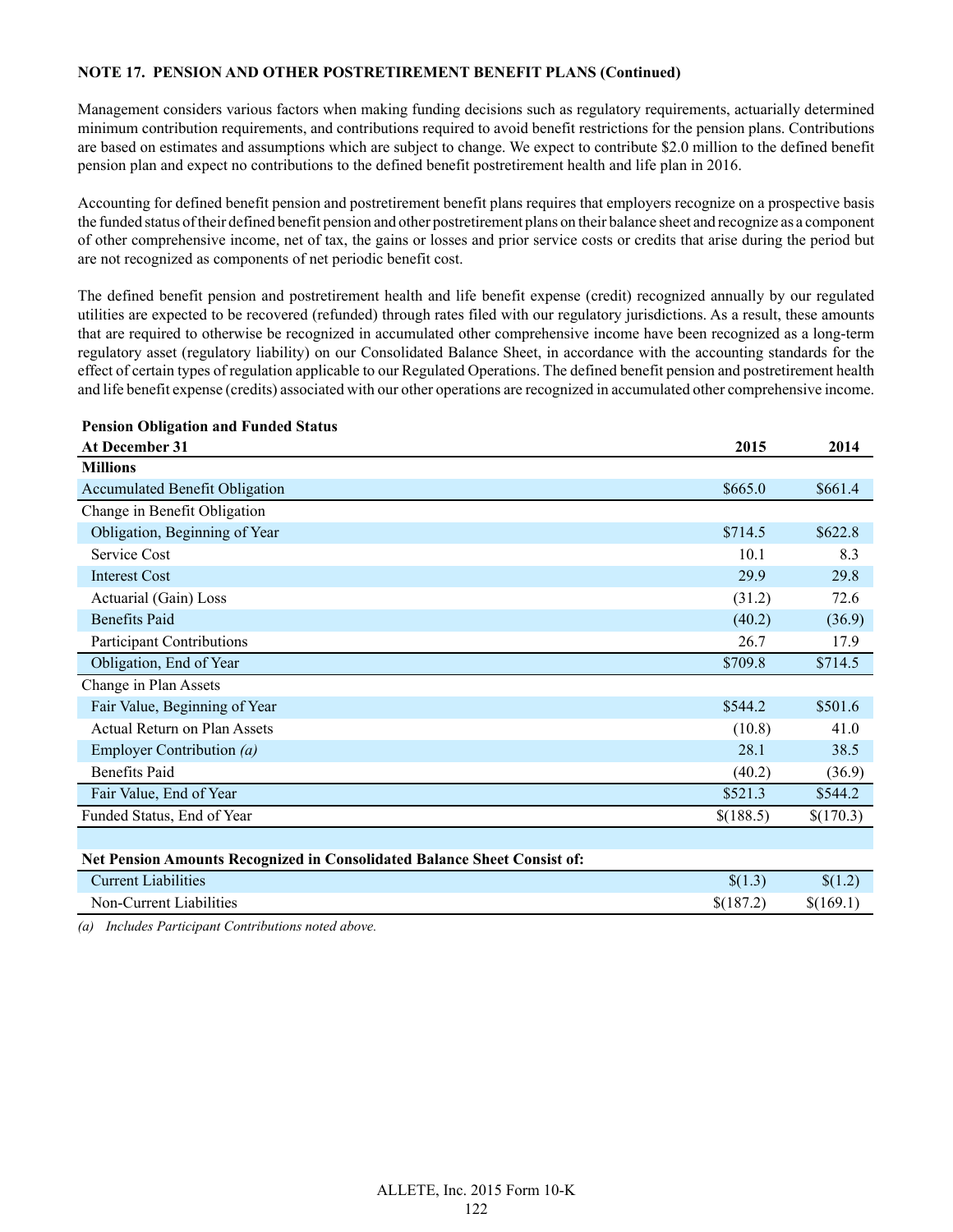Management considers various factors when making funding decisions such as regulatory requirements, actuarially determined minimum contribution requirements, and contributions required to avoid benefit restrictions for the pension plans. Contributions are based on estimates and assumptions which are subject to change. We expect to contribute \$2.0 million to the defined benefit pension plan and expect no contributions to the defined benefit postretirement health and life plan in 2016.

Accounting for defined benefit pension and postretirement benefit plans requires that employers recognize on a prospective basis the funded status of their defined benefit pension and other postretirement plans on their balance sheet and recognize as a component of other comprehensive income, net of tax, the gains or losses and prior service costs or credits that arise during the period but are not recognized as components of net periodic benefit cost.

The defined benefit pension and postretirement health and life benefit expense (credit) recognized annually by our regulated utilities are expected to be recovered (refunded) through rates filed with our regulatory jurisdictions. As a result, these amounts that are required to otherwise be recognized in accumulated other comprehensive income have been recognized as a long-term regulatory asset (regulatory liability) on our Consolidated Balance Sheet, in accordance with the accounting standards for the effect of certain types of regulation applicable to our Regulated Operations. The defined benefit pension and postretirement health and life benefit expense (credits) associated with our other operations are recognized in accumulated other comprehensive income.

| <b>Pension Obligation and Funded Status</b>                              |           |           |
|--------------------------------------------------------------------------|-----------|-----------|
| <b>At December 31</b>                                                    | 2015      | 2014      |
| <b>Millions</b>                                                          |           |           |
| <b>Accumulated Benefit Obligation</b>                                    | \$665.0   | \$661.4   |
| Change in Benefit Obligation                                             |           |           |
| Obligation, Beginning of Year                                            | \$714.5   | \$622.8   |
| Service Cost                                                             | 10.1      | 8.3       |
| <b>Interest Cost</b>                                                     | 29.9      | 29.8      |
| Actuarial (Gain) Loss                                                    | (31.2)    | 72.6      |
| <b>Benefits Paid</b>                                                     | (40.2)    | (36.9)    |
| <b>Participant Contributions</b>                                         | 26.7      | 17.9      |
| Obligation, End of Year                                                  | \$709.8   | \$714.5   |
| Change in Plan Assets                                                    |           |           |
| Fair Value, Beginning of Year                                            | \$544.2   | \$501.6   |
| Actual Return on Plan Assets                                             | (10.8)    | 41.0      |
| Employer Contribution $(a)$                                              | 28.1      | 38.5      |
| <b>Benefits Paid</b>                                                     | (40.2)    | (36.9)    |
| Fair Value, End of Year                                                  | \$521.3   | \$544.2   |
| Funded Status, End of Year                                               | \$(188.5) | \$(170.3) |
|                                                                          |           |           |
| Net Pension Amounts Recognized in Consolidated Balance Sheet Consist of: |           |           |
| <b>Current Liabilities</b>                                               | \$(1.3)   | \$(1.2)   |
| Non-Current Liabilities                                                  | \$(187.2) | \$(169.1) |

*(a) Includes Participant Contributions noted above.*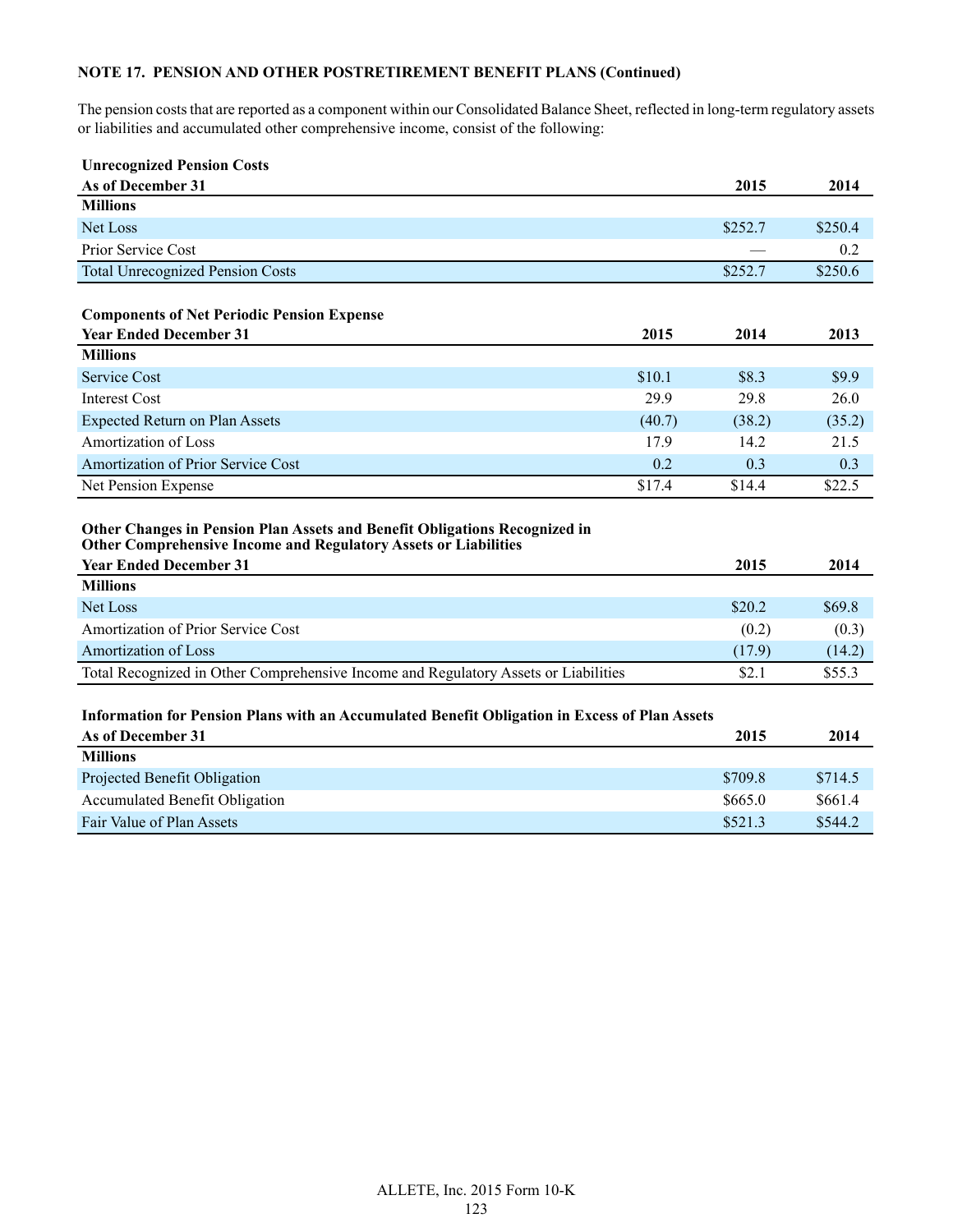The pension costs that are reported as a component within our Consolidated Balance Sheet, reflected in long-term regulatory assets or liabilities and accumulated other comprehensive income, consist of the following:

| <b>Unrecognized Pension Costs</b>                                                                                                                    |        |         |         |
|------------------------------------------------------------------------------------------------------------------------------------------------------|--------|---------|---------|
| As of December 31                                                                                                                                    |        | 2015    | 2014    |
| <b>Millions</b>                                                                                                                                      |        |         |         |
| Net Loss                                                                                                                                             |        | \$252.7 | \$250.4 |
| Prior Service Cost                                                                                                                                   |        |         | 0.2     |
| <b>Total Unrecognized Pension Costs</b>                                                                                                              |        | \$252.7 | \$250.6 |
|                                                                                                                                                      |        |         |         |
| <b>Components of Net Periodic Pension Expense</b>                                                                                                    |        |         |         |
| <b>Year Ended December 31</b>                                                                                                                        | 2015   | 2014    | 2013    |
| <b>Millions</b>                                                                                                                                      |        |         |         |
| <b>Service Cost</b>                                                                                                                                  | \$10.1 | \$8.3   | \$9.9   |
| <b>Interest Cost</b>                                                                                                                                 | 29.9   | 29.8    | 26.0    |
| <b>Expected Return on Plan Assets</b>                                                                                                                | (40.7) | (38.2)  | (35.2)  |
| <b>Amortization of Loss</b>                                                                                                                          | 17.9   | 14.2    | 21.5    |
| <b>Amortization of Prior Service Cost</b>                                                                                                            | 0.2    | 0.3     | 0.3     |
| Net Pension Expense                                                                                                                                  | \$17.4 | \$14.4  | \$22.5  |
| Other Changes in Pension Plan Assets and Benefit Obligations Recognized in<br><b>Other Comprehensive Income and Regulatory Assets or Liabilities</b> |        |         |         |
| <b>Year Ended December 31</b>                                                                                                                        |        | 2015    | 2014    |
| <b>Millions</b>                                                                                                                                      |        |         |         |
| Net Loss                                                                                                                                             |        | \$20.2  | \$69.8  |
| <b>Amortization of Prior Service Cost</b>                                                                                                            |        | (0.2)   | (0.3)   |
| <b>Amortization of Loss</b>                                                                                                                          |        | (17.9)  | (14.2)  |
| Total Recognized in Other Comprehensive Income and Regulatory Assets or Liabilities                                                                  |        | \$2.1   | \$55.3  |
|                                                                                                                                                      |        |         |         |
| Information for Pension Plans with an Accumulated Benefit Obligation in Excess of Plan Assets                                                        |        |         |         |
| As of December 31                                                                                                                                    |        | 2015    | 2014    |
| <b>Millions</b>                                                                                                                                      |        |         |         |
| Projected Benefit Obligation                                                                                                                         |        | \$709.8 | \$714.5 |
| Accumulated Benefit Obligation                                                                                                                       |        | \$665.0 | \$661.4 |
| Fair Value of Plan Assets                                                                                                                            |        | \$521.3 | \$544.2 |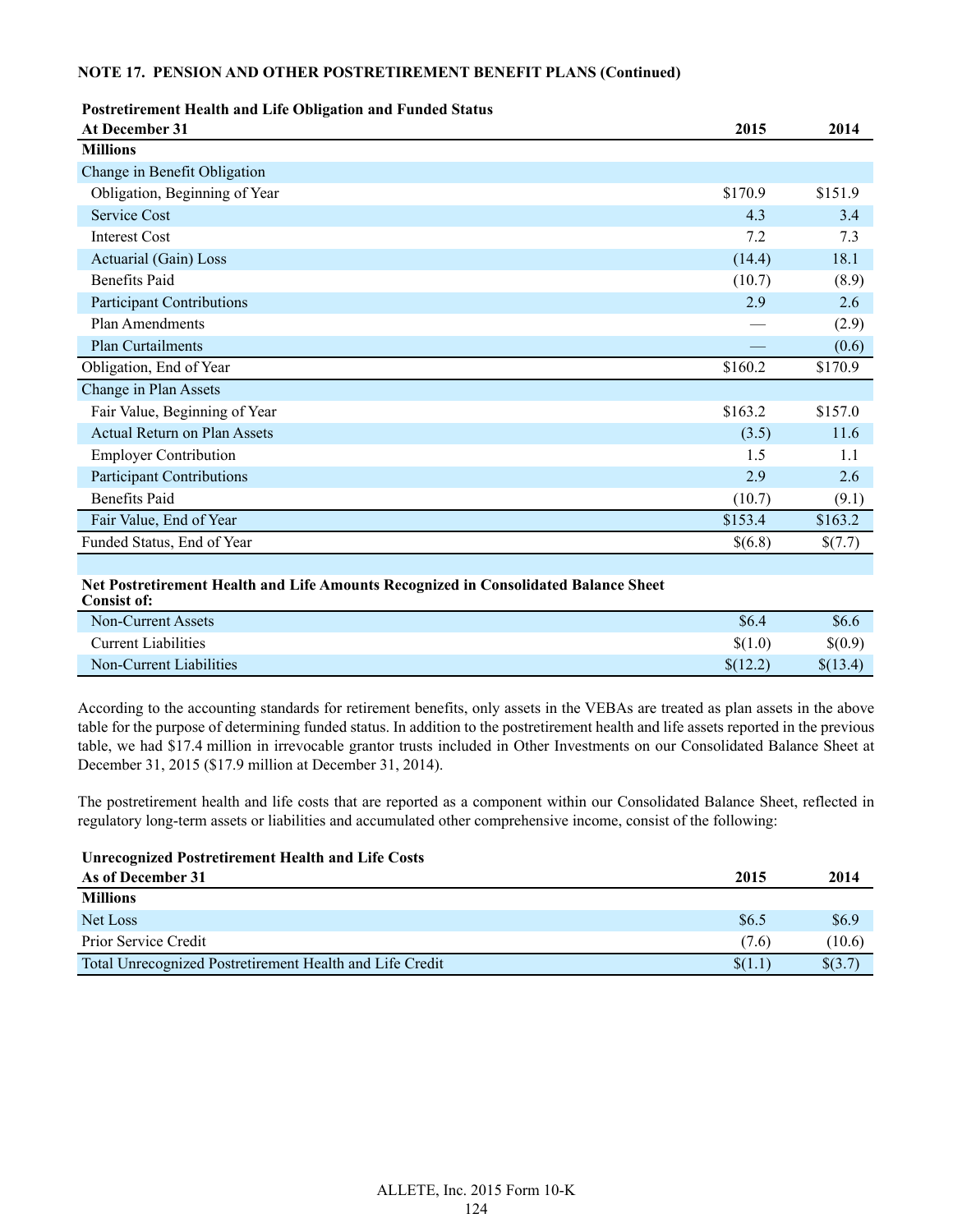#### **Postretirement Health and Life Obligation and Funded Status**

| At December 31                      | 2015    | 2014    |
|-------------------------------------|---------|---------|
| <b>Millions</b>                     |         |         |
| Change in Benefit Obligation        |         |         |
| Obligation, Beginning of Year       | \$170.9 | \$151.9 |
| <b>Service Cost</b>                 | 4.3     | 3.4     |
| <b>Interest Cost</b>                | 7.2     | 7.3     |
| Actuarial (Gain) Loss               | (14.4)  | 18.1    |
| <b>Benefits Paid</b>                | (10.7)  | (8.9)   |
| <b>Participant Contributions</b>    | 2.9     | 2.6     |
| Plan Amendments                     |         | (2.9)   |
| <b>Plan Curtailments</b>            |         | (0.6)   |
| Obligation, End of Year             | \$160.2 | \$170.9 |
| Change in Plan Assets               |         |         |
| Fair Value, Beginning of Year       | \$163.2 | \$157.0 |
| <b>Actual Return on Plan Assets</b> | (3.5)   | 11.6    |
| <b>Employer Contribution</b>        | 1.5     | 1.1     |
| <b>Participant Contributions</b>    | 2.9     | 2.6     |
| <b>Benefits Paid</b>                | (10.7)  | (9.1)   |
| Fair Value, End of Year             | \$153.4 | \$163.2 |
| Funded Status, End of Year          | \$(6.8) | \$(7.7) |

#### **Net Postretirement Health and Life Amounts Recognized in Consolidated Balance Sheet Consist of:**

| CONSIST OF              |          |          |
|-------------------------|----------|----------|
| Non-Current Assets      | \$6.4    | \$6.6    |
| Current Liabilities     | \$(1.0)  | \$(0.9)  |
| Non-Current Liabilities | \$(12.2) | \$(13.4) |

According to the accounting standards for retirement benefits, only assets in the VEBAs are treated as plan assets in the above table for the purpose of determining funded status. In addition to the postretirement health and life assets reported in the previous table, we had \$17.4 million in irrevocable grantor trusts included in Other Investments on our Consolidated Balance Sheet at December 31, 2015 (\$17.9 million at December 31, 2014).

The postretirement health and life costs that are reported as a component within our Consolidated Balance Sheet, reflected in regulatory long-term assets or liabilities and accumulated other comprehensive income, consist of the following:

# **Unrecognized Postretirement Health and Life Costs**

| As of December 31                                        | 2015    | 2014    |
|----------------------------------------------------------|---------|---------|
| <b>Millions</b>                                          |         |         |
| Net Loss                                                 | \$6.5   | \$6.9   |
| Prior Service Credit                                     | (7.6)   | (10.6)  |
| Total Unrecognized Postretirement Health and Life Credit | \$(1.1) | \$(3.7) |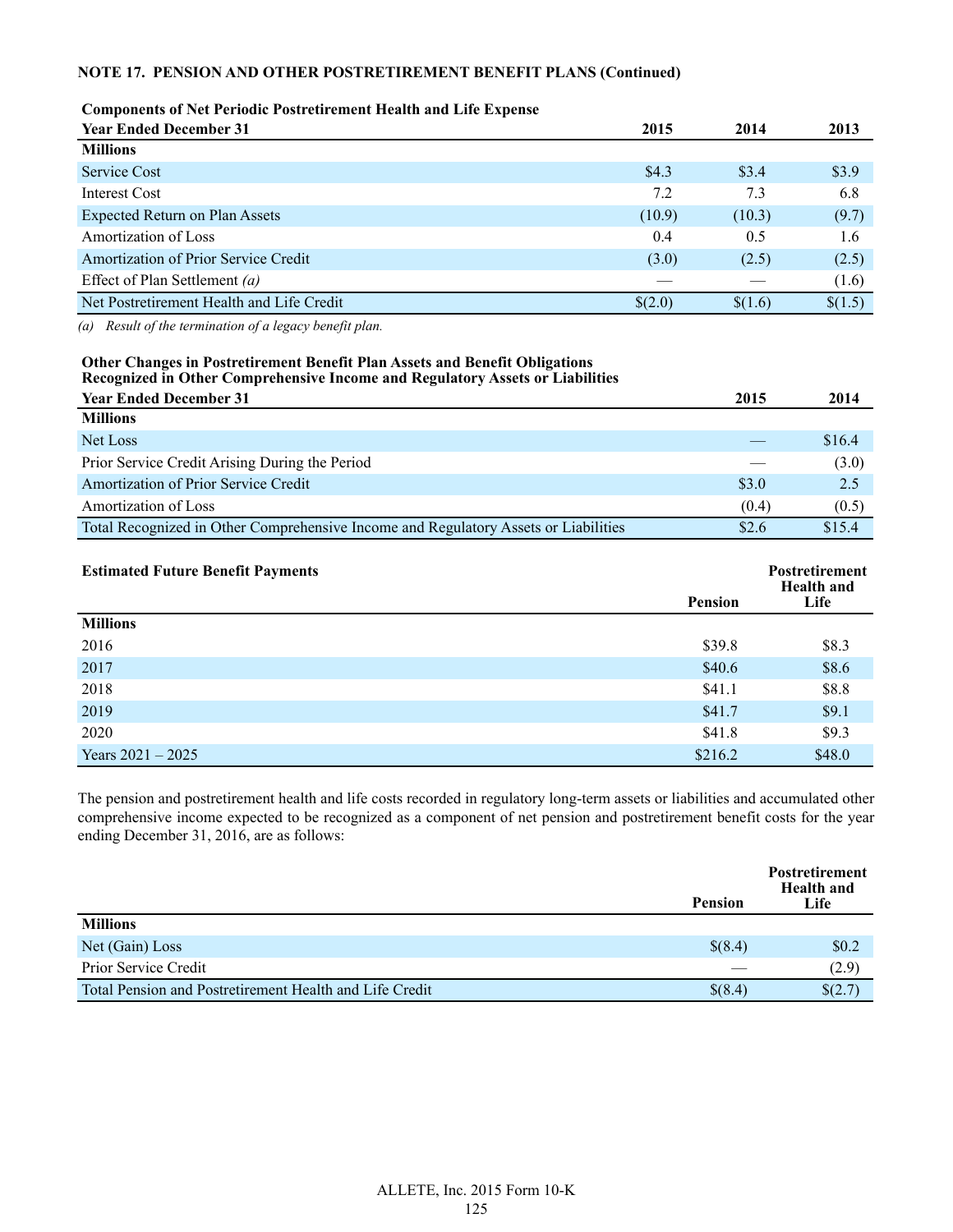#### **Components of Net Periodic Postretirement Health and Life Expense**

| <b>Year Ended December 31</b>               | 2015    | 2014    | 2013    |
|---------------------------------------------|---------|---------|---------|
| <b>Millions</b>                             |         |         |         |
| <b>Service Cost</b>                         | \$4.3   | \$3.4   | \$3.9   |
| Interest Cost                               | 7.2     | 7.3     | 6.8     |
| <b>Expected Return on Plan Assets</b>       | (10.9)  | (10.3)  | (9.7)   |
| Amortization of Loss                        | 0.4     | 0.5     | 1.6     |
| <b>Amortization of Prior Service Credit</b> | (3.0)   | (2.5)   | (2.5)   |
| Effect of Plan Settlement $(a)$             |         |         | (1.6)   |
| Net Postretirement Health and Life Credit   | \$(2.0) | \$(1.6) | \$(1.5) |

*(a) Result of the termination of a legacy benefit plan.*

# **Other Changes in Postretirement Benefit Plan Assets and Benefit Obligations**

| Recognized in Other Comprehensive Income and Regulatory Assets or Liabilities       |       |        |
|-------------------------------------------------------------------------------------|-------|--------|
| <b>Year Ended December 31</b>                                                       | 2015  | 2014   |
| <b>Millions</b>                                                                     |       |        |
| Net Loss                                                                            |       | \$16.4 |
| Prior Service Credit Arising During the Period                                      |       | (3.0)  |
| Amortization of Prior Service Credit                                                | \$3.0 | 2.5    |
| Amortization of Loss                                                                | (0.4) | (0.5)  |
| Total Recognized in Other Comprehensive Income and Regulatory Assets or Liabilities | \$2.6 | \$15.4 |

| <b>Estimated Future Benefit Payments</b> |                | <b>Postretirement</b><br><b>Health</b> and |
|------------------------------------------|----------------|--------------------------------------------|
|                                          | <b>Pension</b> | Life                                       |
| <b>Millions</b>                          |                |                                            |
| 2016                                     | \$39.8         | \$8.3                                      |
| 2017                                     | \$40.6\$       | \$8.6                                      |
| 2018                                     | \$41.1         | \$8.8                                      |
| 2019                                     | \$41.7         | \$9.1                                      |
| 2020                                     | \$41.8         | \$9.3                                      |
| Years $2021 - 2025$                      | \$216.2        | \$48.0                                     |

The pension and postretirement health and life costs recorded in regulatory long-term assets or liabilities and accumulated other comprehensive income expected to be recognized as a component of net pension and postretirement benefit costs for the year ending December 31, 2016, are as follows:

|                                                         | <b>Pension</b> | <b>Postretirement</b><br><b>Health</b> and<br>Life |
|---------------------------------------------------------|----------------|----------------------------------------------------|
| <b>Millions</b>                                         |                |                                                    |
| Net (Gain) Loss                                         | \$(8.4)        | \$0.2                                              |
| Prior Service Credit                                    |                | (2.9)                                              |
| Total Pension and Postretirement Health and Life Credit | \$(8.4)        | \$(2.7)                                            |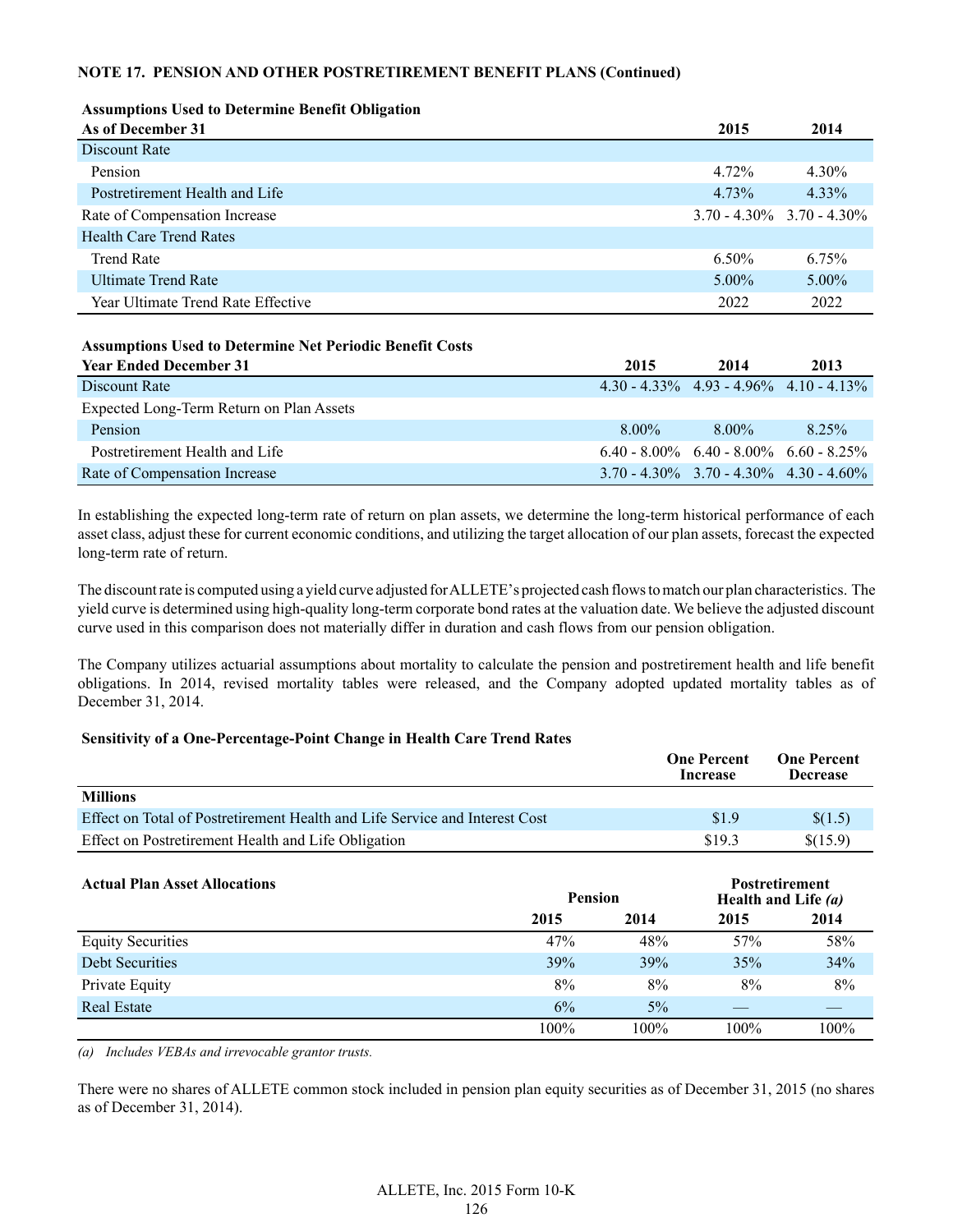# **As of December 31 2015 2014** Discount Rate Pension  $4.72\%$   $4.30\%$ Postretirement Health and Life 4.73% 4.33% 4.33% Rate of Compensation Increase 3.70 - 4.30% 3.70 - 4.30% Health Care Trend Rates Trend Rate  $6.50\%$  6.75% 6.75% Ultimate Trend Rate 5.00% 5.00% 5.00% 5.00% 5.00% 5.00% 5.00% 5.00% 5.00% 5.00% 5.00% 5.00% 5.00% 5.00% 5.00% 5.00% 5.00% 5.00% 5.00% 5.00% 5.00% 5.00% 5.00% 5.00% 5.00% 5.00% 5.00% 5.00% 5.00% 5.00% 5.00% 5.00% 5.00% 5.00 Year Ultimate Trend Rate Effective 2022 2022 2022

#### **Assumptions Used to Determine Benefit Obligation**

#### **Assumptions Used to Determine Net Periodic Benefit Costs**

| <b>Year Ended December 31</b>            | 2015     | 2014                                            | 2013    |
|------------------------------------------|----------|-------------------------------------------------|---------|
| Discount Rate                            |          | $4.30 - 4.33\%$ $4.93 - 4.96\%$ $4.10 - 4.13\%$ |         |
| Expected Long-Term Return on Plan Assets |          |                                                 |         |
| Pension                                  | $8.00\%$ | 8.00%                                           | 8 2 5 % |
| Postretirement Health and Life           |          | $6.40 - 8.00\%$ $6.40 - 8.00\%$ $6.60 - 8.25\%$ |         |
| Rate of Compensation Increase            |          | $3.70 - 4.30\%$ $3.70 - 4.30\%$ $4.30 - 4.60\%$ |         |

In establishing the expected long-term rate of return on plan assets, we determine the long-term historical performance of each asset class, adjust these for current economic conditions, and utilizing the target allocation of our plan assets, forecast the expected long-term rate of return.

The discount rate is computed using a yield curve adjusted for ALLETE's projected cash flows to match our plan characteristics. The yield curve is determined using high-quality long-term corporate bond rates at the valuation date. We believe the adjusted discount curve used in this comparison does not materially differ in duration and cash flows from our pension obligation.

The Company utilizes actuarial assumptions about mortality to calculate the pension and postretirement health and life benefit obligations. In 2014, revised mortality tables were released, and the Company adopted updated mortality tables as of December 31, 2014.

### **Sensitivity of a One-Percentage-Point Change in Health Care Trend Rates**

|                                                                             | <b>One Percent</b><br>Increase | <b>One Percent</b><br><b>Decrease</b> |
|-----------------------------------------------------------------------------|--------------------------------|---------------------------------------|
| <b>Millions</b>                                                             |                                |                                       |
| Effect on Total of Postretirement Health and Life Service and Interest Cost | \$1.9                          | $\{(1.5)$                             |
| Effect on Postretirement Health and Life Obligation                         | \$19.3                         | \$(15.9)                              |

| <b>Actual Plan Asset Allocations</b> |         | <b>Pension</b> |         | <b>Postretirement</b><br>Health and Life $(a)$ |
|--------------------------------------|---------|----------------|---------|------------------------------------------------|
|                                      | 2015    | 2014           | 2015    | 2014                                           |
| <b>Equity Securities</b>             | 47%     | 48%            | 57%     | 58%                                            |
| <b>Debt Securities</b>               | 39%     | 39%            | 35%     | 34%                                            |
| Private Equity                       | 8%      | 8%             | 8%      | 8%                                             |
| <b>Real Estate</b>                   | 6%      | $5\%$          |         |                                                |
|                                      | $100\%$ | 100%           | $100\%$ | 100%                                           |

*(a) Includes VEBAs and irrevocable grantor trusts.*

There were no shares of ALLETE common stock included in pension plan equity securities as of December 31, 2015 (no shares as of December 31, 2014).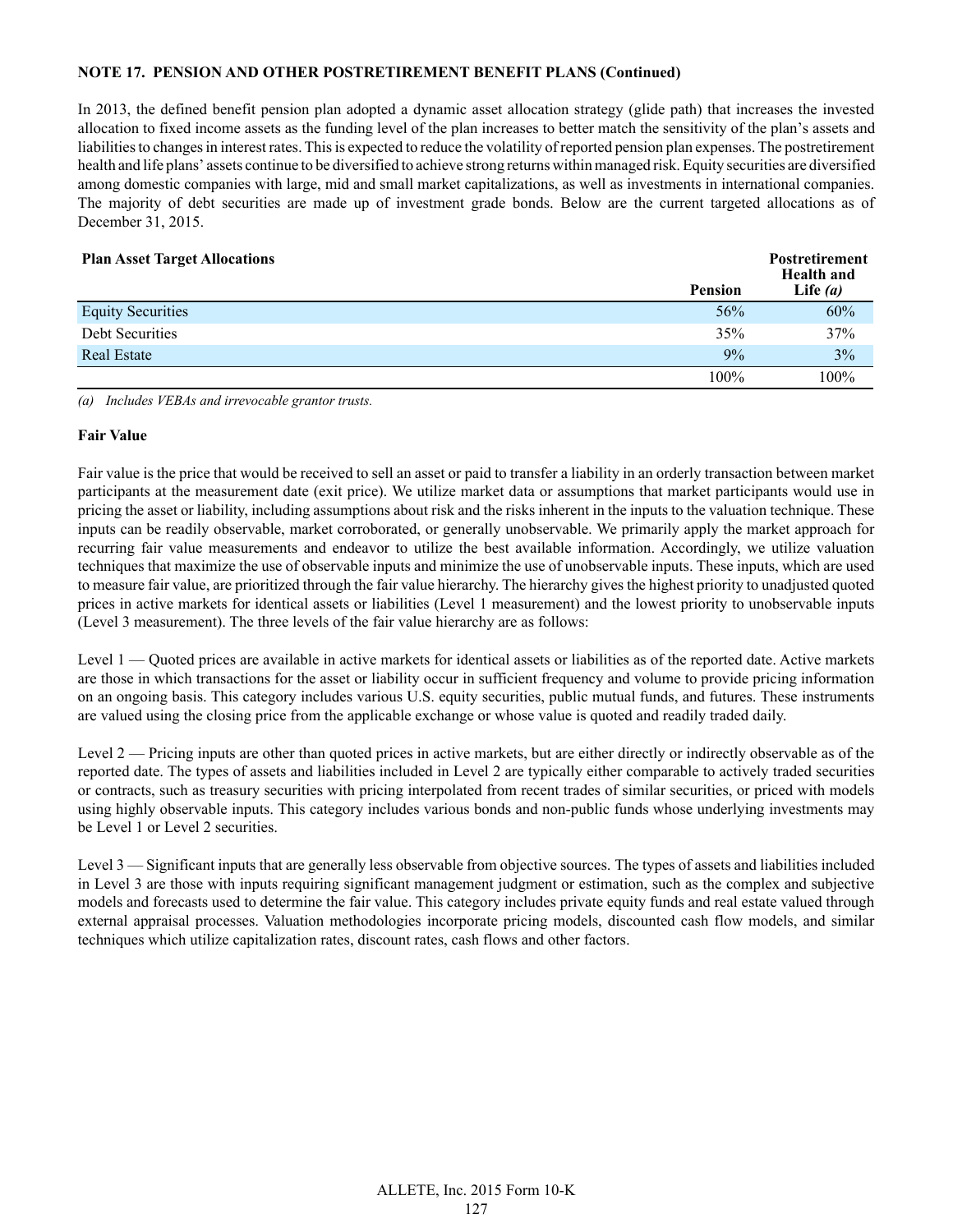In 2013, the defined benefit pension plan adopted a dynamic asset allocation strategy (glide path) that increases the invested allocation to fixed income assets as the funding level of the plan increases to better match the sensitivity of the plan's assets and liabilities to changes in interest rates. This is expected to reduce the volatility of reported pension plan expenses. The postretirement health and life plans' assets continue to be diversified to achieve strong returns within managed risk. Equity securities are diversified among domestic companies with large, mid and small market capitalizations, as well as investments in international companies. The majority of debt securities are made up of investment grade bonds. Below are the current targeted allocations as of December 31, 2015.

#### **Plan Asset Target Allocations**

|                          | <b>Pension</b> | <b>Health and</b><br>Life $(a)$ |
|--------------------------|----------------|---------------------------------|
| <b>Equity Securities</b> | 56%            | 60%                             |
| Debt Securities          | 35%            | 37%                             |
| Real Estate              | 9%             | 3%                              |
|                          | 100%           | 100%                            |

**Postretirement**

*(a) Includes VEBAs and irrevocable grantor trusts.*

#### **Fair Value**

Fair value is the price that would be received to sell an asset or paid to transfer a liability in an orderly transaction between market participants at the measurement date (exit price). We utilize market data or assumptions that market participants would use in pricing the asset or liability, including assumptions about risk and the risks inherent in the inputs to the valuation technique. These inputs can be readily observable, market corroborated, or generally unobservable. We primarily apply the market approach for recurring fair value measurements and endeavor to utilize the best available information. Accordingly, we utilize valuation techniques that maximize the use of observable inputs and minimize the use of unobservable inputs. These inputs, which are used to measure fair value, are prioritized through the fair value hierarchy. The hierarchy gives the highest priority to unadjusted quoted prices in active markets for identical assets or liabilities (Level 1 measurement) and the lowest priority to unobservable inputs (Level 3 measurement). The three levels of the fair value hierarchy are as follows:

Level 1 — Quoted prices are available in active markets for identical assets or liabilities as of the reported date. Active markets are those in which transactions for the asset or liability occur in sufficient frequency and volume to provide pricing information on an ongoing basis. This category includes various U.S. equity securities, public mutual funds, and futures. These instruments are valued using the closing price from the applicable exchange or whose value is quoted and readily traded daily.

Level 2 — Pricing inputs are other than quoted prices in active markets, but are either directly or indirectly observable as of the reported date. The types of assets and liabilities included in Level 2 are typically either comparable to actively traded securities or contracts, such as treasury securities with pricing interpolated from recent trades of similar securities, or priced with models using highly observable inputs. This category includes various bonds and non-public funds whose underlying investments may be Level 1 or Level 2 securities.

Level 3 — Significant inputs that are generally less observable from objective sources. The types of assets and liabilities included in Level 3 are those with inputs requiring significant management judgment or estimation, such as the complex and subjective models and forecasts used to determine the fair value. This category includes private equity funds and real estate valued through external appraisal processes. Valuation methodologies incorporate pricing models, discounted cash flow models, and similar techniques which utilize capitalization rates, discount rates, cash flows and other factors.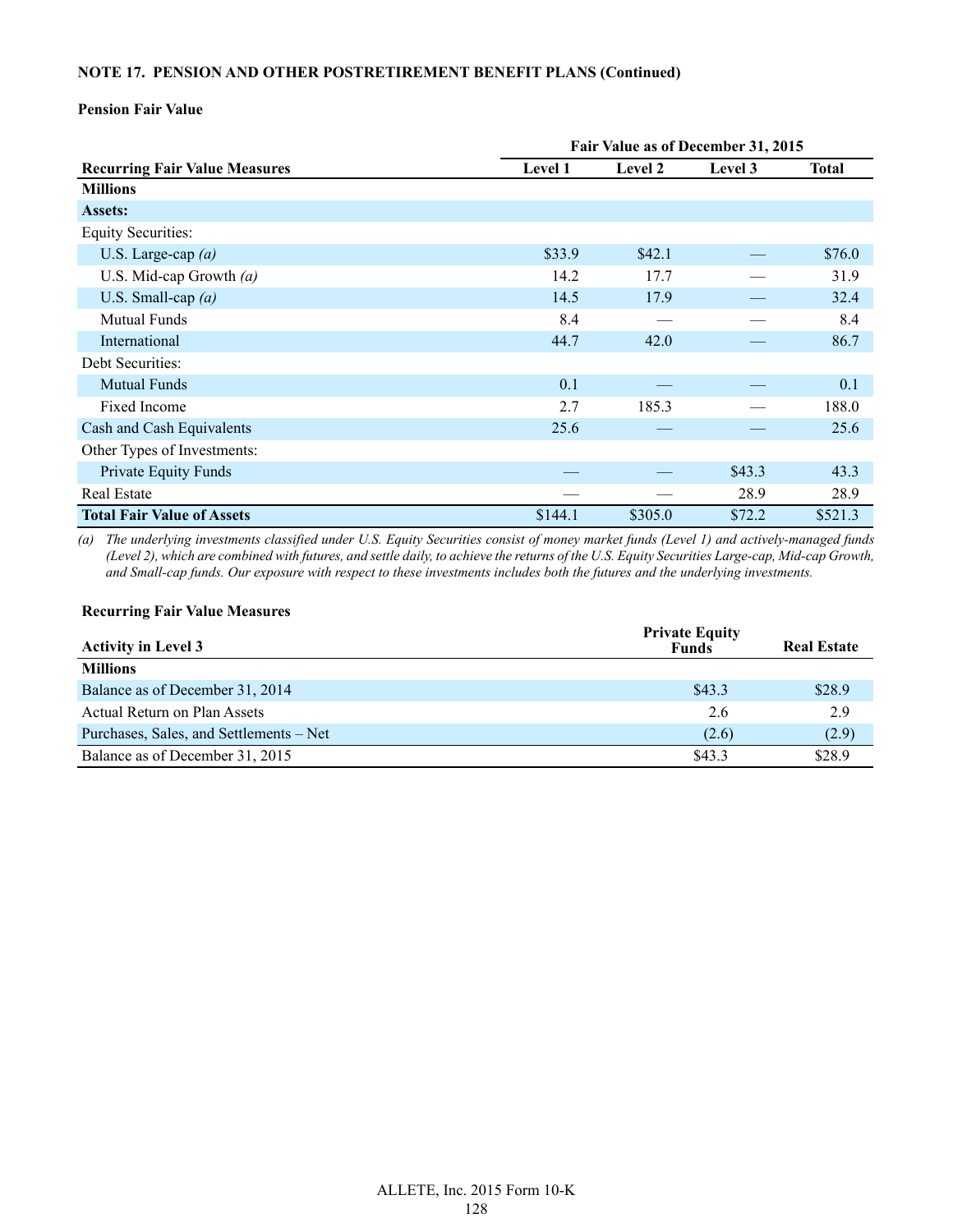#### **Pension Fair Value**

|                                      | Fair Value as of December 31, 2015 |         |         |              |
|--------------------------------------|------------------------------------|---------|---------|--------------|
| <b>Recurring Fair Value Measures</b> | Level 1                            | Level 2 | Level 3 | <b>Total</b> |
| <b>Millions</b>                      |                                    |         |         |              |
| <b>Assets:</b>                       |                                    |         |         |              |
| <b>Equity Securities:</b>            |                                    |         |         |              |
| U.S. Large-cap $(a)$                 | \$33.9                             | \$42.1  |         | \$76.0       |
| U.S. Mid-cap Growth $(a)$            | 14.2                               | 17.7    |         | 31.9         |
| U.S. Small-cap $(a)$                 | 14.5                               | 17.9    |         | 32.4         |
| <b>Mutual Funds</b>                  | 8.4                                |         |         | 8.4          |
| International                        | 44.7                               | 42.0    |         | 86.7         |
| Debt Securities:                     |                                    |         |         |              |
| <b>Mutual Funds</b>                  | 0.1                                |         |         | 0.1          |
| Fixed Income                         | 2.7                                | 185.3   |         | 188.0        |
| Cash and Cash Equivalents            | 25.6                               |         |         | 25.6         |
| Other Types of Investments:          |                                    |         |         |              |
| <b>Private Equity Funds</b>          |                                    |         | \$43.3  | 43.3         |
| <b>Real Estate</b>                   |                                    |         | 28.9    | 28.9         |
| <b>Total Fair Value of Assets</b>    | \$144.1                            | \$305.0 | \$72.2  | \$521.3      |

*(a) The underlying investments classified under U.S. Equity Securities consist of money market funds (Level 1) and actively-managed funds (Level 2), which are combined with futures, and settle daily, to achieve the returns of the U.S. Equity Securities Large-cap, Mid-cap Growth, and Small-cap funds. Our exposure with respect to these investments includes both the futures and the underlying investments.*

# **Recurring Fair Value Measures**

| <b>Activity in Level 3</b>              | <b>Private Equity</b><br><b>Funds</b> | <b>Real Estate</b> |
|-----------------------------------------|---------------------------------------|--------------------|
| <b>Millions</b>                         |                                       |                    |
| Balance as of December 31, 2014         | \$43.3                                | \$28.9             |
| Actual Return on Plan Assets            | 2.6                                   | 2.9                |
| Purchases, Sales, and Settlements – Net | (2.6)                                 | (2.9)              |
| Balance as of December 31, 2015         | \$43.3                                | \$28.9             |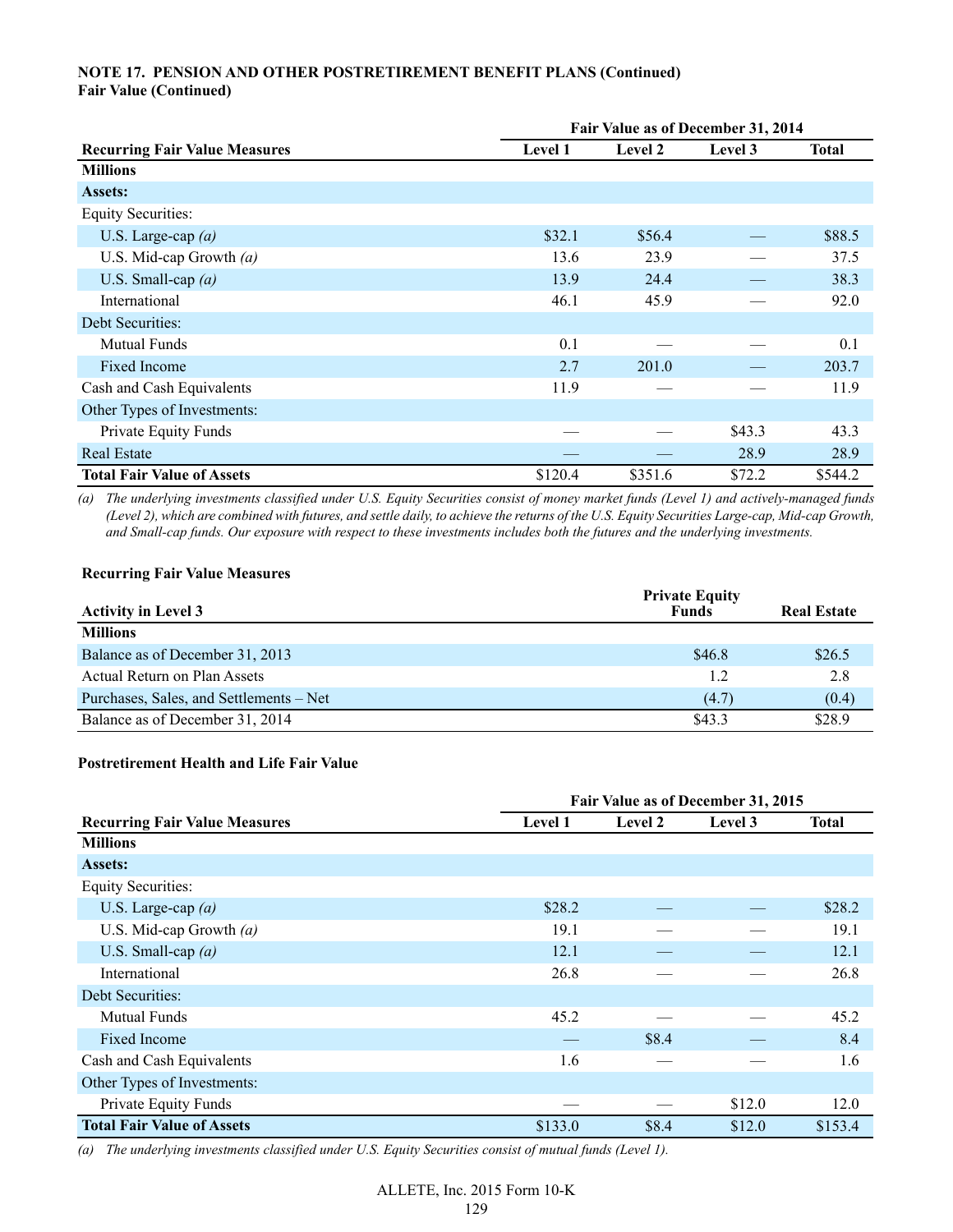# **NOTE 17. PENSION AND OTHER POSTRETIREMENT BENEFIT PLANS (Continued) Fair Value (Continued)**

|                                      | Fair Value as of December 31, 2014 |         |         |              |  |
|--------------------------------------|------------------------------------|---------|---------|--------------|--|
| <b>Recurring Fair Value Measures</b> | Level 1                            | Level 2 | Level 3 | <b>Total</b> |  |
| <b>Millions</b>                      |                                    |         |         |              |  |
| <b>Assets:</b>                       |                                    |         |         |              |  |
| <b>Equity Securities:</b>            |                                    |         |         |              |  |
| U.S. Large-cap $(a)$                 | \$32.1                             | \$56.4  |         | \$88.5       |  |
| U.S. Mid-cap Growth $(a)$            | 13.6                               | 23.9    |         | 37.5         |  |
| U.S. Small-cap $(a)$                 | 13.9                               | 24.4    |         | 38.3         |  |
| International                        | 46.1                               | 45.9    |         | 92.0         |  |
| Debt Securities:                     |                                    |         |         |              |  |
| <b>Mutual Funds</b>                  | 0.1                                |         |         | 0.1          |  |
| <b>Fixed Income</b>                  | 2.7                                | 201.0   |         | 203.7        |  |
| Cash and Cash Equivalents            | 11.9                               |         |         | 11.9         |  |
| Other Types of Investments:          |                                    |         |         |              |  |
| Private Equity Funds                 |                                    |         | \$43.3  | 43.3         |  |
| <b>Real Estate</b>                   |                                    |         | 28.9    | 28.9         |  |
| <b>Total Fair Value of Assets</b>    | \$120.4                            | \$351.6 | \$72.2  | \$544.2      |  |

*(a) The underlying investments classified under U.S. Equity Securities consist of money market funds (Level 1) and actively-managed funds (Level 2), which are combined with futures, and settle daily, to achieve the returns of the U.S. Equity Securities Large-cap, Mid-cap Growth, and Small-cap funds. Our exposure with respect to these investments includes both the futures and the underlying investments.*

# **Recurring Fair Value Measures**

| <b>Activity in Level 3</b>              | <b>Private Equity</b><br><b>Funds</b> | <b>Real Estate</b> |
|-----------------------------------------|---------------------------------------|--------------------|
| <b>Millions</b>                         |                                       |                    |
| Balance as of December 31, 2013         | \$46.8                                | \$26.5             |
| Actual Return on Plan Assets            | 1.2                                   | 2.8                |
| Purchases, Sales, and Settlements – Net | (4.7)                                 | (0.4)              |
| Balance as of December 31, 2014         | \$43.3                                | \$28.9             |

### **Postretirement Health and Life Fair Value**

|                                      |                | Fair Value as of December 31, 2015 |         |              |  |  |
|--------------------------------------|----------------|------------------------------------|---------|--------------|--|--|
| <b>Recurring Fair Value Measures</b> | <b>Level 1</b> | <b>Level 2</b>                     | Level 3 | <b>Total</b> |  |  |
| <b>Millions</b>                      |                |                                    |         |              |  |  |
| <b>Assets:</b>                       |                |                                    |         |              |  |  |
| <b>Equity Securities:</b>            |                |                                    |         |              |  |  |
| U.S. Large-cap $(a)$                 | \$28.2         |                                    |         | \$28.2       |  |  |
| U.S. Mid-cap Growth $(a)$            | 19.1           |                                    |         | 19.1         |  |  |
| U.S. Small-cap $(a)$                 | 12.1           |                                    |         | 12.1         |  |  |
| International                        | 26.8           |                                    |         | 26.8         |  |  |
| Debt Securities:                     |                |                                    |         |              |  |  |
| <b>Mutual Funds</b>                  | 45.2           |                                    |         | 45.2         |  |  |
| Fixed Income                         |                | \$8.4                              |         | 8.4          |  |  |
| Cash and Cash Equivalents            | 1.6            |                                    |         | 1.6          |  |  |
| Other Types of Investments:          |                |                                    |         |              |  |  |
| Private Equity Funds                 |                |                                    | \$12.0  | 12.0         |  |  |
| <b>Total Fair Value of Assets</b>    | \$133.0        | \$8.4                              | \$12.0  | \$153.4      |  |  |

*(a) The underlying investments classified under U.S. Equity Securities consist of mutual funds (Level 1).*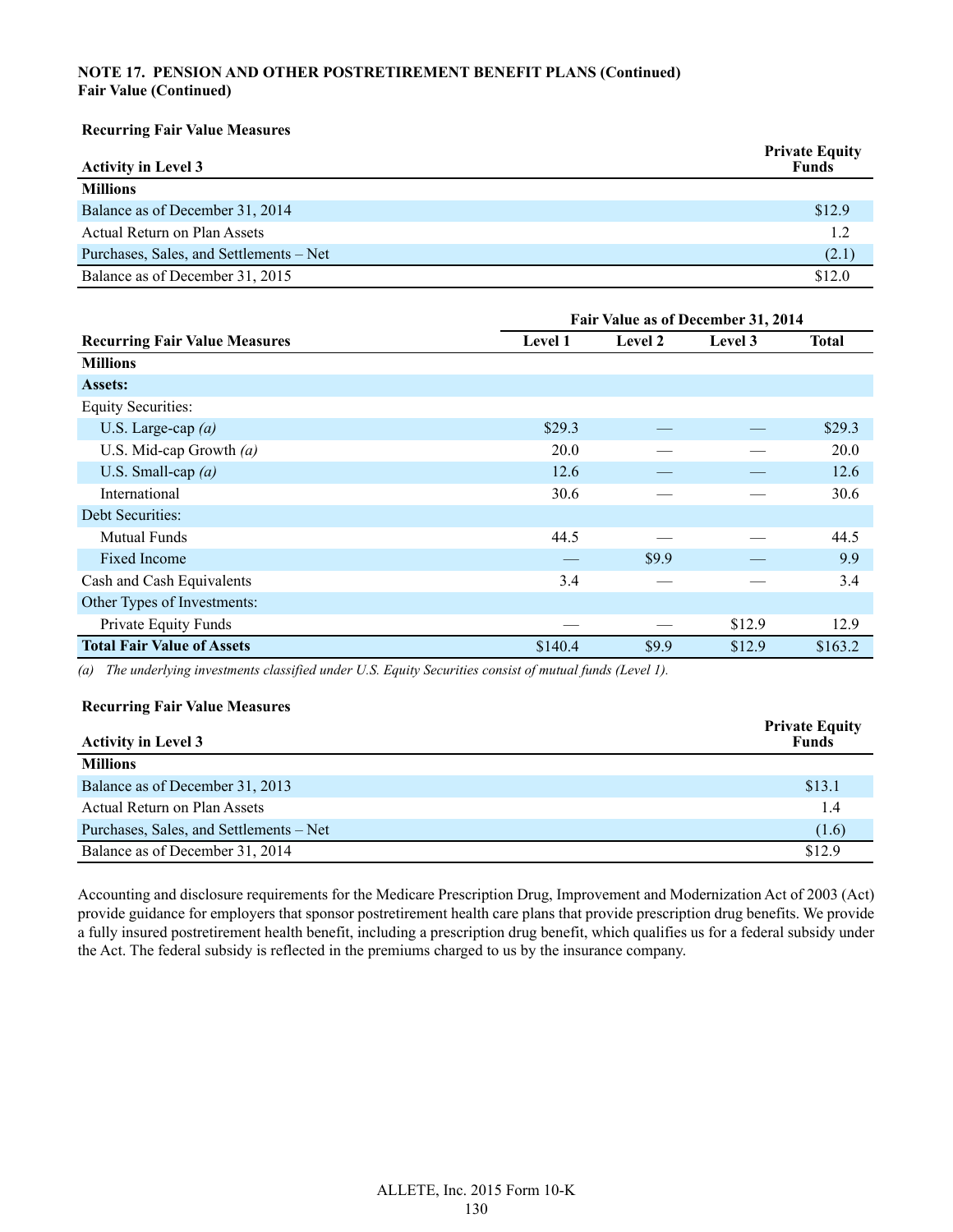# **NOTE 17. PENSION AND OTHER POSTRETIREMENT BENEFIT PLANS (Continued) Fair Value (Continued)**

#### **Recurring Fair Value Measures**

| <b>Activity in Level 3</b>              | <b>Private Equity</b><br><b>Funds</b> |
|-----------------------------------------|---------------------------------------|
| <b>Millions</b>                         |                                       |
| Balance as of December 31, 2014         | \$12.9                                |
| Actual Return on Plan Assets            | 1.2                                   |
| Purchases, Sales, and Settlements – Net | (2.1)                                 |
| Balance as of December 31, 2015         | \$12.0                                |

|                                      | Fair Value as of December 31, 2014 |                |         |              |
|--------------------------------------|------------------------------------|----------------|---------|--------------|
| <b>Recurring Fair Value Measures</b> | Level 1                            | <b>Level 2</b> | Level 3 | <b>Total</b> |
| <b>Millions</b>                      |                                    |                |         |              |
| <b>Assets:</b>                       |                                    |                |         |              |
| <b>Equity Securities:</b>            |                                    |                |         |              |
| U.S. Large-cap $(a)$                 | \$29.3                             |                |         | \$29.3       |
| U.S. Mid-cap Growth $(a)$            | 20.0                               |                |         | 20.0         |
| U.S. Small-cap $(a)$                 | 12.6                               |                |         | 12.6         |
| International                        | 30.6                               |                |         | 30.6         |
| Debt Securities:                     |                                    |                |         |              |
| <b>Mutual Funds</b>                  | 44.5                               |                |         | 44.5         |
| Fixed Income                         |                                    | \$9.9          |         | 9.9          |
| Cash and Cash Equivalents            | 3.4                                |                |         | 3.4          |
| Other Types of Investments:          |                                    |                |         |              |
| Private Equity Funds                 |                                    |                | \$12.9  | 12.9         |
| <b>Total Fair Value of Assets</b>    | \$140.4                            | \$9.9          | \$12.9  | \$163.2      |

*(a) The underlying investments classified under U.S. Equity Securities consist of mutual funds (Level 1).*

#### **Recurring Fair Value Measures**

| <b>Activity in Level 3</b>              | <b>Private Equity</b><br><b>Funds</b> |
|-----------------------------------------|---------------------------------------|
| <b>Millions</b>                         |                                       |
| Balance as of December 31, 2013         | \$13.1                                |
| Actual Return on Plan Assets            | 1.4                                   |
| Purchases, Sales, and Settlements – Net | (1.6)                                 |
| Balance as of December 31, 2014         | \$12.9                                |

Accounting and disclosure requirements for the Medicare Prescription Drug, Improvement and Modernization Act of 2003 (Act) provide guidance for employers that sponsor postretirement health care plans that provide prescription drug benefits. We provide a fully insured postretirement health benefit, including a prescription drug benefit, which qualifies us for a federal subsidy under the Act. The federal subsidy is reflected in the premiums charged to us by the insurance company.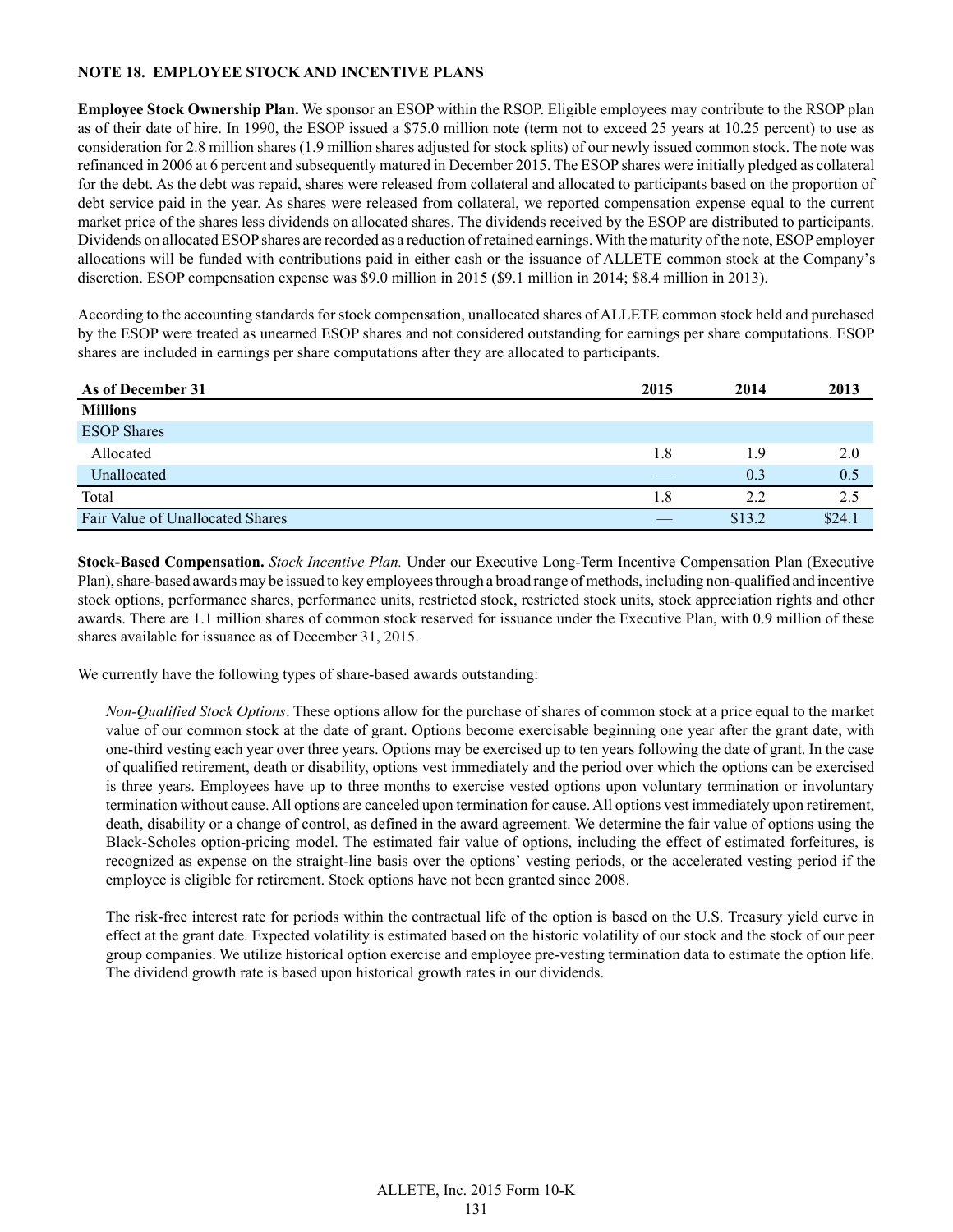# **NOTE 18. EMPLOYEE STOCK AND INCENTIVE PLANS**

**Employee Stock Ownership Plan.** We sponsor an ESOP within the RSOP. Eligible employees may contribute to the RSOP plan as of their date of hire. In 1990, the ESOP issued a \$75.0 million note (term not to exceed 25 years at 10.25 percent) to use as consideration for 2.8 million shares (1.9 million shares adjusted for stock splits) of our newly issued common stock. The note was refinanced in 2006 at 6 percent and subsequently matured in December 2015. The ESOP shares were initially pledged as collateral for the debt. As the debt was repaid, shares were released from collateral and allocated to participants based on the proportion of debt service paid in the year. As shares were released from collateral, we reported compensation expense equal to the current market price of the shares less dividends on allocated shares. The dividends received by the ESOP are distributed to participants. Dividends on allocated ESOP shares are recorded as a reduction of retained earnings. With the maturity of the note, ESOP employer allocations will be funded with contributions paid in either cash or the issuance of ALLETE common stock at the Company's discretion. ESOP compensation expense was \$9.0 million in 2015 (\$9.1 million in 2014; \$8.4 million in 2013).

According to the accounting standards for stock compensation, unallocated shares of ALLETE common stock held and purchased by the ESOP were treated as unearned ESOP shares and not considered outstanding for earnings per share computations. ESOP shares are included in earnings per share computations after they are allocated to participants.

| As of December 31                | 2015 | 2014   | 2013   |
|----------------------------------|------|--------|--------|
| <b>Millions</b>                  |      |        |        |
| <b>ESOP</b> Shares               |      |        |        |
| Allocated                        | 1.8  | 1.9    | 2.0    |
| Unallocated                      |      | 0.3    | 0.5    |
| Total                            | 1.8  | 2.2    | 2.5    |
| Fair Value of Unallocated Shares |      | \$13.2 | \$24.1 |

**Stock-Based Compensation.** *Stock Incentive Plan.* Under our Executive Long-Term Incentive Compensation Plan (Executive Plan), share-based awards may be issued to key employees through a broad range of methods, including non-qualified and incentive stock options, performance shares, performance units, restricted stock, restricted stock units, stock appreciation rights and other awards. There are 1.1 million shares of common stock reserved for issuance under the Executive Plan, with 0.9 million of these shares available for issuance as of December 31, 2015.

We currently have the following types of share-based awards outstanding:

*Non-Qualified Stock Options*. These options allow for the purchase of shares of common stock at a price equal to the market value of our common stock at the date of grant. Options become exercisable beginning one year after the grant date, with one-third vesting each year over three years. Options may be exercised up to ten years following the date of grant. In the case of qualified retirement, death or disability, options vest immediately and the period over which the options can be exercised is three years. Employees have up to three months to exercise vested options upon voluntary termination or involuntary termination without cause. All options are canceled upon termination for cause. All options vest immediately upon retirement, death, disability or a change of control, as defined in the award agreement. We determine the fair value of options using the Black-Scholes option-pricing model. The estimated fair value of options, including the effect of estimated forfeitures, is recognized as expense on the straight-line basis over the options' vesting periods, or the accelerated vesting period if the employee is eligible for retirement. Stock options have not been granted since 2008.

The risk-free interest rate for periods within the contractual life of the option is based on the U.S. Treasury yield curve in effect at the grant date. Expected volatility is estimated based on the historic volatility of our stock and the stock of our peer group companies. We utilize historical option exercise and employee pre-vesting termination data to estimate the option life. The dividend growth rate is based upon historical growth rates in our dividends.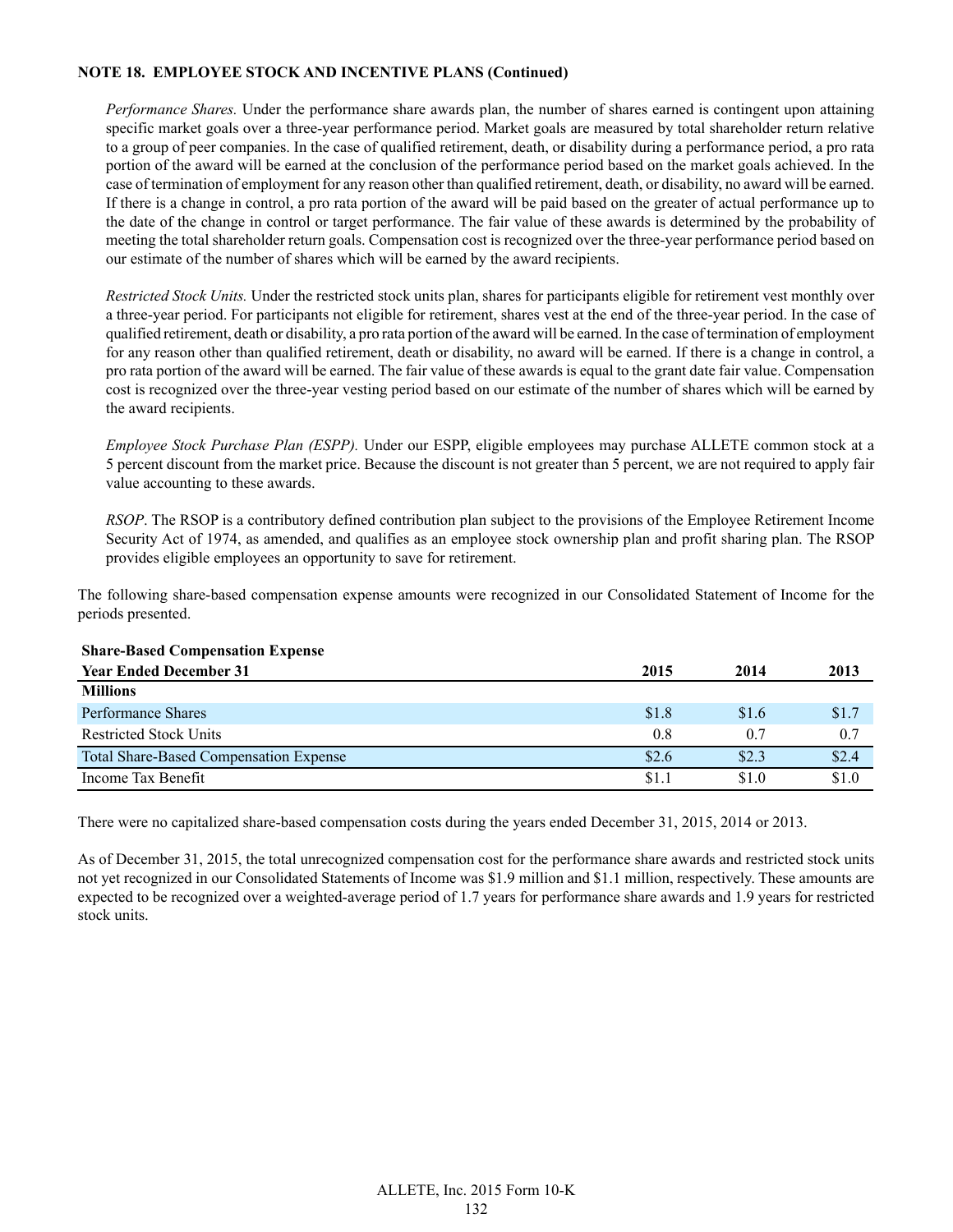# **NOTE 18. EMPLOYEE STOCK AND INCENTIVE PLANS (Continued)**

*Performance Shares.* Under the performance share awards plan, the number of shares earned is contingent upon attaining specific market goals over a three-year performance period. Market goals are measured by total shareholder return relative to a group of peer companies. In the case of qualified retirement, death, or disability during a performance period, a pro rata portion of the award will be earned at the conclusion of the performance period based on the market goals achieved. In the case of termination of employment for any reason other than qualified retirement, death, or disability, no award will be earned. If there is a change in control, a pro rata portion of the award will be paid based on the greater of actual performance up to the date of the change in control or target performance. The fair value of these awards is determined by the probability of meeting the total shareholder return goals. Compensation cost is recognized over the three-year performance period based on our estimate of the number of shares which will be earned by the award recipients.

*Restricted Stock Units.* Under the restricted stock units plan, shares for participants eligible for retirement vest monthly over a three-year period. For participants not eligible for retirement, shares vest at the end of the three-year period. In the case of qualified retirement, death or disability, a pro rata portion of the award will be earned. In the case of termination of employment for any reason other than qualified retirement, death or disability, no award will be earned. If there is a change in control, a pro rata portion of the award will be earned. The fair value of these awards is equal to the grant date fair value. Compensation cost is recognized over the three-year vesting period based on our estimate of the number of shares which will be earned by the award recipients.

*Employee Stock Purchase Plan (ESPP).* Under our ESPP, eligible employees may purchase ALLETE common stock at a 5 percent discount from the market price. Because the discount is not greater than 5 percent, we are not required to apply fair value accounting to these awards.

*RSOP*. The RSOP is a contributory defined contribution plan subject to the provisions of the Employee Retirement Income Security Act of 1974, as amended, and qualifies as an employee stock ownership plan and profit sharing plan. The RSOP provides eligible employees an opportunity to save for retirement.

The following share-based compensation expense amounts were recognized in our Consolidated Statement of Income for the periods presented.

| <b>Share-Based Compensation Expense</b>       |       |       |       |
|-----------------------------------------------|-------|-------|-------|
| <b>Year Ended December 31</b>                 | 2015  | 2014  | 2013  |
| <b>Millions</b>                               |       |       |       |
| Performance Shares                            | \$1.8 | \$1.6 | \$1.7 |
| <b>Restricted Stock Units</b>                 | 0.8   | 0.7   | 0.7   |
| <b>Total Share-Based Compensation Expense</b> | \$2.6 | \$2.3 | \$2.4 |
| Income Tax Benefit                            | \$1.1 | \$1.0 | \$1.0 |

There were no capitalized share-based compensation costs during the years ended December 31, 2015, 2014 or 2013.

As of December 31, 2015, the total unrecognized compensation cost for the performance share awards and restricted stock units not yet recognized in our Consolidated Statements of Income was \$1.9 million and \$1.1 million, respectively. These amounts are expected to be recognized over a weighted-average period of 1.7 years for performance share awards and 1.9 years for restricted stock units.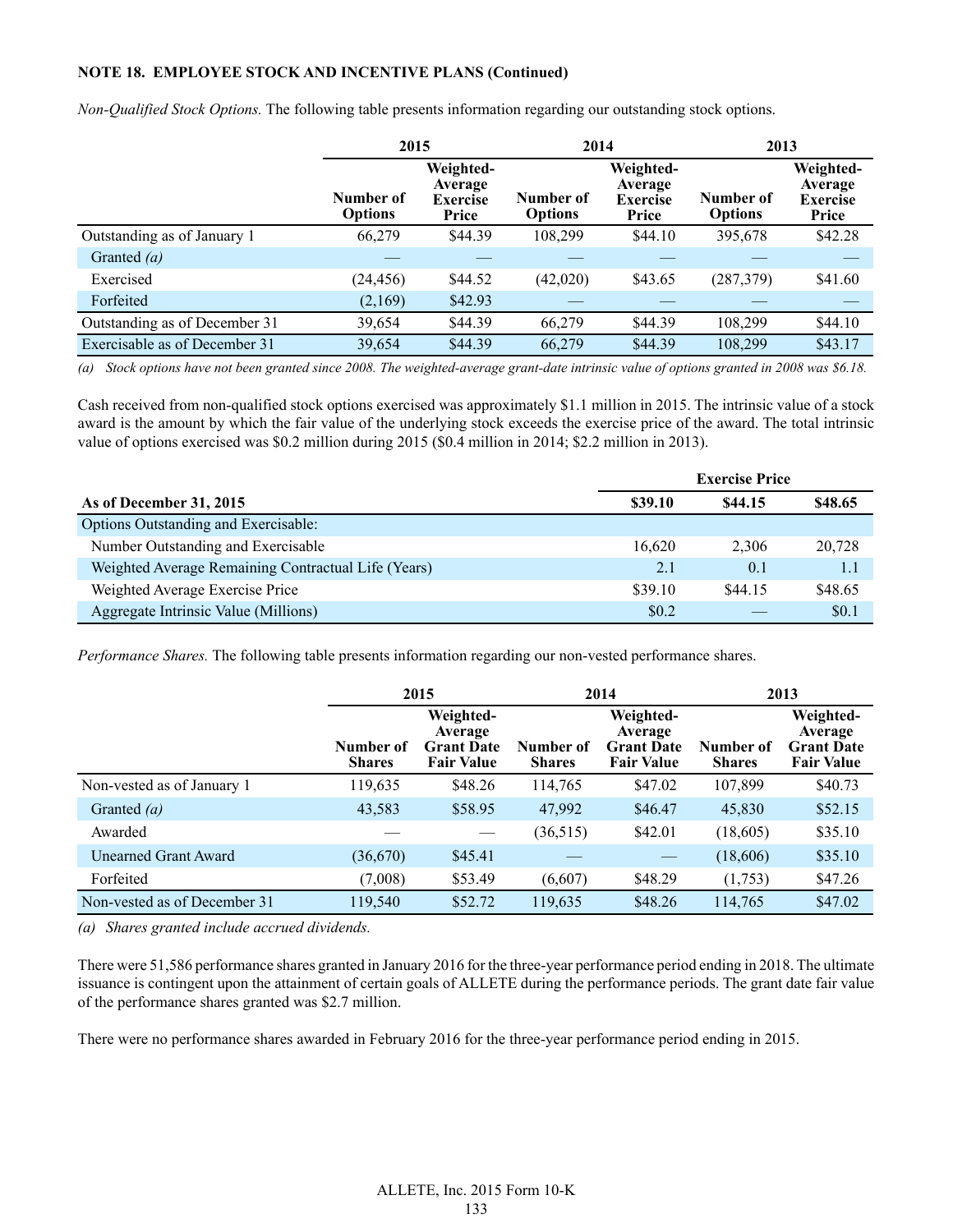#### **NOTE 18. EMPLOYEE STOCK AND INCENTIVE PLANS (Continued)**

|                               | 2015                        |                                                  | 2014                        |                                                  | 2013                        |                                                  |
|-------------------------------|-----------------------------|--------------------------------------------------|-----------------------------|--------------------------------------------------|-----------------------------|--------------------------------------------------|
|                               | Number of<br><b>Options</b> | Weighted-<br>Average<br><b>Exercise</b><br>Price | Number of<br><b>Options</b> | Weighted-<br>Average<br><b>Exercise</b><br>Price | Number of<br><b>Options</b> | Weighted-<br>Average<br><b>Exercise</b><br>Price |
| Outstanding as of January 1   | 66,279                      | \$44.39                                          | 108,299                     | \$44.10                                          | 395,678                     | \$42.28                                          |
| Granted $(a)$                 |                             |                                                  |                             |                                                  |                             |                                                  |
| Exercised                     | (24, 456)                   | \$44.52                                          | (42,020)                    | \$43.65                                          | (287, 379)                  | \$41.60                                          |
| Forfeited                     | (2,169)                     | \$42.93                                          |                             |                                                  |                             |                                                  |
| Outstanding as of December 31 | 39,654                      | \$44.39                                          | 66,279                      | \$44.39                                          | 108.299                     | \$44.10                                          |
| Exercisable as of December 31 | 39,654                      | \$44.39                                          | 66,279                      | \$44.39                                          | 108,299                     | \$43.17                                          |

*Non-Qualified Stock Options.* The following table presents information regarding our outstanding stock options.

*(a) Stock options have not been granted since 2008. The weighted-average grant-date intrinsic value of options granted in 2008 was \$6.18.*

Cash received from non-qualified stock options exercised was approximately \$1.1 million in 2015. The intrinsic value of a stock award is the amount by which the fair value of the underlying stock exceeds the exercise price of the award. The total intrinsic value of options exercised was \$0.2 million during 2015 (\$0.4 million in 2014; \$2.2 million in 2013).

|                                                     |         | <b>Exercise Price</b> |         |  |  |
|-----------------------------------------------------|---------|-----------------------|---------|--|--|
| As of December 31, 2015                             | \$39.10 | \$44.15               | \$48.65 |  |  |
| Options Outstanding and Exercisable:                |         |                       |         |  |  |
| Number Outstanding and Exercisable                  | 16.620  | 2.306                 | 20,728  |  |  |
| Weighted Average Remaining Contractual Life (Years) | 2.1     | 0.1                   | 1.1     |  |  |
| Weighted Average Exercise Price                     | \$39.10 | \$44.15               | \$48.65 |  |  |
| Aggregate Intrinsic Value (Millions)                | \$0.2\$ |                       | \$0.1   |  |  |

*Performance Shares.* The following table presents information regarding our non-vested performance shares.

|                              |                            | 2015                                                           |                            | 2014                                                           |                            | 2013                                                           |  |
|------------------------------|----------------------------|----------------------------------------------------------------|----------------------------|----------------------------------------------------------------|----------------------------|----------------------------------------------------------------|--|
|                              | Number of<br><b>Shares</b> | Weighted-<br>Average<br><b>Grant Date</b><br><b>Fair Value</b> | Number of<br><b>Shares</b> | Weighted-<br>Average<br><b>Grant Date</b><br><b>Fair Value</b> | Number of<br><b>Shares</b> | Weighted-<br>Average<br><b>Grant Date</b><br><b>Fair Value</b> |  |
| Non-vested as of January 1   | 119,635                    | \$48.26                                                        | 114,765                    | \$47.02                                                        | 107,899                    | \$40.73                                                        |  |
| Granted $(a)$                | 43,583                     | \$58.95                                                        | 47,992                     | \$46.47                                                        | 45,830                     | \$52.15                                                        |  |
| Awarded                      |                            |                                                                | (36, 515)                  | \$42.01                                                        | (18,605)                   | \$35.10                                                        |  |
| <b>Unearned Grant Award</b>  | (36,670)                   | \$45.41                                                        |                            |                                                                | (18,606)                   | \$35.10                                                        |  |
| Forfeited                    | (7,008)                    | \$53.49                                                        | (6,607)                    | \$48.29                                                        | (1,753)                    | \$47.26                                                        |  |
| Non-vested as of December 31 | 119,540                    | \$52.72                                                        | 119,635                    | \$48.26                                                        | 114,765                    | \$47.02                                                        |  |

*(a) Shares granted include accrued dividends.*

There were 51,586 performance shares granted in January 2016 for the three-year performance period ending in 2018. The ultimate issuance is contingent upon the attainment of certain goals of ALLETE during the performance periods. The grant date fair value of the performance shares granted was \$2.7 million.

There were no performance shares awarded in February 2016 for the three-year performance period ending in 2015.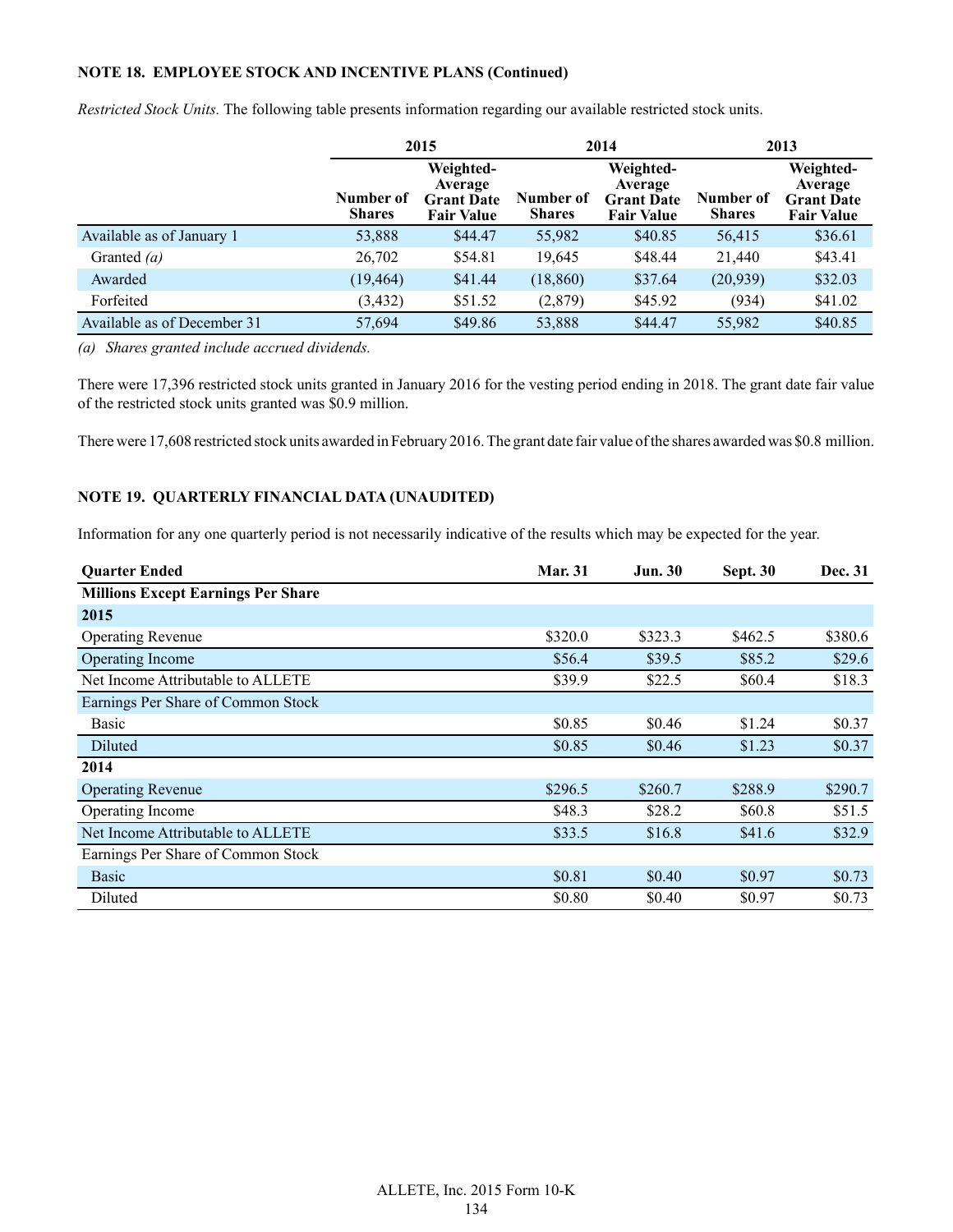#### **NOTE 18. EMPLOYEE STOCK AND INCENTIVE PLANS (Continued)**

|                             | 2015                       |                                                                | 2014                       |                                                                | 2013                       |                                                                |
|-----------------------------|----------------------------|----------------------------------------------------------------|----------------------------|----------------------------------------------------------------|----------------------------|----------------------------------------------------------------|
|                             | Number of<br><b>Shares</b> | Weighted-<br>Average<br><b>Grant Date</b><br><b>Fair Value</b> | Number of<br><b>Shares</b> | Weighted-<br>Average<br><b>Grant Date</b><br><b>Fair Value</b> | Number of<br><b>Shares</b> | Weighted-<br>Average<br><b>Grant Date</b><br><b>Fair Value</b> |
| Available as of January 1   | 53,888                     | \$44.47                                                        | 55,982                     | \$40.85                                                        | 56,415                     | \$36.61                                                        |
| Granted $(a)$               | 26,702                     | \$54.81                                                        | 19,645                     | \$48.44                                                        | 21,440                     | \$43.41                                                        |
| Awarded                     | (19, 464)                  | \$41.44                                                        | (18, 860)                  | \$37.64                                                        | (20, 939)                  | \$32.03                                                        |
| Forfeited                   | (3, 432)                   | \$51.52                                                        | (2,879)                    | \$45.92                                                        | (934)                      | \$41.02                                                        |
| Available as of December 31 | 57,694                     | \$49.86                                                        | 53,888                     | \$44.47                                                        | 55,982                     | \$40.85                                                        |

*Restricted Stock Units.* The following table presents information regarding our available restricted stock units.

*(a) Shares granted include accrued dividends.*

There were 17,396 restricted stock units granted in January 2016 for the vesting period ending in 2018. The grant date fair value of the restricted stock units granted was \$0.9 million.

There were 17,608 restricted stock units awarded in February 2016. The grant date fair value of the shares awarded was \$0.8 million.

# **NOTE 19. QUARTERLY FINANCIAL DATA (UNAUDITED)**

Information for any one quarterly period is not necessarily indicative of the results which may be expected for the year.

| <b>Quarter Ended</b>                      | <b>Mar. 31</b> | <b>Jun. 30</b> | <b>Sept. 30</b> | Dec. 31 |
|-------------------------------------------|----------------|----------------|-----------------|---------|
| <b>Millions Except Earnings Per Share</b> |                |                |                 |         |
| 2015                                      |                |                |                 |         |
| <b>Operating Revenue</b>                  | \$320.0        | \$323.3        | \$462.5         | \$380.6 |
| Operating Income                          | \$56.4         | \$39.5         | \$85.2          | \$29.6  |
| Net Income Attributable to ALLETE         | \$39.9         | \$22.5         | \$60.4          | \$18.3  |
| Earnings Per Share of Common Stock        |                |                |                 |         |
| Basic                                     | \$0.85         | \$0.46         | \$1.24          | \$0.37  |
| Diluted                                   | \$0.85         | \$0.46         | \$1.23          | \$0.37  |
| 2014                                      |                |                |                 |         |
| <b>Operating Revenue</b>                  | \$296.5        | \$260.7        | \$288.9         | \$290.7 |
| Operating Income                          | \$48.3         | \$28.2         | \$60.8          | \$51.5  |
| Net Income Attributable to ALLETE         | \$33.5         | \$16.8         | \$41.6          | \$32.9  |
| Earnings Per Share of Common Stock        |                |                |                 |         |
| <b>Basic</b>                              | \$0.81         | \$0.40         | \$0.97          | \$0.73  |
| Diluted                                   | \$0.80         | \$0.40         | \$0.97          | \$0.73  |